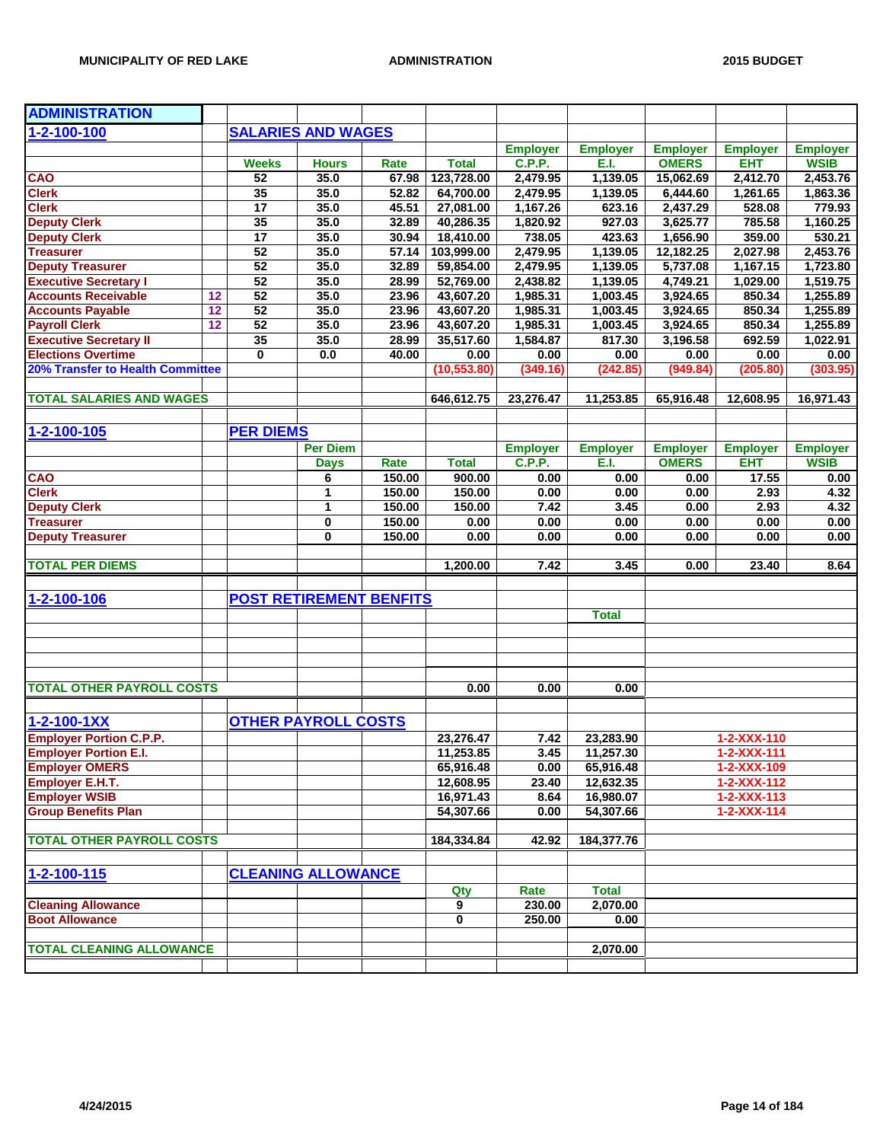| <b>ADMINISTRATION</b>                              |    |                                |                 |        |              |                 |                 |                 |                     |                 |
|----------------------------------------------------|----|--------------------------------|-----------------|--------|--------------|-----------------|-----------------|-----------------|---------------------|-----------------|
| $1 - 2 - 100 - 100$                                |    | <b>SALARIES AND WAGES</b>      |                 |        |              |                 |                 |                 |                     |                 |
|                                                    |    |                                |                 |        |              | <b>Employer</b> | <b>Employer</b> | <b>Employer</b> | <b>Employer</b>     | <b>Employer</b> |
|                                                    |    | <b>Weeks</b>                   | <b>Hours</b>    | Rate   | <b>Total</b> | <b>C.P.P.</b>   | E.I.            | <b>OMERS</b>    | <b>EHT</b>          | <b>WSIB</b>     |
| CAO                                                |    | 52                             | 35.0            | 67.98  | 123,728.00   | 2,479.95        | 1,139.05        | 15,062.69       | 2,412.70            | 2,453.76        |
| <b>Clerk</b>                                       |    | 35                             | 35.0            | 52.82  | 64,700.00    | 2,479.95        | 1,139.05        | 6,444.60        | 1,261.65            | 1,863.36        |
| <b>Clerk</b>                                       |    | 17                             | 35.0            | 45.51  | 27,081.00    | 1,167.26        | 623.16          | 2,437.29        | 528.08              | 779.93          |
| <b>Deputy Clerk</b>                                |    | 35                             | 35.0            | 32.89  | 40,286.35    | 1,820.92        | 927.03          | 3,625.77        | 785.58              | 1,160.25        |
| <b>Deputy Clerk</b>                                |    | 17                             | 35.0            | 30.94  | 18,410.00    | 738.05          | 423.63          | 1,656.90        | 359.00              | 530.21          |
| <b>Treasurer</b>                                   |    | 52                             | 35.0            | 57.14  | 103,999.00   | 2,479.95        | 1,139.05        | 12,182.25       | 2,027.98            | 2,453.76        |
| <b>Deputy Treasurer</b>                            |    | 52                             | 35.0            | 32.89  | 59,854.00    | 2,479.95        | 1,139.05        | 5,737.08        | 1,167.15            | 1,723.80        |
| <b>Executive Secretary I</b>                       |    | 52                             | 35.0            | 28.99  | 52,769.00    | 2,438.82        | 1,139.05        | 4,749.21        | 1,029.00            | 1,519.75        |
| <b>Accounts Receivable</b>                         | 12 | 52                             | 35.0            | 23.96  | 43,607.20    | 1,985.31        | 1,003.45        | 3,924.65        | 850.34              | 1,255.89        |
| <b>Accounts Payable</b>                            | 12 | 52                             | 35.0            | 23.96  | 43,607.20    | 1,985.31        | 1,003.45        | 3,924.65        | 850.34              | 1,255.89        |
| <b>Payroll Clerk</b>                               | 12 | 52                             | 35.0            | 23.96  | 43,607.20    | 1,985.31        | 1,003.45        | 3,924.65        | 850.34              | 1,255.89        |
| <b>Executive Secretary II</b>                      |    | 35                             | 35.0            | 28.99  | 35,517.60    | 1,584.87        | 817.30          | 3,196.58        | 692.59              | 1,022.91        |
| <b>Elections Overtime</b>                          |    | $\bf{0}$                       | 0.0             | 40.00  | 0.00         | 0.00            | 0.00            | 0.00            | 0.00                | 0.00            |
| <b>20% Transfer to Health Committee</b>            |    |                                |                 |        | (10, 553.80) | (349.16)        | (242.85)        | (949.84)        | (205.80)            | (303.95)        |
|                                                    |    |                                |                 |        |              |                 |                 |                 |                     |                 |
| <b>TOTAL SALARIES AND WAGES</b>                    |    |                                |                 |        | 646,612.75   | 23,276.47       | 11,253.85       | 65,916.48       | 12,608.95           | 16,971.43       |
| 1-2-100-105                                        |    | <b>PER DIEMS</b>               |                 |        |              |                 |                 |                 |                     |                 |
|                                                    |    |                                | <b>Per Diem</b> |        |              | <b>Employer</b> | <b>Employer</b> | <b>Employer</b> | <b>Employer</b>     | <b>Employer</b> |
|                                                    |    |                                | <b>Days</b>     | Rate   | <b>Total</b> | C.P.P.          | E.I.            | <b>OMERS</b>    | <b>EHT</b>          | <b>WSIB</b>     |
| <b>CAO</b>                                         |    |                                | 6               | 150.00 | 900.00       | 0.00            | 0.00            | 0.00            | 17.55               | 0.00            |
| <b>Clerk</b>                                       |    |                                | 1               | 150.00 | 150.00       | 0.00            | 0.00            | 0.00            | 2.93                | 4.32            |
| <b>Deputy Clerk</b>                                |    |                                | 1               | 150.00 | 150.00       | 7.42            | 3.45            | 0.00            | 2.93                | 4.32            |
| <b>Treasurer</b>                                   |    |                                | 0               | 150.00 | 0.00         | 0.00            | 0.00            | 0.00            | 0.00                | 0.00            |
| <b>Deputy Treasurer</b>                            |    |                                | 0               | 150.00 | 0.00         | 0.00            | 0.00            | 0.00            | 0.00                | 0.00            |
| <b>TOTAL PER DIEMS</b>                             |    |                                |                 |        | 1,200.00     | 7.42            | 3.45            | 0.00            | 23.40               | 8.64            |
|                                                    |    |                                |                 |        |              |                 |                 |                 |                     |                 |
| 1-2-100-106                                        |    | <b>POST RETIREMENT BENFITS</b> |                 |        |              |                 |                 |                 |                     |                 |
|                                                    |    |                                |                 |        |              |                 | <b>Total</b>    |                 |                     |                 |
|                                                    |    |                                |                 |        |              |                 |                 |                 |                     |                 |
|                                                    |    |                                |                 |        |              |                 |                 |                 |                     |                 |
| <b>TOTAL OTHER PAYROLL COSTS</b>                   |    |                                |                 |        | 0.00         | 0.00            | 0.00            |                 |                     |                 |
|                                                    |    |                                |                 |        |              |                 |                 |                 |                     |                 |
| $1 - 2 - 100 - 1XX$                                |    | <b>OTHER PAYROLL COSTS</b>     |                 |        |              |                 |                 |                 |                     |                 |
| <b>Employer Portion C.P.P.</b>                     |    |                                |                 |        | 23,276.47    | 7.42            | 23,283.90       |                 | 1-2-XXX-110         |                 |
| <b>Employer Portion E.I.</b>                       |    |                                |                 |        | 11,253.85    | 3.45            | 11,257.30       |                 | 1-2-XXX-111         |                 |
| <b>Employer OMERS</b>                              |    |                                |                 |        | 65,916.48    | 0.00            | 65,916.48       |                 | 1-2-XXX-109         |                 |
| Employer E.H.T.                                    |    |                                |                 |        | 12,608.95    | 23.40           | 12,632.35       |                 | $1 - 2 - XXX - 112$ |                 |
| <b>Employer WSIB</b>                               |    |                                |                 |        | 16,971.43    | 8.64            | 16,980.07       |                 | $1 - 2 - XXX - 113$ |                 |
| <b>Group Benefits Plan</b>                         |    |                                |                 |        | 54,307.66    | 0.00            | 54,307.66       |                 | $1 - 2 - XXX - 114$ |                 |
| <b>TOTAL OTHER PAYROLL COSTS</b>                   |    |                                |                 |        | 184,334.84   | 42.92           | 184,377.76      |                 |                     |                 |
|                                                    |    |                                |                 |        |              |                 |                 |                 |                     |                 |
| 1-2-100-115                                        |    | <b>CLEANING ALLOWANCE</b>      |                 |        |              |                 |                 |                 |                     |                 |
|                                                    |    |                                |                 |        | Qty          | Rate            | <b>Total</b>    |                 |                     |                 |
| <b>Cleaning Allowance</b><br><b>Boot Allowance</b> |    |                                |                 |        | 9            | 230.00          | 2,070.00        |                 |                     |                 |
|                                                    |    |                                |                 |        | $\mathbf 0$  | 250.00          | 0.00            |                 |                     |                 |
| <b>TOTAL CLEANING ALLOWANCE</b>                    |    |                                |                 |        |              |                 | 2,070.00        |                 |                     |                 |
|                                                    |    |                                |                 |        |              |                 |                 |                 |                     |                 |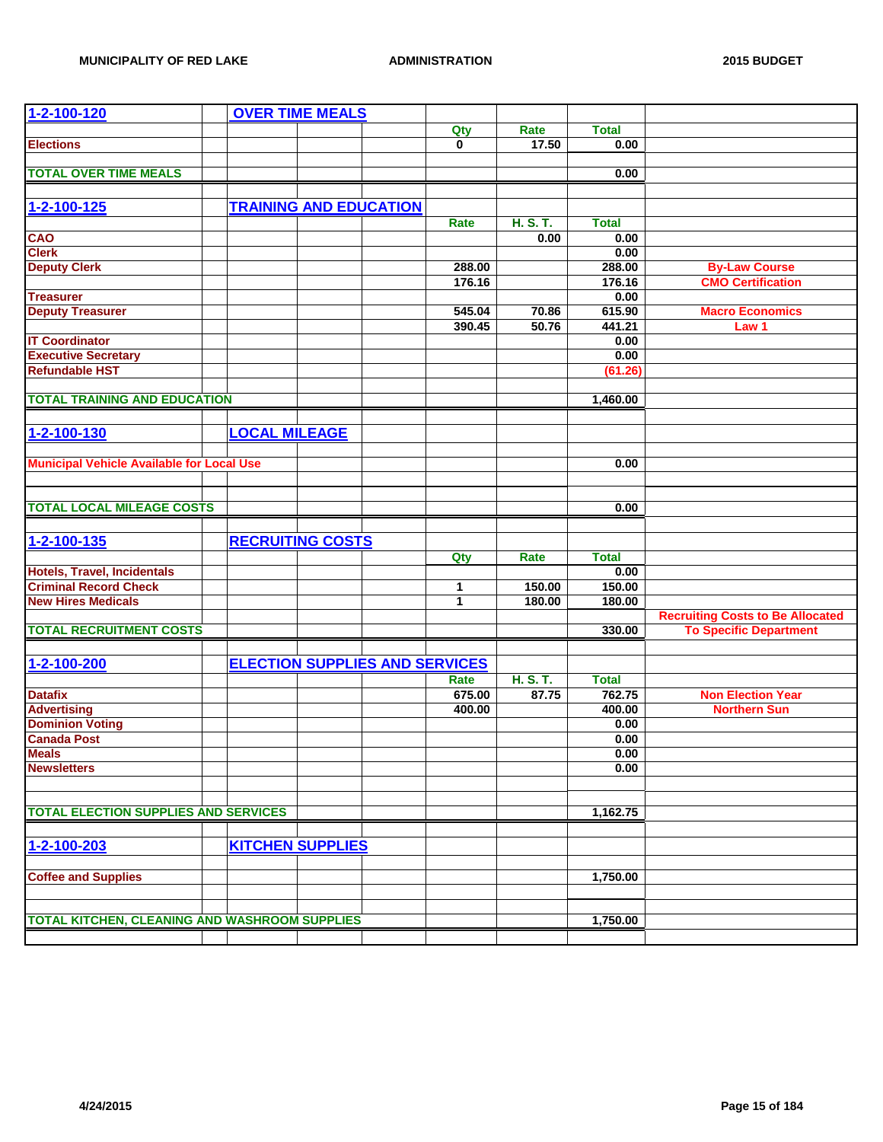| 1-2-100-120                                          | <b>OVER TIME MEALS</b>                |  |        |          |              |                                         |
|------------------------------------------------------|---------------------------------------|--|--------|----------|--------------|-----------------------------------------|
|                                                      |                                       |  | Qty    | Rate     | <b>Total</b> |                                         |
| <b>Elections</b>                                     |                                       |  | 0      | 17.50    | 0.00         |                                         |
|                                                      |                                       |  |        |          |              |                                         |
| <b>TOTAL OVER TIME MEALS</b>                         |                                       |  |        |          | 0.00         |                                         |
|                                                      |                                       |  |        |          |              |                                         |
| $1 - 2 - 100 - 125$                                  | <b>TRAINING AND EDUCATION</b>         |  |        |          |              |                                         |
|                                                      |                                       |  | Rate   | H. S. T. | <b>Total</b> |                                         |
| CAO                                                  |                                       |  |        | 0.00     | 0.00         |                                         |
| <b>Clerk</b>                                         |                                       |  |        |          | 0.00         |                                         |
| <b>Deputy Clerk</b>                                  |                                       |  | 288.00 |          | 288.00       | <b>By-Law Course</b>                    |
|                                                      |                                       |  | 176.16 |          | 176.16       | <b>CMO Certification</b>                |
| <b>Treasurer</b>                                     |                                       |  |        |          | 0.00         |                                         |
| <b>Deputy Treasurer</b>                              |                                       |  | 545.04 | 70.86    | 615.90       | <b>Macro Economics</b>                  |
|                                                      |                                       |  | 390.45 | 50.76    | 441.21       | Law 1                                   |
| <b>IT Coordinator</b>                                |                                       |  |        |          | 0.00         |                                         |
|                                                      |                                       |  |        |          | 0.00         |                                         |
| <b>Executive Secretary</b><br><b>Refundable HST</b>  |                                       |  |        |          | (61.26)      |                                         |
|                                                      |                                       |  |        |          |              |                                         |
| <b>TOTAL TRAINING AND EDUCATION</b>                  |                                       |  |        |          | 1,460.00     |                                         |
|                                                      |                                       |  |        |          |              |                                         |
|                                                      |                                       |  |        |          |              |                                         |
| 1-2-100-130                                          | <b>LOCAL MILEAGE</b>                  |  |        |          |              |                                         |
|                                                      |                                       |  |        |          |              |                                         |
| <b>Municipal Vehicle Available for Local Use</b>     |                                       |  |        |          | 0.00         |                                         |
|                                                      |                                       |  |        |          |              |                                         |
|                                                      |                                       |  |        |          |              |                                         |
| <b>TOTAL LOCAL MILEAGE COSTS</b>                     |                                       |  |        |          | 0.00         |                                         |
|                                                      |                                       |  |        |          |              |                                         |
| 1-2-100-135                                          | <b>RECRUITING COSTS</b>               |  |        |          |              |                                         |
|                                                      |                                       |  | Qty    | Rate     | <b>Total</b> |                                         |
| <b>Hotels, Travel, Incidentals</b>                   |                                       |  |        |          | 0.00         |                                         |
| <b>Criminal Record Check</b>                         |                                       |  | 1      | 150.00   | 150.00       |                                         |
| <b>New Hires Medicals</b>                            |                                       |  | 1      | 180.00   | 180.00       |                                         |
|                                                      |                                       |  |        |          |              | <b>Recruiting Costs to Be Allocated</b> |
| <b>TOTAL RECRUITMENT COSTS</b>                       |                                       |  |        |          | 330.00       | <b>To Specific Department</b>           |
|                                                      |                                       |  |        |          |              |                                         |
| 1-2-100-200                                          | <b>ELECTION SUPPLIES AND SERVICES</b> |  |        |          |              |                                         |
|                                                      |                                       |  | Rate   | H. S. T. | <b>Total</b> |                                         |
| <b>Datafix</b>                                       |                                       |  | 675.00 | 87.75    | 762.75       | <b>Non Election Year</b>                |
|                                                      |                                       |  | 400.00 |          | 400.00       | <b>Northern Sun</b>                     |
| <b>Advertising</b><br><b>Dominion Voting</b>         |                                       |  |        |          | 0.00         |                                         |
| <b>Canada Post</b>                                   |                                       |  |        |          | 0.00         |                                         |
| <b>Meals</b>                                         |                                       |  |        |          | 0.00         |                                         |
| <b>Newsletters</b>                                   |                                       |  |        |          | 0.00         |                                         |
|                                                      |                                       |  |        |          |              |                                         |
|                                                      |                                       |  |        |          |              |                                         |
| <b>TOTAL ELECTION SUPPLIES AND SERVICES</b>          |                                       |  |        |          | 1,162.75     |                                         |
|                                                      |                                       |  |        |          |              |                                         |
| 1-2-100-203                                          | <b>KITCHEN SUPPLIES</b>               |  |        |          |              |                                         |
|                                                      |                                       |  |        |          |              |                                         |
| <b>Coffee and Supplies</b>                           |                                       |  |        |          | 1,750.00     |                                         |
|                                                      |                                       |  |        |          |              |                                         |
|                                                      |                                       |  |        |          |              |                                         |
| <b>TOTAL KITCHEN, CLEANING AND WASHROOM SUPPLIES</b> |                                       |  |        |          | 1,750.00     |                                         |
|                                                      |                                       |  |        |          |              |                                         |
|                                                      |                                       |  |        |          |              |                                         |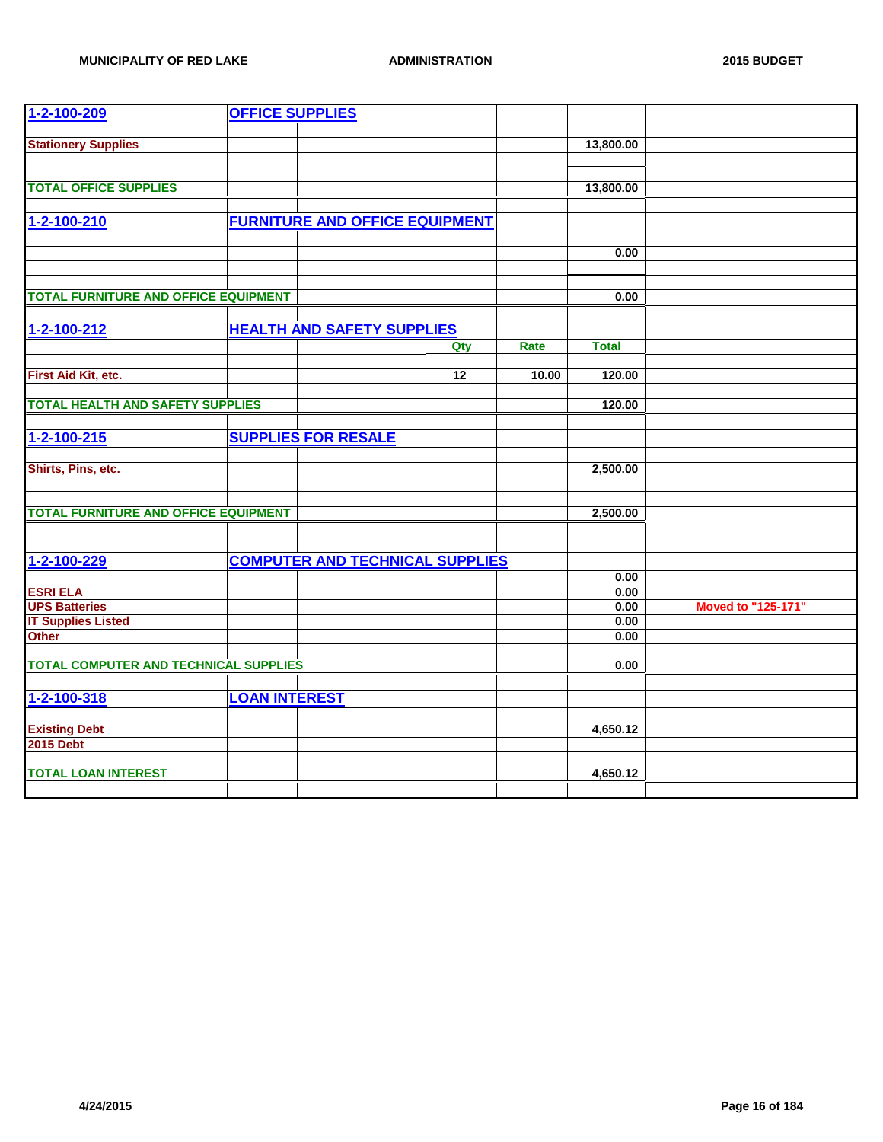| 1-2-100-209                                  | <b>OFFICE SUPPLIES</b>            |  |                                        |       |              |                    |
|----------------------------------------------|-----------------------------------|--|----------------------------------------|-------|--------------|--------------------|
|                                              |                                   |  |                                        |       |              |                    |
| <b>Stationery Supplies</b>                   |                                   |  |                                        |       | 13,800.00    |                    |
|                                              |                                   |  |                                        |       |              |                    |
| <b>TOTAL OFFICE SUPPLIES</b>                 |                                   |  |                                        |       | 13,800.00    |                    |
|                                              |                                   |  |                                        |       |              |                    |
| 1-2-100-210                                  |                                   |  | <b>FURNITURE AND OFFICE EQUIPMENT</b>  |       |              |                    |
|                                              |                                   |  |                                        |       |              |                    |
|                                              |                                   |  |                                        |       | 0.00         |                    |
|                                              |                                   |  |                                        |       |              |                    |
|                                              |                                   |  |                                        |       |              |                    |
| <b>TOTAL FURNITURE AND OFFICE EQUIPMENT</b>  |                                   |  |                                        |       | 0.00         |                    |
|                                              |                                   |  |                                        |       |              |                    |
| $1 - 2 - 100 - 212$                          | <b>HEALTH AND SAFETY SUPPLIES</b> |  |                                        |       |              |                    |
|                                              |                                   |  | Qty                                    | Rate  | <b>Total</b> |                    |
| First Aid Kit, etc.                          |                                   |  | $\overline{12}$                        | 10.00 | 120.00       |                    |
|                                              |                                   |  |                                        |       |              |                    |
| <b>TOTAL HEALTH AND SAFETY SUPPLIES</b>      |                                   |  |                                        |       | 120.00       |                    |
|                                              |                                   |  |                                        |       |              |                    |
| $1 - 2 - 100 - 215$                          | <b>SUPPLIES FOR RESALE</b>        |  |                                        |       |              |                    |
|                                              |                                   |  |                                        |       |              |                    |
| Shirts, Pins, etc.                           |                                   |  |                                        |       | 2,500.00     |                    |
|                                              |                                   |  |                                        |       |              |                    |
|                                              |                                   |  |                                        |       |              |                    |
| <b>TOTAL FURNITURE AND OFFICE EQUIPMENT</b>  |                                   |  |                                        |       | 2,500.00     |                    |
|                                              |                                   |  |                                        |       |              |                    |
| 1-2-100-229                                  |                                   |  | <b>COMPUTER AND TECHNICAL SUPPLIES</b> |       |              |                    |
|                                              |                                   |  |                                        |       | 0.00         |                    |
| <b>ESRI ELA</b>                              |                                   |  |                                        |       | 0.00         |                    |
| <b>UPS Batteries</b>                         |                                   |  |                                        |       | 0.00         | Moved to "125-171" |
| <b>IT Supplies Listed</b>                    |                                   |  |                                        |       | 0.00         |                    |
| <b>Other</b>                                 |                                   |  |                                        |       | 0.00         |                    |
|                                              |                                   |  |                                        |       |              |                    |
| <b>TOTAL COMPUTER AND TECHNICAL SUPPLIES</b> |                                   |  |                                        |       | 0.00         |                    |
|                                              |                                   |  |                                        |       |              |                    |
| 1-2-100-318                                  | <b>LOAN INTEREST</b>              |  |                                        |       |              |                    |
|                                              |                                   |  |                                        |       |              |                    |
| <b>Existing Debt</b><br><b>2015 Debt</b>     |                                   |  |                                        |       | 4,650.12     |                    |
|                                              |                                   |  |                                        |       |              |                    |
| <b>TOTAL LOAN INTEREST</b>                   |                                   |  |                                        |       | 4,650.12     |                    |
|                                              |                                   |  |                                        |       |              |                    |
|                                              |                                   |  |                                        |       |              |                    |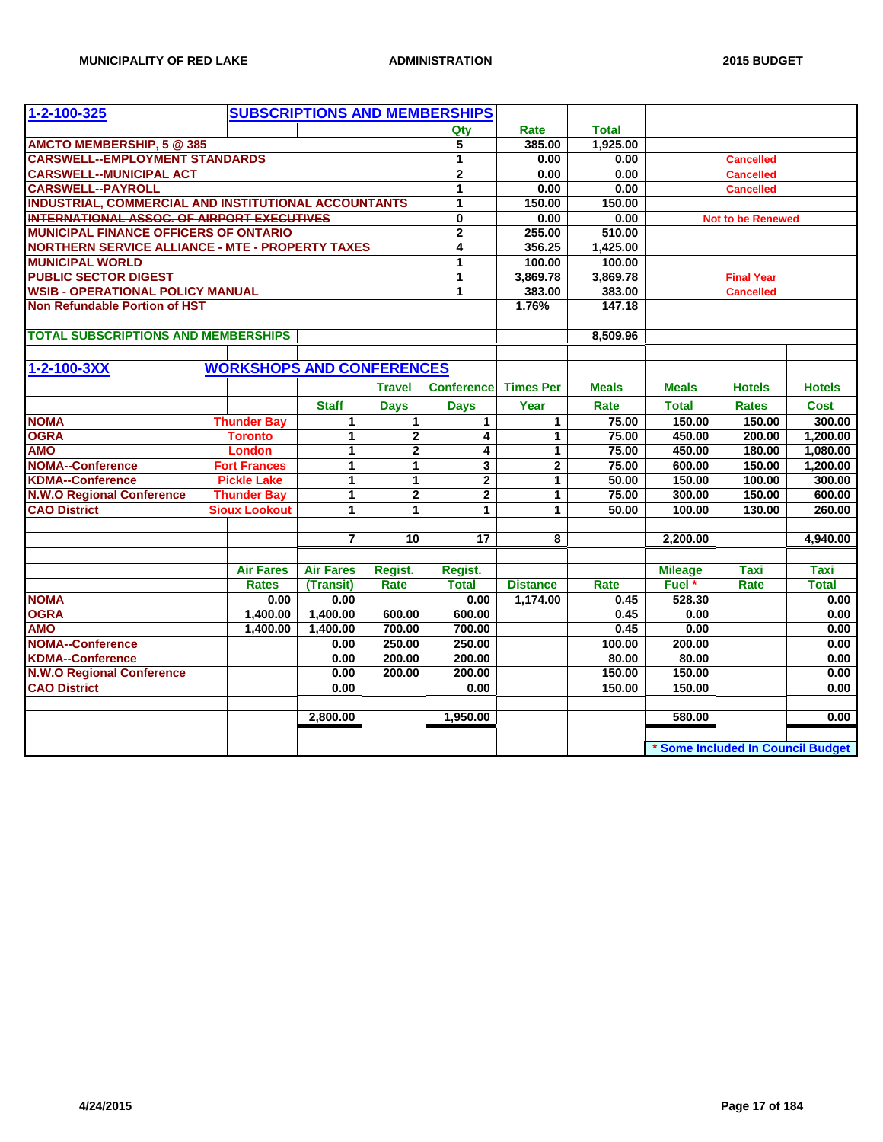| 1-2-100-325                                                 |                                  |                  |                | <b>SUBSCRIPTIONS AND MEMBERSHIPS</b> |                  |              |                          |                                   |               |
|-------------------------------------------------------------|----------------------------------|------------------|----------------|--------------------------------------|------------------|--------------|--------------------------|-----------------------------------|---------------|
|                                                             |                                  |                  |                | Qty                                  | Rate             | <b>Total</b> |                          |                                   |               |
| AMCTO MEMBERSHIP, 5 @ 385                                   |                                  |                  |                | 5                                    | 385.00           | 1,925.00     |                          |                                   |               |
| <b>CARSWELL--EMPLOYMENT STANDARDS</b>                       |                                  |                  |                | 1                                    | 0.00             | 0.00         |                          | <b>Cancelled</b>                  |               |
| <b>CARSWELL--MUNICIPAL ACT</b>                              |                                  |                  |                | $\overline{2}$                       | 0.00             | 0.00         |                          | <b>Cancelled</b>                  |               |
| <b>CARSWELL--PAYROLL</b>                                    |                                  |                  |                | 1                                    | 0.00             | 0.00         |                          | <b>Cancelled</b>                  |               |
| <b>INDUSTRIAL, COMMERCIAL AND INSTITUTIONAL ACCOUNTANTS</b> | 1                                | 150.00           | 150.00         |                                      |                  |              |                          |                                   |               |
| <b>INTERNATIONAL ASSOC. OF AIRPORT EXECUTIVES</b>           |                                  |                  |                | 0                                    | 0.00             | 0.00         | <b>Not to be Renewed</b> |                                   |               |
| <b>MUNICIPAL FINANCE OFFICERS OF ONTARIO</b>                |                                  |                  |                | $\overline{2}$                       | 255.00           | 510.00       |                          |                                   |               |
| <b>NORTHERN SERVICE ALLIANCE - MTE - PROPERTY TAXES</b>     |                                  |                  |                | 4                                    | 356.25           | 1,425.00     |                          |                                   |               |
| <b>MUNICIPAL WORLD</b>                                      |                                  |                  |                | 1                                    | 100.00           | 100.00       |                          |                                   |               |
| <b>PUBLIC SECTOR DIGEST</b>                                 |                                  |                  |                | 1                                    | 3,869.78         | 3,869.78     |                          | <b>Final Year</b>                 |               |
| <b>WSIB - OPERATIONAL POLICY MANUAL</b>                     |                                  |                  |                | 1                                    | 383.00           | 383.00       |                          | <b>Cancelled</b>                  |               |
| Non Refundable Portion of HST                               |                                  |                  |                |                                      | 1.76%            | 147.18       |                          |                                   |               |
|                                                             |                                  |                  |                |                                      |                  |              |                          |                                   |               |
| <b>TOTAL SUBSCRIPTIONS AND MEMBERSHIPS</b>                  |                                  |                  |                |                                      |                  | 8,509.96     |                          |                                   |               |
|                                                             |                                  |                  |                |                                      |                  |              |                          |                                   |               |
| 1-2-100-3XX                                                 | <b>WORKSHOPS AND CONFERENCES</b> |                  |                |                                      |                  |              |                          |                                   |               |
|                                                             |                                  |                  | <b>Travel</b>  | <b>Conference</b>                    | <b>Times Per</b> | <b>Meals</b> | <b>Meals</b>             | <b>Hotels</b>                     | <b>Hotels</b> |
|                                                             |                                  | <b>Staff</b>     | <b>Days</b>    | <b>Days</b>                          | Year             | Rate         | <b>Total</b>             | <b>Rates</b>                      | <b>Cost</b>   |
| <b>NOMA</b>                                                 | <b>Thunder Bay</b>               | $\mathbf{1}$     | $\mathbf{1}$   | $\mathbf{1}$                         | $\mathbf{1}$     | 75.00        | 150.00                   | 150.00                            | 300.00        |
| <b>OGRA</b>                                                 | <b>Toronto</b>                   | $\mathbf{1}$     | $\mathbf{2}$   | 4                                    | 1                | 75.00        | 450.00                   | 200.00                            | 1,200.00      |
| <b>AMO</b>                                                  | <b>London</b>                    | $\mathbf{1}$     | $\mathbf{2}$   | 4                                    | $\mathbf{1}$     | 75.00        | 450.00                   | 180.00                            | 1,080.00      |
| <b>NOMA--Conference</b>                                     | <b>Fort Frances</b>              | 1                | 1              | 3                                    | $\overline{2}$   | 75.00        | 600.00                   | 150.00                            | 1,200.00      |
| <b>KDMA--Conference</b>                                     | <b>Pickle Lake</b>               | 1                | $\mathbf{1}$   | $\mathbf 2$                          | 1                | 50.00        | 150.00                   | 100.00                            | 300.00        |
| <b>N.W.O Regional Conference</b>                            | <b>Thunder Bay</b>               | $\mathbf{1}$     | $\overline{2}$ | $\overline{2}$                       | 1                | 75.00        | 300.00                   | 150.00                            | 600.00        |
| <b>CAO District</b>                                         | <b>Sioux Lookout</b>             | $\mathbf{1}$     | $\mathbf{1}$   | $\mathbf{1}$                         | $\mathbf{1}$     | 50.00        | 100.00                   | 130.00                            | 260.00        |
|                                                             |                                  |                  |                |                                      |                  |              |                          |                                   |               |
|                                                             |                                  | $\overline{7}$   | 10             | 17                                   | 8                |              | 2,200.00                 |                                   | 4,940.00      |
|                                                             |                                  |                  |                |                                      |                  |              |                          |                                   |               |
|                                                             | <b>Air Fares</b>                 | <b>Air Fares</b> | Regist.        | Regist.                              |                  |              | <b>Mileage</b>           | <b>Taxi</b>                       | <b>Taxi</b>   |
|                                                             | <b>Rates</b>                     | (Transit)        | Rate           | <b>Total</b>                         | <b>Distance</b>  | Rate         | Fuel *                   | Rate                              | <b>Total</b>  |
| <b>NOMA</b>                                                 | 0.00                             | 0.00             |                | 0.00                                 | 1,174.00         | 0.45         | 528.30                   |                                   | 0.00          |
| <b>OGRA</b>                                                 | 1,400.00                         | 1,400.00         | 600.00         | 600.00                               |                  | 0.45         | 0.00                     |                                   | 0.00          |
| <b>AMO</b>                                                  | 1,400.00                         | 1,400.00         | 700.00         | 700.00                               |                  | 0.45         | 0.00                     |                                   | 0.00          |
| <b>NOMA--Conference</b>                                     |                                  | 0.00             | 250.00         | 250.00                               |                  | 100.00       | 200.00                   |                                   | 0.00          |
| <b>KDMA--Conference</b>                                     |                                  | 0.00             | 200.00         | 200.00                               |                  | 80.00        | 80.00                    |                                   | 0.00          |
| <b>N.W.O Regional Conference</b>                            |                                  | 0.00             | 200.00         | 200.00                               |                  | 150.00       | 150.00                   |                                   | 0.00          |
| <b>CAO District</b>                                         |                                  | 0.00             |                | 0.00                                 |                  | 150.00       | 150.00                   |                                   | 0.00          |
|                                                             |                                  |                  |                |                                      |                  |              |                          |                                   |               |
|                                                             |                                  | 2,800.00         |                | 1,950.00                             |                  |              | 580.00                   |                                   | 0.00          |
|                                                             |                                  |                  |                |                                      |                  |              |                          |                                   |               |
|                                                             |                                  |                  |                |                                      |                  |              |                          | * Some Included In Council Budget |               |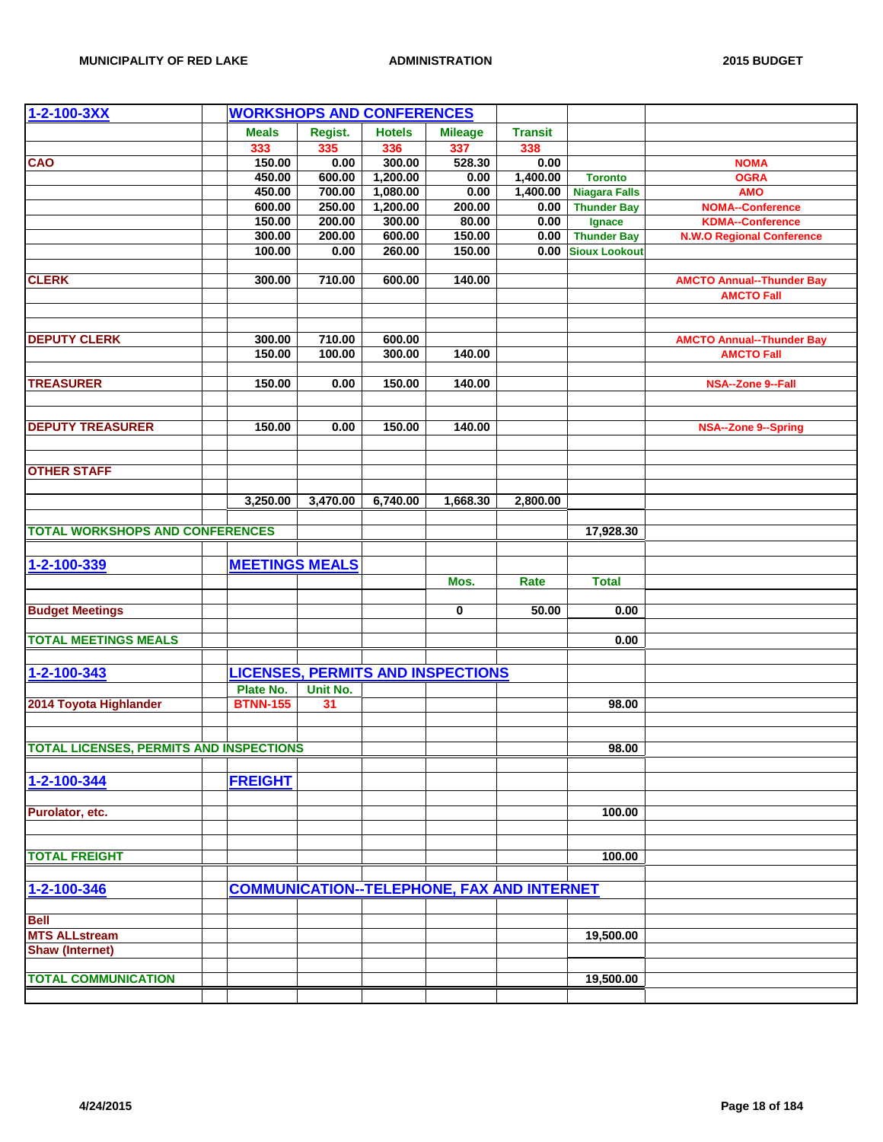| $1 - 2 - 100 - 3XX$                            | <b>WORKSHOPS AND CONFERENCES</b> |                       |          |               |                                                   |                |                      |                                  |
|------------------------------------------------|----------------------------------|-----------------------|----------|---------------|---------------------------------------------------|----------------|----------------------|----------------------------------|
|                                                |                                  | <b>Meals</b>          | Regist.  | <b>Hotels</b> | <b>Mileage</b>                                    | <b>Transit</b> |                      |                                  |
|                                                |                                  | 333                   | 335      | 336           | 337                                               | 338            |                      |                                  |
| <b>CAO</b>                                     |                                  | 150.00                | 0.00     | 300.00        | 528.30                                            | 0.00           |                      | <b>NOMA</b>                      |
|                                                |                                  | 450.00                | 600.00   | 1,200.00      | 0.00                                              | 1,400.00       | <b>Toronto</b>       | <b>OGRA</b>                      |
|                                                |                                  | 450.00                | 700.00   | 1,080.00      | 0.00                                              | 1,400.00       | <b>Niagara Falls</b> | <b>AMO</b>                       |
|                                                |                                  | 600.00                | 250.00   | 1,200.00      | 200.00                                            | 0.00           | <b>Thunder Bay</b>   | <b>NOMA--Conference</b>          |
|                                                |                                  | 150.00                | 200.00   | 300.00        | 80.00                                             | 0.00           | Ignace               | <b>KDMA--Conference</b>          |
|                                                |                                  | 300.00                | 200.00   | 600.00        | 150.00                                            | 0.00           | <b>Thunder Bay</b>   | <b>N.W.O Regional Conference</b> |
|                                                |                                  | 100.00                | 0.00     | 260.00        | 150.00                                            |                | 0.00 Sioux Lookout   |                                  |
|                                                |                                  |                       |          |               |                                                   |                |                      |                                  |
| <b>CLERK</b>                                   |                                  | 300.00                | 710.00   | 600.00        | 140.00                                            |                |                      | <b>AMCTO Annual--Thunder Bay</b> |
|                                                |                                  |                       |          |               |                                                   |                |                      | <b>AMCTO Fall</b>                |
|                                                |                                  |                       |          |               |                                                   |                |                      |                                  |
|                                                |                                  |                       |          |               |                                                   |                |                      |                                  |
| <b>DEPUTY CLERK</b>                            |                                  | 300.00                | 710.00   | 600.00        |                                                   |                |                      | <b>AMCTO Annual--Thunder Bay</b> |
|                                                |                                  | 150.00                | 100.00   | 300.00        | 140.00                                            |                |                      | <b>AMCTO Fall</b>                |
|                                                |                                  |                       |          |               |                                                   |                |                      |                                  |
| <b>TREASURER</b>                               |                                  | 150.00                | 0.00     | 150.00        | 140.00                                            |                |                      | NSA--Zone 9--Fall                |
|                                                |                                  |                       |          |               |                                                   |                |                      |                                  |
|                                                |                                  |                       |          |               |                                                   |                |                      |                                  |
| <b>DEPUTY TREASURER</b>                        |                                  | 150.00                | 0.00     | 150.00        | 140.00                                            |                |                      | <b>NSA--Zone 9--Spring</b>       |
|                                                |                                  |                       |          |               |                                                   |                |                      |                                  |
|                                                |                                  |                       |          |               |                                                   |                |                      |                                  |
| <b>OTHER STAFF</b>                             |                                  |                       |          |               |                                                   |                |                      |                                  |
|                                                |                                  | 3,250.00              | 3,470.00 | 6,740.00      | 1,668.30                                          | 2,800.00       |                      |                                  |
|                                                |                                  |                       |          |               |                                                   |                |                      |                                  |
| <b>TOTAL WORKSHOPS AND CONFERENCES</b>         |                                  |                       |          |               |                                                   |                | 17,928.30            |                                  |
|                                                |                                  |                       |          |               |                                                   |                |                      |                                  |
|                                                |                                  |                       |          |               |                                                   |                |                      |                                  |
| 1-2-100-339                                    |                                  | <b>MEETINGS MEALS</b> |          |               |                                                   |                |                      |                                  |
|                                                |                                  |                       |          |               | Mos.                                              | Rate           | <b>Total</b>         |                                  |
|                                                |                                  |                       |          |               |                                                   |                |                      |                                  |
| <b>Budget Meetings</b>                         |                                  |                       |          |               | 0                                                 | 50.00          | 0.00                 |                                  |
| <b>TOTAL MEETINGS MEALS</b>                    |                                  |                       |          |               |                                                   |                | 0.00                 |                                  |
|                                                |                                  |                       |          |               |                                                   |                |                      |                                  |
|                                                |                                  |                       |          |               |                                                   |                |                      |                                  |
| 1-2-100-343                                    |                                  |                       |          |               | <b>LICENSES, PERMITS AND INSPECTIONS</b>          |                |                      |                                  |
|                                                |                                  | Plate No.             | Unit No. |               |                                                   |                |                      |                                  |
| 2014 Toyota Highlander                         |                                  | <b>BTNN-155</b>       | 31       |               |                                                   |                | 98.00                |                                  |
|                                                |                                  |                       |          |               |                                                   |                |                      |                                  |
|                                                |                                  |                       |          |               |                                                   |                |                      |                                  |
| <b>TOTAL LICENSES, PERMITS AND INSPECTIONS</b> |                                  |                       |          |               |                                                   |                | 98.00                |                                  |
|                                                |                                  |                       |          |               |                                                   |                |                      |                                  |
| 1-2-100-344                                    |                                  | <b>FREIGHT</b>        |          |               |                                                   |                |                      |                                  |
|                                                |                                  |                       |          |               |                                                   |                |                      |                                  |
| Purolator, etc.                                |                                  |                       |          |               |                                                   |                | 100.00               |                                  |
|                                                |                                  |                       |          |               |                                                   |                |                      |                                  |
|                                                |                                  |                       |          |               |                                                   |                |                      |                                  |
| <b>TOTAL FREIGHT</b>                           |                                  |                       |          |               |                                                   |                | 100.00               |                                  |
|                                                |                                  |                       |          |               |                                                   |                |                      |                                  |
| 1-2-100-346                                    |                                  |                       |          |               | <b>COMMUNICATION--TELEPHONE, FAX AND INTERNET</b> |                |                      |                                  |
|                                                |                                  |                       |          |               |                                                   |                |                      |                                  |
| <b>Bell</b>                                    |                                  |                       |          |               |                                                   |                |                      |                                  |
| <b>MTS ALLstream</b>                           |                                  |                       |          |               |                                                   |                | 19,500.00            |                                  |
| <b>Shaw (Internet)</b>                         |                                  |                       |          |               |                                                   |                |                      |                                  |
|                                                |                                  |                       |          |               |                                                   |                |                      |                                  |
| <b>TOTAL COMMUNICATION</b>                     |                                  |                       |          |               |                                                   |                | 19,500.00            |                                  |
|                                                |                                  |                       |          |               |                                                   |                |                      |                                  |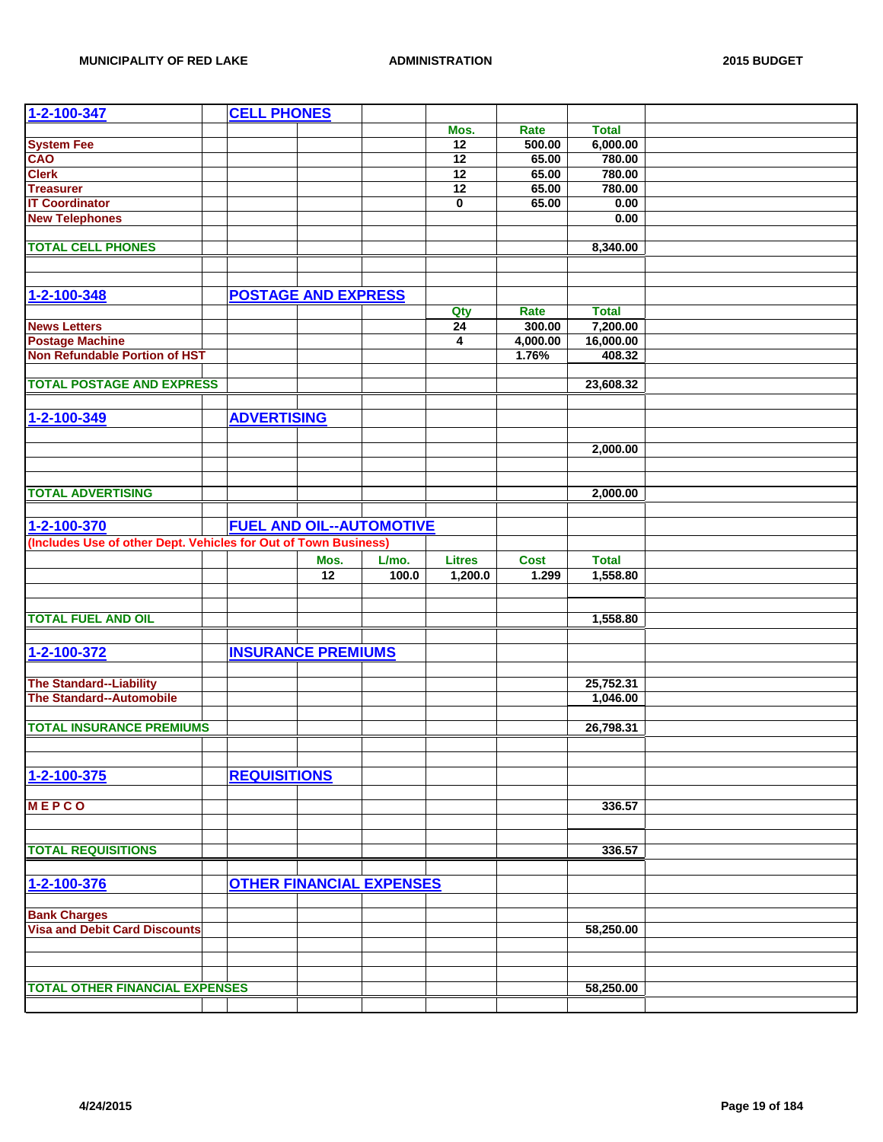| 1-2-100-347                                                       | <b>CELL PHONES</b>              |                 |       |                 |             |              |  |
|-------------------------------------------------------------------|---------------------------------|-----------------|-------|-----------------|-------------|--------------|--|
|                                                                   |                                 |                 |       | Mos.            | Rate        | <b>Total</b> |  |
| <b>System Fee</b>                                                 |                                 |                 |       | $\overline{12}$ | 500.00      | 6,000.00     |  |
| CAO                                                               |                                 |                 |       | 12              | 65.00       | 780.00       |  |
| <b>Clerk</b>                                                      |                                 |                 |       | 12              | 65.00       | 780.00       |  |
| <b>Treasurer</b>                                                  |                                 |                 |       | $\overline{12}$ | 65.00       | 780.00       |  |
| <b>IT Coordinator</b>                                             |                                 |                 |       | 0               | 65.00       | 0.00         |  |
| <b>New Telephones</b>                                             |                                 |                 |       |                 |             | 0.00         |  |
|                                                                   |                                 |                 |       |                 |             |              |  |
| <b>TOTAL CELL PHONES</b>                                          |                                 |                 |       |                 |             | 8,340.00     |  |
|                                                                   |                                 |                 |       |                 |             |              |  |
|                                                                   |                                 |                 |       |                 |             |              |  |
|                                                                   |                                 |                 |       |                 |             |              |  |
| 1-2-100-348                                                       | <b>POSTAGE AND EXPRESS</b>      |                 |       |                 |             |              |  |
|                                                                   |                                 |                 |       | Qty             | Rate        | <b>Total</b> |  |
| <b>News Letters</b>                                               |                                 |                 |       | $\overline{24}$ | 300.00      | 7,200.00     |  |
| <b>Postage Machine</b>                                            |                                 |                 |       | 4               | 4,000.00    | 16,000.00    |  |
| <b>Non Refundable Portion of HST</b>                              |                                 |                 |       |                 | 1.76%       | 408.32       |  |
|                                                                   |                                 |                 |       |                 |             |              |  |
| <b>TOTAL POSTAGE AND EXPRESS</b>                                  |                                 |                 |       |                 |             | 23,608.32    |  |
|                                                                   |                                 |                 |       |                 |             |              |  |
| 1-2-100-349                                                       | <b>ADVERTISING</b>              |                 |       |                 |             |              |  |
|                                                                   |                                 |                 |       |                 |             |              |  |
|                                                                   |                                 |                 |       |                 |             | 2,000.00     |  |
|                                                                   |                                 |                 |       |                 |             |              |  |
|                                                                   |                                 |                 |       |                 |             |              |  |
| <b>TOTAL ADVERTISING</b>                                          |                                 |                 |       |                 |             | 2,000.00     |  |
|                                                                   |                                 |                 |       |                 |             |              |  |
|                                                                   |                                 |                 |       |                 |             |              |  |
| 1-2-100-370                                                       | <b>FUEL AND OIL--AUTOMOTIVE</b> |                 |       |                 |             |              |  |
| (Includes Use of other Dept. Vehicles for Out of Town Business)   |                                 |                 |       |                 |             |              |  |
|                                                                   |                                 | Mos.            | L/mo. | <b>Litres</b>   | <b>Cost</b> | <b>Total</b> |  |
|                                                                   |                                 | $\overline{12}$ | 100.0 | 1,200.0         | 1.299       | 1,558.80     |  |
|                                                                   |                                 |                 |       |                 |             |              |  |
|                                                                   |                                 |                 |       |                 |             |              |  |
| <b>TOTAL FUEL AND OIL</b>                                         |                                 |                 |       |                 |             | 1,558.80     |  |
|                                                                   |                                 |                 |       |                 |             |              |  |
| 1-2-100-372                                                       | <b>INSURANCE PREMIUMS</b>       |                 |       |                 |             |              |  |
|                                                                   |                                 |                 |       |                 |             |              |  |
|                                                                   |                                 |                 |       |                 |             |              |  |
| <b>The Standard--Liability</b><br><b>The Standard--Automobile</b> |                                 |                 |       |                 |             | 25,752.31    |  |
|                                                                   |                                 |                 |       |                 |             | 1,046.00     |  |
|                                                                   |                                 |                 |       |                 |             |              |  |
| <b>TOTAL INSURANCE PREMIUMS</b>                                   |                                 |                 |       |                 |             | 26,798.31    |  |
|                                                                   |                                 |                 |       |                 |             |              |  |
|                                                                   |                                 |                 |       |                 |             |              |  |
| 1-2-100-375                                                       | <b>REQUISITIONS</b>             |                 |       |                 |             |              |  |
|                                                                   |                                 |                 |       |                 |             |              |  |
| <b>MEPCO</b>                                                      |                                 |                 |       |                 |             | 336.57       |  |
|                                                                   |                                 |                 |       |                 |             |              |  |
|                                                                   |                                 |                 |       |                 |             |              |  |
| <b>TOTAL REQUISITIONS</b>                                         |                                 |                 |       |                 |             | 336.57       |  |
|                                                                   |                                 |                 |       |                 |             |              |  |
| 1-2-100-376                                                       |                                 |                 |       |                 |             |              |  |
|                                                                   |                                 |                 |       |                 |             |              |  |
|                                                                   | <b>OTHER FINANCIAL EXPENSES</b> |                 |       |                 |             |              |  |
|                                                                   |                                 |                 |       |                 |             |              |  |
| <b>Bank Charges</b>                                               |                                 |                 |       |                 |             |              |  |
| <b>Visa and Debit Card Discounts</b>                              |                                 |                 |       |                 |             | 58,250.00    |  |
|                                                                   |                                 |                 |       |                 |             |              |  |
|                                                                   |                                 |                 |       |                 |             |              |  |
|                                                                   |                                 |                 |       |                 |             |              |  |
| <b>TOTAL OTHER FINANCIAL EXPENSES</b>                             |                                 |                 |       |                 |             | 58,250.00    |  |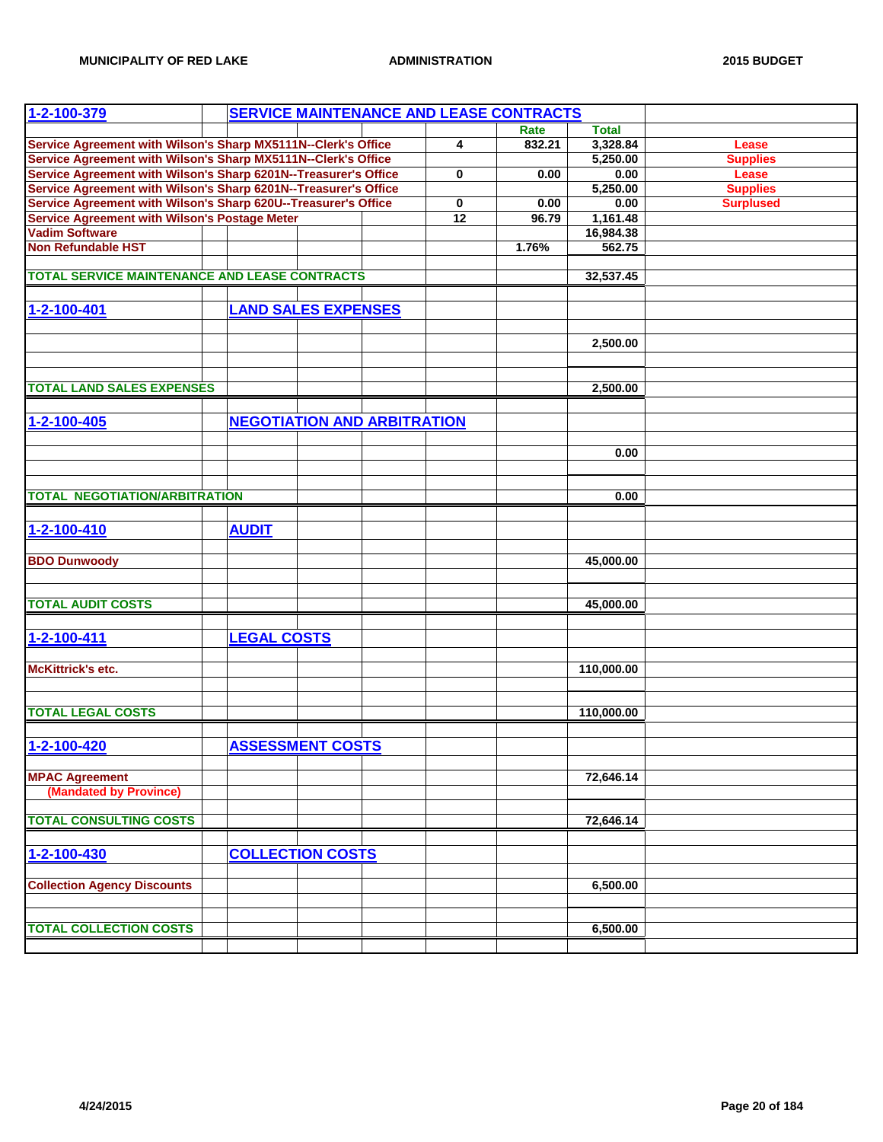| 1-2-100-379                                                                                                                       |                                    |  |             | <b>SERVICE MAINTENANCE AND LEASE CONTRACTS</b> |              |                  |
|-----------------------------------------------------------------------------------------------------------------------------------|------------------------------------|--|-------------|------------------------------------------------|--------------|------------------|
|                                                                                                                                   |                                    |  |             | Rate                                           | <b>Total</b> |                  |
|                                                                                                                                   |                                    |  | 4           | 832.21                                         | 3,328.84     | Lease            |
| Service Agreement with Wilson's Sharp MX5111N--Clerk's Office<br>Service Agreement with Wilson's Sharp MX5111N--Clerk's Office    |                                    |  |             |                                                | 5,250.00     | <b>Supplies</b>  |
| Service Agreement with Wilson's Sharp 6201N--Treasurer's Office                                                                   |                                    |  | 0           | 0.00                                           | 0.00         | Lease            |
|                                                                                                                                   |                                    |  |             |                                                | 5,250.00     | <b>Supplies</b>  |
| Service Agreement with Wilson's Sharp 6201N--Treasurer's Office<br>Service Agreement with Wilson's Sharp 620U--Treasurer's Office |                                    |  | $\mathbf 0$ | 0.00                                           | 0.00         | <b>Surplused</b> |
| Service Agreement with Wilson's Postage Meter                                                                                     |                                    |  | 12          | 96.79                                          | 1,161.48     |                  |
| <b>Vadim Software</b>                                                                                                             |                                    |  |             |                                                | 16,984.38    |                  |
| <b>Non Refundable HST</b>                                                                                                         |                                    |  |             |                                                |              |                  |
|                                                                                                                                   |                                    |  |             | 1.76%                                          | 562.75       |                  |
|                                                                                                                                   |                                    |  |             |                                                |              |                  |
| <b>TOTAL SERVICE MAINTENANCE AND LEASE CONTRACTS</b>                                                                              |                                    |  |             |                                                | 32,537.45    |                  |
|                                                                                                                                   |                                    |  |             |                                                |              |                  |
| 1-2-100-401                                                                                                                       | <b>LAND SALES EXPENSES</b>         |  |             |                                                |              |                  |
|                                                                                                                                   |                                    |  |             |                                                |              |                  |
|                                                                                                                                   |                                    |  |             |                                                | 2,500.00     |                  |
|                                                                                                                                   |                                    |  |             |                                                |              |                  |
|                                                                                                                                   |                                    |  |             |                                                |              |                  |
|                                                                                                                                   |                                    |  |             |                                                |              |                  |
| <b>TOTAL LAND SALES EXPENSES</b>                                                                                                  |                                    |  |             |                                                | 2,500.00     |                  |
|                                                                                                                                   |                                    |  |             |                                                |              |                  |
| 1-2-100-405                                                                                                                       | <b>NEGOTIATION AND ARBITRATION</b> |  |             |                                                |              |                  |
|                                                                                                                                   |                                    |  |             |                                                |              |                  |
|                                                                                                                                   |                                    |  |             |                                                | 0.00         |                  |
|                                                                                                                                   |                                    |  |             |                                                |              |                  |
|                                                                                                                                   |                                    |  |             |                                                |              |                  |
| <b>TOTAL NEGOTIATION/ARBITRATION</b>                                                                                              |                                    |  |             |                                                | 0.00         |                  |
|                                                                                                                                   |                                    |  |             |                                                |              |                  |
|                                                                                                                                   |                                    |  |             |                                                |              |                  |
| 1-2-100-410                                                                                                                       | <b>AUDIT</b>                       |  |             |                                                |              |                  |
|                                                                                                                                   |                                    |  |             |                                                |              |                  |
| <b>BDO Dunwoody</b>                                                                                                               |                                    |  |             |                                                | 45,000.00    |                  |
|                                                                                                                                   |                                    |  |             |                                                |              |                  |
|                                                                                                                                   |                                    |  |             |                                                |              |                  |
| <b>TOTAL AUDIT COSTS</b>                                                                                                          |                                    |  |             |                                                | 45,000.00    |                  |
|                                                                                                                                   |                                    |  |             |                                                |              |                  |
| 1-2-100-411                                                                                                                       | <b>LEGAL COSTS</b>                 |  |             |                                                |              |                  |
|                                                                                                                                   |                                    |  |             |                                                |              |                  |
|                                                                                                                                   |                                    |  |             |                                                |              |                  |
| McKittrick's etc.                                                                                                                 |                                    |  |             |                                                | 110,000.00   |                  |
|                                                                                                                                   |                                    |  |             |                                                |              |                  |
|                                                                                                                                   |                                    |  |             |                                                |              |                  |
| <b>TOTAL LEGAL COSTS</b>                                                                                                          |                                    |  |             |                                                | 110,000.00   |                  |
|                                                                                                                                   |                                    |  |             |                                                |              |                  |
| $1 - 2 - 100 - 420$                                                                                                               | <b>ASSESSMENT COSTS</b>            |  |             |                                                |              |                  |
|                                                                                                                                   |                                    |  |             |                                                |              |                  |
| <b>MPAC Agreement</b>                                                                                                             |                                    |  |             |                                                | 72,646.14    |                  |
| (Mandated by Province)                                                                                                            |                                    |  |             |                                                |              |                  |
|                                                                                                                                   |                                    |  |             |                                                |              |                  |
| <b>TOTAL CONSULTING COSTS</b>                                                                                                     |                                    |  |             |                                                | 72,646.14    |                  |
|                                                                                                                                   |                                    |  |             |                                                |              |                  |
|                                                                                                                                   |                                    |  |             |                                                |              |                  |
| 1-2-100-430                                                                                                                       | <b>COLLECTION COSTS</b>            |  |             |                                                |              |                  |
|                                                                                                                                   |                                    |  |             |                                                |              |                  |
| <b>Collection Agency Discounts</b>                                                                                                |                                    |  |             |                                                | 6,500.00     |                  |
|                                                                                                                                   |                                    |  |             |                                                |              |                  |
|                                                                                                                                   |                                    |  |             |                                                |              |                  |
| <b>TOTAL COLLECTION COSTS</b>                                                                                                     |                                    |  |             |                                                | 6,500.00     |                  |
|                                                                                                                                   |                                    |  |             |                                                |              |                  |
|                                                                                                                                   |                                    |  |             |                                                |              |                  |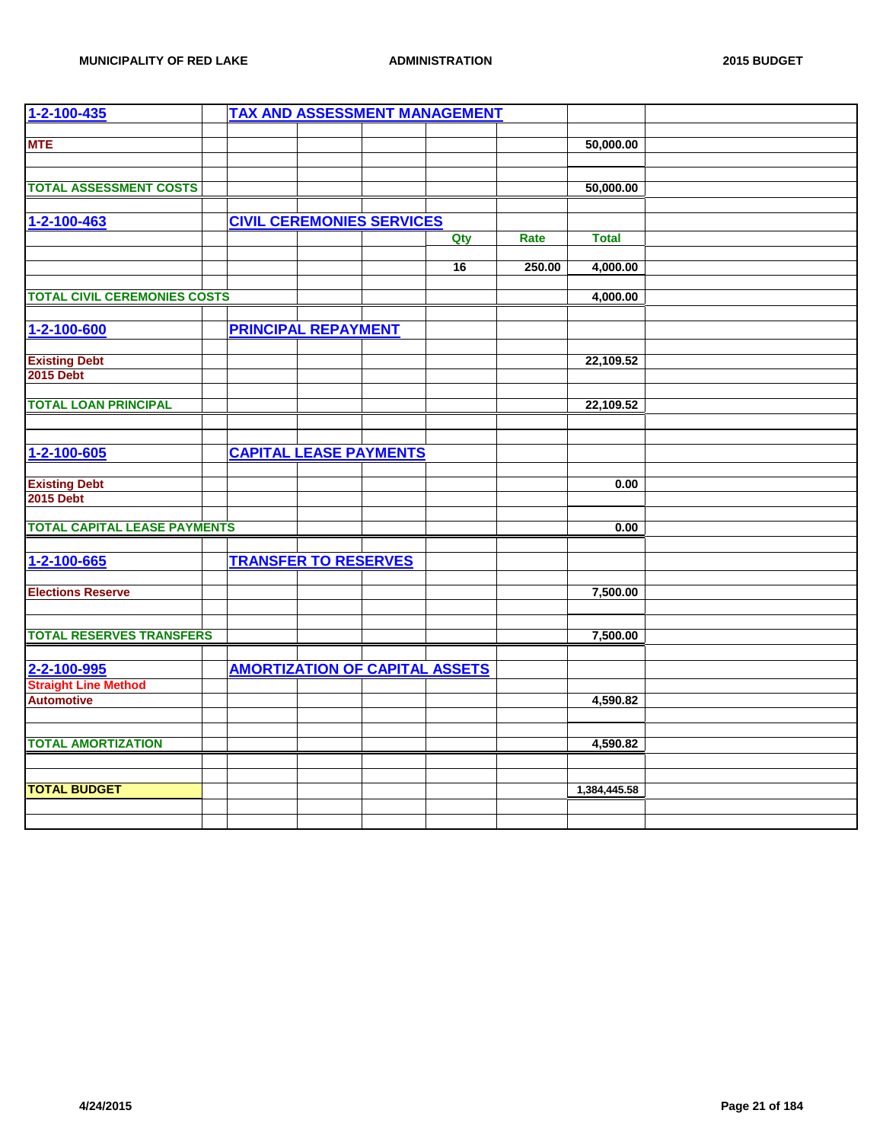| 1-2-100-435                              |                                       | <b>TAX AND ASSESSMENT MANAGEMENT</b> |        |              |  |
|------------------------------------------|---------------------------------------|--------------------------------------|--------|--------------|--|
| <b>MTE</b>                               |                                       |                                      |        | 50,000.00    |  |
|                                          |                                       |                                      |        |              |  |
|                                          |                                       |                                      |        |              |  |
| <b>TOTAL ASSESSMENT COSTS</b>            |                                       |                                      |        | 50,000.00    |  |
|                                          |                                       |                                      |        |              |  |
| 1-2-100-463                              | <b>CIVIL CEREMONIES SERVICES</b>      |                                      |        |              |  |
|                                          |                                       | Qty                                  | Rate   | <b>Total</b> |  |
|                                          |                                       | 16                                   | 250.00 | 4,000.00     |  |
|                                          |                                       |                                      |        |              |  |
| <b>TOTAL CIVIL CEREMONIES COSTS</b>      |                                       |                                      |        | 4,000.00     |  |
|                                          |                                       |                                      |        |              |  |
| 1-2-100-600                              | <b>PRINCIPAL REPAYMENT</b>            |                                      |        |              |  |
|                                          |                                       |                                      |        |              |  |
| <b>Existing Debt</b><br><b>2015 Debt</b> |                                       |                                      |        | 22,109.52    |  |
|                                          |                                       |                                      |        |              |  |
| <b>TOTAL LOAN PRINCIPAL</b>              |                                       |                                      |        | 22,109.52    |  |
|                                          |                                       |                                      |        |              |  |
|                                          |                                       |                                      |        |              |  |
| 1-2-100-605                              | <b>CAPITAL LEASE PAYMENTS</b>         |                                      |        |              |  |
|                                          |                                       |                                      |        |              |  |
| <b>Existing Debt</b>                     |                                       |                                      |        | 0.00         |  |
| <b>2015 Debt</b>                         |                                       |                                      |        |              |  |
| <b>TOTAL CAPITAL LEASE PAYMENTS</b>      |                                       |                                      |        | 0.00         |  |
|                                          |                                       |                                      |        |              |  |
| 1-2-100-665                              | <b>TRANSFER TO RESERVES</b>           |                                      |        |              |  |
|                                          |                                       |                                      |        |              |  |
| <b>Elections Reserve</b>                 |                                       |                                      |        | 7,500.00     |  |
|                                          |                                       |                                      |        |              |  |
| <b>TOTAL RESERVES TRANSFERS</b>          |                                       |                                      |        | 7,500.00     |  |
|                                          |                                       |                                      |        |              |  |
| 2-2-100-995                              | <b>AMORTIZATION OF CAPITAL ASSETS</b> |                                      |        |              |  |
| <b>Straight Line Method</b>              |                                       |                                      |        |              |  |
| <b>Automotive</b>                        |                                       |                                      |        | 4,590.82     |  |
|                                          |                                       |                                      |        |              |  |
|                                          |                                       |                                      |        |              |  |
| <b>TOTAL AMORTIZATION</b>                |                                       |                                      |        | 4,590.82     |  |
|                                          |                                       |                                      |        |              |  |
| <b>TOTAL BUDGET</b>                      |                                       |                                      |        | 1,384,445.58 |  |
|                                          |                                       |                                      |        |              |  |
|                                          |                                       |                                      |        |              |  |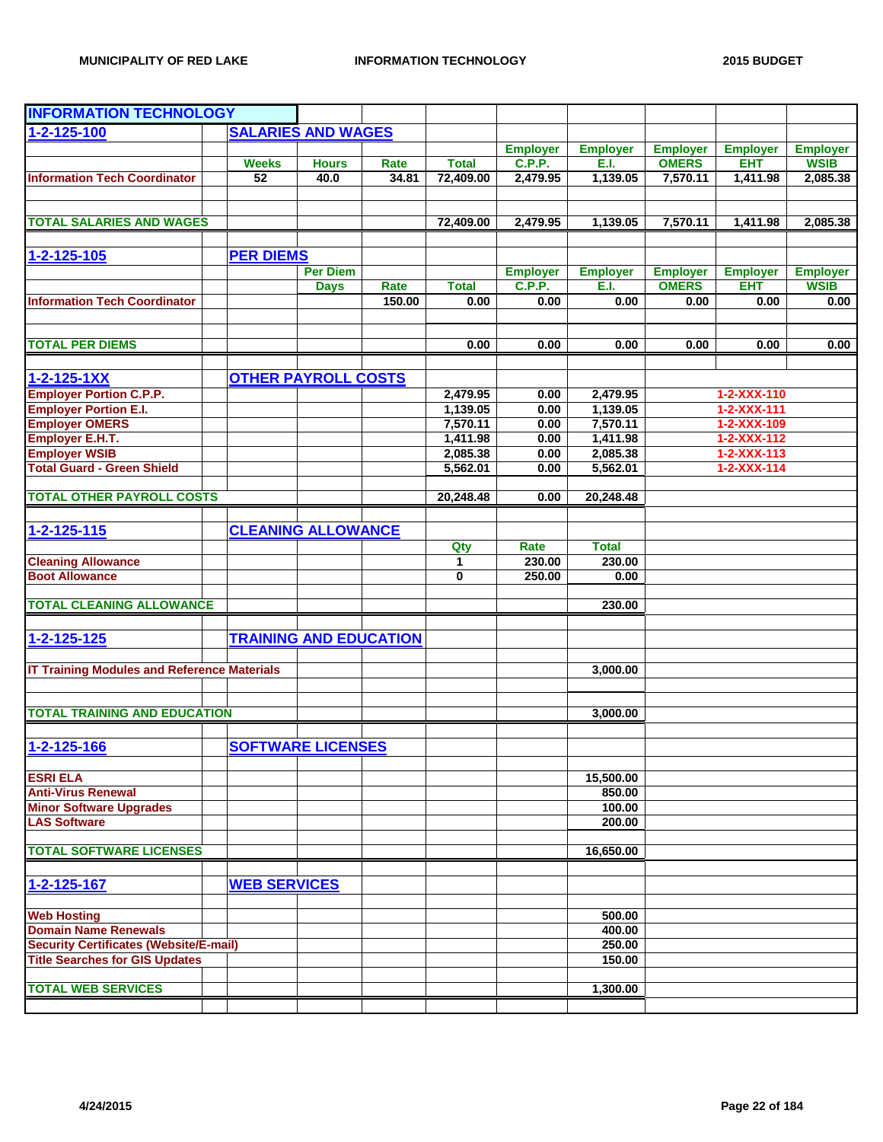| <b>INFORMATION TECHNOLOGY</b>                      |                               |                 |        |              |                 |                 |                 |                     |                 |
|----------------------------------------------------|-------------------------------|-----------------|--------|--------------|-----------------|-----------------|-----------------|---------------------|-----------------|
|                                                    |                               |                 |        |              |                 |                 |                 |                     |                 |
| $1 - 2 - 125 - 100$                                | <b>SALARIES AND WAGES</b>     |                 |        |              |                 |                 |                 |                     |                 |
|                                                    |                               |                 |        |              | <b>Employer</b> | <b>Employer</b> | <b>Employer</b> | <b>Employer</b>     | <b>Employer</b> |
|                                                    | <b>Weeks</b>                  | <b>Hours</b>    | Rate   | <b>Total</b> | <b>C.P.P.</b>   | E.I.            | <b>OMERS</b>    | <b>EHT</b>          | <b>WSIB</b>     |
| <b>Information Tech Coordinator</b>                | 52                            | 40.0            | 34.81  | 72,409.00    | 2,479.95        | 1,139.05        | 7,570.11        | 1,411.98            | 2,085.38        |
| <b>TOTAL SALARIES AND WAGES</b>                    |                               |                 |        |              |                 |                 | 7,570.11        |                     | 2,085.38        |
|                                                    |                               |                 |        | 72,409.00    | 2,479.95        | 1,139.05        |                 | 1,411.98            |                 |
| 1-2-125-105                                        | <b>PER DIEMS</b>              |                 |        |              |                 |                 |                 |                     |                 |
|                                                    |                               | <b>Per Diem</b> |        |              | <b>Employer</b> | <b>Employer</b> | <b>Employer</b> | <b>Employer</b>     | <b>Employer</b> |
|                                                    |                               | <b>Days</b>     | Rate   | <b>Total</b> | C.P.P.          | E.I.            | <b>OMERS</b>    | <b>EHT</b>          | <b>WSIB</b>     |
| <b>Information Tech Coordinator</b>                |                               |                 | 150.00 | 0.00         | 0.00            | 0.00            | 0.00            | 0.00                | 0.00            |
|                                                    |                               |                 |        |              |                 |                 |                 |                     |                 |
| <b>TOTAL PER DIEMS</b>                             |                               |                 |        | 0.00         | 0.00            | 0.00            | 0.00            | 0.00                | 0.00            |
| $1 - 2 - 125 - 1XX$                                | <b>OTHER PAYROLL COSTS</b>    |                 |        |              |                 |                 |                 |                     |                 |
| <b>Employer Portion C.P.P.</b>                     |                               |                 |        | 2,479.95     | 0.00            | 2,479.95        |                 | 1-2-XXX-110         |                 |
| <b>Employer Portion E.I.</b>                       |                               |                 |        | 1,139.05     | 0.00            | 1,139.05        |                 | $1 - 2 - XXX - 111$ |                 |
| <b>Employer OMERS</b>                              |                               |                 |        | 7,570.11     | 0.00            | 7,570.11        |                 | 1-2-XXX-109         |                 |
| <b>Employer E.H.T.</b>                             |                               |                 |        | 1,411.98     | 0.00            | 1,411.98        |                 | $1 - 2 - XXX - 112$ |                 |
| <b>Employer WSIB</b>                               |                               |                 |        | 2,085.38     | 0.00            | 2,085.38        |                 | $1 - 2 - XXX - 113$ |                 |
| <b>Total Guard - Green Shield</b>                  |                               |                 |        | 5,562.01     | 0.00            | 5,562.01        |                 | $1 - 2 - XXX - 114$ |                 |
| <b>TOTAL OTHER PAYROLL COSTS</b>                   |                               |                 |        |              |                 |                 |                 |                     |                 |
|                                                    |                               |                 |        | 20,248.48    | 0.00            | 20,248.48       |                 |                     |                 |
| $1 - 2 - 125 - 115$                                | <b>CLEANING ALLOWANCE</b>     |                 |        |              |                 |                 |                 |                     |                 |
|                                                    |                               |                 |        | Qty          | Rate            | <b>Total</b>    |                 |                     |                 |
| <b>Cleaning Allowance</b>                          |                               |                 |        | 1            | 230.00          | 230.00          |                 |                     |                 |
| <b>Boot Allowance</b>                              |                               |                 |        | 0            | 250.00          | 0.00            |                 |                     |                 |
| <b>TOTAL CLEANING ALLOWANCE</b>                    |                               |                 |        |              |                 | 230.00          |                 |                     |                 |
|                                                    |                               |                 |        |              |                 |                 |                 |                     |                 |
| 1-2-125-125                                        | <b>TRAINING AND EDUCATION</b> |                 |        |              |                 |                 |                 |                     |                 |
| <b>IT Training Modules and Reference Materials</b> |                               |                 |        |              |                 | 3,000.00        |                 |                     |                 |
|                                                    |                               |                 |        |              |                 |                 |                 |                     |                 |
| <b>TOTAL TRAINING AND EDUCATION</b>                |                               |                 |        |              |                 | 3,000.00        |                 |                     |                 |
|                                                    |                               |                 |        |              |                 |                 |                 |                     |                 |
| $1 - 2 - 125 - 166$                                | <b>SOFTWARE LICENSES</b>      |                 |        |              |                 |                 |                 |                     |                 |
| <b>ESRI ELA</b>                                    |                               |                 |        |              |                 | 15.500.00       |                 |                     |                 |
| <b>Anti-Virus Renewal</b>                          |                               |                 |        |              |                 | 850.00          |                 |                     |                 |
| <b>Minor Software Upgrades</b>                     |                               |                 |        |              |                 | 100.00          |                 |                     |                 |
| <b>LAS Software</b>                                |                               |                 |        |              |                 | 200.00          |                 |                     |                 |
|                                                    |                               |                 |        |              |                 |                 |                 |                     |                 |
| <b>TOTAL SOFTWARE LICENSES</b>                     |                               |                 |        |              |                 | 16,650.00       |                 |                     |                 |
|                                                    |                               |                 |        |              |                 |                 |                 |                     |                 |
| 1-2-125-167                                        | <b>WEB SERVICES</b>           |                 |        |              |                 |                 |                 |                     |                 |
| <b>Web Hosting</b>                                 |                               |                 |        |              |                 | 500.00          |                 |                     |                 |
| <b>Domain Name Renewals</b>                        |                               |                 |        |              |                 | 400.00          |                 |                     |                 |
| <b>Security Certificates (Website/E-mail)</b>      |                               |                 |        |              |                 | 250.00          |                 |                     |                 |
| <b>Title Searches for GIS Updates</b>              |                               |                 |        |              |                 | 150.00          |                 |                     |                 |
|                                                    |                               |                 |        |              |                 |                 |                 |                     |                 |
| <b>TOTAL WEB SERVICES</b>                          |                               |                 |        |              |                 | 1,300.00        |                 |                     |                 |
|                                                    |                               |                 |        |              |                 |                 |                 |                     |                 |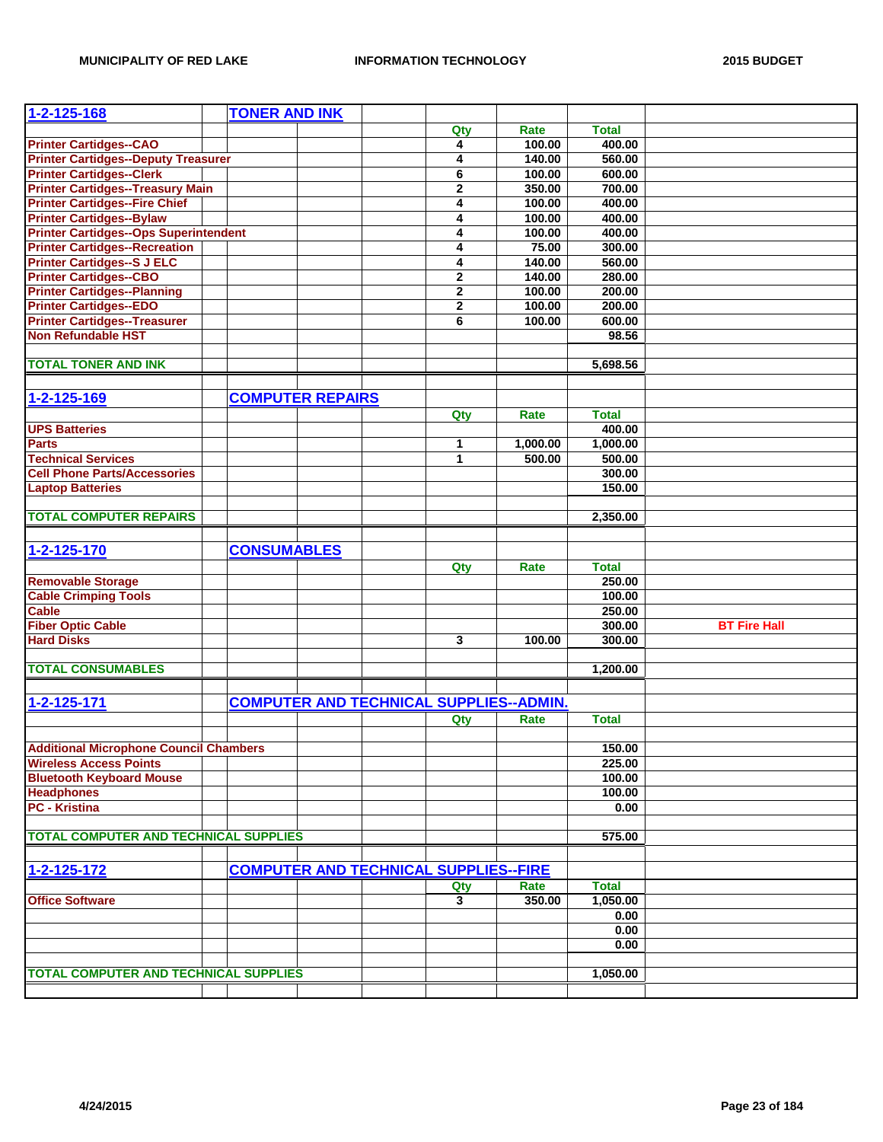| $1 - 2 - 125 - 168$                           | <b>TONER AND INK</b>    |  |                                              |                                                |              |                     |
|-----------------------------------------------|-------------------------|--|----------------------------------------------|------------------------------------------------|--------------|---------------------|
|                                               |                         |  | Qty                                          | Rate                                           | <b>Total</b> |                     |
| <b>Printer Cartidges--CAO</b>                 |                         |  | 4                                            | 100.00                                         | 400.00       |                     |
| <b>Printer Cartidges--Deputy Treasurer</b>    |                         |  | 4                                            | 140.00                                         | 560.00       |                     |
| <b>Printer Cartidges--Clerk</b>               |                         |  | 6                                            | 100.00                                         | 600.00       |                     |
| <b>Printer Cartidges--Treasury Main</b>       |                         |  | $\mathbf 2$                                  | 350.00                                         | 700.00       |                     |
| <b>Printer Cartidges--Fire Chief</b>          |                         |  | 4                                            | 100.00                                         | 400.00       |                     |
| <b>Printer Cartidges--Bylaw</b>               |                         |  | 4                                            | 100.00                                         | 400.00       |                     |
| <b>Printer Cartidges--Ops Superintendent</b>  |                         |  | 4                                            | 100.00                                         | 400.00       |                     |
| <b>Printer Cartidges--Recreation</b>          |                         |  | 4                                            | 75.00                                          | 300.00       |                     |
| <b>Printer Cartidges--S J ELC</b>             |                         |  | 4                                            | 140.00                                         | 560.00       |                     |
| <b>Printer Cartidges--CBO</b>                 |                         |  | $\mathbf 2$                                  | 140.00                                         | 280.00       |                     |
| <b>Printer Cartidges--Planning</b>            |                         |  | $\mathbf 2$                                  | 100.00                                         | 200.00       |                     |
| <b>Printer Cartidges--EDO</b>                 |                         |  | $\overline{2}$                               | 100.00                                         | 200.00       |                     |
| <b>Printer Cartidges--Treasurer</b>           |                         |  | 6                                            | 100.00                                         | 600.00       |                     |
| <b>Non Refundable HST</b>                     |                         |  |                                              |                                                | 98.56        |                     |
|                                               |                         |  |                                              |                                                |              |                     |
| <b>TOTAL TONER AND INK</b>                    |                         |  |                                              |                                                | 5,698.56     |                     |
|                                               |                         |  |                                              |                                                |              |                     |
|                                               |                         |  |                                              |                                                |              |                     |
| 1-2-125-169                                   | <b>COMPUTER REPAIRS</b> |  |                                              |                                                |              |                     |
|                                               |                         |  | Qty                                          | Rate                                           | <b>Total</b> |                     |
| <b>UPS Batteries</b>                          |                         |  |                                              |                                                | 400.00       |                     |
| <b>Parts</b>                                  |                         |  | 1                                            | 1.000.00                                       | 1,000.00     |                     |
| <b>Technical Services</b>                     |                         |  | 1                                            | 500.00                                         | 500.00       |                     |
| <b>Cell Phone Parts/Accessories</b>           |                         |  |                                              |                                                | 300.00       |                     |
| <b>Laptop Batteries</b>                       |                         |  |                                              |                                                | 150.00       |                     |
|                                               |                         |  |                                              |                                                |              |                     |
| <b>TOTAL COMPUTER REPAIRS</b>                 |                         |  |                                              |                                                | 2,350.00     |                     |
|                                               |                         |  |                                              |                                                |              |                     |
| 1-2-125-170                                   | <b>CONSUMABLES</b>      |  |                                              |                                                |              |                     |
|                                               |                         |  | Qty                                          | Rate                                           | <b>Total</b> |                     |
| <b>Removable Storage</b>                      |                         |  |                                              |                                                | 250.00       |                     |
| <b>Cable Crimping Tools</b>                   |                         |  |                                              |                                                | 100.00       |                     |
| <b>Cable</b>                                  |                         |  |                                              |                                                | 250.00       |                     |
| <b>Fiber Optic Cable</b>                      |                         |  |                                              |                                                | 300.00       | <b>BT Fire Hall</b> |
| <b>Hard Disks</b>                             |                         |  | 3                                            | 100.00                                         | 300.00       |                     |
|                                               |                         |  |                                              |                                                |              |                     |
| <b>TOTAL CONSUMABLES</b>                      |                         |  |                                              |                                                | 1,200.00     |                     |
|                                               |                         |  |                                              |                                                |              |                     |
| 1-2-125-171                                   |                         |  |                                              | <b>COMPUTER AND TECHNICAL SUPPLIES--ADMIN.</b> |              |                     |
|                                               |                         |  |                                              |                                                |              |                     |
|                                               |                         |  | Qty                                          | Rate                                           | <b>Total</b> |                     |
|                                               |                         |  |                                              |                                                |              |                     |
| <b>Additional Microphone Council Chambers</b> |                         |  |                                              |                                                | 150.00       |                     |
| <b>Wireless Access Points</b>                 |                         |  |                                              |                                                | 225.00       |                     |
| <b>Bluetooth Keyboard Mouse</b>               |                         |  |                                              |                                                | 100.00       |                     |
| <b>Headphones</b>                             |                         |  |                                              |                                                | 100.00       |                     |
| <b>PC - Kristina</b>                          |                         |  |                                              |                                                | 0.00         |                     |
|                                               |                         |  |                                              |                                                |              |                     |
| <b>TOTAL COMPUTER AND TECHNICAL SUPPLIES</b>  |                         |  |                                              |                                                | 575.00       |                     |
|                                               |                         |  |                                              |                                                |              |                     |
| 1-2-125-172                                   |                         |  | <b>COMPUTER AND TECHNICAL SUPPLIES--FIRE</b> |                                                |              |                     |
|                                               |                         |  | Qty                                          | Rate                                           | <b>Total</b> |                     |
| <b>Office Software</b>                        |                         |  | $\mathbf{3}$                                 | 350.00                                         | 1,050.00     |                     |
|                                               |                         |  |                                              |                                                | 0.00         |                     |
|                                               |                         |  |                                              |                                                | 0.00         |                     |
|                                               |                         |  |                                              |                                                | 0.00         |                     |
|                                               |                         |  |                                              |                                                |              |                     |
| <b>TOTAL COMPUTER AND TECHNICAL SUPPLIES</b>  |                         |  |                                              |                                                | 1,050.00     |                     |
|                                               |                         |  |                                              |                                                |              |                     |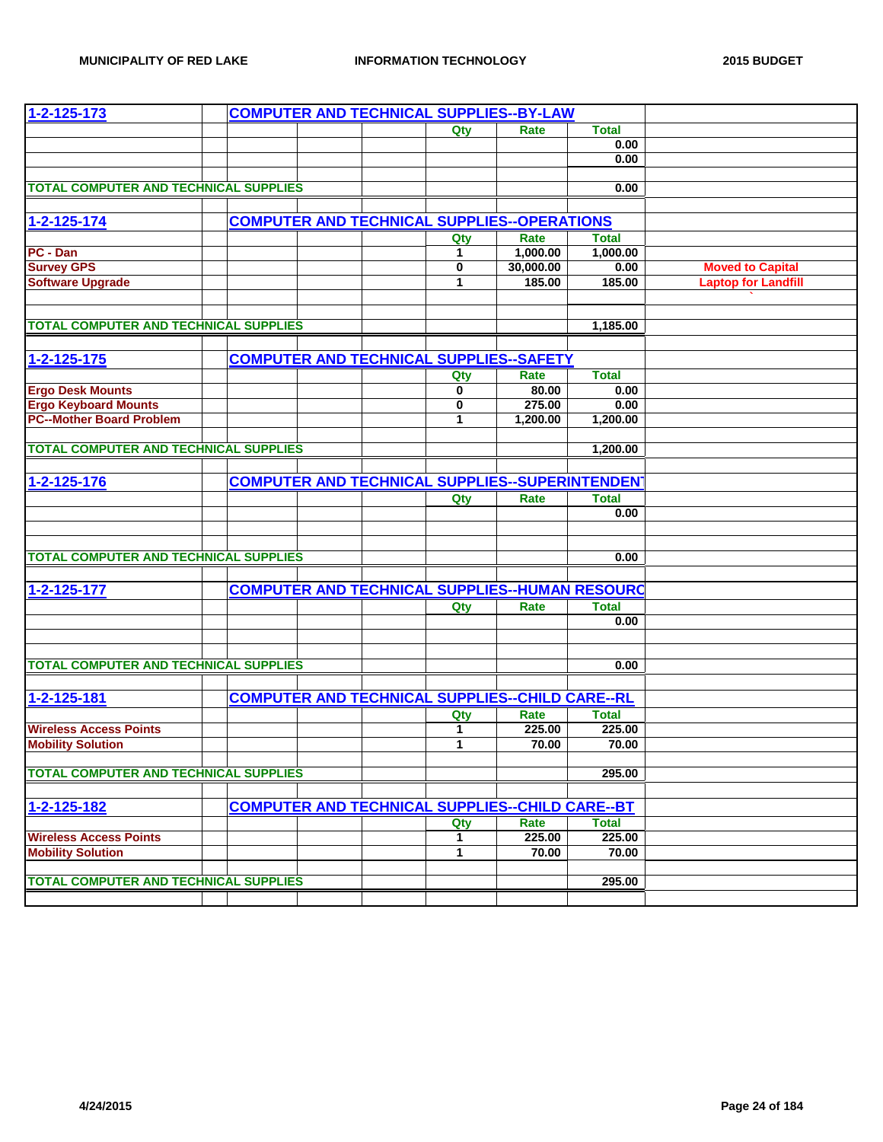| 1-2-125-173                                  | <b>COMPUTER AND TECHNICAL SUPPLIES--BY-LAW</b>         |  |              |                                                        |                                                       |                            |
|----------------------------------------------|--------------------------------------------------------|--|--------------|--------------------------------------------------------|-------------------------------------------------------|----------------------------|
|                                              |                                                        |  | Qty          | Rate                                                   | <b>Total</b>                                          |                            |
|                                              |                                                        |  |              |                                                        | 0.00                                                  |                            |
|                                              |                                                        |  |              |                                                        | 0.00                                                  |                            |
|                                              |                                                        |  |              |                                                        |                                                       |                            |
| <b>TOTAL COMPUTER AND TECHNICAL SUPPLIES</b> |                                                        |  |              |                                                        | 0.00                                                  |                            |
|                                              |                                                        |  |              |                                                        |                                                       |                            |
| 1-2-125-174                                  |                                                        |  |              | <b>COMPUTER AND TECHNICAL SUPPLIES--OPERATIONS</b>     |                                                       |                            |
|                                              |                                                        |  | Qty          | Rate                                                   | Total                                                 |                            |
| PC - Dan                                     |                                                        |  | 1            | 1,000.00                                               | 1,000.00                                              |                            |
| <b>Survey GPS</b>                            |                                                        |  | $\mathbf{0}$ | 30,000.00                                              | 0.00                                                  | <b>Moved to Capital</b>    |
| <b>Software Upgrade</b>                      |                                                        |  | $\mathbf{1}$ | 185.00                                                 | 185.00                                                | <b>Laptop for Landfill</b> |
|                                              |                                                        |  |              |                                                        |                                                       |                            |
|                                              |                                                        |  |              |                                                        |                                                       |                            |
| <b>TOTAL COMPUTER AND TECHNICAL SUPPLIES</b> |                                                        |  |              |                                                        | 1,185.00                                              |                            |
|                                              |                                                        |  |              |                                                        |                                                       |                            |
| $1 - 2 - 125 - 175$                          |                                                        |  |              | <b>COMPUTER AND TECHNICAL SUPPLIES--SAFETY</b>         |                                                       |                            |
|                                              |                                                        |  | Qty          | Rate                                                   | <b>Total</b>                                          |                            |
| <b>Ergo Desk Mounts</b>                      |                                                        |  | 0            | 80.00                                                  | 0.00                                                  |                            |
| <b>Ergo Keyboard Mounts</b>                  |                                                        |  | 0            | 275.00                                                 | 0.00                                                  |                            |
| <b>PC--Mother Board Problem</b>              |                                                        |  | 1            | 1,200.00                                               | 1,200.00                                              |                            |
|                                              |                                                        |  |              |                                                        |                                                       |                            |
| <b>TOTAL COMPUTER AND TECHNICAL SUPPLIES</b> |                                                        |  |              |                                                        | 1,200.00                                              |                            |
|                                              |                                                        |  |              |                                                        |                                                       |                            |
| 1-2-125-176                                  | <b>COMPUTER AND TECHNICAL SUPPLIES--SUPERINTENDENT</b> |  |              |                                                        |                                                       |                            |
|                                              |                                                        |  | Qty          | Rate                                                   | <b>Total</b>                                          |                            |
|                                              |                                                        |  |              |                                                        | 0.00                                                  |                            |
|                                              |                                                        |  |              |                                                        |                                                       |                            |
|                                              |                                                        |  |              |                                                        |                                                       |                            |
| <b>TOTAL COMPUTER AND TECHNICAL SUPPLIES</b> |                                                        |  |              |                                                        | 0.00                                                  |                            |
|                                              |                                                        |  |              |                                                        |                                                       |                            |
| 1-2-125-177                                  |                                                        |  |              |                                                        | <b>COMPUTER AND TECHNICAL SUPPLIES--HUMAN RESOURC</b> |                            |
|                                              |                                                        |  | Qty          | Rate                                                   | <b>Total</b>                                          |                            |
|                                              |                                                        |  |              |                                                        | 0.00                                                  |                            |
|                                              |                                                        |  |              |                                                        |                                                       |                            |
|                                              |                                                        |  |              |                                                        |                                                       |                            |
| <b>TOTAL COMPUTER AND TECHNICAL SUPPLIES</b> |                                                        |  |              |                                                        | 0.00                                                  |                            |
|                                              |                                                        |  |              |                                                        |                                                       |                            |
| 1-2-125-181                                  |                                                        |  |              | <b>COMPUTER AND TECHNICAL SUPPLIES--CHILD CARE--RL</b> |                                                       |                            |
|                                              |                                                        |  | Qty          | Rate                                                   | <b>Total</b>                                          |                            |
| <b>Wireless Access Points</b>                |                                                        |  | 1            | 225.00                                                 | 225.00                                                |                            |
| <b>Mobility Solution</b>                     |                                                        |  | $\mathbf{1}$ | 70.00                                                  | 70.00                                                 |                            |
|                                              |                                                        |  |              |                                                        |                                                       |                            |
| <b>TOTAL COMPUTER AND TECHNICAL SUPPLIES</b> |                                                        |  |              |                                                        | 295.00                                                |                            |
|                                              |                                                        |  |              |                                                        |                                                       |                            |
| 1-2-125-182                                  |                                                        |  |              | <b>COMPUTER AND TECHNICAL SUPPLIES--CHILD CARE--BT</b> |                                                       |                            |
|                                              |                                                        |  | Qty          | Rate                                                   | <b>Total</b>                                          |                            |
| <b>Wireless Access Points</b>                |                                                        |  | 1            | 225.00                                                 | 225.00                                                |                            |
| <b>Mobility Solution</b>                     |                                                        |  | 1            | 70.00                                                  | 70.00                                                 |                            |
|                                              |                                                        |  |              |                                                        |                                                       |                            |
| <b>TOTAL COMPUTER AND TECHNICAL SUPPLIES</b> |                                                        |  |              |                                                        | 295.00                                                |                            |
|                                              |                                                        |  |              |                                                        |                                                       |                            |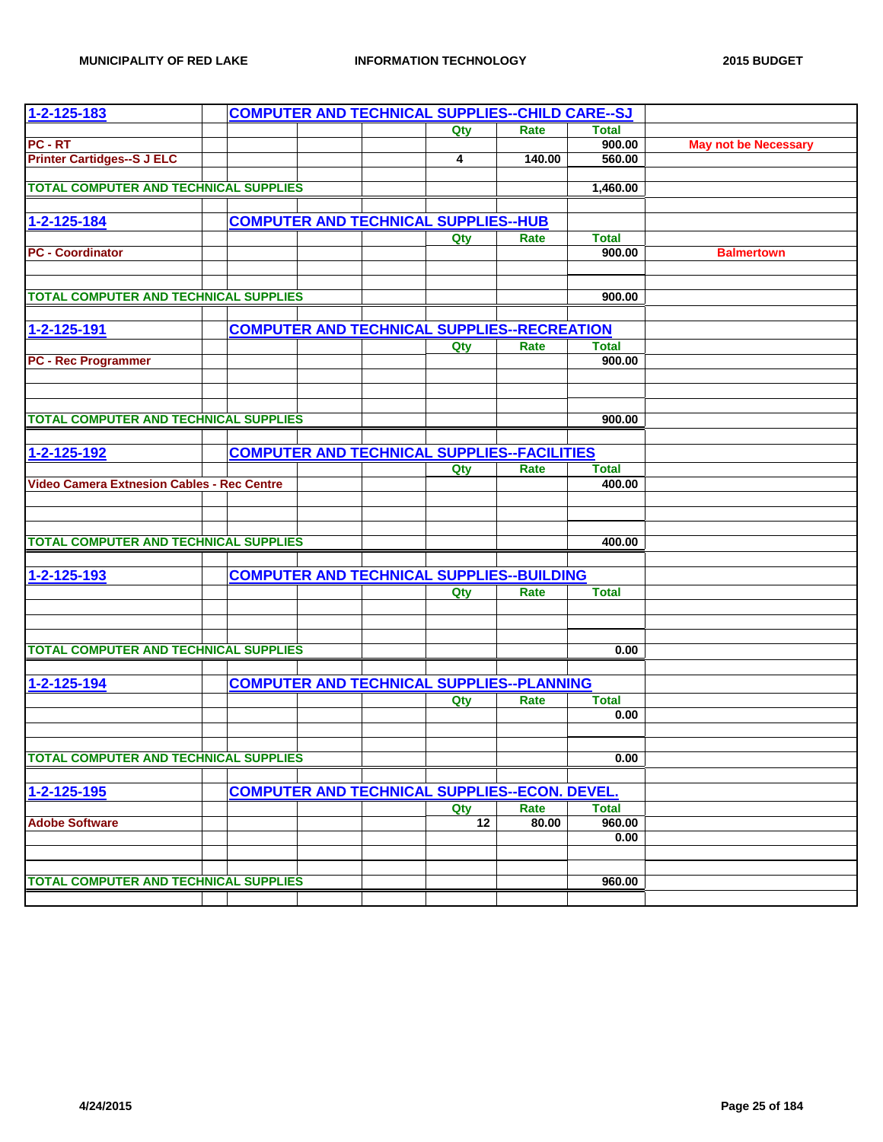| 1-2-125-183                                       |  |  | <b>COMPUTER AND TECHNICAL SUPPLIES--CHILD CARE--SJ</b> |        |              |                             |
|---------------------------------------------------|--|--|--------------------------------------------------------|--------|--------------|-----------------------------|
|                                                   |  |  | Qty                                                    | Rate   | <b>Total</b> |                             |
| PC - RT                                           |  |  |                                                        |        | 900.00       | <b>May not be Necessary</b> |
| <b>Printer Cartidges--S J ELC</b>                 |  |  | 4                                                      | 140.00 | 560.00       |                             |
|                                                   |  |  |                                                        |        |              |                             |
| <b>TOTAL COMPUTER AND TECHNICAL SUPPLIES</b>      |  |  |                                                        |        | 1,460.00     |                             |
|                                                   |  |  |                                                        |        |              |                             |
| 1-2-125-184                                       |  |  | <b>COMPUTER AND TECHNICAL SUPPLIES--HUB</b>            |        |              |                             |
|                                                   |  |  | Qty                                                    | Rate   | <b>Total</b> |                             |
| <b>PC - Coordinator</b>                           |  |  |                                                        |        | 900.00       | <b>Balmertown</b>           |
|                                                   |  |  |                                                        |        |              |                             |
| <b>TOTAL COMPUTER AND TECHNICAL SUPPLIES</b>      |  |  |                                                        |        | 900.00       |                             |
|                                                   |  |  |                                                        |        |              |                             |
|                                                   |  |  |                                                        |        |              |                             |
| 1-2-125-191                                       |  |  | <b>COMPUTER AND TECHNICAL SUPPLIES--RECREATION</b>     |        |              |                             |
|                                                   |  |  | Qty                                                    | Rate   | <b>Total</b> |                             |
| <b>PC - Rec Programmer</b>                        |  |  |                                                        |        | 900.00       |                             |
|                                                   |  |  |                                                        |        |              |                             |
|                                                   |  |  |                                                        |        |              |                             |
| <b>TOTAL COMPUTER AND TECHNICAL SUPPLIES</b>      |  |  |                                                        |        | 900.00       |                             |
|                                                   |  |  |                                                        |        |              |                             |
| 1-2-125-192                                       |  |  | <b>COMPUTER AND TECHNICAL SUPPLIES--FACILITIES</b>     |        |              |                             |
|                                                   |  |  | Qty                                                    | Rate   | <b>Total</b> |                             |
| <b>Video Camera Extnesion Cables - Rec Centre</b> |  |  |                                                        |        | 400.00       |                             |
|                                                   |  |  |                                                        |        |              |                             |
|                                                   |  |  |                                                        |        |              |                             |
|                                                   |  |  |                                                        |        |              |                             |
| <b>TOTAL COMPUTER AND TECHNICAL SUPPLIES</b>      |  |  |                                                        |        | 400.00       |                             |
|                                                   |  |  |                                                        |        |              |                             |
| 1-2-125-193                                       |  |  | <b>COMPUTER AND TECHNICAL SUPPLIES--BUILDING</b>       |        |              |                             |
|                                                   |  |  | Qty                                                    | Rate   | <b>Total</b> |                             |
|                                                   |  |  |                                                        |        |              |                             |
|                                                   |  |  |                                                        |        |              |                             |
|                                                   |  |  |                                                        |        |              |                             |
| <b>TOTAL COMPUTER AND TECHNICAL SUPPLIES</b>      |  |  |                                                        |        | 0.00         |                             |
|                                                   |  |  |                                                        |        |              |                             |
| 1-2-125-194                                       |  |  | <b>COMPUTER AND TECHNICAL SUPPLIES--PLANNING</b>       |        |              |                             |
|                                                   |  |  | Qty                                                    | Rate   | <b>Total</b> |                             |
|                                                   |  |  |                                                        |        | 0.00         |                             |
|                                                   |  |  |                                                        |        |              |                             |
| TOTAL COMPUTER AND TECHNICAL SUPPLIES             |  |  |                                                        |        | 0.00         |                             |
|                                                   |  |  |                                                        |        |              |                             |
| 1-2-125-195                                       |  |  | <b>COMPUTER AND TECHNICAL SUPPLIES--ECON. DEVEL.</b>   |        |              |                             |
|                                                   |  |  | Qty                                                    | Rate   | <b>Total</b> |                             |
| <b>Adobe Software</b>                             |  |  | 12                                                     | 80.00  | 960.00       |                             |
|                                                   |  |  |                                                        |        | 0.00         |                             |
|                                                   |  |  |                                                        |        |              |                             |
|                                                   |  |  |                                                        |        |              |                             |
| <b>TOTAL COMPUTER AND TECHNICAL SUPPLIES</b>      |  |  |                                                        |        | 960.00       |                             |
|                                                   |  |  |                                                        |        |              |                             |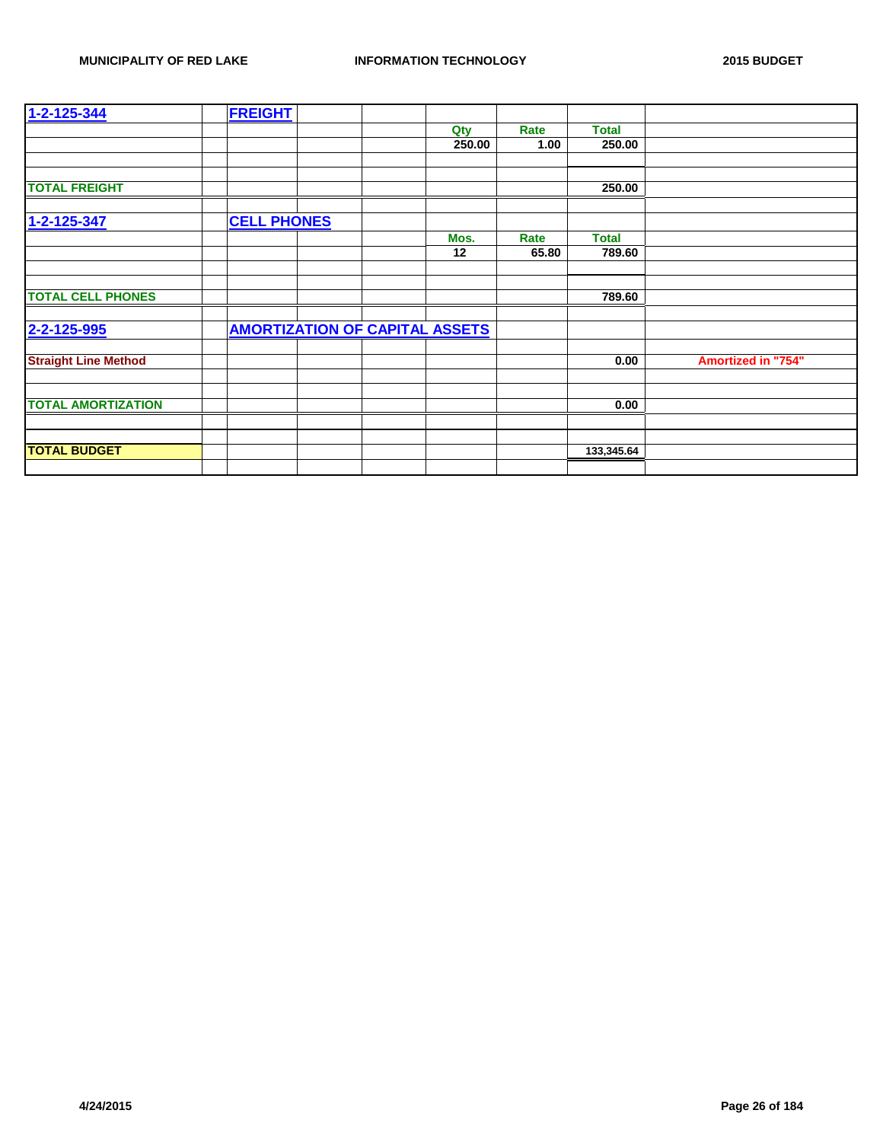| 1-2-125-344                 | <b>FREIGHT</b>     |                                       |        |       |              |                           |
|-----------------------------|--------------------|---------------------------------------|--------|-------|--------------|---------------------------|
|                             |                    |                                       | Qty    | Rate  | <b>Total</b> |                           |
|                             |                    |                                       | 250.00 | 1.00  | 250.00       |                           |
|                             |                    |                                       |        |       |              |                           |
|                             |                    |                                       |        |       |              |                           |
| <b>TOTAL FREIGHT</b>        |                    |                                       |        |       | 250.00       |                           |
|                             |                    |                                       |        |       |              |                           |
| 1-2-125-347                 | <b>CELL PHONES</b> |                                       |        |       |              |                           |
|                             |                    |                                       | Mos.   | Rate  | <b>Total</b> |                           |
|                             |                    |                                       | 12     | 65.80 | 789.60       |                           |
|                             |                    |                                       |        |       |              |                           |
|                             |                    |                                       |        |       |              |                           |
| <b>TOTAL CELL PHONES</b>    |                    |                                       |        |       | 789.60       |                           |
|                             |                    |                                       |        |       |              |                           |
| 2-2-125-995                 |                    | <b>AMORTIZATION OF CAPITAL ASSETS</b> |        |       |              |                           |
|                             |                    |                                       |        |       |              |                           |
| <b>Straight Line Method</b> |                    |                                       |        |       | 0.00         | <b>Amortized in "754"</b> |
|                             |                    |                                       |        |       |              |                           |
|                             |                    |                                       |        |       |              |                           |
| <b>TOTAL AMORTIZATION</b>   |                    |                                       |        |       | 0.00         |                           |
|                             |                    |                                       |        |       |              |                           |
|                             |                    |                                       |        |       |              |                           |
| <b>TOTAL BUDGET</b>         |                    |                                       |        |       | 133,345.64   |                           |
|                             |                    |                                       |        |       |              |                           |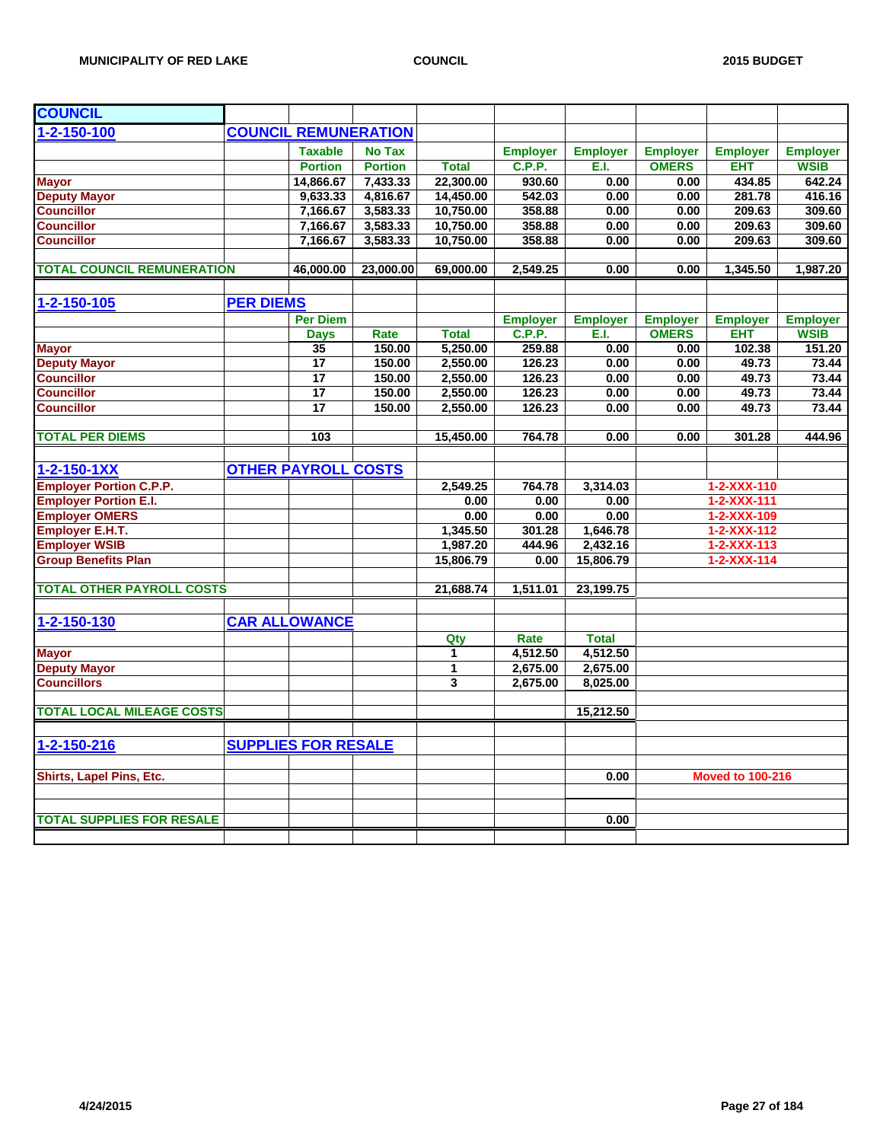| <b>COUNCIL REMUNERATION</b><br>$1 - 2 - 150 - 100$<br><b>Taxable</b><br><b>No Tax</b><br><b>Employer</b><br><b>Employer</b><br><b>Employer</b><br><b>Employer</b><br><b>Employer</b><br><b>Portion</b><br><b>C.P.P.</b><br>E.I.<br><b>OMERS</b><br><b>EHT</b><br><b>WSIB</b><br><b>Portion</b><br><b>Total</b><br>7,433.33<br>22,300.00<br>434.85<br>642.24<br>14,866.67<br>930.60<br>0.00<br><b>Mayor</b><br>0.00<br>14,450.00<br>281.78<br>416.16<br><b>Deputy Mayor</b><br>9,633.33<br>4,816.67<br>542.03<br>0.00<br>0.00<br><b>Councillor</b><br>10,750.00<br>358.88<br>209.63<br>309.60<br>7,166.67<br>3,583.33<br>0.00<br>0.00<br><b>Councillor</b><br>3,583.33<br>7,166.67<br>10,750.00<br>358.88<br>0.00<br>0.00<br>209.63<br>309.60<br><b>Councillor</b><br>7,166.67<br>3,583.33<br>10,750.00<br>358.88<br>209.63<br>309.60<br>0.00<br>0.00<br><b>TOTAL COUNCIL REMUNERATION</b><br>23,000.00<br>69,000.00<br>0.00<br>1,987.20<br>46,000.00<br>2,549.25<br>0.00<br>1,345.50<br>1-2-150-105<br><b>PER DIEMS</b><br><b>Per Diem</b><br><b>Employer</b><br><b>Employer</b><br><b>Employer</b><br><b>Employer</b><br><b>Employer</b><br><b>C.P.P.</b><br><b>Total</b><br>E.I.<br><b>OMERS</b><br><b>EHT</b><br><b>WSIB</b><br><b>Days</b><br>Rate<br>150.00<br>5.250.00<br>259.88<br>0.00<br>102.38<br>151.20<br><b>Mayor</b><br>35<br>0.00<br><b>Deputy Mayor</b><br>17<br>150.00<br>2,550.00<br>126.23<br>49.73<br>73.44<br>0.00<br>0.00<br>17<br>126.23<br><b>Councillor</b><br>150.00<br>2,550.00<br>0.00<br>0.00<br>49.73<br>73.44<br>$\overline{17}$<br><b>Councillor</b><br>150.00<br>2,550.00<br>126.23<br>49.73<br>73.44<br>0.00<br>0.00<br><b>Councillor</b><br>17<br>2,550.00<br>126.23<br>49.73<br>150.00<br>0.00<br>0.00<br>73.44<br><b>TOTAL PER DIEMS</b><br>103<br>764.78<br>444.96<br>15,450.00<br>0.00<br>0.00<br>301.28<br><b>OTHER PAYROLL COSTS</b><br>$1 - 2 - 150 - 1XX$<br><b>Employer Portion C.P.P.</b><br>2,549.25<br>764.78<br>3,314.03<br>1-2-XXX-110<br><b>Employer Portion E.I.</b><br>0.00<br>0.00<br>1-2-XXX-111<br>0.00<br><b>Employer OMERS</b><br>0.00<br>0.00<br>0.00<br>1-2-XXX-109<br>Employer E.H.T.<br>1,345.50<br>1,646.78<br>$1 - 2 - XXX - 112$<br>301.28<br><b>Employer WSIB</b><br>1,987.20<br>2,432.16<br>444.96<br>1-2-XXX-113<br><b>Group Benefits Plan</b><br>15,806.79<br>15,806.79<br>0.00<br>1-2-XXX-114<br><b>TOTAL OTHER PAYROLL COSTS</b><br>21,688.74<br>1,511.01<br>23,199.75<br><b>CAR ALLOWANCE</b><br>1-2-150-130<br><b>Total</b><br>Qty<br>Rate<br>4.512.50<br><b>Mayor</b><br>4.512.50<br>$\mathbf 1$<br><b>Deputy Mayor</b><br>2,675.00<br>2,675.00<br>1<br><b>Councillors</b><br>3<br>2,675.00<br>8,025.00<br><b>TOTAL LOCAL MILEAGE COSTS</b><br>15,212.50<br>1-2-150-216<br><b>SUPPLIES FOR RESALE</b><br><b>Moved to 100-216</b><br>Shirts, Lapel Pins, Etc.<br>0.00<br><b>TOTAL SUPPLIES FOR RESALE</b><br>0.00 | <b>COUNCIL</b> |  |  |  |  |  |
|-------------------------------------------------------------------------------------------------------------------------------------------------------------------------------------------------------------------------------------------------------------------------------------------------------------------------------------------------------------------------------------------------------------------------------------------------------------------------------------------------------------------------------------------------------------------------------------------------------------------------------------------------------------------------------------------------------------------------------------------------------------------------------------------------------------------------------------------------------------------------------------------------------------------------------------------------------------------------------------------------------------------------------------------------------------------------------------------------------------------------------------------------------------------------------------------------------------------------------------------------------------------------------------------------------------------------------------------------------------------------------------------------------------------------------------------------------------------------------------------------------------------------------------------------------------------------------------------------------------------------------------------------------------------------------------------------------------------------------------------------------------------------------------------------------------------------------------------------------------------------------------------------------------------------------------------------------------------------------------------------------------------------------------------------------------------------------------------------------------------------------------------------------------------------------------------------------------------------------------------------------------------------------------------------------------------------------------------------------------------------------------------------------------------------------------------------------------------------------------------------------------------------------------------------------------------------------------------------------------------------------------------------------------------------------------------------------------------------------------------------------------------------------------------------------------------------------------------------------------------------------------------|----------------|--|--|--|--|--|
|                                                                                                                                                                                                                                                                                                                                                                                                                                                                                                                                                                                                                                                                                                                                                                                                                                                                                                                                                                                                                                                                                                                                                                                                                                                                                                                                                                                                                                                                                                                                                                                                                                                                                                                                                                                                                                                                                                                                                                                                                                                                                                                                                                                                                                                                                                                                                                                                                                                                                                                                                                                                                                                                                                                                                                                                                                                                                           |                |  |  |  |  |  |
|                                                                                                                                                                                                                                                                                                                                                                                                                                                                                                                                                                                                                                                                                                                                                                                                                                                                                                                                                                                                                                                                                                                                                                                                                                                                                                                                                                                                                                                                                                                                                                                                                                                                                                                                                                                                                                                                                                                                                                                                                                                                                                                                                                                                                                                                                                                                                                                                                                                                                                                                                                                                                                                                                                                                                                                                                                                                                           |                |  |  |  |  |  |
|                                                                                                                                                                                                                                                                                                                                                                                                                                                                                                                                                                                                                                                                                                                                                                                                                                                                                                                                                                                                                                                                                                                                                                                                                                                                                                                                                                                                                                                                                                                                                                                                                                                                                                                                                                                                                                                                                                                                                                                                                                                                                                                                                                                                                                                                                                                                                                                                                                                                                                                                                                                                                                                                                                                                                                                                                                                                                           |                |  |  |  |  |  |
|                                                                                                                                                                                                                                                                                                                                                                                                                                                                                                                                                                                                                                                                                                                                                                                                                                                                                                                                                                                                                                                                                                                                                                                                                                                                                                                                                                                                                                                                                                                                                                                                                                                                                                                                                                                                                                                                                                                                                                                                                                                                                                                                                                                                                                                                                                                                                                                                                                                                                                                                                                                                                                                                                                                                                                                                                                                                                           |                |  |  |  |  |  |
|                                                                                                                                                                                                                                                                                                                                                                                                                                                                                                                                                                                                                                                                                                                                                                                                                                                                                                                                                                                                                                                                                                                                                                                                                                                                                                                                                                                                                                                                                                                                                                                                                                                                                                                                                                                                                                                                                                                                                                                                                                                                                                                                                                                                                                                                                                                                                                                                                                                                                                                                                                                                                                                                                                                                                                                                                                                                                           |                |  |  |  |  |  |
|                                                                                                                                                                                                                                                                                                                                                                                                                                                                                                                                                                                                                                                                                                                                                                                                                                                                                                                                                                                                                                                                                                                                                                                                                                                                                                                                                                                                                                                                                                                                                                                                                                                                                                                                                                                                                                                                                                                                                                                                                                                                                                                                                                                                                                                                                                                                                                                                                                                                                                                                                                                                                                                                                                                                                                                                                                                                                           |                |  |  |  |  |  |
|                                                                                                                                                                                                                                                                                                                                                                                                                                                                                                                                                                                                                                                                                                                                                                                                                                                                                                                                                                                                                                                                                                                                                                                                                                                                                                                                                                                                                                                                                                                                                                                                                                                                                                                                                                                                                                                                                                                                                                                                                                                                                                                                                                                                                                                                                                                                                                                                                                                                                                                                                                                                                                                                                                                                                                                                                                                                                           |                |  |  |  |  |  |
|                                                                                                                                                                                                                                                                                                                                                                                                                                                                                                                                                                                                                                                                                                                                                                                                                                                                                                                                                                                                                                                                                                                                                                                                                                                                                                                                                                                                                                                                                                                                                                                                                                                                                                                                                                                                                                                                                                                                                                                                                                                                                                                                                                                                                                                                                                                                                                                                                                                                                                                                                                                                                                                                                                                                                                                                                                                                                           |                |  |  |  |  |  |
|                                                                                                                                                                                                                                                                                                                                                                                                                                                                                                                                                                                                                                                                                                                                                                                                                                                                                                                                                                                                                                                                                                                                                                                                                                                                                                                                                                                                                                                                                                                                                                                                                                                                                                                                                                                                                                                                                                                                                                                                                                                                                                                                                                                                                                                                                                                                                                                                                                                                                                                                                                                                                                                                                                                                                                                                                                                                                           |                |  |  |  |  |  |
|                                                                                                                                                                                                                                                                                                                                                                                                                                                                                                                                                                                                                                                                                                                                                                                                                                                                                                                                                                                                                                                                                                                                                                                                                                                                                                                                                                                                                                                                                                                                                                                                                                                                                                                                                                                                                                                                                                                                                                                                                                                                                                                                                                                                                                                                                                                                                                                                                                                                                                                                                                                                                                                                                                                                                                                                                                                                                           |                |  |  |  |  |  |
|                                                                                                                                                                                                                                                                                                                                                                                                                                                                                                                                                                                                                                                                                                                                                                                                                                                                                                                                                                                                                                                                                                                                                                                                                                                                                                                                                                                                                                                                                                                                                                                                                                                                                                                                                                                                                                                                                                                                                                                                                                                                                                                                                                                                                                                                                                                                                                                                                                                                                                                                                                                                                                                                                                                                                                                                                                                                                           |                |  |  |  |  |  |
|                                                                                                                                                                                                                                                                                                                                                                                                                                                                                                                                                                                                                                                                                                                                                                                                                                                                                                                                                                                                                                                                                                                                                                                                                                                                                                                                                                                                                                                                                                                                                                                                                                                                                                                                                                                                                                                                                                                                                                                                                                                                                                                                                                                                                                                                                                                                                                                                                                                                                                                                                                                                                                                                                                                                                                                                                                                                                           |                |  |  |  |  |  |
|                                                                                                                                                                                                                                                                                                                                                                                                                                                                                                                                                                                                                                                                                                                                                                                                                                                                                                                                                                                                                                                                                                                                                                                                                                                                                                                                                                                                                                                                                                                                                                                                                                                                                                                                                                                                                                                                                                                                                                                                                                                                                                                                                                                                                                                                                                                                                                                                                                                                                                                                                                                                                                                                                                                                                                                                                                                                                           |                |  |  |  |  |  |
|                                                                                                                                                                                                                                                                                                                                                                                                                                                                                                                                                                                                                                                                                                                                                                                                                                                                                                                                                                                                                                                                                                                                                                                                                                                                                                                                                                                                                                                                                                                                                                                                                                                                                                                                                                                                                                                                                                                                                                                                                                                                                                                                                                                                                                                                                                                                                                                                                                                                                                                                                                                                                                                                                                                                                                                                                                                                                           |                |  |  |  |  |  |
|                                                                                                                                                                                                                                                                                                                                                                                                                                                                                                                                                                                                                                                                                                                                                                                                                                                                                                                                                                                                                                                                                                                                                                                                                                                                                                                                                                                                                                                                                                                                                                                                                                                                                                                                                                                                                                                                                                                                                                                                                                                                                                                                                                                                                                                                                                                                                                                                                                                                                                                                                                                                                                                                                                                                                                                                                                                                                           |                |  |  |  |  |  |
|                                                                                                                                                                                                                                                                                                                                                                                                                                                                                                                                                                                                                                                                                                                                                                                                                                                                                                                                                                                                                                                                                                                                                                                                                                                                                                                                                                                                                                                                                                                                                                                                                                                                                                                                                                                                                                                                                                                                                                                                                                                                                                                                                                                                                                                                                                                                                                                                                                                                                                                                                                                                                                                                                                                                                                                                                                                                                           |                |  |  |  |  |  |
|                                                                                                                                                                                                                                                                                                                                                                                                                                                                                                                                                                                                                                                                                                                                                                                                                                                                                                                                                                                                                                                                                                                                                                                                                                                                                                                                                                                                                                                                                                                                                                                                                                                                                                                                                                                                                                                                                                                                                                                                                                                                                                                                                                                                                                                                                                                                                                                                                                                                                                                                                                                                                                                                                                                                                                                                                                                                                           |                |  |  |  |  |  |
|                                                                                                                                                                                                                                                                                                                                                                                                                                                                                                                                                                                                                                                                                                                                                                                                                                                                                                                                                                                                                                                                                                                                                                                                                                                                                                                                                                                                                                                                                                                                                                                                                                                                                                                                                                                                                                                                                                                                                                                                                                                                                                                                                                                                                                                                                                                                                                                                                                                                                                                                                                                                                                                                                                                                                                                                                                                                                           |                |  |  |  |  |  |
|                                                                                                                                                                                                                                                                                                                                                                                                                                                                                                                                                                                                                                                                                                                                                                                                                                                                                                                                                                                                                                                                                                                                                                                                                                                                                                                                                                                                                                                                                                                                                                                                                                                                                                                                                                                                                                                                                                                                                                                                                                                                                                                                                                                                                                                                                                                                                                                                                                                                                                                                                                                                                                                                                                                                                                                                                                                                                           |                |  |  |  |  |  |
|                                                                                                                                                                                                                                                                                                                                                                                                                                                                                                                                                                                                                                                                                                                                                                                                                                                                                                                                                                                                                                                                                                                                                                                                                                                                                                                                                                                                                                                                                                                                                                                                                                                                                                                                                                                                                                                                                                                                                                                                                                                                                                                                                                                                                                                                                                                                                                                                                                                                                                                                                                                                                                                                                                                                                                                                                                                                                           |                |  |  |  |  |  |
|                                                                                                                                                                                                                                                                                                                                                                                                                                                                                                                                                                                                                                                                                                                                                                                                                                                                                                                                                                                                                                                                                                                                                                                                                                                                                                                                                                                                                                                                                                                                                                                                                                                                                                                                                                                                                                                                                                                                                                                                                                                                                                                                                                                                                                                                                                                                                                                                                                                                                                                                                                                                                                                                                                                                                                                                                                                                                           |                |  |  |  |  |  |
|                                                                                                                                                                                                                                                                                                                                                                                                                                                                                                                                                                                                                                                                                                                                                                                                                                                                                                                                                                                                                                                                                                                                                                                                                                                                                                                                                                                                                                                                                                                                                                                                                                                                                                                                                                                                                                                                                                                                                                                                                                                                                                                                                                                                                                                                                                                                                                                                                                                                                                                                                                                                                                                                                                                                                                                                                                                                                           |                |  |  |  |  |  |
|                                                                                                                                                                                                                                                                                                                                                                                                                                                                                                                                                                                                                                                                                                                                                                                                                                                                                                                                                                                                                                                                                                                                                                                                                                                                                                                                                                                                                                                                                                                                                                                                                                                                                                                                                                                                                                                                                                                                                                                                                                                                                                                                                                                                                                                                                                                                                                                                                                                                                                                                                                                                                                                                                                                                                                                                                                                                                           |                |  |  |  |  |  |
|                                                                                                                                                                                                                                                                                                                                                                                                                                                                                                                                                                                                                                                                                                                                                                                                                                                                                                                                                                                                                                                                                                                                                                                                                                                                                                                                                                                                                                                                                                                                                                                                                                                                                                                                                                                                                                                                                                                                                                                                                                                                                                                                                                                                                                                                                                                                                                                                                                                                                                                                                                                                                                                                                                                                                                                                                                                                                           |                |  |  |  |  |  |
|                                                                                                                                                                                                                                                                                                                                                                                                                                                                                                                                                                                                                                                                                                                                                                                                                                                                                                                                                                                                                                                                                                                                                                                                                                                                                                                                                                                                                                                                                                                                                                                                                                                                                                                                                                                                                                                                                                                                                                                                                                                                                                                                                                                                                                                                                                                                                                                                                                                                                                                                                                                                                                                                                                                                                                                                                                                                                           |                |  |  |  |  |  |
|                                                                                                                                                                                                                                                                                                                                                                                                                                                                                                                                                                                                                                                                                                                                                                                                                                                                                                                                                                                                                                                                                                                                                                                                                                                                                                                                                                                                                                                                                                                                                                                                                                                                                                                                                                                                                                                                                                                                                                                                                                                                                                                                                                                                                                                                                                                                                                                                                                                                                                                                                                                                                                                                                                                                                                                                                                                                                           |                |  |  |  |  |  |
|                                                                                                                                                                                                                                                                                                                                                                                                                                                                                                                                                                                                                                                                                                                                                                                                                                                                                                                                                                                                                                                                                                                                                                                                                                                                                                                                                                                                                                                                                                                                                                                                                                                                                                                                                                                                                                                                                                                                                                                                                                                                                                                                                                                                                                                                                                                                                                                                                                                                                                                                                                                                                                                                                                                                                                                                                                                                                           |                |  |  |  |  |  |
|                                                                                                                                                                                                                                                                                                                                                                                                                                                                                                                                                                                                                                                                                                                                                                                                                                                                                                                                                                                                                                                                                                                                                                                                                                                                                                                                                                                                                                                                                                                                                                                                                                                                                                                                                                                                                                                                                                                                                                                                                                                                                                                                                                                                                                                                                                                                                                                                                                                                                                                                                                                                                                                                                                                                                                                                                                                                                           |                |  |  |  |  |  |
|                                                                                                                                                                                                                                                                                                                                                                                                                                                                                                                                                                                                                                                                                                                                                                                                                                                                                                                                                                                                                                                                                                                                                                                                                                                                                                                                                                                                                                                                                                                                                                                                                                                                                                                                                                                                                                                                                                                                                                                                                                                                                                                                                                                                                                                                                                                                                                                                                                                                                                                                                                                                                                                                                                                                                                                                                                                                                           |                |  |  |  |  |  |
|                                                                                                                                                                                                                                                                                                                                                                                                                                                                                                                                                                                                                                                                                                                                                                                                                                                                                                                                                                                                                                                                                                                                                                                                                                                                                                                                                                                                                                                                                                                                                                                                                                                                                                                                                                                                                                                                                                                                                                                                                                                                                                                                                                                                                                                                                                                                                                                                                                                                                                                                                                                                                                                                                                                                                                                                                                                                                           |                |  |  |  |  |  |
|                                                                                                                                                                                                                                                                                                                                                                                                                                                                                                                                                                                                                                                                                                                                                                                                                                                                                                                                                                                                                                                                                                                                                                                                                                                                                                                                                                                                                                                                                                                                                                                                                                                                                                                                                                                                                                                                                                                                                                                                                                                                                                                                                                                                                                                                                                                                                                                                                                                                                                                                                                                                                                                                                                                                                                                                                                                                                           |                |  |  |  |  |  |
|                                                                                                                                                                                                                                                                                                                                                                                                                                                                                                                                                                                                                                                                                                                                                                                                                                                                                                                                                                                                                                                                                                                                                                                                                                                                                                                                                                                                                                                                                                                                                                                                                                                                                                                                                                                                                                                                                                                                                                                                                                                                                                                                                                                                                                                                                                                                                                                                                                                                                                                                                                                                                                                                                                                                                                                                                                                                                           |                |  |  |  |  |  |
|                                                                                                                                                                                                                                                                                                                                                                                                                                                                                                                                                                                                                                                                                                                                                                                                                                                                                                                                                                                                                                                                                                                                                                                                                                                                                                                                                                                                                                                                                                                                                                                                                                                                                                                                                                                                                                                                                                                                                                                                                                                                                                                                                                                                                                                                                                                                                                                                                                                                                                                                                                                                                                                                                                                                                                                                                                                                                           |                |  |  |  |  |  |
|                                                                                                                                                                                                                                                                                                                                                                                                                                                                                                                                                                                                                                                                                                                                                                                                                                                                                                                                                                                                                                                                                                                                                                                                                                                                                                                                                                                                                                                                                                                                                                                                                                                                                                                                                                                                                                                                                                                                                                                                                                                                                                                                                                                                                                                                                                                                                                                                                                                                                                                                                                                                                                                                                                                                                                                                                                                                                           |                |  |  |  |  |  |
|                                                                                                                                                                                                                                                                                                                                                                                                                                                                                                                                                                                                                                                                                                                                                                                                                                                                                                                                                                                                                                                                                                                                                                                                                                                                                                                                                                                                                                                                                                                                                                                                                                                                                                                                                                                                                                                                                                                                                                                                                                                                                                                                                                                                                                                                                                                                                                                                                                                                                                                                                                                                                                                                                                                                                                                                                                                                                           |                |  |  |  |  |  |
|                                                                                                                                                                                                                                                                                                                                                                                                                                                                                                                                                                                                                                                                                                                                                                                                                                                                                                                                                                                                                                                                                                                                                                                                                                                                                                                                                                                                                                                                                                                                                                                                                                                                                                                                                                                                                                                                                                                                                                                                                                                                                                                                                                                                                                                                                                                                                                                                                                                                                                                                                                                                                                                                                                                                                                                                                                                                                           |                |  |  |  |  |  |
|                                                                                                                                                                                                                                                                                                                                                                                                                                                                                                                                                                                                                                                                                                                                                                                                                                                                                                                                                                                                                                                                                                                                                                                                                                                                                                                                                                                                                                                                                                                                                                                                                                                                                                                                                                                                                                                                                                                                                                                                                                                                                                                                                                                                                                                                                                                                                                                                                                                                                                                                                                                                                                                                                                                                                                                                                                                                                           |                |  |  |  |  |  |
|                                                                                                                                                                                                                                                                                                                                                                                                                                                                                                                                                                                                                                                                                                                                                                                                                                                                                                                                                                                                                                                                                                                                                                                                                                                                                                                                                                                                                                                                                                                                                                                                                                                                                                                                                                                                                                                                                                                                                                                                                                                                                                                                                                                                                                                                                                                                                                                                                                                                                                                                                                                                                                                                                                                                                                                                                                                                                           |                |  |  |  |  |  |
|                                                                                                                                                                                                                                                                                                                                                                                                                                                                                                                                                                                                                                                                                                                                                                                                                                                                                                                                                                                                                                                                                                                                                                                                                                                                                                                                                                                                                                                                                                                                                                                                                                                                                                                                                                                                                                                                                                                                                                                                                                                                                                                                                                                                                                                                                                                                                                                                                                                                                                                                                                                                                                                                                                                                                                                                                                                                                           |                |  |  |  |  |  |
|                                                                                                                                                                                                                                                                                                                                                                                                                                                                                                                                                                                                                                                                                                                                                                                                                                                                                                                                                                                                                                                                                                                                                                                                                                                                                                                                                                                                                                                                                                                                                                                                                                                                                                                                                                                                                                                                                                                                                                                                                                                                                                                                                                                                                                                                                                                                                                                                                                                                                                                                                                                                                                                                                                                                                                                                                                                                                           |                |  |  |  |  |  |
|                                                                                                                                                                                                                                                                                                                                                                                                                                                                                                                                                                                                                                                                                                                                                                                                                                                                                                                                                                                                                                                                                                                                                                                                                                                                                                                                                                                                                                                                                                                                                                                                                                                                                                                                                                                                                                                                                                                                                                                                                                                                                                                                                                                                                                                                                                                                                                                                                                                                                                                                                                                                                                                                                                                                                                                                                                                                                           |                |  |  |  |  |  |
|                                                                                                                                                                                                                                                                                                                                                                                                                                                                                                                                                                                                                                                                                                                                                                                                                                                                                                                                                                                                                                                                                                                                                                                                                                                                                                                                                                                                                                                                                                                                                                                                                                                                                                                                                                                                                                                                                                                                                                                                                                                                                                                                                                                                                                                                                                                                                                                                                                                                                                                                                                                                                                                                                                                                                                                                                                                                                           |                |  |  |  |  |  |
|                                                                                                                                                                                                                                                                                                                                                                                                                                                                                                                                                                                                                                                                                                                                                                                                                                                                                                                                                                                                                                                                                                                                                                                                                                                                                                                                                                                                                                                                                                                                                                                                                                                                                                                                                                                                                                                                                                                                                                                                                                                                                                                                                                                                                                                                                                                                                                                                                                                                                                                                                                                                                                                                                                                                                                                                                                                                                           |                |  |  |  |  |  |
|                                                                                                                                                                                                                                                                                                                                                                                                                                                                                                                                                                                                                                                                                                                                                                                                                                                                                                                                                                                                                                                                                                                                                                                                                                                                                                                                                                                                                                                                                                                                                                                                                                                                                                                                                                                                                                                                                                                                                                                                                                                                                                                                                                                                                                                                                                                                                                                                                                                                                                                                                                                                                                                                                                                                                                                                                                                                                           |                |  |  |  |  |  |
|                                                                                                                                                                                                                                                                                                                                                                                                                                                                                                                                                                                                                                                                                                                                                                                                                                                                                                                                                                                                                                                                                                                                                                                                                                                                                                                                                                                                                                                                                                                                                                                                                                                                                                                                                                                                                                                                                                                                                                                                                                                                                                                                                                                                                                                                                                                                                                                                                                                                                                                                                                                                                                                                                                                                                                                                                                                                                           |                |  |  |  |  |  |
|                                                                                                                                                                                                                                                                                                                                                                                                                                                                                                                                                                                                                                                                                                                                                                                                                                                                                                                                                                                                                                                                                                                                                                                                                                                                                                                                                                                                                                                                                                                                                                                                                                                                                                                                                                                                                                                                                                                                                                                                                                                                                                                                                                                                                                                                                                                                                                                                                                                                                                                                                                                                                                                                                                                                                                                                                                                                                           |                |  |  |  |  |  |
|                                                                                                                                                                                                                                                                                                                                                                                                                                                                                                                                                                                                                                                                                                                                                                                                                                                                                                                                                                                                                                                                                                                                                                                                                                                                                                                                                                                                                                                                                                                                                                                                                                                                                                                                                                                                                                                                                                                                                                                                                                                                                                                                                                                                                                                                                                                                                                                                                                                                                                                                                                                                                                                                                                                                                                                                                                                                                           |                |  |  |  |  |  |
|                                                                                                                                                                                                                                                                                                                                                                                                                                                                                                                                                                                                                                                                                                                                                                                                                                                                                                                                                                                                                                                                                                                                                                                                                                                                                                                                                                                                                                                                                                                                                                                                                                                                                                                                                                                                                                                                                                                                                                                                                                                                                                                                                                                                                                                                                                                                                                                                                                                                                                                                                                                                                                                                                                                                                                                                                                                                                           |                |  |  |  |  |  |
|                                                                                                                                                                                                                                                                                                                                                                                                                                                                                                                                                                                                                                                                                                                                                                                                                                                                                                                                                                                                                                                                                                                                                                                                                                                                                                                                                                                                                                                                                                                                                                                                                                                                                                                                                                                                                                                                                                                                                                                                                                                                                                                                                                                                                                                                                                                                                                                                                                                                                                                                                                                                                                                                                                                                                                                                                                                                                           |                |  |  |  |  |  |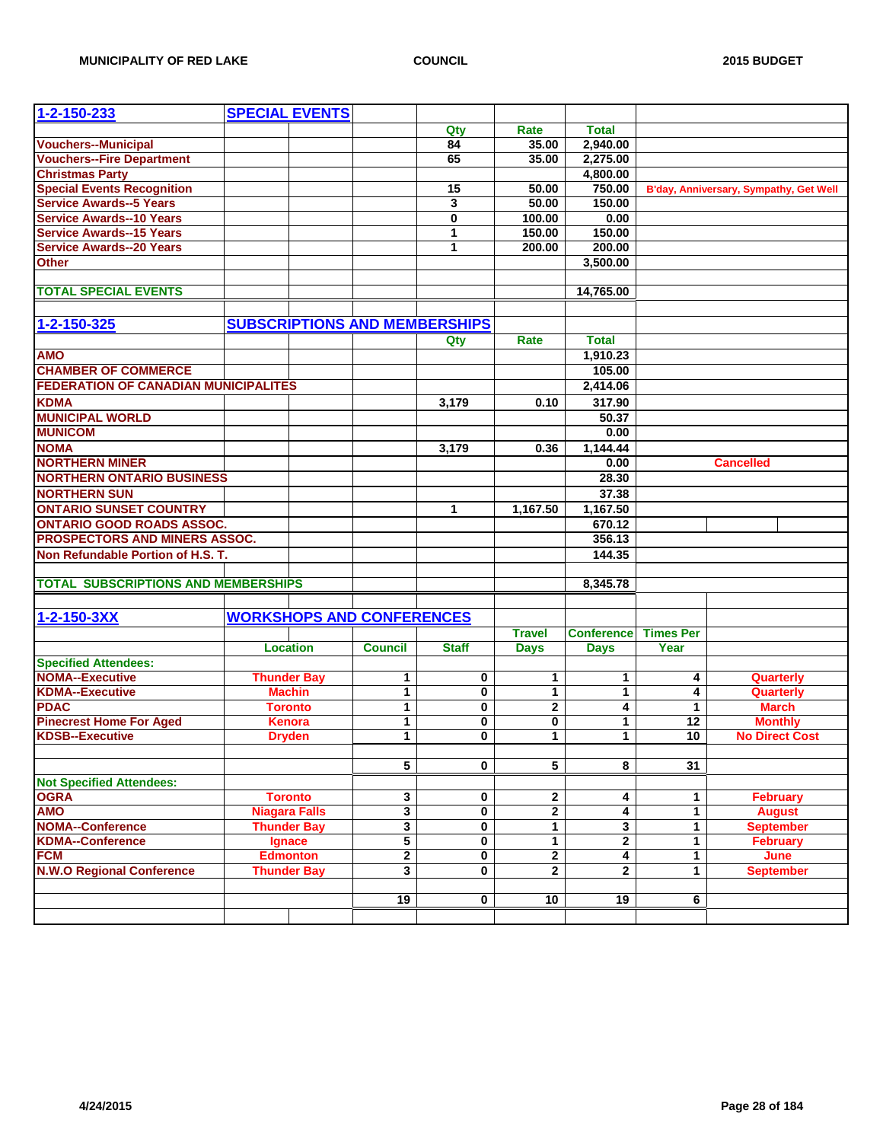| 1-2-150-233                                 | <b>SPECIAL EVENTS</b> |                      |                                  |                                      |                |                         |                  |                                        |
|---------------------------------------------|-----------------------|----------------------|----------------------------------|--------------------------------------|----------------|-------------------------|------------------|----------------------------------------|
|                                             |                       |                      |                                  | Qty                                  | Rate           | <b>Total</b>            |                  |                                        |
| <b>Vouchers--Municipal</b>                  |                       |                      |                                  | $\overline{84}$                      | 35.00          | 2,940.00                |                  |                                        |
| <b>Vouchers--Fire Department</b>            |                       |                      |                                  | 65                                   | 35.00          | 2,275.00                |                  |                                        |
| <b>Christmas Party</b>                      |                       |                      |                                  |                                      |                | 4,800.00                |                  |                                        |
| <b>Special Events Recognition</b>           |                       |                      |                                  | 15                                   | 50.00          | 750.00                  |                  | B'day, Anniversary, Sympathy, Get Well |
| <b>Service Awards--5 Years</b>              |                       |                      |                                  | 3                                    | 50.00          | 150.00                  |                  |                                        |
| <b>Service Awards--10 Years</b>             |                       |                      |                                  | 0                                    | 100.00         | 0.00                    |                  |                                        |
| <b>Service Awards--15 Years</b>             |                       |                      |                                  | 1                                    | 150.00         | 150.00                  |                  |                                        |
| <b>Service Awards--20 Years</b>             |                       |                      |                                  | 1                                    | 200.00         | 200.00                  |                  |                                        |
| <b>Other</b>                                |                       |                      |                                  |                                      |                | 3,500.00                |                  |                                        |
|                                             |                       |                      |                                  |                                      |                |                         |                  |                                        |
| <b>TOTAL SPECIAL EVENTS</b>                 |                       |                      |                                  |                                      |                | 14,765.00               |                  |                                        |
|                                             |                       |                      |                                  |                                      |                |                         |                  |                                        |
|                                             |                       |                      |                                  |                                      |                |                         |                  |                                        |
| 1-2-150-325                                 |                       |                      |                                  | <b>SUBSCRIPTIONS AND MEMBERSHIPS</b> |                |                         |                  |                                        |
|                                             |                       |                      |                                  | Qty                                  | Rate           | <b>Total</b>            |                  |                                        |
| <b>AMO</b>                                  |                       |                      |                                  |                                      |                | 1,910.23                |                  |                                        |
| <b>CHAMBER OF COMMERCE</b>                  |                       |                      |                                  |                                      |                | 105.00                  |                  |                                        |
| <b>FEDERATION OF CANADIAN MUNICIPALITES</b> |                       |                      |                                  |                                      |                | 2,414.06                |                  |                                        |
| <b>KDMA</b>                                 |                       |                      |                                  | 3,179                                | 0.10           | 317.90                  |                  |                                        |
| <b>MUNICIPAL WORLD</b>                      |                       |                      |                                  |                                      |                | 50.37                   |                  |                                        |
| <b>MUNICOM</b>                              |                       |                      |                                  |                                      |                | 0.00                    |                  |                                        |
| <b>NOMA</b>                                 |                       |                      |                                  | 3,179                                | 0.36           | 1,144.44                |                  |                                        |
| <b>NORTHERN MINER</b>                       |                       |                      |                                  |                                      |                | 0.00                    |                  | <b>Cancelled</b>                       |
| <b>NORTHERN ONTARIO BUSINESS</b>            |                       |                      |                                  |                                      |                | 28.30                   |                  |                                        |
| <b>NORTHERN SUN</b>                         |                       |                      |                                  |                                      |                | 37.38                   |                  |                                        |
| <b>ONTARIO SUNSET COUNTRY</b>               |                       |                      |                                  | 1                                    | 1,167.50       | 1,167.50                |                  |                                        |
| <b>ONTARIO GOOD ROADS ASSOC.</b>            |                       |                      |                                  |                                      |                | 670.12                  |                  |                                        |
| PROSPECTORS AND MINERS ASSOC.               |                       |                      |                                  |                                      |                | 356.13                  |                  |                                        |
| Non Refundable Portion of H.S. T.           |                       |                      |                                  |                                      |                | 144.35                  |                  |                                        |
|                                             |                       |                      |                                  |                                      |                |                         |                  |                                        |
| <b>TOTAL SUBSCRIPTIONS AND MEMBERSHIPS</b>  |                       |                      |                                  |                                      |                | 8,345.78                |                  |                                        |
|                                             |                       |                      |                                  |                                      |                |                         |                  |                                        |
|                                             |                       |                      |                                  |                                      |                |                         |                  |                                        |
| 1-2-150-3XX                                 |                       |                      | <b>WORKSHOPS AND CONFERENCES</b> |                                      |                |                         |                  |                                        |
|                                             |                       |                      |                                  |                                      | <b>Travel</b>  | <b>Conference</b>       | <b>Times Per</b> |                                        |
|                                             |                       | <b>Location</b>      | <b>Council</b>                   | <b>Staff</b>                         | <b>Days</b>    | <b>Days</b>             | Year             |                                        |
| <b>Specified Attendees:</b>                 |                       |                      |                                  |                                      |                |                         |                  |                                        |
| <b>NOMA--Executive</b>                      |                       | <b>Thunder Bay</b>   | 1                                | 0                                    | 1              | 1                       | 4                | Quarterly                              |
| <b>KDMA--Executive</b>                      |                       | <b>Machin</b>        | $\mathbf{1}$                     | 0                                    | $\mathbf{1}$   | $\mathbf{1}$            | 4                | Quarterly                              |
| <b>PDAC</b>                                 |                       | <b>Toronto</b>       | $\mathbf{1}$                     | 0                                    | $\mathbf 2$    | 4                       | 1                | <b>March</b>                           |
| <b>Pinecrest Home For Aged</b>              |                       | <b>Kenora</b>        | 1                                | 0                                    | 0              | 1                       | 12               | <b>Monthly</b>                         |
| <b>KDSB--Executive</b>                      |                       | <b>Dryden</b>        | $\mathbf{1}$                     | 0                                    | 1              | 1                       | 10               | <b>No Direct Cost</b>                  |
|                                             |                       |                      |                                  |                                      |                |                         |                  |                                        |
|                                             |                       |                      | 5                                | 0                                    | $\overline{5}$ | 8                       | 31               |                                        |
| <b>Not Specified Attendees:</b>             |                       |                      |                                  |                                      |                |                         |                  |                                        |
| <b>OGRA</b>                                 |                       | <b>Toronto</b>       | 3                                | 0                                    | 2              | 4                       | 1                | <b>February</b>                        |
| <b>AMO</b>                                  |                       | <b>Niagara Falls</b> | 3                                | 0                                    | $\overline{2}$ | 4                       | 1                | <b>August</b>                          |
| <b>NOMA--Conference</b>                     |                       | <b>Thunder Bay</b>   | 3                                | 0                                    | $\overline{1}$ | $\overline{\mathbf{3}}$ | $\mathbf{1}$     | <b>September</b>                       |
| <b>KDMA--Conference</b>                     |                       | Ignace               | 5                                | 0                                    | $\mathbf 1$    | $\mathbf 2$             | 1                | <b>February</b>                        |
| <b>FCM</b>                                  |                       | <b>Edmonton</b>      | $\overline{\mathbf{2}}$          | 0                                    | $\overline{2}$ | $\overline{\mathbf{4}}$ | 1                | June                                   |
| <b>N.W.O Regional Conference</b>            |                       | <b>Thunder Bay</b>   | 3                                | 0                                    | $\overline{2}$ | $\mathbf{2}$            | $\mathbf{1}$     | <b>September</b>                       |
|                                             |                       |                      |                                  |                                      |                |                         |                  |                                        |
|                                             |                       |                      | 19                               | 0                                    | 10             | 19                      | 6                |                                        |
|                                             |                       |                      |                                  |                                      |                |                         |                  |                                        |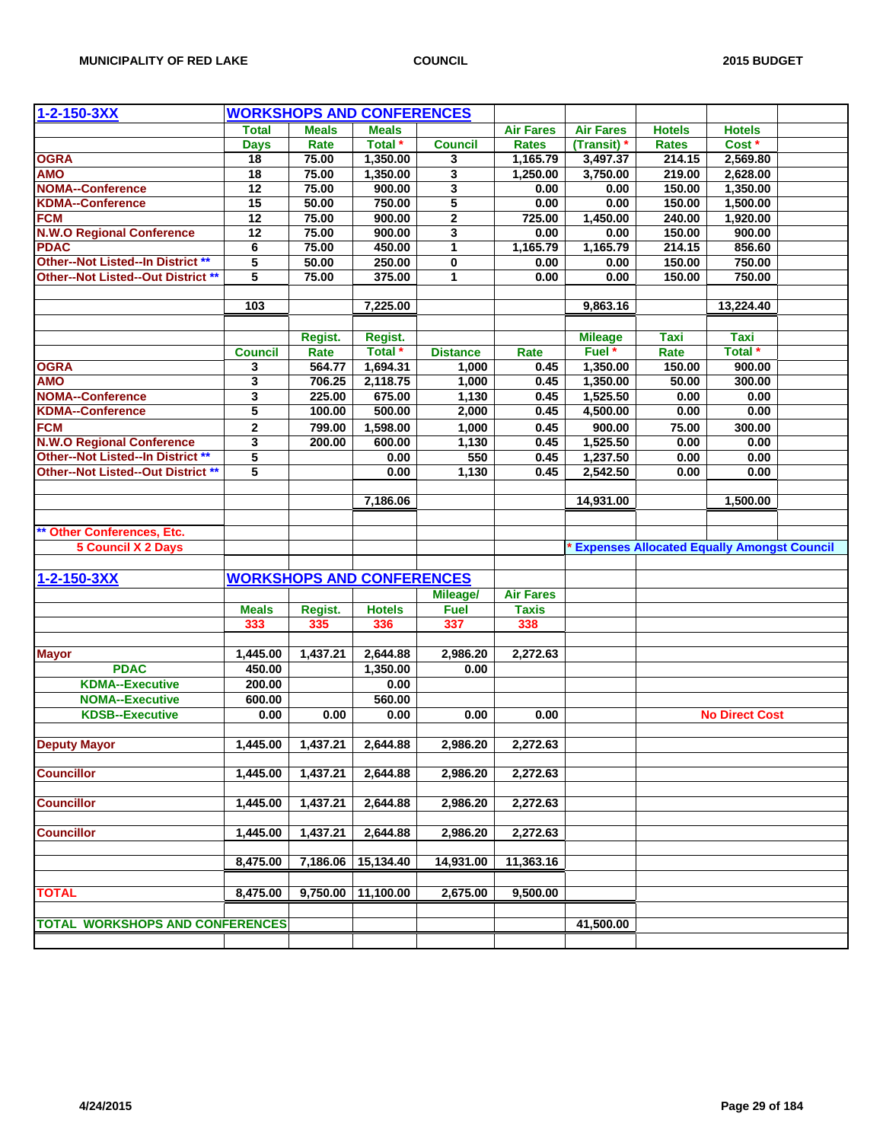| 1-2-150-3XX                            |                 |              | <b>WORKSHOPS AND CONFERENCES</b> |                 |                  |                  |                                                     |                       |  |
|----------------------------------------|-----------------|--------------|----------------------------------|-----------------|------------------|------------------|-----------------------------------------------------|-----------------------|--|
|                                        | <b>Total</b>    | <b>Meals</b> | <b>Meals</b>                     |                 | <b>Air Fares</b> | <b>Air Fares</b> | <b>Hotels</b>                                       | <b>Hotels</b>         |  |
|                                        | <b>Days</b>     | Rate         | Total *                          | <b>Council</b>  | <b>Rates</b>     | (Transit) *      | <b>Rates</b>                                        | Cost <sup>*</sup>     |  |
| <b>OGRA</b>                            | $\overline{18}$ | 75.00        | 1,350.00                         | 3               | 1,165.79         | 3,497.37         | 214.15                                              | 2,569.80              |  |
| <b>AMO</b>                             | 18              | 75.00        | 1,350.00                         | 3               | 1,250.00         | 3,750.00         | 219.00                                              | 2,628.00              |  |
| <b>NOMA--Conference</b>                | 12              | 75.00        | 900.00                           | 3               | 0.00             | 0.00             | 150.00                                              | 1,350.00              |  |
| <b>KDMA--Conference</b>                | $\overline{15}$ | 50.00        | 750.00                           | $\overline{5}$  | 0.00             | 0.00             | 150.00                                              | 1,500.00              |  |
| <b>FCM</b>                             | 12              | 75.00        | 900.00                           | $\mathbf 2$     | 725.00           | 1,450.00         | 240.00                                              | 1,920.00              |  |
| <b>N.W.O Regional Conference</b>       | 12              | 75.00        | 900.00                           | 3               | 0.00             | 0.00             | 150.00                                              | 900.00                |  |
| <b>PDAC</b>                            | 6               | 75.00        | 450.00                           | $\mathbf{1}$    | 1,165.79         | 1,165.79         | 214.15                                              | 856.60                |  |
| Other--Not Listed--In District **      | 5               | 50.00        | 250.00                           | $\pmb{0}$       | 0.00             | 0.00             | 150.00                                              | 750.00                |  |
| Other--Not Listed--Out District **     | 5               | 75.00        | 375.00                           | 1               | 0.00             | 0.00             | 150.00                                              | 750.00                |  |
|                                        |                 |              |                                  |                 |                  |                  |                                                     |                       |  |
|                                        | 103             |              | 7,225.00                         |                 |                  | 9,863.16         |                                                     | 13,224.40             |  |
|                                        |                 |              |                                  |                 |                  |                  |                                                     |                       |  |
|                                        |                 | Regist.      | Regist.                          |                 |                  | <b>Mileage</b>   | <b>Taxi</b>                                         | <b>Taxi</b>           |  |
|                                        | <b>Council</b>  | Rate         | Total <sup>*</sup>               | <b>Distance</b> | Rate             | Fuel *           | Rate                                                | Total <sup>*</sup>    |  |
| <b>OGRA</b>                            | 3               | 564.77       | 1,694.31                         | 1,000           | 0.45             | 1,350.00         | 150.00                                              | 900.00                |  |
| <b>AMO</b>                             | 3               | 706.25       | 2,118.75                         | 1,000           | 0.45             | 1,350.00         | 50.00                                               | 300.00                |  |
| <b>NOMA--Conference</b>                | 3               | 225.00       | 675.00                           | 1,130           | 0.45             | 1,525.50         | 0.00                                                | 0.00                  |  |
| <b>KDMA--Conference</b>                | 5               | 100.00       | 500.00                           | 2,000           | 0.45             | 4,500.00         | 0.00                                                | 0.00                  |  |
| <b>FCM</b>                             | $\mathbf 2$     | 799.00       | 1,598.00                         | 1,000           | 0.45             | 900.00           | 75.00                                               | 300.00                |  |
| <b>N.W.O Regional Conference</b>       | 3               | 200.00       | 600.00                           | 1,130           | 0.45             | 1,525.50         | 0.00                                                | 0.00                  |  |
| Other--Not Listed--In District **      | 5               |              | 0.00                             | 550             | 0.45             | 1,237.50         | 0.00                                                | 0.00                  |  |
| Other--Not Listed--Out District **     | 5               |              | 0.00                             | 1,130           | 0.45             | 2,542.50         | 0.00                                                | 0.00                  |  |
|                                        |                 |              |                                  |                 |                  |                  |                                                     |                       |  |
|                                        |                 |              | 7,186.06                         |                 |                  | 14,931.00        |                                                     | 1,500.00              |  |
|                                        |                 |              |                                  |                 |                  |                  |                                                     |                       |  |
|                                        |                 |              |                                  |                 |                  |                  |                                                     |                       |  |
| <b>Other Conferences, Etc.</b>         |                 |              |                                  |                 |                  |                  |                                                     |                       |  |
| <b>5 Council X 2 Days</b>              |                 |              |                                  |                 |                  |                  | <b>* Expenses Allocated Equally Amongst Council</b> |                       |  |
|                                        |                 |              |                                  |                 |                  |                  |                                                     |                       |  |
| 1-2-150-3XX                            |                 |              | <b>WORKSHOPS AND CONFERENCES</b> |                 |                  |                  |                                                     |                       |  |
|                                        |                 |              |                                  | Mileage/        | <b>Air Fares</b> |                  |                                                     |                       |  |
|                                        | <b>Meals</b>    | Regist.      | <b>Hotels</b>                    | <b>Fuel</b>     | <b>Taxis</b>     |                  |                                                     |                       |  |
|                                        | 333             | 335          | 336                              | 337             | 338              |                  |                                                     |                       |  |
|                                        |                 |              |                                  |                 |                  |                  |                                                     |                       |  |
| <b>Mayor</b>                           | 1,445.00        | 1,437.21     | 2,644.88                         | 2,986.20        | 2,272.63         |                  |                                                     |                       |  |
| <b>PDAC</b>                            | 450.00          |              | 1,350.00                         | 0.00            |                  |                  |                                                     |                       |  |
| <b>KDMA--Executive</b>                 | 200.00          |              | 0.00                             |                 |                  |                  |                                                     |                       |  |
| <b>NOMA--Executive</b>                 | 600.00          |              | 560.00                           |                 |                  |                  |                                                     |                       |  |
| <b>KDSB--Executive</b>                 | 0.00            | 0.00         | 0.00                             | 0.00            | 0.00             |                  |                                                     | <b>No Direct Cost</b> |  |
|                                        |                 |              |                                  |                 |                  |                  |                                                     |                       |  |
| <b>Deputy Mayor</b>                    | 1,445.00        | 1,437.21     | 2,644.88                         | 2,986.20        | 2,272.63         |                  |                                                     |                       |  |
|                                        |                 |              |                                  |                 |                  |                  |                                                     |                       |  |
| <b>Councillor</b>                      | 1,445.00        | 1,437.21     | 2,644.88                         | 2,986.20        | 2,272.63         |                  |                                                     |                       |  |
|                                        |                 |              |                                  |                 |                  |                  |                                                     |                       |  |
| <b>Councillor</b>                      | 1,445.00        | 1,437.21     | 2,644.88                         | 2,986.20        | 2,272.63         |                  |                                                     |                       |  |
|                                        |                 |              |                                  |                 |                  |                  |                                                     |                       |  |
| <b>Councillor</b>                      | 1,445.00        | 1,437.21     | 2,644.88                         | 2,986.20        | 2,272.63         |                  |                                                     |                       |  |
|                                        |                 |              |                                  |                 |                  |                  |                                                     |                       |  |
|                                        | 8,475.00        | 7,186.06     | 15,134.40                        | 14,931.00       | 11,363.16        |                  |                                                     |                       |  |
|                                        |                 |              |                                  |                 |                  |                  |                                                     |                       |  |
| <b>TOTAL</b>                           | 8,475.00        | 9,750.00     | 11,100.00                        | 2,675.00        | 9,500.00         |                  |                                                     |                       |  |
|                                        |                 |              |                                  |                 |                  |                  |                                                     |                       |  |
| <b>TOTAL WORKSHOPS AND CONFERENCES</b> |                 |              |                                  |                 |                  | 41,500.00        |                                                     |                       |  |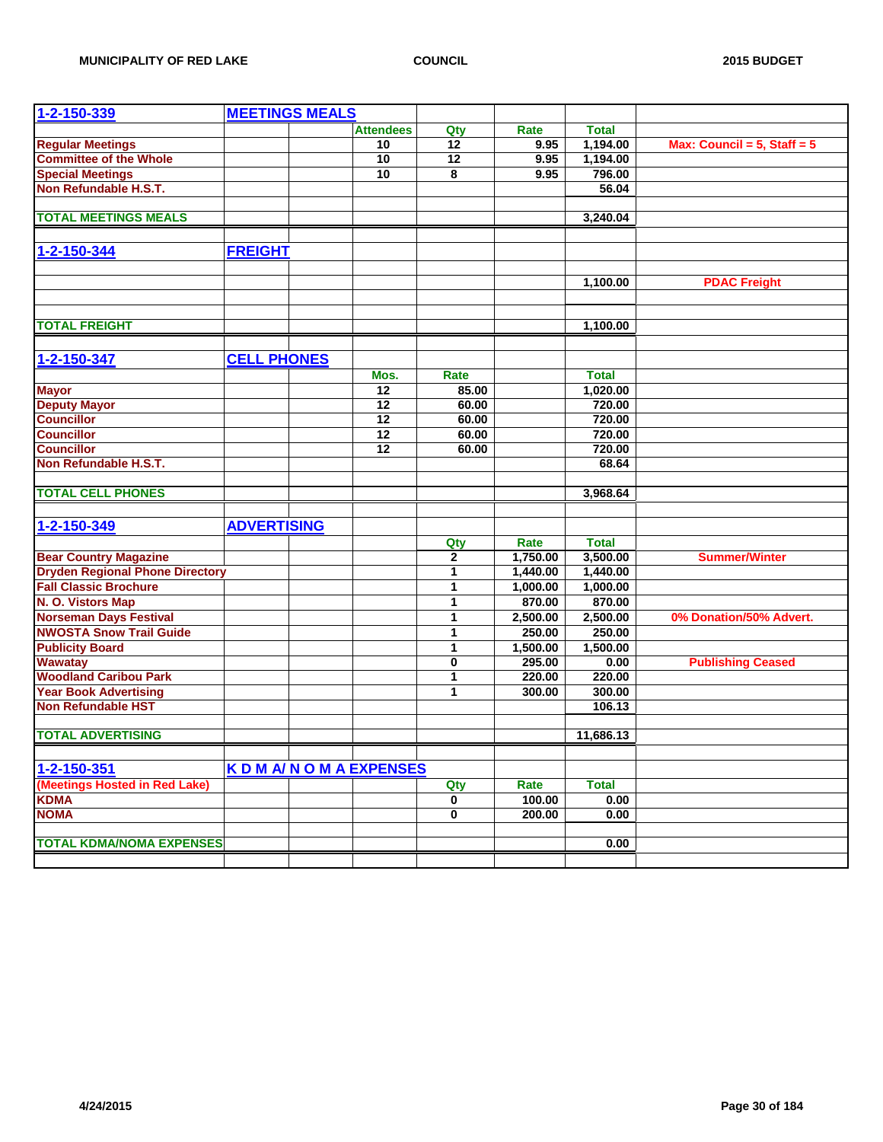| 1-2-150-339                              | <b>MEETINGS MEALS</b> |                           |                         |          |                  |                                  |
|------------------------------------------|-----------------------|---------------------------|-------------------------|----------|------------------|----------------------------------|
|                                          |                       | <b>Attendees</b>          | Qty                     | Rate     | <b>Total</b>     |                                  |
| <b>Regular Meetings</b>                  |                       | 10                        | $\overline{12}$         | 9.95     | 1,194.00         | Max: Council = $5$ , Staff = $5$ |
| <b>Committee of the Whole</b>            |                       | 10                        | $\overline{12}$         | 9.95     | 1,194.00         |                                  |
| <b>Special Meetings</b>                  |                       | 10                        | 8                       | 9.95     | 796.00           |                                  |
| Non Refundable H.S.T.                    |                       |                           |                         |          | 56.04            |                                  |
|                                          |                       |                           |                         |          |                  |                                  |
| <b>TOTAL MEETINGS MEALS</b>              |                       |                           |                         |          | 3,240.04         |                                  |
|                                          |                       |                           |                         |          |                  |                                  |
| 1-2-150-344                              | <b>FREIGHT</b>        |                           |                         |          |                  |                                  |
|                                          |                       |                           |                         |          |                  |                                  |
|                                          |                       |                           |                         |          | 1,100.00         | <b>PDAC Freight</b>              |
|                                          |                       |                           |                         |          |                  |                                  |
|                                          |                       |                           |                         |          |                  |                                  |
| <b>TOTAL FREIGHT</b>                     |                       |                           |                         |          | 1,100.00         |                                  |
|                                          |                       |                           |                         |          |                  |                                  |
| 1-2-150-347                              | <b>CELL PHONES</b>    |                           |                         |          |                  |                                  |
|                                          |                       |                           | Rate                    |          |                  |                                  |
|                                          |                       | Mos.                      |                         |          | <b>Total</b>     |                                  |
| <b>Mayor</b>                             |                       | 12<br>$\overline{12}$     | 85.00                   |          | 1,020.00         |                                  |
| <b>Deputy Mayor</b><br><b>Councillor</b> |                       | $\overline{12}$           | 60.00<br>60.00          |          | 720.00<br>720.00 |                                  |
| <b>Councillor</b>                        |                       | 12                        | 60.00                   |          | 720.00           |                                  |
| <b>Councillor</b>                        |                       | 12                        | 60.00                   |          | 720.00           |                                  |
| Non Refundable H.S.T.                    |                       |                           |                         |          | 68.64            |                                  |
|                                          |                       |                           |                         |          |                  |                                  |
| <b>TOTAL CELL PHONES</b>                 |                       |                           |                         |          | 3,968.64         |                                  |
|                                          |                       |                           |                         |          |                  |                                  |
| 1-2-150-349                              | <b>ADVERTISING</b>    |                           |                         |          |                  |                                  |
|                                          |                       |                           | Qty                     | Rate     | <b>Total</b>     |                                  |
| <b>Bear Country Magazine</b>             |                       |                           | $\mathbf{2}$            | 1,750.00 | 3,500.00         | <b>Summer/Winter</b>             |
| <b>Dryden Regional Phone Directory</b>   |                       |                           | 1                       | 1,440.00 | 1,440.00         |                                  |
| <b>Fall Classic Brochure</b>             |                       |                           | 1                       | 1,000.00 | 1,000.00         |                                  |
| N. O. Vistors Map                        |                       |                           | $\mathbf{1}$            | 870.00   | 870.00           |                                  |
| <b>Norseman Days Festival</b>            |                       |                           | 1                       | 2,500.00 | 2,500.00         | 0% Donation/50% Advert.          |
| <b>NWOSTA Snow Trail Guide</b>           |                       |                           | 1                       | 250.00   | 250.00           |                                  |
| <b>Publicity Board</b>                   |                       |                           | 1                       | 1,500.00 | 1,500.00         |                                  |
| <b>Wawatay</b>                           |                       |                           | $\mathbf 0$             | 295.00   | 0.00             | <b>Publishing Ceased</b>         |
| <b>Woodland Caribou Park</b>             |                       |                           | 1                       | 220.00   | 220.00           |                                  |
| <b>Year Book Advertising</b>             |                       |                           | 1                       | 300.00   | 300.00           |                                  |
| <b>Non Refundable HST</b>                |                       |                           |                         |          | 106.13           |                                  |
|                                          |                       |                           |                         |          |                  |                                  |
| <b>TOTAL ADVERTISING</b>                 |                       |                           |                         |          | 11,686.13        |                                  |
|                                          |                       |                           |                         |          |                  |                                  |
| 1-2-150-351                              |                       | <b>KDM A/NOMAEXPENSES</b> |                         |          |                  |                                  |
| (Meetings Hosted in Red Lake)            |                       |                           | Qty                     | Rate     | <b>Total</b>     |                                  |
| <b>KDMA</b>                              |                       |                           | $\overline{\mathbf{0}}$ | 100.00   | 0.00             |                                  |
| <b>NOMA</b>                              |                       |                           | 0                       | 200.00   | 0.00             |                                  |
|                                          |                       |                           |                         |          |                  |                                  |
| <b>TOTAL KDMA/NOMA EXPENSES</b>          |                       |                           |                         |          | 0.00             |                                  |
|                                          |                       |                           |                         |          |                  |                                  |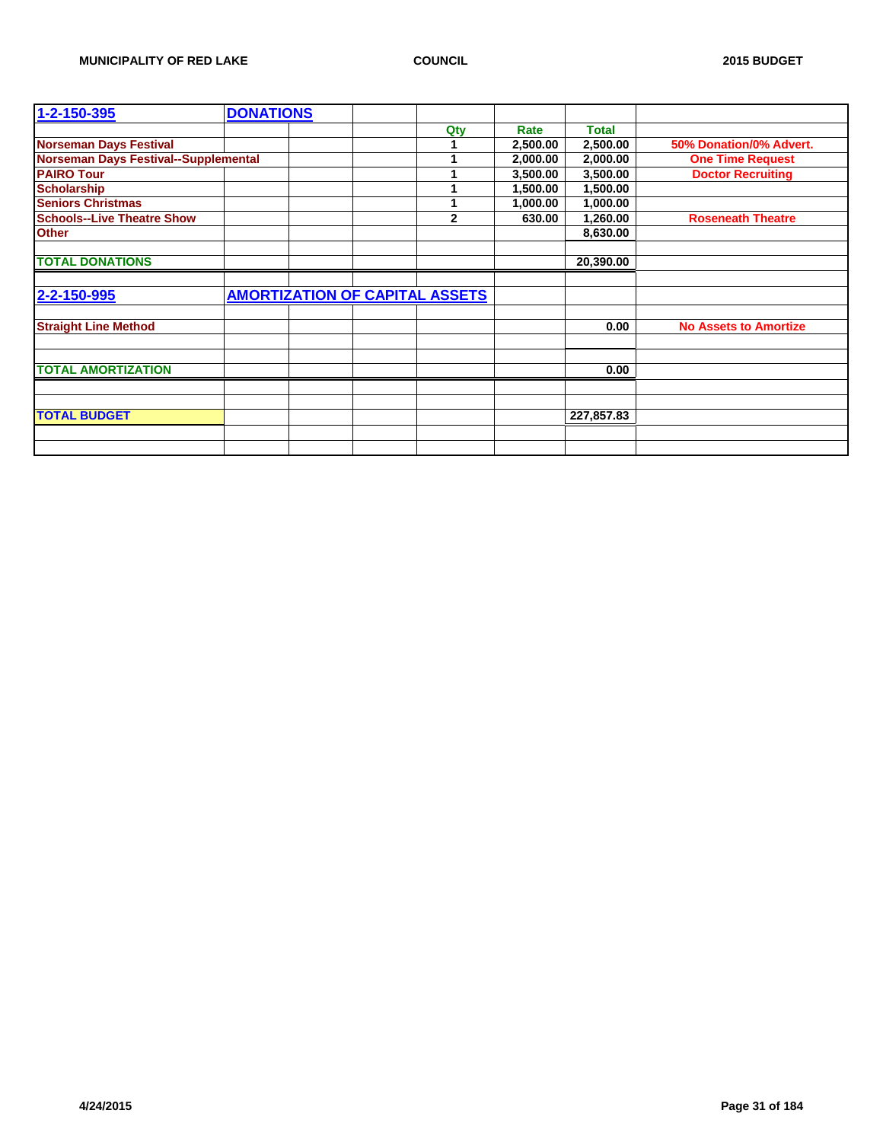| 1-2-150-395                                 | <b>DONATIONS</b> |                                       |          |              |                              |
|---------------------------------------------|------------------|---------------------------------------|----------|--------------|------------------------------|
|                                             |                  | Qty                                   | Rate     | <b>Total</b> |                              |
| <b>Norseman Days Festival</b>               |                  | 1                                     | 2,500.00 | 2,500.00     | 50% Donation/0% Advert.      |
| <b>Norseman Days Festival--Supplemental</b> |                  | 1                                     | 2,000.00 | 2,000.00     | <b>One Time Request</b>      |
| <b>PAIRO Tour</b>                           |                  | 1                                     | 3,500.00 | 3,500.00     | <b>Doctor Recruiting</b>     |
| <b>Scholarship</b>                          |                  |                                       | 1,500.00 | 1,500.00     |                              |
| <b>Seniors Christmas</b>                    |                  | 1                                     | 1,000.00 | 1,000.00     |                              |
| <b>Schools--Live Theatre Show</b>           |                  | $\mathbf{2}$                          | 630.00   | 1,260.00     | <b>Roseneath Theatre</b>     |
| <b>Other</b>                                |                  |                                       |          | 8,630.00     |                              |
|                                             |                  |                                       |          |              |                              |
| <b>TOTAL DONATIONS</b>                      |                  |                                       |          | 20,390.00    |                              |
|                                             |                  |                                       |          |              |                              |
| 2-2-150-995                                 |                  | <b>AMORTIZATION OF CAPITAL ASSETS</b> |          |              |                              |
|                                             |                  |                                       |          |              |                              |
| <b>Straight Line Method</b>                 |                  |                                       |          | 0.00         | <b>No Assets to Amortize</b> |
|                                             |                  |                                       |          |              |                              |
|                                             |                  |                                       |          |              |                              |
| <b>TOTAL AMORTIZATION</b>                   |                  |                                       |          | 0.00         |                              |
|                                             |                  |                                       |          |              |                              |
|                                             |                  |                                       |          |              |                              |
| <b>TOTAL BUDGET</b>                         |                  |                                       |          | 227,857.83   |                              |
|                                             |                  |                                       |          |              |                              |
|                                             |                  |                                       |          |              |                              |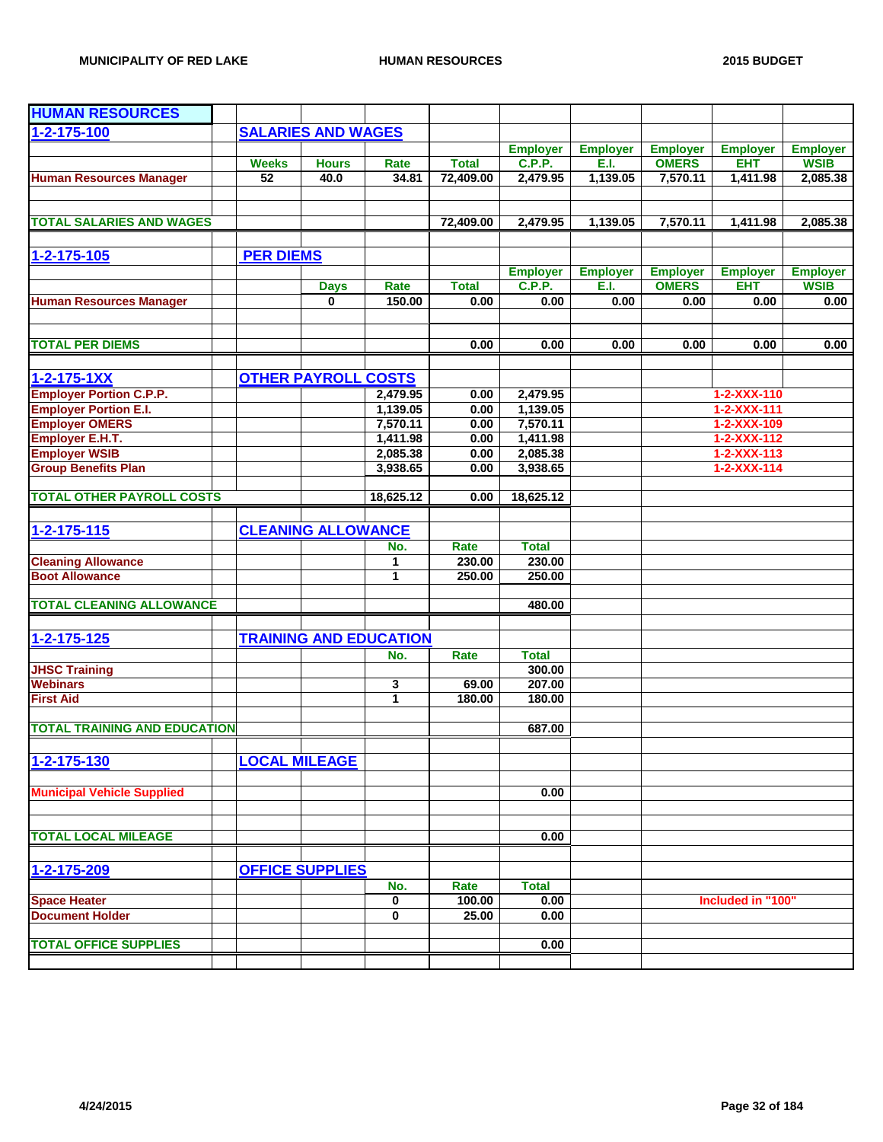| <b>HUMAN RESOURCES</b>                             |                      |                            |                               |                 |                        |                 |                 |                                            |                 |
|----------------------------------------------------|----------------------|----------------------------|-------------------------------|-----------------|------------------------|-----------------|-----------------|--------------------------------------------|-----------------|
| $1 - 2 - 175 - 100$                                |                      | <b>SALARIES AND WAGES</b>  |                               |                 |                        |                 |                 |                                            |                 |
|                                                    |                      |                            |                               |                 | <b>Employer</b>        | <b>Employer</b> | <b>Employer</b> | <b>Employer</b>                            | <b>Employer</b> |
|                                                    | <b>Weeks</b>         | <b>Hours</b>               | Rate                          | <b>Total</b>    | <b>C.P.P.</b>          | E.I.            | <b>OMERS</b>    | <b>EHT</b>                                 | <b>WSIB</b>     |
| <b>Human Resources Manager</b>                     | 52                   | 40.0                       | 34.81                         | 72,409.00       | 2,479.95               | 1,139.05        | 7,570.11        | 1,411.98                                   | 2,085.38        |
| <b>TOTAL SALARIES AND WAGES</b>                    |                      |                            |                               | 72,409.00       | 2,479.95               | 1,139.05        | 7,570.11        | 1,411.98                                   | 2,085.38        |
|                                                    |                      |                            |                               |                 |                        |                 |                 |                                            |                 |
| $1 - 2 - 175 - 105$                                | <b>PER DIEMS</b>     |                            |                               |                 |                        |                 |                 |                                            |                 |
|                                                    |                      |                            |                               |                 | <b>Employer</b>        | <b>Employer</b> | <b>Employer</b> | <b>Employer</b>                            | <b>Employer</b> |
|                                                    |                      | <b>Days</b>                | Rate                          | <b>Total</b>    | C.P.P.                 | E.I.            | <b>OMERS</b>    | <b>EHT</b>                                 | <b>WSIB</b>     |
| <b>Human Resources Manager</b>                     |                      | $\bf{0}$                   | 150.00                        | 0.00            | 0.00                   | 0.00            | 0.00            | 0.00                                       | 0.00            |
| <b>TOTAL PER DIEMS</b>                             |                      |                            |                               | 0.00            | 0.00                   | 0.00            | 0.00            | 0.00                                       | 0.00            |
|                                                    |                      |                            |                               |                 |                        |                 |                 |                                            |                 |
| $1 - 2 - 175 - 1XX$                                |                      | <b>OTHER PAYROLL COSTS</b> |                               |                 |                        |                 |                 |                                            |                 |
| <b>Employer Portion C.P.P.</b>                     |                      |                            | 2,479.95                      | 0.00            | 2,479.95               |                 |                 | 1-2-XXX-110                                |                 |
| <b>Employer Portion E.I.</b>                       |                      |                            | 1,139.05                      | 0.00            | 1,139.05               |                 |                 | 1-2-XXX-111                                |                 |
| <b>Employer OMERS</b>                              |                      |                            | 7,570.11                      | 0.00            | 7,570.11               |                 |                 | 1-2-XXX-109                                |                 |
| <b>Employer E.H.T.</b>                             |                      |                            | 1,411.98                      | 0.00            | 1,411.98               |                 |                 | $1 - 2 - XXX - 112$                        |                 |
| <b>Employer WSIB</b><br><b>Group Benefits Plan</b> |                      |                            | 2,085.38<br>3,938.65          | 0.00<br>0.00    | 2,085.38<br>3,938.65   |                 |                 | $1 - 2 - XXX - 113$<br>$1 - 2 - XXX - 114$ |                 |
|                                                    |                      |                            |                               |                 |                        |                 |                 |                                            |                 |
| <b>TOTAL OTHER PAYROLL COSTS</b>                   |                      |                            | 18,625.12                     | 0.00            | 18,625.12              |                 |                 |                                            |                 |
|                                                    |                      |                            |                               |                 |                        |                 |                 |                                            |                 |
| $1 - 2 - 175 - 115$                                |                      | <b>CLEANING ALLOWANCE</b>  |                               |                 |                        |                 |                 |                                            |                 |
| <b>Cleaning Allowance</b>                          |                      |                            | No.                           | Rate<br>230.00  | <b>Total</b><br>230.00 |                 |                 |                                            |                 |
| <b>Boot Allowance</b>                              |                      |                            | 1<br>1                        | 250.00          | 250.00                 |                 |                 |                                            |                 |
|                                                    |                      |                            |                               |                 |                        |                 |                 |                                            |                 |
| <b>TOTAL CLEANING ALLOWANCE</b>                    |                      |                            |                               |                 | 480.00                 |                 |                 |                                            |                 |
|                                                    |                      |                            |                               |                 |                        |                 |                 |                                            |                 |
| $1 - 2 - 175 - 125$                                |                      |                            | <b>TRAINING AND EDUCATION</b> |                 |                        |                 |                 |                                            |                 |
|                                                    |                      |                            | No.                           | Rate            | <b>Total</b><br>300.00 |                 |                 |                                            |                 |
| <b>JHSC Training</b><br><b>Webinars</b>            |                      |                            | 3                             | 69.00           | 207.00                 |                 |                 |                                            |                 |
| <b>First Aid</b>                                   |                      |                            | $\mathbf{1}$                  | 180.00          | 180.00                 |                 |                 |                                            |                 |
| <b>TOTAL TRAINING AND EDUCATION</b>                |                      |                            |                               |                 | 687.00                 |                 |                 |                                            |                 |
|                                                    |                      |                            |                               |                 |                        |                 |                 |                                            |                 |
| 1-2-175-130                                        | <b>LOCAL MILEAGE</b> |                            |                               |                 |                        |                 |                 |                                            |                 |
| <b>Municipal Vehicle Supplied</b>                  |                      |                            |                               |                 | 0.00                   |                 |                 |                                            |                 |
|                                                    |                      |                            |                               |                 |                        |                 |                 |                                            |                 |
| <b>TOTAL LOCAL MILEAGE</b>                         |                      |                            |                               |                 | 0.00                   |                 |                 |                                            |                 |
|                                                    |                      |                            |                               |                 |                        |                 |                 |                                            |                 |
| 1-2-175-209                                        |                      | <b>OFFICE SUPPLIES</b>     |                               |                 |                        |                 |                 |                                            |                 |
|                                                    |                      |                            | No.                           | Rate            | <b>Total</b>           |                 |                 |                                            |                 |
| <b>Space Heater</b><br><b>Document Holder</b>      |                      |                            | 0<br>0                        | 100.00<br>25.00 | 0.00<br>0.00           |                 |                 | Included in "100"                          |                 |
|                                                    |                      |                            |                               |                 |                        |                 |                 |                                            |                 |
| <b>TOTAL OFFICE SUPPLIES</b>                       |                      |                            |                               |                 | 0.00                   |                 |                 |                                            |                 |
|                                                    |                      |                            |                               |                 |                        |                 |                 |                                            |                 |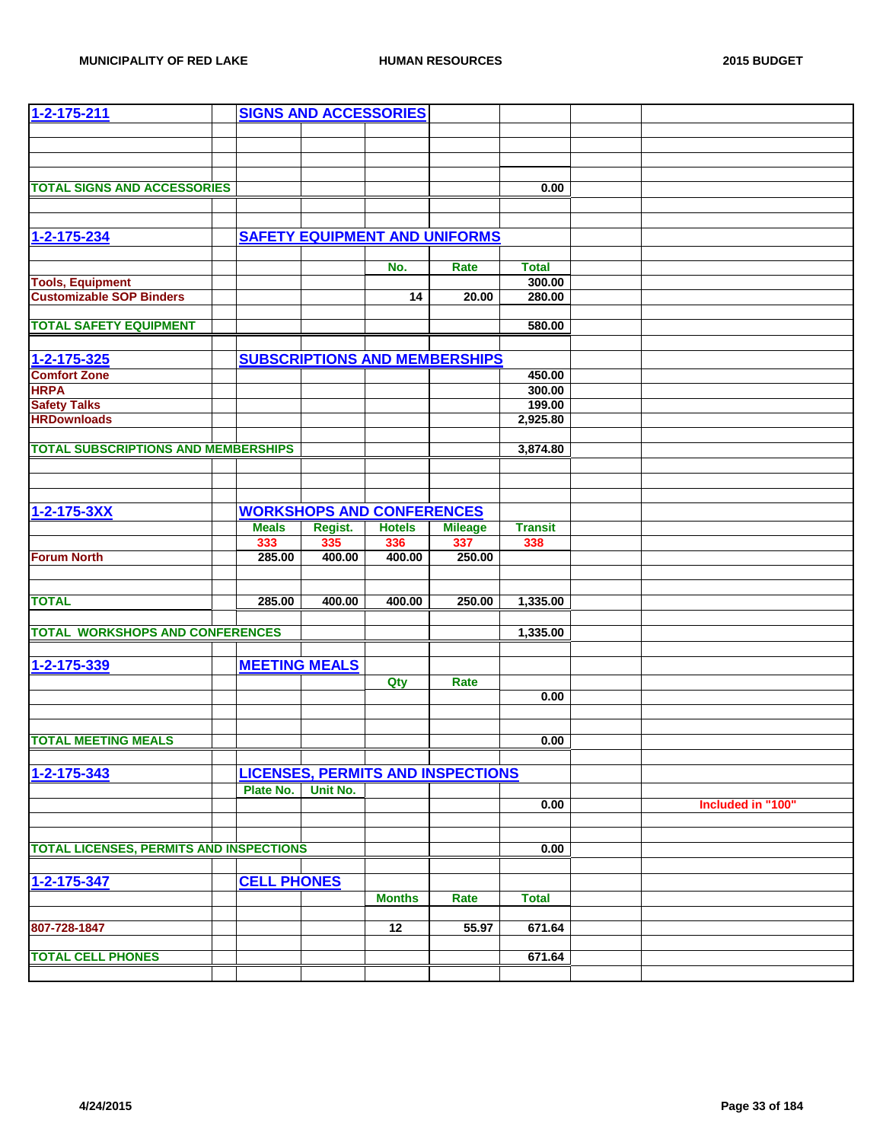| 1-2-175-211                                    | <b>SIGNS AND ACCESSORIES</b> |          |                                  |                                          |                |                   |
|------------------------------------------------|------------------------------|----------|----------------------------------|------------------------------------------|----------------|-------------------|
|                                                |                              |          |                                  |                                          |                |                   |
|                                                |                              |          |                                  |                                          |                |                   |
|                                                |                              |          |                                  |                                          |                |                   |
|                                                |                              |          |                                  |                                          |                |                   |
| <b>TOTAL SIGNS AND ACCESSORIES</b>             |                              |          |                                  |                                          | 0.00           |                   |
|                                                |                              |          |                                  |                                          |                |                   |
|                                                |                              |          |                                  |                                          |                |                   |
| 1-2-175-234                                    |                              |          |                                  | <b>SAFETY EQUIPMENT AND UNIFORMS</b>     |                |                   |
|                                                |                              |          |                                  |                                          |                |                   |
|                                                |                              |          | No.                              | Rate                                     | <b>Total</b>   |                   |
| <b>Tools, Equipment</b>                        |                              |          |                                  |                                          | 300.00         |                   |
| <b>Customizable SOP Binders</b>                |                              |          | 14                               | 20.00                                    | 280.00         |                   |
|                                                |                              |          |                                  |                                          |                |                   |
| <b>TOTAL SAFETY EQUIPMENT</b>                  |                              |          |                                  |                                          | 580.00         |                   |
|                                                |                              |          |                                  |                                          |                |                   |
| 1-2-175-325                                    |                              |          |                                  | <b>SUBSCRIPTIONS AND MEMBERSHIPS</b>     |                |                   |
| <b>Comfort Zone</b>                            |                              |          |                                  |                                          | 450.00         |                   |
| <b>HRPA</b>                                    |                              |          |                                  |                                          | 300.00         |                   |
| <b>Safety Talks</b>                            |                              |          |                                  |                                          | 199.00         |                   |
| <b>HRDownloads</b>                             |                              |          |                                  |                                          | 2,925.80       |                   |
|                                                |                              |          |                                  |                                          |                |                   |
| <b>TOTAL SUBSCRIPTIONS AND MEMBERSHIPS</b>     |                              |          |                                  |                                          | 3,874.80       |                   |
|                                                |                              |          |                                  |                                          |                |                   |
|                                                |                              |          |                                  |                                          |                |                   |
|                                                |                              |          |                                  |                                          |                |                   |
| 1-2-175-3XX                                    |                              |          | <b>WORKSHOPS AND CONFERENCES</b> |                                          |                |                   |
|                                                | <b>Meals</b>                 | Regist.  | <b>Hotels</b>                    | <b>Mileage</b>                           | <b>Transit</b> |                   |
|                                                | 333                          | 335      | 336                              | 337                                      | 338            |                   |
| <b>Forum North</b>                             | 285.00                       | 400.00   | 400.00                           | 250.00                                   |                |                   |
|                                                |                              |          |                                  |                                          |                |                   |
|                                                |                              |          |                                  |                                          |                |                   |
| <b>TOTAL</b>                                   | 285.00                       | 400.00   | 400.00                           | 250.00                                   | 1,335.00       |                   |
| <b>TOTAL WORKSHOPS AND CONFERENCES</b>         |                              |          |                                  |                                          |                |                   |
|                                                |                              |          |                                  |                                          | 1,335.00       |                   |
|                                                |                              |          |                                  |                                          |                |                   |
| 1-2-175-339                                    | <b>MEETING MEALS</b>         |          |                                  |                                          |                |                   |
|                                                |                              |          | Qty                              | Rate                                     |                |                   |
|                                                |                              |          |                                  |                                          | 0.00           |                   |
|                                                |                              |          |                                  |                                          |                |                   |
|                                                |                              |          |                                  |                                          |                |                   |
| <b>TOTAL MEETING MEALS</b>                     |                              |          |                                  |                                          | 0.00           |                   |
|                                                |                              |          |                                  |                                          |                |                   |
| 1-2-175-343                                    |                              |          |                                  | <b>LICENSES, PERMITS AND INSPECTIONS</b> |                |                   |
|                                                | Plate No.                    | Unit No. |                                  |                                          |                |                   |
|                                                |                              |          |                                  |                                          | 0.00           | Included in "100" |
|                                                |                              |          |                                  |                                          |                |                   |
| <b>TOTAL LICENSES, PERMITS AND INSPECTIONS</b> |                              |          |                                  |                                          |                |                   |
|                                                |                              |          |                                  |                                          | 0.00           |                   |
|                                                |                              |          |                                  |                                          |                |                   |
| 1-2-175-347                                    | <b>CELL PHONES</b>           |          |                                  |                                          |                |                   |
|                                                |                              |          | <b>Months</b>                    | Rate                                     | <b>Total</b>   |                   |
|                                                |                              |          |                                  |                                          |                |                   |
| 807-728-1847                                   |                              |          | 12                               | 55.97                                    | 671.64         |                   |
|                                                |                              |          |                                  |                                          |                |                   |
| <b>TOTAL CELL PHONES</b>                       |                              |          |                                  |                                          | 671.64         |                   |
|                                                |                              |          |                                  |                                          |                |                   |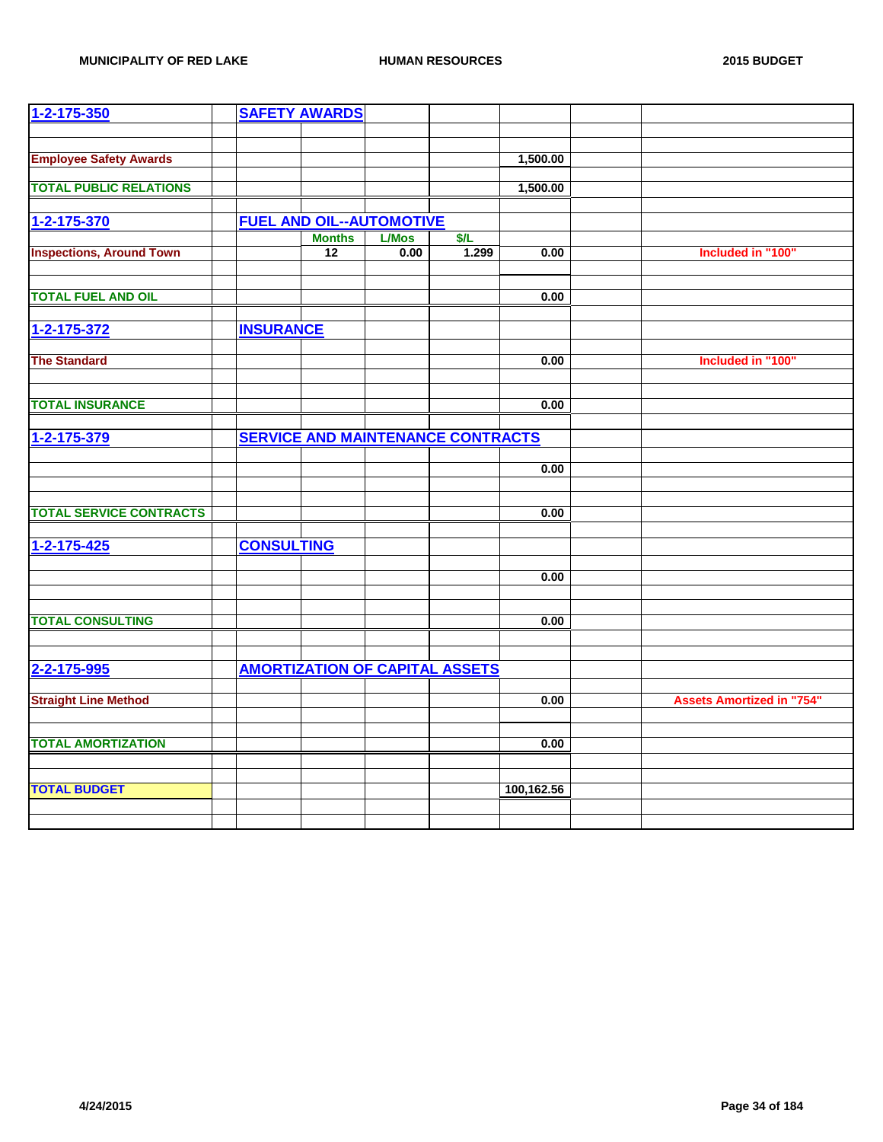| 1-2-175-350                     |                   | <b>SAFETY AWARDS</b>                             |              |                                          |            |                                  |
|---------------------------------|-------------------|--------------------------------------------------|--------------|------------------------------------------|------------|----------------------------------|
|                                 |                   |                                                  |              |                                          |            |                                  |
| <b>Employee Safety Awards</b>   |                   |                                                  |              |                                          | 1,500.00   |                                  |
|                                 |                   |                                                  |              |                                          |            |                                  |
| <b>TOTAL PUBLIC RELATIONS</b>   |                   |                                                  |              |                                          | 1,500.00   |                                  |
|                                 |                   |                                                  |              |                                          |            |                                  |
| 1-2-175-370                     |                   | <b>FUEL AND OIL--AUTOMOTIVE</b><br><b>Months</b> | <b>L/Mos</b> | \$/L                                     |            |                                  |
| <b>Inspections, Around Town</b> |                   | 12                                               | 0.00         | 1.299                                    | 0.00       | Included in "100"                |
|                                 |                   |                                                  |              |                                          |            |                                  |
| <b>TOTAL FUEL AND OIL</b>       |                   |                                                  |              |                                          | 0.00       |                                  |
|                                 |                   |                                                  |              |                                          |            |                                  |
| 1-2-175-372                     | <b>INSURANCE</b>  |                                                  |              |                                          |            |                                  |
|                                 |                   |                                                  |              |                                          |            |                                  |
| <b>The Standard</b>             |                   |                                                  |              |                                          | 0.00       | Included in "100"                |
|                                 |                   |                                                  |              |                                          |            |                                  |
| <b>TOTAL INSURANCE</b>          |                   |                                                  |              |                                          | 0.00       |                                  |
|                                 |                   |                                                  |              |                                          |            |                                  |
| 1-2-175-379                     |                   |                                                  |              | <b>SERVICE AND MAINTENANCE CONTRACTS</b> |            |                                  |
|                                 |                   |                                                  |              |                                          | 0.00       |                                  |
|                                 |                   |                                                  |              |                                          |            |                                  |
|                                 |                   |                                                  |              |                                          |            |                                  |
| <b>TOTAL SERVICE CONTRACTS</b>  |                   |                                                  |              |                                          | 0.00       |                                  |
|                                 |                   |                                                  |              |                                          |            |                                  |
| $1 - 2 - 175 - 425$             | <b>CONSULTING</b> |                                                  |              |                                          |            |                                  |
|                                 |                   |                                                  |              |                                          | 0.00       |                                  |
|                                 |                   |                                                  |              |                                          |            |                                  |
| <b>TOTAL CONSULTING</b>         |                   |                                                  |              |                                          | 0.00       |                                  |
|                                 |                   |                                                  |              |                                          |            |                                  |
|                                 |                   |                                                  |              |                                          |            |                                  |
| 2-2-175-995                     |                   |                                                  |              | <b>AMORTIZATION OF CAPITAL ASSETS</b>    |            |                                  |
|                                 |                   |                                                  |              |                                          |            |                                  |
| <b>Straight Line Method</b>     |                   |                                                  |              |                                          | 0.00       | <b>Assets Amortized in "754"</b> |
|                                 |                   |                                                  |              |                                          |            |                                  |
| <b>TOTAL AMORTIZATION</b>       |                   |                                                  |              |                                          | 0.00       |                                  |
|                                 |                   |                                                  |              |                                          |            |                                  |
| <b>TOTAL BUDGET</b>             |                   |                                                  |              |                                          | 100,162.56 |                                  |
|                                 |                   |                                                  |              |                                          |            |                                  |
|                                 |                   |                                                  |              |                                          |            |                                  |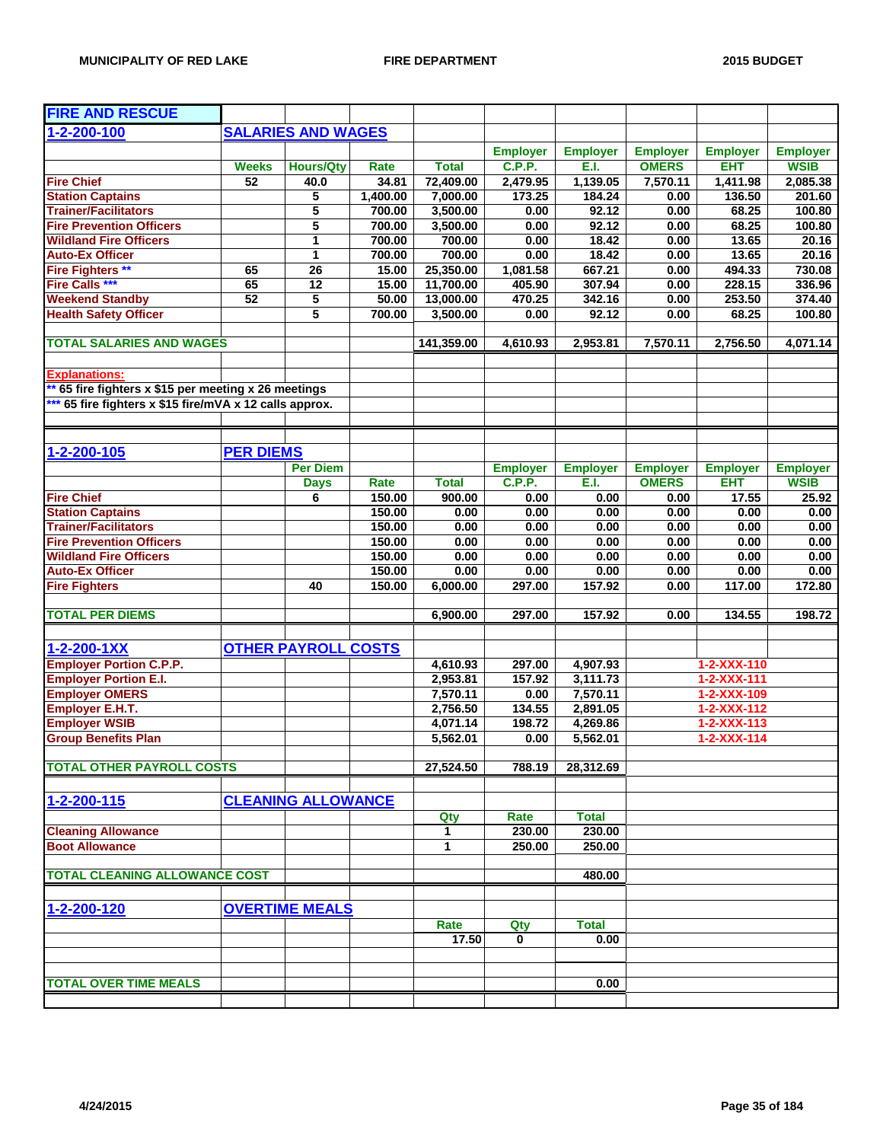| <b>FIRE AND RESCUE</b>                                  |                  |                            |             |              |                 |                 |                 |                     |                 |
|---------------------------------------------------------|------------------|----------------------------|-------------|--------------|-----------------|-----------------|-----------------|---------------------|-----------------|
| 1-2-200-100                                             |                  | <b>SALARIES AND WAGES</b>  |             |              |                 |                 |                 |                     |                 |
|                                                         |                  |                            |             |              | <b>Employer</b> | <b>Employer</b> | <b>Employer</b> | <b>Employer</b>     | <b>Employer</b> |
|                                                         | <b>Weeks</b>     |                            | <b>Rate</b> | <b>Total</b> | C.P.P.          | E.I.            | <b>OMERS</b>    | <b>EHT</b>          | <b>WSIB</b>     |
| <b>Fire Chief</b>                                       | $\overline{52}$  | <b>Hours/Qty</b><br>40.0   | 34.81       | 72,409.00    | 2,479.95        | 1,139.05        | 7,570.11        | 1,411.98            | 2,085.38        |
| <b>Station Captains</b>                                 |                  | 5                          | 1,400.00    | 7,000.00     | 173.25          | 184.24          | 0.00            | 136.50              | 201.60          |
| <b>Trainer/Facilitators</b>                             |                  | 5                          | 700.00      | 3,500.00     | 0.00            | 92.12           | 0.00            | 68.25               | 100.80          |
| <b>Fire Prevention Officers</b>                         |                  | 5                          | 700.00      | 3,500.00     | 0.00            | 92.12           | 0.00            | 68.25               | 100.80          |
| <b>Wildland Fire Officers</b>                           |                  | 1                          | 700.00      | 700.00       | 0.00            | 18.42           | 0.00            | 13.65               | 20.16           |
| <b>Auto-Ex Officer</b>                                  |                  | 1                          | 700.00      | 700.00       | 0.00            | 18.42           | 0.00            | 13.65               | 20.16           |
| <b>Fire Fighters **</b>                                 | 65               | 26                         | 15.00       | 25,350.00    | 1,081.58        | 667.21          | 0.00            | 494.33              | 730.08          |
| <b>Fire Calls ***</b>                                   | 65               | 12                         | 15.00       | 11,700.00    | 405.90          | 307.94          | 0.00            | 228.15              | 336.96          |
|                                                         | 52               | 5                          | 50.00       | 13,000.00    | 470.25          | 342.16          |                 | 253.50              |                 |
| <b>Weekend Standby</b><br><b>Health Safety Officer</b>  |                  | 5                          | 700.00      | 3,500.00     | 0.00            | 92.12           | 0.00<br>0.00    | 68.25               | 374.40          |
|                                                         |                  |                            |             |              |                 |                 |                 |                     | 100.80          |
| <b>TOTAL SALARIES AND WAGES</b>                         |                  |                            |             | 141,359.00   | 4,610.93        | 2,953.81        | 7,570.11        | 2,756.50            | 4,071.14        |
|                                                         |                  |                            |             |              |                 |                 |                 |                     |                 |
| <b>Explanations:</b>                                    |                  |                            |             |              |                 |                 |                 |                     |                 |
| 65 fire fighters x \$15 per meeting x 26 meetings       |                  |                            |             |              |                 |                 |                 |                     |                 |
| *** 65 fire fighters x \$15 fire/mVA x 12 calls approx. |                  |                            |             |              |                 |                 |                 |                     |                 |
|                                                         |                  |                            |             |              |                 |                 |                 |                     |                 |
|                                                         |                  |                            |             |              |                 |                 |                 |                     |                 |
| 1-2-200-105                                             | <b>PER DIEMS</b> |                            |             |              |                 |                 |                 |                     |                 |
|                                                         |                  | <b>Per Diem</b>            |             |              | <b>Employer</b> | <b>Employer</b> | <b>Employer</b> | <b>Employer</b>     | <b>Employer</b> |
|                                                         |                  | <b>Days</b>                | Rate        | <b>Total</b> | <b>C.P.P.</b>   | E.I.            | <b>OMERS</b>    | <b>EHT</b>          | <b>WSIB</b>     |
| <b>Fire Chief</b>                                       |                  | 6                          | 150.00      | 900.00       | 0.00            | 0.00            | 0.00            | 17.55               | 25.92           |
| <b>Station Captains</b>                                 |                  |                            | 150.00      | 0.00         | 0.00            | 0.00            | 0.00            | 0.00                | 0.00            |
| <b>Trainer/Facilitators</b>                             |                  |                            | 150.00      | 0.00         | 0.00            | 0.00            | 0.00            | 0.00                | 0.00            |
| <b>Fire Prevention Officers</b>                         |                  |                            | 150.00      | 0.00         | 0.00            | 0.00            | 0.00            | 0.00                | 0.00            |
| <b>Wildland Fire Officers</b>                           |                  |                            | 150.00      | 0.00         | 0.00            | 0.00            | 0.00            | 0.00                | 0.00            |
| <b>Auto-Ex Officer</b>                                  |                  |                            | 150.00      | 0.00         | 0.00            | 0.00            | 0.00            | 0.00                | 0.00            |
| <b>Fire Fighters</b>                                    |                  | 40                         | 150.00      | 6,000.00     | 297.00          | 157.92          | 0.00            | 117.00              | 172.80          |
|                                                         |                  |                            |             |              |                 |                 |                 |                     |                 |
| <b>TOTAL PER DIEMS</b>                                  |                  |                            |             | 6,900.00     | 297.00          | 157.92          | 0.00            | 134.55              | 198.72          |
| $1 - 2 - 200 - 1XX$                                     |                  | <b>OTHER PAYROLL COSTS</b> |             |              |                 |                 |                 |                     |                 |
| <b>Employer Portion C.P.P.</b>                          |                  |                            |             | 4,610.93     | 297.00          | 4,907.93        |                 | $1 - 2 - XXX - 110$ |                 |
| <b>Employer Portion E.I.</b>                            |                  |                            |             | 2,953.81     | 157.92          | 3,111.73        |                 | $1 - 2 - XXX - 111$ |                 |
| <b>Employer OMERS</b>                                   |                  |                            |             | 7,570.11     | 0.00            | 7,570.11        |                 | 1-2-XXX-109         |                 |
| Employer E.H.T.                                         |                  |                            |             | 2,756.50     | 134.55          | 2,891.05        |                 | 1-2-XXX-112         |                 |
| <b>Employer WSIB</b>                                    |                  |                            |             | 4,071.14     | 198.72          | 4,269.86        |                 | $1 - 2 - XXX - 113$ |                 |
| <b>Group Benefits Plan</b>                              |                  |                            |             | 5,562.01     | 0.00            | 5,562.01        |                 | $1 - 2 - XXX - 114$ |                 |
|                                                         |                  |                            |             |              |                 |                 |                 |                     |                 |
| <b>TOTAL OTHER PAYROLL COSTS</b>                        |                  |                            |             | 27,524.50    | 788.19          | 28,312.69       |                 |                     |                 |
|                                                         |                  |                            |             |              |                 |                 |                 |                     |                 |
| 1-2-200-115                                             |                  | <b>CLEANING ALLOWANCE</b>  |             |              |                 |                 |                 |                     |                 |
|                                                         |                  |                            |             | Qty          | Rate            | <b>Total</b>    |                 |                     |                 |
| <b>Cleaning Allowance</b>                               |                  |                            |             | 1            | 230.00          | 230.00          |                 |                     |                 |
| <b>Boot Allowance</b>                                   |                  |                            |             | 1            | 250.00          | 250.00          |                 |                     |                 |
| <b>TOTAL CLEANING ALLOWANCE COST</b>                    |                  |                            |             |              |                 | 480.00          |                 |                     |                 |
|                                                         |                  |                            |             |              |                 |                 |                 |                     |                 |
| 1-2-200-120                                             |                  | <b>OVERTIME MEALS</b>      |             |              |                 |                 |                 |                     |                 |
|                                                         |                  |                            |             | Rate         | Qty             | <b>Total</b>    |                 |                     |                 |
|                                                         |                  |                            |             | 17.50        | 0               | 0.00            |                 |                     |                 |
|                                                         |                  |                            |             |              |                 |                 |                 |                     |                 |
|                                                         |                  |                            |             |              |                 |                 |                 |                     |                 |
| <b>TOTAL OVER TIME MEALS</b>                            |                  |                            |             |              |                 | 0.00            |                 |                     |                 |
|                                                         |                  |                            |             |              |                 |                 |                 |                     |                 |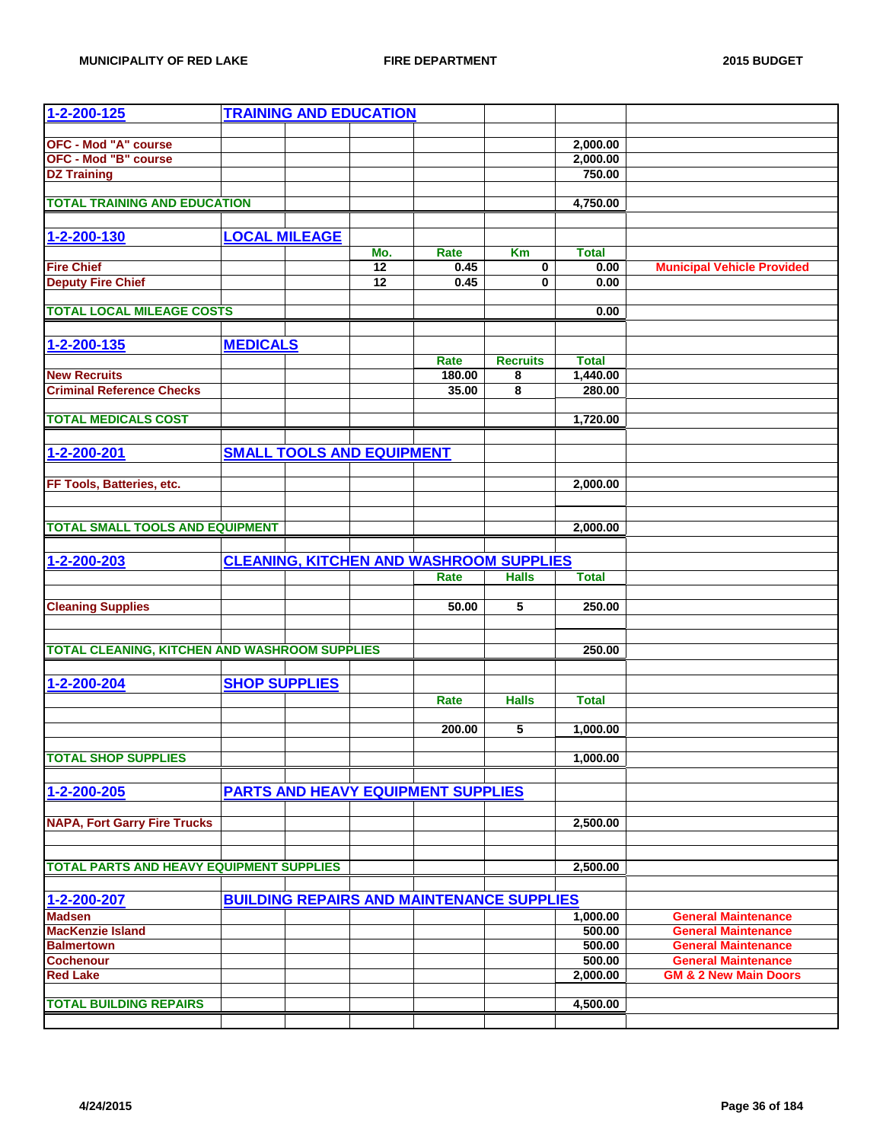| 1-2-200-125                                             |                      | <b>TRAINING AND EDUCATION</b>             |                 |                                                  |                    |                                                          |
|---------------------------------------------------------|----------------------|-------------------------------------------|-----------------|--------------------------------------------------|--------------------|----------------------------------------------------------|
|                                                         |                      |                                           |                 |                                                  |                    |                                                          |
| <b>OFC - Mod "A" course</b>                             |                      |                                           |                 |                                                  | 2,000.00           |                                                          |
| <b>OFC - Mod "B" course</b>                             |                      |                                           |                 |                                                  | 2,000.00           |                                                          |
| <b>DZ Training</b>                                      |                      |                                           |                 |                                                  | 750.00             |                                                          |
| <b>TOTAL TRAINING AND EDUCATION</b>                     |                      |                                           |                 |                                                  | 4,750.00           |                                                          |
|                                                         |                      |                                           |                 |                                                  |                    |                                                          |
| 1-2-200-130                                             | <b>LOCAL MILEAGE</b> |                                           |                 |                                                  |                    |                                                          |
|                                                         |                      | Mo.                                       | Rate            | Km                                               | <b>Total</b>       |                                                          |
| <b>Fire Chief</b>                                       |                      | $\overline{12}$                           | 0.45            | $\mathbf 0$                                      | 0.00               | <b>Municipal Vehicle Provided</b>                        |
| <b>Deputy Fire Chief</b>                                |                      | 12                                        | 0.45            | $\mathbf{0}$                                     | 0.00               |                                                          |
|                                                         |                      |                                           |                 |                                                  |                    |                                                          |
| <b>TOTAL LOCAL MILEAGE COSTS</b>                        |                      |                                           |                 |                                                  | 0.00               |                                                          |
|                                                         |                      |                                           |                 |                                                  |                    |                                                          |
| 1-2-200-135                                             | <b>MEDICALS</b>      |                                           |                 |                                                  |                    |                                                          |
|                                                         |                      |                                           | Rate            | <b>Recruits</b>                                  | <b>Total</b>       |                                                          |
| <b>New Recruits</b><br><b>Criminal Reference Checks</b> |                      |                                           | 180.00<br>35.00 | 8<br>8                                           | 1,440.00<br>280.00 |                                                          |
|                                                         |                      |                                           |                 |                                                  |                    |                                                          |
| <b>TOTAL MEDICALS COST</b>                              |                      |                                           |                 |                                                  | 1,720.00           |                                                          |
|                                                         |                      |                                           |                 |                                                  |                    |                                                          |
| 1-2-200-201                                             |                      | <b>SMALL TOOLS AND EQUIPMENT</b>          |                 |                                                  |                    |                                                          |
|                                                         |                      |                                           |                 |                                                  |                    |                                                          |
| FF Tools, Batteries, etc.                               |                      |                                           |                 |                                                  | 2,000.00           |                                                          |
|                                                         |                      |                                           |                 |                                                  |                    |                                                          |
|                                                         |                      |                                           |                 |                                                  |                    |                                                          |
| <b>TOTAL SMALL TOOLS AND EQUIPMENT</b>                  |                      |                                           |                 |                                                  | 2,000.00           |                                                          |
|                                                         |                      |                                           |                 |                                                  |                    |                                                          |
| 1-2-200-203                                             |                      |                                           |                 | <b>CLEANING, KITCHEN AND WASHROOM SUPPLIES</b>   |                    |                                                          |
|                                                         |                      |                                           | Rate            | <b>Halls</b>                                     | <b>Total</b>       |                                                          |
| <b>Cleaning Supplies</b>                                |                      |                                           | 50.00           | 5                                                | 250.00             |                                                          |
|                                                         |                      |                                           |                 |                                                  |                    |                                                          |
|                                                         |                      |                                           |                 |                                                  |                    |                                                          |
| <b>TOTAL CLEANING, KITCHEN AND WASHROOM SUPPLIES</b>    |                      |                                           |                 |                                                  | 250.00             |                                                          |
|                                                         |                      |                                           |                 |                                                  |                    |                                                          |
| 1-2-200-204                                             | <b>SHOP SUPPLIES</b> |                                           |                 |                                                  |                    |                                                          |
|                                                         |                      |                                           | Rate            | <b>Halls</b>                                     | <b>Total</b>       |                                                          |
|                                                         |                      |                                           |                 |                                                  |                    |                                                          |
|                                                         |                      |                                           | 200.00          | 5                                                | 1,000.00           |                                                          |
| <b>TOTAL SHOP SUPPLIES</b>                              |                      |                                           |                 |                                                  | 1,000.00           |                                                          |
|                                                         |                      |                                           |                 |                                                  |                    |                                                          |
| 1-2-200-205                                             |                      | <b>PARTS AND HEAVY EQUIPMENT SUPPLIES</b> |                 |                                                  |                    |                                                          |
|                                                         |                      |                                           |                 |                                                  |                    |                                                          |
| <b>NAPA, Fort Garry Fire Trucks</b>                     |                      |                                           |                 |                                                  | 2,500.00           |                                                          |
|                                                         |                      |                                           |                 |                                                  |                    |                                                          |
|                                                         |                      |                                           |                 |                                                  |                    |                                                          |
| TOTAL PARTS AND HEAVY EQUIPMENT SUPPLIES                |                      |                                           |                 |                                                  | 2,500.00           |                                                          |
|                                                         |                      |                                           |                 |                                                  |                    |                                                          |
| 1-2-200-207                                             |                      |                                           |                 | <b>BUILDING REPAIRS AND MAINTENANCE SUPPLIES</b> |                    |                                                          |
| <b>Madsen</b><br><b>MacKenzie Island</b>                |                      |                                           |                 |                                                  | 1,000.00<br>500.00 | <b>General Maintenance</b><br><b>General Maintenance</b> |
| <b>Balmertown</b>                                       |                      |                                           |                 |                                                  | 500.00             | <b>General Maintenance</b>                               |
| <b>Cochenour</b>                                        |                      |                                           |                 |                                                  | 500.00             | <b>General Maintenance</b>                               |
| <b>Red Lake</b>                                         |                      |                                           |                 |                                                  | 2,000.00           | <b>GM &amp; 2 New Main Doors</b>                         |
|                                                         |                      |                                           |                 |                                                  |                    |                                                          |
| <b>TOTAL BUILDING REPAIRS</b>                           |                      |                                           |                 |                                                  | 4,500.00           |                                                          |
|                                                         |                      |                                           |                 |                                                  |                    |                                                          |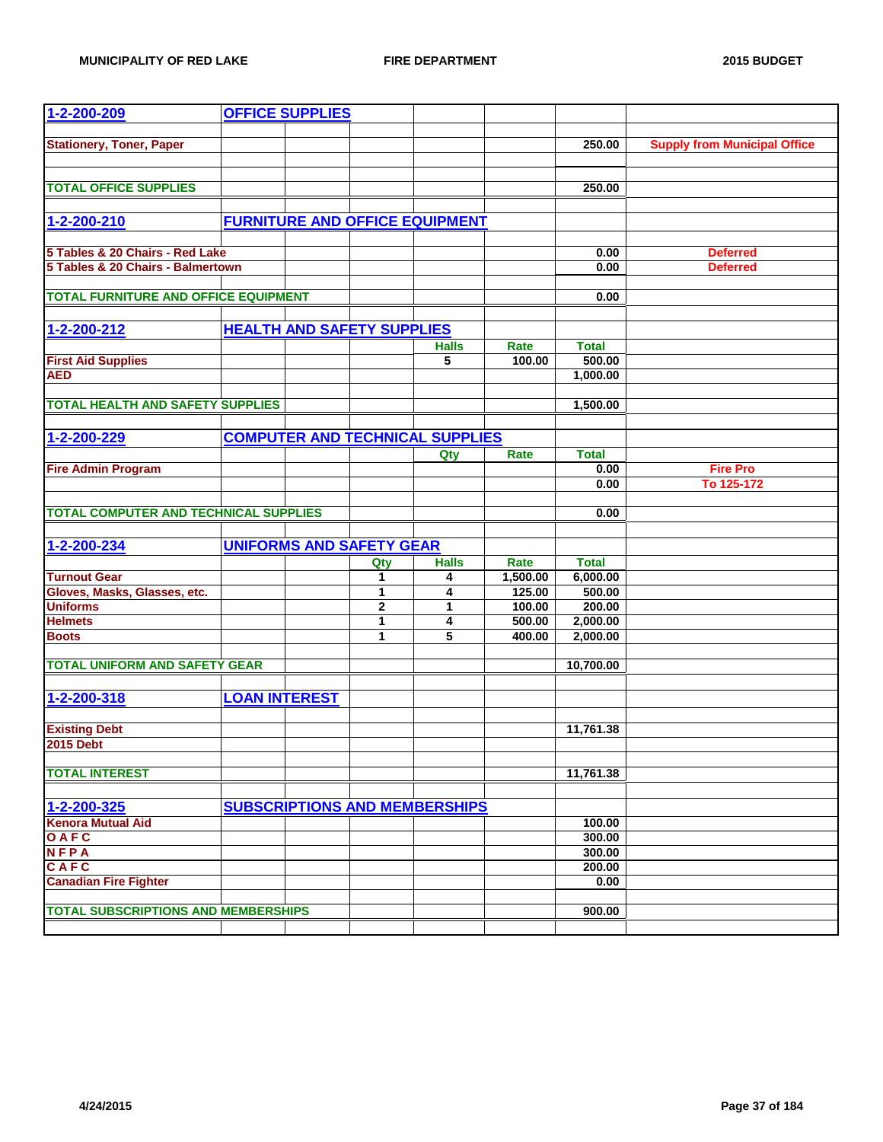| 1-2-200-209                                  |                      | <b>OFFICE SUPPLIES</b>                 |              |              |          |              |                                     |
|----------------------------------------------|----------------------|----------------------------------------|--------------|--------------|----------|--------------|-------------------------------------|
|                                              |                      |                                        |              |              |          |              |                                     |
| <b>Stationery, Toner, Paper</b>              |                      |                                        |              |              |          | 250.00       | <b>Supply from Municipal Office</b> |
|                                              |                      |                                        |              |              |          |              |                                     |
| <b>TOTAL OFFICE SUPPLIES</b>                 |                      |                                        |              |              |          | 250.00       |                                     |
|                                              |                      |                                        |              |              |          |              |                                     |
| 1-2-200-210                                  |                      | <b>FURNITURE AND OFFICE EQUIPMENT</b>  |              |              |          |              |                                     |
|                                              |                      |                                        |              |              |          |              |                                     |
| 5 Tables & 20 Chairs - Red Lake              |                      |                                        |              |              |          | 0.00         | <b>Deferred</b>                     |
| 5 Tables & 20 Chairs - Balmertown            |                      |                                        |              |              |          | 0.00         | <b>Deferred</b>                     |
|                                              |                      |                                        |              |              |          |              |                                     |
| <b>TOTAL FURNITURE AND OFFICE EQUIPMENT</b>  |                      |                                        |              |              |          | 0.00         |                                     |
|                                              |                      |                                        |              |              |          |              |                                     |
| 1-2-200-212                                  |                      | <b>HEALTH AND SAFETY SUPPLIES</b>      |              |              |          |              |                                     |
|                                              |                      |                                        |              | <b>Halls</b> | Rate     | <b>Total</b> |                                     |
| <b>First Aid Supplies</b>                    |                      |                                        |              | 5            | 100.00   | 500.00       |                                     |
| <b>AED</b>                                   |                      |                                        |              |              |          | 1,000.00     |                                     |
|                                              |                      |                                        |              |              |          |              |                                     |
| <b>TOTAL HEALTH AND SAFETY SUPPLIES</b>      |                      |                                        |              |              |          | 1,500.00     |                                     |
|                                              |                      |                                        |              |              |          |              |                                     |
| 1-2-200-229                                  |                      | <b>COMPUTER AND TECHNICAL SUPPLIES</b> |              |              |          |              |                                     |
|                                              |                      |                                        |              | Qty          | Rate     | <b>Total</b> |                                     |
| <b>Fire Admin Program</b>                    |                      |                                        |              |              |          | 0.00<br>0.00 | <b>Fire Pro</b><br>To 125-172       |
|                                              |                      |                                        |              |              |          |              |                                     |
| <b>TOTAL COMPUTER AND TECHNICAL SUPPLIES</b> |                      |                                        |              |              |          | 0.00         |                                     |
|                                              |                      |                                        |              |              |          |              |                                     |
| 1-2-200-234                                  |                      | <b>UNIFORMS AND SAFETY GEAR</b>        |              |              |          |              |                                     |
|                                              |                      |                                        | Qty          | <b>Halls</b> | Rate     | <b>Total</b> |                                     |
| <b>Turnout Gear</b>                          |                      |                                        | 1            | 4            | 1,500.00 | 6,000.00     |                                     |
| Gloves, Masks, Glasses, etc.                 |                      |                                        | 1            | 4            | 125.00   | 500.00       |                                     |
| <b>Uniforms</b>                              |                      |                                        | $\mathbf{2}$ | 1            | 100.00   | 200.00       |                                     |
| <b>Helmets</b>                               |                      |                                        | 1            | 4            | 500.00   | 2,000.00     |                                     |
| <b>Boots</b>                                 |                      |                                        | 1            | 5            | 400.00   | 2,000.00     |                                     |
|                                              |                      |                                        |              |              |          |              |                                     |
| <b>TOTAL UNIFORM AND SAFETY GEAR</b>         |                      |                                        |              |              |          | 10,700.00    |                                     |
|                                              |                      |                                        |              |              |          |              |                                     |
| 1-2-200-318                                  | <b>LOAN INTEREST</b> |                                        |              |              |          |              |                                     |
| <b>Existing Debt</b>                         |                      |                                        |              |              |          | 11,761.38    |                                     |
| <b>2015 Debt</b>                             |                      |                                        |              |              |          |              |                                     |
|                                              |                      |                                        |              |              |          |              |                                     |
| <b>TOTAL INTEREST</b>                        |                      |                                        |              |              |          | 11,761.38    |                                     |
|                                              |                      |                                        |              |              |          |              |                                     |
| 1-2-200-325                                  |                      | <b>SUBSCRIPTIONS AND MEMBERSHIPS</b>   |              |              |          |              |                                     |
| <b>Kenora Mutual Aid</b>                     |                      |                                        |              |              |          | 100.00       |                                     |
| OAFC                                         |                      |                                        |              |              |          | 300.00       |                                     |
| <b>NFPA</b>                                  |                      |                                        |              |              |          | 300.00       |                                     |
| CAFC                                         |                      |                                        |              |              |          | 200.00       |                                     |
| <b>Canadian Fire Fighter</b>                 |                      |                                        |              |              |          | 0.00         |                                     |
|                                              |                      |                                        |              |              |          |              |                                     |
| <b>TOTAL SUBSCRIPTIONS AND MEMBERSHIPS</b>   |                      |                                        |              |              |          | 900.00       |                                     |
|                                              |                      |                                        |              |              |          |              |                                     |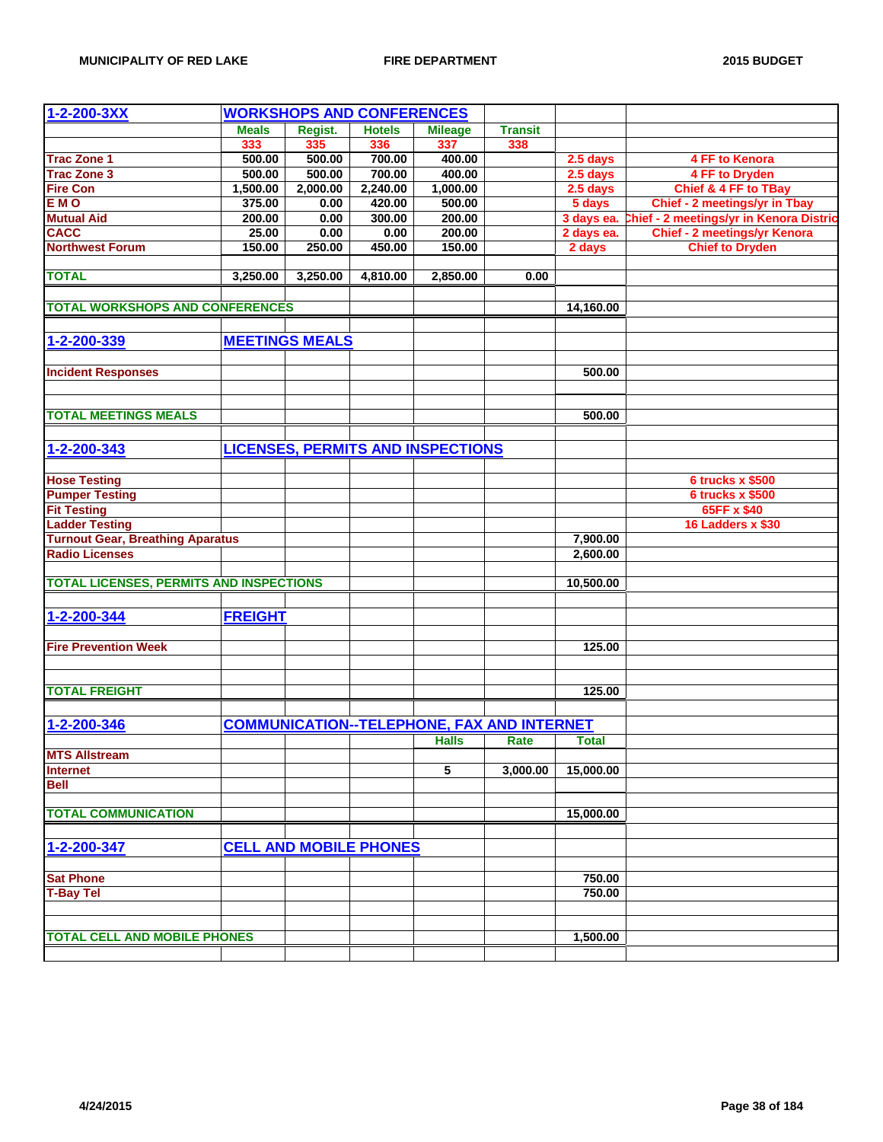| $1 - 2 - 200 - 3XX$                            |                | <b>WORKSHOPS AND CONFERENCES</b> |               |                                                   |                |              |                                         |
|------------------------------------------------|----------------|----------------------------------|---------------|---------------------------------------------------|----------------|--------------|-----------------------------------------|
|                                                | <b>Meals</b>   | Regist.                          | <b>Hotels</b> | <b>Mileage</b>                                    | <b>Transit</b> |              |                                         |
|                                                | 333            | 335                              | 336           | 337                                               | 338            |              |                                         |
| <b>Trac Zone 1</b>                             | 500.00         | 500.00                           | 700.00        | 400.00                                            |                | 2.5 days     | 4 FF to Kenora                          |
| <b>Trac Zone 3</b>                             | 500.00         | 500.00                           | 700.00        | 400.00                                            |                | 2.5 days     | 4 FF to Dryden                          |
| <b>Fire Con</b>                                | 1,500.00       | 2,000.00                         | 2,240.00      | 1,000.00                                          |                | 2.5 days     | Chief & 4 FF to TBay                    |
| <b>EMO</b>                                     | 375.00         | 0.00                             | 420.00        | 500.00                                            |                | 5 days       | <b>Chief - 2 meetings/yr in Tbay</b>    |
| <b>Mutual Aid</b>                              | 200.00         | 0.00                             | 300.00        | 200.00                                            |                | 3 days ea.   | Chief - 2 meetings/yr in Kenora Distric |
| <b>CACC</b>                                    | 25.00          | 0.00                             | 0.00          | 200.00                                            |                | 2 days ea.   | <b>Chief - 2 meetings/yr Kenora</b>     |
| <b>Northwest Forum</b>                         | 150.00         | 250.00                           | 450.00        | 150.00                                            |                | 2 days       | <b>Chief to Dryden</b>                  |
|                                                |                |                                  |               |                                                   |                |              |                                         |
| <b>TOTAL</b>                                   | 3,250.00       | 3,250.00                         | 4,810.00      | 2,850.00                                          | 0.00           |              |                                         |
|                                                |                |                                  |               |                                                   |                |              |                                         |
| <b>TOTAL WORKSHOPS AND CONFERENCES</b>         |                |                                  |               |                                                   |                | 14,160.00    |                                         |
|                                                |                |                                  |               |                                                   |                |              |                                         |
| 1-2-200-339                                    |                | <b>MEETINGS MEALS</b>            |               |                                                   |                |              |                                         |
| <b>Incident Responses</b>                      |                |                                  |               |                                                   |                | 500.00       |                                         |
|                                                |                |                                  |               |                                                   |                |              |                                         |
|                                                |                |                                  |               |                                                   |                |              |                                         |
| <b>TOTAL MEETINGS MEALS</b>                    |                |                                  |               |                                                   |                | 500.00       |                                         |
|                                                |                |                                  |               | <b>LICENSES, PERMITS AND INSPECTIONS</b>          |                |              |                                         |
| 1-2-200-343                                    |                |                                  |               |                                                   |                |              |                                         |
| <b>Hose Testing</b>                            |                |                                  |               |                                                   |                |              | <b>6 trucks x \$500</b>                 |
| <b>Pumper Testing</b>                          |                |                                  |               |                                                   |                |              | <b>6 trucks x \$500</b>                 |
| <b>Fit Testing</b>                             |                |                                  |               |                                                   |                |              | 65FF x \$40                             |
| <b>Ladder Testing</b>                          |                |                                  |               |                                                   |                |              | 16 Ladders x \$30                       |
| <b>Turnout Gear, Breathing Aparatus</b>        |                |                                  |               |                                                   |                | 7,900.00     |                                         |
| <b>Radio Licenses</b>                          |                |                                  |               |                                                   |                | 2,600.00     |                                         |
|                                                |                |                                  |               |                                                   |                |              |                                         |
| <b>TOTAL LICENSES, PERMITS AND INSPECTIONS</b> |                |                                  |               |                                                   |                | 10,500.00    |                                         |
|                                                |                |                                  |               |                                                   |                |              |                                         |
| 1-2-200-344                                    | <b>FREIGHT</b> |                                  |               |                                                   |                |              |                                         |
|                                                |                |                                  |               |                                                   |                |              |                                         |
| <b>Fire Prevention Week</b>                    |                |                                  |               |                                                   |                | 125.00       |                                         |
|                                                |                |                                  |               |                                                   |                |              |                                         |
| <b>TOTAL FREIGHT</b>                           |                |                                  |               |                                                   |                | 125.00       |                                         |
|                                                |                |                                  |               |                                                   |                |              |                                         |
| 1-2-200-346                                    |                |                                  |               | <b>COMMUNICATION--TELEPHONE, FAX AND INTERNET</b> |                |              |                                         |
|                                                |                |                                  |               | <b>Halls</b>                                      | Rate           | <b>Total</b> |                                         |
| <b>MTS Allstream</b>                           |                |                                  |               |                                                   |                |              |                                         |
| <b>Internet</b>                                |                |                                  |               | 5                                                 | 3,000.00       | 15,000.00    |                                         |
| <b>Bell</b>                                    |                |                                  |               |                                                   |                |              |                                         |
|                                                |                |                                  |               |                                                   |                |              |                                         |
| <b>TOTAL COMMUNICATION</b>                     |                |                                  |               |                                                   |                | 15,000.00    |                                         |
|                                                |                |                                  |               |                                                   |                |              |                                         |
| 1-2-200-347                                    |                | <b>CELL AND MOBILE PHONES</b>    |               |                                                   |                |              |                                         |
|                                                |                |                                  |               |                                                   |                |              |                                         |
| <b>Sat Phone</b>                               |                |                                  |               |                                                   |                | 750.00       |                                         |
| <b>T-Bay Tel</b>                               |                |                                  |               |                                                   |                | 750.00       |                                         |
|                                                |                |                                  |               |                                                   |                |              |                                         |
| <b>TOTAL CELL AND MOBILE PHONES</b>            |                |                                  |               |                                                   |                | 1,500.00     |                                         |
|                                                |                |                                  |               |                                                   |                |              |                                         |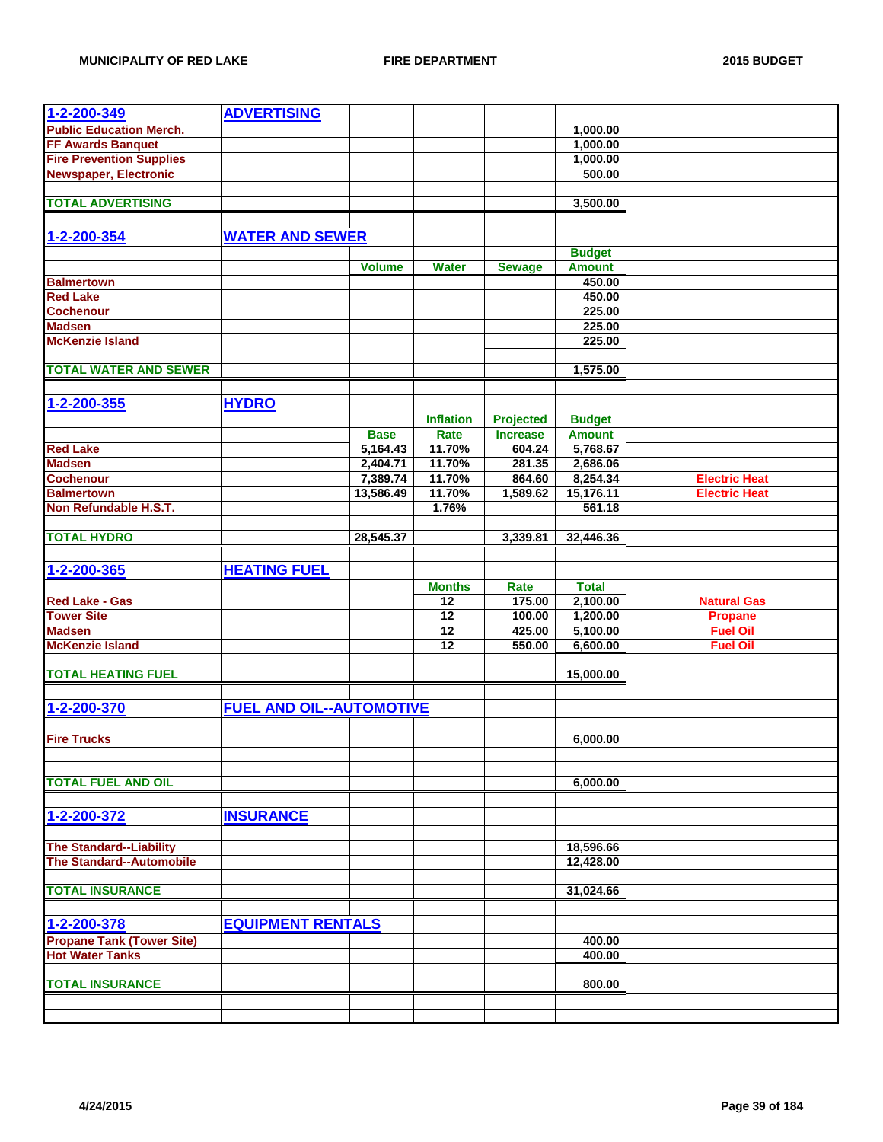| 1-2-200-349                      | <b>ADVERTISING</b>  |                          |                                 |                  |                  |               |                      |
|----------------------------------|---------------------|--------------------------|---------------------------------|------------------|------------------|---------------|----------------------|
| <b>Public Education Merch.</b>   |                     |                          |                                 |                  |                  | 1,000.00      |                      |
| <b>FF Awards Banquet</b>         |                     |                          |                                 |                  |                  | 1,000.00      |                      |
| <b>Fire Prevention Supplies</b>  |                     |                          |                                 |                  |                  | 1,000.00      |                      |
| <b>Newspaper, Electronic</b>     |                     |                          |                                 |                  |                  | 500.00        |                      |
|                                  |                     |                          |                                 |                  |                  |               |                      |
| <b>TOTAL ADVERTISING</b>         |                     |                          |                                 |                  |                  | 3,500.00      |                      |
|                                  |                     |                          |                                 |                  |                  |               |                      |
|                                  |                     |                          |                                 |                  |                  |               |                      |
| 1-2-200-354                      |                     | <b>WATER AND SEWER</b>   |                                 |                  |                  |               |                      |
|                                  |                     |                          |                                 |                  |                  | <b>Budget</b> |                      |
|                                  |                     |                          | Volume                          | <b>Water</b>     | <b>Sewage</b>    | <b>Amount</b> |                      |
| <b>Balmertown</b>                |                     |                          |                                 |                  |                  | 450.00        |                      |
| <b>Red Lake</b>                  |                     |                          |                                 |                  |                  | 450.00        |                      |
| <b>Cochenour</b>                 |                     |                          |                                 |                  |                  | 225.00        |                      |
| <b>Madsen</b>                    |                     |                          |                                 |                  |                  | 225.00        |                      |
| <b>McKenzie Island</b>           |                     |                          |                                 |                  |                  | 225.00        |                      |
|                                  |                     |                          |                                 |                  |                  |               |                      |
| <b>TOTAL WATER AND SEWER</b>     |                     |                          |                                 |                  |                  | 1,575.00      |                      |
|                                  |                     |                          |                                 |                  |                  |               |                      |
| 1-2-200-355                      | <b>HYDRO</b>        |                          |                                 |                  |                  |               |                      |
|                                  |                     |                          |                                 |                  |                  |               |                      |
|                                  |                     |                          |                                 | <b>Inflation</b> | <b>Projected</b> | <b>Budget</b> |                      |
|                                  |                     |                          | <b>Base</b>                     | Rate             | <b>Increase</b>  | <b>Amount</b> |                      |
| <b>Red Lake</b>                  |                     |                          | 5,164.43                        | 11.70%           | 604.24           | 5,768.67      |                      |
| <b>Madsen</b>                    |                     |                          | 2,404.71                        | 11.70%           | 281.35           | 2,686.06      |                      |
| <b>Cochenour</b>                 |                     |                          | 7,389.74                        | 11.70%           | 864.60           | 8,254.34      | <b>Electric Heat</b> |
| <b>Balmertown</b>                |                     |                          | 13,586.49                       | 11.70%           | 1,589.62         | 15,176.11     | <b>Electric Heat</b> |
| Non Refundable H.S.T.            |                     |                          |                                 | 1.76%            |                  | 561.18        |                      |
|                                  |                     |                          |                                 |                  |                  |               |                      |
| <b>TOTAL HYDRO</b>               |                     |                          | 28,545.37                       |                  | 3,339.81         | 32,446.36     |                      |
|                                  |                     |                          |                                 |                  |                  |               |                      |
| 1-2-200-365                      | <b>HEATING FUEL</b> |                          |                                 |                  |                  |               |                      |
|                                  |                     |                          |                                 | <b>Months</b>    | Rate             | <b>Total</b>  |                      |
|                                  |                     |                          |                                 |                  |                  |               |                      |
|                                  |                     |                          |                                 |                  |                  |               |                      |
| <b>Red Lake - Gas</b>            |                     |                          |                                 | $\overline{12}$  | 175.00           | 2,100.00      | <b>Natural Gas</b>   |
| <b>Tower Site</b>                |                     |                          |                                 | 12               | 100.00           | 1,200.00      | <b>Propane</b>       |
| <b>Madsen</b>                    |                     |                          |                                 | 12               | 425.00           | 5,100.00      | <b>Fuel Oil</b>      |
| <b>McKenzie Island</b>           |                     |                          |                                 | 12               | 550.00           | 6,600.00      | <b>Fuel Oil</b>      |
|                                  |                     |                          |                                 |                  |                  |               |                      |
| <b>TOTAL HEATING FUEL</b>        |                     |                          |                                 |                  |                  | 15,000.00     |                      |
|                                  |                     |                          |                                 |                  |                  |               |                      |
| 1-2-200-370                      |                     |                          | <b>FUEL AND OIL--AUTOMOTIVE</b> |                  |                  |               |                      |
|                                  |                     |                          |                                 |                  |                  |               |                      |
|                                  |                     |                          |                                 |                  |                  |               |                      |
| <b>Fire Trucks</b>               |                     |                          |                                 |                  |                  | 6,000.00      |                      |
|                                  |                     |                          |                                 |                  |                  |               |                      |
|                                  |                     |                          |                                 |                  |                  |               |                      |
| <b>TOTAL FUEL AND OIL</b>        |                     |                          |                                 |                  |                  | 6,000.00      |                      |
|                                  |                     |                          |                                 |                  |                  |               |                      |
| 1-2-200-372                      | <b>INSURANCE</b>    |                          |                                 |                  |                  |               |                      |
|                                  |                     |                          |                                 |                  |                  |               |                      |
| <b>The Standard--Liability</b>   |                     |                          |                                 |                  |                  | 18,596.66     |                      |
| <b>The Standard--Automobile</b>  |                     |                          |                                 |                  |                  | 12,428.00     |                      |
|                                  |                     |                          |                                 |                  |                  |               |                      |
| <b>TOTAL INSURANCE</b>           |                     |                          |                                 |                  |                  | 31,024.66     |                      |
|                                  |                     |                          |                                 |                  |                  |               |                      |
|                                  |                     |                          |                                 |                  |                  |               |                      |
| 1-2-200-378                      |                     | <b>EQUIPMENT RENTALS</b> |                                 |                  |                  |               |                      |
| <b>Propane Tank (Tower Site)</b> |                     |                          |                                 |                  |                  | 400.00        |                      |
| <b>Hot Water Tanks</b>           |                     |                          |                                 |                  |                  | 400.00        |                      |
|                                  |                     |                          |                                 |                  |                  |               |                      |
| <b>TOTAL INSURANCE</b>           |                     |                          |                                 |                  |                  | 800.00        |                      |
|                                  |                     |                          |                                 |                  |                  |               |                      |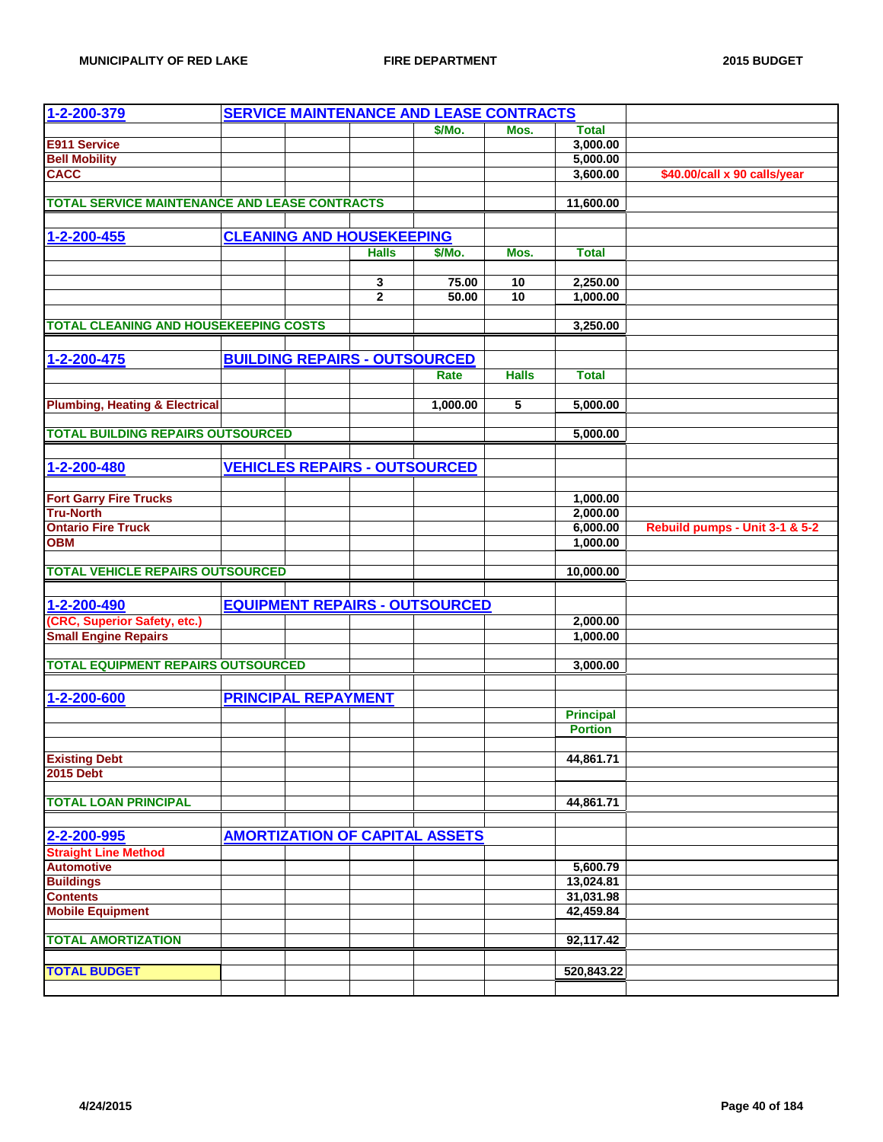| 1-2-200-379                                          |                            |                                  | <b>SERVICE MAINTENANCE AND LEASE CONTRACTS</b> |              |                  |                                |
|------------------------------------------------------|----------------------------|----------------------------------|------------------------------------------------|--------------|------------------|--------------------------------|
|                                                      |                            |                                  | \$/Mo.                                         | Mos.         | <b>Total</b>     |                                |
| E911 Service                                         |                            |                                  |                                                |              | 3,000.00         |                                |
| <b>Bell Mobility</b>                                 |                            |                                  |                                                |              | 5,000.00         |                                |
| <b>CACC</b>                                          |                            |                                  |                                                |              | 3,600.00         | \$40.00/call x 90 calls/year   |
|                                                      |                            |                                  |                                                |              |                  |                                |
| <b>TOTAL SERVICE MAINTENANCE AND LEASE CONTRACTS</b> |                            |                                  |                                                |              | 11,600.00        |                                |
|                                                      |                            |                                  |                                                |              |                  |                                |
| 1-2-200-455                                          |                            | <b>CLEANING AND HOUSEKEEPING</b> |                                                |              |                  |                                |
|                                                      |                            | <b>Halls</b>                     | \$/Mo.                                         | Mos.         | <b>Total</b>     |                                |
|                                                      |                            |                                  |                                                |              |                  |                                |
|                                                      |                            | 3                                | 75.00                                          | 10           | 2,250.00         |                                |
|                                                      |                            | $\overline{2}$                   | 50.00                                          | 10           | 1,000.00         |                                |
|                                                      |                            |                                  |                                                |              |                  |                                |
| <b>TOTAL CLEANING AND HOUSEKEEPING COSTS</b>         |                            |                                  |                                                |              | 3,250.00         |                                |
|                                                      |                            |                                  |                                                |              |                  |                                |
| 1-2-200-475                                          |                            |                                  | <b>BUILDING REPAIRS - OUTSOURCED</b>           |              |                  |                                |
|                                                      |                            |                                  | Rate                                           | <b>Halls</b> | <b>Total</b>     |                                |
|                                                      |                            |                                  |                                                |              |                  |                                |
| <b>Plumbing, Heating &amp; Electrical</b>            |                            |                                  | 1,000.00                                       | 5            | 5,000.00         |                                |
|                                                      |                            |                                  |                                                |              |                  |                                |
| <b>TOTAL BUILDING REPAIRS OUTSOURCED</b>             |                            |                                  |                                                |              | 5,000.00         |                                |
|                                                      |                            |                                  |                                                |              |                  |                                |
| 1-2-200-480                                          |                            |                                  | <b>VEHICLES REPAIRS - OUTSOURCED</b>           |              |                  |                                |
|                                                      |                            |                                  |                                                |              |                  |                                |
| <b>Fort Garry Fire Trucks</b>                        |                            |                                  |                                                |              | 1,000.00         |                                |
| <b>Tru-North</b>                                     |                            |                                  |                                                |              | 2,000.00         |                                |
| <b>Ontario Fire Truck</b>                            |                            |                                  |                                                |              | 6,000.00         | Rebuild pumps - Unit 3-1 & 5-2 |
| <b>OBM</b>                                           |                            |                                  |                                                |              | 1,000.00         |                                |
|                                                      |                            |                                  |                                                |              |                  |                                |
| <b>TOTAL VEHICLE REPAIRS OUTSOURCED</b>              |                            |                                  |                                                |              | 10,000.00        |                                |
|                                                      |                            |                                  |                                                |              |                  |                                |
| 1-2-200-490                                          |                            |                                  | <b>EQUIPMENT REPAIRS - OUTSOURCED</b>          |              |                  |                                |
| (CRC, Superior Safety, etc.)                         |                            |                                  |                                                |              | 2,000.00         |                                |
| <b>Small Engine Repairs</b>                          |                            |                                  |                                                |              | 1,000.00         |                                |
|                                                      |                            |                                  |                                                |              |                  |                                |
| <b>TOTAL EQUIPMENT REPAIRS OUTSOURCED</b>            |                            |                                  |                                                |              | 3,000.00         |                                |
|                                                      |                            |                                  |                                                |              |                  |                                |
| 1-2-200-600                                          | <b>PRINCIPAL REPAYMENT</b> |                                  |                                                |              |                  |                                |
|                                                      |                            |                                  |                                                |              | <b>Principal</b> |                                |
|                                                      |                            |                                  |                                                |              | <b>Portion</b>   |                                |
|                                                      |                            |                                  |                                                |              |                  |                                |
| <b>Existing Debt</b>                                 |                            |                                  |                                                |              | 44,861.71        |                                |
| <b>2015 Debt</b>                                     |                            |                                  |                                                |              |                  |                                |
|                                                      |                            |                                  |                                                |              |                  |                                |
| <b>TOTAL LOAN PRINCIPAL</b>                          |                            |                                  |                                                |              | 44,861.71        |                                |
|                                                      |                            |                                  |                                                |              |                  |                                |
| 2-2-200-995                                          |                            |                                  | <b>AMORTIZATION OF CAPITAL ASSETS</b>          |              |                  |                                |
| <b>Straight Line Method</b>                          |                            |                                  |                                                |              |                  |                                |
| <b>Automotive</b>                                    |                            |                                  |                                                |              | 5,600.79         |                                |
| <b>Buildings</b>                                     |                            |                                  |                                                |              | 13,024.81        |                                |
| <b>Contents</b>                                      |                            |                                  |                                                |              | 31,031.98        |                                |
| <b>Mobile Equipment</b>                              |                            |                                  |                                                |              | 42,459.84        |                                |
|                                                      |                            |                                  |                                                |              |                  |                                |
| <b>TOTAL AMORTIZATION</b>                            |                            |                                  |                                                |              | 92,117.42        |                                |
|                                                      |                            |                                  |                                                |              |                  |                                |
| <b>TOTAL BUDGET</b>                                  |                            |                                  |                                                |              | 520,843.22       |                                |
|                                                      |                            |                                  |                                                |              |                  |                                |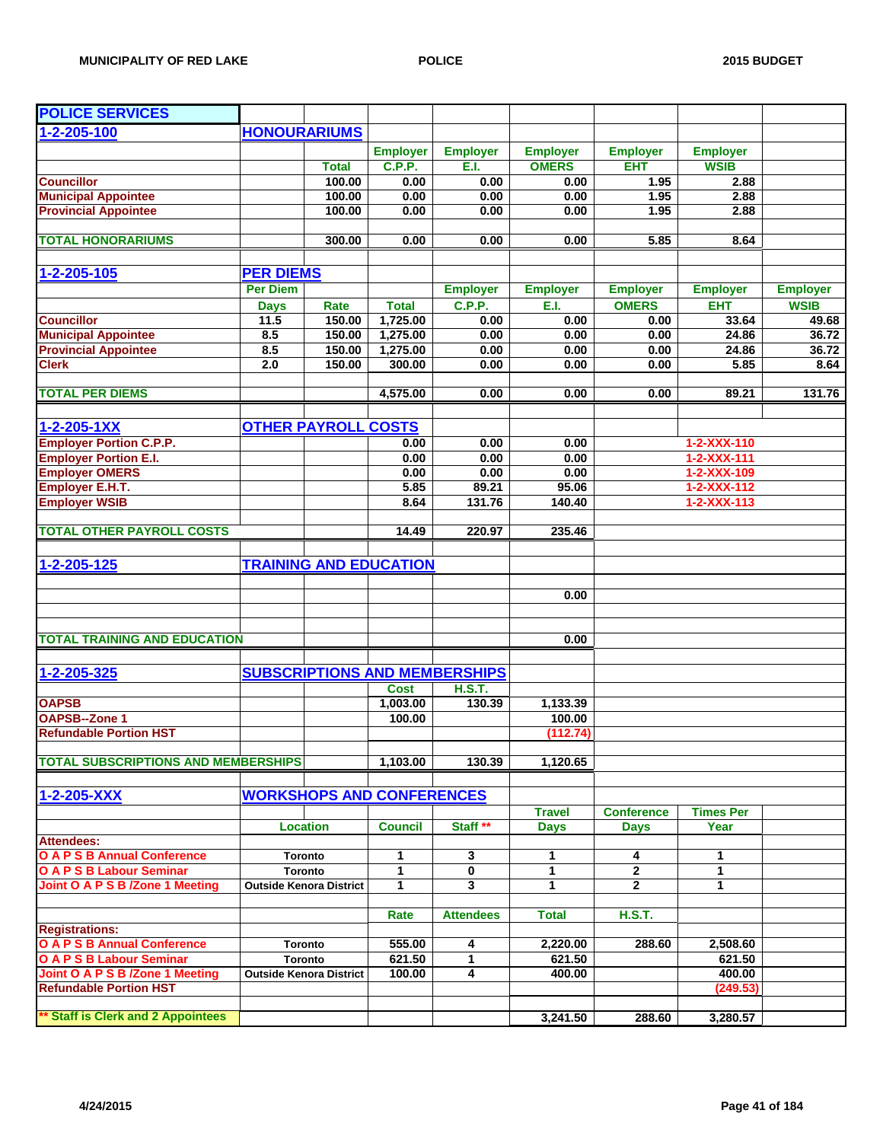| <b>POLICE SERVICES</b>                                      |                     |                                                  |                   |                                      |                 |                     |                     |                 |
|-------------------------------------------------------------|---------------------|--------------------------------------------------|-------------------|--------------------------------------|-----------------|---------------------|---------------------|-----------------|
| 1-2-205-100                                                 | <b>HONOURARIUMS</b> |                                                  |                   |                                      |                 |                     |                     |                 |
|                                                             |                     |                                                  | <b>Employer</b>   | <b>Employer</b>                      | <b>Employer</b> | <b>Employer</b>     | <b>Employer</b>     |                 |
|                                                             |                     | <b>Total</b>                                     | <b>C.P.P.</b>     | E.I.                                 | <b>OMERS</b>    | <b>EHT</b>          | <b>WSIB</b>         |                 |
| <b>Councillor</b>                                           |                     | 100.00                                           | 0.00              | 0.00                                 | 0.00            | 1.95                | 2.88                |                 |
| <b>Municipal Appointee</b>                                  |                     | 100.00                                           | 0.00              | 0.00                                 | 0.00            | 1.95                | 2.88                |                 |
| <b>Provincial Appointee</b>                                 |                     | 100.00                                           | 0.00              | 0.00                                 | 0.00            | 1.95                | 2.88                |                 |
|                                                             |                     |                                                  |                   |                                      |                 |                     |                     |                 |
| <b>TOTAL HONORARIUMS</b>                                    |                     | 300.00                                           | 0.00              | 0.00                                 | 0.00            | 5.85                | 8.64                |                 |
| $1 - 2 - 205 - 105$                                         | <b>PER DIEMS</b>    |                                                  |                   |                                      |                 |                     |                     |                 |
|                                                             | <b>Per Diem</b>     |                                                  |                   | <b>Employer</b>                      | <b>Employer</b> | <b>Employer</b>     | <b>Employer</b>     | <b>Employer</b> |
|                                                             | <b>Days</b>         | Rate                                             | <b>Total</b>      | C.P.P.                               | E.I.            | <b>OMERS</b>        | <b>EHT</b>          | <b>WSIB</b>     |
| <b>Councillor</b>                                           | 11.5                | 150.00                                           | 1,725.00          | 0.00                                 | 0.00            | 0.00                | 33.64               | 49.68           |
| <b>Municipal Appointee</b>                                  | 8.5                 | 150.00                                           | 1,275.00          | 0.00                                 | 0.00            | 0.00                | 24.86               | 36.72           |
| <b>Provincial Appointee</b>                                 | 8.5                 | 150.00                                           | 1,275.00          | 0.00                                 | 0.00            | 0.00                | 24.86               | 36.72           |
| <b>Clerk</b>                                                | 2.0                 | 150.00                                           | 300.00            | 0.00                                 | 0.00            | 0.00                | 5.85                | 8.64            |
| <b>TOTAL PER DIEMS</b>                                      |                     |                                                  | 4,575.00          | 0.00                                 | 0.00            | 0.00                | 89.21               | 131.76          |
|                                                             |                     |                                                  |                   |                                      |                 |                     |                     |                 |
| $1 - 2 - 205 - 1XX$                                         |                     | <b>OTHER PAYROLL COSTS</b>                       |                   |                                      |                 |                     |                     |                 |
| <b>Employer Portion C.P.P.</b>                              |                     |                                                  | 0.00              | 0.00                                 | 0.00            |                     | 1-2-XXX-110         |                 |
| <b>Employer Portion E.I.</b>                                |                     |                                                  | 0.00              | 0.00                                 | 0.00            |                     | 1-2-XXX-111         |                 |
| <b>Employer OMERS</b>                                       |                     |                                                  | 0.00              | 0.00                                 | 0.00            |                     | 1-2-XXX-109         |                 |
| Employer E.H.T.                                             |                     |                                                  | 5.85              | 89.21                                | 95.06           |                     | $1 - 2 - XXX - 112$ |                 |
| <b>Employer WSIB</b>                                        |                     |                                                  | 8.64              | 131.76                               | 140.40          |                     | $1 - 2 - XXX - 113$ |                 |
| <b>TOTAL OTHER PAYROLL COSTS</b>                            |                     |                                                  | 14.49             | 220.97                               | 235.46          |                     |                     |                 |
|                                                             |                     |                                                  |                   |                                      |                 |                     |                     |                 |
| 1-2-205-125                                                 |                     | <b>TRAINING AND EDUCATION</b>                    |                   |                                      |                 |                     |                     |                 |
|                                                             |                     |                                                  |                   |                                      |                 |                     |                     |                 |
|                                                             |                     |                                                  |                   |                                      | 0.00            |                     |                     |                 |
|                                                             |                     |                                                  |                   |                                      |                 |                     |                     |                 |
| <b>TOTAL TRAINING AND EDUCATION</b>                         |                     |                                                  |                   |                                      | 0.00            |                     |                     |                 |
|                                                             |                     |                                                  |                   |                                      |                 |                     |                     |                 |
| 1-2-205-325                                                 |                     |                                                  |                   | <b>SUBSCRIPTIONS AND MEMBERSHIPS</b> |                 |                     |                     |                 |
|                                                             |                     |                                                  | <b>Cost</b>       | <b>H.S.T.</b>                        |                 |                     |                     |                 |
| <b>OAPSB</b>                                                |                     |                                                  | 1,003.00          | 130.39                               | 1,133.39        |                     |                     |                 |
| <b>OAPSB--Zone 1</b>                                        |                     |                                                  | 100.00            |                                      | 100.00          |                     |                     |                 |
| <b>Refundable Portion HST</b>                               |                     |                                                  |                   |                                      | (112.74)        |                     |                     |                 |
| <b>TOTAL SUBSCRIPTIONS AND MEMBERSHIPS</b>                  |                     |                                                  | 1,103.00          | 130.39                               | 1,120.65        |                     |                     |                 |
|                                                             |                     |                                                  |                   |                                      |                 |                     |                     |                 |
| 1-2-205-XXX                                                 |                     | <b>WORKSHOPS AND CONFERENCES</b>                 |                   |                                      |                 |                     |                     |                 |
|                                                             |                     |                                                  |                   |                                      | <b>Travel</b>   | <b>Conference</b>   | <b>Times Per</b>    |                 |
|                                                             |                     | <b>Location</b>                                  | <b>Council</b>    | Staff **                             | <b>Days</b>     | <b>Days</b>         | Year                |                 |
| <b>Attendees:</b>                                           |                     |                                                  |                   |                                      |                 |                     |                     |                 |
| <b>O A P S B Annual Conference</b>                          |                     | <b>Toronto</b>                                   | 1                 | 3                                    | 1               | 4                   | 1                   |                 |
| O A P S B Labour Seminar<br>Joint O A P S B /Zone 1 Meeting |                     | <b>Toronto</b><br><b>Outside Kenora District</b> | 1<br>$\mathbf{1}$ | 0<br>3                               | 1<br>1          | 2<br>$\overline{2}$ | 1<br>1              |                 |
|                                                             |                     |                                                  |                   |                                      |                 |                     |                     |                 |
|                                                             |                     |                                                  | Rate              | <b>Attendees</b>                     | <b>Total</b>    | <b>H.S.T.</b>       |                     |                 |
| <b>Registrations:</b>                                       |                     |                                                  |                   |                                      |                 |                     |                     |                 |
| <b>O A P S B Annual Conference</b>                          |                     | <b>Toronto</b>                                   | 555.00            | 4                                    | 2,220.00        | 288.60              | 2,508.60            |                 |
| <b>O A P S B Labour Seminar</b>                             |                     | Toronto                                          | 621.50            | 1                                    | 621.50          |                     | 621.50              |                 |
| Joint O A P S B /Zone 1 Meeting                             |                     | <b>Outside Kenora District</b>                   | 100.00            | 4                                    | 400.00          |                     | 400.00              |                 |
| <b>Refundable Portion HST</b>                               |                     |                                                  |                   |                                      |                 |                     | (249.53)            |                 |
| ** Staff is Clerk and 2 Appointees                          |                     |                                                  |                   |                                      | 3,241.50        | 288.60              | 3,280.57            |                 |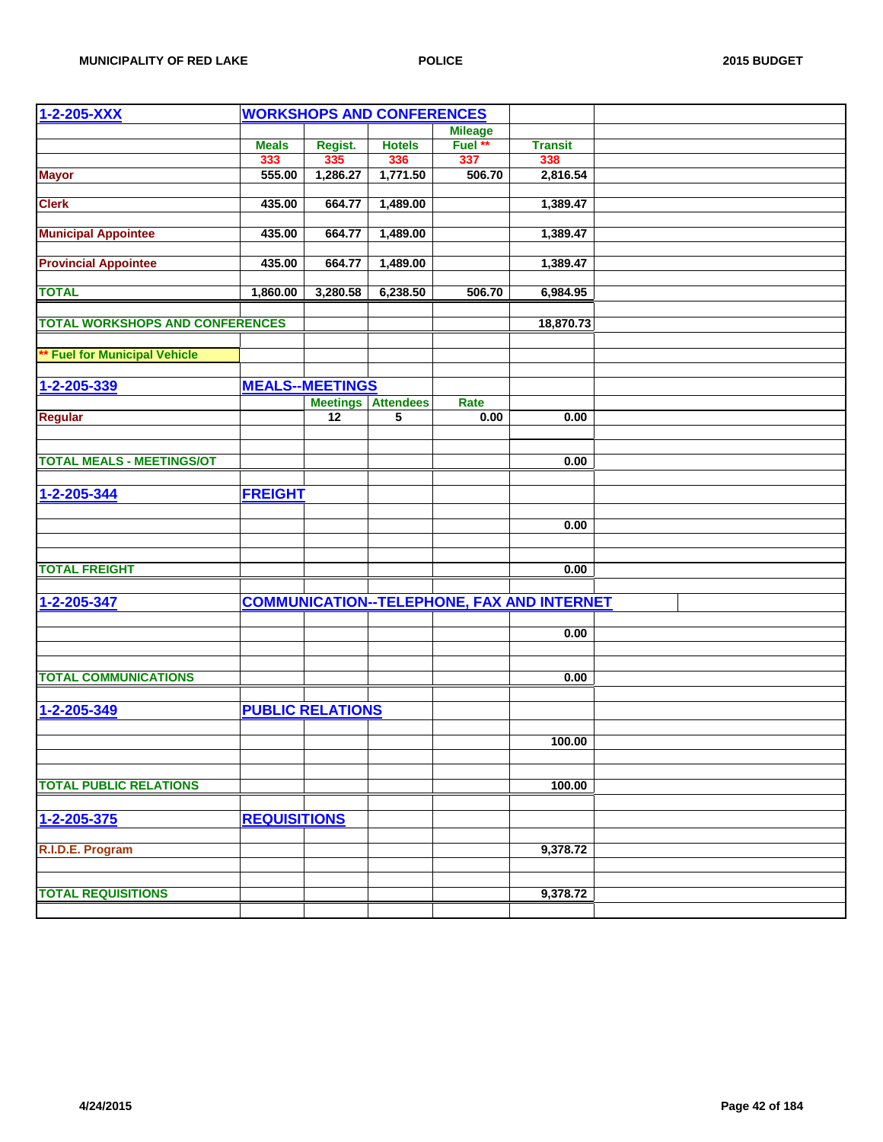| 1-2-205-XXX                            |                     |                         | <b>WORKSHOPS AND CONFERENCES</b>            |                |                                                   |  |
|----------------------------------------|---------------------|-------------------------|---------------------------------------------|----------------|---------------------------------------------------|--|
|                                        |                     |                         |                                             | <b>Mileage</b> |                                                   |  |
|                                        | <b>Meals</b>        | Regist.                 | <b>Hotels</b>                               | Fuel **        | <b>Transit</b>                                    |  |
|                                        | 333                 | 335                     | 336                                         | 337            | 338                                               |  |
| <b>Mayor</b>                           | 555.00              | 1,286.27                | 1,771.50                                    | 506.70         | 2,816.54                                          |  |
|                                        |                     |                         |                                             |                |                                                   |  |
| <b>Clerk</b>                           | 435.00              | 664.77                  | 1,489.00                                    |                | 1,389.47                                          |  |
|                                        |                     |                         |                                             |                |                                                   |  |
| <b>Municipal Appointee</b>             | 435.00              | 664.77                  | 1,489.00                                    |                | 1,389.47                                          |  |
|                                        |                     |                         |                                             |                |                                                   |  |
| <b>Provincial Appointee</b>            | 435.00              | 664.77                  | 1,489.00                                    |                | 1,389.47                                          |  |
|                                        |                     |                         |                                             |                |                                                   |  |
| <b>TOTAL</b>                           | 1,860.00            | 3,280.58                | 6,238.50                                    | 506.70         | 6,984.95                                          |  |
|                                        |                     |                         |                                             |                |                                                   |  |
| <b>TOTAL WORKSHOPS AND CONFERENCES</b> |                     |                         |                                             |                | 18,870.73                                         |  |
|                                        |                     |                         |                                             |                |                                                   |  |
| <b>Fuel for Municipal Vehicle</b>      |                     |                         |                                             |                |                                                   |  |
|                                        |                     |                         |                                             |                |                                                   |  |
| 1-2-205-339                            |                     | <b>MEALS--MEETINGS</b>  |                                             |                |                                                   |  |
|                                        |                     |                         |                                             | Rate           |                                                   |  |
|                                        |                     | 12                      | <b>Meetings Attendees</b><br>$\overline{5}$ | 0.00           | 0.00                                              |  |
| <b>Regular</b>                         |                     |                         |                                             |                |                                                   |  |
|                                        |                     |                         |                                             |                |                                                   |  |
| <b>TOTAL MEALS - MEETINGS/OT</b>       |                     |                         |                                             |                | 0.00                                              |  |
|                                        |                     |                         |                                             |                |                                                   |  |
|                                        |                     |                         |                                             |                |                                                   |  |
| 1-2-205-344                            | <b>FREIGHT</b>      |                         |                                             |                |                                                   |  |
|                                        |                     |                         |                                             |                |                                                   |  |
|                                        |                     |                         |                                             |                | 0.00                                              |  |
|                                        |                     |                         |                                             |                |                                                   |  |
|                                        |                     |                         |                                             |                |                                                   |  |
| <b>TOTAL FREIGHT</b>                   |                     |                         |                                             |                | 0.00                                              |  |
|                                        |                     |                         |                                             |                |                                                   |  |
| 1-2-205-347                            |                     |                         |                                             |                | <b>COMMUNICATION--TELEPHONE, FAX AND INTERNET</b> |  |
|                                        |                     |                         |                                             |                |                                                   |  |
|                                        |                     |                         |                                             |                | 0.00                                              |  |
|                                        |                     |                         |                                             |                |                                                   |  |
|                                        |                     |                         |                                             |                |                                                   |  |
| <b>TOTAL COMMUNICATIONS</b>            |                     |                         |                                             |                | 0.00                                              |  |
|                                        |                     |                         |                                             |                |                                                   |  |
| 1-2-205-349                            |                     | <b>PUBLIC RELATIONS</b> |                                             |                |                                                   |  |
|                                        |                     |                         |                                             |                |                                                   |  |
|                                        |                     |                         |                                             |                | 100.00                                            |  |
|                                        |                     |                         |                                             |                |                                                   |  |
|                                        |                     |                         |                                             |                |                                                   |  |
| <b>TOTAL PUBLIC RELATIONS</b>          |                     |                         |                                             |                | 100.00                                            |  |
|                                        |                     |                         |                                             |                |                                                   |  |
|                                        |                     |                         |                                             |                |                                                   |  |
| 1-2-205-375                            | <b>REQUISITIONS</b> |                         |                                             |                |                                                   |  |
|                                        |                     |                         |                                             |                |                                                   |  |
| R.I.D.E. Program                       |                     |                         |                                             |                | 9,378.72                                          |  |
|                                        |                     |                         |                                             |                |                                                   |  |
|                                        |                     |                         |                                             |                |                                                   |  |
| <b>TOTAL REQUISITIONS</b>              |                     |                         |                                             |                | 9,378.72                                          |  |
|                                        |                     |                         |                                             |                |                                                   |  |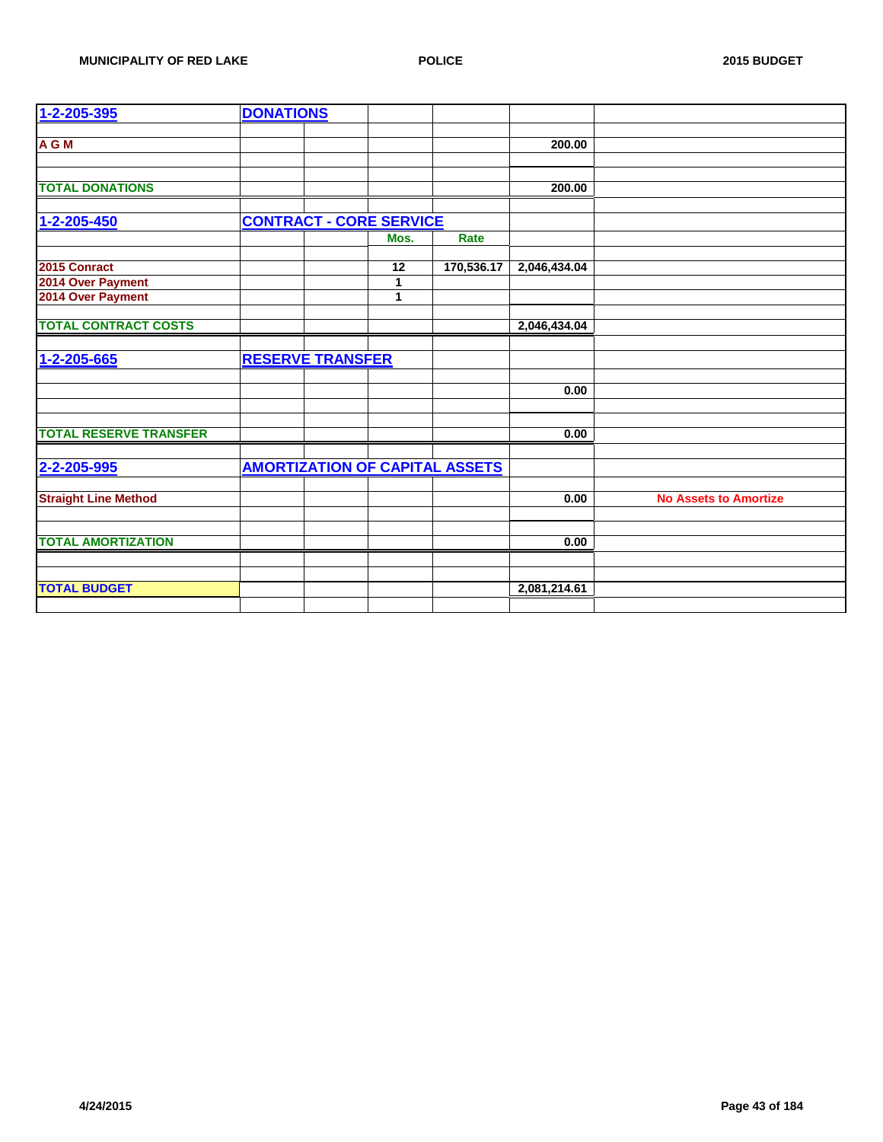| 1-2-205-395                   | <b>DONATIONS</b>                      |      |            |              |                              |
|-------------------------------|---------------------------------------|------|------------|--------------|------------------------------|
| A G M                         |                                       |      |            | 200.00       |                              |
| <b>TOTAL DONATIONS</b>        |                                       |      |            | 200.00       |                              |
|                               |                                       |      |            |              |                              |
| 1-2-205-450                   | <b>CONTRACT - CORE SERVICE</b>        |      |            |              |                              |
|                               |                                       | Mos. | Rate       |              |                              |
| 2015 Conract                  |                                       | 12   | 170,536.17 | 2,046,434.04 |                              |
| 2014 Over Payment             |                                       | 1    |            |              |                              |
| 2014 Over Payment             |                                       | 1    |            |              |                              |
| <b>TOTAL CONTRACT COSTS</b>   |                                       |      |            | 2,046,434.04 |                              |
| 1-2-205-665                   | <b>RESERVE TRANSFER</b>               |      |            |              |                              |
|                               |                                       |      |            |              |                              |
|                               |                                       |      |            | 0.00         |                              |
|                               |                                       |      |            |              |                              |
| <b>TOTAL RESERVE TRANSFER</b> |                                       |      |            | 0.00         |                              |
| 2-2-205-995                   | <b>AMORTIZATION OF CAPITAL ASSETS</b> |      |            |              |                              |
|                               |                                       |      |            |              |                              |
| <b>Straight Line Method</b>   |                                       |      |            | 0.00         | <b>No Assets to Amortize</b> |
|                               |                                       |      |            |              |                              |
| <b>TOTAL AMORTIZATION</b>     |                                       |      |            | 0.00         |                              |
|                               |                                       |      |            |              |                              |
| <b>TOTAL BUDGET</b>           |                                       |      |            | 2,081,214.61 |                              |
|                               |                                       |      |            |              |                              |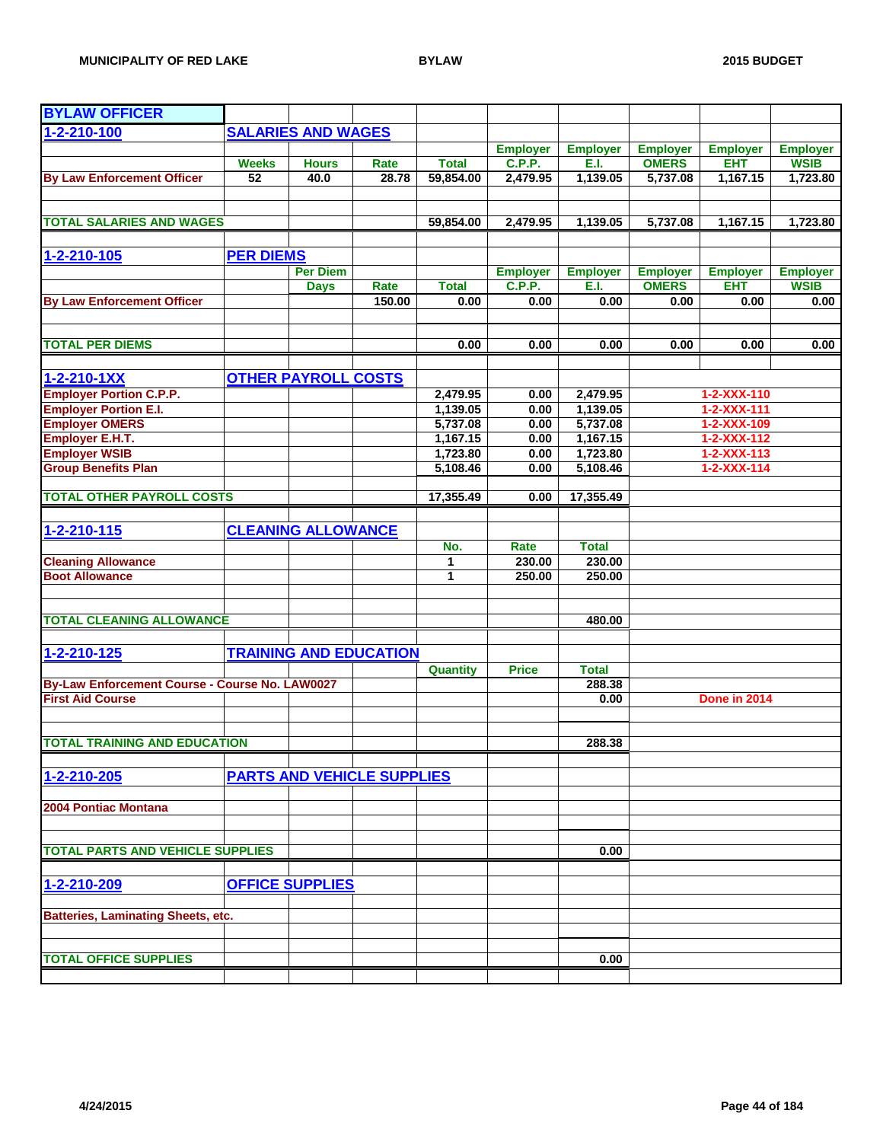| <b>BYLAW OFFICER</b>                               |                  |                                   |        |                      |                 |                      |                                 |                                            |                 |
|----------------------------------------------------|------------------|-----------------------------------|--------|----------------------|-----------------|----------------------|---------------------------------|--------------------------------------------|-----------------|
| 1-2-210-100                                        |                  | <b>SALARIES AND WAGES</b>         |        |                      |                 |                      |                                 |                                            |                 |
|                                                    |                  |                                   |        |                      | <b>Employer</b> | <b>Employer</b>      | <b>Employer</b>                 | <b>Employer</b>                            | <b>Employer</b> |
|                                                    | <b>Weeks</b>     | <b>Hours</b>                      | Rate   | <b>Total</b>         | <b>C.P.P.</b>   | E.I.                 | <b>OMERS</b>                    | <b>EHT</b>                                 | <b>WSIB</b>     |
| <b>By Law Enforcement Officer</b>                  | 52               | 40.0                              | 28.78  | 59,854.00            | 2,479.95        | 1,139.05             | 5,737.08                        | 1,167.15                                   | 1,723.80        |
|                                                    |                  |                                   |        |                      |                 |                      |                                 |                                            |                 |
| <b>TOTAL SALARIES AND WAGES</b>                    |                  |                                   |        | 59,854.00            | 2,479.95        | 1,139.05             | 5,737.08                        | 1,167.15                                   | 1,723.80        |
|                                                    |                  |                                   |        |                      |                 |                      |                                 |                                            |                 |
| 1-2-210-105                                        | <b>PER DIEMS</b> | <b>Per Diem</b>                   |        |                      | <b>Employer</b> | <b>Employer</b>      |                                 | <b>Employer</b>                            | <b>Employer</b> |
|                                                    |                  | <b>Days</b>                       | Rate   | <b>Total</b>         | C.P.P.          | E.I.                 | <b>Employer</b><br><b>OMERS</b> | <b>EHT</b>                                 | <b>WSIB</b>     |
| <b>By Law Enforcement Officer</b>                  |                  |                                   | 150.00 | 0.00                 | 0.00            | 0.00                 | 0.00                            | 0.00                                       | 0.00            |
|                                                    |                  |                                   |        |                      |                 |                      |                                 |                                            |                 |
| <b>TOTAL PER DIEMS</b>                             |                  |                                   |        | 0.00                 | 0.00            | 0.00                 | 0.00                            | 0.00                                       | 0.00            |
|                                                    |                  |                                   |        |                      |                 |                      |                                 |                                            |                 |
| $1 - 2 - 210 - 1XX$                                |                  | <b>OTHER PAYROLL COSTS</b>        |        |                      |                 |                      |                                 |                                            |                 |
| <b>Employer Portion C.P.P.</b>                     |                  |                                   |        | 2,479.95             | 0.00            | 2,479.95             |                                 | 1-2-XXX-110                                |                 |
| <b>Employer Portion E.I.</b>                       |                  |                                   |        | 1,139.05             | 0.00            | 1,139.05             |                                 | $1 - 2 - XXX - 111$                        |                 |
| <b>Employer OMERS</b>                              |                  |                                   |        | 5,737.08             | 0.00            | 5,737.08             |                                 | 1-2-XXX-109                                |                 |
| <b>Employer E.H.T.</b>                             |                  |                                   |        | 1,167.15             | 0.00            | 1,167.15             |                                 | 1-2-XXX-112                                |                 |
| <b>Employer WSIB</b><br><b>Group Benefits Plan</b> |                  |                                   |        | 1,723.80<br>5,108.46 | 0.00<br>0.00    | 1,723.80<br>5,108.46 |                                 | $1 - 2 - XXX - 113$<br>$1 - 2 - XXX - 114$ |                 |
|                                                    |                  |                                   |        |                      |                 |                      |                                 |                                            |                 |
| <b>TOTAL OTHER PAYROLL COSTS</b>                   |                  |                                   |        | 17,355.49            | 0.00            | 17,355.49            |                                 |                                            |                 |
| 1-2-210-115                                        |                  | <b>CLEANING ALLOWANCE</b>         |        |                      |                 |                      |                                 |                                            |                 |
|                                                    |                  |                                   |        | No.                  | Rate            | <b>Total</b>         |                                 |                                            |                 |
| <b>Cleaning Allowance</b>                          |                  |                                   |        | 1                    | 230.00          | 230.00               |                                 |                                            |                 |
| <b>Boot Allowance</b>                              |                  |                                   |        | $\mathbf 1$          | 250.00          | 250.00               |                                 |                                            |                 |
|                                                    |                  |                                   |        |                      |                 |                      |                                 |                                            |                 |
| <b>TOTAL CLEANING ALLOWANCE</b>                    |                  |                                   |        |                      |                 | 480.00               |                                 |                                            |                 |
|                                                    |                  |                                   |        |                      |                 |                      |                                 |                                            |                 |
| 1-2-210-125                                        |                  | <b>TRAINING AND EDUCATION</b>     |        |                      |                 |                      |                                 |                                            |                 |
|                                                    |                  |                                   |        | <b>Quantity</b>      | <b>Price</b>    | <b>Total</b>         |                                 |                                            |                 |
| By-Law Enforcement Course - Course No. LAW0027     |                  |                                   |        |                      |                 | 288.38               |                                 |                                            |                 |
| <b>First Aid Course</b>                            |                  |                                   |        |                      |                 | 0.00                 |                                 | Done in 2014                               |                 |
|                                                    |                  |                                   |        |                      |                 |                      |                                 |                                            |                 |
| <b>TOTAL TRAINING AND EDUCATION</b>                |                  |                                   |        |                      |                 | 288.38               |                                 |                                            |                 |
| 1-2-210-205                                        |                  | <b>PARTS AND VEHICLE SUPPLIES</b> |        |                      |                 |                      |                                 |                                            |                 |
|                                                    |                  |                                   |        |                      |                 |                      |                                 |                                            |                 |
| 2004 Pontiac Montana                               |                  |                                   |        |                      |                 |                      |                                 |                                            |                 |
|                                                    |                  |                                   |        |                      |                 |                      |                                 |                                            |                 |
| <b>TOTAL PARTS AND VEHICLE SUPPLIES</b>            |                  |                                   |        |                      |                 | 0.00                 |                                 |                                            |                 |
|                                                    |                  |                                   |        |                      |                 |                      |                                 |                                            |                 |
| 1-2-210-209                                        |                  | <b>OFFICE SUPPLIES</b>            |        |                      |                 |                      |                                 |                                            |                 |
| <b>Batteries, Laminating Sheets, etc.</b>          |                  |                                   |        |                      |                 |                      |                                 |                                            |                 |
|                                                    |                  |                                   |        |                      |                 |                      |                                 |                                            |                 |
|                                                    |                  |                                   |        |                      |                 |                      |                                 |                                            |                 |
| <b>TOTAL OFFICE SUPPLIES</b>                       |                  |                                   |        |                      |                 | 0.00                 |                                 |                                            |                 |
|                                                    |                  |                                   |        |                      |                 |                      |                                 |                                            |                 |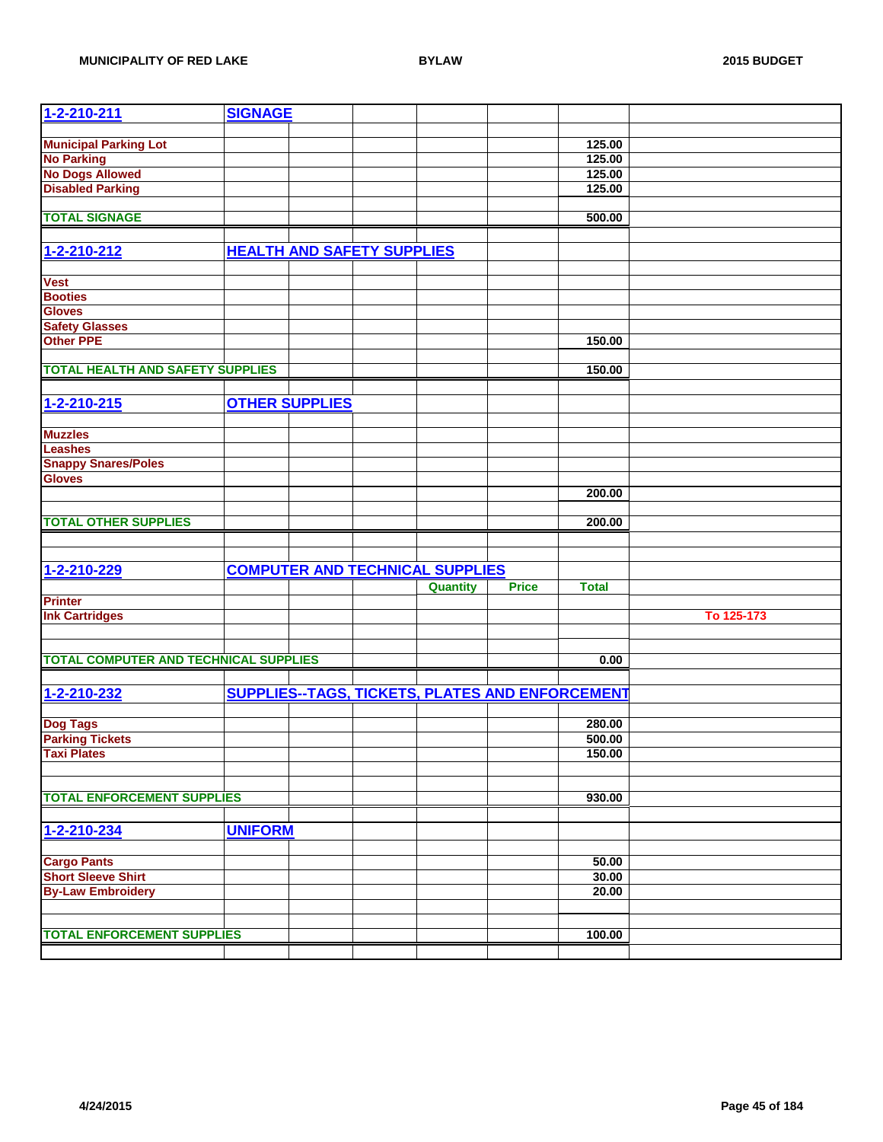| <b>Municipal Parking Lot</b><br>125.00<br><b>No Parking</b><br>125.00<br><b>No Dogs Allowed</b><br>125.00<br><b>Disabled Parking</b><br>125.00<br><b>TOTAL SIGNAGE</b><br>500.00<br><b>HEALTH AND SAFETY SUPPLIES</b><br>1-2-210-212<br><b>Vest</b><br><b>Booties</b><br><b>Gloves</b><br><b>Safety Glasses</b><br><b>Other PPE</b><br>150.00<br><b>TOTAL HEALTH AND SAFETY SUPPLIES</b><br>150.00<br><b>OTHER SUPPLIES</b><br>1-2-210-215<br><b>Muzzles</b><br><b>Leashes</b><br><b>Snappy Snares/Poles</b><br><b>Gloves</b><br>200.00<br><b>TOTAL OTHER SUPPLIES</b><br>200.00<br>1-2-210-229<br><b>COMPUTER AND TECHNICAL SUPPLIES</b><br><b>Price</b><br><b>Total</b><br><b>Quantity</b><br><b>Printer</b><br><b>Ink Cartridges</b><br>To 125-173<br><b>TOTAL COMPUTER AND TECHNICAL SUPPLIES</b><br>0.00<br>SUPPLIES--TAGS, TICKETS, PLATES AND ENFORCEMENT<br>1-2-210-232<br>280.00<br><b>Dog Tags</b><br><b>Parking Tickets</b><br>500.00<br>150.00<br><b>Taxi Plates</b><br><b>TOTAL ENFORCEMENT SUPPLIES</b><br>930.00<br>1-2-210-234<br><b>UNIFORM</b><br><b>Cargo Pants</b><br>50.00<br><b>Short Sleeve Shirt</b><br>30.00<br><b>By-Law Embroidery</b><br>20.00<br><b>TOTAL ENFORCEMENT SUPPLIES</b><br>100.00 | 1-2-210-211 | <b>SIGNAGE</b> |  |  |  |
|---------------------------------------------------------------------------------------------------------------------------------------------------------------------------------------------------------------------------------------------------------------------------------------------------------------------------------------------------------------------------------------------------------------------------------------------------------------------------------------------------------------------------------------------------------------------------------------------------------------------------------------------------------------------------------------------------------------------------------------------------------------------------------------------------------------------------------------------------------------------------------------------------------------------------------------------------------------------------------------------------------------------------------------------------------------------------------------------------------------------------------------------------------------------------------------------------------------------------|-------------|----------------|--|--|--|
|                                                                                                                                                                                                                                                                                                                                                                                                                                                                                                                                                                                                                                                                                                                                                                                                                                                                                                                                                                                                                                                                                                                                                                                                                           |             |                |  |  |  |
|                                                                                                                                                                                                                                                                                                                                                                                                                                                                                                                                                                                                                                                                                                                                                                                                                                                                                                                                                                                                                                                                                                                                                                                                                           |             |                |  |  |  |
|                                                                                                                                                                                                                                                                                                                                                                                                                                                                                                                                                                                                                                                                                                                                                                                                                                                                                                                                                                                                                                                                                                                                                                                                                           |             |                |  |  |  |
|                                                                                                                                                                                                                                                                                                                                                                                                                                                                                                                                                                                                                                                                                                                                                                                                                                                                                                                                                                                                                                                                                                                                                                                                                           |             |                |  |  |  |
|                                                                                                                                                                                                                                                                                                                                                                                                                                                                                                                                                                                                                                                                                                                                                                                                                                                                                                                                                                                                                                                                                                                                                                                                                           |             |                |  |  |  |
|                                                                                                                                                                                                                                                                                                                                                                                                                                                                                                                                                                                                                                                                                                                                                                                                                                                                                                                                                                                                                                                                                                                                                                                                                           |             |                |  |  |  |
|                                                                                                                                                                                                                                                                                                                                                                                                                                                                                                                                                                                                                                                                                                                                                                                                                                                                                                                                                                                                                                                                                                                                                                                                                           |             |                |  |  |  |
|                                                                                                                                                                                                                                                                                                                                                                                                                                                                                                                                                                                                                                                                                                                                                                                                                                                                                                                                                                                                                                                                                                                                                                                                                           |             |                |  |  |  |
|                                                                                                                                                                                                                                                                                                                                                                                                                                                                                                                                                                                                                                                                                                                                                                                                                                                                                                                                                                                                                                                                                                                                                                                                                           |             |                |  |  |  |
|                                                                                                                                                                                                                                                                                                                                                                                                                                                                                                                                                                                                                                                                                                                                                                                                                                                                                                                                                                                                                                                                                                                                                                                                                           |             |                |  |  |  |
|                                                                                                                                                                                                                                                                                                                                                                                                                                                                                                                                                                                                                                                                                                                                                                                                                                                                                                                                                                                                                                                                                                                                                                                                                           |             |                |  |  |  |
|                                                                                                                                                                                                                                                                                                                                                                                                                                                                                                                                                                                                                                                                                                                                                                                                                                                                                                                                                                                                                                                                                                                                                                                                                           |             |                |  |  |  |
|                                                                                                                                                                                                                                                                                                                                                                                                                                                                                                                                                                                                                                                                                                                                                                                                                                                                                                                                                                                                                                                                                                                                                                                                                           |             |                |  |  |  |
|                                                                                                                                                                                                                                                                                                                                                                                                                                                                                                                                                                                                                                                                                                                                                                                                                                                                                                                                                                                                                                                                                                                                                                                                                           |             |                |  |  |  |
|                                                                                                                                                                                                                                                                                                                                                                                                                                                                                                                                                                                                                                                                                                                                                                                                                                                                                                                                                                                                                                                                                                                                                                                                                           |             |                |  |  |  |
|                                                                                                                                                                                                                                                                                                                                                                                                                                                                                                                                                                                                                                                                                                                                                                                                                                                                                                                                                                                                                                                                                                                                                                                                                           |             |                |  |  |  |
|                                                                                                                                                                                                                                                                                                                                                                                                                                                                                                                                                                                                                                                                                                                                                                                                                                                                                                                                                                                                                                                                                                                                                                                                                           |             |                |  |  |  |
|                                                                                                                                                                                                                                                                                                                                                                                                                                                                                                                                                                                                                                                                                                                                                                                                                                                                                                                                                                                                                                                                                                                                                                                                                           |             |                |  |  |  |
|                                                                                                                                                                                                                                                                                                                                                                                                                                                                                                                                                                                                                                                                                                                                                                                                                                                                                                                                                                                                                                                                                                                                                                                                                           |             |                |  |  |  |
|                                                                                                                                                                                                                                                                                                                                                                                                                                                                                                                                                                                                                                                                                                                                                                                                                                                                                                                                                                                                                                                                                                                                                                                                                           |             |                |  |  |  |
|                                                                                                                                                                                                                                                                                                                                                                                                                                                                                                                                                                                                                                                                                                                                                                                                                                                                                                                                                                                                                                                                                                                                                                                                                           |             |                |  |  |  |
|                                                                                                                                                                                                                                                                                                                                                                                                                                                                                                                                                                                                                                                                                                                                                                                                                                                                                                                                                                                                                                                                                                                                                                                                                           |             |                |  |  |  |
|                                                                                                                                                                                                                                                                                                                                                                                                                                                                                                                                                                                                                                                                                                                                                                                                                                                                                                                                                                                                                                                                                                                                                                                                                           |             |                |  |  |  |
|                                                                                                                                                                                                                                                                                                                                                                                                                                                                                                                                                                                                                                                                                                                                                                                                                                                                                                                                                                                                                                                                                                                                                                                                                           |             |                |  |  |  |
|                                                                                                                                                                                                                                                                                                                                                                                                                                                                                                                                                                                                                                                                                                                                                                                                                                                                                                                                                                                                                                                                                                                                                                                                                           |             |                |  |  |  |
|                                                                                                                                                                                                                                                                                                                                                                                                                                                                                                                                                                                                                                                                                                                                                                                                                                                                                                                                                                                                                                                                                                                                                                                                                           |             |                |  |  |  |
|                                                                                                                                                                                                                                                                                                                                                                                                                                                                                                                                                                                                                                                                                                                                                                                                                                                                                                                                                                                                                                                                                                                                                                                                                           |             |                |  |  |  |
|                                                                                                                                                                                                                                                                                                                                                                                                                                                                                                                                                                                                                                                                                                                                                                                                                                                                                                                                                                                                                                                                                                                                                                                                                           |             |                |  |  |  |
|                                                                                                                                                                                                                                                                                                                                                                                                                                                                                                                                                                                                                                                                                                                                                                                                                                                                                                                                                                                                                                                                                                                                                                                                                           |             |                |  |  |  |
|                                                                                                                                                                                                                                                                                                                                                                                                                                                                                                                                                                                                                                                                                                                                                                                                                                                                                                                                                                                                                                                                                                                                                                                                                           |             |                |  |  |  |
|                                                                                                                                                                                                                                                                                                                                                                                                                                                                                                                                                                                                                                                                                                                                                                                                                                                                                                                                                                                                                                                                                                                                                                                                                           |             |                |  |  |  |
|                                                                                                                                                                                                                                                                                                                                                                                                                                                                                                                                                                                                                                                                                                                                                                                                                                                                                                                                                                                                                                                                                                                                                                                                                           |             |                |  |  |  |
|                                                                                                                                                                                                                                                                                                                                                                                                                                                                                                                                                                                                                                                                                                                                                                                                                                                                                                                                                                                                                                                                                                                                                                                                                           |             |                |  |  |  |
|                                                                                                                                                                                                                                                                                                                                                                                                                                                                                                                                                                                                                                                                                                                                                                                                                                                                                                                                                                                                                                                                                                                                                                                                                           |             |                |  |  |  |
|                                                                                                                                                                                                                                                                                                                                                                                                                                                                                                                                                                                                                                                                                                                                                                                                                                                                                                                                                                                                                                                                                                                                                                                                                           |             |                |  |  |  |
|                                                                                                                                                                                                                                                                                                                                                                                                                                                                                                                                                                                                                                                                                                                                                                                                                                                                                                                                                                                                                                                                                                                                                                                                                           |             |                |  |  |  |
|                                                                                                                                                                                                                                                                                                                                                                                                                                                                                                                                                                                                                                                                                                                                                                                                                                                                                                                                                                                                                                                                                                                                                                                                                           |             |                |  |  |  |
|                                                                                                                                                                                                                                                                                                                                                                                                                                                                                                                                                                                                                                                                                                                                                                                                                                                                                                                                                                                                                                                                                                                                                                                                                           |             |                |  |  |  |
|                                                                                                                                                                                                                                                                                                                                                                                                                                                                                                                                                                                                                                                                                                                                                                                                                                                                                                                                                                                                                                                                                                                                                                                                                           |             |                |  |  |  |
|                                                                                                                                                                                                                                                                                                                                                                                                                                                                                                                                                                                                                                                                                                                                                                                                                                                                                                                                                                                                                                                                                                                                                                                                                           |             |                |  |  |  |
|                                                                                                                                                                                                                                                                                                                                                                                                                                                                                                                                                                                                                                                                                                                                                                                                                                                                                                                                                                                                                                                                                                                                                                                                                           |             |                |  |  |  |
|                                                                                                                                                                                                                                                                                                                                                                                                                                                                                                                                                                                                                                                                                                                                                                                                                                                                                                                                                                                                                                                                                                                                                                                                                           |             |                |  |  |  |
|                                                                                                                                                                                                                                                                                                                                                                                                                                                                                                                                                                                                                                                                                                                                                                                                                                                                                                                                                                                                                                                                                                                                                                                                                           |             |                |  |  |  |
|                                                                                                                                                                                                                                                                                                                                                                                                                                                                                                                                                                                                                                                                                                                                                                                                                                                                                                                                                                                                                                                                                                                                                                                                                           |             |                |  |  |  |
|                                                                                                                                                                                                                                                                                                                                                                                                                                                                                                                                                                                                                                                                                                                                                                                                                                                                                                                                                                                                                                                                                                                                                                                                                           |             |                |  |  |  |
|                                                                                                                                                                                                                                                                                                                                                                                                                                                                                                                                                                                                                                                                                                                                                                                                                                                                                                                                                                                                                                                                                                                                                                                                                           |             |                |  |  |  |
|                                                                                                                                                                                                                                                                                                                                                                                                                                                                                                                                                                                                                                                                                                                                                                                                                                                                                                                                                                                                                                                                                                                                                                                                                           |             |                |  |  |  |
|                                                                                                                                                                                                                                                                                                                                                                                                                                                                                                                                                                                                                                                                                                                                                                                                                                                                                                                                                                                                                                                                                                                                                                                                                           |             |                |  |  |  |
|                                                                                                                                                                                                                                                                                                                                                                                                                                                                                                                                                                                                                                                                                                                                                                                                                                                                                                                                                                                                                                                                                                                                                                                                                           |             |                |  |  |  |
|                                                                                                                                                                                                                                                                                                                                                                                                                                                                                                                                                                                                                                                                                                                                                                                                                                                                                                                                                                                                                                                                                                                                                                                                                           |             |                |  |  |  |
|                                                                                                                                                                                                                                                                                                                                                                                                                                                                                                                                                                                                                                                                                                                                                                                                                                                                                                                                                                                                                                                                                                                                                                                                                           |             |                |  |  |  |
|                                                                                                                                                                                                                                                                                                                                                                                                                                                                                                                                                                                                                                                                                                                                                                                                                                                                                                                                                                                                                                                                                                                                                                                                                           |             |                |  |  |  |
|                                                                                                                                                                                                                                                                                                                                                                                                                                                                                                                                                                                                                                                                                                                                                                                                                                                                                                                                                                                                                                                                                                                                                                                                                           |             |                |  |  |  |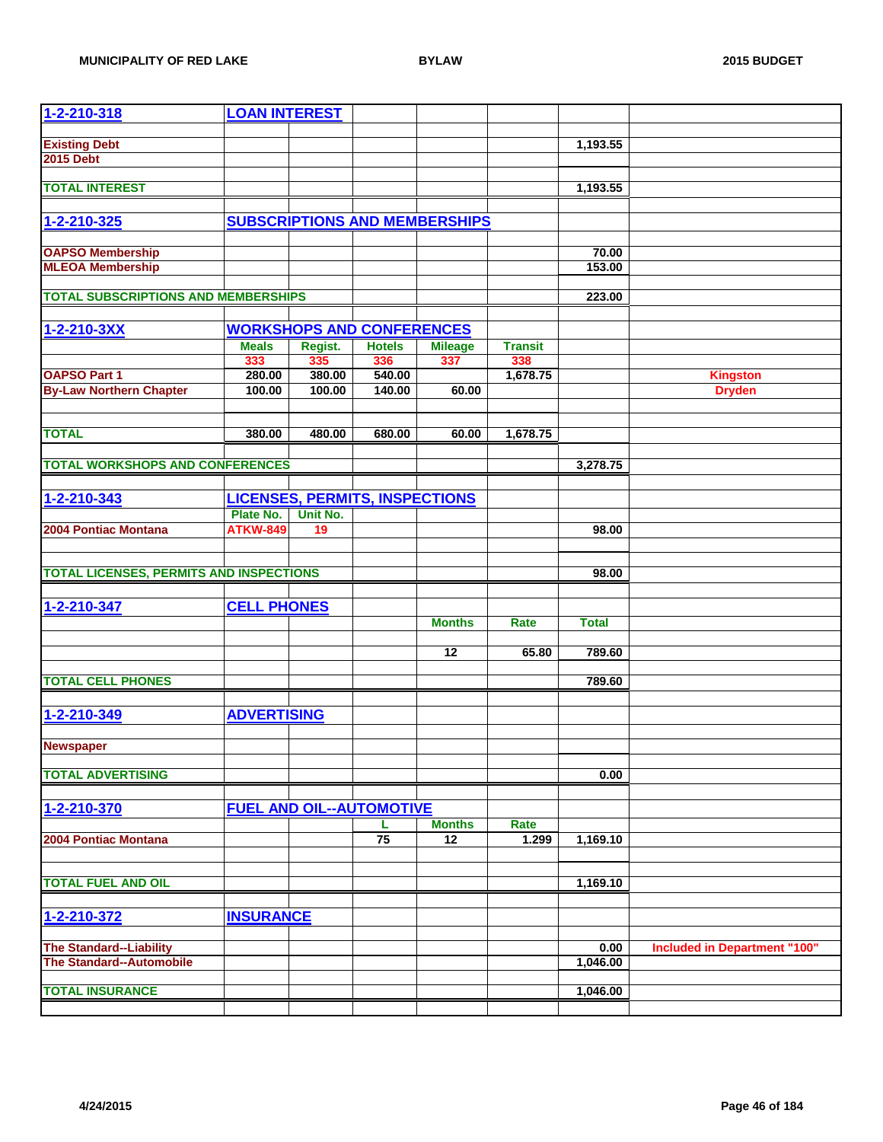| 1-2-210-318                                                       | <b>LOAN INTEREST</b> |          |                                       |                                      |                |                 |                              |
|-------------------------------------------------------------------|----------------------|----------|---------------------------------------|--------------------------------------|----------------|-----------------|------------------------------|
|                                                                   |                      |          |                                       |                                      |                |                 |                              |
| <b>Existing Debt</b>                                              |                      |          |                                       |                                      |                | 1,193.55        |                              |
| <b>2015 Debt</b>                                                  |                      |          |                                       |                                      |                |                 |                              |
| <b>TOTAL INTEREST</b>                                             |                      |          |                                       |                                      |                |                 |                              |
|                                                                   |                      |          |                                       |                                      |                | 1,193.55        |                              |
|                                                                   |                      |          |                                       |                                      |                |                 |                              |
| 1-2-210-325                                                       |                      |          |                                       | <b>SUBSCRIPTIONS AND MEMBERSHIPS</b> |                |                 |                              |
|                                                                   |                      |          |                                       |                                      |                |                 |                              |
| <b>OAPSO Membership</b><br><b>MLEOA Membership</b>                |                      |          |                                       |                                      |                | 70.00<br>153.00 |                              |
|                                                                   |                      |          |                                       |                                      |                |                 |                              |
| <b>TOTAL SUBSCRIPTIONS AND MEMBERSHIPS</b>                        |                      |          |                                       |                                      |                | 223.00          |                              |
|                                                                   |                      |          |                                       |                                      |                |                 |                              |
| 1-2-210-3XX                                                       |                      |          | <b>WORKSHOPS AND CONFERENCES</b>      |                                      |                |                 |                              |
|                                                                   | <b>Meals</b>         | Regist.  | <b>Hotels</b>                         | <b>Mileage</b>                       | <b>Transit</b> |                 |                              |
|                                                                   | 333                  | 335      | 336                                   | 337                                  | 338            |                 |                              |
| <b>OAPSO Part 1</b>                                               | 280.00               | 380.00   | 540.00                                |                                      | 1,678.75       |                 | <b>Kingston</b>              |
| <b>By-Law Northern Chapter</b>                                    | 100.00               | 100.00   | 140.00                                | 60.00                                |                |                 | <b>Dryden</b>                |
|                                                                   |                      |          |                                       |                                      |                |                 |                              |
|                                                                   |                      |          |                                       |                                      |                |                 |                              |
| <b>TOTAL</b>                                                      | 380.00               | 480.00   | 680.00                                | 60.00                                | 1,678.75       |                 |                              |
|                                                                   |                      |          |                                       |                                      |                |                 |                              |
| <b>TOTAL WORKSHOPS AND CONFERENCES</b>                            |                      |          |                                       |                                      |                | 3,278.75        |                              |
|                                                                   |                      |          |                                       |                                      |                |                 |                              |
| 1-2-210-343                                                       |                      |          | <b>LICENSES, PERMITS, INSPECTIONS</b> |                                      |                |                 |                              |
|                                                                   | Plate No.            | Unit No. |                                       |                                      |                |                 |                              |
| 2004 Pontiac Montana                                              | <b>ATKW-849</b>      | 19       |                                       |                                      |                | 98.00           |                              |
|                                                                   |                      |          |                                       |                                      |                |                 |                              |
|                                                                   |                      |          |                                       |                                      |                |                 |                              |
| <b>TOTAL LICENSES, PERMITS AND INSPECTIONS</b>                    |                      |          |                                       |                                      |                | 98.00           |                              |
|                                                                   |                      |          |                                       |                                      |                |                 |                              |
| 1-2-210-347                                                       | <b>CELL PHONES</b>   |          |                                       |                                      |                |                 |                              |
|                                                                   |                      |          |                                       | <b>Months</b>                        | Rate           | <b>Total</b>    |                              |
|                                                                   |                      |          |                                       |                                      |                |                 |                              |
|                                                                   |                      |          |                                       | 12                                   | 65.80          | 789.60          |                              |
|                                                                   |                      |          |                                       |                                      |                |                 |                              |
| <b>TOTAL CELL PHONES</b>                                          |                      |          |                                       |                                      |                | 789.60          |                              |
|                                                                   |                      |          |                                       |                                      |                |                 |                              |
| 1-2-210-349                                                       | <b>ADVERTISING</b>   |          |                                       |                                      |                |                 |                              |
|                                                                   |                      |          |                                       |                                      |                |                 |                              |
| <b>Newspaper</b>                                                  |                      |          |                                       |                                      |                |                 |                              |
|                                                                   |                      |          |                                       |                                      |                |                 |                              |
| <b>TOTAL ADVERTISING</b>                                          |                      |          |                                       |                                      |                | 0.00            |                              |
|                                                                   |                      |          |                                       |                                      |                |                 |                              |
| 1-2-210-370                                                       |                      |          | <b>FUEL AND OIL--AUTOMOTIVE</b>       |                                      |                |                 |                              |
|                                                                   |                      |          | L                                     | <b>Months</b>                        | Rate           |                 |                              |
| 2004 Pontiac Montana                                              |                      |          | 75                                    | 12                                   | 1.299          | 1,169.10        |                              |
|                                                                   |                      |          |                                       |                                      |                |                 |                              |
| <b>TOTAL FUEL AND OIL</b>                                         |                      |          |                                       |                                      |                | 1,169.10        |                              |
|                                                                   |                      |          |                                       |                                      |                |                 |                              |
| 1-2-210-372                                                       | <b>INSURANCE</b>     |          |                                       |                                      |                |                 |                              |
|                                                                   |                      |          |                                       |                                      |                |                 |                              |
|                                                                   |                      |          |                                       |                                      |                | 0.00            |                              |
| <b>The Standard--Liability</b><br><b>The Standard--Automobile</b> |                      |          |                                       |                                      |                | 1,046.00        | Included in Department "100" |
|                                                                   |                      |          |                                       |                                      |                |                 |                              |
| <b>TOTAL INSURANCE</b>                                            |                      |          |                                       |                                      |                | 1,046.00        |                              |
|                                                                   |                      |          |                                       |                                      |                |                 |                              |
|                                                                   |                      |          |                                       |                                      |                |                 |                              |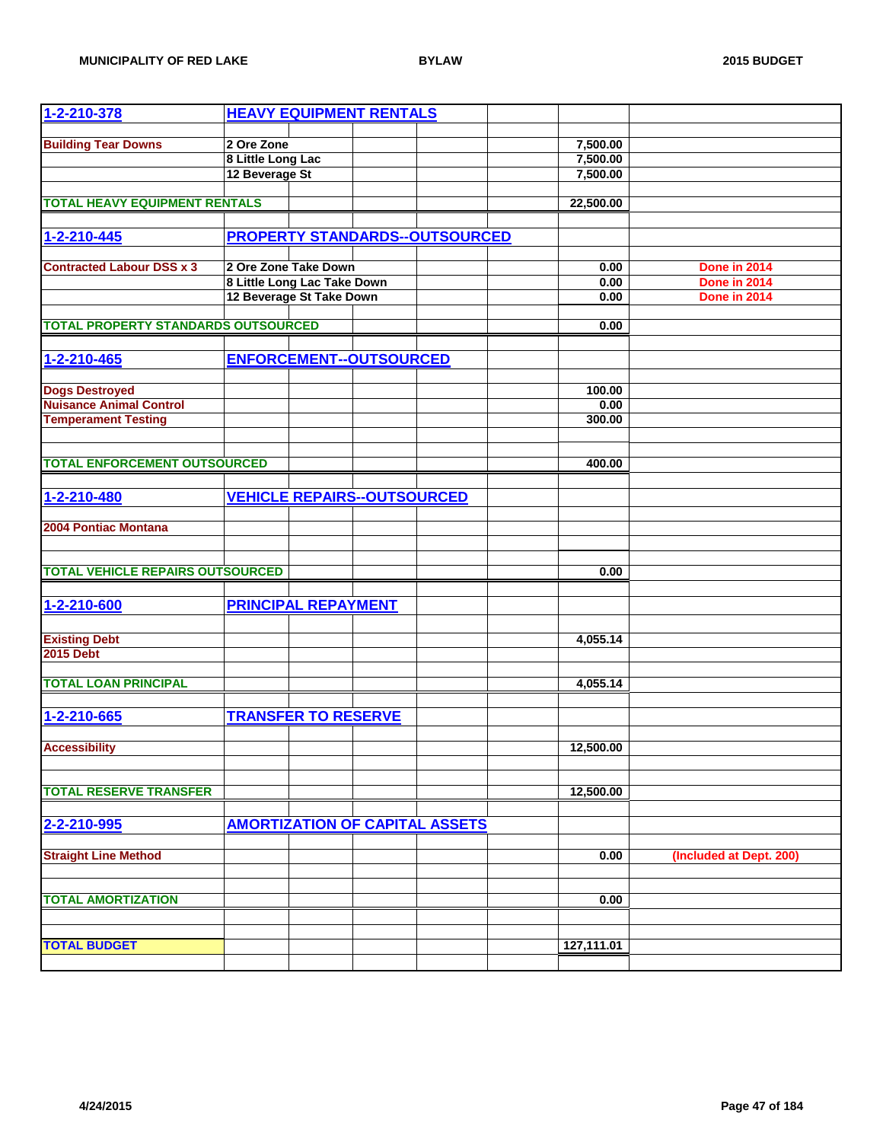| 1-2-210-378                                | <b>HEAVY EQUIPMENT RENTALS</b>                          |                                       |              |                              |
|--------------------------------------------|---------------------------------------------------------|---------------------------------------|--------------|------------------------------|
| <b>Building Tear Downs</b>                 | 2 Ore Zone                                              |                                       | 7,500.00     |                              |
|                                            | 8 Little Long Lac                                       |                                       | 7,500.00     |                              |
|                                            | 12 Beverage St                                          |                                       | 7,500.00     |                              |
|                                            |                                                         |                                       |              |                              |
| <b>TOTAL HEAVY EQUIPMENT RENTALS</b>       |                                                         |                                       | 22,500.00    |                              |
| 1-2-210-445                                |                                                         | <b>PROPERTY STANDARDS--OUTSOURCED</b> |              |                              |
|                                            |                                                         |                                       |              |                              |
| <b>Contracted Labour DSS x 3</b>           | 2 Ore Zone Take Down                                    |                                       | 0.00         | Done in 2014                 |
|                                            | 8 Little Long Lac Take Down<br>12 Beverage St Take Down |                                       | 0.00<br>0.00 | Done in 2014<br>Done in 2014 |
|                                            |                                                         |                                       |              |                              |
| <b>TOTAL PROPERTY STANDARDS OUTSOURCED</b> |                                                         |                                       | 0.00         |                              |
|                                            |                                                         |                                       |              |                              |
| 1-2-210-465                                | <b>ENFORCEMENT--OUTSOURCED</b>                          |                                       |              |                              |
| <b>Dogs Destroyed</b>                      |                                                         |                                       | 100.00       |                              |
| <b>Nuisance Animal Control</b>             |                                                         |                                       | 0.00         |                              |
| <b>Temperament Testing</b>                 |                                                         |                                       | 300.00       |                              |
|                                            |                                                         |                                       |              |                              |
| <b>TOTAL ENFORCEMENT OUTSOURCED</b>        |                                                         |                                       | 400.00       |                              |
|                                            |                                                         |                                       |              |                              |
| 1-2-210-480                                | <b>VEHICLE REPAIRS--OUTSOURCED</b>                      |                                       |              |                              |
|                                            |                                                         |                                       |              |                              |
| 2004 Pontiac Montana                       |                                                         |                                       |              |                              |
|                                            |                                                         |                                       |              |                              |
| <b>TOTAL VEHICLE REPAIRS OUTSOURCED</b>    |                                                         |                                       | 0.00         |                              |
|                                            |                                                         |                                       |              |                              |
| 1-2-210-600                                | <b>PRINCIPAL REPAYMENT</b>                              |                                       |              |                              |
|                                            |                                                         |                                       |              |                              |
| <b>Existing Debt</b><br><b>2015 Debt</b>   |                                                         |                                       | 4,055.14     |                              |
|                                            |                                                         |                                       |              |                              |
| <b>TOTAL LOAN PRINCIPAL</b>                |                                                         |                                       | 4,055.14     |                              |
|                                            |                                                         |                                       |              |                              |
| 1-2-210-665                                | <b>TRANSFER TO RESERVE</b>                              |                                       |              |                              |
|                                            |                                                         |                                       |              |                              |
| <b>Accessibility</b>                       |                                                         |                                       | 12,500.00    |                              |
|                                            |                                                         |                                       |              |                              |
| <b>TOTAL RESERVE TRANSFER</b>              |                                                         |                                       | 12,500.00    |                              |
|                                            |                                                         |                                       |              |                              |
| 2-2-210-995                                | <b>AMORTIZATION OF CAPITAL ASSETS</b>                   |                                       |              |                              |
| <b>Straight Line Method</b>                |                                                         |                                       | 0.00         | (Included at Dept. 200)      |
|                                            |                                                         |                                       |              |                              |
|                                            |                                                         |                                       |              |                              |
| <b>TOTAL AMORTIZATION</b>                  |                                                         |                                       | 0.00         |                              |
|                                            |                                                         |                                       |              |                              |
| <b>TOTAL BUDGET</b>                        |                                                         |                                       | 127,111.01   |                              |
|                                            |                                                         |                                       |              |                              |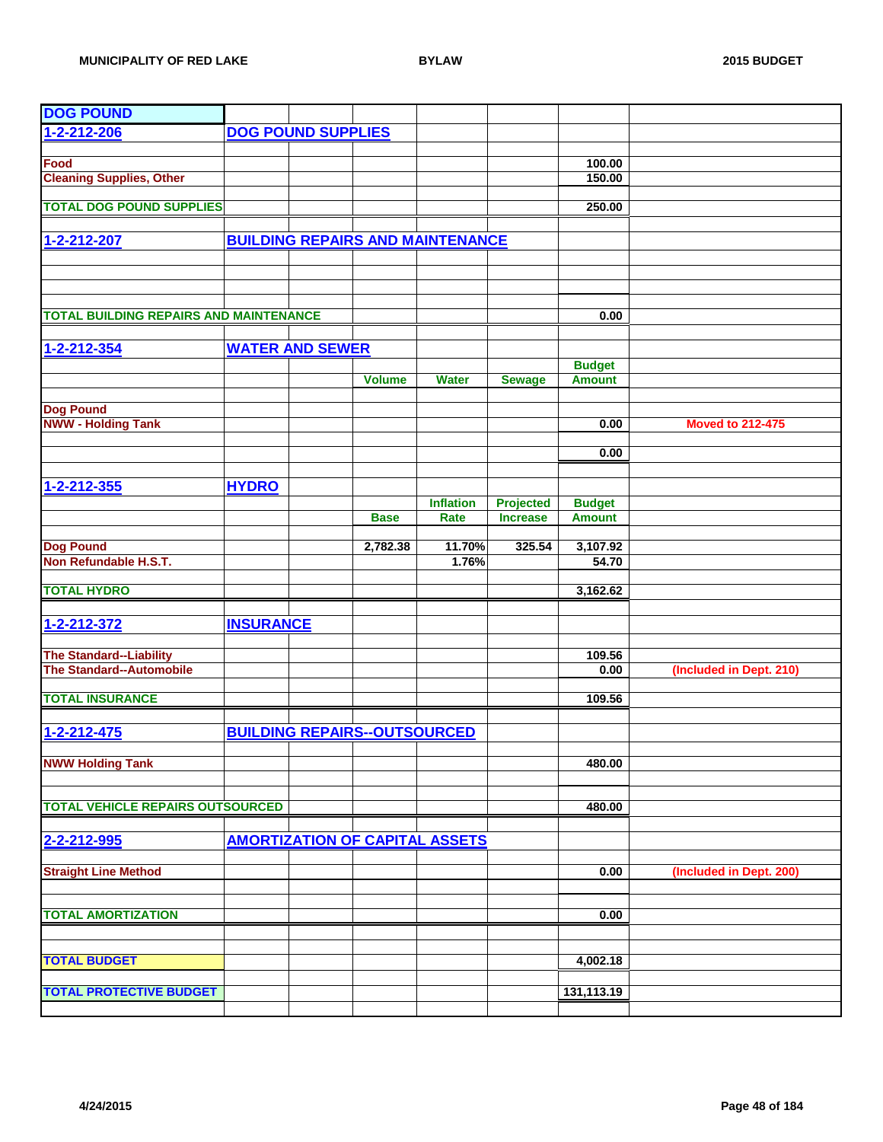| <b>DOG POUND</b>                              |                  |                                     |               |                                         |                 |               |                         |
|-----------------------------------------------|------------------|-------------------------------------|---------------|-----------------------------------------|-----------------|---------------|-------------------------|
| 1-2-212-206                                   |                  | <b>DOG POUND SUPPLIES</b>           |               |                                         |                 |               |                         |
|                                               |                  |                                     |               |                                         |                 |               |                         |
| Food                                          |                  |                                     |               |                                         |                 | 100.00        |                         |
| <b>Cleaning Supplies, Other</b>               |                  |                                     |               |                                         |                 | 150.00        |                         |
| <b>TOTAL DOG POUND SUPPLIES</b>               |                  |                                     |               |                                         |                 | 250.00        |                         |
|                                               |                  |                                     |               |                                         |                 |               |                         |
| 1-2-212-207                                   |                  |                                     |               | <b>BUILDING REPAIRS AND MAINTENANCE</b> |                 |               |                         |
|                                               |                  |                                     |               |                                         |                 |               |                         |
|                                               |                  |                                     |               |                                         |                 |               |                         |
|                                               |                  |                                     |               |                                         |                 |               |                         |
| <b>TOTAL BUILDING REPAIRS AND MAINTENANCE</b> |                  |                                     |               |                                         |                 | 0.00          |                         |
|                                               |                  |                                     |               |                                         |                 |               |                         |
| 1-2-212-354                                   |                  | <b>WATER AND SEWER</b>              |               |                                         |                 | <b>Budget</b> |                         |
|                                               |                  |                                     | <b>Volume</b> | <b>Water</b>                            | <b>Sewage</b>   | <b>Amount</b> |                         |
|                                               |                  |                                     |               |                                         |                 |               |                         |
| <b>Dog Pound</b>                              |                  |                                     |               |                                         |                 |               |                         |
| <b>NWW - Holding Tank</b>                     |                  |                                     |               |                                         |                 | 0.00          | <b>Moved to 212-475</b> |
|                                               |                  |                                     |               |                                         |                 | 0.00          |                         |
|                                               |                  |                                     |               |                                         |                 |               |                         |
| 1-2-212-355                                   | <b>HYDRO</b>     |                                     |               |                                         |                 |               |                         |
|                                               |                  |                                     |               | <b>Inflation</b>                        | Projected       | <b>Budget</b> |                         |
|                                               |                  |                                     | <b>Base</b>   | Rate                                    | <b>Increase</b> | <b>Amount</b> |                         |
| <b>Dog Pound</b>                              |                  |                                     | 2,782.38      | 11.70%                                  | 325.54          | 3,107.92      |                         |
| Non Refundable H.S.T.                         |                  |                                     |               | 1.76%                                   |                 | 54.70         |                         |
|                                               |                  |                                     |               |                                         |                 |               |                         |
| <b>TOTAL HYDRO</b>                            |                  |                                     |               |                                         |                 | 3,162.62      |                         |
| 1-2-212-372                                   | <b>INSURANCE</b> |                                     |               |                                         |                 |               |                         |
|                                               |                  |                                     |               |                                         |                 |               |                         |
| The Standard--Liability                       |                  |                                     |               |                                         |                 | 109.56        |                         |
| <b>The Standard--Automobile</b>               |                  |                                     |               |                                         |                 | 0.00          | (Included in Dept. 210) |
| <b>TOTAL INSURANCE</b>                        |                  |                                     |               |                                         |                 | 109.56        |                         |
|                                               |                  |                                     |               |                                         |                 |               |                         |
| 1-2-212-475                                   |                  | <b>BUILDING REPAIRS--OUTSOURCED</b> |               |                                         |                 |               |                         |
|                                               |                  |                                     |               |                                         |                 |               |                         |
| <b>NWW Holding Tank</b>                       |                  |                                     |               |                                         |                 | 480.00        |                         |
|                                               |                  |                                     |               |                                         |                 |               |                         |
| <b>TOTAL VEHICLE REPAIRS OUTSOURCED</b>       |                  |                                     |               |                                         |                 | 480.00        |                         |
|                                               |                  |                                     |               |                                         |                 |               |                         |
| 2-2-212-995                                   |                  |                                     |               | <b>AMORTIZATION OF CAPITAL ASSETS</b>   |                 |               |                         |
| <b>Straight Line Method</b>                   |                  |                                     |               |                                         |                 | 0.00          | (Included in Dept. 200) |
|                                               |                  |                                     |               |                                         |                 |               |                         |
|                                               |                  |                                     |               |                                         |                 |               |                         |
| <b>TOTAL AMORTIZATION</b>                     |                  |                                     |               |                                         |                 | 0.00          |                         |
|                                               |                  |                                     |               |                                         |                 |               |                         |
| <b>TOTAL BUDGET</b>                           |                  |                                     |               |                                         |                 | 4,002.18      |                         |
|                                               |                  |                                     |               |                                         |                 |               |                         |
| <b>TOTAL PROTECTIVE BUDGET</b>                |                  |                                     |               |                                         |                 | 131,113.19    |                         |
|                                               |                  |                                     |               |                                         |                 |               |                         |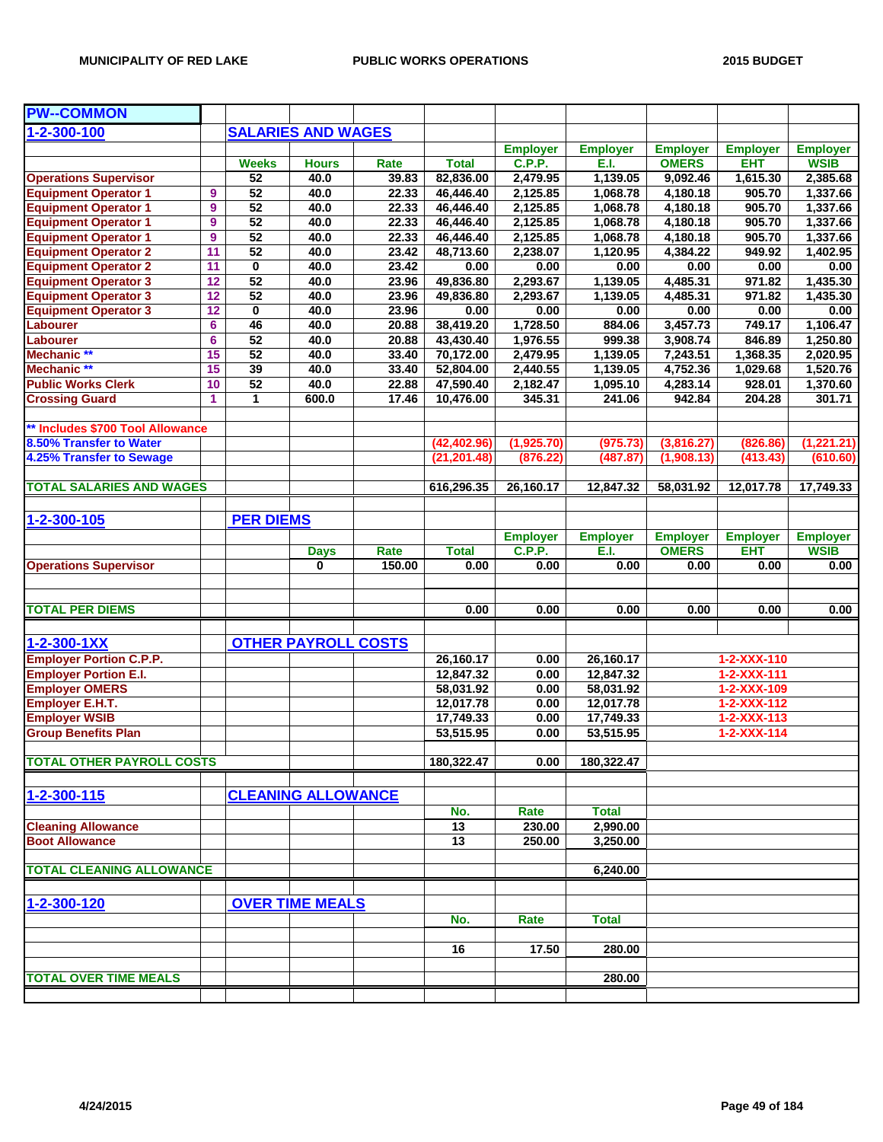| <b>PW--COMMON</b>                |              |                  |                            |        |                 |                 |                 |                 |                     |                 |
|----------------------------------|--------------|------------------|----------------------------|--------|-----------------|-----------------|-----------------|-----------------|---------------------|-----------------|
| $1 - 2 - 300 - 100$              |              |                  | <b>SALARIES AND WAGES</b>  |        |                 |                 |                 |                 |                     |                 |
|                                  |              |                  |                            |        |                 | <b>Employer</b> | <b>Employer</b> | <b>Employer</b> | <b>Employer</b>     | <b>Employer</b> |
|                                  |              | <b>Weeks</b>     | <b>Hours</b>               | Rate   | <b>Total</b>    | <b>C.P.P.</b>   | E.I.            | <b>OMERS</b>    | <b>EHT</b>          | <b>WSIB</b>     |
| <b>Operations Supervisor</b>     |              | 52               | 40.0                       | 39.83  | 82,836.00       | 2,479.95        | 1,139.05        | 9,092.46        | 1,615.30            | 2,385.68        |
| <b>Equipment Operator 1</b>      | 9            | 52               | 40.0                       | 22.33  | 46,446.40       | 2,125.85        | 1,068.78        | 4,180.18        | 905.70              | 1,337.66        |
| <b>Equipment Operator 1</b>      | 9            | 52               | 40.0                       | 22.33  | 46,446.40       | 2,125.85        | 1,068.78        | 4,180.18        | 905.70              | 1,337.66        |
| <b>Equipment Operator 1</b>      | 9            | 52               | 40.0                       | 22.33  | 46,446.40       | 2,125.85        | 1,068.78        | 4,180.18        | 905.70              | 1,337.66        |
| <b>Equipment Operator 1</b>      | 9            | 52               | 40.0                       | 22.33  | 46,446.40       | 2,125.85        | 1,068.78        | 4,180.18        | 905.70              | 1,337.66        |
| <b>Equipment Operator 2</b>      | 11           | 52               | 40.0                       | 23.42  | 48,713.60       | 2,238.07        | 1,120.95        | 4,384.22        | 949.92              | 1,402.95        |
| <b>Equipment Operator 2</b>      | 11           | $\pmb{0}$        | 40.0                       | 23.42  | 0.00            | 0.00            | 0.00            | 0.00            | 0.00                | 0.00            |
| <b>Equipment Operator 3</b>      | 12           | $\overline{52}$  | 40.0                       | 23.96  | 49,836.80       | 2,293.67        | 1,139.05        | 4,485.31        | 971.82              | 1,435.30        |
| <b>Equipment Operator 3</b>      | 12           | 52               | 40.0                       | 23.96  | 49,836.80       | 2,293.67        | 1,139.05        | 4,485.31        | 971.82              | 1,435.30        |
| <b>Equipment Operator 3</b>      | 12           | 0                | 40.0                       | 23.96  | 0.00            | 0.00            | 0.00            | 0.00            | 0.00                | 0.00            |
| Labourer                         | 6            | 46               | 40.0                       | 20.88  | 38,419.20       | 1,728.50        | 884.06          | 3,457.73        | 749.17              | 1,106.47        |
| Labourer                         | 6            | 52               | 40.0                       | 20.88  | 43,430.40       | 1,976.55        | 999.38          | 3,908.74        | 846.89              | 1,250.80        |
| Mechanic **                      | 15           | 52               | 40.0                       | 33.40  | 70,172.00       | 2,479.95        | 1,139.05        | 7,243.51        | 1,368.35            | 2,020.95        |
| Mechanic **                      | 15           | 39               | 40.0                       | 33.40  | 52,804.00       | 2,440.55        | 1,139.05        | 4,752.36        | 1,029.68            | 1,520.76        |
| <b>Public Works Clerk</b>        | 10           | 52               | 40.0                       | 22.88  | 47,590.40       | 2,182.47        | 1,095.10        | 4,283.14        | 928.01              | 1,370.60        |
| <b>Crossing Guard</b>            | $\mathbf{1}$ | 1                | 600.0                      | 17.46  | 10,476.00       | 345.31          | 241.06          | 942.84          | 204.28              | 301.71          |
|                                  |              |                  |                            |        |                 |                 |                 |                 |                     |                 |
| ** Includes \$700 Tool Allowance |              |                  |                            |        |                 |                 |                 |                 |                     |                 |
| 8.50% Transfer to Water          |              |                  |                            |        | (42, 402.96)    | (1,925.70)      | (975.73)        | (3,816.27)      | (826.86)            | (1,221.21)      |
| 4.25% Transfer to Sewage         |              |                  |                            |        | (21, 201.48)    | (876.22)        | (487.87)        | (1,908.13)      | (413.43)            | (610.60)        |
|                                  |              |                  |                            |        |                 |                 |                 |                 |                     |                 |
| <b>TOTAL SALARIES AND WAGES</b>  |              |                  |                            |        | 616,296.35      | 26,160.17       | 12,847.32       | 58,031.92       | 12,017.78           | 17,749.33       |
|                                  |              |                  |                            |        |                 |                 |                 |                 |                     |                 |
|                                  |              |                  |                            |        |                 |                 |                 |                 |                     |                 |
| 1-2-300-105                      |              | <b>PER DIEMS</b> |                            |        |                 |                 |                 |                 |                     |                 |
|                                  |              |                  |                            |        |                 | <b>Employer</b> | <b>Employer</b> | <b>Employer</b> | <b>Employer</b>     | <b>Employer</b> |
|                                  |              |                  | <b>Days</b>                | Rate   | <b>Total</b>    | <b>C.P.P.</b>   | E.I.            | <b>OMERS</b>    | <b>EHT</b>          | <b>WSIB</b>     |
| <b>Operations Supervisor</b>     |              |                  | $\mathbf 0$                | 150.00 | 0.00            | 0.00            | 0.00            | 0.00            | 0.00                | 0.00            |
|                                  |              |                  |                            |        |                 |                 |                 |                 |                     |                 |
|                                  |              |                  |                            |        |                 |                 |                 |                 |                     |                 |
| <b>TOTAL PER DIEMS</b>           |              |                  |                            |        | 0.00            | 0.00            | 0.00            | 0.00            | 0.00                | 0.00            |
|                                  |              |                  |                            |        |                 |                 |                 |                 |                     |                 |
| 1-2-300-1XX                      |              |                  | <b>OTHER PAYROLL COSTS</b> |        |                 |                 |                 |                 |                     |                 |
| <b>Employer Portion C.P.P.</b>   |              |                  |                            |        | 26,160.17       | 0.00            | 26,160.17       |                 | 1-2-XXX-110         |                 |
| <b>Employer Portion E.I.</b>     |              |                  |                            |        | 12,847.32       | 0.00            | 12,847.32       |                 | 1-2-XXX-111         |                 |
| <b>Employer OMERS</b>            |              |                  |                            |        | 58,031.92       | 0.00            | 58,031.92       |                 | 1-2-XXX-109         |                 |
| Employer E.H.T.                  |              |                  |                            |        | 12,017.78       | 0.00            | 12,017.78       |                 | $1 - 2 - XXX - 112$ |                 |
| <b>Employer WSIB</b>             |              |                  |                            |        | 17,749.33       | 0.00            | 17,749.33       |                 | $1 - 2 - XXX - 113$ |                 |
| <b>Group Benefits Plan</b>       |              |                  |                            |        | 53,515.95       | 0.00            | 53,515.95       |                 | $1 - 2 - XXX - 114$ |                 |
|                                  |              |                  |                            |        |                 |                 |                 |                 |                     |                 |
| <b>TOTAL OTHER PAYROLL COSTS</b> |              |                  |                            |        | 180,322.47      | 0.00            | 180,322.47      |                 |                     |                 |
|                                  |              |                  |                            |        |                 |                 |                 |                 |                     |                 |
| 1-2-300-115                      |              |                  | <b>CLEANING ALLOWANCE</b>  |        |                 |                 |                 |                 |                     |                 |
|                                  |              |                  |                            |        | No.             | Rate            | <b>Total</b>    |                 |                     |                 |
| <b>Cleaning Allowance</b>        |              |                  |                            |        | $\overline{13}$ | 230.00          | 2,990.00        |                 |                     |                 |
| <b>Boot Allowance</b>            |              |                  |                            |        | 13              | 250.00          | 3,250.00        |                 |                     |                 |
|                                  |              |                  |                            |        |                 |                 |                 |                 |                     |                 |
| <b>TOTAL CLEANING ALLOWANCE</b>  |              |                  |                            |        |                 |                 | 6,240.00        |                 |                     |                 |
|                                  |              |                  |                            |        |                 |                 |                 |                 |                     |                 |
|                                  |              |                  |                            |        |                 |                 |                 |                 |                     |                 |
| 1-2-300-120                      |              |                  | <b>OVER TIME MEALS</b>     |        |                 |                 |                 |                 |                     |                 |
|                                  |              |                  |                            |        | No.             | Rate            | <b>Total</b>    |                 |                     |                 |
|                                  |              |                  |                            |        |                 |                 |                 |                 |                     |                 |
|                                  |              |                  |                            |        | 16              | 17.50           | 280.00          |                 |                     |                 |
|                                  |              |                  |                            |        |                 |                 |                 |                 |                     |                 |
| <b>TOTAL OVER TIME MEALS</b>     |              |                  |                            |        |                 |                 | 280.00          |                 |                     |                 |
|                                  |              |                  |                            |        |                 |                 |                 |                 |                     |                 |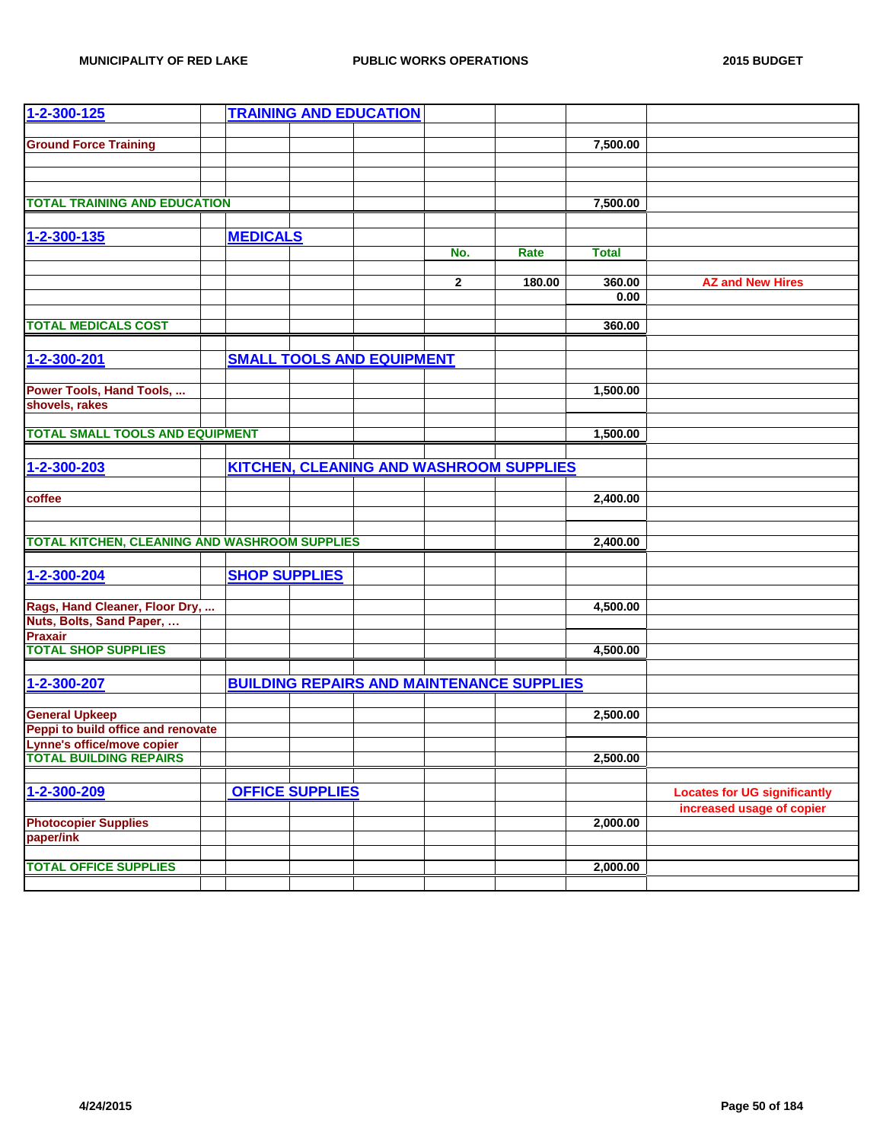| 1-2-300-125                                          |                      |                        | <b>TRAINING AND EDUCATION</b>    |              |                                                  |              |                                     |
|------------------------------------------------------|----------------------|------------------------|----------------------------------|--------------|--------------------------------------------------|--------------|-------------------------------------|
|                                                      |                      |                        |                                  |              |                                                  |              |                                     |
| <b>Ground Force Training</b>                         |                      |                        |                                  |              |                                                  | 7,500.00     |                                     |
|                                                      |                      |                        |                                  |              |                                                  |              |                                     |
|                                                      |                      |                        |                                  |              |                                                  |              |                                     |
| <b>TOTAL TRAINING AND EDUCATION</b>                  |                      |                        |                                  |              |                                                  |              |                                     |
|                                                      |                      |                        |                                  |              |                                                  | 7,500.00     |                                     |
|                                                      |                      |                        |                                  |              |                                                  |              |                                     |
| 1-2-300-135                                          | <b>MEDICALS</b>      |                        |                                  |              |                                                  |              |                                     |
|                                                      |                      |                        |                                  | No.          | Rate                                             | <b>Total</b> |                                     |
|                                                      |                      |                        |                                  | $\mathbf{2}$ | 180.00                                           | 360.00       | <b>AZ and New Hires</b>             |
|                                                      |                      |                        |                                  |              |                                                  | 0.00         |                                     |
|                                                      |                      |                        |                                  |              |                                                  |              |                                     |
| <b>TOTAL MEDICALS COST</b>                           |                      |                        |                                  |              |                                                  | 360.00       |                                     |
|                                                      |                      |                        |                                  |              |                                                  |              |                                     |
| 1-2-300-201                                          |                      |                        | <b>SMALL TOOLS AND EQUIPMENT</b> |              |                                                  |              |                                     |
|                                                      |                      |                        |                                  |              |                                                  |              |                                     |
| Power Tools, Hand Tools,                             |                      |                        |                                  |              |                                                  | 1,500.00     |                                     |
| shovels, rakes                                       |                      |                        |                                  |              |                                                  |              |                                     |
| <b>TOTAL SMALL TOOLS AND EQUIPMENT</b>               |                      |                        |                                  |              |                                                  | 1,500.00     |                                     |
|                                                      |                      |                        |                                  |              |                                                  |              |                                     |
| 1-2-300-203                                          |                      |                        |                                  |              |                                                  |              |                                     |
|                                                      |                      |                        |                                  |              | <b>KITCHEN, CLEANING AND WASHROOM SUPPLIES</b>   |              |                                     |
| coffee                                               |                      |                        |                                  |              |                                                  | 2,400.00     |                                     |
|                                                      |                      |                        |                                  |              |                                                  |              |                                     |
|                                                      |                      |                        |                                  |              |                                                  |              |                                     |
| <b>TOTAL KITCHEN, CLEANING AND WASHROOM SUPPLIES</b> |                      |                        |                                  |              |                                                  | 2,400.00     |                                     |
|                                                      |                      |                        |                                  |              |                                                  |              |                                     |
| $1 - 2 - 300 - 204$                                  | <b>SHOP SUPPLIES</b> |                        |                                  |              |                                                  |              |                                     |
|                                                      |                      |                        |                                  |              |                                                  |              |                                     |
| Rags, Hand Cleaner, Floor Dry,                       |                      |                        |                                  |              |                                                  | 4,500.00     |                                     |
| Nuts, Bolts, Sand Paper,                             |                      |                        |                                  |              |                                                  |              |                                     |
| <b>Praxair</b>                                       |                      |                        |                                  |              |                                                  |              |                                     |
| <b>TOTAL SHOP SUPPLIES</b>                           |                      |                        |                                  |              |                                                  | 4,500.00     |                                     |
|                                                      |                      |                        |                                  |              |                                                  |              |                                     |
| 1-2-300-207                                          |                      |                        |                                  |              | <b>BUILDING REPAIRS AND MAINTENANCE SUPPLIES</b> |              |                                     |
| <b>General Upkeep</b>                                |                      |                        |                                  |              |                                                  | 2,500.00     |                                     |
| Peppi to build office and renovate                   |                      |                        |                                  |              |                                                  |              |                                     |
| Lynne's office/move copier                           |                      |                        |                                  |              |                                                  |              |                                     |
| <b>TOTAL BUILDING REPAIRS</b>                        |                      |                        |                                  |              |                                                  | 2,500.00     |                                     |
|                                                      |                      |                        |                                  |              |                                                  |              |                                     |
| 1-2-300-209                                          |                      | <b>OFFICE SUPPLIES</b> |                                  |              |                                                  |              | <b>Locates for UG significantly</b> |
|                                                      |                      |                        |                                  |              |                                                  |              | increased usage of copier           |
| <b>Photocopier Supplies</b>                          |                      |                        |                                  |              |                                                  | 2,000.00     |                                     |
| paper/ink                                            |                      |                        |                                  |              |                                                  |              |                                     |
|                                                      |                      |                        |                                  |              |                                                  |              |                                     |
| <b>TOTAL OFFICE SUPPLIES</b>                         |                      |                        |                                  |              |                                                  | 2,000.00     |                                     |
|                                                      |                      |                        |                                  |              |                                                  |              |                                     |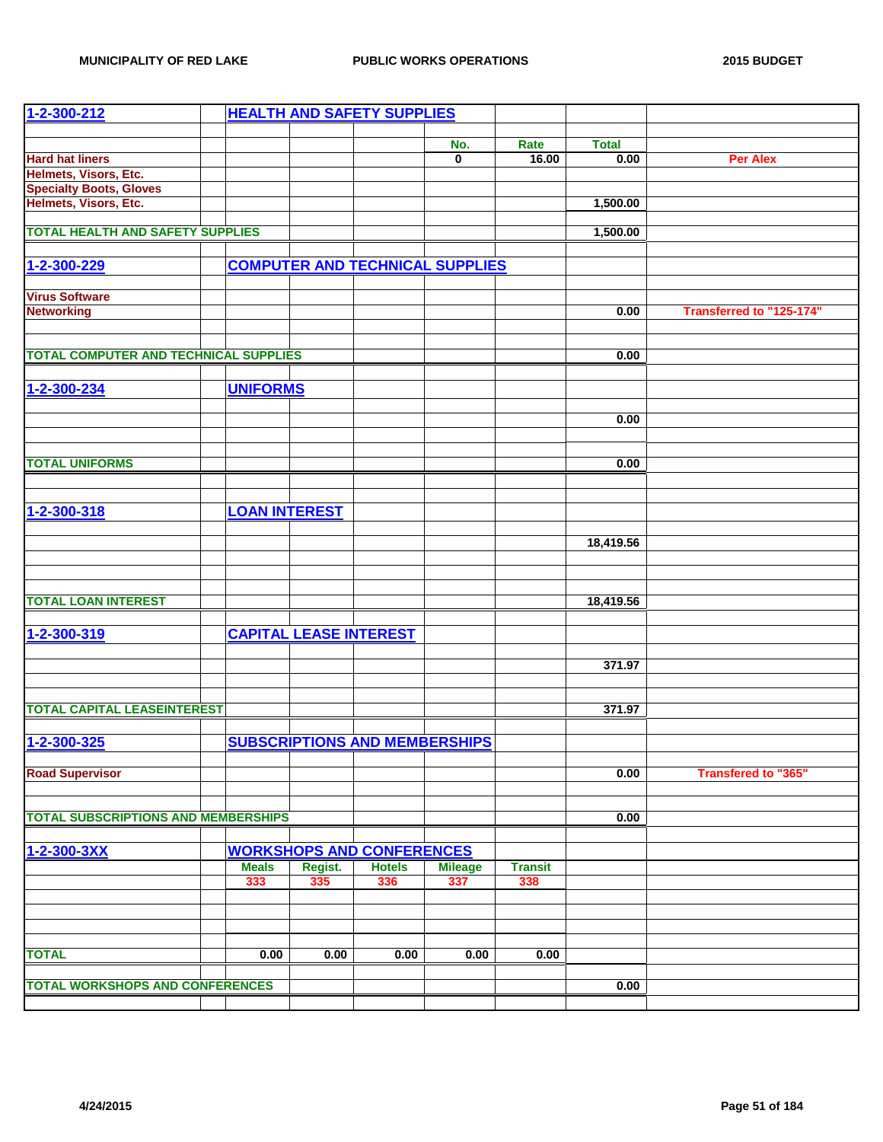| 1-2-300-212                                  |                      |                               | <b>HEALTH AND SAFETY SUPPLIES</b>      |                       |                |              |                            |
|----------------------------------------------|----------------------|-------------------------------|----------------------------------------|-----------------------|----------------|--------------|----------------------------|
|                                              |                      |                               |                                        |                       |                |              |                            |
|                                              |                      |                               |                                        | No.                   | Rate           | <b>Total</b> |                            |
| <b>Hard hat liners</b>                       |                      |                               |                                        | 0                     | 16.00          | 0.00         | <b>Per Alex</b>            |
| Helmets, Visors, Etc.                        |                      |                               |                                        |                       |                |              |                            |
| <b>Specialty Boots, Gloves</b>               |                      |                               |                                        |                       |                |              |                            |
| Helmets, Visors, Etc.                        |                      |                               |                                        |                       |                | 1,500.00     |                            |
|                                              |                      |                               |                                        |                       |                |              |                            |
| <b>TOTAL HEALTH AND SAFETY SUPPLIES</b>      |                      |                               |                                        |                       |                | 1,500.00     |                            |
|                                              |                      |                               |                                        |                       |                |              |                            |
| 1-2-300-229                                  |                      |                               | <b>COMPUTER AND TECHNICAL SUPPLIES</b> |                       |                |              |                            |
|                                              |                      |                               |                                        |                       |                |              |                            |
| <b>Virus Software</b>                        |                      |                               |                                        |                       |                |              |                            |
| <b>Networking</b>                            |                      |                               |                                        |                       |                | 0.00         | Transferred to "125-174"   |
|                                              |                      |                               |                                        |                       |                |              |                            |
|                                              |                      |                               |                                        |                       |                |              |                            |
| <b>TOTAL COMPUTER AND TECHNICAL SUPPLIES</b> |                      |                               |                                        |                       |                | 0.00         |                            |
|                                              |                      |                               |                                        |                       |                |              |                            |
| 1-2-300-234                                  | <b>UNIFORMS</b>      |                               |                                        |                       |                |              |                            |
|                                              |                      |                               |                                        |                       |                |              |                            |
|                                              |                      |                               |                                        |                       |                | 0.00         |                            |
|                                              |                      |                               |                                        |                       |                |              |                            |
|                                              |                      |                               |                                        |                       |                |              |                            |
| <b>TOTAL UNIFORMS</b>                        |                      |                               |                                        |                       |                | 0.00         |                            |
|                                              |                      |                               |                                        |                       |                |              |                            |
|                                              |                      |                               |                                        |                       |                |              |                            |
|                                              |                      |                               |                                        |                       |                |              |                            |
| 1-2-300-318                                  | <b>LOAN INTEREST</b> |                               |                                        |                       |                |              |                            |
|                                              |                      |                               |                                        |                       |                |              |                            |
|                                              |                      |                               |                                        |                       |                | 18,419.56    |                            |
|                                              |                      |                               |                                        |                       |                |              |                            |
|                                              |                      |                               |                                        |                       |                |              |                            |
|                                              |                      |                               |                                        |                       |                |              |                            |
| <b>TOTAL LOAN INTEREST</b>                   |                      |                               |                                        |                       |                | 18,419.56    |                            |
|                                              |                      |                               |                                        |                       |                |              |                            |
| 1-2-300-319                                  |                      | <b>CAPITAL LEASE INTEREST</b> |                                        |                       |                |              |                            |
|                                              |                      |                               |                                        |                       |                |              |                            |
|                                              |                      |                               |                                        |                       |                | 371.97       |                            |
|                                              |                      |                               |                                        |                       |                |              |                            |
|                                              |                      |                               |                                        |                       |                |              |                            |
| <b>TOTAL CAPITAL LEASEINTEREST</b>           |                      |                               |                                        |                       |                | 371.97       |                            |
|                                              |                      |                               |                                        |                       |                |              |                            |
| 1-2-300-325                                  |                      |                               | <b>SUBSCRIPTIONS AND MEMBERSHIPS</b>   |                       |                |              |                            |
|                                              |                      |                               |                                        |                       |                |              |                            |
| <b>Road Supervisor</b>                       |                      |                               |                                        |                       |                | 0.00         | <b>Transfered to "365"</b> |
|                                              |                      |                               |                                        |                       |                |              |                            |
|                                              |                      |                               |                                        |                       |                |              |                            |
| <b>TOTAL SUBSCRIPTIONS AND MEMBERSHIPS</b>   |                      |                               |                                        |                       |                | 0.00         |                            |
|                                              |                      |                               |                                        |                       |                |              |                            |
| 1-2-300-3XX                                  |                      |                               | <b>WORKSHOPS AND CONFERENCES</b>       |                       |                |              |                            |
|                                              | <b>Meals</b>         |                               | <b>Hotels</b>                          |                       | <b>Transit</b> |              |                            |
|                                              | 333                  | Regist.<br>335                | 336                                    | <b>Mileage</b><br>337 | 338            |              |                            |
|                                              |                      |                               |                                        |                       |                |              |                            |
|                                              |                      |                               |                                        |                       |                |              |                            |
|                                              |                      |                               |                                        |                       |                |              |                            |
|                                              |                      |                               |                                        |                       |                |              |                            |
| <b>TOTAL</b>                                 | 0.00                 | 0.00                          | 0.00                                   | 0.00                  | 0.00           |              |                            |
|                                              |                      |                               |                                        |                       |                |              |                            |
| <b>TOTAL WORKSHOPS AND CONFERENCES</b>       |                      |                               |                                        |                       |                |              |                            |
|                                              |                      |                               |                                        |                       |                | 0.00         |                            |
|                                              |                      |                               |                                        |                       |                |              |                            |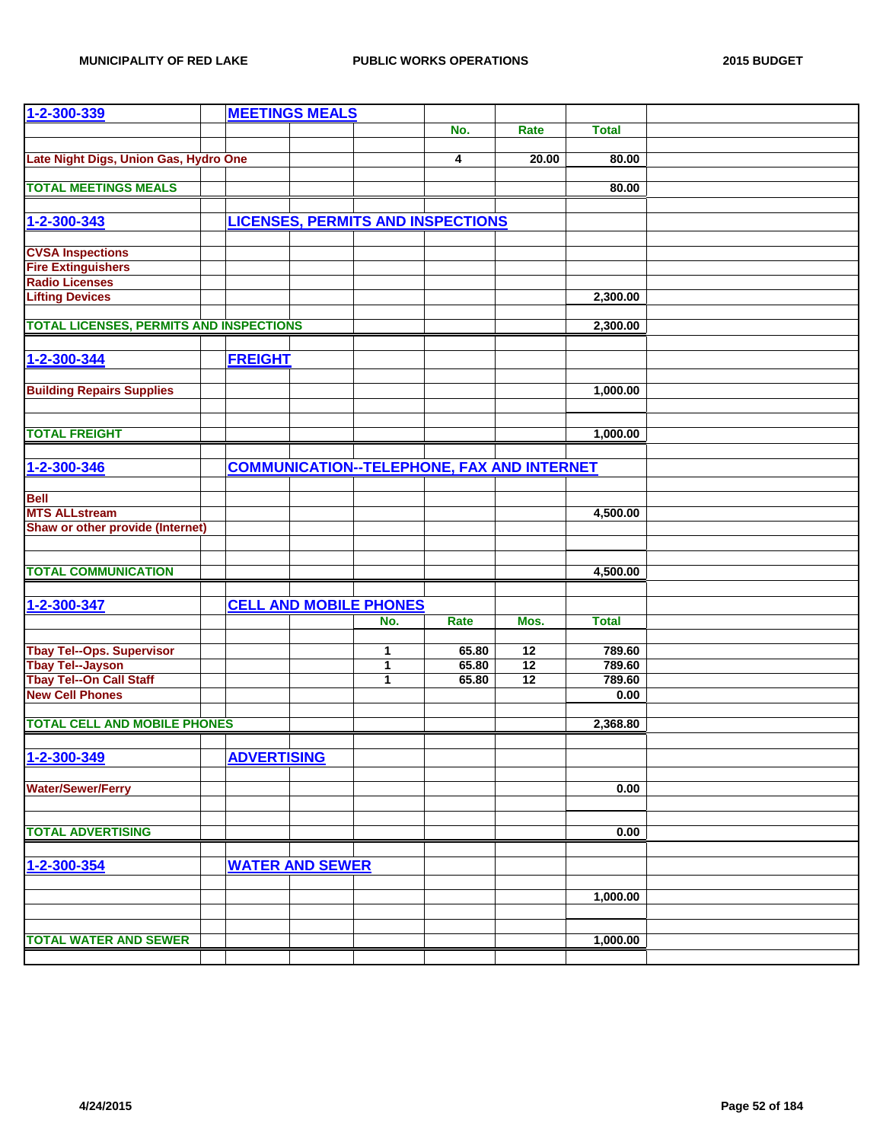| 1-2-300-339                                    |                    | <b>MEETINGS MEALS</b>  |                               |                                          |                                                   |              |  |
|------------------------------------------------|--------------------|------------------------|-------------------------------|------------------------------------------|---------------------------------------------------|--------------|--|
|                                                |                    |                        |                               | No.                                      | <b>Rate</b>                                       | <b>Total</b> |  |
|                                                |                    |                        |                               |                                          |                                                   |              |  |
| Late Night Digs, Union Gas, Hydro One          |                    |                        |                               | 4                                        | 20.00                                             | 80.00        |  |
| <b>TOTAL MEETINGS MEALS</b>                    |                    |                        |                               |                                          |                                                   | 80.00        |  |
|                                                |                    |                        |                               |                                          |                                                   |              |  |
| 1-2-300-343                                    |                    |                        |                               | <b>LICENSES, PERMITS AND INSPECTIONS</b> |                                                   |              |  |
|                                                |                    |                        |                               |                                          |                                                   |              |  |
| <b>CVSA Inspections</b>                        |                    |                        |                               |                                          |                                                   |              |  |
| <b>Fire Extinguishers</b>                      |                    |                        |                               |                                          |                                                   |              |  |
| <b>Radio Licenses</b>                          |                    |                        |                               |                                          |                                                   |              |  |
| <b>Lifting Devices</b>                         |                    |                        |                               |                                          |                                                   | 2,300.00     |  |
| <b>TOTAL LICENSES, PERMITS AND INSPECTIONS</b> |                    |                        |                               |                                          |                                                   | 2,300.00     |  |
|                                                |                    |                        |                               |                                          |                                                   |              |  |
| 1-2-300-344                                    | <b>FREIGHT</b>     |                        |                               |                                          |                                                   |              |  |
|                                                |                    |                        |                               |                                          |                                                   |              |  |
| <b>Building Repairs Supplies</b>               |                    |                        |                               |                                          |                                                   | 1,000.00     |  |
|                                                |                    |                        |                               |                                          |                                                   |              |  |
|                                                |                    |                        |                               |                                          |                                                   |              |  |
| <b>TOTAL FREIGHT</b>                           |                    |                        |                               |                                          |                                                   | 1,000.00     |  |
|                                                |                    |                        |                               |                                          |                                                   |              |  |
| 1-2-300-346                                    |                    |                        |                               |                                          | <b>COMMUNICATION--TELEPHONE, FAX AND INTERNET</b> |              |  |
|                                                |                    |                        |                               |                                          |                                                   |              |  |
| <b>Bell</b><br><b>MTS ALLstream</b>            |                    |                        |                               |                                          |                                                   | 4,500.00     |  |
| Shaw or other provide (Internet)               |                    |                        |                               |                                          |                                                   |              |  |
|                                                |                    |                        |                               |                                          |                                                   |              |  |
|                                                |                    |                        |                               |                                          |                                                   |              |  |
| <b>TOTAL COMMUNICATION</b>                     |                    |                        |                               |                                          |                                                   | 4,500.00     |  |
|                                                |                    |                        |                               |                                          |                                                   |              |  |
| 1-2-300-347                                    |                    |                        | <b>CELL AND MOBILE PHONES</b> |                                          |                                                   |              |  |
|                                                |                    |                        | No.                           | Rate                                     | Mos.                                              | <b>Total</b> |  |
| <b>Tbay Tel--Ops. Supervisor</b>               |                    |                        | 1                             | 65.80                                    | 12                                                | 789.60       |  |
| <b>Tbay Tel--Jayson</b>                        |                    |                        | 1                             | 65.80                                    | 12                                                | 789.60       |  |
| <b>Tbay Tel--On Call Staff</b>                 |                    |                        | 1                             | 65.80                                    | 12                                                | 789.60       |  |
| <b>New Cell Phones</b>                         |                    |                        |                               |                                          |                                                   | 0.00         |  |
|                                                |                    |                        |                               |                                          |                                                   |              |  |
| <b>TOTAL CELL AND MOBILE PHONES</b>            |                    |                        |                               |                                          |                                                   | 2,368.80     |  |
|                                                |                    |                        |                               |                                          |                                                   |              |  |
| $1 - 2 - 300 - 349$                            | <b>ADVERTISING</b> |                        |                               |                                          |                                                   |              |  |
| <b>Water/Sewer/Ferry</b>                       |                    |                        |                               |                                          |                                                   | 0.00         |  |
|                                                |                    |                        |                               |                                          |                                                   |              |  |
|                                                |                    |                        |                               |                                          |                                                   |              |  |
| <b>TOTAL ADVERTISING</b>                       |                    |                        |                               |                                          |                                                   | 0.00         |  |
|                                                |                    |                        |                               |                                          |                                                   |              |  |
| 1-2-300-354                                    |                    | <b>WATER AND SEWER</b> |                               |                                          |                                                   |              |  |
|                                                |                    |                        |                               |                                          |                                                   |              |  |
|                                                |                    |                        |                               |                                          |                                                   | 1,000.00     |  |
|                                                |                    |                        |                               |                                          |                                                   |              |  |
| <b>TOTAL WATER AND SEWER</b>                   |                    |                        |                               |                                          |                                                   | 1,000.00     |  |
|                                                |                    |                        |                               |                                          |                                                   |              |  |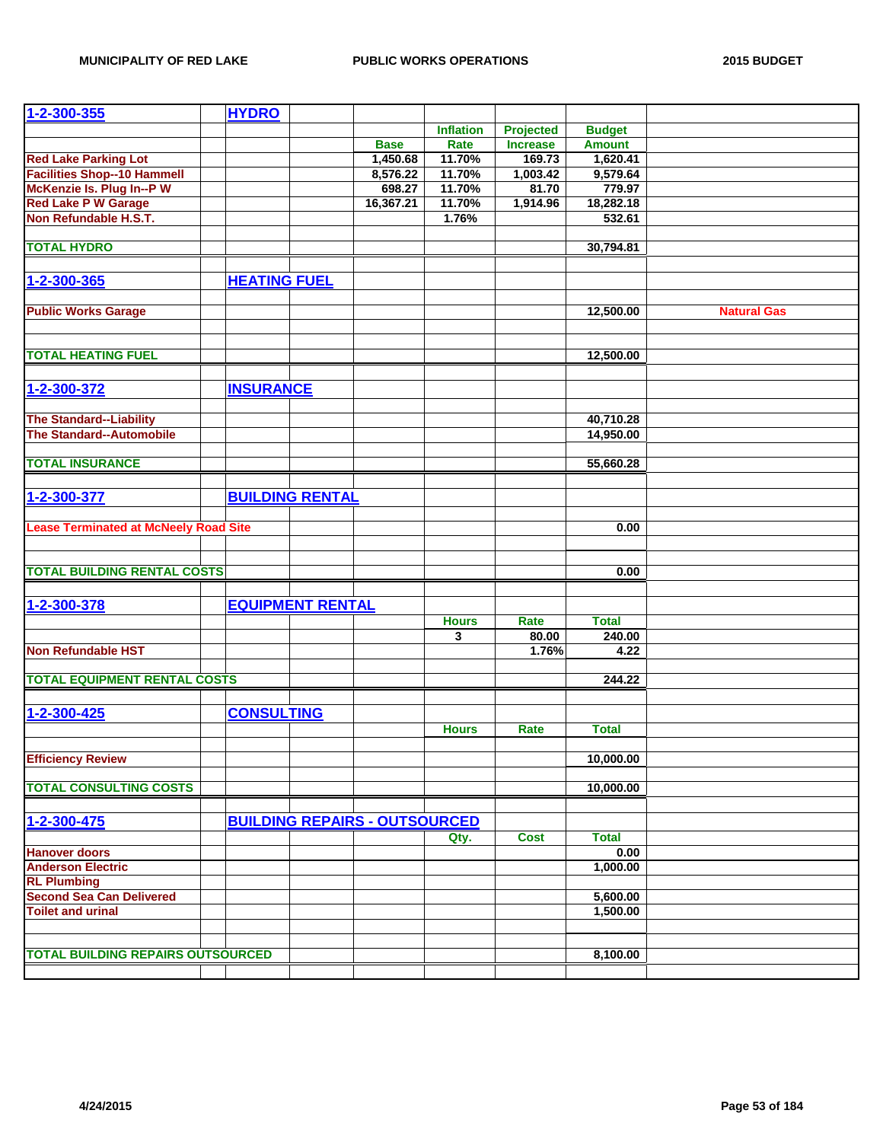| 1-2-300-355                                  | <b>HYDRO</b>        |                         |                                      |                  |                  |               |                    |
|----------------------------------------------|---------------------|-------------------------|--------------------------------------|------------------|------------------|---------------|--------------------|
|                                              |                     |                         |                                      | <b>Inflation</b> | <b>Projected</b> | <b>Budget</b> |                    |
|                                              |                     |                         | <b>Base</b>                          | Rate             | <b>Increase</b>  | <b>Amount</b> |                    |
| <b>Red Lake Parking Lot</b>                  |                     |                         | 1,450.68                             | 11.70%           | 169.73           | 1,620.41      |                    |
| <b>Facilities Shop--10 Hammell</b>           |                     |                         | 8,576.22                             | 11.70%           | 1,003.42         | 9,579.64      |                    |
| McKenzie Is. Plug In--P W                    |                     |                         | 698.27                               | 11.70%           | 81.70            | 779.97        |                    |
| <b>Red Lake P W Garage</b>                   |                     |                         | 16,367.21                            | 11.70%           | 1,914.96         | 18,282.18     |                    |
| Non Refundable H.S.T.                        |                     |                         |                                      | 1.76%            |                  | 532.61        |                    |
|                                              |                     |                         |                                      |                  |                  |               |                    |
| <b>TOTAL HYDRO</b>                           |                     |                         |                                      |                  |                  | 30,794.81     |                    |
|                                              |                     |                         |                                      |                  |                  |               |                    |
| 1-2-300-365                                  | <b>HEATING FUEL</b> |                         |                                      |                  |                  |               |                    |
|                                              |                     |                         |                                      |                  |                  |               |                    |
| <b>Public Works Garage</b>                   |                     |                         |                                      |                  |                  | 12,500.00     | <b>Natural Gas</b> |
|                                              |                     |                         |                                      |                  |                  |               |                    |
|                                              |                     |                         |                                      |                  |                  |               |                    |
| <b>TOTAL HEATING FUEL</b>                    |                     |                         |                                      |                  |                  | 12,500.00     |                    |
|                                              |                     |                         |                                      |                  |                  |               |                    |
| 1-2-300-372                                  | <b>INSURANCE</b>    |                         |                                      |                  |                  |               |                    |
|                                              |                     |                         |                                      |                  |                  |               |                    |
| <b>The Standard--Liability</b>               |                     |                         |                                      |                  |                  | 40,710.28     |                    |
| <b>The Standard--Automobile</b>              |                     |                         |                                      |                  |                  | 14,950.00     |                    |
|                                              |                     |                         |                                      |                  |                  |               |                    |
| <b>TOTAL INSURANCE</b>                       |                     |                         |                                      |                  |                  | 55,660.28     |                    |
|                                              |                     |                         |                                      |                  |                  |               |                    |
| 1-2-300-377                                  |                     | <b>BUILDING RENTAL</b>  |                                      |                  |                  |               |                    |
|                                              |                     |                         |                                      |                  |                  |               |                    |
| <b>Lease Terminated at McNeely Road Site</b> |                     |                         |                                      |                  |                  | 0.00          |                    |
|                                              |                     |                         |                                      |                  |                  |               |                    |
|                                              |                     |                         |                                      |                  |                  |               |                    |
| <b>TOTAL BUILDING RENTAL COSTS</b>           |                     |                         |                                      |                  |                  | 0.00          |                    |
|                                              |                     |                         |                                      |                  |                  |               |                    |
| 1-2-300-378                                  |                     | <b>EQUIPMENT RENTAL</b> |                                      |                  |                  |               |                    |
|                                              |                     |                         |                                      | <b>Hours</b>     | Rate             | <b>Total</b>  |                    |
|                                              |                     |                         |                                      | 3                | 80.00            | 240.00        |                    |
| <b>Non Refundable HST</b>                    |                     |                         |                                      |                  | 1.76%            | 4.22          |                    |
|                                              |                     |                         |                                      |                  |                  |               |                    |
| <b>TOTAL EQUIPMENT RENTAL COSTS</b>          |                     |                         |                                      |                  |                  | 244.22        |                    |
|                                              |                     |                         |                                      |                  |                  |               |                    |
| 1-2-300-425                                  | <b>CONSULTING</b>   |                         |                                      |                  |                  |               |                    |
|                                              |                     |                         |                                      | <b>Hours</b>     | <b>Rate</b>      | <b>Total</b>  |                    |
|                                              |                     |                         |                                      |                  |                  |               |                    |
| <b>Efficiency Review</b>                     |                     |                         |                                      |                  |                  | 10,000.00     |                    |
|                                              |                     |                         |                                      |                  |                  |               |                    |
| <b>TOTAL CONSULTING COSTS</b>                |                     |                         |                                      |                  |                  | 10,000.00     |                    |
|                                              |                     |                         |                                      |                  |                  |               |                    |
| 1-2-300-475                                  |                     |                         | <b>BUILDING REPAIRS - OUTSOURCED</b> |                  |                  |               |                    |
|                                              |                     |                         |                                      | Qty.             | <b>Cost</b>      | <b>Total</b>  |                    |
| <b>Hanover doors</b>                         |                     |                         |                                      |                  |                  | 0.00          |                    |
| <b>Anderson Electric</b>                     |                     |                         |                                      |                  |                  | 1,000.00      |                    |
| <b>RL Plumbing</b>                           |                     |                         |                                      |                  |                  |               |                    |
| <b>Second Sea Can Delivered</b>              |                     |                         |                                      |                  |                  | 5,600.00      |                    |
| <b>Toilet and urinal</b>                     |                     |                         |                                      |                  |                  | 1,500.00      |                    |
|                                              |                     |                         |                                      |                  |                  |               |                    |
|                                              |                     |                         |                                      |                  |                  |               |                    |
| <b>TOTAL BUILDING REPAIRS OUTSOURCED</b>     |                     |                         |                                      |                  |                  | 8,100.00      |                    |
|                                              |                     |                         |                                      |                  |                  |               |                    |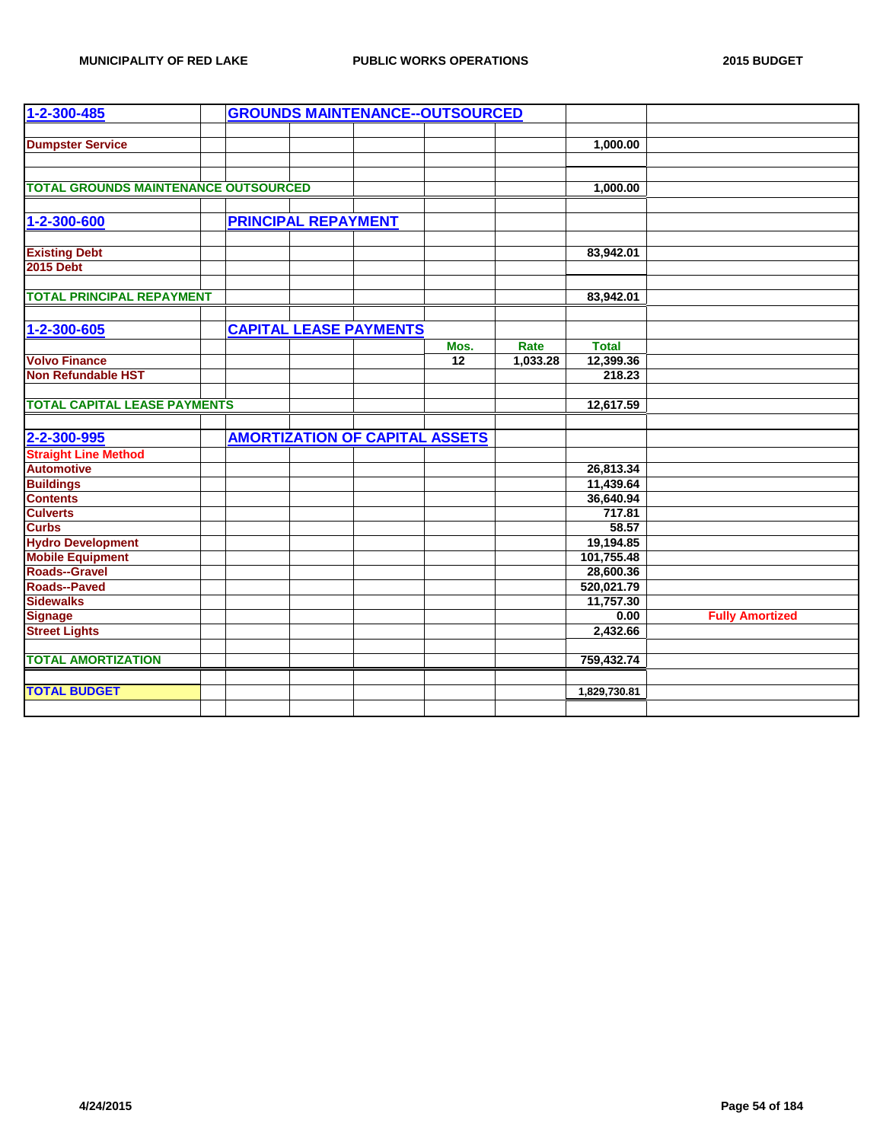| 1-2-300-485                                 |  |                            | <b>GROUNDS MAINTENANCE--OUTSOURCED</b> |                 |          |              |                        |
|---------------------------------------------|--|----------------------------|----------------------------------------|-----------------|----------|--------------|------------------------|
|                                             |  |                            |                                        |                 |          |              |                        |
| <b>Dumpster Service</b>                     |  |                            |                                        |                 |          | 1,000.00     |                        |
|                                             |  |                            |                                        |                 |          |              |                        |
| <b>TOTAL GROUNDS MAINTENANCE OUTSOURCED</b> |  |                            |                                        |                 |          | 1,000.00     |                        |
|                                             |  |                            |                                        |                 |          |              |                        |
| 1-2-300-600                                 |  | <b>PRINCIPAL REPAYMENT</b> |                                        |                 |          |              |                        |
|                                             |  |                            |                                        |                 |          |              |                        |
|                                             |  |                            |                                        |                 |          | 83,942.01    |                        |
| <b>Existing Debt</b><br>2015 Debt           |  |                            |                                        |                 |          |              |                        |
|                                             |  |                            |                                        |                 |          |              |                        |
| <b>TOTAL PRINCIPAL REPAYMENT</b>            |  |                            |                                        |                 |          | 83,942.01    |                        |
|                                             |  |                            |                                        |                 |          |              |                        |
| 1-2-300-605                                 |  |                            | <b>CAPITAL LEASE PAYMENTS</b>          |                 |          |              |                        |
|                                             |  |                            |                                        | Mos.            | Rate     | <b>Total</b> |                        |
| <b>Volvo Finance</b>                        |  |                            |                                        | $\overline{12}$ | 1,033.28 | 12,399.36    |                        |
| <b>Non Refundable HST</b>                   |  |                            |                                        |                 |          | 218.23       |                        |
|                                             |  |                            |                                        |                 |          |              |                        |
| <b>TOTAL CAPITAL LEASE PAYMENTS</b>         |  |                            |                                        |                 |          | 12,617.59    |                        |
|                                             |  |                            |                                        |                 |          |              |                        |
| 2-2-300-995                                 |  |                            | <b>AMORTIZATION OF CAPITAL ASSETS</b>  |                 |          |              |                        |
| <b>Straight Line Method</b>                 |  |                            |                                        |                 |          |              |                        |
| <b>Automotive</b>                           |  |                            |                                        |                 |          | 26,813.34    |                        |
| <b>Buildings</b>                            |  |                            |                                        |                 |          | 11,439.64    |                        |
| <b>Contents</b>                             |  |                            |                                        |                 |          | 36,640.94    |                        |
| <b>Culverts</b><br>Curbs                    |  |                            |                                        |                 |          | 717.81       |                        |
|                                             |  |                            |                                        |                 |          | 58.57        |                        |
| <b>Hydro Development</b>                    |  |                            |                                        |                 |          | 19,194.85    |                        |
| <b>Mobile Equipment</b>                     |  |                            |                                        |                 |          | 101,755.48   |                        |
| Roads--Gravel                               |  |                            |                                        |                 |          | 28,600.36    |                        |
| <b>Roads--Paved</b>                         |  |                            |                                        |                 |          | 520,021.79   |                        |
| <b>Sidewalks</b>                            |  |                            |                                        |                 |          | 11,757.30    |                        |
| <b>Signage</b>                              |  |                            |                                        |                 |          | 0.00         | <b>Fully Amortized</b> |
| <b>Street Lights</b>                        |  |                            |                                        |                 |          | 2,432.66     |                        |
|                                             |  |                            |                                        |                 |          |              |                        |
| <b>TOTAL AMORTIZATION</b>                   |  |                            |                                        |                 |          | 759,432.74   |                        |
|                                             |  |                            |                                        |                 |          |              |                        |
| <b>TOTAL BUDGET</b>                         |  |                            |                                        |                 |          | 1,829,730.81 |                        |
|                                             |  |                            |                                        |                 |          |              |                        |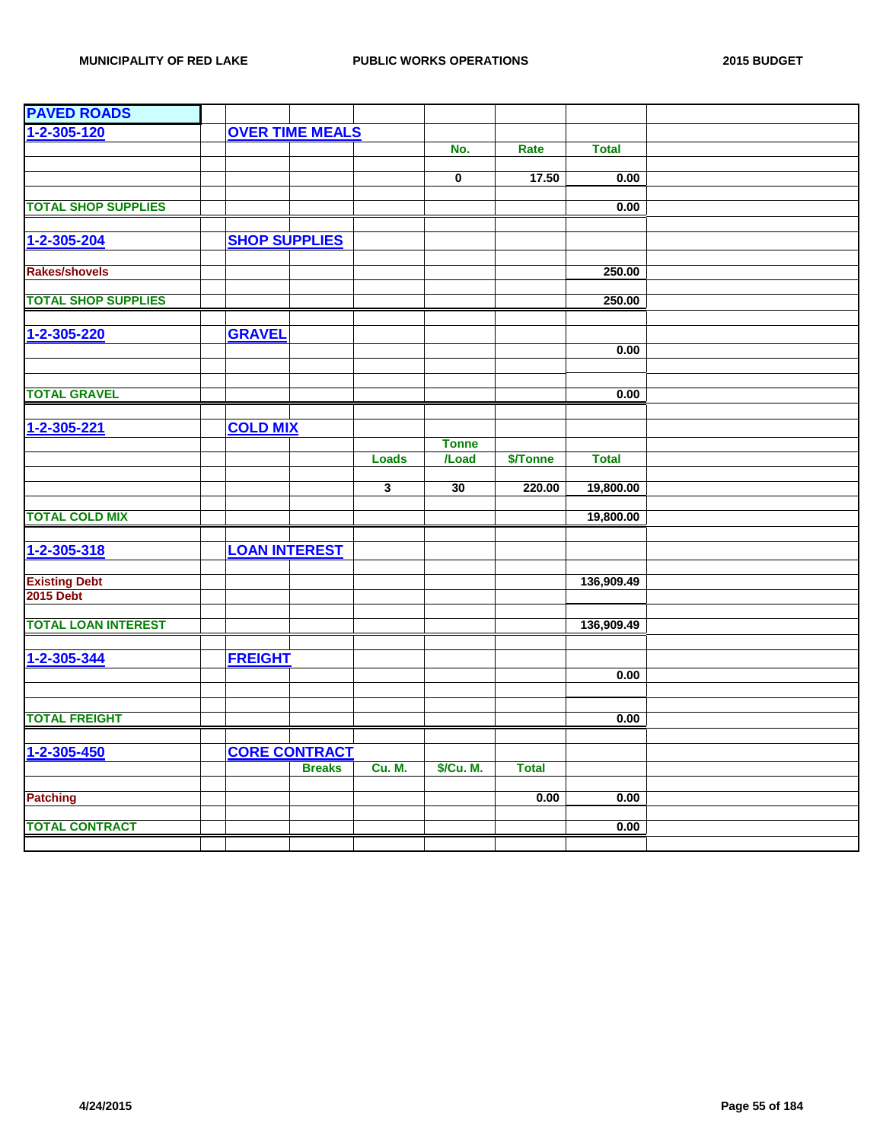| <b>PAVED ROADS</b>         |                      |                        |                         |                         |              |              |  |
|----------------------------|----------------------|------------------------|-------------------------|-------------------------|--------------|--------------|--|
| $1 - 2 - 305 - 120$        |                      | <b>OVER TIME MEALS</b> |                         |                         |              |              |  |
|                            |                      |                        |                         | No.                     | Rate         | <b>Total</b> |  |
|                            |                      |                        |                         |                         |              |              |  |
|                            |                      |                        |                         | $\overline{\mathbf{0}}$ | 17.50        | 0.00         |  |
| <b>TOTAL SHOP SUPPLIES</b> |                      |                        |                         |                         |              | 0.00         |  |
|                            |                      |                        |                         |                         |              |              |  |
| $1 - 2 - 305 - 204$        | <b>SHOP SUPPLIES</b> |                        |                         |                         |              |              |  |
|                            |                      |                        |                         |                         |              |              |  |
| <b>Rakes/shovels</b>       |                      |                        |                         |                         |              | 250.00       |  |
| <b>TOTAL SHOP SUPPLIES</b> |                      |                        |                         |                         |              | 250.00       |  |
|                            |                      |                        |                         |                         |              |              |  |
| 1-2-305-220                | <b>GRAVEL</b>        |                        |                         |                         |              |              |  |
|                            |                      |                        |                         |                         |              | 0.00         |  |
|                            |                      |                        |                         |                         |              |              |  |
|                            |                      |                        |                         |                         |              |              |  |
| <b>TOTAL GRAVEL</b>        |                      |                        |                         |                         |              | 0.00         |  |
|                            |                      |                        |                         |                         |              |              |  |
| 1-2-305-221                | <b>COLD MIX</b>      |                        |                         |                         |              |              |  |
|                            |                      |                        | <b>Loads</b>            | <b>Tonne</b><br>/Load   | \$/Tonne     | <b>Total</b> |  |
|                            |                      |                        |                         |                         |              |              |  |
|                            |                      |                        | $\overline{\mathbf{3}}$ | 30                      | 220.00       | 19,800.00    |  |
|                            |                      |                        |                         |                         |              |              |  |
| <b>TOTAL COLD MIX</b>      |                      |                        |                         |                         |              | 19,800.00    |  |
|                            |                      |                        |                         |                         |              |              |  |
| 1-2-305-318                | <b>LOAN INTEREST</b> |                        |                         |                         |              |              |  |
| <b>Existing Debt</b>       |                      |                        |                         |                         |              | 136,909.49   |  |
| <b>2015 Debt</b>           |                      |                        |                         |                         |              |              |  |
|                            |                      |                        |                         |                         |              |              |  |
| <b>TOTAL LOAN INTEREST</b> |                      |                        |                         |                         |              | 136,909.49   |  |
|                            |                      |                        |                         |                         |              |              |  |
| 1-2-305-344                | <b>FREIGHT</b>       |                        |                         |                         |              |              |  |
|                            |                      |                        |                         |                         |              | 0.00         |  |
|                            |                      |                        |                         |                         |              |              |  |
| <b>TOTAL FREIGHT</b>       |                      |                        |                         |                         |              | 0.00         |  |
|                            |                      |                        |                         |                         |              |              |  |
| 1-2-305-450                |                      | <b>CORE CONTRACT</b>   |                         |                         |              |              |  |
|                            |                      | <b>Breaks</b>          | <b>Cu. M.</b>           | \$/Cu. M.               | <b>Total</b> |              |  |
|                            |                      |                        |                         |                         |              |              |  |
| <b>Patching</b>            |                      |                        |                         |                         | 0.00         | 0.00         |  |
| <b>TOTAL CONTRACT</b>      |                      |                        |                         |                         |              | 0.00         |  |
|                            |                      |                        |                         |                         |              |              |  |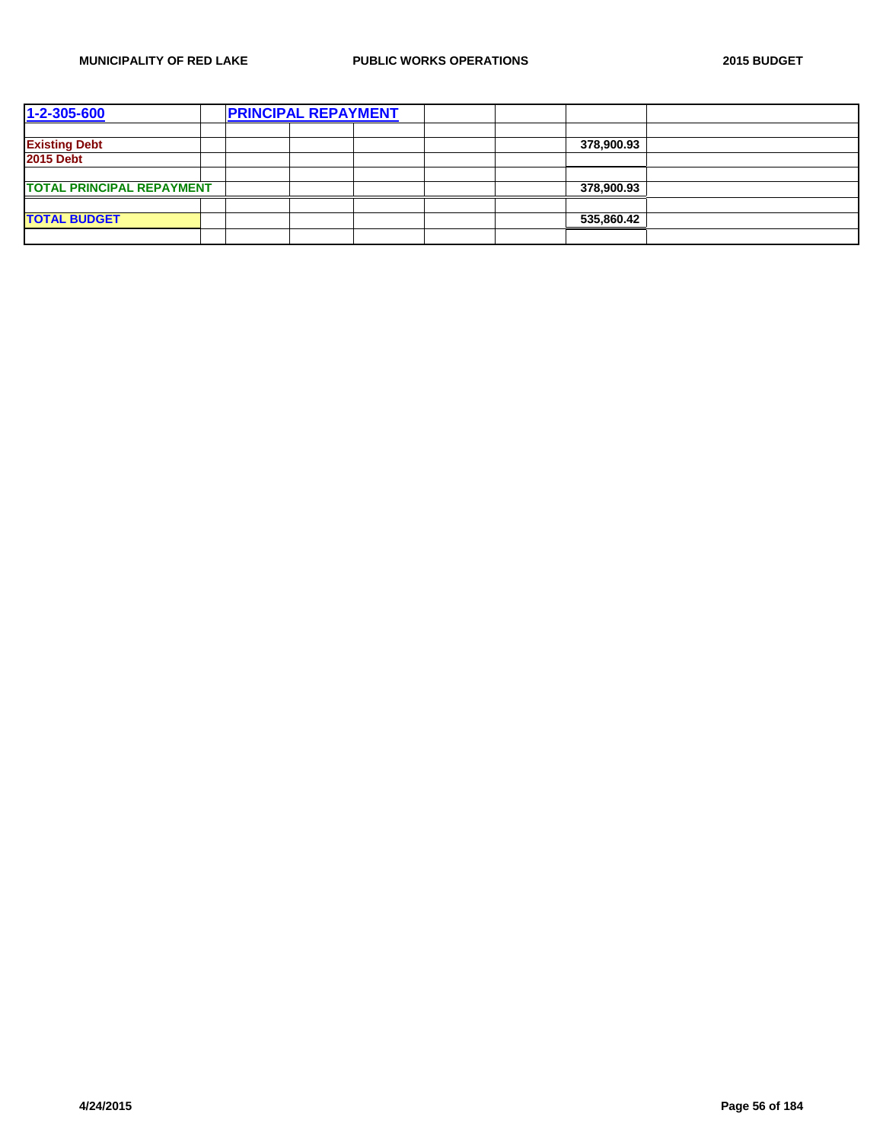| 1-2-305-600                      | <b>PRINCIPAL REPAYMENT</b> |  |  |            |  |
|----------------------------------|----------------------------|--|--|------------|--|
|                                  |                            |  |  |            |  |
| <b>Existing Debt</b>             |                            |  |  | 378,900.93 |  |
| <b>2015 Debt</b>                 |                            |  |  |            |  |
|                                  |                            |  |  |            |  |
| <b>TOTAL PRINCIPAL REPAYMENT</b> |                            |  |  | 378,900.93 |  |
|                                  |                            |  |  |            |  |
| <b>TOTAL BUDGET</b>              |                            |  |  | 535,860.42 |  |
|                                  |                            |  |  |            |  |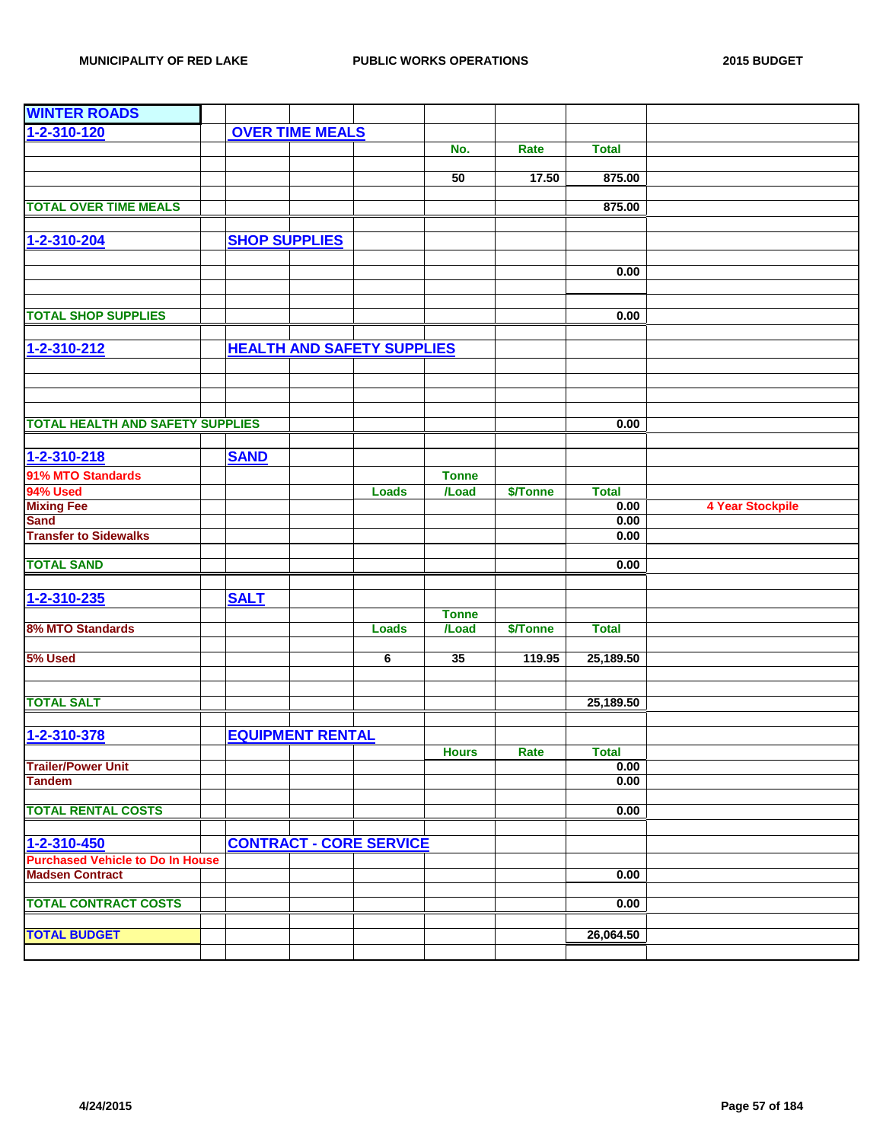| <b>WINTER ROADS</b>                     |                      |                         |                                   |                     |          |              |                         |
|-----------------------------------------|----------------------|-------------------------|-----------------------------------|---------------------|----------|--------------|-------------------------|
| 1-2-310-120                             |                      | <b>OVER TIME MEALS</b>  |                                   |                     |          |              |                         |
|                                         |                      |                         |                                   | No.                 | Rate     | <b>Total</b> |                         |
|                                         |                      |                         |                                   |                     |          |              |                         |
|                                         |                      |                         |                                   | 50                  | 17.50    | 875.00       |                         |
|                                         |                      |                         |                                   |                     |          |              |                         |
| <b>TOTAL OVER TIME MEALS</b>            |                      |                         |                                   |                     |          | 875.00       |                         |
|                                         |                      |                         |                                   |                     |          |              |                         |
| 1-2-310-204                             | <b>SHOP SUPPLIES</b> |                         |                                   |                     |          |              |                         |
|                                         |                      |                         |                                   |                     |          |              |                         |
|                                         |                      |                         |                                   |                     |          | 0.00         |                         |
|                                         |                      |                         |                                   |                     |          |              |                         |
|                                         |                      |                         |                                   |                     |          |              |                         |
| <b>TOTAL SHOP SUPPLIES</b>              |                      |                         |                                   |                     |          | 0.00         |                         |
|                                         |                      |                         |                                   |                     |          |              |                         |
| 1-2-310-212                             |                      |                         | <b>HEALTH AND SAFETY SUPPLIES</b> |                     |          |              |                         |
|                                         |                      |                         |                                   |                     |          |              |                         |
|                                         |                      |                         |                                   |                     |          |              |                         |
|                                         |                      |                         |                                   |                     |          |              |                         |
|                                         |                      |                         |                                   |                     |          |              |                         |
| <b>TOTAL HEALTH AND SAFETY SUPPLIES</b> |                      |                         |                                   |                     |          | 0.00         |                         |
|                                         |                      |                         |                                   |                     |          |              |                         |
| 1-2-310-218                             | <b>SAND</b>          |                         |                                   |                     |          |              |                         |
| 91% MTO Standards                       |                      |                         |                                   | <b>Tonne</b>        |          |              |                         |
| 94% Used                                |                      |                         | <b>Loads</b>                      | /Load               | \$/Tonne | <b>Total</b> |                         |
| <b>Mixing Fee</b>                       |                      |                         |                                   |                     |          | 0.00         | <b>4 Year Stockpile</b> |
| <b>Sand</b>                             |                      |                         |                                   |                     |          | 0.00         |                         |
| <b>Transfer to Sidewalks</b>            |                      |                         |                                   |                     |          | 0.00         |                         |
|                                         |                      |                         |                                   |                     |          |              |                         |
| <b>TOTAL SAND</b>                       |                      |                         |                                   |                     |          | 0.00         |                         |
|                                         |                      |                         |                                   |                     |          |              |                         |
| 1-2-310-235                             | <b>SALT</b>          |                         |                                   |                     |          |              |                         |
|                                         |                      |                         |                                   | <b>Tonne</b>        |          |              |                         |
| 8% MTO Standards                        |                      |                         | <b>Loads</b>                      | $\overline{I}$ Load | \$/Tonne | <b>Total</b> |                         |
|                                         |                      |                         |                                   |                     |          |              |                         |
| 5% Used                                 |                      |                         | 6                                 | 35                  | 119.95   | 25,189.50    |                         |
|                                         |                      |                         |                                   |                     |          |              |                         |
|                                         |                      |                         |                                   |                     |          |              |                         |
| <b>TOTAL SALT</b>                       |                      |                         |                                   |                     |          | 25,189.50    |                         |
|                                         |                      |                         |                                   |                     |          |              |                         |
| 1-2-310-378                             |                      | <b>EQUIPMENT RENTAL</b> |                                   |                     |          |              |                         |
|                                         |                      |                         |                                   | <b>Hours</b>        | Rate     | Total        |                         |
| <b>Trailer/Power Unit</b>               |                      |                         |                                   |                     |          | 0.00         |                         |
| <b>Tandem</b>                           |                      |                         |                                   |                     |          | 0.00         |                         |
|                                         |                      |                         |                                   |                     |          |              |                         |
| <b>TOTAL RENTAL COSTS</b>               |                      |                         |                                   |                     |          | 0.00         |                         |
|                                         |                      |                         |                                   |                     |          |              |                         |
| 1-2-310-450                             |                      |                         | <b>CONTRACT - CORE SERVICE</b>    |                     |          |              |                         |
| <b>Purchased Vehicle to Do In House</b> |                      |                         |                                   |                     |          |              |                         |
| <b>Madsen Contract</b>                  |                      |                         |                                   |                     |          | 0.00         |                         |
|                                         |                      |                         |                                   |                     |          |              |                         |
| <b>TOTAL CONTRACT COSTS</b>             |                      |                         |                                   |                     |          | 0.00         |                         |
|                                         |                      |                         |                                   |                     |          |              |                         |
| <b>TOTAL BUDGET</b>                     |                      |                         |                                   |                     |          | 26,064.50    |                         |
|                                         |                      |                         |                                   |                     |          |              |                         |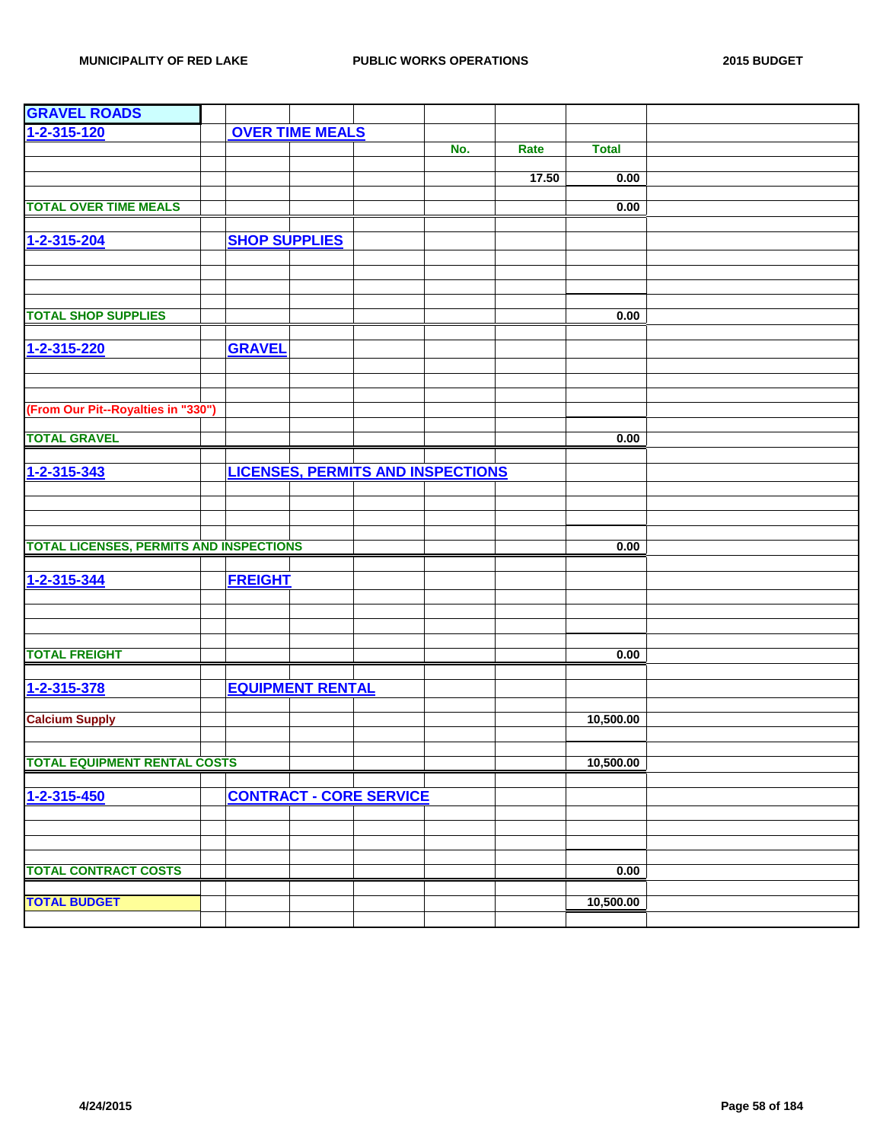| <b>GRAVEL ROADS</b>                            |                      |                         |                                |                                          |       |              |  |
|------------------------------------------------|----------------------|-------------------------|--------------------------------|------------------------------------------|-------|--------------|--|
| 1-2-315-120                                    |                      | <b>OVER TIME MEALS</b>  |                                |                                          |       |              |  |
|                                                |                      |                         |                                | No.                                      | Rate  | <b>Total</b> |  |
|                                                |                      |                         |                                |                                          |       |              |  |
|                                                |                      |                         |                                |                                          | 17.50 | 0.00         |  |
|                                                |                      |                         |                                |                                          |       |              |  |
| <b>TOTAL OVER TIME MEALS</b>                   |                      |                         |                                |                                          |       | 0.00         |  |
|                                                |                      |                         |                                |                                          |       |              |  |
| 1-2-315-204                                    | <b>SHOP SUPPLIES</b> |                         |                                |                                          |       |              |  |
|                                                |                      |                         |                                |                                          |       |              |  |
|                                                |                      |                         |                                |                                          |       |              |  |
|                                                |                      |                         |                                |                                          |       |              |  |
| <b>TOTAL SHOP SUPPLIES</b>                     |                      |                         |                                |                                          |       | 0.00         |  |
|                                                |                      |                         |                                |                                          |       |              |  |
| 1-2-315-220                                    | <b>GRAVEL</b>        |                         |                                |                                          |       |              |  |
|                                                |                      |                         |                                |                                          |       |              |  |
|                                                |                      |                         |                                |                                          |       |              |  |
|                                                |                      |                         |                                |                                          |       |              |  |
| (From Our Pit--Royalties in "330")             |                      |                         |                                |                                          |       |              |  |
|                                                |                      |                         |                                |                                          |       |              |  |
| <b>TOTAL GRAVEL</b>                            |                      |                         |                                |                                          |       | 0.00         |  |
|                                                |                      |                         |                                |                                          |       |              |  |
| 1-2-315-343                                    |                      |                         |                                | <b>LICENSES, PERMITS AND INSPECTIONS</b> |       |              |  |
|                                                |                      |                         |                                |                                          |       |              |  |
|                                                |                      |                         |                                |                                          |       |              |  |
|                                                |                      |                         |                                |                                          |       |              |  |
|                                                |                      |                         |                                |                                          |       |              |  |
| <b>TOTAL LICENSES, PERMITS AND INSPECTIONS</b> |                      |                         |                                |                                          |       | 0.00         |  |
|                                                |                      |                         |                                |                                          |       |              |  |
| 1-2-315-344                                    | <b>FREIGHT</b>       |                         |                                |                                          |       |              |  |
|                                                |                      |                         |                                |                                          |       |              |  |
|                                                |                      |                         |                                |                                          |       |              |  |
|                                                |                      |                         |                                |                                          |       |              |  |
|                                                |                      |                         |                                |                                          |       |              |  |
| <b>TOTAL FREIGHT</b>                           |                      |                         |                                |                                          |       | 0.00         |  |
|                                                |                      |                         |                                |                                          |       |              |  |
| 1-2-315-378                                    |                      | <b>EQUIPMENT RENTAL</b> |                                |                                          |       |              |  |
|                                                |                      |                         |                                |                                          |       |              |  |
| <b>Calcium Supply</b>                          |                      |                         |                                |                                          |       | 10,500.00    |  |
|                                                |                      |                         |                                |                                          |       |              |  |
| <b>TOTAL EQUIPMENT RENTAL COSTS</b>            |                      |                         |                                |                                          |       | 10,500.00    |  |
|                                                |                      |                         |                                |                                          |       |              |  |
|                                                |                      |                         |                                |                                          |       |              |  |
| 1-2-315-450                                    |                      |                         | <b>CONTRACT - CORE SERVICE</b> |                                          |       |              |  |
|                                                |                      |                         |                                |                                          |       |              |  |
|                                                |                      |                         |                                |                                          |       |              |  |
|                                                |                      |                         |                                |                                          |       |              |  |
| <b>TOTAL CONTRACT COSTS</b>                    |                      |                         |                                |                                          |       | 0.00         |  |
|                                                |                      |                         |                                |                                          |       |              |  |
| <b>TOTAL BUDGET</b>                            |                      |                         |                                |                                          |       | 10,500.00    |  |
|                                                |                      |                         |                                |                                          |       |              |  |
|                                                |                      |                         |                                |                                          |       |              |  |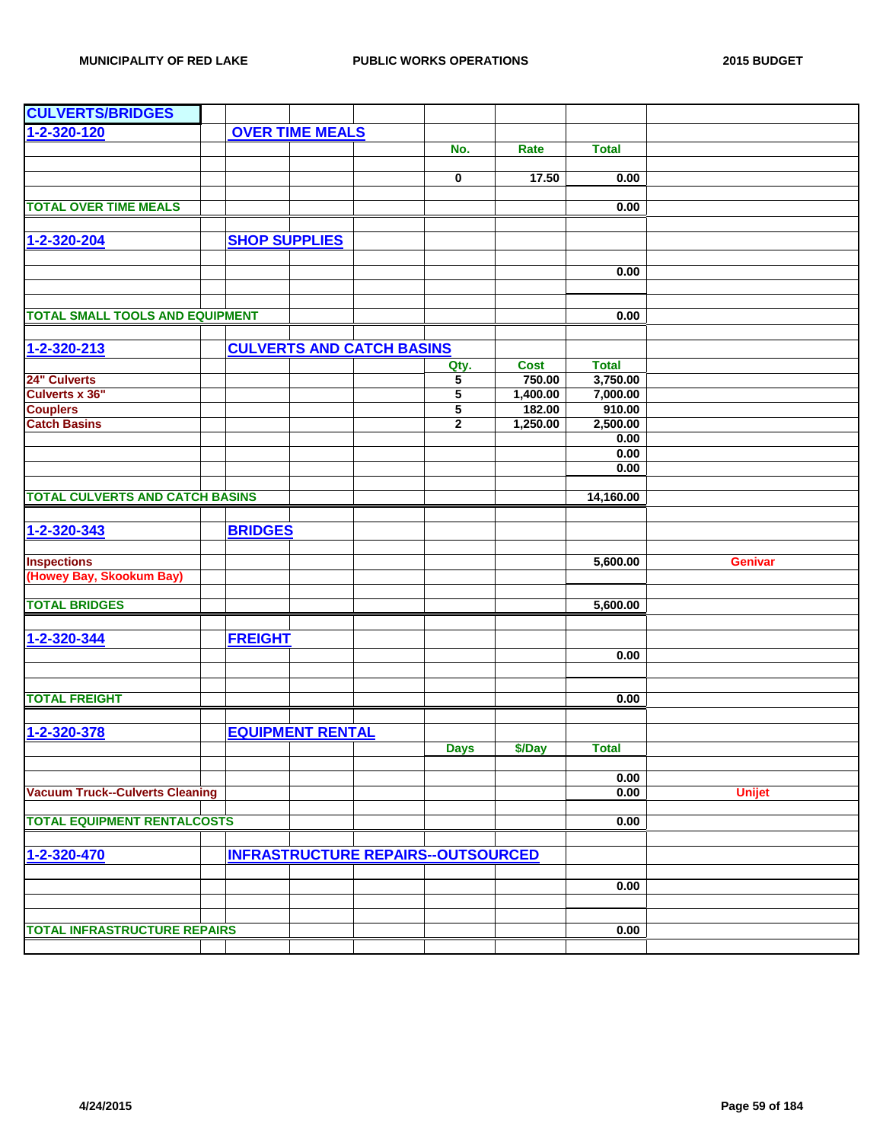| <b>CULVERTS/BRIDGES</b>                |                      |                         |                                  |                                           |                       |                          |                |
|----------------------------------------|----------------------|-------------------------|----------------------------------|-------------------------------------------|-----------------------|--------------------------|----------------|
| 1-2-320-120                            |                      | <b>OVER TIME MEALS</b>  |                                  |                                           |                       |                          |                |
|                                        |                      |                         |                                  | No.                                       | Rate                  | <b>Total</b>             |                |
|                                        |                      |                         |                                  |                                           |                       |                          |                |
|                                        |                      |                         |                                  | 0                                         | 17.50                 | 0.00                     |                |
|                                        |                      |                         |                                  |                                           |                       |                          |                |
| <b>TOTAL OVER TIME MEALS</b>           |                      |                         |                                  |                                           |                       | 0.00                     |                |
|                                        |                      |                         |                                  |                                           |                       |                          |                |
| 1-2-320-204                            | <b>SHOP SUPPLIES</b> |                         |                                  |                                           |                       |                          |                |
|                                        |                      |                         |                                  |                                           |                       |                          |                |
|                                        |                      |                         |                                  |                                           |                       | 0.00                     |                |
|                                        |                      |                         |                                  |                                           |                       |                          |                |
| <b>TOTAL SMALL TOOLS AND EQUIPMENT</b> |                      |                         |                                  |                                           |                       | 0.00                     |                |
|                                        |                      |                         |                                  |                                           |                       |                          |                |
| $1 - 2 - 320 - 213$                    |                      |                         | <b>CULVERTS AND CATCH BASINS</b> |                                           |                       |                          |                |
|                                        |                      |                         |                                  |                                           |                       |                          |                |
| 24" Culverts                           |                      |                         |                                  | Qty.<br>5                                 | <b>Cost</b><br>750.00 | <b>Total</b><br>3,750.00 |                |
| <b>Culverts x 36"</b>                  |                      |                         |                                  | $\overline{5}$                            | 1,400.00              | 7,000.00                 |                |
| <b>Couplers</b>                        |                      |                         |                                  | $\overline{\mathbf{5}}$                   | 182.00                | 910.00                   |                |
| <b>Catch Basins</b>                    |                      |                         |                                  | $\mathbf{2}$                              | 1,250.00              | 2,500.00                 |                |
|                                        |                      |                         |                                  |                                           |                       | 0.00                     |                |
|                                        |                      |                         |                                  |                                           |                       | 0.00                     |                |
|                                        |                      |                         |                                  |                                           |                       | 0.00                     |                |
|                                        |                      |                         |                                  |                                           |                       |                          |                |
| <b>TOTAL CULVERTS AND CATCH BASINS</b> |                      |                         |                                  |                                           |                       | 14,160.00                |                |
|                                        |                      |                         |                                  |                                           |                       |                          |                |
| 1-2-320-343                            | <b>BRIDGES</b>       |                         |                                  |                                           |                       |                          |                |
|                                        |                      |                         |                                  |                                           |                       |                          |                |
| <b>Inspections</b>                     |                      |                         |                                  |                                           |                       | 5,600.00                 | <b>Genivar</b> |
| (Howey Bay, Skookum Bay)               |                      |                         |                                  |                                           |                       |                          |                |
| <b>TOTAL BRIDGES</b>                   |                      |                         |                                  |                                           |                       |                          |                |
|                                        |                      |                         |                                  |                                           |                       | 5,600.00                 |                |
|                                        |                      |                         |                                  |                                           |                       |                          |                |
| 1-2-320-344                            | <b>FREIGHT</b>       |                         |                                  |                                           |                       |                          |                |
|                                        |                      |                         |                                  |                                           |                       | 0.00                     |                |
|                                        |                      |                         |                                  |                                           |                       |                          |                |
| <b>TOTAL FREIGHT</b>                   |                      |                         |                                  |                                           |                       | 0.00                     |                |
|                                        |                      |                         |                                  |                                           |                       |                          |                |
| 1-2-320-378                            |                      | <b>EQUIPMENT RENTAL</b> |                                  |                                           |                       |                          |                |
|                                        |                      |                         |                                  | <b>Days</b>                               | \$/Day                | <b>Total</b>             |                |
|                                        |                      |                         |                                  |                                           |                       |                          |                |
|                                        |                      |                         |                                  |                                           |                       | 0.00                     |                |
| <b>Vacuum Truck--Culverts Cleaning</b> |                      |                         |                                  |                                           |                       | 0.00                     | <b>Unijet</b>  |
|                                        |                      |                         |                                  |                                           |                       |                          |                |
| <b>TOTAL EQUIPMENT RENTALCOSTS</b>     |                      |                         |                                  |                                           |                       | 0.00                     |                |
|                                        |                      |                         |                                  |                                           |                       |                          |                |
| 1-2-320-470                            |                      |                         |                                  | <b>INFRASTRUCTURE REPAIRS--OUTSOURCED</b> |                       |                          |                |
|                                        |                      |                         |                                  |                                           |                       |                          |                |
|                                        |                      |                         |                                  |                                           |                       | 0.00                     |                |
|                                        |                      |                         |                                  |                                           |                       |                          |                |
|                                        |                      |                         |                                  |                                           |                       |                          |                |
| <b>TOTAL INFRASTRUCTURE REPAIRS</b>    |                      |                         |                                  |                                           |                       | 0.00                     |                |
|                                        |                      |                         |                                  |                                           |                       |                          |                |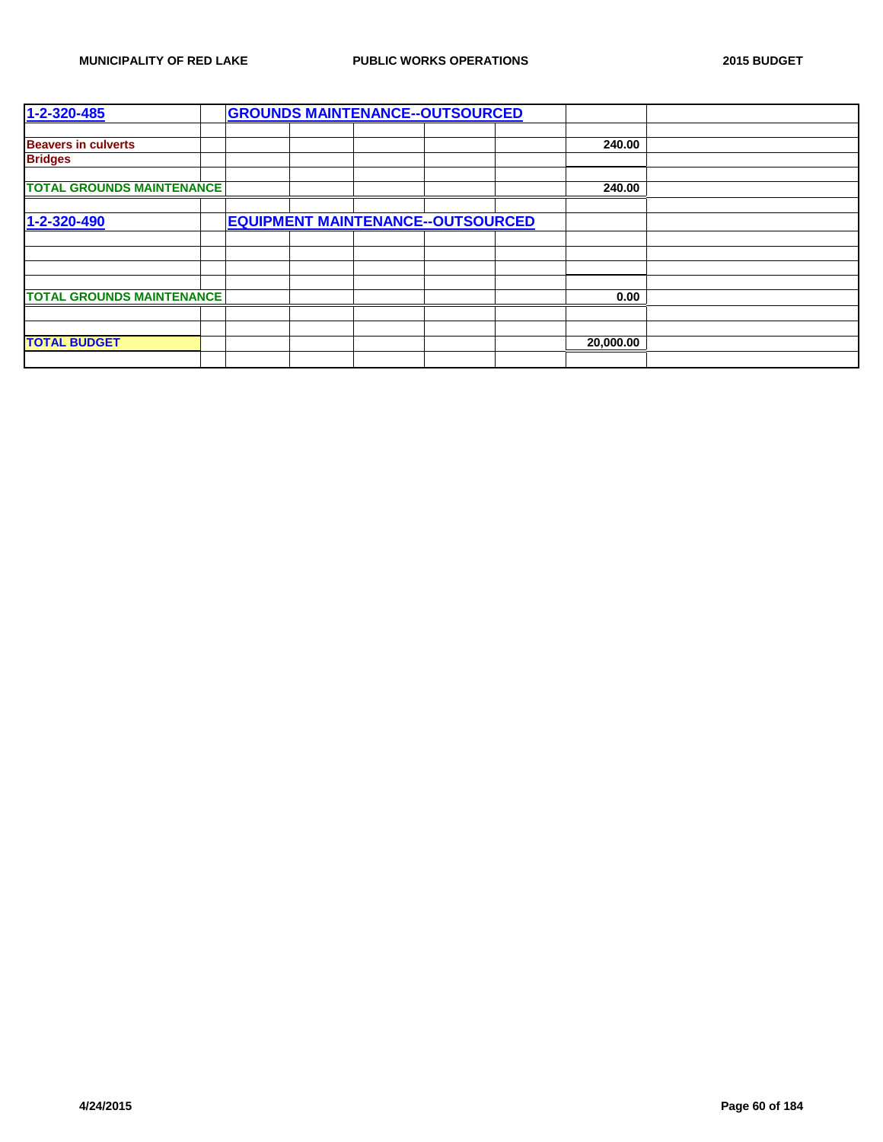| 1-2-320-485                      |  |  | <b>GROUNDS MAINTENANCE--OUTSOURCED</b>   |           |  |
|----------------------------------|--|--|------------------------------------------|-----------|--|
|                                  |  |  |                                          |           |  |
| <b>Beavers in culverts</b>       |  |  |                                          | 240.00    |  |
| <b>Bridges</b>                   |  |  |                                          |           |  |
|                                  |  |  |                                          |           |  |
| <b>TOTAL GROUNDS MAINTENANCE</b> |  |  |                                          | 240.00    |  |
|                                  |  |  |                                          |           |  |
| 1-2-320-490                      |  |  | <b>EQUIPMENT MAINTENANCE--OUTSOURCED</b> |           |  |
|                                  |  |  |                                          |           |  |
|                                  |  |  |                                          |           |  |
|                                  |  |  |                                          |           |  |
|                                  |  |  |                                          |           |  |
| <b>TOTAL GROUNDS MAINTENANCE</b> |  |  |                                          | 0.00      |  |
|                                  |  |  |                                          |           |  |
|                                  |  |  |                                          |           |  |
| <b>TOTAL BUDGET</b>              |  |  |                                          | 20,000.00 |  |
|                                  |  |  |                                          |           |  |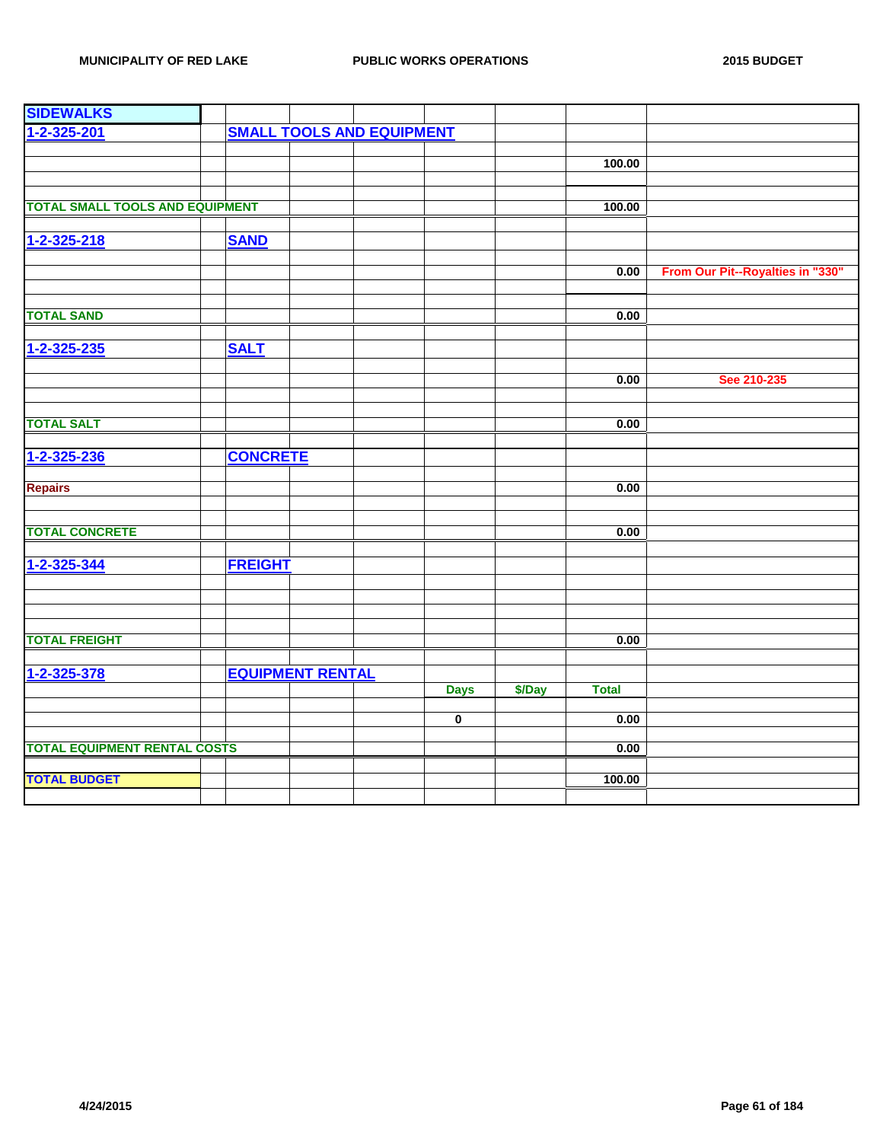| <b>SIDEWALKS</b>                       |                                  |                         |        |              |                                  |
|----------------------------------------|----------------------------------|-------------------------|--------|--------------|----------------------------------|
| 1-2-325-201                            | <b>SMALL TOOLS AND EQUIPMENT</b> |                         |        |              |                                  |
|                                        |                                  |                         |        |              |                                  |
|                                        |                                  |                         |        | 100.00       |                                  |
|                                        |                                  |                         |        |              |                                  |
|                                        |                                  |                         |        |              |                                  |
| <b>TOTAL SMALL TOOLS AND EQUIPMENT</b> |                                  |                         |        | 100.00       |                                  |
|                                        |                                  |                         |        |              |                                  |
| 1-2-325-218                            | <b>SAND</b>                      |                         |        |              |                                  |
|                                        |                                  |                         |        |              |                                  |
|                                        |                                  |                         |        | 0.00         | From Our Pit--Royalties in "330" |
|                                        |                                  |                         |        |              |                                  |
| <b>TOTAL SAND</b>                      |                                  |                         |        | 0.00         |                                  |
|                                        |                                  |                         |        |              |                                  |
| 1-2-325-235                            | <b>SALT</b>                      |                         |        |              |                                  |
|                                        |                                  |                         |        |              |                                  |
|                                        |                                  |                         |        | 0.00         | See 210-235                      |
|                                        |                                  |                         |        |              |                                  |
|                                        |                                  |                         |        |              |                                  |
| <b>TOTAL SALT</b>                      |                                  |                         |        | 0.00         |                                  |
|                                        |                                  |                         |        |              |                                  |
| 1-2-325-236                            | <b>CONCRETE</b>                  |                         |        |              |                                  |
|                                        |                                  |                         |        |              |                                  |
| <b>Repairs</b>                         |                                  |                         |        | 0.00         |                                  |
|                                        |                                  |                         |        |              |                                  |
|                                        |                                  |                         |        |              |                                  |
| <b>TOTAL CONCRETE</b>                  |                                  |                         |        | 0.00         |                                  |
|                                        |                                  |                         |        |              |                                  |
| 1-2-325-344                            | <b>FREIGHT</b>                   |                         |        |              |                                  |
|                                        |                                  |                         |        |              |                                  |
|                                        |                                  |                         |        |              |                                  |
|                                        |                                  |                         |        |              |                                  |
| <b>TOTAL FREIGHT</b>                   |                                  |                         |        | 0.00         |                                  |
|                                        |                                  |                         |        |              |                                  |
|                                        |                                  |                         |        |              |                                  |
| 1-2-325-378                            | <b>EQUIPMENT RENTAL</b>          |                         |        |              |                                  |
|                                        |                                  | <b>Days</b>             | \$/Day | <b>Total</b> |                                  |
|                                        |                                  | $\overline{\mathbf{0}}$ |        | 0.00         |                                  |
|                                        |                                  |                         |        |              |                                  |
| <b>TOTAL EQUIPMENT RENTAL COSTS</b>    |                                  |                         |        | 0.00         |                                  |
|                                        |                                  |                         |        |              |                                  |
| <b>TOTAL BUDGET</b>                    |                                  |                         |        | 100.00       |                                  |
|                                        |                                  |                         |        |              |                                  |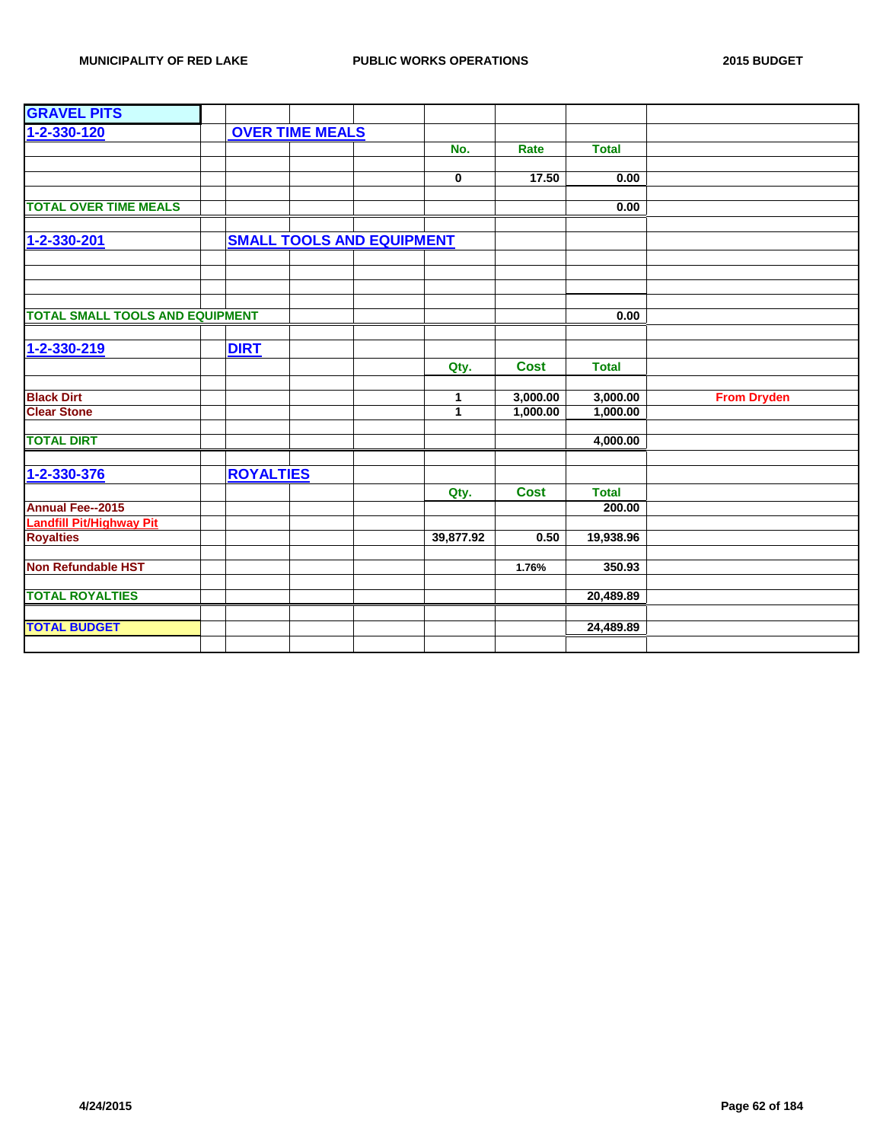| <b>GRAVEL PITS</b>                     |                  |                                  |              |             |              |                    |
|----------------------------------------|------------------|----------------------------------|--------------|-------------|--------------|--------------------|
| 1-2-330-120                            |                  | <b>OVER TIME MEALS</b>           |              |             |              |                    |
|                                        |                  |                                  | No.          | Rate        | <b>Total</b> |                    |
|                                        |                  |                                  |              |             |              |                    |
|                                        |                  |                                  | $\pmb{0}$    | 17.50       | 0.00         |                    |
|                                        |                  |                                  |              |             |              |                    |
| <b>TOTAL OVER TIME MEALS</b>           |                  |                                  |              |             | 0.00         |                    |
|                                        |                  |                                  |              |             |              |                    |
| 1-2-330-201                            |                  | <b>SMALL TOOLS AND EQUIPMENT</b> |              |             |              |                    |
|                                        |                  |                                  |              |             |              |                    |
|                                        |                  |                                  |              |             |              |                    |
|                                        |                  |                                  |              |             |              |                    |
| <b>TOTAL SMALL TOOLS AND EQUIPMENT</b> |                  |                                  |              |             | 0.00         |                    |
|                                        |                  |                                  |              |             |              |                    |
| 1-2-330-219                            | <b>DIRT</b>      |                                  |              |             |              |                    |
|                                        |                  |                                  | Qty.         | <b>Cost</b> | <b>Total</b> |                    |
|                                        |                  |                                  |              |             |              |                    |
| <b>Black Dirt</b>                      |                  |                                  | 1            | 3,000.00    | 3,000.00     | <b>From Dryden</b> |
| <b>Clear Stone</b>                     |                  |                                  | $\mathbf{1}$ | 1,000.00    | 1,000.00     |                    |
|                                        |                  |                                  |              |             |              |                    |
| <b>TOTAL DIRT</b>                      |                  |                                  |              |             | 4,000.00     |                    |
|                                        |                  |                                  |              |             |              |                    |
| 1-2-330-376                            | <b>ROYALTIES</b> |                                  |              |             |              |                    |
|                                        |                  |                                  | Qty.         | <b>Cost</b> | <b>Total</b> |                    |
| <b>Annual Fee--2015</b>                |                  |                                  |              |             | 200.00       |                    |
| <b>Landfill Pit/Highway Pit</b>        |                  |                                  |              |             |              |                    |
| <b>Royalties</b>                       |                  |                                  | 39,877.92    | 0.50        | 19,938.96    |                    |
| <b>Non Refundable HST</b>              |                  |                                  |              | 1.76%       | 350.93       |                    |
|                                        |                  |                                  |              |             |              |                    |
| <b>TOTAL ROYALTIES</b>                 |                  |                                  |              |             | 20,489.89    |                    |
|                                        |                  |                                  |              |             |              |                    |
| <b>TOTAL BUDGET</b>                    |                  |                                  |              |             | 24,489.89    |                    |
|                                        |                  |                                  |              |             |              |                    |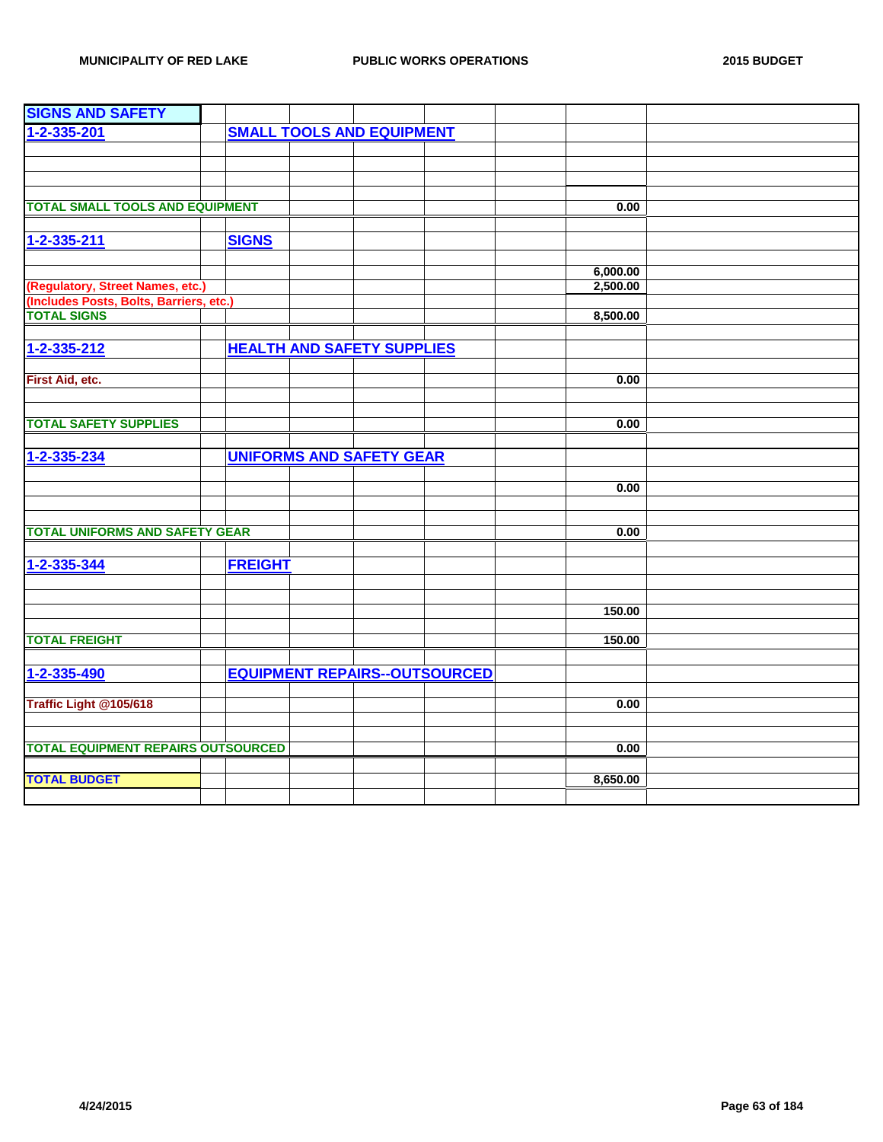| <b>SIGNS AND SAFETY</b>                                       |                |                                      |  |          |  |
|---------------------------------------------------------------|----------------|--------------------------------------|--|----------|--|
| 1-2-335-201                                                   |                | <b>SMALL TOOLS AND EQUIPMENT</b>     |  |          |  |
|                                                               |                |                                      |  |          |  |
|                                                               |                |                                      |  |          |  |
|                                                               |                |                                      |  |          |  |
|                                                               |                |                                      |  |          |  |
| <b>TOTAL SMALL TOOLS AND EQUIPMENT</b>                        |                |                                      |  | 0.00     |  |
|                                                               |                |                                      |  |          |  |
| 1-2-335-211                                                   | <b>SIGNS</b>   |                                      |  |          |  |
|                                                               |                |                                      |  |          |  |
|                                                               |                |                                      |  | 6,000.00 |  |
| (Regulatory, Street Names, etc.)                              |                |                                      |  | 2,500.00 |  |
| (Includes Posts, Bolts, Barriers, etc.)<br><b>TOTAL SIGNS</b> |                |                                      |  | 8,500.00 |  |
|                                                               |                |                                      |  |          |  |
|                                                               |                | <b>HEALTH AND SAFETY SUPPLIES</b>    |  |          |  |
| 1-2-335-212                                                   |                |                                      |  |          |  |
| First Aid, etc.                                               |                |                                      |  | 0.00     |  |
|                                                               |                |                                      |  |          |  |
|                                                               |                |                                      |  |          |  |
| <b>TOTAL SAFETY SUPPLIES</b>                                  |                |                                      |  | 0.00     |  |
|                                                               |                |                                      |  |          |  |
| 1-2-335-234                                                   |                | <b>UNIFORMS AND SAFETY GEAR</b>      |  |          |  |
|                                                               |                |                                      |  |          |  |
|                                                               |                |                                      |  | 0.00     |  |
|                                                               |                |                                      |  |          |  |
|                                                               |                |                                      |  |          |  |
| <b>TOTAL UNIFORMS AND SAFETY GEAR</b>                         |                |                                      |  | 0.00     |  |
|                                                               |                |                                      |  |          |  |
| 1-2-335-344                                                   | <b>FREIGHT</b> |                                      |  |          |  |
|                                                               |                |                                      |  |          |  |
|                                                               |                |                                      |  |          |  |
|                                                               |                |                                      |  | 150.00   |  |
| <b>TOTAL FREIGHT</b>                                          |                |                                      |  |          |  |
|                                                               |                |                                      |  | 150.00   |  |
|                                                               |                |                                      |  |          |  |
| 1-2-335-490                                                   |                | <b>EQUIPMENT REPAIRS--OUTSOURCED</b> |  |          |  |
| Traffic Light @105/618                                        |                |                                      |  | 0.00     |  |
|                                                               |                |                                      |  |          |  |
|                                                               |                |                                      |  |          |  |
| <b>TOTAL EQUIPMENT REPAIRS OUTSOURCED</b>                     |                |                                      |  | 0.00     |  |
|                                                               |                |                                      |  |          |  |
| <b>TOTAL BUDGET</b>                                           |                |                                      |  | 8,650.00 |  |
|                                                               |                |                                      |  |          |  |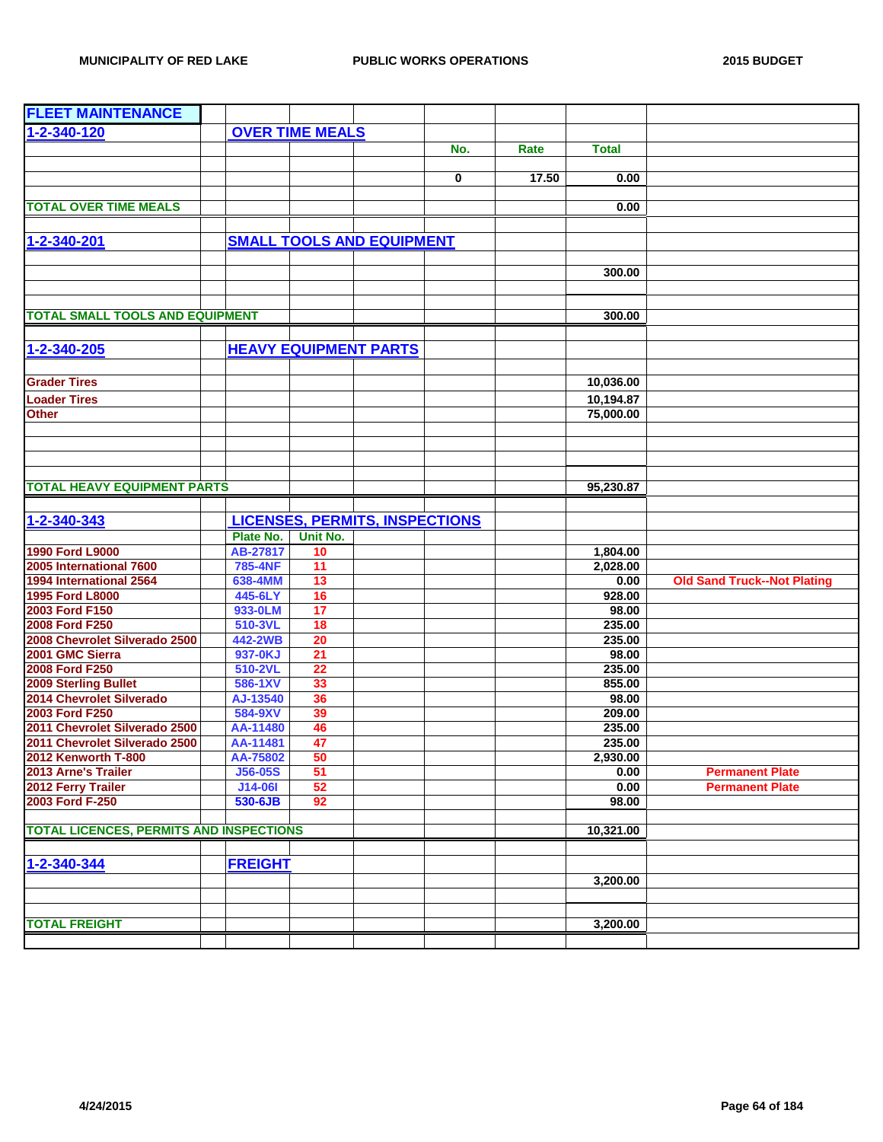| <b>FLEET MAINTENANCE</b>                       |                            |                 |                                       |             |       |                  |                                    |
|------------------------------------------------|----------------------------|-----------------|---------------------------------------|-------------|-------|------------------|------------------------------------|
| 1-2-340-120                                    | <b>OVER TIME MEALS</b>     |                 |                                       |             |       |                  |                                    |
|                                                |                            |                 |                                       | No.         | Rate  | <b>Total</b>     |                                    |
|                                                |                            |                 |                                       |             |       |                  |                                    |
|                                                |                            |                 |                                       | $\mathbf 0$ | 17.50 | 0.00             |                                    |
|                                                |                            |                 |                                       |             |       |                  |                                    |
| <b>TOTAL OVER TIME MEALS</b>                   |                            |                 |                                       |             |       | 0.00             |                                    |
|                                                |                            |                 |                                       |             |       |                  |                                    |
| 1-2-340-201                                    |                            |                 | <b>SMALL TOOLS AND EQUIPMENT</b>      |             |       |                  |                                    |
|                                                |                            |                 |                                       |             |       |                  |                                    |
|                                                |                            |                 |                                       |             |       | 300.00           |                                    |
|                                                |                            |                 |                                       |             |       |                  |                                    |
|                                                |                            |                 |                                       |             |       |                  |                                    |
| <b>TOTAL SMALL TOOLS AND EQUIPMENT</b>         |                            |                 |                                       |             |       | 300.00           |                                    |
|                                                |                            |                 |                                       |             |       |                  |                                    |
| 1-2-340-205                                    |                            |                 | <b>HEAVY EQUIPMENT PARTS</b>          |             |       |                  |                                    |
|                                                |                            |                 |                                       |             |       |                  |                                    |
| <b>Grader Tires</b>                            |                            |                 |                                       |             |       | 10,036.00        |                                    |
| <b>Loader Tires</b>                            |                            |                 |                                       |             |       | 10,194.87        |                                    |
| <b>Other</b>                                   |                            |                 |                                       |             |       | 75,000.00        |                                    |
|                                                |                            |                 |                                       |             |       |                  |                                    |
|                                                |                            |                 |                                       |             |       |                  |                                    |
|                                                |                            |                 |                                       |             |       |                  |                                    |
|                                                |                            |                 |                                       |             |       |                  |                                    |
| <b>TOTAL HEAVY EQUIPMENT PARTS</b>             |                            |                 |                                       |             |       | 95,230.87        |                                    |
|                                                |                            |                 |                                       |             |       |                  |                                    |
| 1-2-340-343                                    |                            |                 | <b>LICENSES, PERMITS, INSPECTIONS</b> |             |       |                  |                                    |
|                                                | Plate No.                  | Unit No.        |                                       |             |       |                  |                                    |
| 1990 Ford L9000                                | AB-27817                   | 10              |                                       |             |       | 1,804.00         |                                    |
| 2005 International 7600                        | <b>785-4NF</b>             | $\overline{11}$ |                                       |             |       | 2,028.00         |                                    |
| 1994 International 2564                        | 638-4MM                    | 13              |                                       |             |       | 0.00             | <b>Old Sand Truck--Not Plating</b> |
| 1995 Ford L8000                                | 445-6LY                    | 16              |                                       |             |       | 928.00           |                                    |
| 2003 Ford F150                                 | 933-0LM                    | 17              |                                       |             |       | 98.00            |                                    |
| 2008 Ford F250                                 | 510-3VL                    | 18              |                                       |             |       | 235.00           |                                    |
| 2008 Chevrolet Silverado 2500                  | 442-2WB                    | 20              |                                       |             |       | 235.00           |                                    |
| 2001 GMC Sierra                                | 937-0KJ                    | 21              |                                       |             |       | 98.00            |                                    |
| 2008 Ford F250                                 | 510-2VL                    | 22              |                                       |             |       | 235.00           |                                    |
| 2009 Sterling Bullet                           | 586-1XV                    | 33              |                                       |             |       | 855.00           |                                    |
| 2014 Chevrolet Silverado                       | AJ-13540                   | 36              |                                       |             |       | 98.00            |                                    |
| 2003 Ford F250                                 | 584-9XV                    | 39              |                                       |             |       | 209.00           |                                    |
| 2011 Chevrolet Silverado 2500                  | AA-11480                   | 46              |                                       |             |       | 235.00           |                                    |
| 2011 Chevrolet Silverado 2500                  | AA-11481                   | 47              |                                       |             |       | 235.00           |                                    |
| 2012 Kenworth T-800<br>2013 Arne's Trailer     | AA-75802<br><b>J56-05S</b> | 50<br>51        |                                       |             |       | 2,930.00<br>0.00 | <b>Permanent Plate</b>             |
| 2012 Ferry Trailer                             | J14-06I                    | 52              |                                       |             |       | 0.00             | <b>Permanent Plate</b>             |
| 2003 Ford F-250                                | 530-6JB                    | 92              |                                       |             |       | 98.00            |                                    |
|                                                |                            |                 |                                       |             |       |                  |                                    |
| <b>TOTAL LICENCES, PERMITS AND INSPECTIONS</b> |                            |                 |                                       |             |       | 10,321.00        |                                    |
|                                                |                            |                 |                                       |             |       |                  |                                    |
| 1-2-340-344                                    | <b>FREIGHT</b>             |                 |                                       |             |       |                  |                                    |
|                                                |                            |                 |                                       |             |       |                  |                                    |
|                                                |                            |                 |                                       |             |       | 3,200.00         |                                    |
|                                                |                            |                 |                                       |             |       |                  |                                    |
| <b>TOTAL FREIGHT</b>                           |                            |                 |                                       |             |       | 3,200.00         |                                    |
|                                                |                            |                 |                                       |             |       |                  |                                    |
|                                                |                            |                 |                                       |             |       |                  |                                    |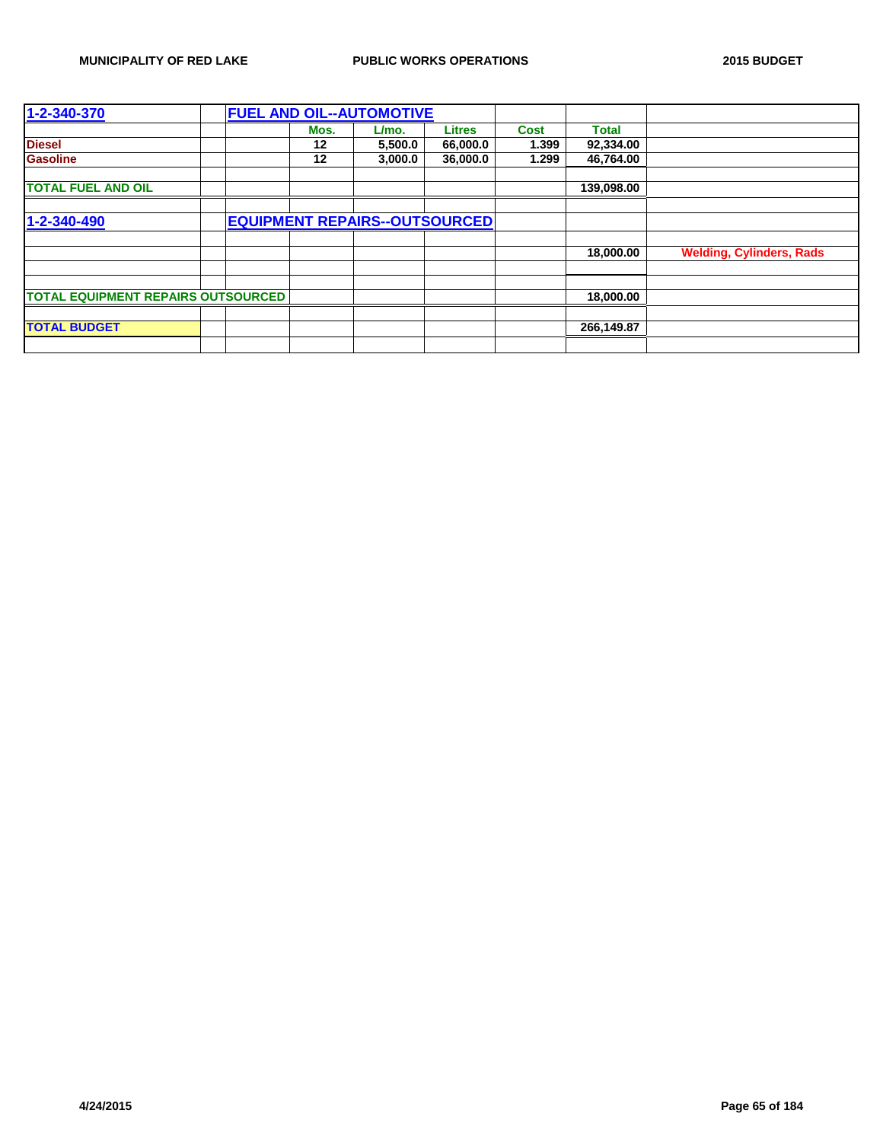| 1-2-340-370                               |  |      | <b>FUEL AND OIL--AUTOMOTIVE</b> |                                      |             |              |                                 |
|-------------------------------------------|--|------|---------------------------------|--------------------------------------|-------------|--------------|---------------------------------|
|                                           |  | Mos. | L/mo.                           | <b>Litres</b>                        | <b>Cost</b> | <b>Total</b> |                                 |
| <b>Diesel</b>                             |  | 12   | 5,500.0                         | 66,000.0                             | 1.399       | 92,334.00    |                                 |
| <b>Gasoline</b>                           |  | 12   | 3,000.0                         | 36,000.0                             | 1.299       | 46,764.00    |                                 |
|                                           |  |      |                                 |                                      |             |              |                                 |
| <b>TOTAL FUEL AND OIL</b>                 |  |      |                                 |                                      |             | 139,098.00   |                                 |
|                                           |  |      |                                 |                                      |             |              |                                 |
| 1-2-340-490                               |  |      |                                 | <b>EQUIPMENT REPAIRS--OUTSOURCED</b> |             |              |                                 |
|                                           |  |      |                                 |                                      |             |              |                                 |
|                                           |  |      |                                 |                                      |             | 18,000,00    | <b>Welding, Cylinders, Rads</b> |
|                                           |  |      |                                 |                                      |             |              |                                 |
|                                           |  |      |                                 |                                      |             |              |                                 |
| <b>TOTAL EQUIPMENT REPAIRS OUTSOURCED</b> |  |      |                                 |                                      |             | 18,000.00    |                                 |
|                                           |  |      |                                 |                                      |             |              |                                 |
| <b>TOTAL BUDGET</b>                       |  |      |                                 |                                      |             | 266,149.87   |                                 |
|                                           |  |      |                                 |                                      |             |              |                                 |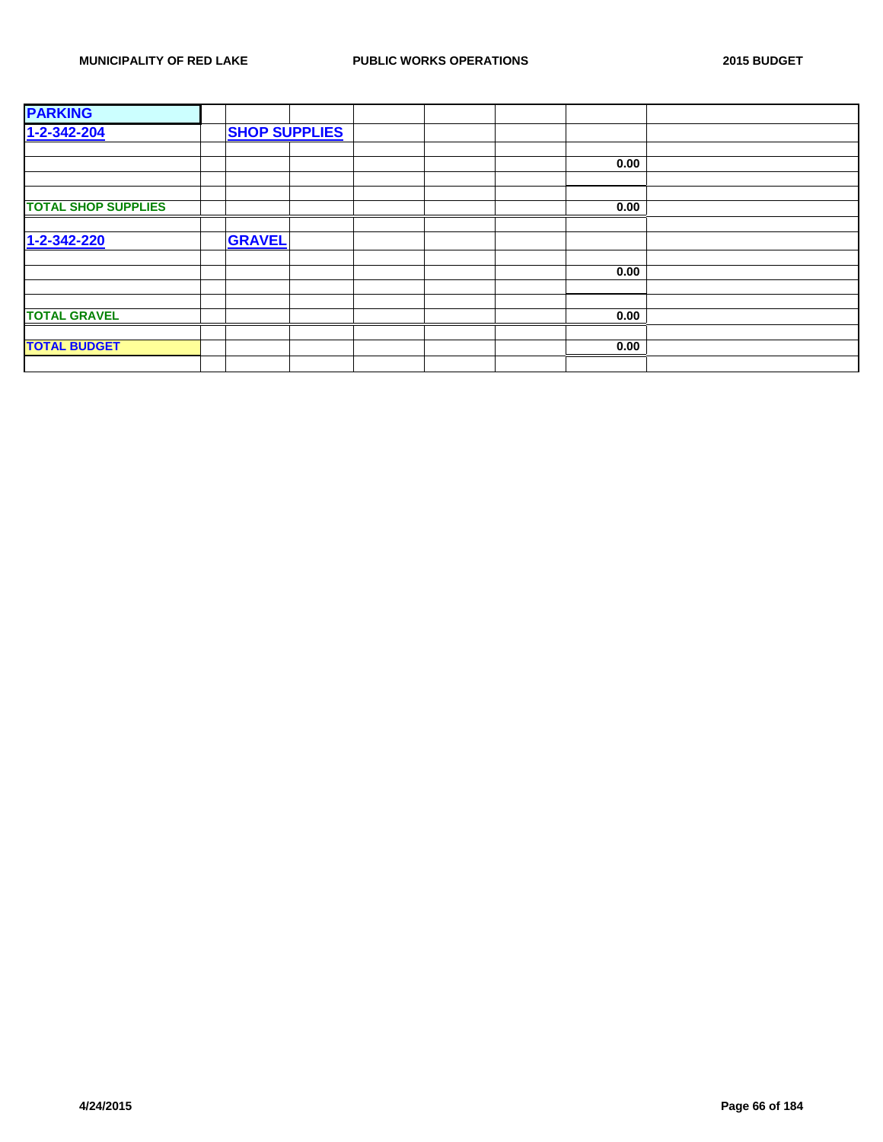| <b>PARKING</b>             |                      |      |  |
|----------------------------|----------------------|------|--|
| $1 - 2 - 342 - 204$        | <b>SHOP SUPPLIES</b> |      |  |
|                            |                      |      |  |
|                            |                      | 0.00 |  |
|                            |                      |      |  |
|                            |                      |      |  |
| <b>TOTAL SHOP SUPPLIES</b> |                      | 0.00 |  |
|                            |                      |      |  |
| 1-2-342-220                | <b>GRAVEL</b>        |      |  |
|                            |                      |      |  |
|                            |                      | 0.00 |  |
|                            |                      |      |  |
|                            |                      |      |  |
| <b>TOTAL GRAVEL</b>        |                      | 0.00 |  |
|                            |                      |      |  |
| <b>TOTAL BUDGET</b>        |                      | 0.00 |  |
|                            |                      |      |  |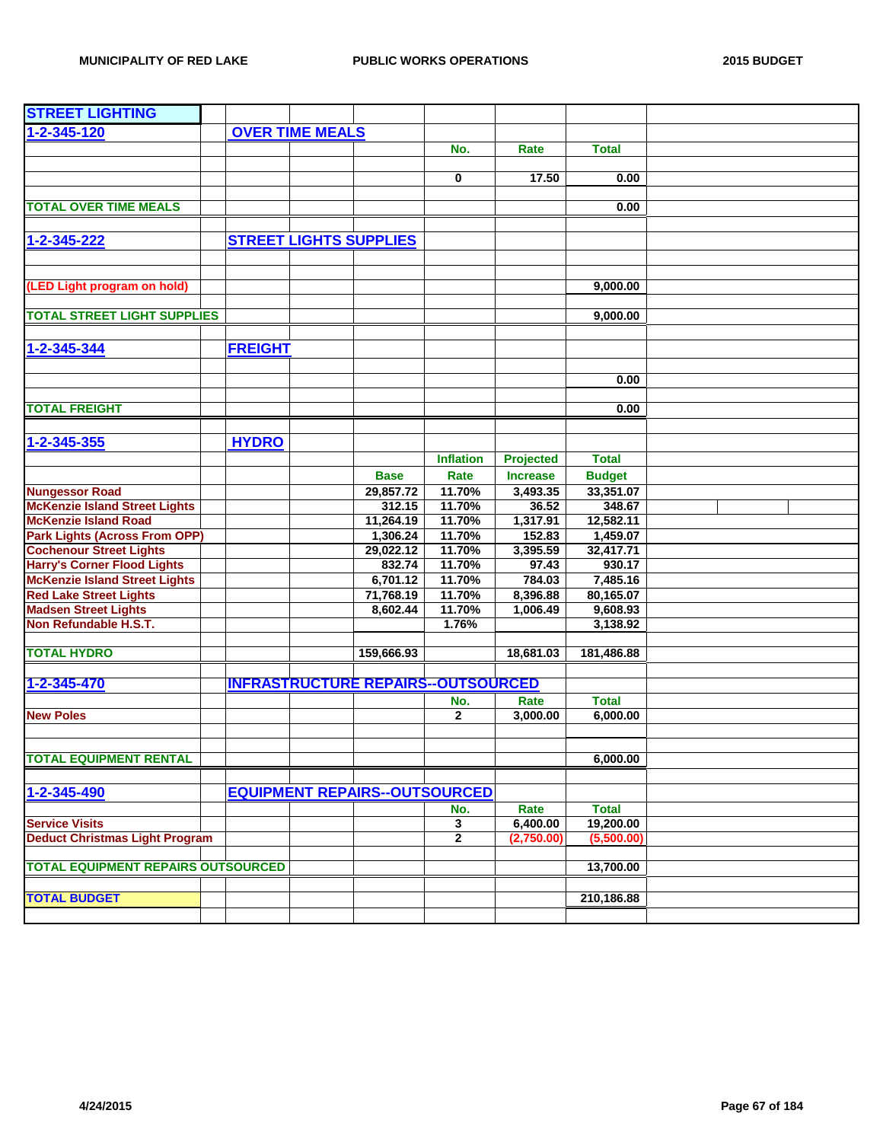| <b>STREET LIGHTING</b>                    |                |                        |                                      |                                          |                 |               |  |
|-------------------------------------------|----------------|------------------------|--------------------------------------|------------------------------------------|-----------------|---------------|--|
| 1-2-345-120                               |                | <b>OVER TIME MEALS</b> |                                      |                                          |                 |               |  |
|                                           |                |                        |                                      | No.                                      | Rate            | <b>Total</b>  |  |
|                                           |                |                        |                                      |                                          |                 |               |  |
|                                           |                |                        |                                      | 0                                        | 17.50           | 0.00          |  |
|                                           |                |                        |                                      |                                          |                 |               |  |
| <b>TOTAL OVER TIME MEALS</b>              |                |                        |                                      |                                          |                 | 0.00          |  |
|                                           |                |                        |                                      |                                          |                 |               |  |
| 1-2-345-222                               |                |                        | <b>STREET LIGHTS SUPPLIES</b>        |                                          |                 |               |  |
|                                           |                |                        |                                      |                                          |                 |               |  |
|                                           |                |                        |                                      |                                          |                 |               |  |
| (LED Light program on hold)               |                |                        |                                      |                                          |                 | 9,000.00      |  |
|                                           |                |                        |                                      |                                          |                 |               |  |
| <b>TOTAL STREET LIGHT SUPPLIES</b>        |                |                        |                                      |                                          |                 | 9,000.00      |  |
|                                           |                |                        |                                      |                                          |                 |               |  |
| 1-2-345-344                               | <b>FREIGHT</b> |                        |                                      |                                          |                 |               |  |
|                                           |                |                        |                                      |                                          |                 |               |  |
|                                           |                |                        |                                      |                                          |                 | 0.00          |  |
|                                           |                |                        |                                      |                                          |                 |               |  |
| <b>TOTAL FREIGHT</b>                      |                |                        |                                      |                                          |                 | 0.00          |  |
|                                           |                |                        |                                      |                                          |                 |               |  |
|                                           | <b>HYDRO</b>   |                        |                                      |                                          |                 |               |  |
| 1-2-345-355                               |                |                        |                                      |                                          |                 |               |  |
|                                           |                |                        |                                      | <b>Inflation</b>                         | Projected       | <b>Total</b>  |  |
|                                           |                |                        | <b>Base</b>                          | Rate                                     | <b>Increase</b> | <b>Budget</b> |  |
| <b>Nungessor Road</b>                     |                |                        | 29,857.72                            | 11.70%                                   | 3,493.35        | 33,351.07     |  |
| <b>McKenzie Island Street Lights</b>      |                |                        | 312.15                               | 11.70%                                   | 36.52           | 348.67        |  |
| <b>McKenzie Island Road</b>               |                |                        | 11,264.19                            | 11.70%                                   | 1,317.91        | 12,582.11     |  |
| <b>Park Lights (Across From OPP)</b>      |                |                        | 1,306.24                             | 11.70%                                   | 152.83          | 1,459.07      |  |
| <b>Cochenour Street Lights</b>            |                |                        | 29,022.12                            | 11.70%                                   | 3,395.59        | 32,417.71     |  |
| <b>Harry's Corner Flood Lights</b>        |                |                        | 832.74                               | 11.70%                                   | 97.43           | 930.17        |  |
| <b>McKenzie Island Street Lights</b>      |                |                        | 6,701.12                             | 11.70%                                   | 784.03          | 7,485.16      |  |
| <b>Red Lake Street Lights</b>             |                |                        | 71,768.19                            | 11.70%                                   | 8,396.88        | 80,165.07     |  |
| <b>Madsen Street Lights</b>               |                |                        | 8,602.44                             | 11.70%                                   | 1,006.49        | 9,608.93      |  |
| Non Refundable H.S.T.                     |                |                        |                                      | 1.76%                                    |                 | 3,138.92      |  |
|                                           |                |                        |                                      |                                          |                 |               |  |
| <b>TOTAL HYDRO</b>                        |                |                        | 159,666.93                           |                                          | 18,681.03       | 181,486.88    |  |
| 1-2-345-470                               |                |                        |                                      | <b>INFRASTRUCTURE REPAIRS-OUTSOURCED</b> |                 |               |  |
|                                           |                |                        |                                      |                                          |                 |               |  |
|                                           |                |                        |                                      | No.                                      | Rate            | <b>Total</b>  |  |
| <b>New Poles</b>                          |                |                        |                                      | $\mathbf{2}$                             | 3,000.00        | 6,000.00      |  |
|                                           |                |                        |                                      |                                          |                 |               |  |
| <b>TOTAL EQUIPMENT RENTAL</b>             |                |                        |                                      |                                          |                 | 6,000.00      |  |
|                                           |                |                        |                                      |                                          |                 |               |  |
|                                           |                |                        |                                      |                                          |                 |               |  |
| 1-2-345-490                               |                |                        | <b>EQUIPMENT REPAIRS--OUTSOURCED</b> |                                          |                 |               |  |
|                                           |                |                        |                                      | No.                                      | Rate            | <b>Total</b>  |  |
| <b>Service Visits</b>                     |                |                        |                                      | 3                                        | 6,400.00        | 19,200.00     |  |
| <b>Deduct Christmas Light Program</b>     |                |                        |                                      | $\mathbf{2}$                             | (2,750.00)      | (5,500.00)    |  |
|                                           |                |                        |                                      |                                          |                 |               |  |
| <b>TOTAL EQUIPMENT REPAIRS OUTSOURCED</b> |                |                        |                                      |                                          |                 | 13,700.00     |  |
|                                           |                |                        |                                      |                                          |                 |               |  |
| <b>TOTAL BUDGET</b>                       |                |                        |                                      |                                          |                 | 210,186.88    |  |
|                                           |                |                        |                                      |                                          |                 |               |  |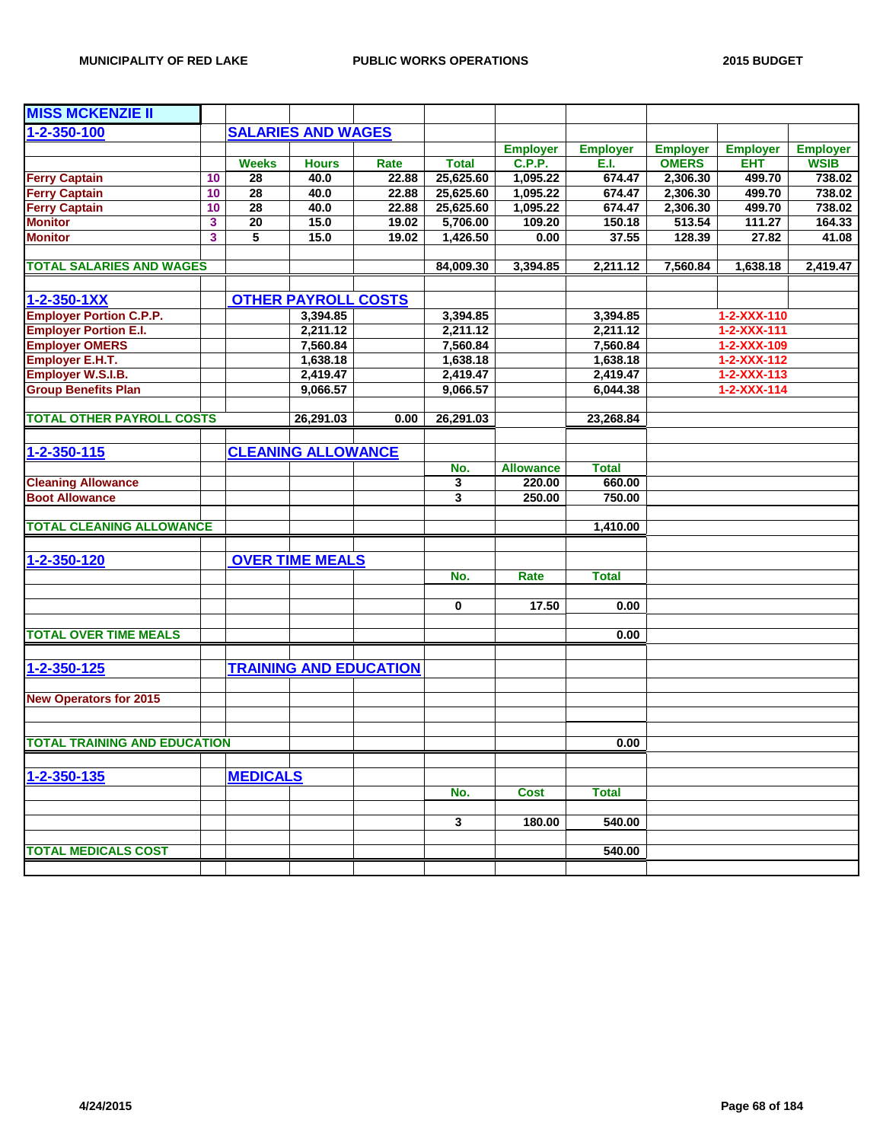| <b>MISS MCKENZIE II</b>             |    |                 |                            |                               |              |                  |                 |                 |                     |                 |
|-------------------------------------|----|-----------------|----------------------------|-------------------------------|--------------|------------------|-----------------|-----------------|---------------------|-----------------|
| 1-2-350-100                         |    |                 | <b>SALARIES AND WAGES</b>  |                               |              |                  |                 |                 |                     |                 |
|                                     |    |                 |                            |                               |              | <b>Employer</b>  | <b>Employer</b> | <b>Employer</b> | <b>Employer</b>     | <b>Employer</b> |
|                                     |    | <b>Weeks</b>    | <b>Hours</b>               | Rate                          | <b>Total</b> | <b>C.P.P.</b>    | E.I.            | <b>OMERS</b>    | <b>EHT</b>          | <b>WSIB</b>     |
| <b>Ferry Captain</b>                | 10 | 28              | 40.0                       | 22.88                         | 25,625.60    | 1,095.22         | 674.47          | 2,306.30        | 499.70              | 738.02          |
| <b>Ferry Captain</b>                | 10 | 28              | 40.0                       | 22.88                         | 25,625.60    | 1,095.22         | 674.47          | 2,306.30        | 499.70              | 738.02          |
| <b>Ferry Captain</b>                | 10 | 28              | 40.0                       | 22.88                         | 25,625.60    | 1,095.22         | 674.47          | 2,306.30        | 499.70              | 738.02          |
| <b>Monitor</b>                      | 3  | $\overline{20}$ | 15.0                       | 19.02                         | 5,706.00     | 109.20           | 150.18          | 513.54          | 111.27              | 164.33          |
| <b>Monitor</b>                      | 3  | 5               | 15.0                       | 19.02                         | 1,426.50     | 0.00             | 37.55           | 128.39          | 27.82               | 41.08           |
|                                     |    |                 |                            |                               |              |                  |                 |                 |                     |                 |
| <b>TOTAL SALARIES AND WAGES</b>     |    |                 |                            |                               | 84,009.30    | 3,394.85         | 2,211.12        | 7,560.84        | 1,638.18            | 2,419.47        |
|                                     |    |                 |                            |                               |              |                  |                 |                 |                     |                 |
| 1-2-350-1XX                         |    |                 | <b>OTHER PAYROLL COSTS</b> |                               |              |                  |                 |                 |                     |                 |
| <b>Employer Portion C.P.P.</b>      |    |                 | 3,394.85                   |                               | 3,394.85     |                  | 3,394.85        |                 | 1-2-XXX-110         |                 |
| <b>Employer Portion E.I.</b>        |    |                 | 2,211.12                   |                               | 2,211.12     |                  | 2,211.12        |                 | 1-2-XXX-111         |                 |
| <b>Employer OMERS</b>               |    |                 | 7,560.84                   |                               | 7,560.84     |                  | 7,560.84        |                 | 1-2-XXX-109         |                 |
| Employer E.H.T.                     |    |                 | 1,638.18                   |                               | 1,638.18     |                  | 1,638.18        |                 | 1-2-XXX-112         |                 |
| Employer W.S.I.B.                   |    |                 | 2,419.47                   |                               | 2,419.47     |                  | 2,419.47        |                 | $1 - 2 - XXX - 113$ |                 |
| <b>Group Benefits Plan</b>          |    |                 | 9,066.57                   |                               | 9,066.57     |                  | 6,044.38        |                 | 1-2-XXX-114         |                 |
|                                     |    |                 |                            |                               |              |                  |                 |                 |                     |                 |
| <b>TOTAL OTHER PAYROLL COSTS</b>    |    |                 | 26,291.03                  | 0.00                          | 26,291.03    |                  | 23,268.84       |                 |                     |                 |
|                                     |    |                 |                            |                               |              |                  |                 |                 |                     |                 |
| 1-2-350-115                         |    |                 | <b>CLEANING ALLOWANCE</b>  |                               |              |                  |                 |                 |                     |                 |
|                                     |    |                 |                            |                               | No.          | <b>Allowance</b> | <b>Total</b>    |                 |                     |                 |
| <b>Cleaning Allowance</b>           |    |                 |                            |                               | 3            | 220.00           | 660.00          |                 |                     |                 |
| <b>Boot Allowance</b>               |    |                 |                            |                               | 3            | 250.00           | 750.00          |                 |                     |                 |
|                                     |    |                 |                            |                               |              |                  |                 |                 |                     |                 |
| <b>TOTAL CLEANING ALLOWANCE</b>     |    |                 |                            |                               |              |                  | 1,410.00        |                 |                     |                 |
|                                     |    |                 |                            |                               |              |                  |                 |                 |                     |                 |
| 1-2-350-120                         |    |                 | <b>OVER TIME MEALS</b>     |                               |              |                  |                 |                 |                     |                 |
|                                     |    |                 |                            |                               |              |                  |                 |                 |                     |                 |
|                                     |    |                 |                            |                               | No.          | Rate             | <b>Total</b>    |                 |                     |                 |
|                                     |    |                 |                            |                               | 0            | 17.50            | 0.00            |                 |                     |                 |
|                                     |    |                 |                            |                               |              |                  |                 |                 |                     |                 |
| <b>TOTAL OVER TIME MEALS</b>        |    |                 |                            |                               |              |                  | 0.00            |                 |                     |                 |
|                                     |    |                 |                            |                               |              |                  |                 |                 |                     |                 |
| 1-2-350-125                         |    |                 |                            | <b>TRAINING AND EDUCATION</b> |              |                  |                 |                 |                     |                 |
|                                     |    |                 |                            |                               |              |                  |                 |                 |                     |                 |
|                                     |    |                 |                            |                               |              |                  |                 |                 |                     |                 |
| <b>New Operators for 2015</b>       |    |                 |                            |                               |              |                  |                 |                 |                     |                 |
|                                     |    |                 |                            |                               |              |                  |                 |                 |                     |                 |
| <b>TOTAL TRAINING AND EDUCATION</b> |    |                 |                            |                               |              |                  | 0.00            |                 |                     |                 |
|                                     |    |                 |                            |                               |              |                  |                 |                 |                     |                 |
|                                     |    |                 |                            |                               |              |                  |                 |                 |                     |                 |
| 1-2-350-135                         |    | <b>MEDICALS</b> |                            |                               |              |                  |                 |                 |                     |                 |
|                                     |    |                 |                            |                               | No.          | <b>Cost</b>      | <b>Total</b>    |                 |                     |                 |
|                                     |    |                 |                            |                               |              |                  |                 |                 |                     |                 |
|                                     |    |                 |                            |                               | 3            | 180.00           | 540.00          |                 |                     |                 |
|                                     |    |                 |                            |                               |              |                  |                 |                 |                     |                 |
| <b>TOTAL MEDICALS COST</b>          |    |                 |                            |                               |              |                  | 540.00          |                 |                     |                 |
|                                     |    |                 |                            |                               |              |                  |                 |                 |                     |                 |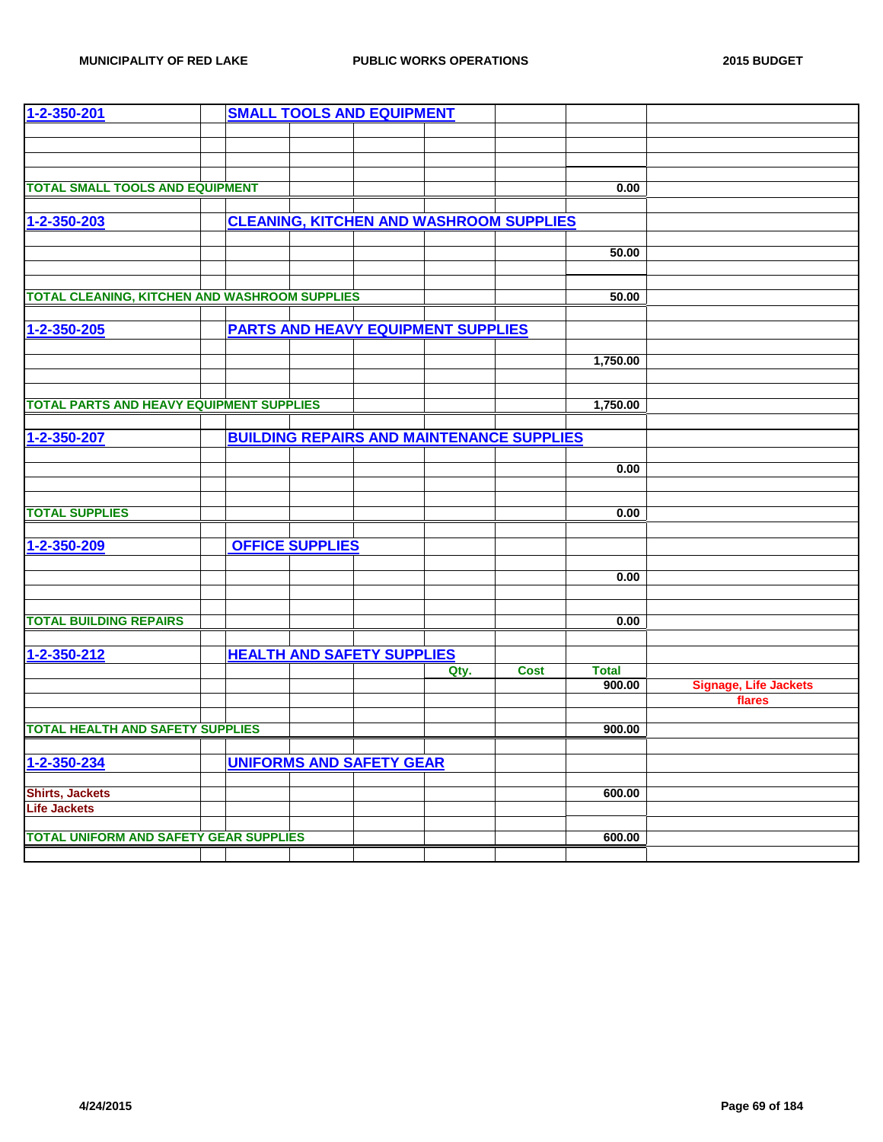| 1-2-350-201                                          |  |                        | <b>SMALL TOOLS AND EQUIPMENT</b>                 |      |             |              |                              |
|------------------------------------------------------|--|------------------------|--------------------------------------------------|------|-------------|--------------|------------------------------|
|                                                      |  |                        |                                                  |      |             |              |                              |
|                                                      |  |                        |                                                  |      |             |              |                              |
|                                                      |  |                        |                                                  |      |             |              |                              |
| <b>TOTAL SMALL TOOLS AND EQUIPMENT</b>               |  |                        |                                                  |      |             |              |                              |
|                                                      |  |                        |                                                  |      |             | 0.00         |                              |
|                                                      |  |                        |                                                  |      |             |              |                              |
| 1-2-350-203                                          |  |                        | <b>CLEANING, KITCHEN AND WASHROOM SUPPLIES</b>   |      |             |              |                              |
|                                                      |  |                        |                                                  |      |             | 50.00        |                              |
|                                                      |  |                        |                                                  |      |             |              |                              |
|                                                      |  |                        |                                                  |      |             |              |                              |
| <b>TOTAL CLEANING, KITCHEN AND WASHROOM SUPPLIES</b> |  |                        |                                                  |      |             | 50.00        |                              |
|                                                      |  |                        |                                                  |      |             |              |                              |
| 1-2-350-205                                          |  |                        | <b>PARTS AND HEAVY EQUIPMENT SUPPLIES</b>        |      |             |              |                              |
|                                                      |  |                        |                                                  |      |             |              |                              |
|                                                      |  |                        |                                                  |      |             | 1,750.00     |                              |
|                                                      |  |                        |                                                  |      |             |              |                              |
|                                                      |  |                        |                                                  |      |             |              |                              |
| <b>TOTAL PARTS AND HEAVY EQUIPMENT SUPPLIES</b>      |  |                        |                                                  |      |             | 1,750.00     |                              |
|                                                      |  |                        |                                                  |      |             |              |                              |
| 1-2-350-207                                          |  |                        | <b>BUILDING REPAIRS AND MAINTENANCE SUPPLIES</b> |      |             |              |                              |
|                                                      |  |                        |                                                  |      |             |              |                              |
|                                                      |  |                        |                                                  |      |             | 0.00         |                              |
|                                                      |  |                        |                                                  |      |             |              |                              |
|                                                      |  |                        |                                                  |      |             |              |                              |
| <b>TOTAL SUPPLIES</b>                                |  |                        |                                                  |      |             | 0.00         |                              |
|                                                      |  |                        |                                                  |      |             |              |                              |
| 1-2-350-209                                          |  | <b>OFFICE SUPPLIES</b> |                                                  |      |             |              |                              |
|                                                      |  |                        |                                                  |      |             |              |                              |
|                                                      |  |                        |                                                  |      |             | 0.00         |                              |
|                                                      |  |                        |                                                  |      |             |              |                              |
|                                                      |  |                        |                                                  |      |             |              |                              |
| <b>TOTAL BUILDING REPAIRS</b>                        |  |                        |                                                  |      |             | 0.00         |                              |
|                                                      |  |                        |                                                  |      |             |              |                              |
| 1-2-350-212                                          |  |                        | <b>HEALTH AND SAFETY SUPPLIES</b>                |      |             |              |                              |
|                                                      |  |                        |                                                  | Qty. | <b>Cost</b> | <b>Total</b> |                              |
|                                                      |  |                        |                                                  |      |             | 900.00       | <b>Signage, Life Jackets</b> |
|                                                      |  |                        |                                                  |      |             |              | flares                       |
| <b>TOTAL HEALTH AND SAFETY SUPPLIES</b>              |  |                        |                                                  |      |             | 900.00       |                              |
|                                                      |  |                        |                                                  |      |             |              |                              |
| 1-2-350-234                                          |  |                        | <b>UNIFORMS AND SAFETY GEAR</b>                  |      |             |              |                              |
|                                                      |  |                        |                                                  |      |             |              |                              |
| <b>Shirts, Jackets</b>                               |  |                        |                                                  |      |             | 600.00       |                              |
| <b>Life Jackets</b>                                  |  |                        |                                                  |      |             |              |                              |
|                                                      |  |                        |                                                  |      |             |              |                              |
| <b>TOTAL UNIFORM AND SAFETY GEAR SUPPLIES</b>        |  |                        |                                                  |      |             | 600.00       |                              |
|                                                      |  |                        |                                                  |      |             |              |                              |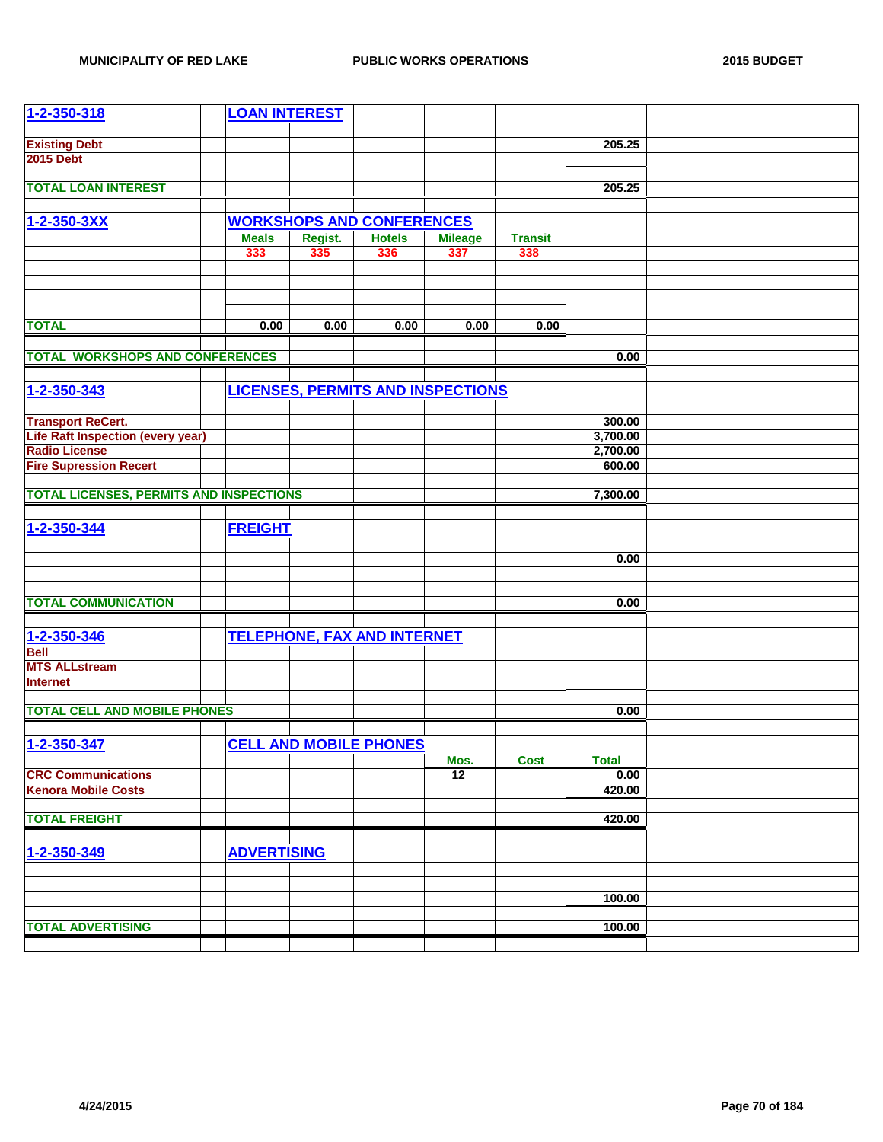| 1-2-350-318                                    | <b>LOAN INTEREST</b> |         |                                          |                |                |              |  |
|------------------------------------------------|----------------------|---------|------------------------------------------|----------------|----------------|--------------|--|
|                                                |                      |         |                                          |                |                |              |  |
| <b>Existing Debt</b>                           |                      |         |                                          |                |                | 205.25       |  |
| <b>2015 Debt</b>                               |                      |         |                                          |                |                |              |  |
|                                                |                      |         |                                          |                |                |              |  |
| <b>TOTAL LOAN INTEREST</b>                     |                      |         |                                          |                |                | 205.25       |  |
|                                                |                      |         |                                          |                |                |              |  |
| 1-2-350-3XX                                    |                      |         | <b>WORKSHOPS AND CONFERENCES</b>         |                |                |              |  |
|                                                | <b>Meals</b>         | Regist. | <b>Hotels</b>                            | <b>Mileage</b> | <b>Transit</b> |              |  |
|                                                | 333                  | 335     | 336                                      | 337            | 338            |              |  |
|                                                |                      |         |                                          |                |                |              |  |
|                                                |                      |         |                                          |                |                |              |  |
|                                                |                      |         |                                          |                |                |              |  |
|                                                |                      |         |                                          |                |                |              |  |
| <b>TOTAL</b>                                   | 0.00                 | 0.00    | 0.00                                     | 0.00           | 0.00           |              |  |
|                                                |                      |         |                                          |                |                |              |  |
| <b>TOTAL WORKSHOPS AND CONFERENCES</b>         |                      |         |                                          |                |                | 0.00         |  |
|                                                |                      |         |                                          |                |                |              |  |
| 1-2-350-343                                    |                      |         | <b>LICENSES, PERMITS AND INSPECTIONS</b> |                |                |              |  |
|                                                |                      |         |                                          |                |                |              |  |
| <b>Transport ReCert.</b>                       |                      |         |                                          |                |                | 300.00       |  |
| <b>Life Raft Inspection (every year)</b>       |                      |         |                                          |                |                | 3,700.00     |  |
| <b>Radio License</b>                           |                      |         |                                          |                |                | 2,700.00     |  |
| <b>Fire Supression Recert</b>                  |                      |         |                                          |                |                | 600.00       |  |
|                                                |                      |         |                                          |                |                |              |  |
| <b>TOTAL LICENSES, PERMITS AND INSPECTIONS</b> |                      |         |                                          |                |                | 7,300.00     |  |
|                                                |                      |         |                                          |                |                |              |  |
|                                                |                      |         |                                          |                |                |              |  |
| 1-2-350-344                                    | <b>FREIGHT</b>       |         |                                          |                |                |              |  |
|                                                |                      |         |                                          |                |                |              |  |
|                                                |                      |         |                                          |                |                | 0.00         |  |
|                                                |                      |         |                                          |                |                |              |  |
|                                                |                      |         |                                          |                |                |              |  |
| <b>TOTAL COMMUNICATION</b>                     |                      |         |                                          |                |                | 0.00         |  |
|                                                |                      |         |                                          |                |                |              |  |
| 1-2-350-346                                    |                      |         | <b>TELEPHONE, FAX AND INTERNET</b>       |                |                |              |  |
| <b>Bell</b>                                    |                      |         |                                          |                |                |              |  |
| <b>MTS ALLstream</b>                           |                      |         |                                          |                |                |              |  |
| <b>Internet</b>                                |                      |         |                                          |                |                |              |  |
|                                                |                      |         |                                          |                |                |              |  |
| <b>TOTAL CELL AND MOBILE PHONES</b>            |                      |         |                                          |                |                | 0.00         |  |
|                                                |                      |         |                                          |                |                |              |  |
| 1-2-350-347                                    |                      |         | <b>CELL AND MOBILE PHONES</b>            |                |                |              |  |
|                                                |                      |         |                                          | Mos.           | <b>Cost</b>    | <b>Total</b> |  |
| <b>CRC Communications</b>                      |                      |         |                                          | 12             |                | 0.00         |  |
| <b>Kenora Mobile Costs</b>                     |                      |         |                                          |                |                | 420.00       |  |
|                                                |                      |         |                                          |                |                |              |  |
| <b>TOTAL FREIGHT</b>                           |                      |         |                                          |                |                | 420.00       |  |
|                                                |                      |         |                                          |                |                |              |  |
| 1-2-350-349                                    | <b>ADVERTISING</b>   |         |                                          |                |                |              |  |
|                                                |                      |         |                                          |                |                |              |  |
|                                                |                      |         |                                          |                |                |              |  |
|                                                |                      |         |                                          |                |                | 100.00       |  |
|                                                |                      |         |                                          |                |                |              |  |
| <b>TOTAL ADVERTISING</b>                       |                      |         |                                          |                |                | 100.00       |  |
|                                                |                      |         |                                          |                |                |              |  |
|                                                |                      |         |                                          |                |                |              |  |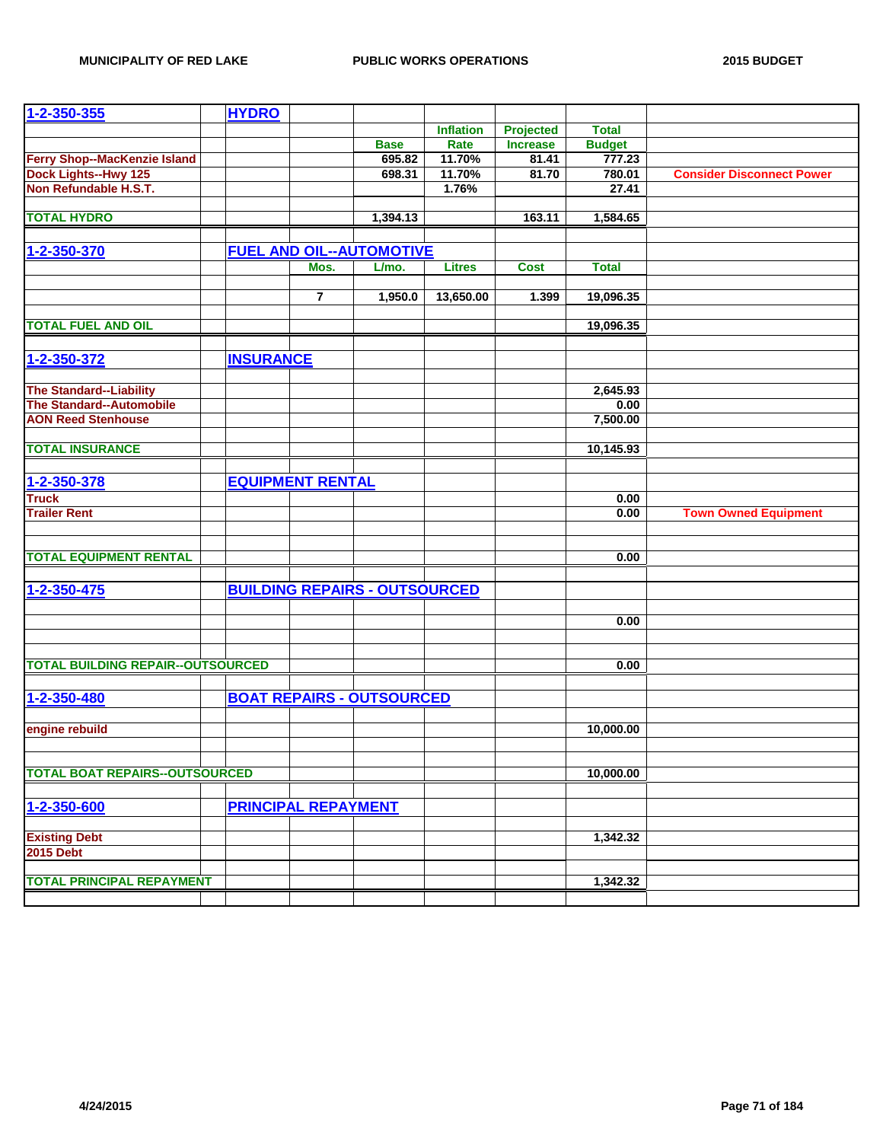| 1-2-350-355                              | <b>HYDRO</b>     |                            |                                      |                  |                 |               |                                  |
|------------------------------------------|------------------|----------------------------|--------------------------------------|------------------|-----------------|---------------|----------------------------------|
|                                          |                  |                            |                                      | <b>Inflation</b> | Projected       | <b>Total</b>  |                                  |
|                                          |                  |                            | <b>Base</b>                          | Rate             | <b>Increase</b> | <b>Budget</b> |                                  |
| <b>Ferry Shop--MacKenzie Island</b>      |                  |                            | 695.82                               | 11.70%           | 81.41           | 777.23        |                                  |
| <b>Dock Lights--Hwy 125</b>              |                  |                            | 698.31                               | 11.70%           | 81.70           | 780.01        | <b>Consider Disconnect Power</b> |
| Non Refundable H.S.T.                    |                  |                            |                                      | 1.76%            |                 | 27.41         |                                  |
|                                          |                  |                            |                                      |                  |                 |               |                                  |
| <b>TOTAL HYDRO</b>                       |                  |                            | 1,394.13                             |                  | 163.11          | 1,584.65      |                                  |
|                                          |                  |                            |                                      |                  |                 |               |                                  |
| 1-2-350-370                              |                  |                            | <b>FUEL AND OIL--AUTOMOTIVE</b>      |                  |                 |               |                                  |
|                                          |                  | Mos.                       | L/mo.                                | <b>Litres</b>    | <b>Cost</b>     | <b>Total</b>  |                                  |
|                                          |                  |                            |                                      |                  |                 |               |                                  |
|                                          |                  | $\overline{\mathbf{r}}$    | 1,950.0                              | 13,650.00        | 1.399           | 19,096.35     |                                  |
| <b>TOTAL FUEL AND OIL</b>                |                  |                            |                                      |                  |                 | 19,096.35     |                                  |
|                                          |                  |                            |                                      |                  |                 |               |                                  |
| 1-2-350-372                              | <b>INSURANCE</b> |                            |                                      |                  |                 |               |                                  |
|                                          |                  |                            |                                      |                  |                 |               |                                  |
| <b>The Standard--Liability</b>           |                  |                            |                                      |                  |                 | 2,645.93      |                                  |
| <b>The Standard--Automobile</b>          |                  |                            |                                      |                  |                 | 0.00          |                                  |
| <b>AON Reed Stenhouse</b>                |                  |                            |                                      |                  |                 | 7,500.00      |                                  |
|                                          |                  |                            |                                      |                  |                 |               |                                  |
| <b>TOTAL INSURANCE</b>                   |                  |                            |                                      |                  |                 | 10,145.93     |                                  |
|                                          |                  |                            |                                      |                  |                 |               |                                  |
| 1-2-350-378                              |                  | <b>EQUIPMENT RENTAL</b>    |                                      |                  |                 |               |                                  |
| <b>Truck</b>                             |                  |                            |                                      |                  |                 | 0.00          |                                  |
| <b>Trailer Rent</b>                      |                  |                            |                                      |                  |                 | 0.00          | <b>Town Owned Equipment</b>      |
|                                          |                  |                            |                                      |                  |                 |               |                                  |
|                                          |                  |                            |                                      |                  |                 |               |                                  |
| <b>TOTAL EQUIPMENT RENTAL</b>            |                  |                            |                                      |                  |                 | 0.00          |                                  |
|                                          |                  |                            |                                      |                  |                 |               |                                  |
| 1-2-350-475                              |                  |                            | <b>BUILDING REPAIRS - OUTSOURCED</b> |                  |                 |               |                                  |
|                                          |                  |                            |                                      |                  |                 |               |                                  |
|                                          |                  |                            |                                      |                  |                 | 0.00          |                                  |
|                                          |                  |                            |                                      |                  |                 |               |                                  |
|                                          |                  |                            |                                      |                  |                 |               |                                  |
| <b>TOTAL BUILDING REPAIR--OUTSOURCED</b> |                  |                            |                                      |                  |                 | 0.00          |                                  |
|                                          |                  |                            |                                      |                  |                 |               |                                  |
| 1-2-350-480                              |                  |                            | <b>BOAT REPAIRS - OUTSOURCED</b>     |                  |                 |               |                                  |
|                                          |                  |                            |                                      |                  |                 |               |                                  |
| engine rebuild                           |                  |                            |                                      |                  |                 | 10,000.00     |                                  |
|                                          |                  |                            |                                      |                  |                 |               |                                  |
| <b>TOTAL BOAT REPAIRS--OUTSOURCED</b>    |                  |                            |                                      |                  |                 | 10,000.00     |                                  |
|                                          |                  |                            |                                      |                  |                 |               |                                  |
| 1-2-350-600                              |                  | <b>PRINCIPAL REPAYMENT</b> |                                      |                  |                 |               |                                  |
|                                          |                  |                            |                                      |                  |                 |               |                                  |
| <b>Existing Debt</b>                     |                  |                            |                                      |                  |                 | 1,342.32      |                                  |
| <b>2015 Debt</b>                         |                  |                            |                                      |                  |                 |               |                                  |
|                                          |                  |                            |                                      |                  |                 |               |                                  |
| <b>TOTAL PRINCIPAL REPAYMENT</b>         |                  |                            |                                      |                  |                 | 1,342.32      |                                  |
|                                          |                  |                            |                                      |                  |                 |               |                                  |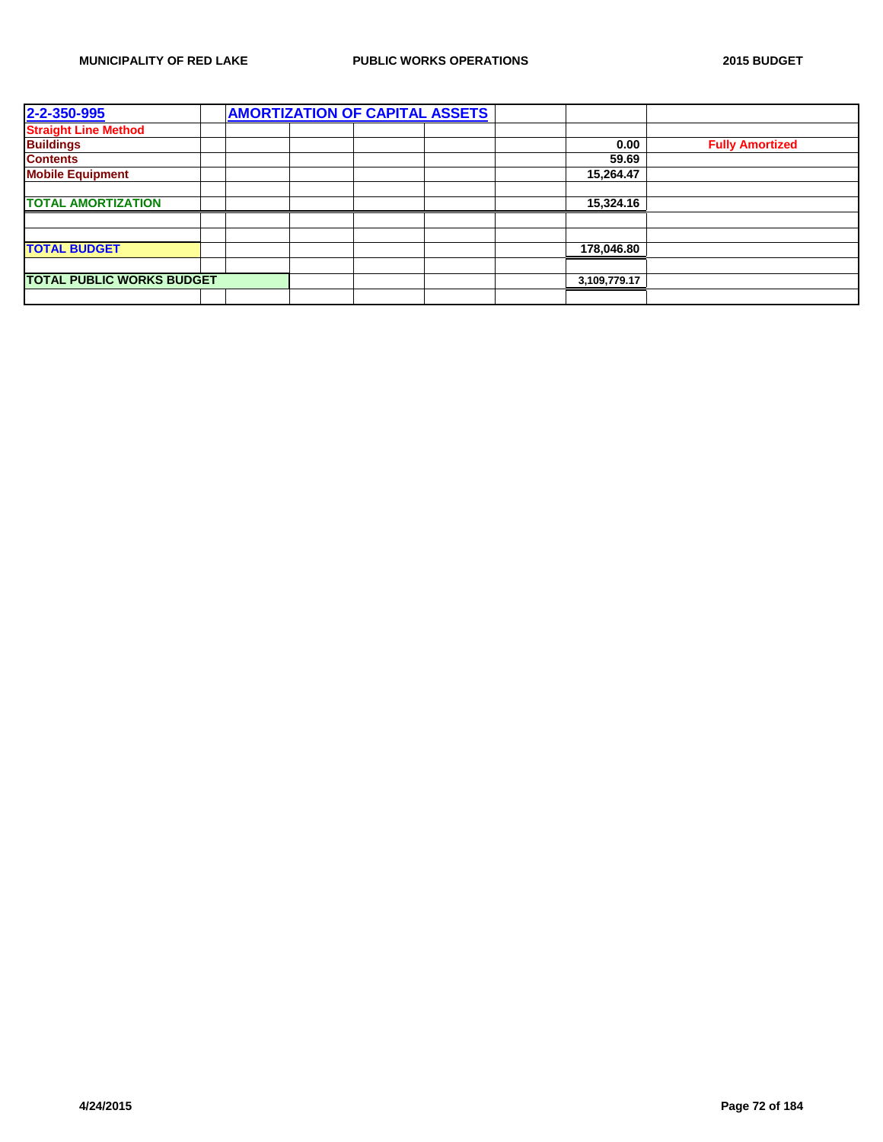| 2-2-350-995                      |  | <b>AMORTIZATION OF CAPITAL ASSETS</b> |  |              |                        |
|----------------------------------|--|---------------------------------------|--|--------------|------------------------|
| <b>Straight Line Method</b>      |  |                                       |  |              |                        |
| <b>Buildings</b>                 |  |                                       |  | 0.00         | <b>Fully Amortized</b> |
| <b>Contents</b>                  |  |                                       |  | 59.69        |                        |
| <b>Mobile Equipment</b>          |  |                                       |  | 15,264.47    |                        |
|                                  |  |                                       |  |              |                        |
| <b>TOTAL AMORTIZATION</b>        |  |                                       |  | 15,324.16    |                        |
|                                  |  |                                       |  |              |                        |
|                                  |  |                                       |  |              |                        |
| <b>TOTAL BUDGET</b>              |  |                                       |  | 178,046.80   |                        |
|                                  |  |                                       |  |              |                        |
| <b>TOTAL PUBLIC WORKS BUDGET</b> |  |                                       |  | 3,109,779.17 |                        |
|                                  |  |                                       |  |              |                        |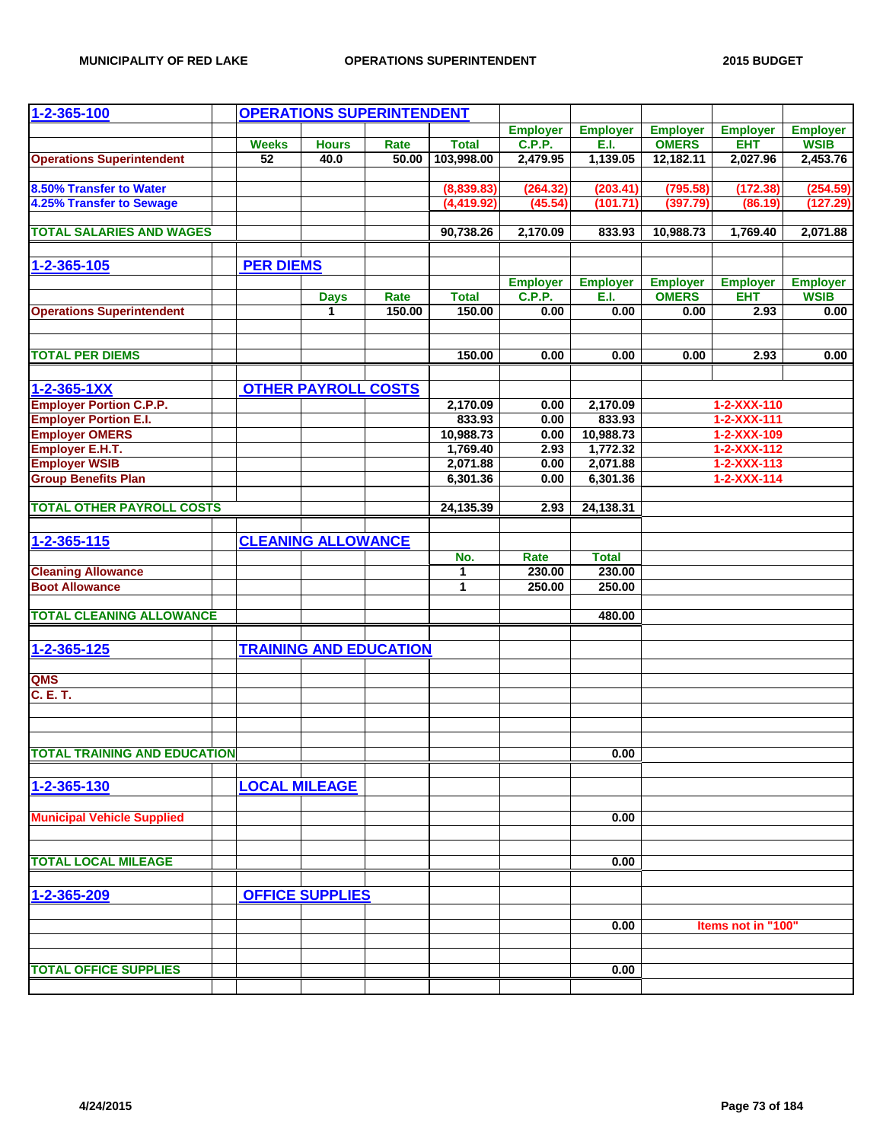| $1 - 2 - 365 - 100$                 |                  |                            | <b>OPERATIONS SUPERINTENDENT</b> |              |                 |                 |                 |                     |                 |
|-------------------------------------|------------------|----------------------------|----------------------------------|--------------|-----------------|-----------------|-----------------|---------------------|-----------------|
|                                     |                  |                            |                                  |              | <b>Employer</b> | <b>Employer</b> | <b>Employer</b> | <b>Employer</b>     | <b>Employer</b> |
|                                     | <b>Weeks</b>     | <b>Hours</b>               | Rate                             | <b>Total</b> | C.P.P.          | E.I.            | <b>OMERS</b>    | <b>EHT</b>          | <b>WSIB</b>     |
| <b>Operations Superintendent</b>    | $\overline{52}$  | 40.0                       | 50.00                            | 103,998.00   | 2,479.95        | 1,139.05        | 12,182.11       | 2,027.96            | 2,453.76        |
|                                     |                  |                            |                                  |              |                 |                 |                 |                     |                 |
| 8.50% Transfer to Water             |                  |                            |                                  | (8,839.83)   | (264.32)        | (203.41)        | (795.58)        | (172.38)            | (254.59)        |
| 4.25% Transfer to Sewage            |                  |                            |                                  | (4, 419.92)  | (45.54)         | (101.71)        | (397.79)        | (86.19)             | (127.29)        |
| <b>TOTAL SALARIES AND WAGES</b>     |                  |                            |                                  | 90,738.26    | 2,170.09        | 833.93          | 10,988.73       | 1,769.40            | 2,071.88        |
|                                     |                  |                            |                                  |              |                 |                 |                 |                     |                 |
| 1-2-365-105                         | <b>PER DIEMS</b> |                            |                                  |              |                 |                 |                 |                     |                 |
|                                     |                  |                            |                                  |              | <b>Employer</b> | <b>Employer</b> | <b>Employer</b> | <b>Employer</b>     | <b>Employer</b> |
|                                     |                  | <b>Days</b>                | Rate                             | <b>Total</b> | C.P.P.          | E.I.            | <b>OMERS</b>    | <b>EHT</b>          | <b>WSIB</b>     |
| <b>Operations Superintendent</b>    |                  | $\mathbf{1}$               | 150.00                           | 150.00       | 0.00            | 0.00            | 0.00            | 2.93                | 0.00            |
|                                     |                  |                            |                                  |              |                 |                 |                 |                     |                 |
|                                     |                  |                            |                                  |              |                 |                 |                 |                     |                 |
| <b>TOTAL PER DIEMS</b>              |                  |                            |                                  | 150.00       | 0.00            | 0.00            | 0.00            | 2.93                | 0.00            |
| $1 - 2 - 365 - 1XX$                 |                  | <b>OTHER PAYROLL COSTS</b> |                                  |              |                 |                 |                 |                     |                 |
| <b>Employer Portion C.P.P.</b>      |                  |                            |                                  | 2,170.09     | 0.00            | 2,170.09        |                 | 1-2-XXX-110         |                 |
| <b>Employer Portion E.I.</b>        |                  |                            |                                  | 833.93       | 0.00            | 833.93          |                 | 1-2-XXX-111         |                 |
| <b>Employer OMERS</b>               |                  |                            |                                  | 10,988.73    | 0.00            | 10,988.73       |                 | $1 - 2 - XXX - 109$ |                 |
| Employer E.H.T.                     |                  |                            |                                  | 1,769.40     | 2.93            | 1,772.32        |                 | 1-2-XXX-112         |                 |
| <b>Employer WSIB</b>                |                  |                            |                                  | 2,071.88     | 0.00            | 2,071.88        |                 | $1 - 2 - XXX - 113$ |                 |
| <b>Group Benefits Plan</b>          |                  |                            |                                  | 6,301.36     | 0.00            | 6,301.36        |                 | $1 - 2 - XXX - 114$ |                 |
|                                     |                  |                            |                                  |              |                 |                 |                 |                     |                 |
| <b>TOTAL OTHER PAYROLL COSTS</b>    |                  |                            |                                  | 24,135.39    | 2.93            | 24,138.31       |                 |                     |                 |
|                                     |                  |                            |                                  |              |                 |                 |                 |                     |                 |
| $1 - 2 - 365 - 115$                 |                  | <b>CLEANING ALLOWANCE</b>  |                                  |              |                 |                 |                 |                     |                 |
|                                     |                  |                            |                                  | No.          | Rate            | <b>Total</b>    |                 |                     |                 |
| <b>Cleaning Allowance</b>           |                  |                            |                                  | 1            | 230.00          | 230.00          |                 |                     |                 |
| <b>Boot Allowance</b>               |                  |                            |                                  | 1            | 250.00          | 250.00          |                 |                     |                 |
|                                     |                  |                            |                                  |              |                 |                 |                 |                     |                 |
| <b>TOTAL CLEANING ALLOWANCE</b>     |                  |                            |                                  |              |                 | 480.00          |                 |                     |                 |
|                                     |                  |                            |                                  |              |                 |                 |                 |                     |                 |
| $1 - 2 - 365 - 125$                 |                  |                            | <b>TRAINING AND EDUCATION</b>    |              |                 |                 |                 |                     |                 |
|                                     |                  |                            |                                  |              |                 |                 |                 |                     |                 |
| QMS                                 |                  |                            |                                  |              |                 |                 |                 |                     |                 |
| C. E. T.                            |                  |                            |                                  |              |                 |                 |                 |                     |                 |
|                                     |                  |                            |                                  |              |                 |                 |                 |                     |                 |
|                                     |                  |                            |                                  |              |                 |                 |                 |                     |                 |
| <b>TOTAL TRAINING AND EDUCATION</b> |                  |                            |                                  |              |                 | 0.00            |                 |                     |                 |
|                                     |                  |                            |                                  |              |                 |                 |                 |                     |                 |
| 1-2-365-130                         |                  | <b>LOCAL MILEAGE</b>       |                                  |              |                 |                 |                 |                     |                 |
|                                     |                  |                            |                                  |              |                 |                 |                 |                     |                 |
| <b>Municipal Vehicle Supplied</b>   |                  |                            |                                  |              |                 | 0.00            |                 |                     |                 |
|                                     |                  |                            |                                  |              |                 |                 |                 |                     |                 |
|                                     |                  |                            |                                  |              |                 |                 |                 |                     |                 |
| <b>TOTAL LOCAL MILEAGE</b>          |                  |                            |                                  |              |                 | 0.00            |                 |                     |                 |
|                                     |                  |                            |                                  |              |                 |                 |                 |                     |                 |
| $1 - 2 - 365 - 209$                 |                  | <b>OFFICE SUPPLIES</b>     |                                  |              |                 |                 |                 |                     |                 |
|                                     |                  |                            |                                  |              |                 | 0.00            |                 | Items not in "100"  |                 |
|                                     |                  |                            |                                  |              |                 |                 |                 |                     |                 |
|                                     |                  |                            |                                  |              |                 |                 |                 |                     |                 |
| <b>TOTAL OFFICE SUPPLIES</b>        |                  |                            |                                  |              |                 | 0.00            |                 |                     |                 |
|                                     |                  |                            |                                  |              |                 |                 |                 |                     |                 |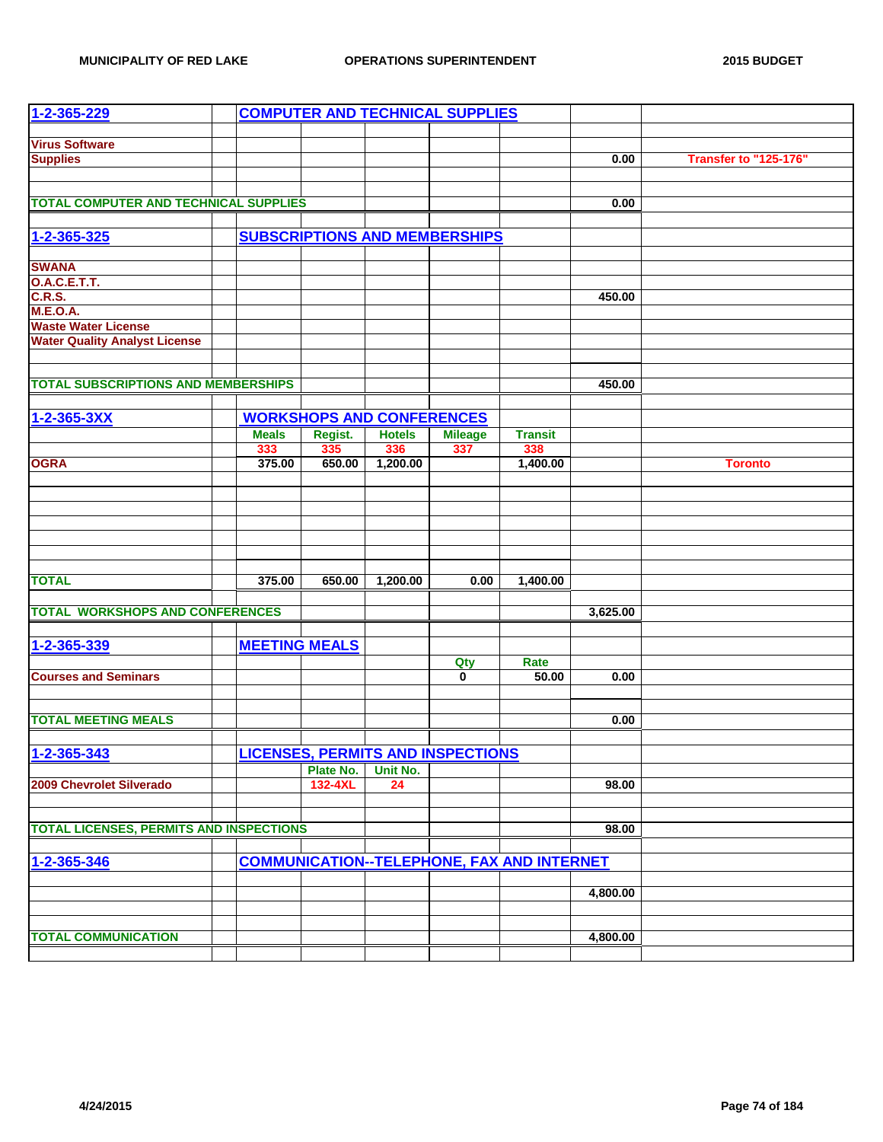| $1 - 2 - 365 - 229$                            |                      |           |                                  | <b>COMPUTER AND TECHNICAL SUPPLIES</b>   |                                                   |          |                              |
|------------------------------------------------|----------------------|-----------|----------------------------------|------------------------------------------|---------------------------------------------------|----------|------------------------------|
|                                                |                      |           |                                  |                                          |                                                   |          |                              |
| <b>Virus Software</b>                          |                      |           |                                  |                                          |                                                   | 0.00     | <b>Transfer to "125-176"</b> |
| <b>Supplies</b>                                |                      |           |                                  |                                          |                                                   |          |                              |
|                                                |                      |           |                                  |                                          |                                                   |          |                              |
| <b>TOTAL COMPUTER AND TECHNICAL SUPPLIES</b>   |                      |           |                                  |                                          |                                                   | 0.00     |                              |
|                                                |                      |           |                                  |                                          |                                                   |          |                              |
| 1-2-365-325                                    |                      |           |                                  | <b>SUBSCRIPTIONS AND MEMBERSHIPS</b>     |                                                   |          |                              |
| <b>SWANA</b>                                   |                      |           |                                  |                                          |                                                   |          |                              |
| <b>O.A.C.E.T.T.</b>                            |                      |           |                                  |                                          |                                                   |          |                              |
| <b>C.R.S.</b>                                  |                      |           |                                  |                                          |                                                   | 450.00   |                              |
| <b>M.E.O.A.</b>                                |                      |           |                                  |                                          |                                                   |          |                              |
| <b>Waste Water License</b>                     |                      |           |                                  |                                          |                                                   |          |                              |
| <b>Water Quality Analyst License</b>           |                      |           |                                  |                                          |                                                   |          |                              |
|                                                |                      |           |                                  |                                          |                                                   |          |                              |
| <b>TOTAL SUBSCRIPTIONS AND MEMBERSHIPS</b>     |                      |           |                                  |                                          |                                                   | 450.00   |                              |
|                                                |                      |           |                                  |                                          |                                                   |          |                              |
| 1-2-365-3XX                                    |                      |           | <b>WORKSHOPS AND CONFERENCES</b> |                                          |                                                   |          |                              |
|                                                | <b>Meals</b>         | Regist.   | <b>Hotels</b>                    | <b>Mileage</b>                           | <b>Transit</b>                                    |          |                              |
|                                                | 333                  | 335       | 336                              | 337                                      | 338                                               |          |                              |
| <b>OGRA</b>                                    | 375.00               | 650.00    | 1,200.00                         |                                          | 1,400.00                                          |          | <b>Toronto</b>               |
|                                                |                      |           |                                  |                                          |                                                   |          |                              |
|                                                |                      |           |                                  |                                          |                                                   |          |                              |
|                                                |                      |           |                                  |                                          |                                                   |          |                              |
|                                                |                      |           |                                  |                                          |                                                   |          |                              |
|                                                |                      |           |                                  |                                          |                                                   |          |                              |
|                                                |                      |           |                                  |                                          |                                                   |          |                              |
| <b>TOTAL</b>                                   | 375.00               | 650.00    | 1,200.00                         | 0.00                                     | 1,400.00                                          |          |                              |
|                                                |                      |           |                                  |                                          |                                                   |          |                              |
| <b>TOTAL WORKSHOPS AND CONFERENCES</b>         |                      |           |                                  |                                          |                                                   | 3,625.00 |                              |
|                                                |                      |           |                                  |                                          |                                                   |          |                              |
| 1-2-365-339                                    | <b>MEETING MEALS</b> |           |                                  |                                          |                                                   |          |                              |
|                                                |                      |           |                                  | Qty                                      | Rate                                              |          |                              |
| <b>Courses and Seminars</b>                    |                      |           |                                  | $\overline{\mathbf{0}}$                  | 50.00                                             | 0.00     |                              |
|                                                |                      |           |                                  |                                          |                                                   |          |                              |
|                                                |                      |           |                                  |                                          |                                                   |          |                              |
| <b>TOTAL MEETING MEALS</b>                     |                      |           |                                  |                                          |                                                   | 0.00     |                              |
|                                                |                      |           |                                  |                                          |                                                   |          |                              |
| 1-2-365-343                                    |                      |           |                                  | <b>LICENSES, PERMITS AND INSPECTIONS</b> |                                                   |          |                              |
|                                                |                      | Plate No. | Unit No.                         |                                          |                                                   |          |                              |
| 2009 Chevrolet Silverado                       |                      | 132-4XL   | 24                               |                                          |                                                   | 98.00    |                              |
|                                                |                      |           |                                  |                                          |                                                   |          |                              |
|                                                |                      |           |                                  |                                          |                                                   |          |                              |
| <b>TOTAL LICENSES, PERMITS AND INSPECTIONS</b> |                      |           |                                  |                                          |                                                   | 98.00    |                              |
|                                                |                      |           |                                  |                                          |                                                   |          |                              |
| 1-2-365-346                                    |                      |           |                                  |                                          | <b>COMMUNICATION--TELEPHONE, FAX AND INTERNET</b> |          |                              |
|                                                |                      |           |                                  |                                          |                                                   |          |                              |
|                                                |                      |           |                                  |                                          |                                                   | 4,800.00 |                              |
|                                                |                      |           |                                  |                                          |                                                   |          |                              |
|                                                |                      |           |                                  |                                          |                                                   |          |                              |
| <b>TOTAL COMMUNICATION</b>                     |                      |           |                                  |                                          |                                                   | 4,800.00 |                              |
|                                                |                      |           |                                  |                                          |                                                   |          |                              |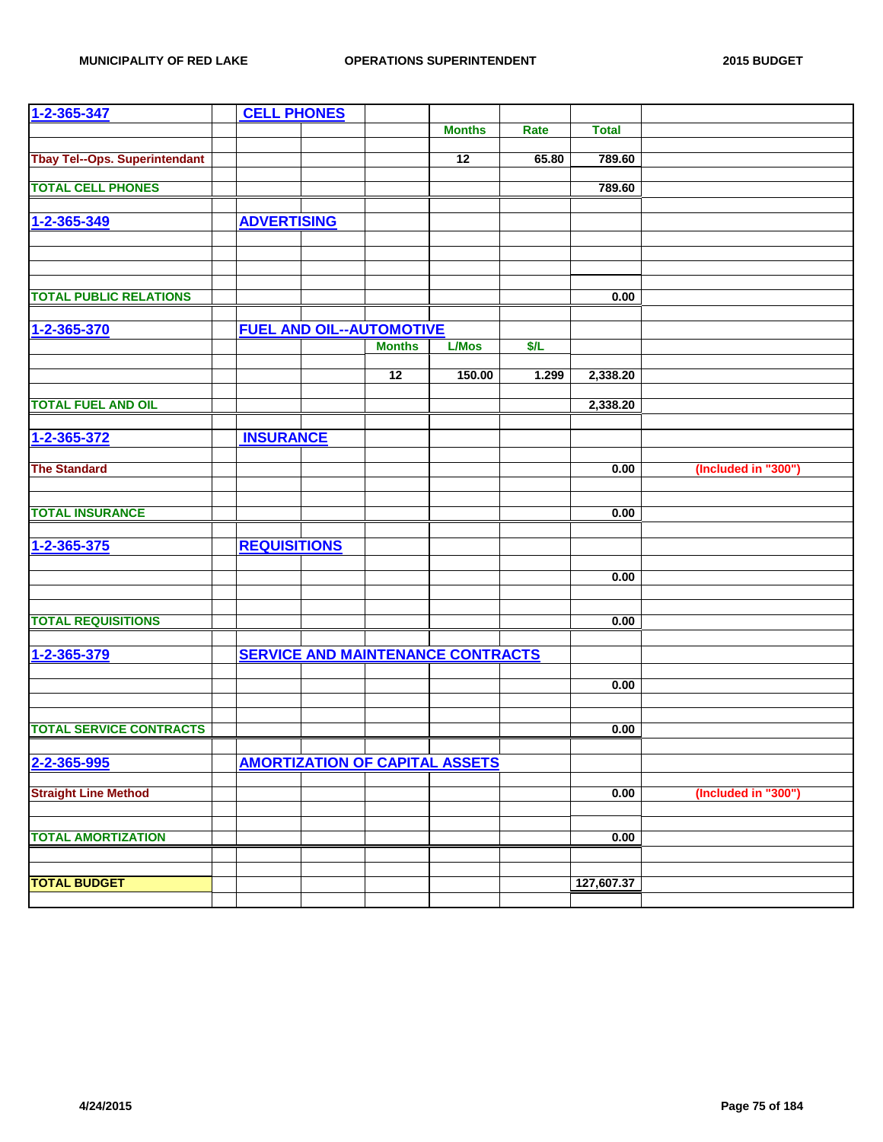| $1 - 2 - 365 - 347$                  | <b>CELL PHONES</b>  |                                 |                                          |       |              |                     |
|--------------------------------------|---------------------|---------------------------------|------------------------------------------|-------|--------------|---------------------|
|                                      |                     |                                 | <b>Months</b>                            | Rate  | <b>Total</b> |                     |
|                                      |                     |                                 |                                          |       |              |                     |
| <b>Tbay Tel--Ops. Superintendant</b> |                     |                                 | 12                                       | 65.80 | 789.60       |                     |
| <b>TOTAL CELL PHONES</b>             |                     |                                 |                                          |       |              |                     |
|                                      |                     |                                 |                                          |       | 789.60       |                     |
|                                      |                     |                                 |                                          |       |              |                     |
| 1-2-365-349                          | <b>ADVERTISING</b>  |                                 |                                          |       |              |                     |
|                                      |                     |                                 |                                          |       |              |                     |
|                                      |                     |                                 |                                          |       |              |                     |
|                                      |                     |                                 |                                          |       |              |                     |
| <b>TOTAL PUBLIC RELATIONS</b>        |                     |                                 |                                          |       | 0.00         |                     |
|                                      |                     |                                 |                                          |       |              |                     |
| 1-2-365-370                          |                     | <b>FUEL AND OIL--AUTOMOTIVE</b> |                                          |       |              |                     |
|                                      |                     | <b>Months</b>                   | <b>L/Mos</b>                             | \$/L  |              |                     |
|                                      |                     |                                 |                                          |       |              |                     |
|                                      |                     | 12                              | 150.00                                   | 1.299 | 2,338.20     |                     |
| <b>TOTAL FUEL AND OIL</b>            |                     |                                 |                                          |       | 2,338.20     |                     |
|                                      |                     |                                 |                                          |       |              |                     |
| 1-2-365-372                          | <b>INSURANCE</b>    |                                 |                                          |       |              |                     |
|                                      |                     |                                 |                                          |       |              |                     |
| <b>The Standard</b>                  |                     |                                 |                                          |       | 0.00         | (Included in "300") |
|                                      |                     |                                 |                                          |       |              |                     |
|                                      |                     |                                 |                                          |       |              |                     |
| <b>TOTAL INSURANCE</b>               |                     |                                 |                                          |       | 0.00         |                     |
|                                      |                     |                                 |                                          |       |              |                     |
| 1-2-365-375                          | <b>REQUISITIONS</b> |                                 |                                          |       |              |                     |
|                                      |                     |                                 |                                          |       |              |                     |
|                                      |                     |                                 |                                          |       | 0.00         |                     |
|                                      |                     |                                 |                                          |       |              |                     |
| <b>TOTAL REQUISITIONS</b>            |                     |                                 |                                          |       | 0.00         |                     |
|                                      |                     |                                 |                                          |       |              |                     |
| 1-2-365-379                          |                     |                                 | <b>SERVICE AND MAINTENANCE CONTRACTS</b> |       |              |                     |
|                                      |                     |                                 |                                          |       |              |                     |
|                                      |                     |                                 |                                          |       | 0.00         |                     |
|                                      |                     |                                 |                                          |       |              |                     |
|                                      |                     |                                 |                                          |       |              |                     |
| <b>TOTAL SERVICE CONTRACTS</b>       |                     |                                 |                                          |       | 0.00         |                     |
|                                      |                     |                                 |                                          |       |              |                     |
| 2-2-365-995                          |                     |                                 | <b>AMORTIZATION OF CAPITAL ASSETS</b>    |       |              |                     |
|                                      |                     |                                 |                                          |       |              |                     |
| <b>Straight Line Method</b>          |                     |                                 |                                          |       | 0.00         | (Included in "300") |
|                                      |                     |                                 |                                          |       |              |                     |
| <b>TOTAL AMORTIZATION</b>            |                     |                                 |                                          |       | 0.00         |                     |
|                                      |                     |                                 |                                          |       |              |                     |
|                                      |                     |                                 |                                          |       |              |                     |
| <b>TOTAL BUDGET</b>                  |                     |                                 |                                          |       | 127,607.37   |                     |
|                                      |                     |                                 |                                          |       |              |                     |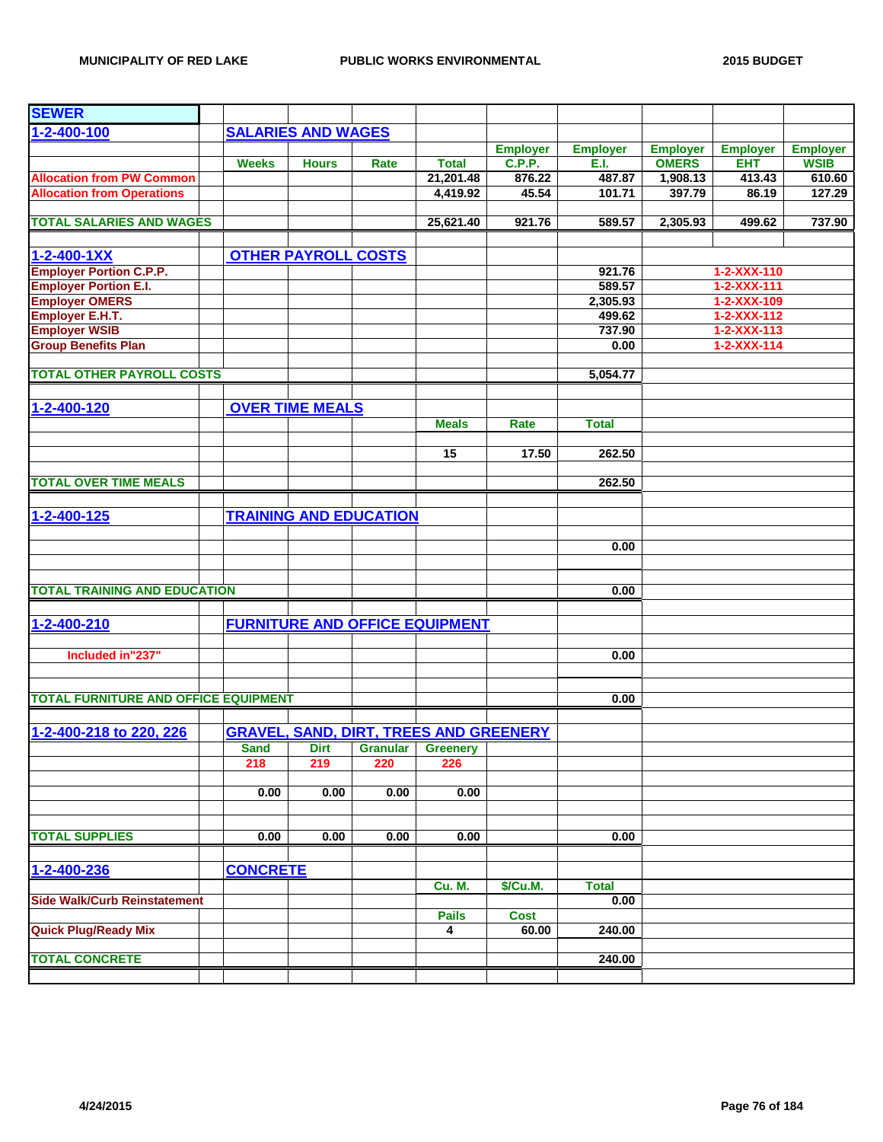| <b>SEWER</b>                                |                 |                               |                 |                                               |                 |                 |                 |                     |                 |
|---------------------------------------------|-----------------|-------------------------------|-----------------|-----------------------------------------------|-----------------|-----------------|-----------------|---------------------|-----------------|
| $1 - 2 - 400 - 100$                         |                 | <b>SALARIES AND WAGES</b>     |                 |                                               |                 |                 |                 |                     |                 |
|                                             |                 |                               |                 |                                               | <b>Employer</b> | <b>Employer</b> | <b>Employer</b> | <b>Employer</b>     | <b>Employer</b> |
|                                             | <b>Weeks</b>    | <b>Hours</b>                  | Rate            | <b>Total</b>                                  | <b>C.P.P.</b>   | E.I.            | <b>OMERS</b>    | <b>EHT</b>          | <b>WSIB</b>     |
| <b>Allocation from PW Common</b>            |                 |                               |                 | 21,201.48                                     | 876.22          | 487.87          | 1,908.13        | 413.43              | 610.60          |
| <b>Allocation from Operations</b>           |                 |                               |                 | 4,419.92                                      | 45.54           | 101.71          | 397.79          | 86.19               | 127.29          |
|                                             |                 |                               |                 |                                               |                 |                 |                 |                     |                 |
| <b>TOTAL SALARIES AND WAGES</b>             |                 |                               |                 | 25,621.40                                     | 921.76          | 589.57          | 2,305.93        | 499.62              | 737.90          |
| $1 - 2 - 400 - 1XX$                         |                 | <b>OTHER PAYROLL COSTS</b>    |                 |                                               |                 |                 |                 |                     |                 |
| <b>Employer Portion C.P.P.</b>              |                 |                               |                 |                                               |                 | 921.76          |                 | 1-2-XXX-110         |                 |
| <b>Employer Portion E.I.</b>                |                 |                               |                 |                                               |                 | 589.57          |                 | $1 - 2 - XXX - 111$ |                 |
| <b>Employer OMERS</b>                       |                 |                               |                 |                                               |                 | 2,305.93        |                 | 1-2-XXX-109         |                 |
| <b>Employer E.H.T.</b>                      |                 |                               |                 |                                               |                 | 499.62          |                 | 1-2-XXX-112         |                 |
| <b>Employer WSIB</b>                        |                 |                               |                 |                                               |                 | 737.90          |                 | $1 - 2 - XXX - 113$ |                 |
| <b>Group Benefits Plan</b>                  |                 |                               |                 |                                               |                 | 0.00            |                 | $1 - 2 - XXX - 114$ |                 |
| <b>TOTAL OTHER PAYROLL COSTS</b>            |                 |                               |                 |                                               |                 | 5,054.77        |                 |                     |                 |
|                                             |                 |                               |                 |                                               |                 |                 |                 |                     |                 |
| 1-2-400-120                                 |                 | <b>OVER TIME MEALS</b>        |                 |                                               |                 |                 |                 |                     |                 |
|                                             |                 |                               |                 | <b>Meals</b>                                  | Rate            | <b>Total</b>    |                 |                     |                 |
|                                             |                 |                               |                 | 15                                            | 17.50           | 262.50          |                 |                     |                 |
|                                             |                 |                               |                 |                                               |                 |                 |                 |                     |                 |
| <b>TOTAL OVER TIME MEALS</b>                |                 |                               |                 |                                               |                 | 262.50          |                 |                     |                 |
| 1-2-400-125                                 |                 | <b>TRAINING AND EDUCATION</b> |                 |                                               |                 |                 |                 |                     |                 |
|                                             |                 |                               |                 |                                               |                 |                 |                 |                     |                 |
|                                             |                 |                               |                 |                                               |                 | 0.00            |                 |                     |                 |
|                                             |                 |                               |                 |                                               |                 |                 |                 |                     |                 |
| <b>TOTAL TRAINING AND EDUCATION</b>         |                 |                               |                 |                                               |                 | 0.00            |                 |                     |                 |
|                                             |                 |                               |                 |                                               |                 |                 |                 |                     |                 |
| 1-2-400-210                                 |                 |                               |                 | <b>FURNITURE AND OFFICE EQUIPMENT</b>         |                 |                 |                 |                     |                 |
| Included in"237"                            |                 |                               |                 |                                               |                 | 0.00            |                 |                     |                 |
|                                             |                 |                               |                 |                                               |                 |                 |                 |                     |                 |
| <b>TOTAL FURNITURE AND OFFICE EQUIPMENT</b> |                 |                               |                 |                                               |                 | 0.00            |                 |                     |                 |
|                                             |                 |                               |                 |                                               |                 |                 |                 |                     |                 |
| 1-2-400-218 to 220, 226                     |                 |                               |                 | <b>GRAVEL, SAND, DIRT, TREES AND GREENERY</b> |                 |                 |                 |                     |                 |
|                                             | <b>Sand</b>     | Dirt                          | <b>Granular</b> | <b>Greenery</b>                               |                 |                 |                 |                     |                 |
|                                             | 218             | 219                           | 220             | 226                                           |                 |                 |                 |                     |                 |
|                                             | 0.00            | 0.00                          | 0.00            | 0.00                                          |                 |                 |                 |                     |                 |
|                                             |                 |                               |                 |                                               |                 |                 |                 |                     |                 |
| <b>TOTAL SUPPLIES</b>                       | 0.00            | 0.00                          | 0.00            | 0.00                                          |                 | 0.00            |                 |                     |                 |
|                                             |                 |                               |                 |                                               |                 |                 |                 |                     |                 |
| 1-2-400-236                                 | <b>CONCRETE</b> |                               |                 |                                               |                 |                 |                 |                     |                 |
|                                             |                 |                               |                 | <b>Cu. M.</b>                                 | \$/Cu.M.        | <b>Total</b>    |                 |                     |                 |
| <b>Side Walk/Curb Reinstatement</b>         |                 |                               |                 | <b>Pails</b>                                  | <b>Cost</b>     | 0.00            |                 |                     |                 |
| <b>Quick Plug/Ready Mix</b>                 |                 |                               |                 | 4                                             | 60.00           | 240.00          |                 |                     |                 |
|                                             |                 |                               |                 |                                               |                 |                 |                 |                     |                 |
| <b>TOTAL CONCRETE</b>                       |                 |                               |                 |                                               |                 | 240.00          |                 |                     |                 |
|                                             |                 |                               |                 |                                               |                 |                 |                 |                     |                 |
|                                             |                 |                               |                 |                                               |                 |                 |                 |                     |                 |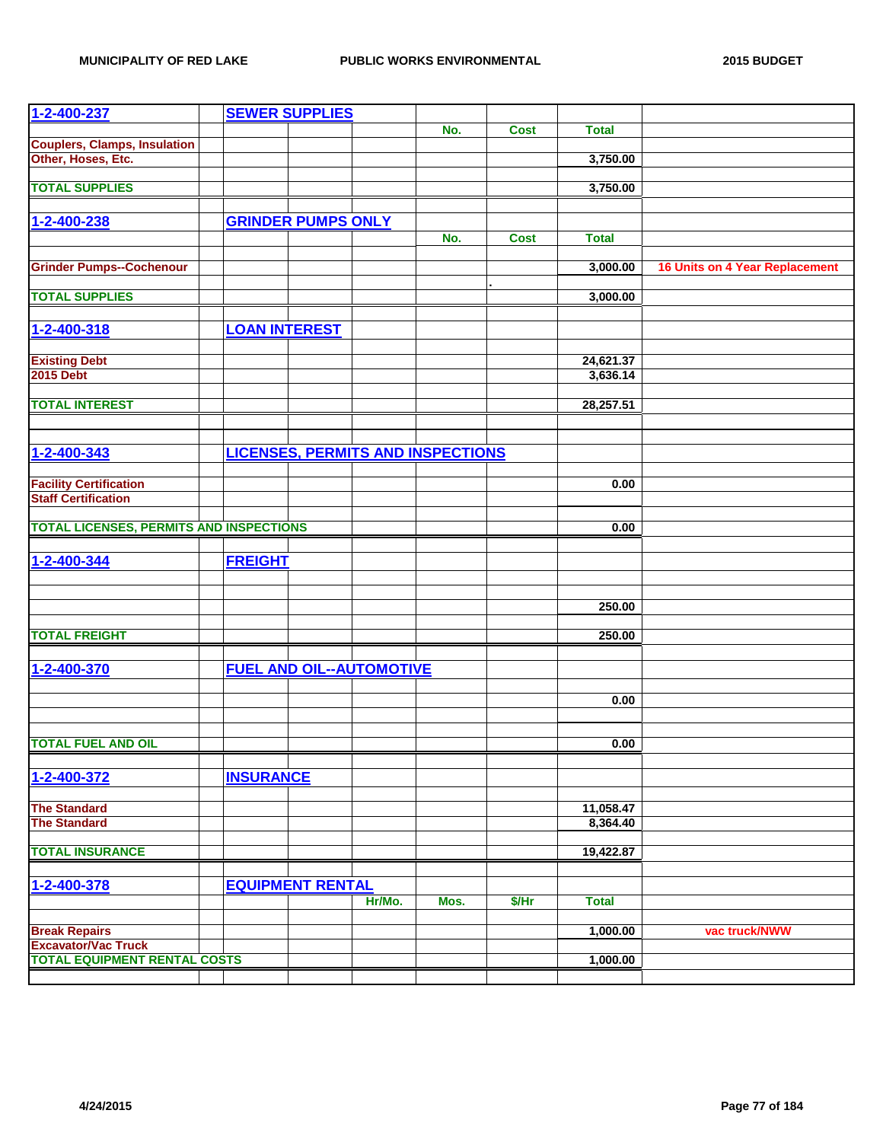| $1 - 2 - 400 - 237$                                               |                      | <b>SEWER SUPPLIES</b>     |                                          |      |             |              |                                       |
|-------------------------------------------------------------------|----------------------|---------------------------|------------------------------------------|------|-------------|--------------|---------------------------------------|
|                                                                   |                      |                           |                                          | No.  | <b>Cost</b> | <b>Total</b> |                                       |
| <b>Couplers, Clamps, Insulation</b>                               |                      |                           |                                          |      |             |              |                                       |
| Other, Hoses, Etc.                                                |                      |                           |                                          |      |             | 3,750.00     |                                       |
| <b>TOTAL SUPPLIES</b>                                             |                      |                           |                                          |      |             | 3,750.00     |                                       |
|                                                                   |                      |                           |                                          |      |             |              |                                       |
| 1-2-400-238                                                       |                      | <b>GRINDER PUMPS ONLY</b> |                                          |      |             |              |                                       |
|                                                                   |                      |                           |                                          | No.  | <b>Cost</b> | <b>Total</b> |                                       |
|                                                                   |                      |                           |                                          |      |             |              |                                       |
| <b>Grinder Pumps--Cochenour</b>                                   |                      |                           |                                          |      |             | 3,000.00     | <b>16 Units on 4 Year Replacement</b> |
| <b>TOTAL SUPPLIES</b>                                             |                      |                           |                                          |      |             | 3,000.00     |                                       |
|                                                                   |                      |                           |                                          |      |             |              |                                       |
| 1-2-400-318                                                       | <b>LOAN INTEREST</b> |                           |                                          |      |             |              |                                       |
|                                                                   |                      |                           |                                          |      |             |              |                                       |
| <b>Existing Debt</b>                                              |                      |                           |                                          |      |             | 24,621.37    |                                       |
| <b>2015 Debt</b>                                                  |                      |                           |                                          |      |             | 3,636.14     |                                       |
| <b>TOTAL INTEREST</b>                                             |                      |                           |                                          |      |             | 28,257.51    |                                       |
|                                                                   |                      |                           |                                          |      |             |              |                                       |
|                                                                   |                      |                           |                                          |      |             |              |                                       |
| 1-2-400-343                                                       |                      |                           | <b>LICENSES, PERMITS AND INSPECTIONS</b> |      |             |              |                                       |
|                                                                   |                      |                           |                                          |      |             |              |                                       |
| <b>Facility Certification</b>                                     |                      |                           |                                          |      |             | 0.00         |                                       |
| <b>Staff Certification</b>                                        |                      |                           |                                          |      |             |              |                                       |
| <b>TOTAL LICENSES, PERMITS AND INSPECTIONS</b>                    |                      |                           |                                          |      |             | 0.00         |                                       |
|                                                                   |                      |                           |                                          |      |             |              |                                       |
| 1-2-400-344                                                       | <b>FREIGHT</b>       |                           |                                          |      |             |              |                                       |
|                                                                   |                      |                           |                                          |      |             |              |                                       |
|                                                                   |                      |                           |                                          |      |             |              |                                       |
|                                                                   |                      |                           |                                          |      |             | 250.00       |                                       |
| <b>TOTAL FREIGHT</b>                                              |                      |                           |                                          |      |             | 250.00       |                                       |
|                                                                   |                      |                           |                                          |      |             |              |                                       |
| 1-2-400-370                                                       |                      |                           | <b>FUEL AND OIL--AUTOMOTIVE</b>          |      |             |              |                                       |
|                                                                   |                      |                           |                                          |      |             |              |                                       |
|                                                                   |                      |                           |                                          |      |             | 0.00         |                                       |
|                                                                   |                      |                           |                                          |      |             |              |                                       |
| <b>TOTAL FUEL AND OIL</b>                                         |                      |                           |                                          |      |             | 0.00         |                                       |
|                                                                   |                      |                           |                                          |      |             |              |                                       |
| 1-2-400-372                                                       | <b>INSURANCE</b>     |                           |                                          |      |             |              |                                       |
|                                                                   |                      |                           |                                          |      |             |              |                                       |
| <b>The Standard</b>                                               |                      |                           |                                          |      |             | 11,058.47    |                                       |
| <b>The Standard</b>                                               |                      |                           |                                          |      |             | 8,364.40     |                                       |
| <b>TOTAL INSURANCE</b>                                            |                      |                           |                                          |      |             | 19,422.87    |                                       |
|                                                                   |                      |                           |                                          |      |             |              |                                       |
| 1-2-400-378                                                       |                      | <b>EQUIPMENT RENTAL</b>   |                                          |      |             |              |                                       |
|                                                                   |                      |                           | Hr/Mo.                                   | Mos. | \$/Hr       | <b>Total</b> |                                       |
|                                                                   |                      |                           |                                          |      |             |              |                                       |
| <b>Break Repairs</b>                                              |                      |                           |                                          |      |             | 1,000.00     | vac truck/NWW                         |
| <b>Excavator/Vac Truck</b><br><b>TOTAL EQUIPMENT RENTAL COSTS</b> |                      |                           |                                          |      |             | 1,000.00     |                                       |
|                                                                   |                      |                           |                                          |      |             |              |                                       |
|                                                                   |                      |                           |                                          |      |             |              |                                       |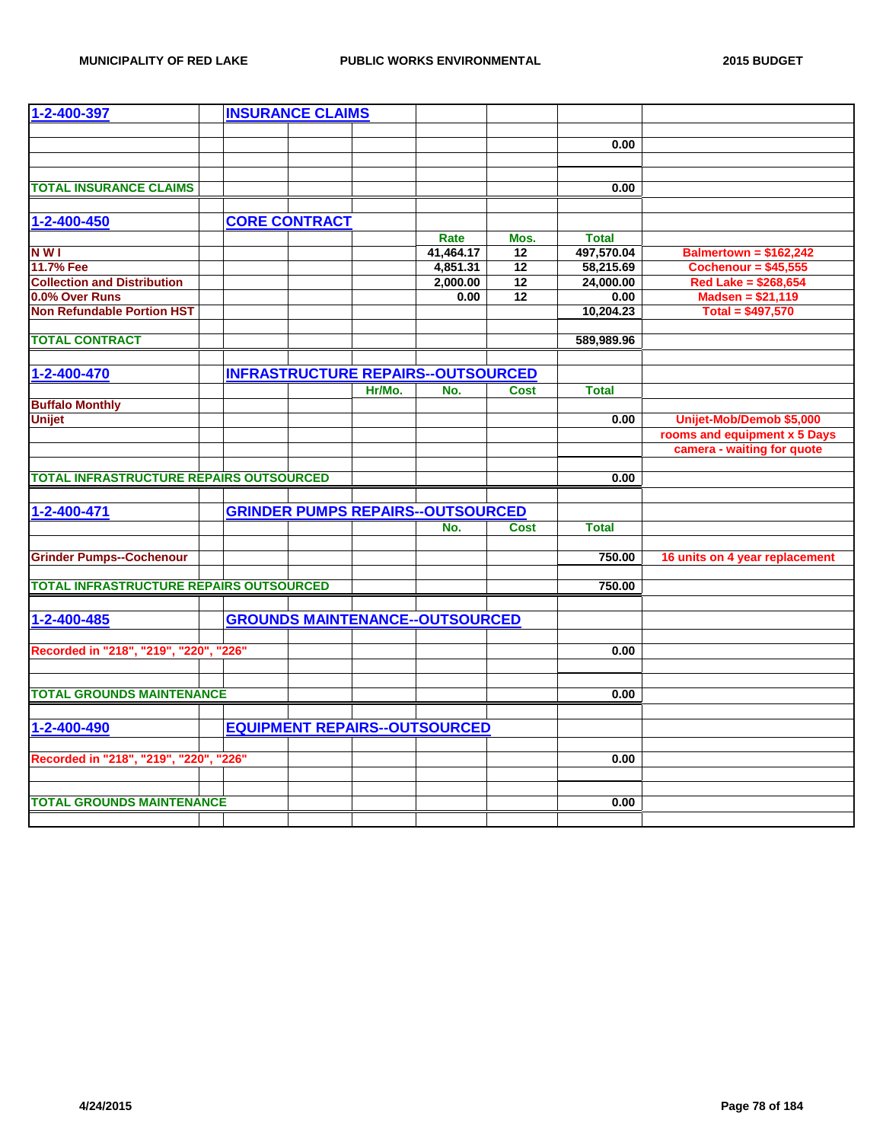| 1-2-400-397                                    | <b>INSURANCE CLAIMS</b> |                                           |           |                 |              |                                |
|------------------------------------------------|-------------------------|-------------------------------------------|-----------|-----------------|--------------|--------------------------------|
|                                                |                         |                                           |           |                 |              |                                |
|                                                |                         |                                           |           |                 | 0.00         |                                |
|                                                |                         |                                           |           |                 |              |                                |
|                                                |                         |                                           |           |                 |              |                                |
| <b>TOTAL INSURANCE CLAIMS</b>                  |                         |                                           |           |                 | 0.00         |                                |
|                                                |                         |                                           |           |                 |              |                                |
| 1-2-400-450                                    | <b>CORE CONTRACT</b>    |                                           |           |                 |              |                                |
|                                                |                         |                                           | Rate      | Mos.            | <b>Total</b> |                                |
| <b>NWI</b>                                     |                         |                                           | 41,464.17 | $\overline{12}$ | 497,570.04   | <b>Balmertown = \$162,242</b>  |
| 11.7% Fee                                      |                         |                                           | 4,851.31  | 12              | 58,215.69    | Cochenour = $$45,555$          |
| <b>Collection and Distribution</b>             |                         |                                           | 2,000.00  | 12              | 24,000.00    | Red Lake = $$268,654$          |
| 0.0% Over Runs                                 |                         |                                           | 0.00      | $\overline{12}$ | 0.00         | $Madsen = $21,119$             |
| <b>Non Refundable Portion HST</b>              |                         |                                           |           |                 | 10,204.23    | Total = $$497,570$             |
|                                                |                         |                                           |           |                 |              |                                |
| <b>TOTAL CONTRACT</b>                          |                         |                                           |           |                 | 589,989.96   |                                |
|                                                |                         |                                           |           |                 |              |                                |
| 1-2-400-470                                    |                         | <b>INFRASTRUCTURE REPAIRS--OUTSOURCED</b> |           |                 |              |                                |
|                                                |                         | Hr/Mo.                                    | No.       | <b>Cost</b>     | <b>Total</b> |                                |
| <b>Buffalo Monthly</b>                         |                         |                                           |           |                 |              |                                |
| <b>Unijet</b>                                  |                         |                                           |           |                 | 0.00         | Unijet-Mob/Demob \$5,000       |
|                                                |                         |                                           |           |                 |              | rooms and equipment x 5 Days   |
|                                                |                         |                                           |           |                 |              | camera - waiting for quote     |
|                                                |                         |                                           |           |                 |              |                                |
| <b>TOTAL INFRASTRUCTURE REPAIRS OUTSOURCED</b> |                         |                                           |           |                 | 0.00         |                                |
|                                                |                         |                                           |           |                 |              |                                |
| 1-2-400-471                                    |                         | <b>GRINDER PUMPS REPAIRS--OUTSOURCED</b>  |           |                 |              |                                |
|                                                |                         |                                           | No.       | <b>Cost</b>     | <b>Total</b> |                                |
|                                                |                         |                                           |           |                 |              |                                |
| <b>Grinder Pumps--Cochenour</b>                |                         |                                           |           |                 | 750.00       | 16 units on 4 year replacement |
|                                                |                         |                                           |           |                 |              |                                |
| <b>TOTAL INFRASTRUCTURE REPAIRS OUTSOURCED</b> |                         |                                           |           |                 | 750.00       |                                |
|                                                |                         |                                           |           |                 |              |                                |
| 1-2-400-485                                    |                         | <b>GROUNDS MAINTENANCE--OUTSOURCED</b>    |           |                 |              |                                |
|                                                |                         |                                           |           |                 |              |                                |
| Recorded in "218", "219", "220", "226"         |                         |                                           |           |                 | 0.00         |                                |
|                                                |                         |                                           |           |                 |              |                                |
|                                                |                         |                                           |           |                 |              |                                |
| <b>TOTAL GROUNDS MAINTENANCE</b>               |                         |                                           |           |                 | 0.00         |                                |
|                                                |                         |                                           |           |                 |              |                                |
|                                                |                         |                                           |           |                 |              |                                |
| 1-2-400-490                                    |                         | <b>EQUIPMENT REPAIRS--OUTSOURCED</b>      |           |                 |              |                                |
|                                                |                         |                                           |           |                 |              |                                |
| Recorded in "218", "219", "220", "226"         |                         |                                           |           |                 | 0.00         |                                |
|                                                |                         |                                           |           |                 |              |                                |
|                                                |                         |                                           |           |                 |              |                                |
| <b>TOTAL GROUNDS MAINTENANCE</b>               |                         |                                           |           |                 | 0.00         |                                |
|                                                |                         |                                           |           |                 |              |                                |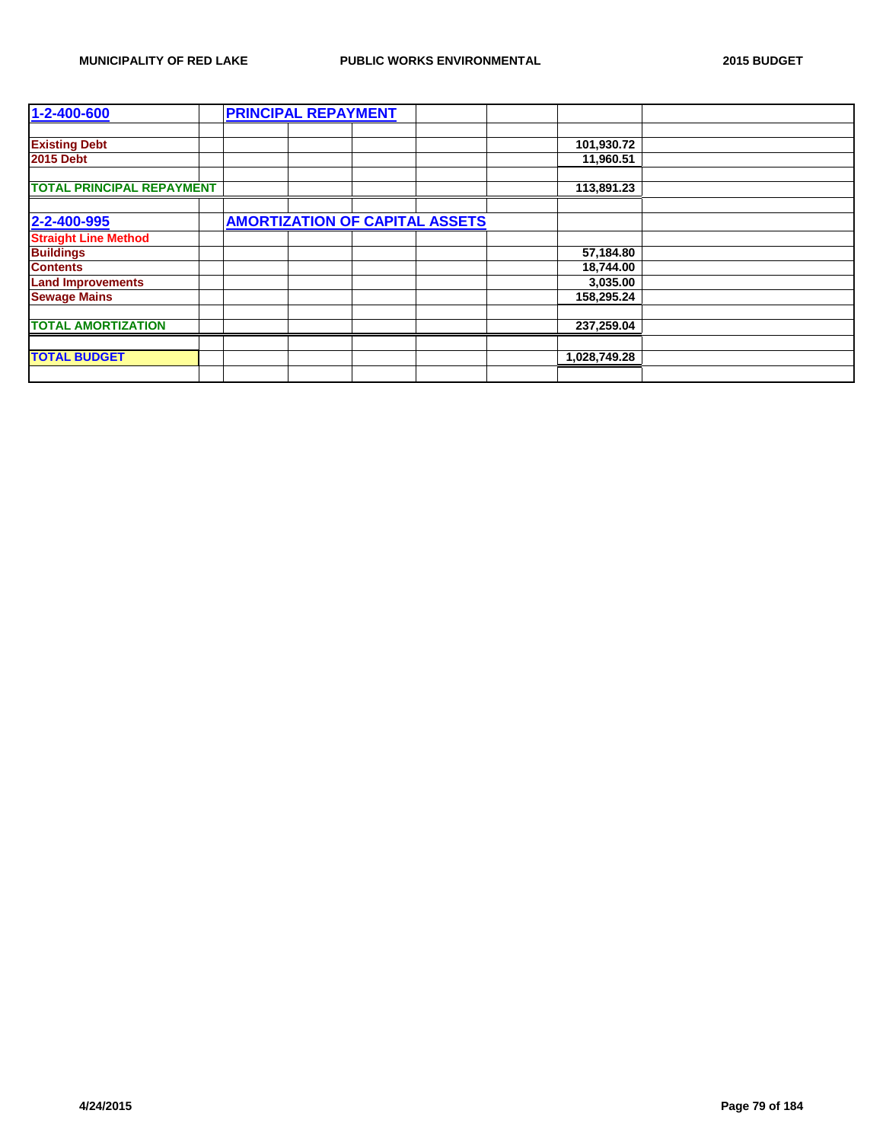| 1-2-400-600                      | <b>PRINCIPAL REPAYMENT</b>            |              |  |
|----------------------------------|---------------------------------------|--------------|--|
|                                  |                                       |              |  |
| <b>Existing Debt</b>             |                                       | 101,930.72   |  |
| <b>2015 Debt</b>                 |                                       | 11,960.51    |  |
|                                  |                                       |              |  |
| <b>TOTAL PRINCIPAL REPAYMENT</b> |                                       | 113,891.23   |  |
|                                  |                                       |              |  |
| 2-2-400-995                      | <b>AMORTIZATION OF CAPITAL ASSETS</b> |              |  |
| <b>Straight Line Method</b>      |                                       |              |  |
| <b>Buildings</b>                 |                                       | 57,184.80    |  |
| <b>Contents</b>                  |                                       | 18,744.00    |  |
| <b>Land Improvements</b>         |                                       | 3,035.00     |  |
| <b>Sewage Mains</b>              |                                       | 158,295.24   |  |
|                                  |                                       |              |  |
| <b>TOTAL AMORTIZATION</b>        |                                       | 237,259.04   |  |
|                                  |                                       |              |  |
| <b>TOTAL BUDGET</b>              |                                       | 1,028,749.28 |  |
|                                  |                                       |              |  |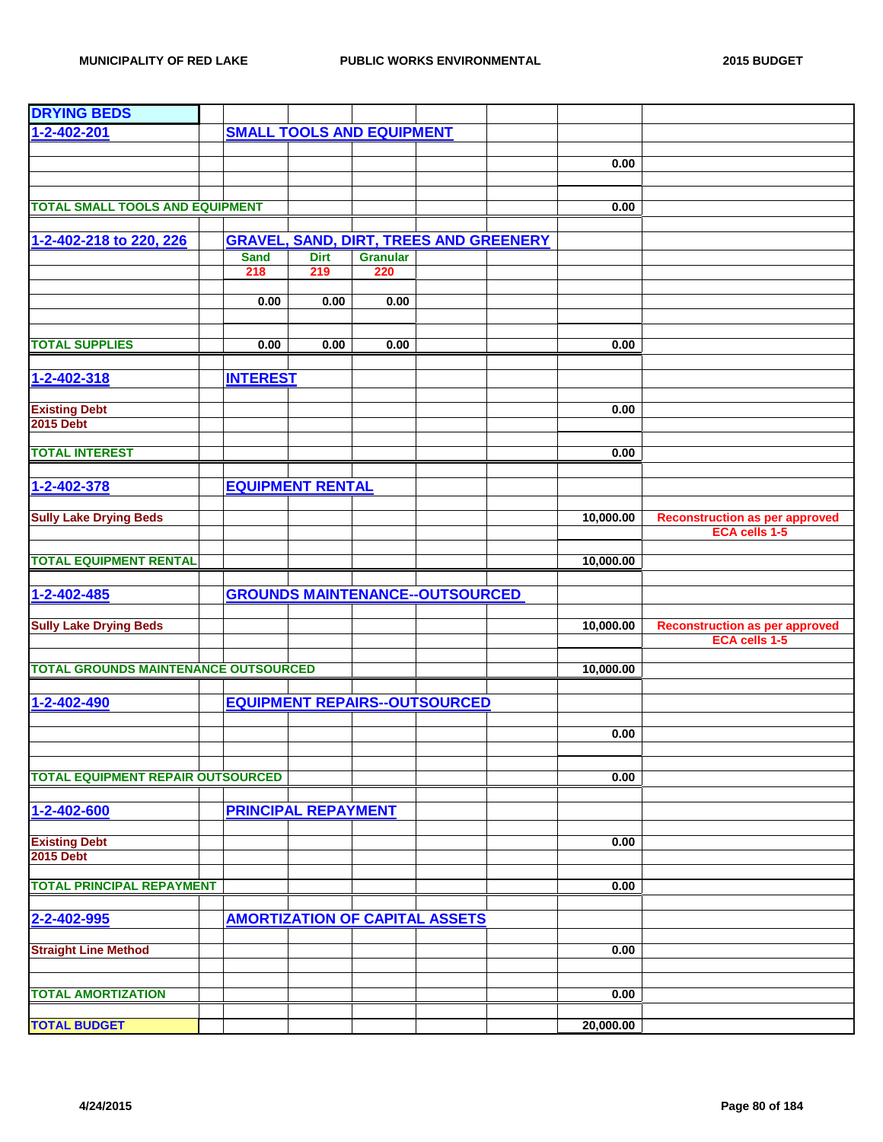| <b>DRYING BEDS</b>                          |                    |                            |                                  |                                               |           |                                                        |
|---------------------------------------------|--------------------|----------------------------|----------------------------------|-----------------------------------------------|-----------|--------------------------------------------------------|
| 1-2-402-201                                 |                    |                            | <b>SMALL TOOLS AND EQUIPMENT</b> |                                               |           |                                                        |
|                                             |                    |                            |                                  |                                               |           |                                                        |
|                                             |                    |                            |                                  |                                               | 0.00      |                                                        |
|                                             |                    |                            |                                  |                                               |           |                                                        |
| <b>TOTAL SMALL TOOLS AND EQUIPMENT</b>      |                    |                            |                                  |                                               | 0.00      |                                                        |
|                                             |                    |                            |                                  |                                               |           |                                                        |
| 1-2-402-218 to 220, 226                     |                    |                            |                                  | <b>GRAVEL, SAND, DIRT, TREES AND GREENERY</b> |           |                                                        |
|                                             | <b>Sand</b><br>218 | <b>Dirt</b><br>219         | <b>Granular</b><br>220           |                                               |           |                                                        |
|                                             |                    |                            |                                  |                                               |           |                                                        |
|                                             | 0.00               | 0.00                       | 0.00                             |                                               |           |                                                        |
|                                             |                    |                            |                                  |                                               |           |                                                        |
| <b>TOTAL SUPPLIES</b>                       | 0.00               | 0.00                       | 0.00                             |                                               | 0.00      |                                                        |
|                                             |                    |                            |                                  |                                               |           |                                                        |
| $1 - 2 - 402 - 318$                         | <b>INTEREST</b>    |                            |                                  |                                               |           |                                                        |
|                                             |                    |                            |                                  |                                               |           |                                                        |
| <b>Existing Debt</b><br><b>2015 Debt</b>    |                    |                            |                                  |                                               | 0.00      |                                                        |
|                                             |                    |                            |                                  |                                               |           |                                                        |
| <b>TOTAL INTEREST</b>                       |                    |                            |                                  |                                               | 0.00      |                                                        |
|                                             |                    |                            |                                  |                                               |           |                                                        |
| 1-2-402-378                                 |                    | <b>EQUIPMENT RENTAL</b>    |                                  |                                               |           |                                                        |
|                                             |                    |                            |                                  |                                               |           |                                                        |
| <b>Sully Lake Drying Beds</b>               |                    |                            |                                  |                                               | 10,000.00 | <b>Reconstruction as per approved</b><br>ECA cells 1-5 |
|                                             |                    |                            |                                  |                                               |           |                                                        |
| <b>TOTAL EQUIPMENT RENTAL</b>               |                    |                            |                                  |                                               | 10,000.00 |                                                        |
|                                             |                    |                            |                                  |                                               |           |                                                        |
| 1-2-402-485                                 |                    |                            |                                  | <b>GROUNDS MAINTENANCE--OUTSOURCED</b>        |           |                                                        |
| <b>Sully Lake Drying Beds</b>               |                    |                            |                                  |                                               | 10,000.00 | <b>Reconstruction as per approved</b>                  |
|                                             |                    |                            |                                  |                                               |           | <b>ECA cells 1-5</b>                                   |
| <b>TOTAL GROUNDS MAINTENANCE OUTSOURCED</b> |                    |                            |                                  |                                               | 10,000.00 |                                                        |
|                                             |                    |                            |                                  |                                               |           |                                                        |
| 1-2-402-490                                 |                    |                            |                                  | <b>EQUIPMENT REPAIRS--OUTSOURCED</b>          |           |                                                        |
|                                             |                    |                            |                                  |                                               |           |                                                        |
|                                             |                    |                            |                                  |                                               | 0.00      |                                                        |
|                                             |                    |                            |                                  |                                               |           |                                                        |
| <b>TOTAL EQUIPMENT REPAIR OUTSOURCED</b>    |                    |                            |                                  |                                               | 0.00      |                                                        |
|                                             |                    |                            |                                  |                                               |           |                                                        |
| 1-2-402-600                                 |                    | <b>PRINCIPAL REPAYMENT</b> |                                  |                                               |           |                                                        |
|                                             |                    |                            |                                  |                                               |           |                                                        |
| <b>Existing Debt</b><br><b>2015 Debt</b>    |                    |                            |                                  |                                               | 0.00      |                                                        |
|                                             |                    |                            |                                  |                                               |           |                                                        |
| <b>TOTAL PRINCIPAL REPAYMENT</b>            |                    |                            |                                  |                                               | 0.00      |                                                        |
|                                             |                    |                            |                                  |                                               |           |                                                        |
| 2-2-402-995                                 |                    |                            |                                  | <b>AMORTIZATION OF CAPITAL ASSETS</b>         |           |                                                        |
| <b>Straight Line Method</b>                 |                    |                            |                                  |                                               | 0.00      |                                                        |
|                                             |                    |                            |                                  |                                               |           |                                                        |
|                                             |                    |                            |                                  |                                               |           |                                                        |
| <b>TOTAL AMORTIZATION</b>                   |                    |                            |                                  |                                               | 0.00      |                                                        |
| <b>TOTAL BUDGET</b>                         |                    |                            |                                  |                                               | 20,000.00 |                                                        |
|                                             |                    |                            |                                  |                                               |           |                                                        |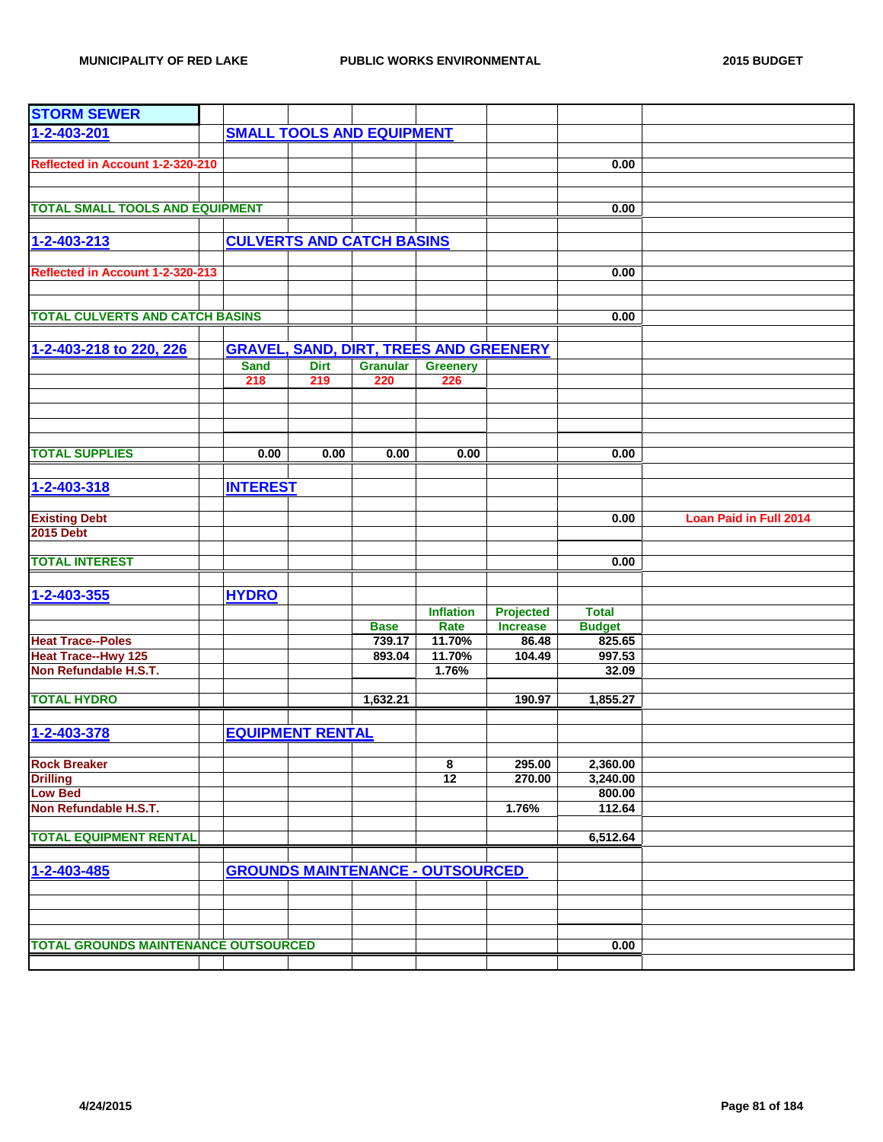| <b>STORM SEWER</b>                          |                                  |             |                                  |                                               |                 |               |                               |
|---------------------------------------------|----------------------------------|-------------|----------------------------------|-----------------------------------------------|-----------------|---------------|-------------------------------|
| 1-2-403-201                                 | <b>SMALL TOOLS AND EQUIPMENT</b> |             |                                  |                                               |                 |               |                               |
|                                             |                                  |             |                                  |                                               |                 |               |                               |
| Reflected in Account 1-2-320-210            |                                  |             |                                  |                                               |                 | 0.00          |                               |
|                                             |                                  |             |                                  |                                               |                 |               |                               |
|                                             |                                  |             |                                  |                                               |                 |               |                               |
| <b>TOTAL SMALL TOOLS AND EQUIPMENT</b>      |                                  |             |                                  |                                               |                 | 0.00          |                               |
|                                             |                                  |             |                                  |                                               |                 |               |                               |
| 1-2-403-213                                 |                                  |             | <b>CULVERTS AND CATCH BASINS</b> |                                               |                 |               |                               |
|                                             |                                  |             |                                  |                                               |                 |               |                               |
| Reflected in Account 1-2-320-213            |                                  |             |                                  |                                               |                 | 0.00          |                               |
|                                             |                                  |             |                                  |                                               |                 |               |                               |
|                                             |                                  |             |                                  |                                               |                 |               |                               |
| <b>TOTAL CULVERTS AND CATCH BASINS</b>      |                                  |             |                                  |                                               |                 | 0.00          |                               |
|                                             |                                  |             |                                  |                                               |                 |               |                               |
| 1-2-403-218 to 220, 226                     |                                  |             |                                  | <b>GRAVEL, SAND, DIRT, TREES AND GREENERY</b> |                 |               |                               |
|                                             | <b>Sand</b>                      | <b>Dirt</b> | <b>Granular</b>                  | <b>Greenery</b>                               |                 |               |                               |
|                                             | 218                              | 219         | 220                              | 226                                           |                 |               |                               |
|                                             |                                  |             |                                  |                                               |                 |               |                               |
|                                             |                                  |             |                                  |                                               |                 |               |                               |
|                                             |                                  |             |                                  |                                               |                 |               |                               |
| <b>TOTAL SUPPLIES</b>                       | 0.00                             | 0.00        | 0.00                             | 0.00                                          |                 | 0.00          |                               |
|                                             |                                  |             |                                  |                                               |                 |               |                               |
|                                             |                                  |             |                                  |                                               |                 |               |                               |
| 1-2-403-318                                 | <b>INTEREST</b>                  |             |                                  |                                               |                 |               |                               |
|                                             |                                  |             |                                  |                                               |                 | 0.00          | <b>Loan Paid in Full 2014</b> |
| <b>Existing Debt</b><br><b>2015 Debt</b>    |                                  |             |                                  |                                               |                 |               |                               |
|                                             |                                  |             |                                  |                                               |                 |               |                               |
| <b>TOTAL INTEREST</b>                       |                                  |             |                                  |                                               |                 | 0.00          |                               |
|                                             |                                  |             |                                  |                                               |                 |               |                               |
| 1-2-403-355                                 | <b>HYDRO</b>                     |             |                                  |                                               |                 |               |                               |
|                                             |                                  |             |                                  | <b>Inflation</b>                              | Projected       | <b>Total</b>  |                               |
|                                             |                                  |             | <b>Base</b>                      | Rate                                          | <b>Increase</b> | <b>Budget</b> |                               |
| <b>Heat Trace--Poles</b>                    |                                  |             | 739.17                           | 11.70%                                        | 86.48           | 825.65        |                               |
| <b>Heat Trace--Hwy 125</b>                  |                                  |             | 893.04                           | 11.70%                                        | 104.49          | 997.53        |                               |
| Non Refundable H.S.T.                       |                                  |             |                                  | 1.76%                                         |                 | 32.09         |                               |
|                                             |                                  |             |                                  |                                               |                 |               |                               |
| <b>TOTAL HYDRO</b>                          |                                  |             | 1,632.21                         |                                               | 190.97          | 1,855.27      |                               |
|                                             |                                  |             |                                  |                                               |                 |               |                               |
| 1-2-403-378                                 | <b>EQUIPMENT RENTAL</b>          |             |                                  |                                               |                 |               |                               |
|                                             |                                  |             |                                  |                                               |                 |               |                               |
| <b>Rock Breaker</b>                         |                                  |             |                                  | 8                                             | 295.00          | 2,360.00      |                               |
| <b>Drilling</b>                             |                                  |             |                                  | 12                                            | 270.00          | 3,240.00      |                               |
| <b>Low Bed</b>                              |                                  |             |                                  |                                               |                 | 800.00        |                               |
| Non Refundable H.S.T.                       |                                  |             |                                  |                                               | 1.76%           | 112.64        |                               |
|                                             |                                  |             |                                  |                                               |                 |               |                               |
| <b>TOTAL EQUIPMENT RENTAL</b>               |                                  |             |                                  |                                               |                 | 6,512.64      |                               |
|                                             |                                  |             |                                  |                                               |                 |               |                               |
| 1-2-403-485                                 |                                  |             |                                  | <b>GROUNDS MAINTENANCE - OUTSOURCED</b>       |                 |               |                               |
|                                             |                                  |             |                                  |                                               |                 |               |                               |
|                                             |                                  |             |                                  |                                               |                 |               |                               |
|                                             |                                  |             |                                  |                                               |                 |               |                               |
| <b>TOTAL GROUNDS MAINTENANCE OUTSOURCED</b> |                                  |             |                                  |                                               |                 | 0.00          |                               |
|                                             |                                  |             |                                  |                                               |                 |               |                               |
|                                             |                                  |             |                                  |                                               |                 |               |                               |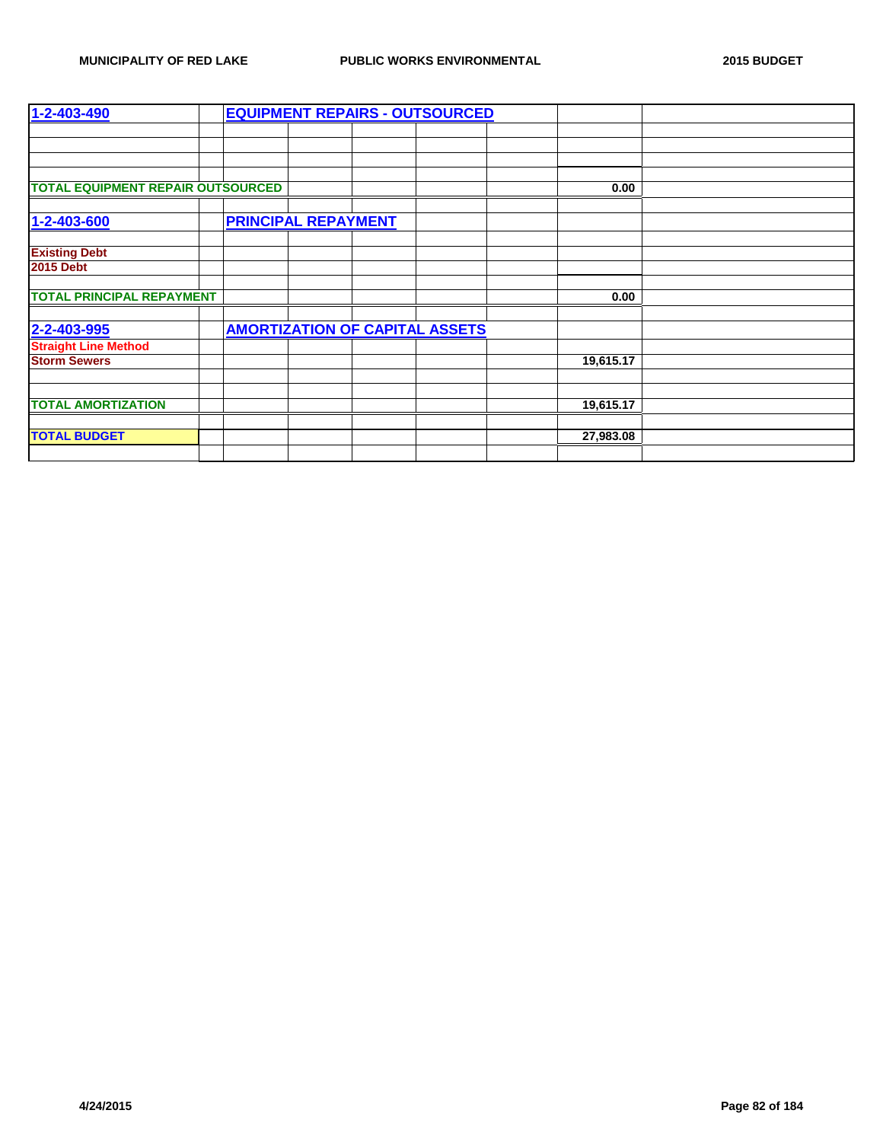| 1-2-403-490                              |                            | <b>EQUIPMENT REPAIRS - OUTSOURCED</b> |           |  |
|------------------------------------------|----------------------------|---------------------------------------|-----------|--|
|                                          |                            |                                       |           |  |
|                                          |                            |                                       |           |  |
|                                          |                            |                                       |           |  |
|                                          |                            |                                       |           |  |
| <b>TOTAL EQUIPMENT REPAIR OUTSOURCED</b> |                            |                                       | 0.00      |  |
|                                          |                            |                                       |           |  |
| 1-2-403-600                              | <b>PRINCIPAL REPAYMENT</b> |                                       |           |  |
|                                          |                            |                                       |           |  |
| <b>Existing Debt</b>                     |                            |                                       |           |  |
| <b>2015 Debt</b>                         |                            |                                       |           |  |
|                                          |                            |                                       |           |  |
| <b>TOTAL PRINCIPAL REPAYMENT</b>         |                            |                                       | 0.00      |  |
|                                          |                            |                                       |           |  |
| 2-2-403-995                              |                            | <b>AMORTIZATION OF CAPITAL ASSETS</b> |           |  |
| <b>Straight Line Method</b>              |                            |                                       |           |  |
| <b>Storm Sewers</b>                      |                            |                                       | 19,615.17 |  |
|                                          |                            |                                       |           |  |
|                                          |                            |                                       |           |  |
| <b>TOTAL AMORTIZATION</b>                |                            |                                       | 19,615.17 |  |
|                                          |                            |                                       |           |  |
| <b>TOTAL BUDGET</b>                      |                            |                                       | 27,983.08 |  |
|                                          |                            |                                       |           |  |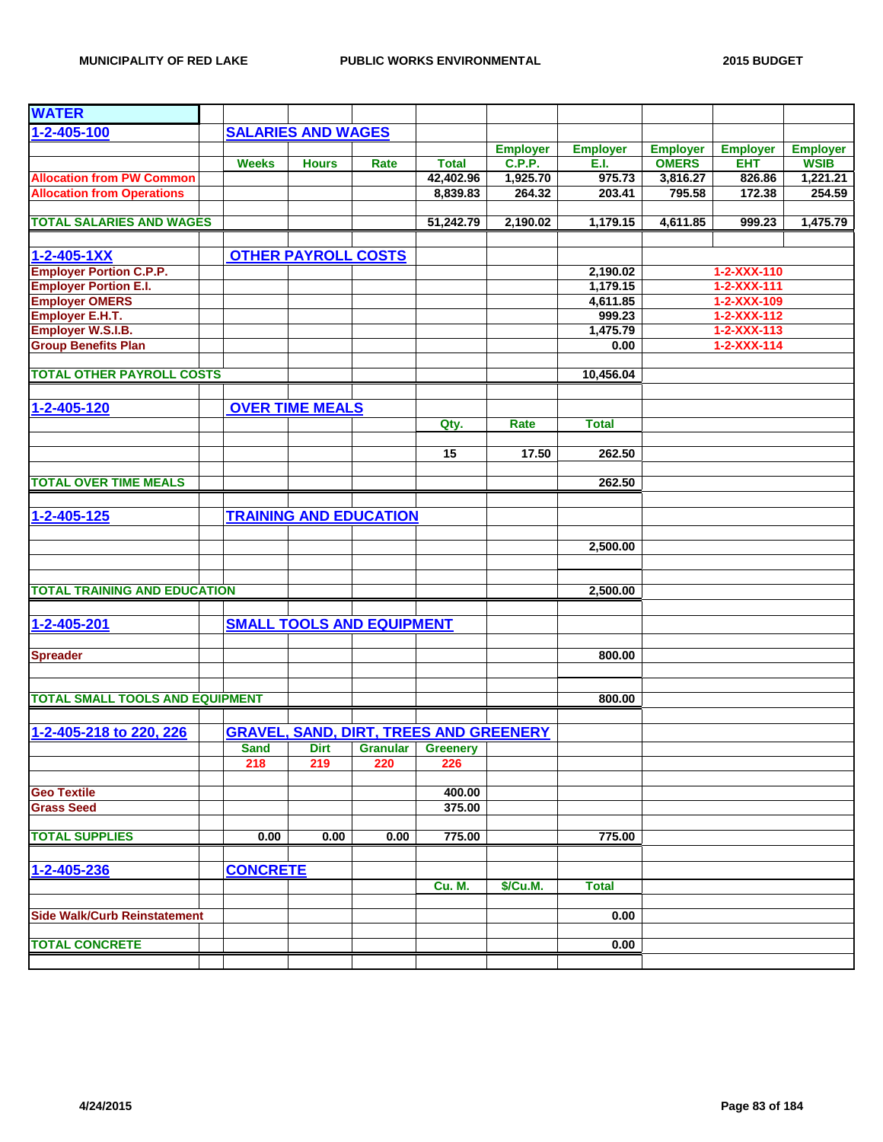| <b>WATER</b>                           |                 |                            |                                  |                                               |                 |                 |                 |                     |                 |
|----------------------------------------|-----------------|----------------------------|----------------------------------|-----------------------------------------------|-----------------|-----------------|-----------------|---------------------|-----------------|
| 1-2-405-100                            |                 | <b>SALARIES AND WAGES</b>  |                                  |                                               |                 |                 |                 |                     |                 |
|                                        |                 |                            |                                  |                                               | <b>Employer</b> | <b>Employer</b> | <b>Employer</b> | <b>Employer</b>     | <b>Employer</b> |
|                                        | <b>Weeks</b>    | <b>Hours</b>               | Rate                             | <b>Total</b>                                  | <b>C.P.P.</b>   | E.I.            | <b>OMERS</b>    | <b>EHT</b>          | <b>WSIB</b>     |
| <b>Allocation from PW Common</b>       |                 |                            |                                  | 42,402.96                                     | 1,925.70        | 975.73          | 3,816.27        | 826.86              | 1,221.21        |
| <b>Allocation from Operations</b>      |                 |                            |                                  | 8,839.83                                      | 264.32          | 203.41          | 795.58          | 172.38              | 254.59          |
|                                        |                 |                            |                                  |                                               |                 |                 |                 |                     |                 |
| <b>TOTAL SALARIES AND WAGES</b>        |                 |                            |                                  | 51,242.79                                     | 2,190.02        | 1,179.15        | 4,611.85        | 999.23              | 1,475.79        |
|                                        |                 |                            |                                  |                                               |                 |                 |                 |                     |                 |
| $1 - 2 - 405 - 1XX$                    |                 | <b>OTHER PAYROLL COSTS</b> |                                  |                                               |                 |                 |                 |                     |                 |
| <b>Employer Portion C.P.P.</b>         |                 |                            |                                  |                                               |                 | 2,190.02        |                 | $1 - 2 - XXX - 110$ |                 |
| <b>Employer Portion E.I.</b>           |                 |                            |                                  |                                               |                 | 1,179.15        |                 | 1-2-XXX-111         |                 |
| <b>Employer OMERS</b>                  |                 |                            |                                  |                                               |                 | 4,611.85        |                 | 1-2-XXX-109         |                 |
| <b>Employer E.H.T.</b>                 |                 |                            |                                  |                                               |                 | 999.23          |                 | $1 - 2 - XXX - 112$ |                 |
| Employer W.S.I.B.                      |                 |                            |                                  |                                               |                 | 1,475.79        |                 | $1 - 2 - XXX - 113$ |                 |
| <b>Group Benefits Plan</b>             |                 |                            |                                  |                                               |                 | 0.00            |                 | $1 - 2 - XXX - 114$ |                 |
|                                        |                 |                            |                                  |                                               |                 |                 |                 |                     |                 |
| <b>TOTAL OTHER PAYROLL COSTS</b>       |                 |                            |                                  |                                               |                 | 10,456.04       |                 |                     |                 |
|                                        |                 |                            |                                  |                                               |                 |                 |                 |                     |                 |
| 1-2-405-120                            |                 | <b>OVER TIME MEALS</b>     |                                  |                                               |                 |                 |                 |                     |                 |
|                                        |                 |                            |                                  | Qty.                                          | Rate            | <b>Total</b>    |                 |                     |                 |
|                                        |                 |                            |                                  |                                               |                 |                 |                 |                     |                 |
|                                        |                 |                            |                                  | 15                                            | 17.50           | 262.50          |                 |                     |                 |
|                                        |                 |                            |                                  |                                               |                 |                 |                 |                     |                 |
| <b>TOTAL OVER TIME MEALS</b>           |                 |                            |                                  |                                               |                 | 262.50          |                 |                     |                 |
|                                        |                 |                            |                                  |                                               |                 |                 |                 |                     |                 |
|                                        |                 |                            | <b>TRAINING AND EDUCATION</b>    |                                               |                 |                 |                 |                     |                 |
| 1-2-405-125                            |                 |                            |                                  |                                               |                 |                 |                 |                     |                 |
|                                        |                 |                            |                                  |                                               |                 |                 |                 |                     |                 |
|                                        |                 |                            |                                  |                                               |                 | 2,500.00        |                 |                     |                 |
|                                        |                 |                            |                                  |                                               |                 |                 |                 |                     |                 |
|                                        |                 |                            |                                  |                                               |                 |                 |                 |                     |                 |
| <b>TOTAL TRAINING AND EDUCATION</b>    |                 |                            |                                  |                                               |                 | 2,500.00        |                 |                     |                 |
|                                        |                 |                            |                                  |                                               |                 |                 |                 |                     |                 |
| 1-2-405-201                            |                 |                            | <b>SMALL TOOLS AND EQUIPMENT</b> |                                               |                 |                 |                 |                     |                 |
|                                        |                 |                            |                                  |                                               |                 |                 |                 |                     |                 |
| <b>Spreader</b>                        |                 |                            |                                  |                                               |                 | 800.00          |                 |                     |                 |
|                                        |                 |                            |                                  |                                               |                 |                 |                 |                     |                 |
|                                        |                 |                            |                                  |                                               |                 |                 |                 |                     |                 |
| <b>TOTAL SMALL TOOLS AND EQUIPMENT</b> |                 |                            |                                  |                                               |                 | 800.00          |                 |                     |                 |
|                                        |                 |                            |                                  |                                               |                 |                 |                 |                     |                 |
| 1-2-405-218 to 220, 226                |                 |                            |                                  | <b>GRAVEL, SAND, DIRT, TREES AND GREENERY</b> |                 |                 |                 |                     |                 |
|                                        | <b>Sand</b>     | Dirt                       | <b>Granular</b>                  | <b>Greenery</b>                               |                 |                 |                 |                     |                 |
|                                        | 218             | 219                        | 220                              | 226                                           |                 |                 |                 |                     |                 |
|                                        |                 |                            |                                  |                                               |                 |                 |                 |                     |                 |
| <b>Geo Textile</b>                     |                 |                            |                                  | 400.00                                        |                 |                 |                 |                     |                 |
| <b>Grass Seed</b>                      |                 |                            |                                  | 375.00                                        |                 |                 |                 |                     |                 |
|                                        |                 |                            |                                  |                                               |                 |                 |                 |                     |                 |
| <b>TOTAL SUPPLIES</b>                  | 0.00            | 0.00                       | 0.00                             | 775.00                                        |                 | 775.00          |                 |                     |                 |
|                                        |                 |                            |                                  |                                               |                 |                 |                 |                     |                 |
| 1-2-405-236                            | <b>CONCRETE</b> |                            |                                  |                                               |                 |                 |                 |                     |                 |
|                                        |                 |                            |                                  | <b>Cu. M.</b>                                 | \$/Cu.M.        | <b>Total</b>    |                 |                     |                 |
|                                        |                 |                            |                                  |                                               |                 |                 |                 |                     |                 |
| <b>Side Walk/Curb Reinstatement</b>    |                 |                            |                                  |                                               |                 | 0.00            |                 |                     |                 |
|                                        |                 |                            |                                  |                                               |                 |                 |                 |                     |                 |
| <b>TOTAL CONCRETE</b>                  |                 |                            |                                  |                                               |                 | 0.00            |                 |                     |                 |
|                                        |                 |                            |                                  |                                               |                 |                 |                 |                     |                 |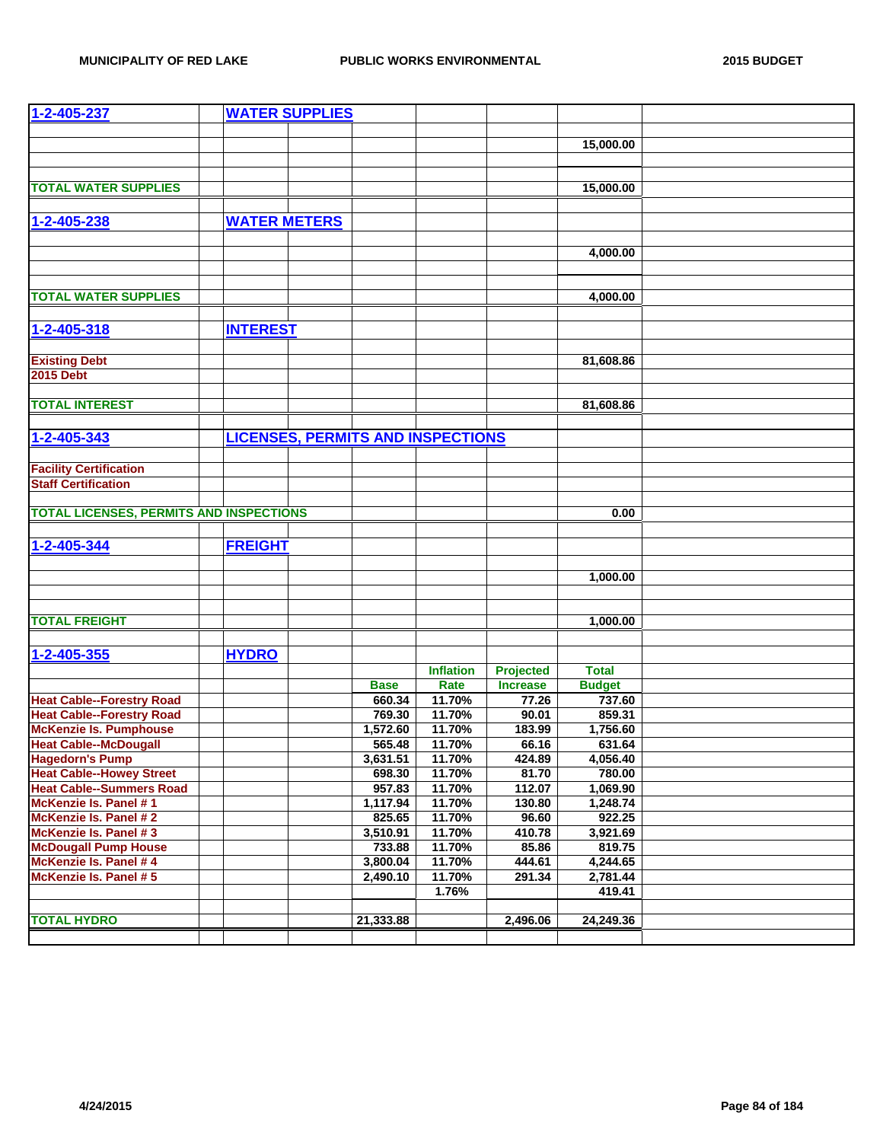| 1-2-405-237                                    |                 | <b>WATER SUPPLIES</b>                    |             |                  |                                     |                         |  |
|------------------------------------------------|-----------------|------------------------------------------|-------------|------------------|-------------------------------------|-------------------------|--|
|                                                |                 |                                          |             |                  |                                     |                         |  |
|                                                |                 |                                          |             |                  |                                     | 15,000.00               |  |
|                                                |                 |                                          |             |                  |                                     |                         |  |
|                                                |                 |                                          |             |                  |                                     |                         |  |
| <b>TOTAL WATER SUPPLIES</b>                    |                 |                                          |             |                  |                                     | 15,000.00               |  |
|                                                |                 |                                          |             |                  |                                     |                         |  |
| 1-2-405-238                                    |                 | <b>WATER METERS</b>                      |             |                  |                                     |                         |  |
|                                                |                 |                                          |             |                  |                                     |                         |  |
|                                                |                 |                                          |             |                  |                                     |                         |  |
|                                                |                 |                                          |             |                  |                                     | 4,000.00                |  |
|                                                |                 |                                          |             |                  |                                     |                         |  |
| <b>TOTAL WATER SUPPLIES</b>                    |                 |                                          |             |                  |                                     | 4,000.00                |  |
|                                                |                 |                                          |             |                  |                                     |                         |  |
|                                                |                 |                                          |             |                  |                                     |                         |  |
| 1-2-405-318                                    | <b>INTEREST</b> |                                          |             |                  |                                     |                         |  |
|                                                |                 |                                          |             |                  |                                     |                         |  |
| <b>Existing Debt</b>                           |                 |                                          |             |                  |                                     | 81,608.86               |  |
| <b>2015 Debt</b>                               |                 |                                          |             |                  |                                     |                         |  |
|                                                |                 |                                          |             |                  |                                     |                         |  |
| <b>TOTAL INTEREST</b>                          |                 |                                          |             |                  |                                     | 81,608.86               |  |
|                                                |                 |                                          |             |                  |                                     |                         |  |
| 1-2-405-343                                    |                 | <b>LICENSES, PERMITS AND INSPECTIONS</b> |             |                  |                                     |                         |  |
|                                                |                 |                                          |             |                  |                                     |                         |  |
| <b>Facility Certification</b>                  |                 |                                          |             |                  |                                     |                         |  |
| <b>Staff Certification</b>                     |                 |                                          |             |                  |                                     |                         |  |
|                                                |                 |                                          |             |                  |                                     |                         |  |
| <b>TOTAL LICENSES, PERMITS AND INSPECTIONS</b> |                 |                                          |             |                  |                                     | 0.00                    |  |
|                                                |                 |                                          |             |                  |                                     |                         |  |
| 1-2-405-344                                    | <b>FREIGHT</b>  |                                          |             |                  |                                     |                         |  |
|                                                |                 |                                          |             |                  |                                     |                         |  |
|                                                |                 |                                          |             |                  |                                     | 1,000.00                |  |
|                                                |                 |                                          |             |                  |                                     |                         |  |
|                                                |                 |                                          |             |                  |                                     |                         |  |
| <b>TOTAL FREIGHT</b>                           |                 |                                          |             |                  |                                     | 1,000.00                |  |
|                                                |                 |                                          |             |                  |                                     |                         |  |
| 1-2-405-355                                    | <b>HYDRO</b>    |                                          |             |                  |                                     |                         |  |
|                                                |                 |                                          |             | <b>Inflation</b> |                                     | <b>Total</b>            |  |
|                                                |                 |                                          | <b>Base</b> | Rate             | <b>Projected</b><br><b>Increase</b> |                         |  |
| <b>Heat Cable--Forestry Road</b>               |                 |                                          | 660.34      | 11.70%           | 77.26                               | <b>Budget</b><br>737.60 |  |
| <b>Heat Cable--Forestry Road</b>               |                 |                                          | 769.30      | 11.70%           | 90.01                               | 859.31                  |  |
| <b>McKenzie Is. Pumphouse</b>                  |                 |                                          | 1,572.60    | 11.70%           | 183.99                              | 1,756.60                |  |
| <b>Heat Cable--McDougall</b>                   |                 |                                          | 565.48      | 11.70%           | 66.16                               | 631.64                  |  |
| <b>Hagedorn's Pump</b>                         |                 |                                          | 3,631.51    | 11.70%           | 424.89                              | 4,056.40                |  |
| <b>Heat Cable--Howey Street</b>                |                 |                                          | 698.30      | 11.70%           | 81.70                               | 780.00                  |  |
| <b>Heat Cable--Summers Road</b>                |                 |                                          | 957.83      | 11.70%           | 112.07                              | 1,069.90                |  |
| McKenzie Is. Panel #1                          |                 |                                          | 1,117.94    | 11.70%           | 130.80                              | 1,248.74                |  |
| McKenzie Is. Panel #2                          |                 |                                          | 825.65      | 11.70%           | 96.60                               | 922.25                  |  |
| McKenzie Is. Panel #3                          |                 |                                          | 3,510.91    | 11.70%           | 410.78                              | 3,921.69                |  |
| <b>McDougall Pump House</b>                    |                 |                                          | 733.88      | 11.70%           | 85.86                               | 819.75                  |  |
| McKenzie Is. Panel # 4                         |                 |                                          | 3,800.04    | 11.70%           | 444.61                              | 4,244.65                |  |
| McKenzie Is. Panel # 5                         |                 |                                          | 2,490.10    | 11.70%           | 291.34                              | 2,781.44                |  |
|                                                |                 |                                          |             | 1.76%            |                                     | 419.41                  |  |
|                                                |                 |                                          |             |                  |                                     |                         |  |
| <b>TOTAL HYDRO</b>                             |                 |                                          | 21,333.88   |                  | 2,496.06                            | 24,249.36               |  |
|                                                |                 |                                          |             |                  |                                     |                         |  |
|                                                |                 |                                          |             |                  |                                     |                         |  |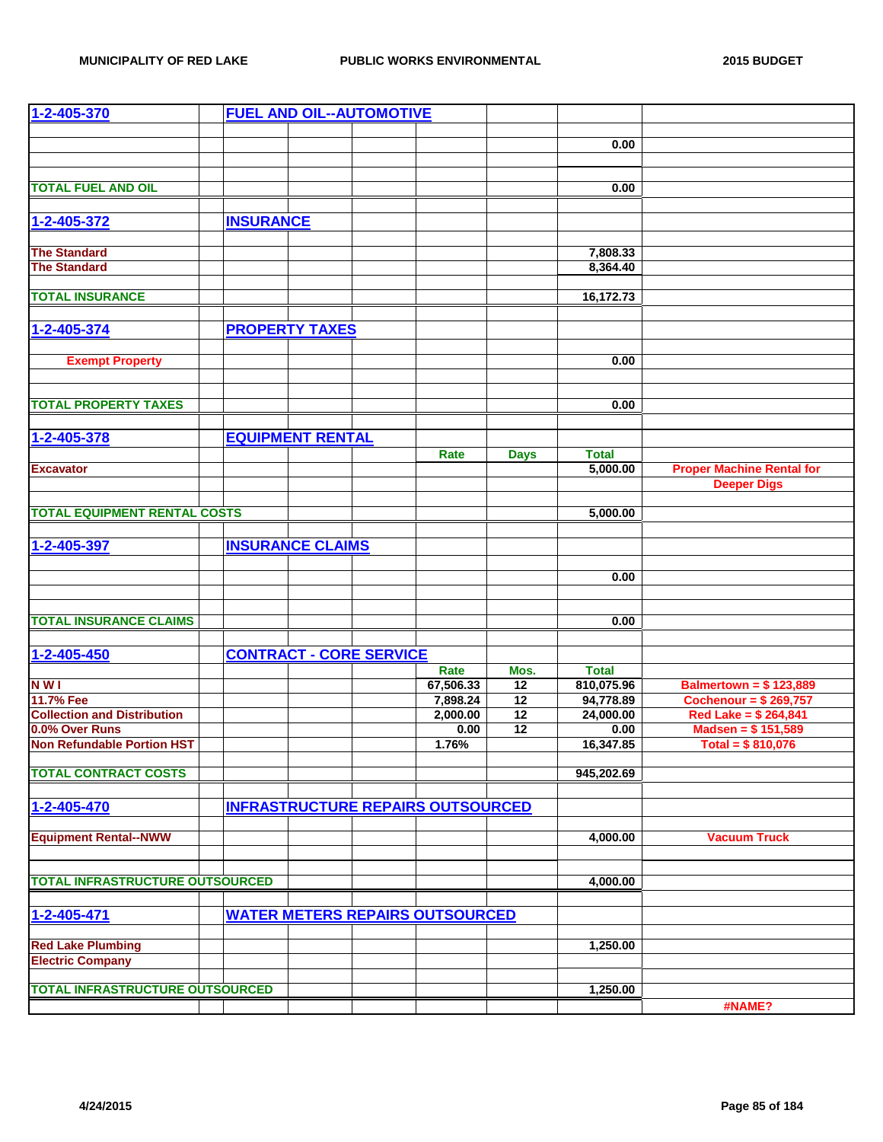| $1 - 2 - 405 - 370$                    |                  |                         | <b>FUEL AND OIL--AUTOMOTIVE</b> |                                          |                 |              |                                  |
|----------------------------------------|------------------|-------------------------|---------------------------------|------------------------------------------|-----------------|--------------|----------------------------------|
|                                        |                  |                         |                                 |                                          |                 |              |                                  |
|                                        |                  |                         |                                 |                                          |                 | 0.00         |                                  |
|                                        |                  |                         |                                 |                                          |                 |              |                                  |
|                                        |                  |                         |                                 |                                          |                 |              |                                  |
| <b>TOTAL FUEL AND OIL</b>              |                  |                         |                                 |                                          |                 | 0.00         |                                  |
|                                        |                  |                         |                                 |                                          |                 |              |                                  |
| 1-2-405-372                            | <b>INSURANCE</b> |                         |                                 |                                          |                 |              |                                  |
|                                        |                  |                         |                                 |                                          |                 |              |                                  |
| <b>The Standard</b>                    |                  |                         |                                 |                                          |                 | 7,808.33     |                                  |
| <b>The Standard</b>                    |                  |                         |                                 |                                          |                 | 8,364.40     |                                  |
|                                        |                  |                         |                                 |                                          |                 |              |                                  |
| <b>TOTAL INSURANCE</b>                 |                  |                         |                                 |                                          |                 | 16,172.73    |                                  |
|                                        |                  |                         |                                 |                                          |                 |              |                                  |
| 1-2-405-374                            |                  | <b>PROPERTY TAXES</b>   |                                 |                                          |                 |              |                                  |
|                                        |                  |                         |                                 |                                          |                 |              |                                  |
| <b>Exempt Property</b>                 |                  |                         |                                 |                                          |                 | 0.00         |                                  |
|                                        |                  |                         |                                 |                                          |                 |              |                                  |
|                                        |                  |                         |                                 |                                          |                 |              |                                  |
| <b>TOTAL PROPERTY TAXES</b>            |                  |                         |                                 |                                          |                 | 0.00         |                                  |
|                                        |                  |                         |                                 |                                          |                 |              |                                  |
| 1-2-405-378                            |                  | <b>EQUIPMENT RENTAL</b> |                                 |                                          |                 |              |                                  |
|                                        |                  |                         |                                 | Rate                                     | <b>Days</b>     | <b>Total</b> |                                  |
| <b>Excavator</b>                       |                  |                         |                                 |                                          |                 | 5,000.00     | <b>Proper Machine Rental for</b> |
|                                        |                  |                         |                                 |                                          |                 |              | <b>Deeper Digs</b>               |
|                                        |                  |                         |                                 |                                          |                 |              |                                  |
| <b>TOTAL EQUIPMENT RENTAL COSTS</b>    |                  |                         |                                 |                                          |                 | 5,000.00     |                                  |
|                                        |                  |                         |                                 |                                          |                 |              |                                  |
| 1-2-405-397                            |                  | <b>INSURANCE CLAIMS</b> |                                 |                                          |                 |              |                                  |
|                                        |                  |                         |                                 |                                          |                 |              |                                  |
|                                        |                  |                         |                                 |                                          |                 | 0.00         |                                  |
|                                        |                  |                         |                                 |                                          |                 |              |                                  |
|                                        |                  |                         |                                 |                                          |                 |              |                                  |
| <b>TOTAL INSURANCE CLAIMS</b>          |                  |                         |                                 |                                          |                 | 0.00         |                                  |
|                                        |                  |                         |                                 |                                          |                 |              |                                  |
| 1-2-405-450                            |                  |                         | <b>CONTRACT - CORE SERVICE</b>  |                                          |                 |              |                                  |
|                                        |                  |                         |                                 | Rate                                     | Mos.            | <b>Total</b> |                                  |
| <b>NWI</b>                             |                  |                         |                                 | 67,506.33                                | 12              | 810,075.96   | <b>Balmertown = \$123,889</b>    |
| 11.7% Fee                              |                  |                         |                                 | 7,898.24                                 | $\overline{12}$ | 94,778.89    | Cochenour = $$269,757$           |
| <b>Collection and Distribution</b>     |                  |                         |                                 | 2,000.00                                 | $\overline{12}$ | 24,000.00    | Red Lake = \$ 264,841            |
| 0.0% Over Runs                         |                  |                         |                                 | 0.00                                     | 12              | 0.00         | Madsen = $$151,589$              |
| <b>Non Refundable Portion HST</b>      |                  |                         |                                 | 1.76%                                    |                 | 16,347.85    | Total = $$810,076$               |
|                                        |                  |                         |                                 |                                          |                 |              |                                  |
| <b>TOTAL CONTRACT COSTS</b>            |                  |                         |                                 |                                          |                 | 945,202.69   |                                  |
|                                        |                  |                         |                                 |                                          |                 |              |                                  |
| 1-2-405-470                            |                  |                         |                                 | <b>INFRASTRUCTURE REPAIRS OUTSOURCED</b> |                 |              |                                  |
|                                        |                  |                         |                                 |                                          |                 |              |                                  |
| <b>Equipment Rental--NWW</b>           |                  |                         |                                 |                                          |                 | 4,000.00     | <b>Vacuum Truck</b>              |
|                                        |                  |                         |                                 |                                          |                 |              |                                  |
|                                        |                  |                         |                                 |                                          |                 |              |                                  |
| <b>TOTAL INFRASTRUCTURE OUTSOURCED</b> |                  |                         |                                 |                                          |                 | 4,000.00     |                                  |
|                                        |                  |                         |                                 |                                          |                 |              |                                  |
| 1-2-405-471                            |                  |                         |                                 | <b>WATER METERS REPAIRS OUTSOURCED</b>   |                 |              |                                  |
|                                        |                  |                         |                                 |                                          |                 |              |                                  |
| <b>Red Lake Plumbing</b>               |                  |                         |                                 |                                          |                 | 1,250.00     |                                  |
| <b>Electric Company</b>                |                  |                         |                                 |                                          |                 |              |                                  |
|                                        |                  |                         |                                 |                                          |                 |              |                                  |
| <b>TOTAL INFRASTRUCTURE OUTSOURCED</b> |                  |                         |                                 |                                          |                 | 1,250.00     |                                  |
|                                        |                  |                         |                                 |                                          |                 |              | #NAME?                           |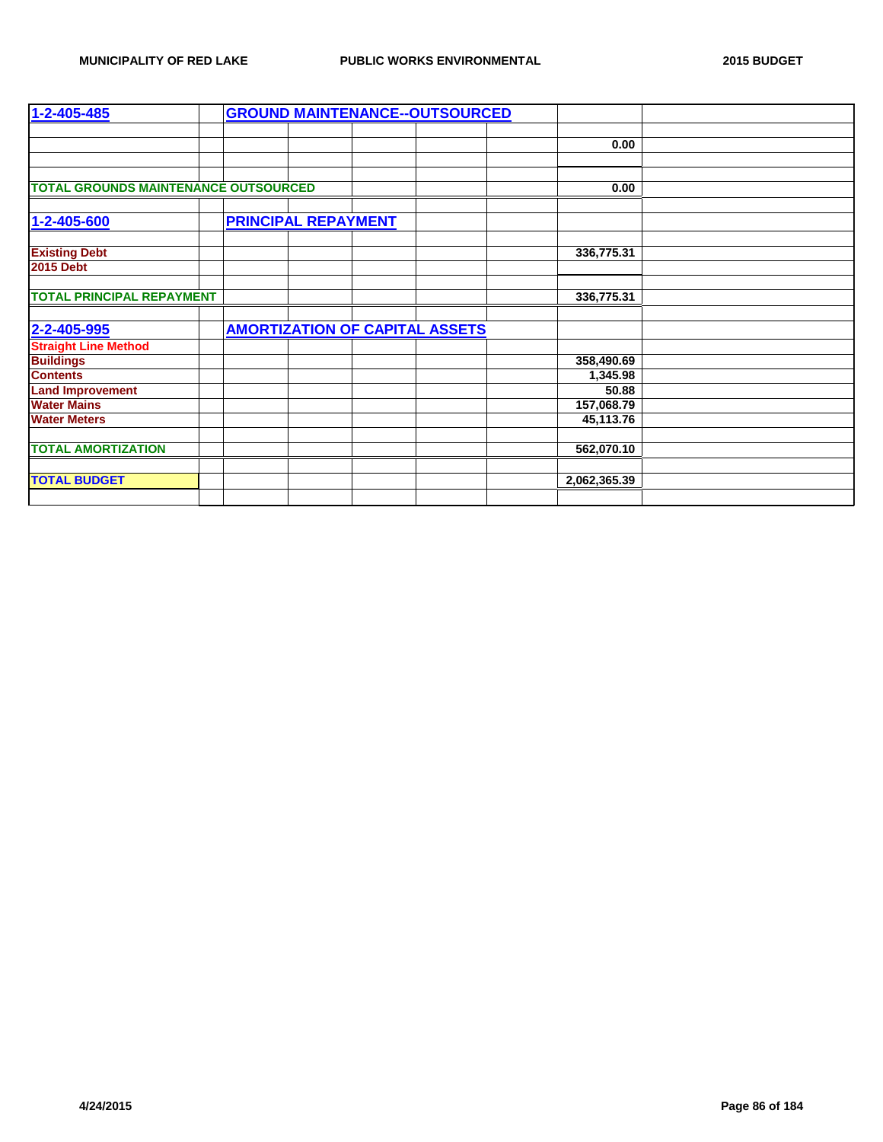| 1-2-405-485                                 |  |                            |  | <b>GROUND MAINTENANCE--OUTSOURCED</b> |              |  |
|---------------------------------------------|--|----------------------------|--|---------------------------------------|--------------|--|
|                                             |  |                            |  |                                       |              |  |
|                                             |  |                            |  |                                       | 0.00         |  |
|                                             |  |                            |  |                                       |              |  |
|                                             |  |                            |  |                                       |              |  |
| <b>TOTAL GROUNDS MAINTENANCE OUTSOURCED</b> |  |                            |  |                                       | 0.00         |  |
|                                             |  |                            |  |                                       |              |  |
| 1-2-405-600                                 |  | <b>PRINCIPAL REPAYMENT</b> |  |                                       |              |  |
|                                             |  |                            |  |                                       |              |  |
| <b>Existing Debt</b>                        |  |                            |  |                                       | 336,775.31   |  |
| <b>2015 Debt</b>                            |  |                            |  |                                       |              |  |
|                                             |  |                            |  |                                       |              |  |
| <b>TOTAL PRINCIPAL REPAYMENT</b>            |  |                            |  |                                       | 336,775.31   |  |
|                                             |  |                            |  |                                       |              |  |
| 2-2-405-995                                 |  |                            |  | <b>AMORTIZATION OF CAPITAL ASSETS</b> |              |  |
| <b>Straight Line Method</b>                 |  |                            |  |                                       |              |  |
| <b>Buildings</b>                            |  |                            |  |                                       | 358,490.69   |  |
| <b>Contents</b>                             |  |                            |  |                                       | 1,345.98     |  |
| <b>Land Improvement</b>                     |  |                            |  |                                       | 50.88        |  |
| <b>Water Mains</b>                          |  |                            |  |                                       | 157,068.79   |  |
| <b>Water Meters</b>                         |  |                            |  |                                       | 45,113.76    |  |
|                                             |  |                            |  |                                       |              |  |
| <b>TOTAL AMORTIZATION</b>                   |  |                            |  |                                       | 562,070.10   |  |
|                                             |  |                            |  |                                       |              |  |
| <b>TOTAL BUDGET</b>                         |  |                            |  |                                       | 2,062,365.39 |  |
|                                             |  |                            |  |                                       |              |  |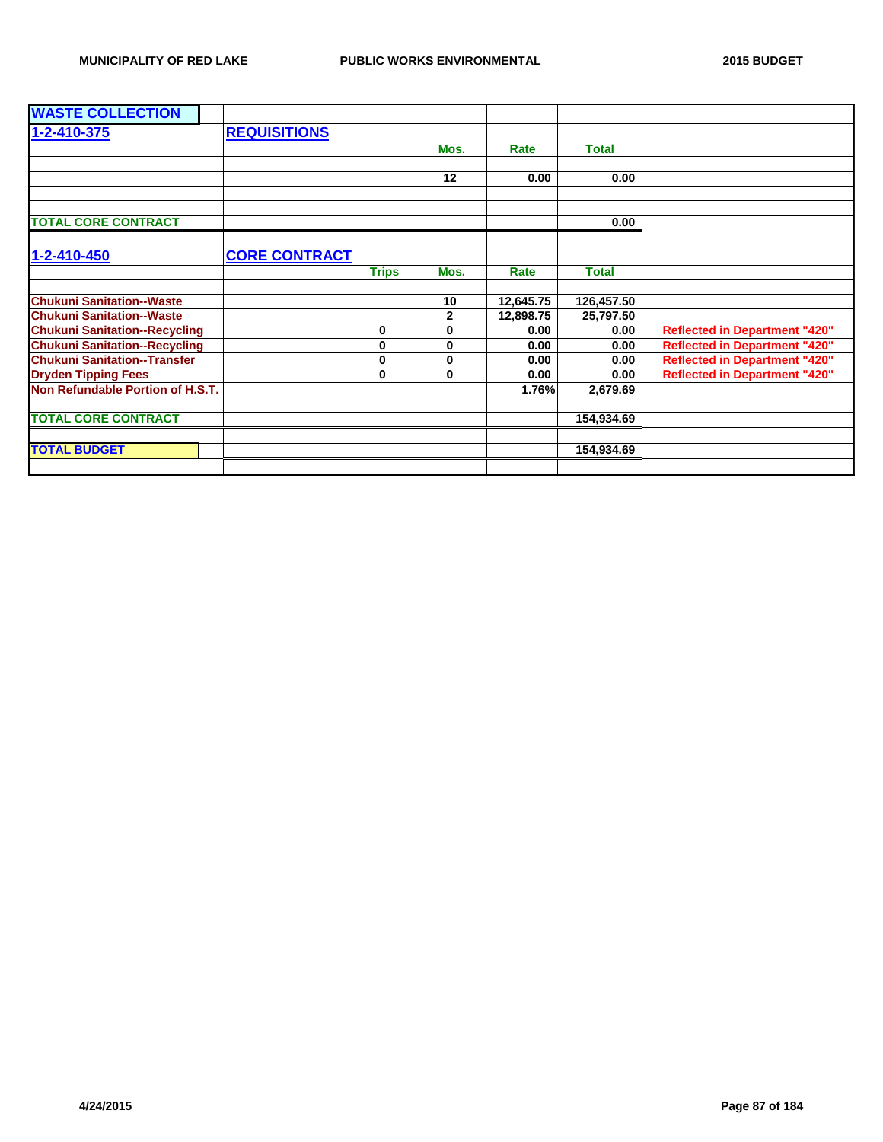| <b>WASTE COLLECTION</b>              |                     |                      |              |              |           |              |                                      |
|--------------------------------------|---------------------|----------------------|--------------|--------------|-----------|--------------|--------------------------------------|
| 1-2-410-375                          | <b>REQUISITIONS</b> |                      |              |              |           |              |                                      |
|                                      |                     |                      |              | Mos.         | Rate      | <b>Total</b> |                                      |
|                                      |                     |                      |              |              |           |              |                                      |
|                                      |                     |                      |              | 12           | 0.00      | 0.00         |                                      |
|                                      |                     |                      |              |              |           |              |                                      |
|                                      |                     |                      |              |              |           |              |                                      |
| <b>TOTAL CORE CONTRACT</b>           |                     |                      |              |              |           | 0.00         |                                      |
|                                      |                     |                      |              |              |           |              |                                      |
| 1-2-410-450                          |                     | <b>CORE CONTRACT</b> |              |              |           |              |                                      |
|                                      |                     |                      | <b>Trips</b> | Mos.         | Rate      | <b>Total</b> |                                      |
|                                      |                     |                      |              |              |           |              |                                      |
| <b>Chukuni Sanitation--Waste</b>     |                     |                      |              | 10           | 12,645.75 | 126,457.50   |                                      |
| <b>Chukuni Sanitation--Waste</b>     |                     |                      |              | $\mathbf{2}$ | 12,898.75 | 25,797.50    |                                      |
| <b>Chukuni Sanitation--Recycling</b> |                     |                      | 0            | $\mathbf 0$  | 0.00      | 0.00         | <b>Reflected in Department "420"</b> |
| <b>Chukuni Sanitation--Recycling</b> |                     |                      | 0            | $\bf{0}$     | 0.00      | 0.00         | <b>Reflected in Department "420"</b> |
| <b>Chukuni Sanitation--Transfer</b>  |                     |                      | $\bf{0}$     | $\bf{0}$     | 0.00      | 0.00         | <b>Reflected in Department "420"</b> |
| <b>Dryden Tipping Fees</b>           |                     |                      | 0            | $\bf{0}$     | 0.00      | 0.00         | <b>Reflected in Department "420"</b> |
| Non Refundable Portion of H.S.T.     |                     |                      |              |              | 1.76%     | 2,679.69     |                                      |
|                                      |                     |                      |              |              |           |              |                                      |
| <b>TOTAL CORE CONTRACT</b>           |                     |                      |              |              |           | 154,934.69   |                                      |
|                                      |                     |                      |              |              |           |              |                                      |
| <b>TOTAL BUDGET</b>                  |                     |                      |              |              |           | 154,934.69   |                                      |
|                                      |                     |                      |              |              |           |              |                                      |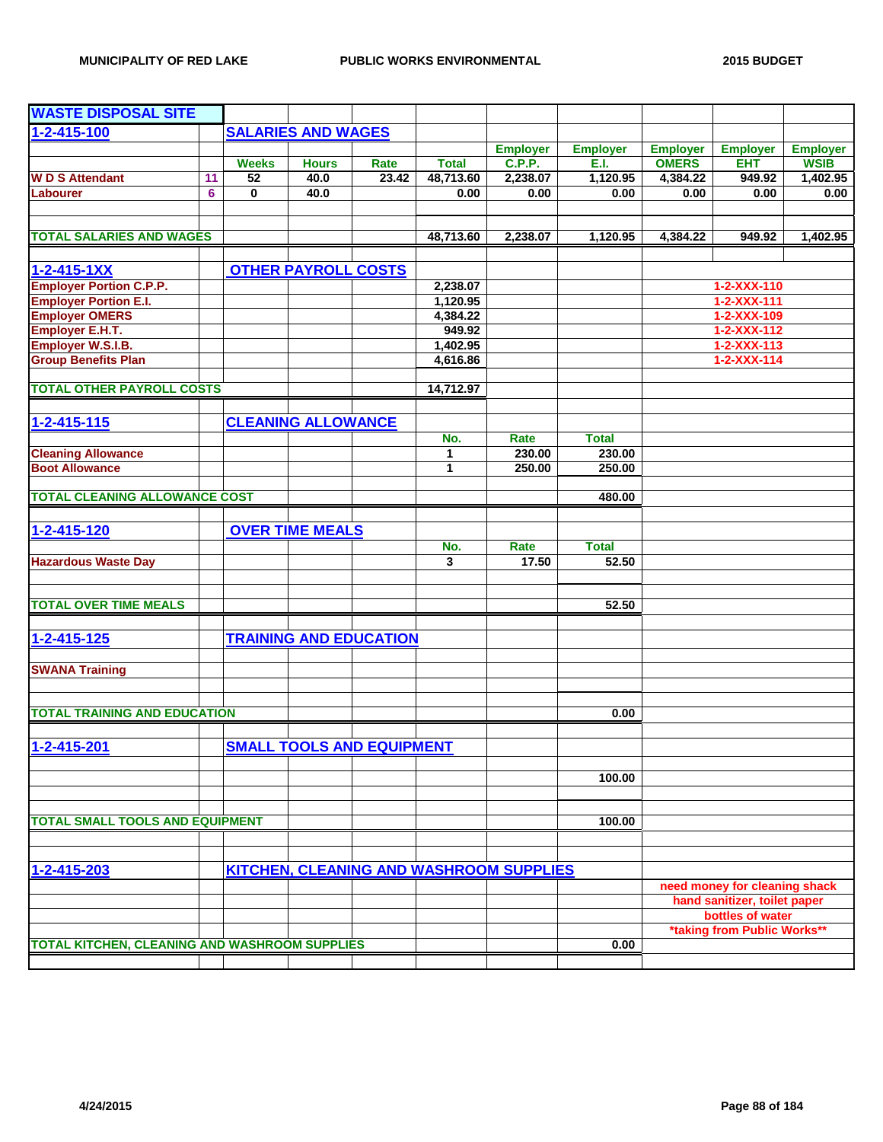| <b>WASTE DISPOSAL SITE</b>                           |    |              |                            |                                  |                      |                                                |                 |                 |                                    |                 |
|------------------------------------------------------|----|--------------|----------------------------|----------------------------------|----------------------|------------------------------------------------|-----------------|-----------------|------------------------------------|-----------------|
| $1 - 2 - 415 - 100$                                  |    |              | <b>SALARIES AND WAGES</b>  |                                  |                      |                                                |                 |                 |                                    |                 |
|                                                      |    |              |                            |                                  |                      | <b>Employer</b>                                | <b>Employer</b> | <b>Employer</b> | <b>Employer</b>                    | <b>Employer</b> |
|                                                      |    | <b>Weeks</b> | <b>Hours</b>               | Rate                             | <b>Total</b>         | <b>C.P.P.</b>                                  | E.I.            | <b>OMERS</b>    | EHT                                | <b>WSIB</b>     |
| <b>WD S Attendant</b>                                | 11 | 52           | 40.0                       | 23.42                            | 48,713.60            | 2,238.07                                       | 1,120.95        | 4,384.22        | 949.92                             | 1,402.95        |
| Labourer                                             | 6  | $\bf{0}$     | 40.0                       |                                  | 0.00                 | 0.00                                           | 0.00            | 0.00            | 0.00                               | 0.00            |
|                                                      |    |              |                            |                                  |                      |                                                |                 |                 |                                    |                 |
| <b>TOTAL SALARIES AND WAGES</b>                      |    |              |                            |                                  | 48,713.60            | 2,238.07                                       | 1,120.95        | 4,384.22        | 949.92                             | 1,402.95        |
| $1 - 2 - 415 - 1XX$                                  |    |              | <b>OTHER PAYROLL COSTS</b> |                                  |                      |                                                |                 |                 |                                    |                 |
| <b>Employer Portion C.P.P.</b>                       |    |              |                            |                                  |                      |                                                |                 |                 |                                    |                 |
| <b>Employer Portion E.I.</b>                         |    |              |                            |                                  | 2,238.07<br>1,120.95 |                                                |                 |                 | 1-2-XXX-110<br>$1 - 2 - XXX - 111$ |                 |
| <b>Employer OMERS</b>                                |    |              |                            |                                  | 4,384.22             |                                                |                 |                 | 1-2-XXX-109                        |                 |
| <b>Employer E.H.T.</b>                               |    |              |                            |                                  | 949.92               |                                                |                 |                 | 1-2-XXX-112                        |                 |
| Employer W.S.I.B.                                    |    |              |                            |                                  | 1,402.95             |                                                |                 |                 | $1 - 2 - XXX - 113$                |                 |
| <b>Group Benefits Plan</b>                           |    |              |                            |                                  | 4,616.86             |                                                |                 |                 | $1 - 2 - XXX - 114$                |                 |
|                                                      |    |              |                            |                                  |                      |                                                |                 |                 |                                    |                 |
| <b>TOTAL OTHER PAYROLL COSTS</b>                     |    |              |                            |                                  | 14,712.97            |                                                |                 |                 |                                    |                 |
|                                                      |    |              |                            |                                  |                      |                                                |                 |                 |                                    |                 |
| 1-2-415-115                                          |    |              | <b>CLEANING ALLOWANCE</b>  |                                  |                      |                                                |                 |                 |                                    |                 |
|                                                      |    |              |                            |                                  | No.                  | Rate                                           | <b>Total</b>    |                 |                                    |                 |
| <b>Cleaning Allowance</b>                            |    |              |                            |                                  | 1                    | 230.00                                         | 230.00          |                 |                                    |                 |
| <b>Boot Allowance</b>                                |    |              |                            |                                  | 1                    | 250.00                                         | 250.00          |                 |                                    |                 |
|                                                      |    |              |                            |                                  |                      |                                                |                 |                 |                                    |                 |
| <b>TOTAL CLEANING ALLOWANCE COST</b>                 |    |              |                            |                                  |                      |                                                | 480.00          |                 |                                    |                 |
|                                                      |    |              |                            |                                  |                      |                                                |                 |                 |                                    |                 |
| 1-2-415-120                                          |    |              | <b>OVER TIME MEALS</b>     |                                  |                      |                                                |                 |                 |                                    |                 |
|                                                      |    |              |                            |                                  | No.                  | Rate                                           | <b>Total</b>    |                 |                                    |                 |
| <b>Hazardous Waste Day</b>                           |    |              |                            |                                  | 3                    | 17.50                                          | 52.50           |                 |                                    |                 |
|                                                      |    |              |                            |                                  |                      |                                                |                 |                 |                                    |                 |
|                                                      |    |              |                            |                                  |                      |                                                |                 |                 |                                    |                 |
| <b>TOTAL OVER TIME MEALS</b>                         |    |              |                            |                                  |                      |                                                | 52.50           |                 |                                    |                 |
|                                                      |    |              |                            |                                  |                      |                                                |                 |                 |                                    |                 |
| 1-2-415-125                                          |    |              |                            | <b>TRAINING AND EDUCATION</b>    |                      |                                                |                 |                 |                                    |                 |
|                                                      |    |              |                            |                                  |                      |                                                |                 |                 |                                    |                 |
| <b>SWANA Training</b>                                |    |              |                            |                                  |                      |                                                |                 |                 |                                    |                 |
|                                                      |    |              |                            |                                  |                      |                                                |                 |                 |                                    |                 |
|                                                      |    |              |                            |                                  |                      |                                                |                 |                 |                                    |                 |
| <b>TOTAL TRAINING AND EDUCATION</b>                  |    |              |                            |                                  |                      |                                                | 0.00            |                 |                                    |                 |
|                                                      |    |              |                            |                                  |                      |                                                |                 |                 |                                    |                 |
| 1-2-415-201                                          |    |              |                            | <b>SMALL TOOLS AND EQUIPMENT</b> |                      |                                                |                 |                 |                                    |                 |
|                                                      |    |              |                            |                                  |                      |                                                |                 |                 |                                    |                 |
|                                                      |    |              |                            |                                  |                      |                                                | 100.00          |                 |                                    |                 |
|                                                      |    |              |                            |                                  |                      |                                                |                 |                 |                                    |                 |
| <b>TOTAL SMALL TOOLS AND EQUIPMENT</b>               |    |              |                            |                                  |                      |                                                | 100.00          |                 |                                    |                 |
|                                                      |    |              |                            |                                  |                      |                                                |                 |                 |                                    |                 |
|                                                      |    |              |                            |                                  |                      |                                                |                 |                 |                                    |                 |
| 1-2-415-203                                          |    |              |                            |                                  |                      | <b>KITCHEN, CLEANING AND WASHROOM SUPPLIES</b> |                 |                 |                                    |                 |
|                                                      |    |              |                            |                                  |                      |                                                |                 |                 | need money for cleaning shack      |                 |
|                                                      |    |              |                            |                                  |                      |                                                |                 |                 | hand sanitizer, toilet paper       |                 |
|                                                      |    |              |                            |                                  |                      |                                                |                 |                 | bottles of water                   |                 |
|                                                      |    |              |                            |                                  |                      |                                                |                 |                 | *taking from Public Works**        |                 |
| <b>TOTAL KITCHEN, CLEANING AND WASHROOM SUPPLIES</b> |    |              |                            |                                  |                      |                                                | 0.00            |                 |                                    |                 |
|                                                      |    |              |                            |                                  |                      |                                                |                 |                 |                                    |                 |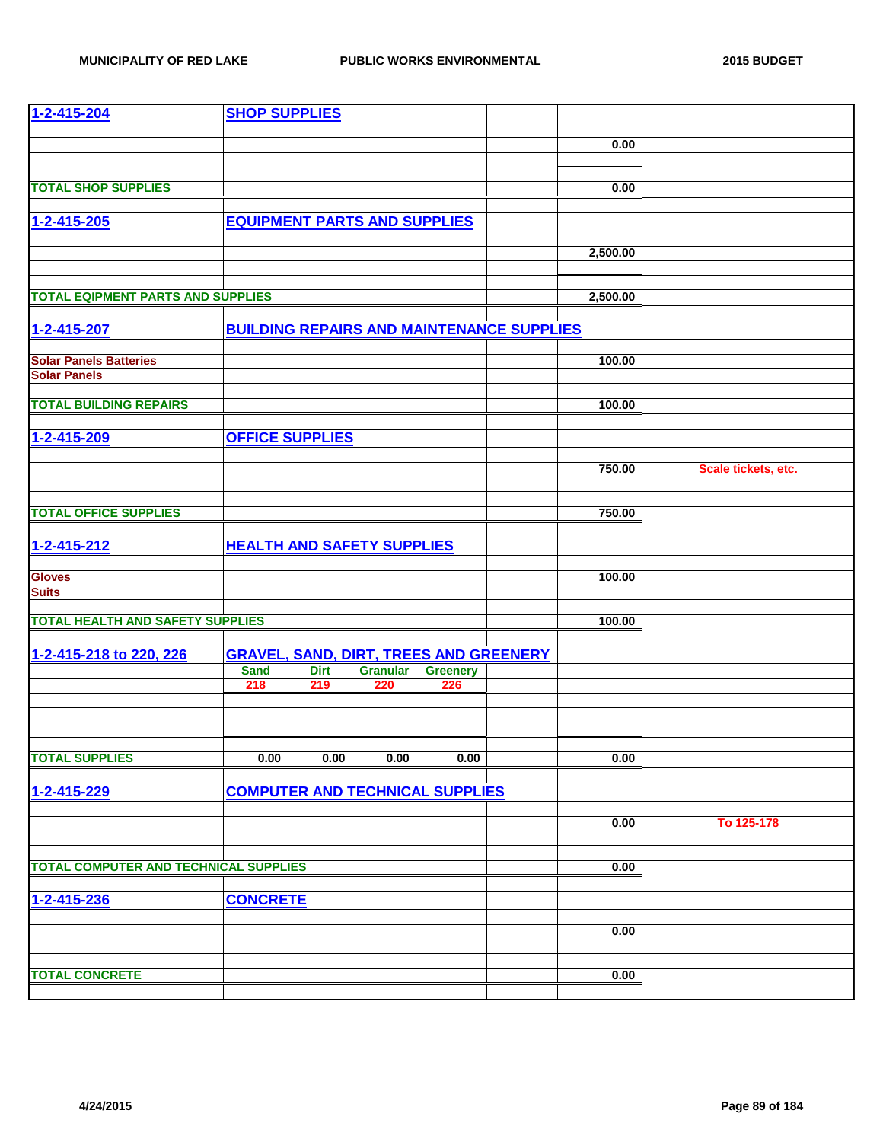| 1-2-415-204                                  | <b>SHOP SUPPLIES</b> |                                     |                 |                                               |                                                  |          |                     |
|----------------------------------------------|----------------------|-------------------------------------|-----------------|-----------------------------------------------|--------------------------------------------------|----------|---------------------|
|                                              |                      |                                     |                 |                                               |                                                  |          |                     |
|                                              |                      |                                     |                 |                                               |                                                  | 0.00     |                     |
|                                              |                      |                                     |                 |                                               |                                                  |          |                     |
|                                              |                      |                                     |                 |                                               |                                                  |          |                     |
| <b>TOTAL SHOP SUPPLIES</b>                   |                      |                                     |                 |                                               |                                                  | 0.00     |                     |
|                                              |                      |                                     |                 |                                               |                                                  |          |                     |
| $1 - 2 - 415 - 205$                          |                      | <b>EQUIPMENT PARTS AND SUPPLIES</b> |                 |                                               |                                                  |          |                     |
|                                              |                      |                                     |                 |                                               |                                                  |          |                     |
|                                              |                      |                                     |                 |                                               |                                                  | 2,500.00 |                     |
|                                              |                      |                                     |                 |                                               |                                                  |          |                     |
|                                              |                      |                                     |                 |                                               |                                                  |          |                     |
| <b>TOTAL EQIPMENT PARTS AND SUPPLIES</b>     |                      |                                     |                 |                                               |                                                  | 2,500.00 |                     |
|                                              |                      |                                     |                 |                                               |                                                  |          |                     |
| 1-2-415-207                                  |                      |                                     |                 |                                               | <b>BUILDING REPAIRS AND MAINTENANCE SUPPLIES</b> |          |                     |
|                                              |                      |                                     |                 |                                               |                                                  |          |                     |
| <b>Solar Panels Batteries</b>                |                      |                                     |                 |                                               |                                                  | 100.00   |                     |
| <b>Solar Panels</b>                          |                      |                                     |                 |                                               |                                                  |          |                     |
|                                              |                      |                                     |                 |                                               |                                                  |          |                     |
| <b>TOTAL BUILDING REPAIRS</b>                |                      |                                     |                 |                                               |                                                  | 100.00   |                     |
|                                              |                      |                                     |                 |                                               |                                                  |          |                     |
| 1-2-415-209                                  |                      | <b>OFFICE SUPPLIES</b>              |                 |                                               |                                                  |          |                     |
|                                              |                      |                                     |                 |                                               |                                                  |          |                     |
|                                              |                      |                                     |                 |                                               |                                                  | 750.00   | Scale tickets, etc. |
|                                              |                      |                                     |                 |                                               |                                                  |          |                     |
|                                              |                      |                                     |                 |                                               |                                                  |          |                     |
| <b>TOTAL OFFICE SUPPLIES</b>                 |                      |                                     |                 |                                               |                                                  | 750.00   |                     |
|                                              |                      |                                     |                 |                                               |                                                  |          |                     |
| 1-2-415-212                                  |                      | <b>HEALTH AND SAFETY SUPPLIES</b>   |                 |                                               |                                                  |          |                     |
|                                              |                      |                                     |                 |                                               |                                                  |          |                     |
| <b>Gloves</b>                                |                      |                                     |                 |                                               |                                                  | 100.00   |                     |
| <b>Suits</b>                                 |                      |                                     |                 |                                               |                                                  |          |                     |
|                                              |                      |                                     |                 |                                               |                                                  |          |                     |
| <b>TOTAL HEALTH AND SAFETY SUPPLIES</b>      |                      |                                     |                 |                                               |                                                  | 100.00   |                     |
|                                              |                      |                                     |                 |                                               |                                                  |          |                     |
| 1-2-415-218 to 220, 226                      |                      |                                     |                 | <b>GRAVEL, SAND, DIRT, TREES AND GREENERY</b> |                                                  |          |                     |
|                                              | <b>Sand</b>          | <b>Dirt</b>                         | <b>Granular</b> | <b>Greenery</b>                               |                                                  |          |                     |
|                                              | 218                  | 219                                 | 220             | 226                                           |                                                  |          |                     |
|                                              |                      |                                     |                 |                                               |                                                  |          |                     |
|                                              |                      |                                     |                 |                                               |                                                  |          |                     |
|                                              |                      |                                     |                 |                                               |                                                  |          |                     |
|                                              |                      |                                     |                 |                                               |                                                  |          |                     |
| <b>TOTAL SUPPLIES</b>                        | 0.00                 | 0.00                                | 0.00            | 0.00                                          |                                                  | 0.00     |                     |
|                                              |                      |                                     |                 |                                               |                                                  |          |                     |
| 1-2-415-229                                  |                      |                                     |                 | <b>COMPUTER AND TECHNICAL SUPPLIES</b>        |                                                  |          |                     |
|                                              |                      |                                     |                 |                                               |                                                  |          |                     |
|                                              |                      |                                     |                 |                                               |                                                  | 0.00     | To 125-178          |
|                                              |                      |                                     |                 |                                               |                                                  |          |                     |
|                                              |                      |                                     |                 |                                               |                                                  |          |                     |
| <b>TOTAL COMPUTER AND TECHNICAL SUPPLIES</b> |                      |                                     |                 |                                               |                                                  | 0.00     |                     |
|                                              |                      |                                     |                 |                                               |                                                  |          |                     |
| 1-2-415-236                                  | <b>CONCRETE</b>      |                                     |                 |                                               |                                                  |          |                     |
|                                              |                      |                                     |                 |                                               |                                                  |          |                     |
|                                              |                      |                                     |                 |                                               |                                                  | 0.00     |                     |
|                                              |                      |                                     |                 |                                               |                                                  |          |                     |
|                                              |                      |                                     |                 |                                               |                                                  |          |                     |
| <b>TOTAL CONCRETE</b>                        |                      |                                     |                 |                                               |                                                  | 0.00     |                     |
|                                              |                      |                                     |                 |                                               |                                                  |          |                     |
|                                              |                      |                                     |                 |                                               |                                                  |          |                     |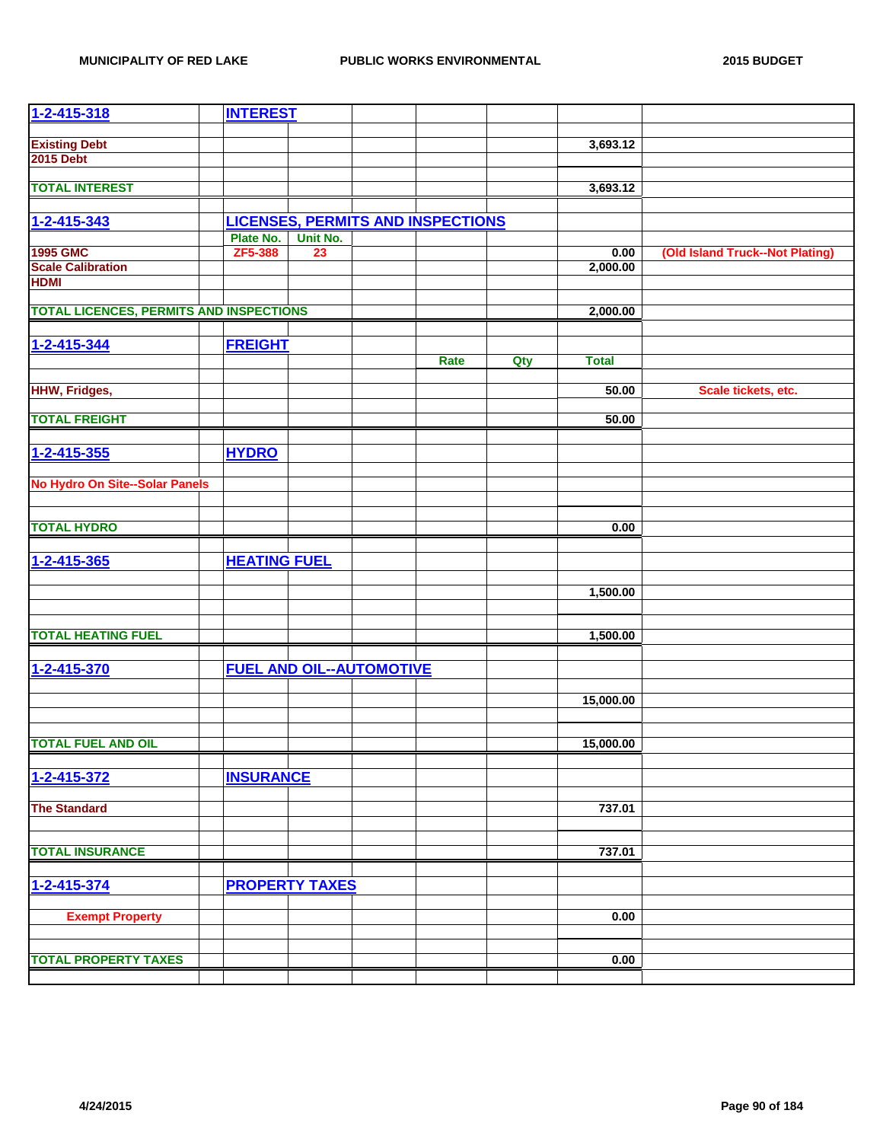| $1 - 2 - 415 - 318$                            | <b>INTEREST</b>     |                                 |                                          |     |              |                                 |
|------------------------------------------------|---------------------|---------------------------------|------------------------------------------|-----|--------------|---------------------------------|
|                                                |                     |                                 |                                          |     |              |                                 |
| <b>Existing Debt</b><br><b>2015 Debt</b>       |                     |                                 |                                          |     | 3,693.12     |                                 |
|                                                |                     |                                 |                                          |     |              |                                 |
| <b>TOTAL INTEREST</b>                          |                     |                                 |                                          |     | 3,693.12     |                                 |
|                                                |                     |                                 |                                          |     |              |                                 |
| 1-2-415-343                                    |                     |                                 | <b>LICENSES, PERMITS AND INSPECTIONS</b> |     |              |                                 |
|                                                | Plate No.           | Unit No.                        |                                          |     |              |                                 |
| <b>1995 GMC</b>                                | ZF5-388             | 23                              |                                          |     | 0.00         | (Old Island Truck--Not Plating) |
| <b>Scale Calibration</b>                       |                     |                                 |                                          |     | 2,000.00     |                                 |
| <b>HDMI</b>                                    |                     |                                 |                                          |     |              |                                 |
| <b>TOTAL LICENCES, PERMITS AND INSPECTIONS</b> |                     |                                 |                                          |     | 2,000.00     |                                 |
|                                                |                     |                                 |                                          |     |              |                                 |
| 1-2-415-344                                    | <b>FREIGHT</b>      |                                 |                                          |     |              |                                 |
|                                                |                     |                                 | Rate                                     | Qty | <b>Total</b> |                                 |
|                                                |                     |                                 |                                          |     |              |                                 |
| <b>HHW, Fridges,</b>                           |                     |                                 |                                          |     | 50.00        | Scale tickets, etc.             |
| <b>TOTAL FREIGHT</b>                           |                     |                                 |                                          |     | 50.00        |                                 |
|                                                |                     |                                 |                                          |     |              |                                 |
| $1 - 2 - 415 - 355$                            | <b>HYDRO</b>        |                                 |                                          |     |              |                                 |
|                                                |                     |                                 |                                          |     |              |                                 |
| <b>No Hydro On Site--Solar Panels</b>          |                     |                                 |                                          |     |              |                                 |
|                                                |                     |                                 |                                          |     |              |                                 |
|                                                |                     |                                 |                                          |     |              |                                 |
| <b>TOTAL HYDRO</b>                             |                     |                                 |                                          |     | 0.00         |                                 |
| 1-2-415-365                                    | <b>HEATING FUEL</b> |                                 |                                          |     |              |                                 |
|                                                |                     |                                 |                                          |     |              |                                 |
|                                                |                     |                                 |                                          |     | 1,500.00     |                                 |
|                                                |                     |                                 |                                          |     |              |                                 |
|                                                |                     |                                 |                                          |     |              |                                 |
| <b>TOTAL HEATING FUEL</b>                      |                     |                                 |                                          |     | 1,500.00     |                                 |
|                                                |                     |                                 |                                          |     |              |                                 |
| 1-2-415-370                                    |                     | <b>FUEL AND OIL--AUTOMOTIVE</b> |                                          |     |              |                                 |
|                                                |                     |                                 |                                          |     | 15,000.00    |                                 |
|                                                |                     |                                 |                                          |     |              |                                 |
|                                                |                     |                                 |                                          |     |              |                                 |
| <b>TOTAL FUEL AND OIL</b>                      |                     |                                 |                                          |     | 15,000.00    |                                 |
|                                                |                     |                                 |                                          |     |              |                                 |
| 1-2-415-372                                    | <b>INSURANCE</b>    |                                 |                                          |     |              |                                 |
| <b>The Standard</b>                            |                     |                                 |                                          |     | 737.01       |                                 |
|                                                |                     |                                 |                                          |     |              |                                 |
|                                                |                     |                                 |                                          |     |              |                                 |
| <b>TOTAL INSURANCE</b>                         |                     |                                 |                                          |     | 737.01       |                                 |
|                                                |                     |                                 |                                          |     |              |                                 |
| 1-2-415-374                                    |                     | <b>PROPERTY TAXES</b>           |                                          |     |              |                                 |
|                                                |                     |                                 |                                          |     |              |                                 |
| <b>Exempt Property</b>                         |                     |                                 |                                          |     | 0.00         |                                 |
|                                                |                     |                                 |                                          |     |              |                                 |
| <b>TOTAL PROPERTY TAXES</b>                    |                     |                                 |                                          |     | 0.00         |                                 |
|                                                |                     |                                 |                                          |     |              |                                 |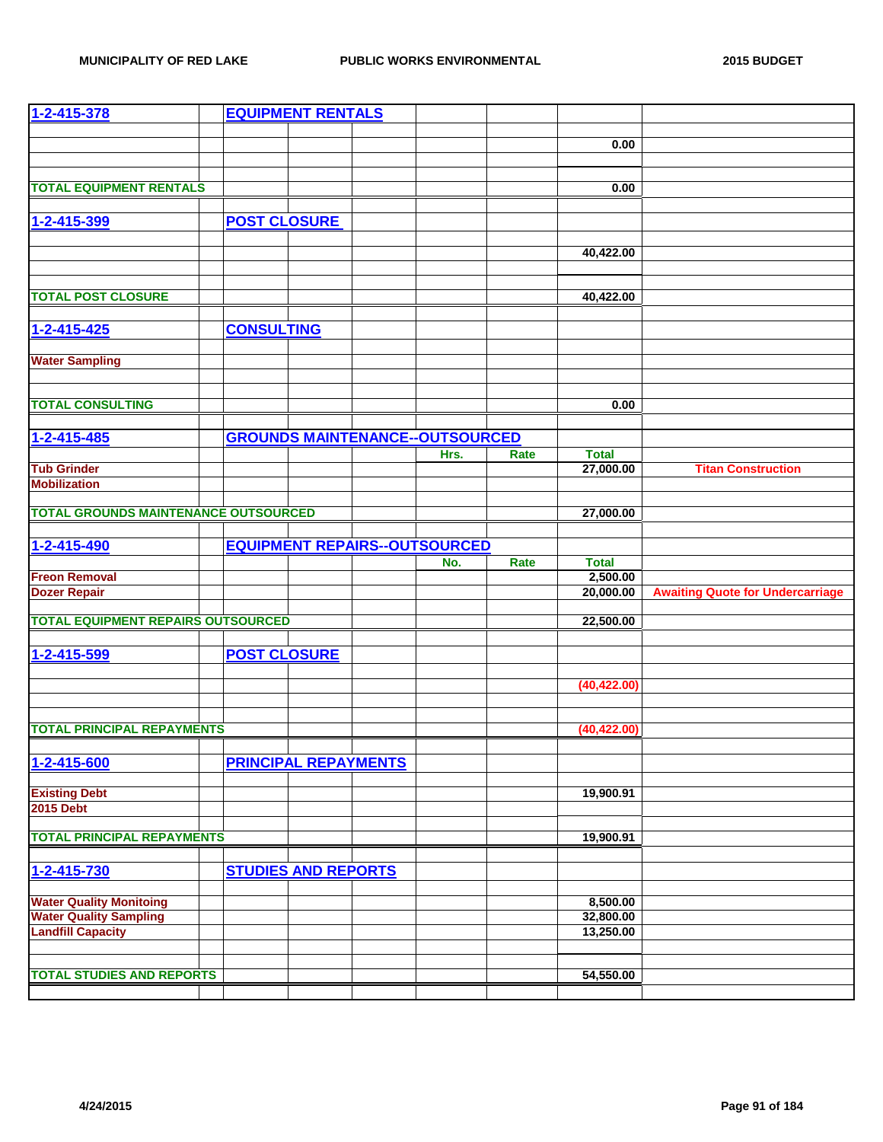| 1-2-415-378                                               |                     | <b>EQUIPMENT RENTALS</b>    |                                        |      |                        |                                         |
|-----------------------------------------------------------|---------------------|-----------------------------|----------------------------------------|------|------------------------|-----------------------------------------|
|                                                           |                     |                             |                                        |      |                        |                                         |
|                                                           |                     |                             |                                        |      | 0.00                   |                                         |
|                                                           |                     |                             |                                        |      |                        |                                         |
| <b>TOTAL EQUIPMENT RENTALS</b>                            |                     |                             |                                        |      | 0.00                   |                                         |
|                                                           |                     |                             |                                        |      |                        |                                         |
| 1-2-415-399                                               | <b>POST CLOSURE</b> |                             |                                        |      |                        |                                         |
|                                                           |                     |                             |                                        |      |                        |                                         |
|                                                           |                     |                             |                                        |      | 40,422.00              |                                         |
|                                                           |                     |                             |                                        |      |                        |                                         |
|                                                           |                     |                             |                                        |      |                        |                                         |
| <b>TOTAL POST CLOSURE</b>                                 |                     |                             |                                        |      | 40,422.00              |                                         |
| $1 - 2 - 415 - 425$                                       | <b>CONSULTING</b>   |                             |                                        |      |                        |                                         |
|                                                           |                     |                             |                                        |      |                        |                                         |
| <b>Water Sampling</b>                                     |                     |                             |                                        |      |                        |                                         |
|                                                           |                     |                             |                                        |      |                        |                                         |
|                                                           |                     |                             |                                        |      |                        |                                         |
| <b>TOTAL CONSULTING</b>                                   |                     |                             |                                        |      | 0.00                   |                                         |
|                                                           |                     |                             |                                        |      |                        |                                         |
| 1-2-415-485                                               |                     |                             | <b>GROUNDS MAINTENANCE--OUTSOURCED</b> |      |                        |                                         |
|                                                           |                     |                             | Hrs.                                   | Rate | <b>Total</b>           |                                         |
| <b>Tub Grinder</b>                                        |                     |                             |                                        |      | 27,000.00              | <b>Titan Construction</b>               |
| <b>Mobilization</b>                                       |                     |                             |                                        |      |                        |                                         |
| <b>TOTAL GROUNDS MAINTENANCE OUTSOURCED</b>               |                     |                             |                                        |      | 27,000.00              |                                         |
|                                                           |                     |                             |                                        |      |                        |                                         |
| 1-2-415-490                                               |                     |                             | <b>EQUIPMENT REPAIRS--OUTSOURCED</b>   |      |                        |                                         |
|                                                           |                     |                             | No.                                    | Rate | <b>Total</b>           |                                         |
| <b>Freon Removal</b>                                      |                     |                             |                                        |      | 2,500.00               |                                         |
| <b>Dozer Repair</b>                                       |                     |                             |                                        |      | 20,000.00              | <b>Awaiting Quote for Undercarriage</b> |
| <b>TOTAL EQUIPMENT REPAIRS OUTSOURCED</b>                 |                     |                             |                                        |      | 22,500.00              |                                         |
|                                                           |                     |                             |                                        |      |                        |                                         |
| 1-2-415-599                                               | <b>POST CLOSURE</b> |                             |                                        |      |                        |                                         |
|                                                           |                     |                             |                                        |      |                        |                                         |
|                                                           |                     |                             |                                        |      | (40, 422.00)           |                                         |
|                                                           |                     |                             |                                        |      |                        |                                         |
|                                                           |                     |                             |                                        |      |                        |                                         |
| <b>TOTAL PRINCIPAL REPAYMENTS</b>                         |                     |                             |                                        |      | (40, 422.00)           |                                         |
|                                                           |                     |                             |                                        |      |                        |                                         |
| 1-2-415-600                                               |                     | <b>PRINCIPAL REPAYMENTS</b> |                                        |      |                        |                                         |
| <b>Existing Debt</b>                                      |                     |                             |                                        |      | 19,900.91              |                                         |
| <b>2015 Debt</b>                                          |                     |                             |                                        |      |                        |                                         |
|                                                           |                     |                             |                                        |      |                        |                                         |
| <b>TOTAL PRINCIPAL REPAYMENTS</b>                         |                     |                             |                                        |      | 19,900.91              |                                         |
|                                                           |                     |                             |                                        |      |                        |                                         |
| 1-2-415-730                                               |                     | <b>STUDIES AND REPORTS</b>  |                                        |      |                        |                                         |
|                                                           |                     |                             |                                        |      |                        |                                         |
| <b>Water Quality Monitoing</b>                            |                     |                             |                                        |      | 8,500.00               |                                         |
| <b>Water Quality Sampling</b><br><b>Landfill Capacity</b> |                     |                             |                                        |      | 32,800.00<br>13,250.00 |                                         |
|                                                           |                     |                             |                                        |      |                        |                                         |
|                                                           |                     |                             |                                        |      |                        |                                         |
| <b>TOTAL STUDIES AND REPORTS</b>                          |                     |                             |                                        |      | 54,550.00              |                                         |
|                                                           |                     |                             |                                        |      |                        |                                         |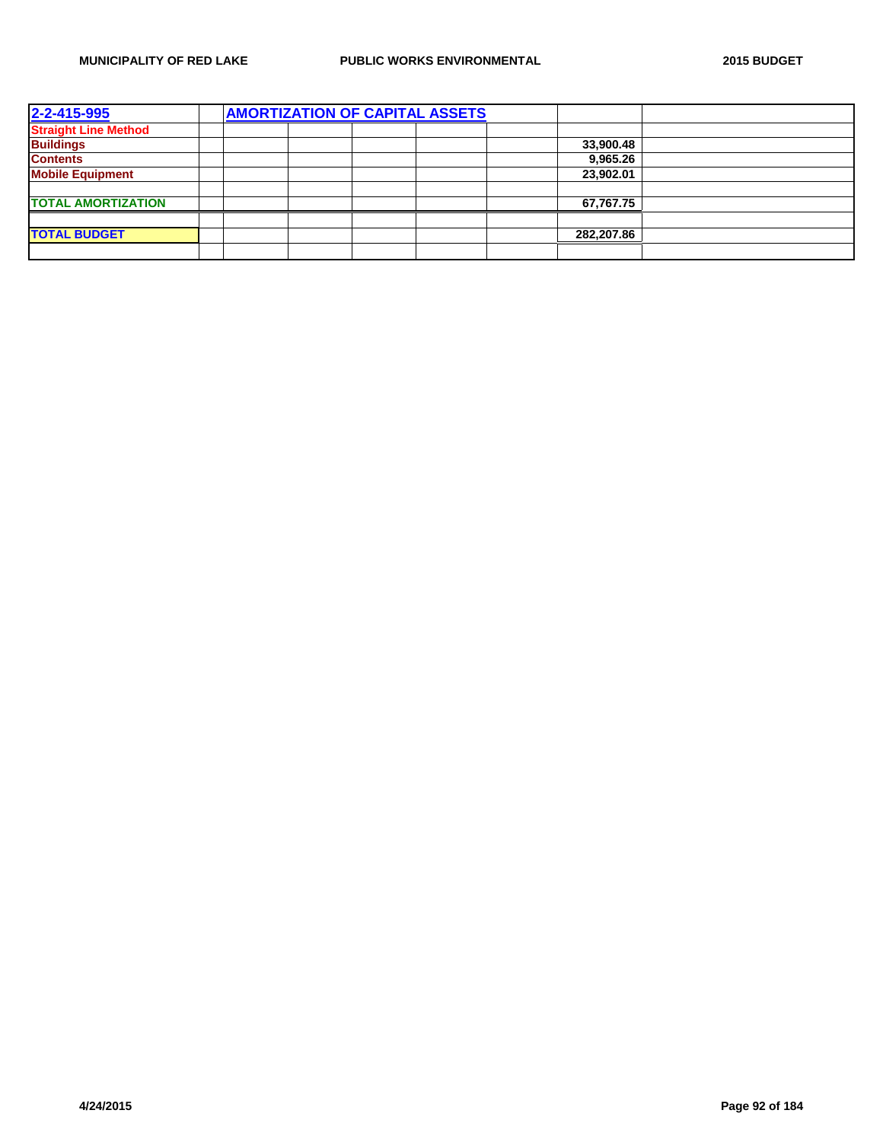| 2-2-415-995                 | <b>AMORTIZATION OF CAPITAL ASSETS</b> |  |  |            |  |
|-----------------------------|---------------------------------------|--|--|------------|--|
| <b>Straight Line Method</b> |                                       |  |  |            |  |
| <b>Buildings</b>            |                                       |  |  | 33,900.48  |  |
| <b>Contents</b>             |                                       |  |  | 9.965.26   |  |
| <b>Mobile Equipment</b>     |                                       |  |  | 23,902.01  |  |
|                             |                                       |  |  |            |  |
| <b>TOTAL AMORTIZATION</b>   |                                       |  |  | 67,767.75  |  |
|                             |                                       |  |  |            |  |
| <b>TOTAL BUDGET</b>         |                                       |  |  | 282,207.86 |  |
|                             |                                       |  |  |            |  |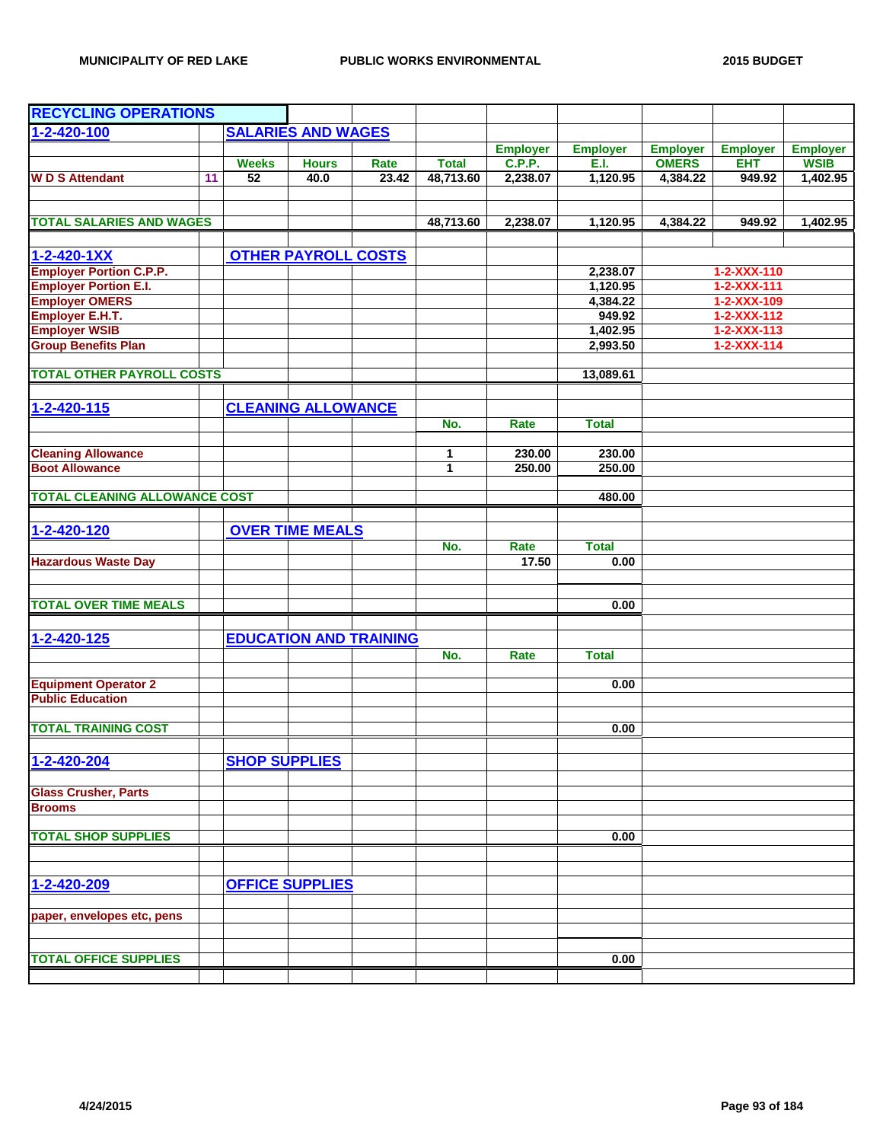| <b>RECYCLING OPERATIONS</b>          |    |                      |                            |                               |              |                 |                 |                 |                     |                 |
|--------------------------------------|----|----------------------|----------------------------|-------------------------------|--------------|-----------------|-----------------|-----------------|---------------------|-----------------|
| 1-2-420-100                          |    |                      | <b>SALARIES AND WAGES</b>  |                               |              |                 |                 |                 |                     |                 |
|                                      |    |                      |                            |                               |              | <b>Employer</b> | <b>Employer</b> | <b>Employer</b> | <b>Employer</b>     | <b>Employer</b> |
|                                      |    | <b>Weeks</b>         | <b>Hours</b>               | Rate                          | <b>Total</b> | <b>C.P.P.</b>   | E.I.            | <b>OMERS</b>    | <b>EHT</b>          | <b>WSIB</b>     |
| <b>WD S Attendant</b>                | 11 | 52                   | 40.0                       | 23.42                         | 48,713.60    | 2,238.07        | 1,120.95        | 4,384.22        | 949.92              | 1,402.95        |
|                                      |    |                      |                            |                               |              |                 |                 |                 |                     |                 |
| <b>TOTAL SALARIES AND WAGES</b>      |    |                      |                            |                               |              |                 |                 |                 |                     |                 |
|                                      |    |                      |                            |                               | 48,713.60    | 2,238.07        | 1,120.95        | 4,384.22        | 949.92              | 1,402.95        |
| $1 - 2 - 420 - 1XX$                  |    |                      | <b>OTHER PAYROLL COSTS</b> |                               |              |                 |                 |                 |                     |                 |
| <b>Employer Portion C.P.P.</b>       |    |                      |                            |                               |              |                 | 2,238.07        |                 | 1-2-XXX-110         |                 |
| <b>Employer Portion E.I.</b>         |    |                      |                            |                               |              |                 | 1,120.95        |                 | $1 - 2 - XXX - 111$ |                 |
| <b>Employer OMERS</b>                |    |                      |                            |                               |              |                 | 4,384.22        |                 | 1-2-XXX-109         |                 |
| <b>Employer E.H.T.</b>               |    |                      |                            |                               |              |                 | 949.92          |                 | $1 - 2 - XXX - 112$ |                 |
| <b>Employer WSIB</b>                 |    |                      |                            |                               |              |                 | 1,402.95        |                 | $1 - 2 - XXX - 113$ |                 |
| <b>Group Benefits Plan</b>           |    |                      |                            |                               |              |                 | 2,993.50        |                 | $1 - 2 - XXX - 114$ |                 |
| <b>TOTAL OTHER PAYROLL COSTS</b>     |    |                      |                            |                               |              |                 |                 |                 |                     |                 |
|                                      |    |                      |                            |                               |              |                 | 13,089.61       |                 |                     |                 |
| 1-2-420-115                          |    |                      | <b>CLEANING ALLOWANCE</b>  |                               |              |                 |                 |                 |                     |                 |
|                                      |    |                      |                            |                               | No.          | Rate            | <b>Total</b>    |                 |                     |                 |
|                                      |    |                      |                            |                               |              |                 |                 |                 |                     |                 |
| <b>Cleaning Allowance</b>            |    |                      |                            |                               | 1            | 230.00          | 230.00          |                 |                     |                 |
| <b>Boot Allowance</b>                |    |                      |                            |                               | 1            | 250.00          | 250.00          |                 |                     |                 |
|                                      |    |                      |                            |                               |              |                 |                 |                 |                     |                 |
| <b>TOTAL CLEANING ALLOWANCE COST</b> |    |                      |                            |                               |              |                 | 480.00          |                 |                     |                 |
|                                      |    |                      |                            |                               |              |                 |                 |                 |                     |                 |
| 1-2-420-120                          |    |                      | <b>OVER TIME MEALS</b>     |                               | No.          | Rate            | <b>Total</b>    |                 |                     |                 |
|                                      |    |                      |                            |                               |              | 17.50           | 0.00            |                 |                     |                 |
| <b>Hazardous Waste Day</b>           |    |                      |                            |                               |              |                 |                 |                 |                     |                 |
|                                      |    |                      |                            |                               |              |                 |                 |                 |                     |                 |
| <b>TOTAL OVER TIME MEALS</b>         |    |                      |                            |                               |              |                 | 0.00            |                 |                     |                 |
|                                      |    |                      |                            |                               |              |                 |                 |                 |                     |                 |
| 1-2-420-125                          |    |                      |                            | <b>EDUCATION AND TRAINING</b> |              |                 |                 |                 |                     |                 |
|                                      |    |                      |                            |                               | No.          | Rate            | <b>Total</b>    |                 |                     |                 |
| <b>Equipment Operator 2</b>          |    |                      |                            |                               |              |                 | 0.00            |                 |                     |                 |
| <b>Public Education</b>              |    |                      |                            |                               |              |                 |                 |                 |                     |                 |
|                                      |    |                      |                            |                               |              |                 |                 |                 |                     |                 |
| <b>TOTAL TRAINING COST</b>           |    |                      |                            |                               |              |                 | 0.00            |                 |                     |                 |
|                                      |    |                      |                            |                               |              |                 |                 |                 |                     |                 |
| 1-2-420-204                          |    | <b>SHOP SUPPLIES</b> |                            |                               |              |                 |                 |                 |                     |                 |
| <b>Glass Crusher, Parts</b>          |    |                      |                            |                               |              |                 |                 |                 |                     |                 |
| <b>Brooms</b>                        |    |                      |                            |                               |              |                 |                 |                 |                     |                 |
|                                      |    |                      |                            |                               |              |                 |                 |                 |                     |                 |
| <b>TOTAL SHOP SUPPLIES</b>           |    |                      |                            |                               |              |                 | 0.00            |                 |                     |                 |
|                                      |    |                      |                            |                               |              |                 |                 |                 |                     |                 |
|                                      |    |                      |                            |                               |              |                 |                 |                 |                     |                 |
| 1-2-420-209                          |    |                      | <b>OFFICE SUPPLIES</b>     |                               |              |                 |                 |                 |                     |                 |
| paper, envelopes etc, pens           |    |                      |                            |                               |              |                 |                 |                 |                     |                 |
|                                      |    |                      |                            |                               |              |                 |                 |                 |                     |                 |
|                                      |    |                      |                            |                               |              |                 |                 |                 |                     |                 |
| <b>TOTAL OFFICE SUPPLIES</b>         |    |                      |                            |                               |              |                 | 0.00            |                 |                     |                 |
|                                      |    |                      |                            |                               |              |                 |                 |                 |                     |                 |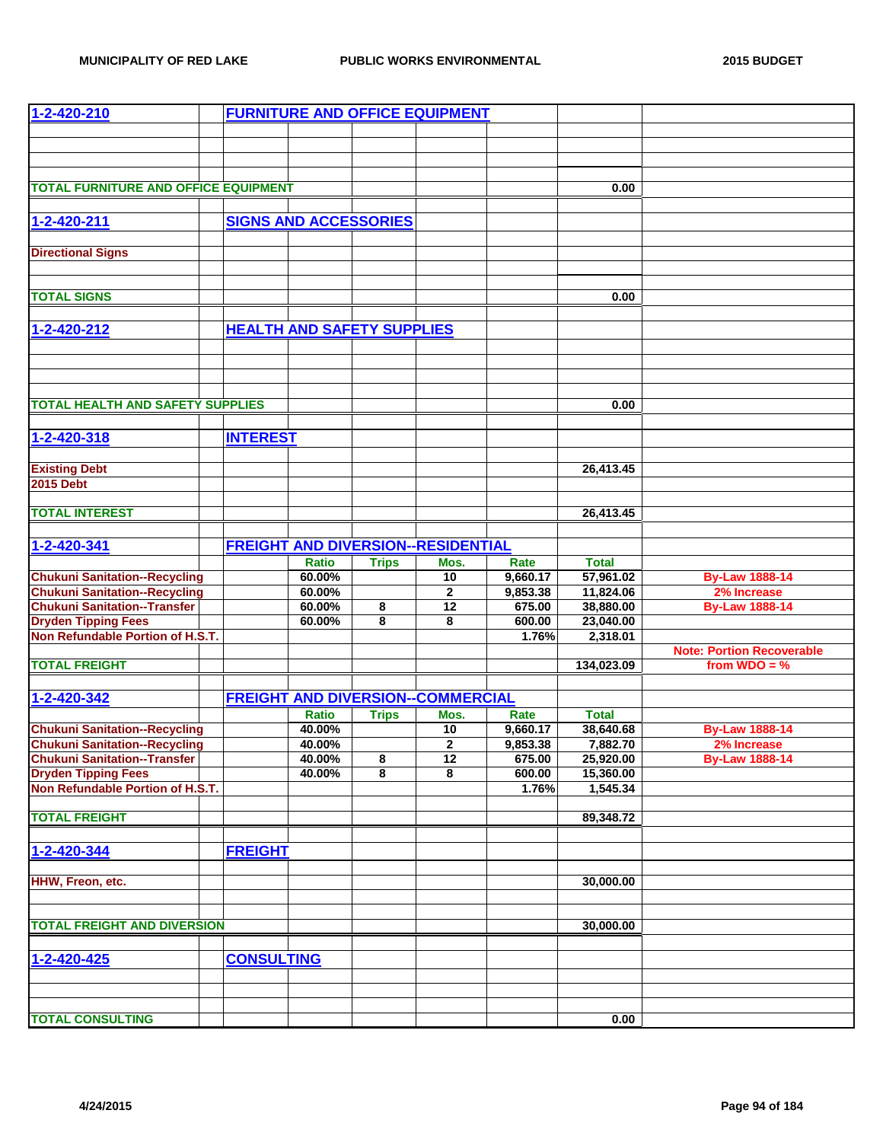| $1 - 2 - 420 - 210$                         |                              |                        |                                   | <b>FURNITURE AND OFFICE EQUIPMENT</b>     |                  |                           |                                  |
|---------------------------------------------|------------------------------|------------------------|-----------------------------------|-------------------------------------------|------------------|---------------------------|----------------------------------|
|                                             |                              |                        |                                   |                                           |                  |                           |                                  |
|                                             |                              |                        |                                   |                                           |                  |                           |                                  |
|                                             |                              |                        |                                   |                                           |                  |                           |                                  |
| <b>TOTAL FURNITURE AND OFFICE EQUIPMENT</b> |                              |                        |                                   |                                           |                  | 0.00                      |                                  |
|                                             |                              |                        |                                   |                                           |                  |                           |                                  |
| 1-2-420-211                                 | <b>SIGNS AND ACCESSORIES</b> |                        |                                   |                                           |                  |                           |                                  |
|                                             |                              |                        |                                   |                                           |                  |                           |                                  |
| <b>Directional Signs</b>                    |                              |                        |                                   |                                           |                  |                           |                                  |
|                                             |                              |                        |                                   |                                           |                  |                           |                                  |
|                                             |                              |                        |                                   |                                           |                  |                           |                                  |
| <b>TOTAL SIGNS</b>                          |                              |                        |                                   |                                           |                  | 0.00                      |                                  |
|                                             |                              |                        |                                   |                                           |                  |                           |                                  |
| 1-2-420-212                                 |                              |                        | <b>HEALTH AND SAFETY SUPPLIES</b> |                                           |                  |                           |                                  |
|                                             |                              |                        |                                   |                                           |                  |                           |                                  |
|                                             |                              |                        |                                   |                                           |                  |                           |                                  |
|                                             |                              |                        |                                   |                                           |                  |                           |                                  |
|                                             |                              |                        |                                   |                                           |                  |                           |                                  |
| <b>TOTAL HEALTH AND SAFETY SUPPLIES</b>     |                              |                        |                                   |                                           |                  | 0.00                      |                                  |
|                                             |                              |                        |                                   |                                           |                  |                           |                                  |
| 1-2-420-318                                 | <b>INTEREST</b>              |                        |                                   |                                           |                  |                           |                                  |
| <b>Existing Debt</b>                        |                              |                        |                                   |                                           |                  |                           |                                  |
| <b>2015 Debt</b>                            |                              |                        |                                   |                                           |                  | 26,413.45                 |                                  |
|                                             |                              |                        |                                   |                                           |                  |                           |                                  |
| <b>TOTAL INTEREST</b>                       |                              |                        |                                   |                                           |                  | 26,413.45                 |                                  |
|                                             |                              |                        |                                   |                                           |                  |                           |                                  |
| 1-2-420-341                                 |                              |                        |                                   | <b>FREIGHT AND DIVERSION--RESIDENTIAL</b> |                  |                           |                                  |
|                                             |                              | <b>Ratio</b>           | <b>Trips</b>                      | Mos.                                      | Rate             | <b>Total</b>              |                                  |
| <b>Chukuni Sanitation--Recycling</b>        |                              | 60.00%                 |                                   | $\overline{10}$                           | 9,660.17         | 57,961.02                 | <b>By-Law 1888-14</b>            |
| <b>Chukuni Sanitation--Recycling</b>        |                              | 60.00%                 |                                   | $\mathbf 2$                               | 9,853.38         | 11,824.06                 | 2% Increase                      |
| <b>Chukuni Sanitation--Transfer</b>         |                              | 60.00%                 | 8                                 | 12                                        | 675.00           | 38,880.00                 | <b>By-Law 1888-14</b>            |
| <b>Dryden Tipping Fees</b>                  |                              | 60.00%                 | 8                                 | 8                                         | 600.00           | 23,040.00                 |                                  |
| Non Refundable Portion of H.S.T.            |                              |                        |                                   |                                           | 1.76%            | 2,318.01                  |                                  |
|                                             |                              |                        |                                   |                                           |                  |                           | <b>Note: Portion Recoverable</b> |
| <b>TOTAL FREIGHT</b>                        |                              |                        |                                   |                                           |                  | 134,023.09                | from $WDO = %$                   |
|                                             |                              |                        |                                   |                                           |                  |                           |                                  |
| 1-2-420-342                                 |                              |                        |                                   | <b>FREIGHT AND DIVERSION--COMMERCIAL</b>  |                  |                           |                                  |
| <b>Chukuni Sanitation--Recycling</b>        |                              | <b>Ratio</b><br>40.00% | <b>Trips</b>                      | Mos.<br>10                                | Rate<br>9,660.17 | <b>Total</b><br>38,640.68 | <b>By-Law 1888-14</b>            |
| <b>Chukuni Sanitation--Recycling</b>        |                              | 40.00%                 |                                   | $\overline{2}$                            | 9,853.38         | 7,882.70                  | 2% Increase                      |
| <b>Chukuni Sanitation--Transfer</b>         |                              | 40.00%                 | 8                                 | 12                                        | 675.00           | 25,920.00                 | <b>By-Law 1888-14</b>            |
| <b>Dryden Tipping Fees</b>                  |                              | 40.00%                 | 8                                 | 8                                         | 600.00           | 15,360.00                 |                                  |
| Non Refundable Portion of H.S.T.            |                              |                        |                                   |                                           | 1.76%            | 1,545.34                  |                                  |
|                                             |                              |                        |                                   |                                           |                  |                           |                                  |
| <b>TOTAL FREIGHT</b>                        |                              |                        |                                   |                                           |                  | 89,348.72                 |                                  |
|                                             |                              |                        |                                   |                                           |                  |                           |                                  |
| 1-2-420-344                                 | <b>FREIGHT</b>               |                        |                                   |                                           |                  |                           |                                  |
|                                             |                              |                        |                                   |                                           |                  |                           |                                  |
| HHW, Freon, etc.                            |                              |                        |                                   |                                           |                  | 30,000.00                 |                                  |
|                                             |                              |                        |                                   |                                           |                  |                           |                                  |
| <b>TOTAL FREIGHT AND DIVERSION</b>          |                              |                        |                                   |                                           |                  |                           |                                  |
|                                             |                              |                        |                                   |                                           |                  | 30,000.00                 |                                  |
|                                             |                              |                        |                                   |                                           |                  |                           |                                  |
| 1-2-420-425                                 | <b>CONSULTING</b>            |                        |                                   |                                           |                  |                           |                                  |
|                                             |                              |                        |                                   |                                           |                  |                           |                                  |
|                                             |                              |                        |                                   |                                           |                  |                           |                                  |
| <b>TOTAL CONSULTING</b>                     |                              |                        |                                   |                                           |                  | 0.00                      |                                  |
|                                             |                              |                        |                                   |                                           |                  |                           |                                  |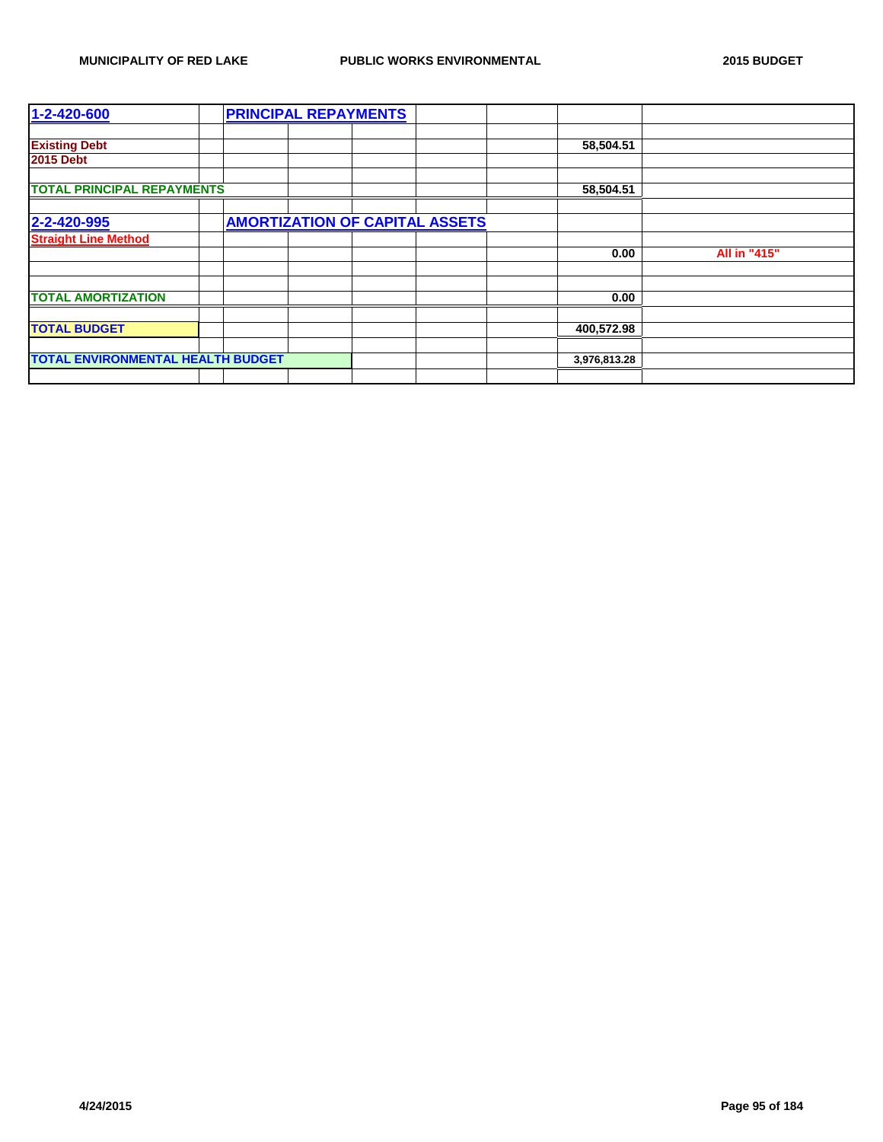| 1-2-420-600                              |  | <b>PRINCIPAL REPAYMENTS</b> |                                       |              |              |
|------------------------------------------|--|-----------------------------|---------------------------------------|--------------|--------------|
|                                          |  |                             |                                       |              |              |
| <b>Existing Debt</b>                     |  |                             |                                       | 58,504.51    |              |
| <b>2015 Debt</b>                         |  |                             |                                       |              |              |
|                                          |  |                             |                                       |              |              |
| <b>TOTAL PRINCIPAL REPAYMENTS</b>        |  |                             |                                       | 58,504.51    |              |
|                                          |  |                             |                                       |              |              |
| 2-2-420-995                              |  |                             | <b>AMORTIZATION OF CAPITAL ASSETS</b> |              |              |
| <b>Straight Line Method</b>              |  |                             |                                       |              |              |
|                                          |  |                             |                                       | 0.00         | All in "415" |
|                                          |  |                             |                                       |              |              |
|                                          |  |                             |                                       |              |              |
| <b>TOTAL AMORTIZATION</b>                |  |                             |                                       | 0.00         |              |
|                                          |  |                             |                                       |              |              |
| <b>TOTAL BUDGET</b>                      |  |                             |                                       | 400,572.98   |              |
|                                          |  |                             |                                       |              |              |
| <b>TOTAL ENVIRONMENTAL HEALTH BUDGET</b> |  |                             |                                       | 3,976,813.28 |              |
|                                          |  |                             |                                       |              |              |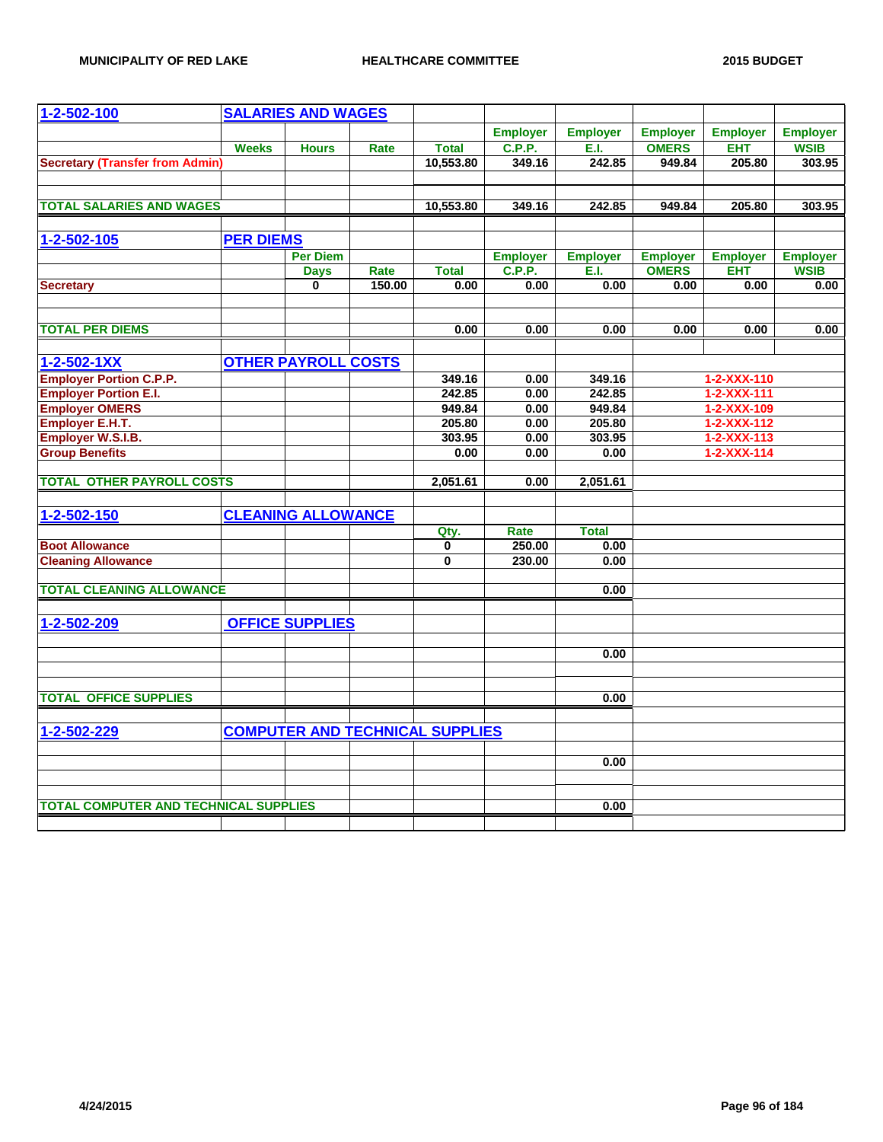| 1-2-502-100                                  |                  | <b>SALARIES AND WAGES</b>  |        |                                        |                 |                  |                 |                                    |                                |
|----------------------------------------------|------------------|----------------------------|--------|----------------------------------------|-----------------|------------------|-----------------|------------------------------------|--------------------------------|
|                                              |                  |                            |        |                                        | <b>Employer</b> | <b>Employer</b>  | <b>Employer</b> | <b>Employer</b>                    | <b>Employer</b>                |
|                                              | <b>Weeks</b>     | <b>Hours</b>               | Rate   | <b>Total</b>                           | <b>C.P.P.</b>   | E.I.             | <b>OMERS</b>    | <b>EHT</b>                         | <b>WSIB</b>                    |
| <b>Secretary (Transfer from Admin)</b>       |                  |                            |        | 10,553.80                              | 349.16          | 242.85           | 949.84          | 205.80                             | 303.95                         |
|                                              |                  |                            |        |                                        |                 |                  |                 |                                    |                                |
| <b>TOTAL SALARIES AND WAGES</b>              |                  |                            |        | 10,553.80                              | 349.16          | 242.85           | 949.84          | 205.80                             | 303.95                         |
| 1-2-502-105                                  | <b>PER DIEMS</b> |                            |        |                                        |                 |                  |                 |                                    |                                |
|                                              |                  | <b>Per Diem</b>            |        |                                        | <b>Employer</b> | <b>Employer</b>  | <b>Employer</b> | <b>Employer</b>                    |                                |
|                                              |                  | <b>Days</b>                | Rate   | <b>Total</b>                           | <b>C.P.P.</b>   | E.I.             | <b>OMERS</b>    | <b>EHT</b>                         | <b>Employer</b><br><b>WSIB</b> |
| <b>Secretary</b>                             |                  | $\mathbf{0}$               | 150.00 | 0.00                                   | 0.00            | 0.00             | 0.00            | 0.00                               | 0.00                           |
|                                              |                  |                            |        |                                        |                 |                  |                 |                                    |                                |
| <b>TOTAL PER DIEMS</b>                       |                  |                            |        | 0.00                                   | 0.00            | 0.00             | 0.00            | 0.00                               | 0.00                           |
| $1 - 2 - 502 - 1XX$                          |                  | <b>OTHER PAYROLL COSTS</b> |        |                                        |                 |                  |                 |                                    |                                |
| <b>Employer Portion C.P.P.</b>               |                  |                            |        |                                        | 0.00            |                  |                 |                                    |                                |
| <b>Employer Portion E.I.</b>                 |                  |                            |        | 349.16<br>242.85                       | 0.00            | 349.16<br>242.85 |                 | 1-2-XXX-110<br>$1 - 2 - XXX - 111$ |                                |
| <b>Employer OMERS</b>                        |                  |                            |        | 949.84                                 | 0.00            | 949.84           |                 | $1 - 2 - XXX - 109$                |                                |
| Employer E.H.T.                              |                  |                            |        | 205.80                                 | 0.00            | 205.80           |                 | $1 - 2 - XXX - 112$                |                                |
| <b>Employer W.S.I.B.</b>                     |                  |                            |        | 303.95                                 | 0.00            | 303.95           |                 | $1 - 2 - XXX - 113$                |                                |
| <b>Group Benefits</b>                        |                  |                            |        | 0.00                                   | 0.00            | 0.00             |                 | $1 - 2 - XXX - 114$                |                                |
|                                              |                  |                            |        |                                        |                 |                  |                 |                                    |                                |
| <b>TOTAL OTHER PAYROLL COSTS</b>             |                  |                            |        | 2,051.61                               | 0.00            | 2,051.61         |                 |                                    |                                |
| 1-2-502-150                                  |                  | <b>CLEANING ALLOWANCE</b>  |        |                                        |                 |                  |                 |                                    |                                |
|                                              |                  |                            |        | Qty.                                   | Rate            | <b>Total</b>     |                 |                                    |                                |
| <b>Boot Allowance</b>                        |                  |                            |        | 0                                      | 250.00          | 0.00             |                 |                                    |                                |
| <b>Cleaning Allowance</b>                    |                  |                            |        | 0                                      | 230.00          | 0.00             |                 |                                    |                                |
|                                              |                  |                            |        |                                        |                 |                  |                 |                                    |                                |
| <b>TOTAL CLEANING ALLOWANCE</b>              |                  |                            |        |                                        |                 | 0.00             |                 |                                    |                                |
| 1-2-502-209                                  |                  | <b>OFFICE SUPPLIES</b>     |        |                                        |                 |                  |                 |                                    |                                |
|                                              |                  |                            |        |                                        |                 |                  |                 |                                    |                                |
|                                              |                  |                            |        |                                        |                 | 0.00             |                 |                                    |                                |
|                                              |                  |                            |        |                                        |                 |                  |                 |                                    |                                |
| <b>TOTAL OFFICE SUPPLIES</b>                 |                  |                            |        |                                        |                 | 0.00             |                 |                                    |                                |
|                                              |                  |                            |        |                                        |                 |                  |                 |                                    |                                |
| 1-2-502-229                                  |                  |                            |        | <b>COMPUTER AND TECHNICAL SUPPLIES</b> |                 |                  |                 |                                    |                                |
|                                              |                  |                            |        |                                        |                 |                  |                 |                                    |                                |
|                                              |                  |                            |        |                                        |                 | 0.00             |                 |                                    |                                |
|                                              |                  |                            |        |                                        |                 |                  |                 |                                    |                                |
| <b>TOTAL COMPUTER AND TECHNICAL SUPPLIES</b> |                  |                            |        |                                        |                 | 0.00             |                 |                                    |                                |
|                                              |                  |                            |        |                                        |                 |                  |                 |                                    |                                |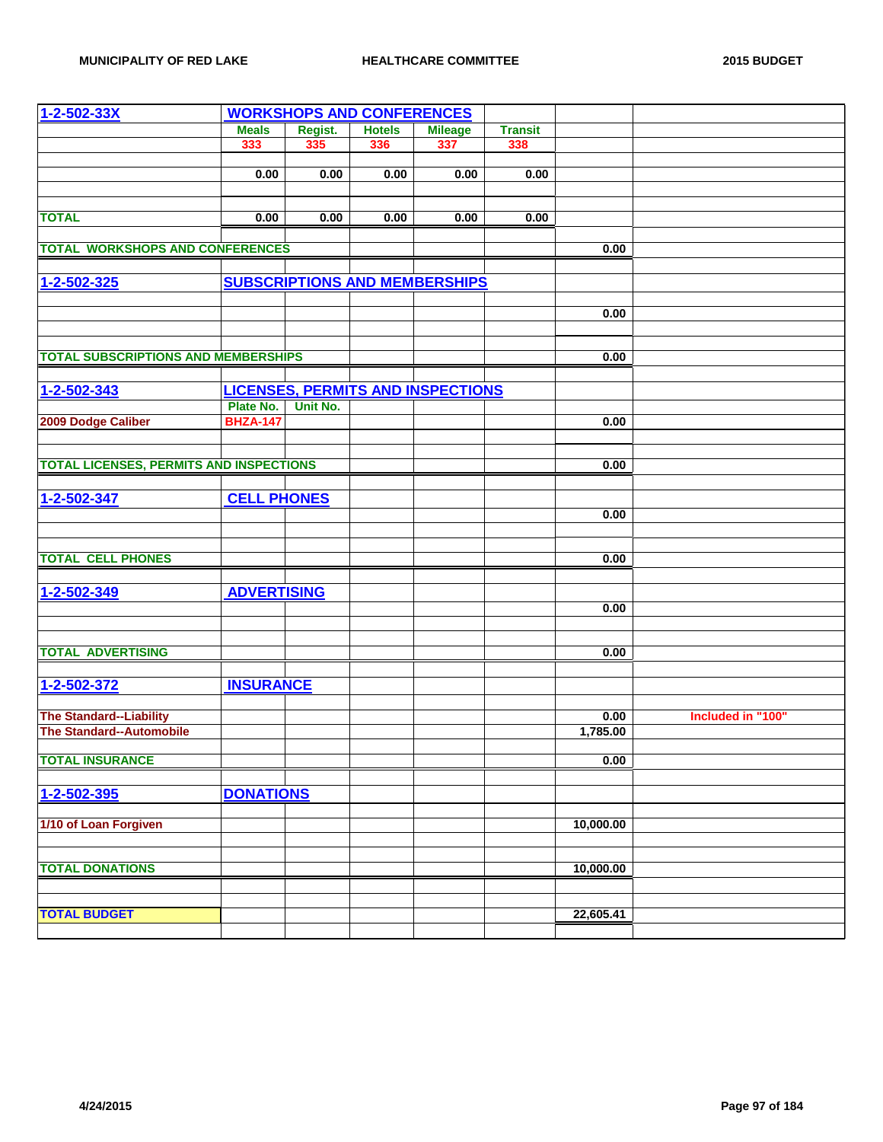| $1 - 2 - 502 - 33X$                            |                    | <b>WORKSHOPS AND CONFERENCES</b> |               |                                          |                |           |                   |
|------------------------------------------------|--------------------|----------------------------------|---------------|------------------------------------------|----------------|-----------|-------------------|
|                                                | <b>Meals</b>       | Regist.                          | <b>Hotels</b> | <b>Mileage</b>                           | <b>Transit</b> |           |                   |
|                                                | 333                | 335                              | 336           | 337                                      | 338            |           |                   |
|                                                |                    |                                  |               |                                          |                |           |                   |
|                                                | 0.00               | 0.00                             | 0.00          | 0.00                                     | 0.00           |           |                   |
|                                                |                    |                                  |               |                                          |                |           |                   |
| <b>TOTAL</b>                                   | 0.00               | 0.00                             | 0.00          | 0.00                                     | 0.00           |           |                   |
|                                                |                    |                                  |               |                                          |                |           |                   |
| <b>TOTAL WORKSHOPS AND CONFERENCES</b>         |                    |                                  |               |                                          |                | 0.00      |                   |
|                                                |                    |                                  |               |                                          |                |           |                   |
| 1-2-502-325                                    |                    |                                  |               | <b>SUBSCRIPTIONS AND MEMBERSHIPS</b>     |                |           |                   |
|                                                |                    |                                  |               |                                          |                |           |                   |
|                                                |                    |                                  |               |                                          |                | 0.00      |                   |
|                                                |                    |                                  |               |                                          |                |           |                   |
|                                                |                    |                                  |               |                                          |                |           |                   |
| <b>TOTAL SUBSCRIPTIONS AND MEMBERSHIPS</b>     |                    |                                  |               |                                          |                | 0.00      |                   |
|                                                |                    |                                  |               |                                          |                |           |                   |
| 1-2-502-343                                    |                    |                                  |               | <b>LICENSES, PERMITS AND INSPECTIONS</b> |                |           |                   |
|                                                | Plate No.          | Unit No.                         |               |                                          |                |           |                   |
| 2009 Dodge Caliber                             | <b>BHZA-147</b>    |                                  |               |                                          |                | 0.00      |                   |
|                                                |                    |                                  |               |                                          |                |           |                   |
| <b>TOTAL LICENSES, PERMITS AND INSPECTIONS</b> |                    |                                  |               |                                          |                | 0.00      |                   |
|                                                |                    |                                  |               |                                          |                |           |                   |
| 1-2-502-347                                    | <b>CELL PHONES</b> |                                  |               |                                          |                |           |                   |
|                                                |                    |                                  |               |                                          |                | 0.00      |                   |
|                                                |                    |                                  |               |                                          |                |           |                   |
|                                                |                    |                                  |               |                                          |                |           |                   |
| <b>TOTAL CELL PHONES</b>                       |                    |                                  |               |                                          |                | 0.00      |                   |
|                                                |                    |                                  |               |                                          |                |           |                   |
| 1-2-502-349                                    | <b>ADVERTISING</b> |                                  |               |                                          |                |           |                   |
|                                                |                    |                                  |               |                                          |                | 0.00      |                   |
|                                                |                    |                                  |               |                                          |                |           |                   |
|                                                |                    |                                  |               |                                          |                |           |                   |
| <b>TOTAL ADVERTISING</b>                       |                    |                                  |               |                                          |                | 0.00      |                   |
|                                                |                    |                                  |               |                                          |                |           |                   |
| 1-2-502-372                                    | <b>INSURANCE</b>   |                                  |               |                                          |                |           |                   |
|                                                |                    |                                  |               |                                          |                |           |                   |
| <b>The Standard--Liability</b>                 |                    |                                  |               |                                          |                | 0.00      | Included in "100" |
| <b>The Standard--Automobile</b>                |                    |                                  |               |                                          |                | 1,785.00  |                   |
| <b>TOTAL INSURANCE</b>                         |                    |                                  |               |                                          |                | 0.00      |                   |
|                                                |                    |                                  |               |                                          |                |           |                   |
| 1-2-502-395                                    | <b>DONATIONS</b>   |                                  |               |                                          |                |           |                   |
|                                                |                    |                                  |               |                                          |                |           |                   |
| 1/10 of Loan Forgiven                          |                    |                                  |               |                                          |                | 10,000.00 |                   |
|                                                |                    |                                  |               |                                          |                |           |                   |
|                                                |                    |                                  |               |                                          |                |           |                   |
| <b>TOTAL DONATIONS</b>                         |                    |                                  |               |                                          |                | 10,000.00 |                   |
|                                                |                    |                                  |               |                                          |                |           |                   |
|                                                |                    |                                  |               |                                          |                |           |                   |
| <b>TOTAL BUDGET</b>                            |                    |                                  |               |                                          |                | 22,605.41 |                   |
|                                                |                    |                                  |               |                                          |                |           |                   |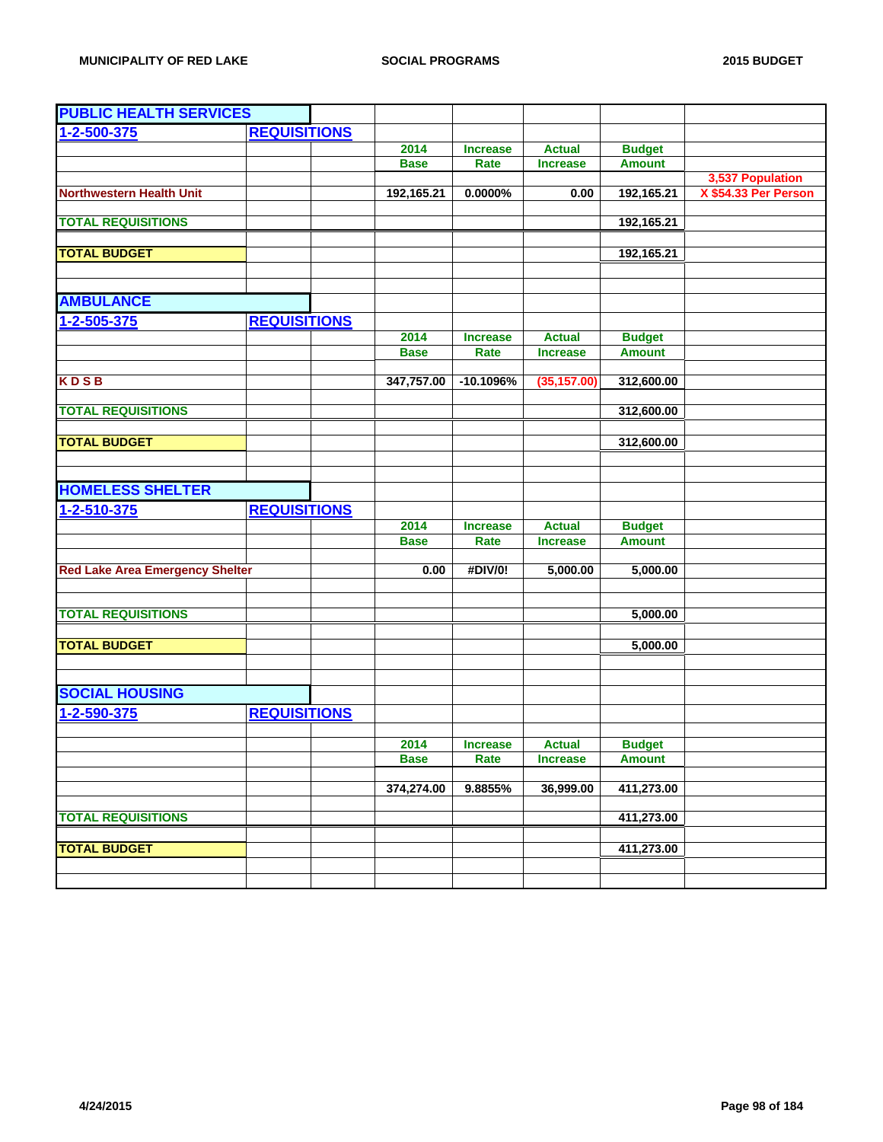| <b>PUBLIC HEALTH SERVICES</b>          |                     |             |                 |                 |               |                                          |
|----------------------------------------|---------------------|-------------|-----------------|-----------------|---------------|------------------------------------------|
| 1-2-500-375                            | <b>REQUISITIONS</b> |             |                 |                 |               |                                          |
|                                        |                     | 2014        | <b>Increase</b> | <b>Actual</b>   | <b>Budget</b> |                                          |
|                                        |                     | <b>Base</b> | Rate            | <b>Increase</b> | <b>Amount</b> |                                          |
| <b>Northwestern Health Unit</b>        |                     | 192,165.21  | $0.0000\%$      | 0.00            | 192,165.21    | 3,537 Population<br>X \$54.33 Per Person |
|                                        |                     |             |                 |                 |               |                                          |
| <b>TOTAL REQUISITIONS</b>              |                     |             |                 |                 | 192,165.21    |                                          |
|                                        |                     |             |                 |                 |               |                                          |
| <b>TOTAL BUDGET</b>                    |                     |             |                 |                 | 192,165.21    |                                          |
|                                        |                     |             |                 |                 |               |                                          |
| <b>AMBULANCE</b>                       |                     |             |                 |                 |               |                                          |
| 1-2-505-375                            | <b>REQUISITIONS</b> |             |                 |                 |               |                                          |
|                                        |                     | 2014        | <b>Increase</b> | <b>Actual</b>   | <b>Budget</b> |                                          |
|                                        |                     | <b>Base</b> | Rate            | <b>Increase</b> | <b>Amount</b> |                                          |
|                                        |                     |             |                 |                 |               |                                          |
| <b>KDSB</b>                            |                     | 347,757.00  | $-10.1096%$     | (35, 157.00)    | 312,600.00    |                                          |
| <b>TOTAL REQUISITIONS</b>              |                     |             |                 |                 | 312,600.00    |                                          |
|                                        |                     |             |                 |                 |               |                                          |
| <b>TOTAL BUDGET</b>                    |                     |             |                 |                 | 312,600.00    |                                          |
|                                        |                     |             |                 |                 |               |                                          |
|                                        |                     |             |                 |                 |               |                                          |
| <b>HOMELESS SHELTER</b>                |                     |             |                 |                 |               |                                          |
| 1-2-510-375                            | <b>REQUISITIONS</b> |             |                 |                 |               |                                          |
|                                        |                     | 2014        | <b>Increase</b> | <b>Actual</b>   | <b>Budget</b> |                                          |
|                                        |                     | <b>Base</b> | Rate            | <b>Increase</b> | <b>Amount</b> |                                          |
| <b>Red Lake Area Emergency Shelter</b> |                     | 0.00        | #DIV/0!         | 5,000.00        | 5,000.00      |                                          |
|                                        |                     |             |                 |                 |               |                                          |
|                                        |                     |             |                 |                 |               |                                          |
| <b>TOTAL REQUISITIONS</b>              |                     |             |                 |                 | 5,000.00      |                                          |
| <b>TOTAL BUDGET</b>                    |                     |             |                 |                 | 5,000.00      |                                          |
|                                        |                     |             |                 |                 |               |                                          |
|                                        |                     |             |                 |                 |               |                                          |
| <b>SOCIAL HOUSING</b>                  |                     |             |                 |                 |               |                                          |
| 1-2-590-375                            | <b>REQUISITIONS</b> |             |                 |                 |               |                                          |
|                                        |                     |             |                 |                 |               |                                          |
|                                        |                     | 2014        | <b>Increase</b> | <b>Actual</b>   | <b>Budget</b> |                                          |
|                                        |                     | <b>Base</b> | Rate            | <b>Increase</b> | <b>Amount</b> |                                          |
|                                        |                     | 374,274.00  | 9.8855%         | 36,999.00       | 411,273.00    |                                          |
|                                        |                     |             |                 |                 |               |                                          |
| <b>TOTAL REQUISITIONS</b>              |                     |             |                 |                 | 411,273.00    |                                          |
|                                        |                     |             |                 |                 |               |                                          |
| <b>TOTAL BUDGET</b>                    |                     |             |                 |                 | 411,273.00    |                                          |
|                                        |                     |             |                 |                 |               |                                          |
|                                        |                     |             |                 |                 |               |                                          |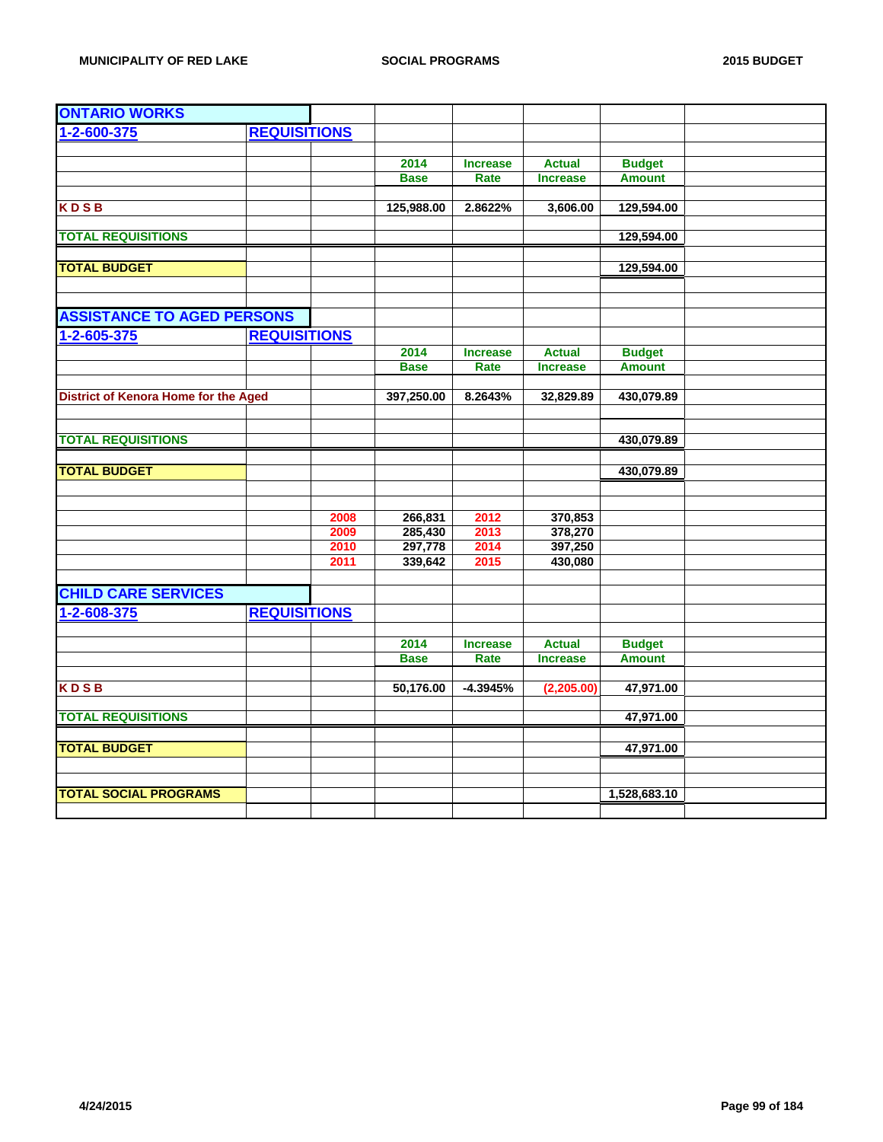| <b>ONTARIO WORKS</b>                        |                     |      |             |                 |                 |               |  |
|---------------------------------------------|---------------------|------|-------------|-----------------|-----------------|---------------|--|
| 1-2-600-375                                 | <b>REQUISITIONS</b> |      |             |                 |                 |               |  |
|                                             |                     |      |             |                 |                 |               |  |
|                                             |                     |      | 2014        | <b>Increase</b> | <b>Actual</b>   | <b>Budget</b> |  |
|                                             |                     |      | <b>Base</b> | Rate            | <b>Increase</b> | <b>Amount</b> |  |
|                                             |                     |      |             |                 |                 |               |  |
| <b>KDSB</b>                                 |                     |      | 125,988.00  | 2.8622%         | 3,606.00        | 129,594.00    |  |
| <b>TOTAL REQUISITIONS</b>                   |                     |      |             |                 |                 | 129,594.00    |  |
|                                             |                     |      |             |                 |                 |               |  |
| <b>TOTAL BUDGET</b>                         |                     |      |             |                 |                 | 129,594.00    |  |
|                                             |                     |      |             |                 |                 |               |  |
|                                             |                     |      |             |                 |                 |               |  |
| <b>ASSISTANCE TO AGED PERSONS</b>           |                     |      |             |                 |                 |               |  |
| 1-2-605-375                                 | <b>REQUISITIONS</b> |      |             |                 |                 |               |  |
|                                             |                     |      | 2014        | <b>Increase</b> | <b>Actual</b>   | <b>Budget</b> |  |
|                                             |                     |      | <b>Base</b> | Rate            | <b>Increase</b> | <b>Amount</b> |  |
|                                             |                     |      |             |                 |                 |               |  |
| <b>District of Kenora Home for the Aged</b> |                     |      | 397,250.00  | 8.2643%         | 32,829.89       | 430,079.89    |  |
|                                             |                     |      |             |                 |                 |               |  |
|                                             |                     |      |             |                 |                 |               |  |
| <b>TOTAL REQUISITIONS</b>                   |                     |      |             |                 |                 | 430,079.89    |  |
| <b>TOTAL BUDGET</b>                         |                     |      |             |                 |                 | 430,079.89    |  |
|                                             |                     |      |             |                 |                 |               |  |
|                                             |                     |      |             |                 |                 |               |  |
|                                             |                     | 2008 | 266,831     | 2012            | 370,853         |               |  |
|                                             |                     | 2009 | 285,430     | 2013            | 378,270         |               |  |
|                                             |                     | 2010 | 297,778     | 2014            | 397,250         |               |  |
|                                             |                     | 2011 | 339,642     | 2015            | 430,080         |               |  |
|                                             |                     |      |             |                 |                 |               |  |
| <b>CHILD CARE SERVICES</b>                  |                     |      |             |                 |                 |               |  |
| 1-2-608-375                                 | <b>REQUISITIONS</b> |      |             |                 |                 |               |  |
|                                             |                     |      |             |                 |                 |               |  |
|                                             |                     |      | 2014        | <b>Increase</b> | <b>Actual</b>   | <b>Budget</b> |  |
|                                             |                     |      | <b>Base</b> | Rate            | <b>Increase</b> | <b>Amount</b> |  |
|                                             |                     |      |             |                 |                 |               |  |
| <b>KDSB</b>                                 |                     |      | 50,176.00   | $-4.3945%$      | (2,205.00)      | 47,971.00     |  |
| <b>TOTAL REQUISITIONS</b>                   |                     |      |             |                 |                 | 47,971.00     |  |
|                                             |                     |      |             |                 |                 |               |  |
| <b>TOTAL BUDGET</b>                         |                     |      |             |                 |                 | 47,971.00     |  |
|                                             |                     |      |             |                 |                 |               |  |
|                                             |                     |      |             |                 |                 |               |  |
| <b>TOTAL SOCIAL PROGRAMS</b>                |                     |      |             |                 |                 | 1,528,683.10  |  |
|                                             |                     |      |             |                 |                 |               |  |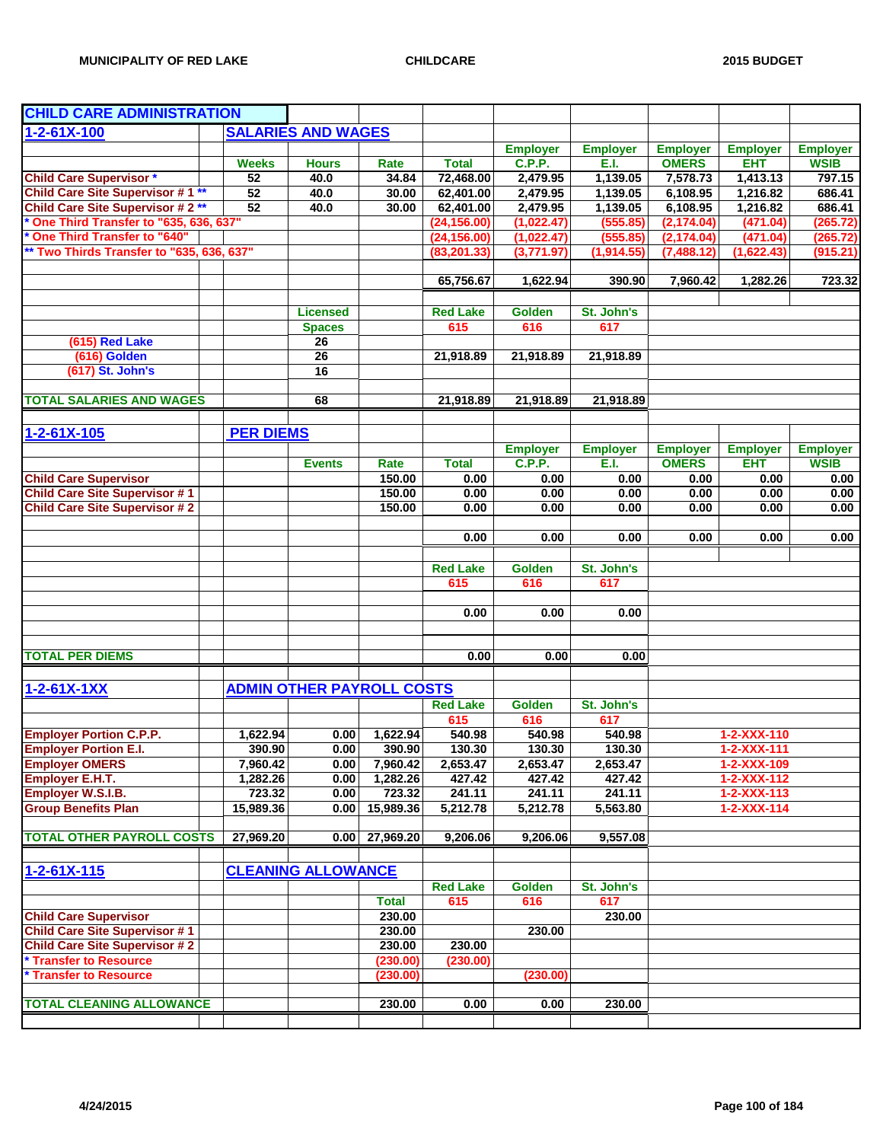| <b>CHILD CARE ADMINISTRATION</b>          |                      |                                  |                      |                    |                 |                    |                 |                            |                 |
|-------------------------------------------|----------------------|----------------------------------|----------------------|--------------------|-----------------|--------------------|-----------------|----------------------------|-----------------|
| $1 - 2 - 61X - 100$                       |                      | <b>SALARIES AND WAGES</b>        |                      |                    |                 |                    |                 |                            |                 |
|                                           |                      |                                  |                      |                    | <b>Employer</b> | <b>Employer</b>    | <b>Employer</b> | <b>Employer</b>            | <b>Employer</b> |
|                                           | <b>Weeks</b>         | <b>Hours</b>                     | Rate                 | <b>Total</b>       | C.P.P.          | E.I.               | <b>OMERS</b>    | <b>EHT</b>                 | <b>WSIB</b>     |
| <b>Child Care Supervisor *</b>            | 52                   | 40.0                             | 34.84                | 72,468.00          | 2,479.95        | 1,139.05           | 7,578.73        | 1,413.13                   | 797.15          |
| Child Care Site Supervisor #1**           | 52                   | 40.0                             | 30.00                | 62,401.00          | 2,479.95        | 1,139.05           | 6,108.95        | 1,216.82                   | 686.41          |
| <b>Child Care Site Supervisor #2**</b>    | 52                   | 40.0                             | 30.00                | 62,401.00          | 2,479.95        | 1,139.05           | 6,108.95        | 1,216.82                   | 686.41          |
| One Third Transfer to "635, 636, 637"     |                      |                                  |                      | (24, 156.00)       | (1,022.47)      | (555.85)           | (2, 174.04)     | (471.04)                   | (265.72)        |
| <b>One Third Transfer to "640"</b>        |                      |                                  |                      | (24, 156.00)       | (1,022.47)      | (555.85)           | (2, 174.04)     | (471.04)                   | (265.72)        |
| ** Two Thirds Transfer to "635, 636, 637" |                      |                                  |                      | (83, 201.33)       | (3,771.97)      | (1,914.55)         | (7,488.12)      | (1,622.43)                 | (915.21)        |
|                                           |                      |                                  |                      |                    |                 |                    |                 |                            |                 |
|                                           |                      |                                  |                      | 65,756.67          | 1,622.94        | 390.90             | 7,960.42        | 1,282.26                   | 723.32          |
|                                           |                      |                                  |                      |                    |                 |                    |                 |                            |                 |
|                                           |                      | <b>Licensed</b>                  |                      | <b>Red Lake</b>    | <b>Golden</b>   | St. John's         |                 |                            |                 |
|                                           |                      | <b>Spaces</b>                    |                      | 615                | 616             | 617                |                 |                            |                 |
| (615) Red Lake                            |                      | 26                               |                      |                    |                 |                    |                 |                            |                 |
| (616) Golden                              |                      | $\overline{26}$                  |                      | 21,918.89          | 21,918.89       | 21,918.89          |                 |                            |                 |
| (617) St. John's                          |                      | 16                               |                      |                    |                 |                    |                 |                            |                 |
|                                           |                      |                                  |                      |                    |                 |                    |                 |                            |                 |
| <b>TOTAL SALARIES AND WAGES</b>           |                      | 68                               |                      | 21,918.89          | 21,918.89       | 21,918.89          |                 |                            |                 |
|                                           |                      |                                  |                      |                    |                 |                    |                 |                            |                 |
| $1 - 2 - 61X - 105$                       | <b>PER DIEMS</b>     |                                  |                      |                    |                 |                    |                 |                            |                 |
|                                           |                      |                                  |                      |                    | <b>Employer</b> | <b>Employer</b>    | <b>Employer</b> | <b>Employer</b>            | <b>Employer</b> |
|                                           |                      | <b>Events</b>                    | Rate                 | <b>Total</b>       | C.P.P.          | E.I.               | <b>OMERS</b>    | <b>EHT</b>                 | <b>WSIB</b>     |
| <b>Child Care Supervisor</b>              |                      |                                  | 150.00               | 0.00               | 0.00            | 0.00               | 0.00            | 0.00                       | 0.00            |
| <b>Child Care Site Supervisor #1</b>      |                      |                                  | 150.00               | 0.00               | 0.00            | 0.00               | 0.00            | 0.00                       | 0.00            |
| <b>Child Care Site Supervisor #2</b>      |                      |                                  | 150.00               | 0.00               | 0.00            | 0.00               | 0.00            | 0.00                       | 0.00            |
|                                           |                      |                                  |                      |                    |                 |                    |                 |                            |                 |
|                                           |                      |                                  |                      | 0.00               | 0.00            | 0.00               | 0.00            | 0.00                       | 0.00            |
|                                           |                      |                                  |                      |                    |                 |                    |                 |                            |                 |
|                                           |                      |                                  |                      | <b>Red Lake</b>    | <b>Golden</b>   | St. John's         |                 |                            |                 |
|                                           |                      |                                  |                      | 615                | 616             | 617                |                 |                            |                 |
|                                           |                      |                                  |                      |                    |                 |                    |                 |                            |                 |
|                                           |                      |                                  |                      | 0.00               | 0.00            | 0.00               |                 |                            |                 |
|                                           |                      |                                  |                      |                    |                 |                    |                 |                            |                 |
|                                           |                      |                                  |                      |                    |                 |                    |                 |                            |                 |
| <b>TOTAL PER DIEMS</b>                    |                      |                                  |                      | 0.00               | 0.00            | 0.00               |                 |                            |                 |
|                                           |                      |                                  |                      |                    |                 |                    |                 |                            |                 |
| $1 - 2 - 61X - 1XX$                       |                      | <b>ADMIN OTHER PAYROLL COSTS</b> |                      |                    |                 |                    |                 |                            |                 |
|                                           |                      |                                  |                      | <b>Red Lake</b>    | <b>Golden</b>   | St. John's         |                 |                            |                 |
|                                           |                      |                                  |                      | 615                | 616             | 617                |                 |                            |                 |
| <b>Employer Portion C.P.P.</b>            |                      | 0.00                             |                      | 540.98             | 540.98          | $\frac{1}{540.98}$ |                 | 1-2-XXX-110                |                 |
| <b>Employer Portion E.I.</b>              | 1,622.94<br>390.90   | 0.00                             | 1,622.94<br>390.90   | 130.30             | 130.30          | 130.30             |                 | $1 - 2 - XXX - 111$        |                 |
| <b>Employer OMERS</b>                     |                      |                                  |                      |                    | 2,653.47        | 2,653.47           |                 |                            |                 |
| <b>Employer E.H.T.</b>                    | 7,960.42<br>1,282.26 | 0.00<br>0.00                     | 7,960.42<br>1,282.26 | 2,653.47<br>427.42 | 427.42          | 427.42             |                 | 1-2-XXX-109<br>1-2-XXX-112 |                 |
| Employer W.S.I.B.                         | 723.32               | 0.00                             | 723.32               | 241.11             | 241.11          | 241.11             |                 | $1 - 2 - XXX - 113$        |                 |
| <b>Group Benefits Plan</b>                | 15,989.36            | 0.00                             | 15,989.36            | 5,212.78           | 5,212.78        | 5,563.80           |                 | $1 - 2 - XXX - 114$        |                 |
|                                           |                      |                                  |                      |                    |                 |                    |                 |                            |                 |
| <b>TOTAL OTHER PAYROLL COSTS</b>          | 27,969.20            | 0.00                             | 27,969.20            | 9,206.06           | 9,206.06        | 9,557.08           |                 |                            |                 |
|                                           |                      |                                  |                      |                    |                 |                    |                 |                            |                 |
|                                           |                      |                                  |                      |                    |                 |                    |                 |                            |                 |
| $1 - 2 - 61X - 115$                       |                      | <b>CLEANING ALLOWANCE</b>        |                      |                    |                 |                    |                 |                            |                 |
|                                           |                      |                                  |                      | <b>Red Lake</b>    | <b>Golden</b>   | St. John's         |                 |                            |                 |
|                                           |                      |                                  | <b>Total</b>         | 615                | 616             | 617                |                 |                            |                 |
| <b>Child Care Supervisor</b>              |                      |                                  | 230.00               |                    |                 | 230.00             |                 |                            |                 |
| <b>Child Care Site Supervisor #1</b>      |                      |                                  | 230.00               |                    | 230.00          |                    |                 |                            |                 |
| <b>Child Care Site Supervisor #2</b>      |                      |                                  | 230.00               | 230.00             |                 |                    |                 |                            |                 |
| * Transfer to Resource                    |                      |                                  | (230.00)             | (230.00)           |                 |                    |                 |                            |                 |
| * Transfer to Resource                    |                      |                                  | (230.00)             |                    | (230.00)        |                    |                 |                            |                 |
|                                           |                      |                                  |                      |                    |                 |                    |                 |                            |                 |
| <b>TOTAL CLEANING ALLOWANCE</b>           |                      |                                  | 230.00               | 0.00               | 0.00            | 230.00             |                 |                            |                 |
|                                           |                      |                                  |                      |                    |                 |                    |                 |                            |                 |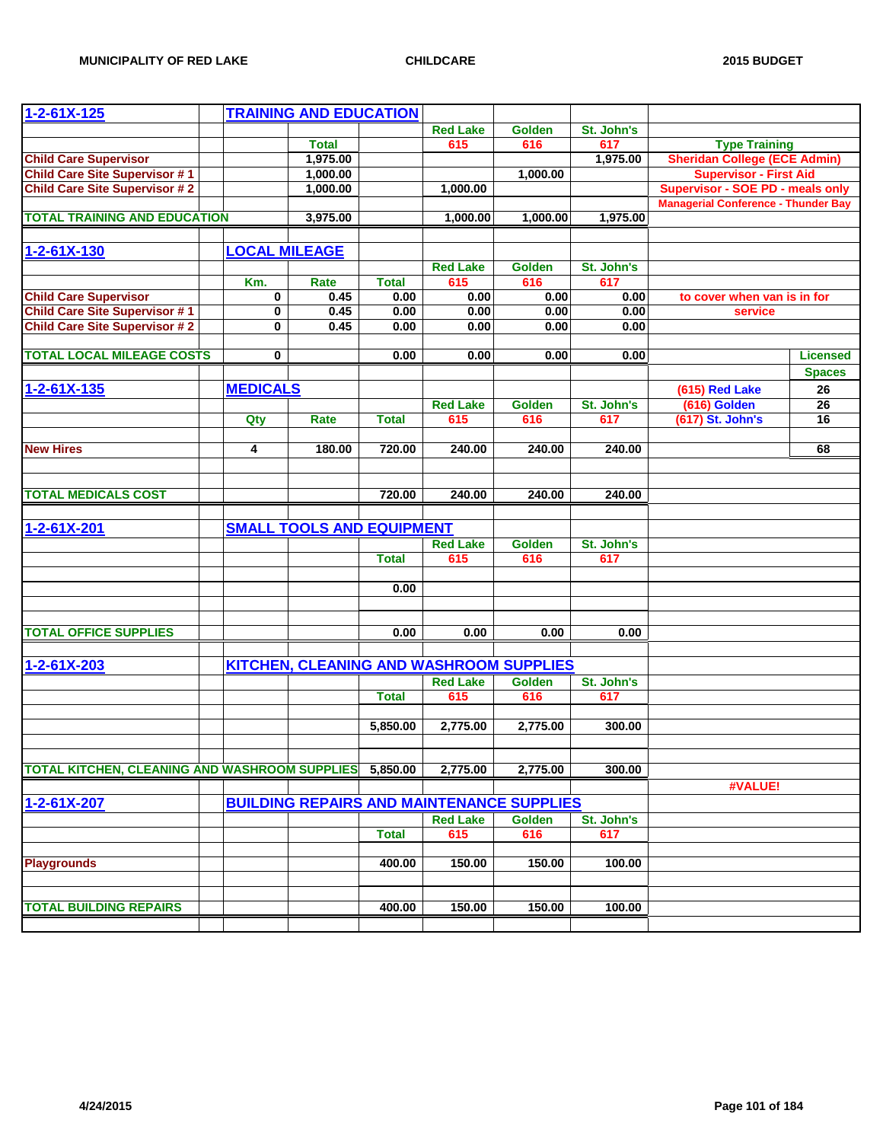| $1 - 2 - 61X - 125$                                    |                      | <b>TRAINING AND EDUCATION</b>    |              |                 |                                                  |            |                                            |                 |
|--------------------------------------------------------|----------------------|----------------------------------|--------------|-----------------|--------------------------------------------------|------------|--------------------------------------------|-----------------|
|                                                        |                      |                                  |              | <b>Red Lake</b> | <b>Golden</b>                                    | St. John's |                                            |                 |
|                                                        |                      | <b>Total</b>                     |              | 615             | 616                                              | 617        | <b>Type Training</b>                       |                 |
| <b>Child Care Supervisor</b>                           |                      | 1,975.00                         |              |                 |                                                  | 1,975.00   | <b>Sheridan College (ECE Admin)</b>        |                 |
| <b>Child Care Site Supervisor #1</b>                   |                      | 1,000.00                         |              |                 | 1,000.00                                         |            | <b>Supervisor - First Aid</b>              |                 |
| <b>Child Care Site Supervisor #2</b>                   |                      | 1,000.00                         |              | 1,000.00        |                                                  |            | <b>Supervisor - SOE PD - meals only</b>    |                 |
| <b>TOTAL TRAINING AND EDUCATION</b>                    |                      | 3,975.00                         |              | 1,000.00        | 1,000.00                                         | 1,975.00   | <b>Managerial Conference - Thunder Bay</b> |                 |
|                                                        |                      |                                  |              |                 |                                                  |            |                                            |                 |
| 1-2-61X-130                                            | <b>LOCAL MILEAGE</b> |                                  |              |                 |                                                  |            |                                            |                 |
|                                                        |                      |                                  |              | <b>Red Lake</b> | <b>Golden</b>                                    | St. John's |                                            |                 |
|                                                        | Km.                  | Rate                             | <b>Total</b> | 615             | 616                                              | 617        |                                            |                 |
| <b>Child Care Supervisor</b>                           | 0                    | 0.45                             | 0.00         | 0.00            | 0.00                                             | 0.00       | to cover when van is in for                |                 |
| <b>Child Care Site Supervisor #1</b>                   | 0                    | 0.45                             | 0.00         | 0.00            | 0.00                                             | 0.00       | service                                    |                 |
| <b>Child Care Site Supervisor #2</b>                   | $\mathbf 0$          | 0.45                             | 0.00         | 0.00            | 0.00                                             | 0.00       |                                            |                 |
| <b>TOTAL LOCAL MILEAGE COSTS</b>                       | 0                    |                                  | 0.00         | 0.00            | 0.00                                             | 0.00       |                                            | <b>Licensed</b> |
|                                                        |                      |                                  |              |                 |                                                  |            |                                            | <b>Spaces</b>   |
| $1 - 2 - 61X - 135$                                    | <b>MEDICALS</b>      |                                  |              |                 |                                                  |            | (615) Red Lake                             | 26              |
|                                                        |                      |                                  |              | <b>Red Lake</b> | <b>Golden</b>                                    | St. John's | (616) Golden                               | 26              |
|                                                        | Qty                  | Rate                             | <b>Total</b> | 615             | 616                                              | 617        | (617) St. John's                           | 16              |
|                                                        |                      |                                  |              |                 |                                                  |            |                                            |                 |
| <b>New Hires</b>                                       | 4                    | 180.00                           | 720.00       | 240.00          | 240.00                                           | 240.00     |                                            | 68              |
|                                                        |                      |                                  |              |                 |                                                  |            |                                            |                 |
| <b>TOTAL MEDICALS COST</b>                             |                      |                                  | 720.00       | 240.00          | 240.00                                           | 240.00     |                                            |                 |
|                                                        |                      |                                  |              |                 |                                                  |            |                                            |                 |
| $1 - 2 - 61X - 201$                                    |                      | <b>SMALL TOOLS AND EQUIPMENT</b> |              |                 |                                                  |            |                                            |                 |
|                                                        |                      |                                  |              | <b>Red Lake</b> | Golden                                           | St. John's |                                            |                 |
|                                                        |                      |                                  | <b>Total</b> | 615             | 616                                              | 617        |                                            |                 |
|                                                        |                      |                                  |              |                 |                                                  |            |                                            |                 |
|                                                        |                      |                                  | 0.00         |                 |                                                  |            |                                            |                 |
|                                                        |                      |                                  |              |                 |                                                  |            |                                            |                 |
| <b>TOTAL OFFICE SUPPLIES</b>                           |                      |                                  | 0.00         | 0.00            | 0.00                                             | 0.00       |                                            |                 |
|                                                        |                      |                                  |              |                 |                                                  |            |                                            |                 |
| $1 - 2 - 61X - 203$                                    |                      |                                  |              |                 | KITCHEN, CLEANING AND WASHROOM SUPPLIES          |            |                                            |                 |
|                                                        |                      |                                  |              | <b>Red Lake</b> | <b>Golden</b>                                    | St. John's |                                            |                 |
|                                                        |                      |                                  | <b>Total</b> | 615             | 616                                              | 617        |                                            |                 |
|                                                        |                      |                                  |              |                 |                                                  | 300.00     |                                            |                 |
|                                                        |                      |                                  | 5,850.00     | 2,775.00        | 2,775.00                                         |            |                                            |                 |
|                                                        |                      |                                  |              |                 |                                                  |            |                                            |                 |
| TOTAL KITCHEN, CLEANING AND WASHROOM SUPPLIES 5,850.00 |                      |                                  |              | 2,775.00        | 2,775.00                                         | 300.00     |                                            |                 |
|                                                        |                      |                                  |              |                 |                                                  |            | #VALUE!                                    |                 |
| 1-2-61X-207                                            |                      |                                  |              |                 | <b>BUILDING REPAIRS AND MAINTENANCE SUPPLIES</b> |            |                                            |                 |
|                                                        |                      |                                  |              | <b>Red Lake</b> | <b>Golden</b>                                    | St. John's |                                            |                 |
|                                                        |                      |                                  | <b>Total</b> | 615             | 616                                              | 617        |                                            |                 |
| <b>Playgrounds</b>                                     |                      |                                  | 400.00       | 150.00          | 150.00                                           | 100.00     |                                            |                 |
|                                                        |                      |                                  |              |                 |                                                  |            |                                            |                 |
|                                                        |                      |                                  |              |                 |                                                  |            |                                            |                 |
| <b>TOTAL BUILDING REPAIRS</b>                          |                      |                                  | 400.00       | 150.00          | 150.00                                           | 100.00     |                                            |                 |
|                                                        |                      |                                  |              |                 |                                                  |            |                                            |                 |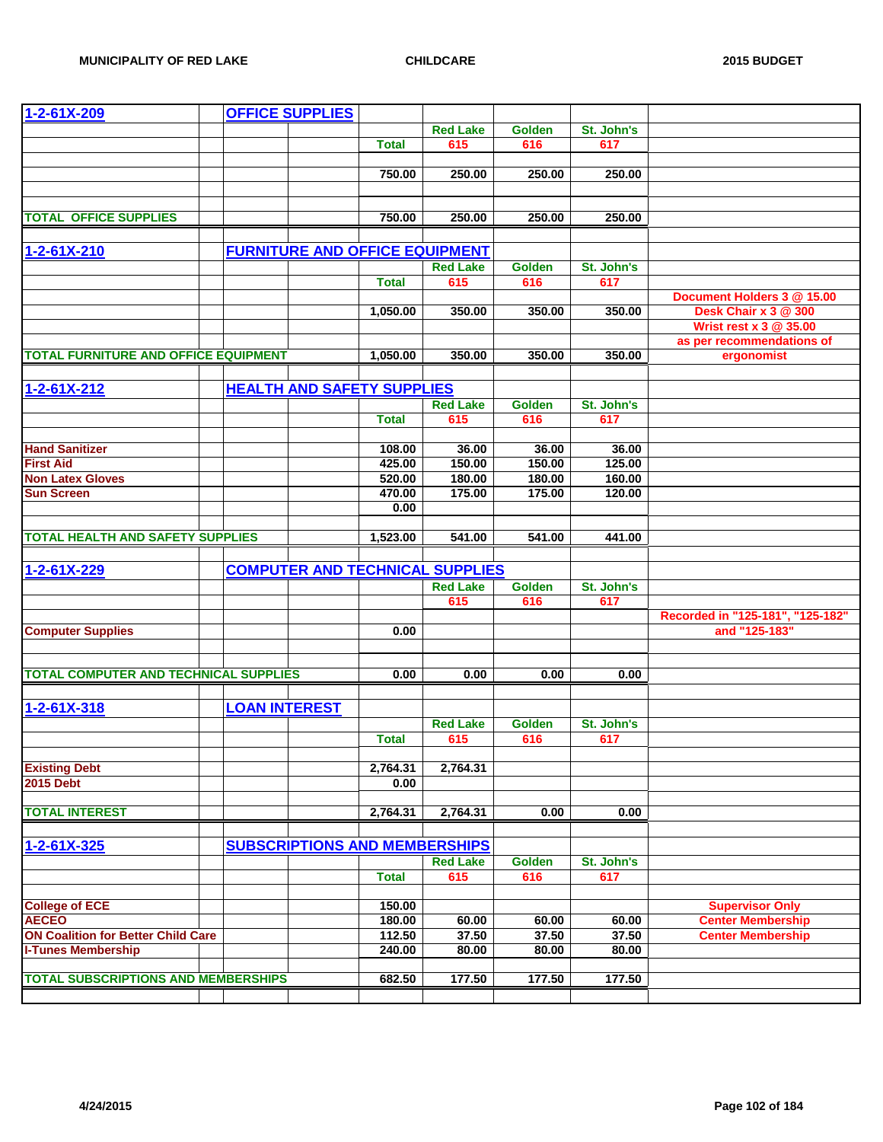| 1-2-61X-209                                  | <b>OFFICE SUPPLIES</b>                |                  |                                        |        |            |                                                    |
|----------------------------------------------|---------------------------------------|------------------|----------------------------------------|--------|------------|----------------------------------------------------|
|                                              |                                       |                  | <b>Red Lake</b>                        | Golden | St. John's |                                                    |
|                                              |                                       | <b>Total</b>     | 615                                    | 616    | 617        |                                                    |
|                                              |                                       | 750.00           | 250.00                                 | 250.00 | 250.00     |                                                    |
|                                              |                                       |                  |                                        |        |            |                                                    |
|                                              |                                       |                  |                                        |        |            |                                                    |
| <b>TOTAL OFFICE SUPPLIES</b>                 |                                       | 750.00           | 250.00                                 | 250.00 | 250.00     |                                                    |
|                                              |                                       |                  |                                        |        |            |                                                    |
| 1-2-61X-210                                  | <b>FURNITURE AND OFFICE EQUIPMENT</b> |                  |                                        |        |            |                                                    |
|                                              |                                       |                  | <b>Red Lake</b>                        | Golden | St. John's |                                                    |
|                                              |                                       | <b>Total</b>     | 615                                    | 616    | 617        |                                                    |
|                                              |                                       |                  |                                        |        |            | Document Holders 3 @ 15.00                         |
|                                              |                                       | 1,050.00         | 350.00                                 | 350.00 | 350.00     | Desk Chair x 3 @ 300<br>Wrist rest x 3 @ 35.00     |
|                                              |                                       |                  |                                        |        |            | as per recommendations of                          |
| <b>TOTAL FURNITURE AND OFFICE EQUIPMENT</b>  |                                       | 1,050.00         | 350.00                                 | 350.00 | 350.00     | ergonomist                                         |
|                                              |                                       |                  |                                        |        |            |                                                    |
| $1 - 2 - 61X - 212$                          | <b>HEALTH AND SAFETY SUPPLIES</b>     |                  |                                        |        |            |                                                    |
|                                              |                                       |                  | <b>Red Lake</b>                        | Golden | St. John's |                                                    |
|                                              |                                       | <b>Total</b>     | 615                                    | 616    | 617        |                                                    |
|                                              |                                       |                  |                                        |        |            |                                                    |
| <b>Hand Sanitizer</b>                        |                                       | 108.00           | 36.00                                  | 36.00  | 36.00      |                                                    |
| <b>First Aid</b>                             |                                       | 425.00           | 150.00                                 | 150.00 | 125.00     |                                                    |
| <b>Non Latex Gloves</b>                      |                                       | 520.00           | 180.00                                 | 180.00 | 160.00     |                                                    |
| <b>Sun Screen</b>                            |                                       | 470.00           | 175.00                                 | 175.00 | 120.00     |                                                    |
|                                              |                                       | 0.00             |                                        |        |            |                                                    |
|                                              |                                       |                  |                                        |        |            |                                                    |
| <b>TOTAL HEALTH AND SAFETY SUPPLIES</b>      |                                       | 1,523.00         | 541.00                                 | 541.00 | 441.00     |                                                    |
|                                              |                                       |                  |                                        |        |            |                                                    |
| $1 - 2 - 61X - 229$                          |                                       |                  | <b>COMPUTER AND TECHNICAL SUPPLIES</b> |        |            |                                                    |
|                                              |                                       |                  | <b>Red Lake</b>                        | Golden | St. John's |                                                    |
|                                              |                                       |                  | 615                                    | 616    | 617        |                                                    |
|                                              |                                       |                  |                                        |        |            | Recorded in "125-181", "125-182"<br>and "125-183"  |
| <b>Computer Supplies</b>                     |                                       | 0.00             |                                        |        |            |                                                    |
|                                              |                                       |                  |                                        |        |            |                                                    |
| <b>TOTAL COMPUTER AND TECHNICAL SUPPLIES</b> |                                       | 0.00             | 0.00                                   | 0.00   | 0.00       |                                                    |
|                                              |                                       |                  |                                        |        |            |                                                    |
| 1-2-61X-318                                  | <b>LOAN INTEREST</b>                  |                  |                                        |        |            |                                                    |
|                                              |                                       |                  | <b>Red Lake</b>                        | Golden | St. John's |                                                    |
|                                              |                                       | <b>Total</b>     | 615                                    | 616    | 617        |                                                    |
|                                              |                                       |                  |                                        |        |            |                                                    |
| <b>Existing Debt</b>                         |                                       | 2,764.31         | 2,764.31                               |        |            |                                                    |
| <b>2015 Debt</b>                             |                                       | 0.00             |                                        |        |            |                                                    |
|                                              |                                       |                  |                                        |        |            |                                                    |
| <b>TOTAL INTEREST</b>                        |                                       | 2,764.31         | 2,764.31                               | 0.00   | 0.00       |                                                    |
|                                              |                                       |                  |                                        |        |            |                                                    |
| 1-2-61X-325                                  | <b>SUBSCRIPTIONS AND MEMBERSHIPS</b>  |                  |                                        |        |            |                                                    |
|                                              |                                       |                  | <b>Red Lake</b>                        | Golden | St. John's |                                                    |
|                                              |                                       | <b>Total</b>     | 615                                    | 616    | 617        |                                                    |
| <b>College of ECE</b>                        |                                       |                  |                                        |        |            |                                                    |
| <b>AECEO</b>                                 |                                       | 150.00<br>180.00 | 60.00                                  | 60.00  | 60.00      | <b>Supervisor Only</b><br><b>Center Membership</b> |
| <b>ON Coalition for Better Child Care</b>    |                                       | 112.50           | 37.50                                  | 37.50  | 37.50      | <b>Center Membership</b>                           |
| <b>I-Tunes Membership</b>                    |                                       | 240.00           | 80.00                                  | 80.00  | 80.00      |                                                    |
|                                              |                                       |                  |                                        |        |            |                                                    |
| <b>TOTAL SUBSCRIPTIONS AND MEMBERSHIPS</b>   |                                       | 682.50           | 177.50                                 | 177.50 | 177.50     |                                                    |
|                                              |                                       |                  |                                        |        |            |                                                    |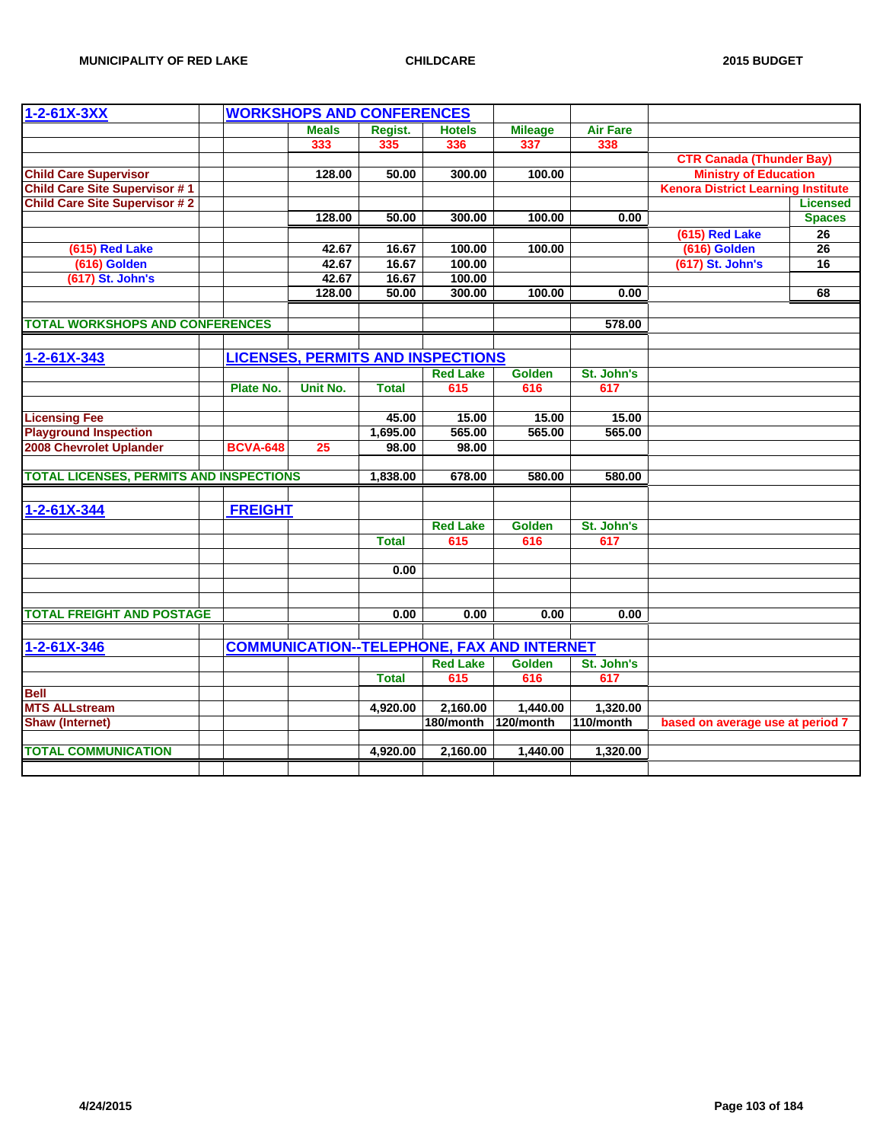| $1 - 2 - 61X - 3XX$                            |                 | <b>WORKSHOPS AND CONFERENCES</b>         |              |                        |                                                   |                   |                                           |                 |
|------------------------------------------------|-----------------|------------------------------------------|--------------|------------------------|---------------------------------------------------|-------------------|-------------------------------------------|-----------------|
|                                                |                 | <b>Meals</b>                             | Regist.      | <b>Hotels</b>          | <b>Mileage</b>                                    | <b>Air Fare</b>   |                                           |                 |
|                                                |                 | 333                                      | 335          | 336                    | 337                                               | 338               |                                           |                 |
|                                                |                 |                                          |              |                        |                                                   |                   | <b>CTR Canada (Thunder Bay)</b>           |                 |
| <b>Child Care Supervisor</b>                   |                 | 128.00                                   | 50.00        | 300.00                 | 100.00                                            |                   | <b>Ministry of Education</b>              |                 |
| <b>Child Care Site Supervisor #1</b>           |                 |                                          |              |                        |                                                   |                   | <b>Kenora District Learning Institute</b> |                 |
| <b>Child Care Site Supervisor #2</b>           |                 |                                          |              |                        |                                                   |                   |                                           | <b>Licensed</b> |
|                                                |                 | 128.00                                   | 50.00        | 300.00                 | 100.00                                            | 0.00              |                                           | <b>Spaces</b>   |
|                                                |                 |                                          |              |                        |                                                   |                   | (615) Red Lake                            | 26              |
| (615) Red Lake                                 |                 | 42.67                                    | 16.67        | 100.00                 | 100.00                                            |                   | (616) Golden                              | 26              |
| (616) Golden                                   |                 | 42.67                                    | 16.67        | 100.00                 |                                                   |                   | (617) St. John's                          | $\overline{16}$ |
| (617) St. John's                               |                 | 42.67                                    | 16.67        | 100.00                 |                                                   |                   |                                           |                 |
|                                                |                 | 128.00                                   | 50.00        | 300.00                 | 100.00                                            | 0.00              |                                           | 68              |
| <b>TOTAL WORKSHOPS AND CONFERENCES</b>         |                 |                                          |              |                        |                                                   | 578.00            |                                           |                 |
|                                                |                 |                                          |              |                        |                                                   |                   |                                           |                 |
| $1 - 2 - 61X - 343$                            |                 | <b>LICENSES, PERMITS AND INSPECTIONS</b> |              |                        |                                                   |                   |                                           |                 |
|                                                |                 |                                          |              |                        |                                                   |                   |                                           |                 |
|                                                | Plate No.       | <b>Unit No.</b>                          | <b>Total</b> | <b>Red Lake</b><br>615 | <b>Golden</b><br>616                              | St. John's<br>617 |                                           |                 |
|                                                |                 |                                          |              |                        |                                                   |                   |                                           |                 |
| <b>Licensing Fee</b>                           |                 |                                          | 45.00        | 15.00                  | 15.00                                             | 15.00             |                                           |                 |
| <b>Playground Inspection</b>                   |                 |                                          | 1,695.00     | 565.00                 | 565.00                                            | 565.00            |                                           |                 |
| 2008 Chevrolet Uplander                        | <b>BCVA-648</b> | 25                                       | 98.00        | 98.00                  |                                                   |                   |                                           |                 |
|                                                |                 |                                          |              |                        |                                                   |                   |                                           |                 |
| <b>TOTAL LICENSES, PERMITS AND INSPECTIONS</b> |                 |                                          | 1,838.00     | 678.00                 | 580.00                                            | 580.00            |                                           |                 |
|                                                |                 |                                          |              |                        |                                                   |                   |                                           |                 |
| 1-2-61X-344                                    | <b>FREIGHT</b>  |                                          |              |                        |                                                   |                   |                                           |                 |
|                                                |                 |                                          |              | <b>Red Lake</b>        | <b>Golden</b>                                     | St. John's        |                                           |                 |
|                                                |                 |                                          | <b>Total</b> | 615                    | 616                                               | 617               |                                           |                 |
|                                                |                 |                                          |              |                        |                                                   |                   |                                           |                 |
|                                                |                 |                                          | 0.00         |                        |                                                   |                   |                                           |                 |
|                                                |                 |                                          |              |                        |                                                   |                   |                                           |                 |
|                                                |                 |                                          |              |                        |                                                   |                   |                                           |                 |
| <b>TOTAL FREIGHT AND POSTAGE</b>               |                 |                                          | 0.00         | 0.00                   | 0.00                                              | 0.00              |                                           |                 |
| $1 - 2 - 61X - 346$                            |                 |                                          |              |                        | <b>COMMUNICATION--TELEPHONE, FAX AND INTERNET</b> |                   |                                           |                 |
|                                                |                 |                                          |              | <b>Red Lake</b>        | Golden                                            | St. John's        |                                           |                 |
|                                                |                 |                                          | <b>Total</b> | 615                    | 616                                               | 617               |                                           |                 |
| <b>Bell</b>                                    |                 |                                          |              |                        |                                                   |                   |                                           |                 |
| <b>MTS ALLstream</b>                           |                 |                                          | 4,920.00     | 2,160.00               | 1.440.00                                          | 1,320.00          |                                           |                 |
| <b>Shaw (Internet)</b>                         |                 |                                          |              | 180/month              | 120/month                                         | 110/month         | based on average use at period 7          |                 |
|                                                |                 |                                          |              |                        |                                                   |                   |                                           |                 |
| <b>TOTAL COMMUNICATION</b>                     |                 |                                          | 4,920.00     | 2,160.00               | 1,440.00                                          | 1,320.00          |                                           |                 |
|                                                |                 |                                          |              |                        |                                                   |                   |                                           |                 |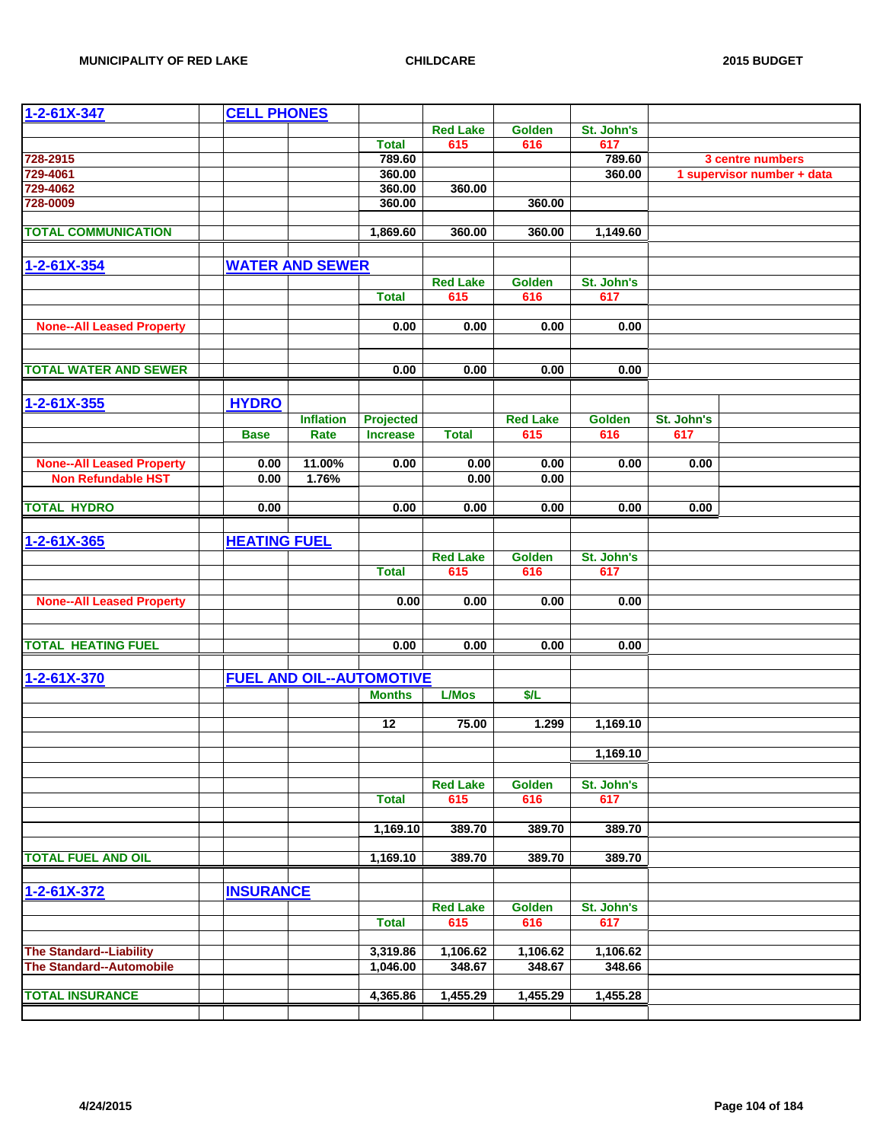| 1-2-61X-347                      | <b>CELL PHONES</b>  |                                 |                 |                 |                 |            |            |                            |
|----------------------------------|---------------------|---------------------------------|-----------------|-----------------|-----------------|------------|------------|----------------------------|
|                                  |                     |                                 |                 | <b>Red Lake</b> | <b>Golden</b>   | St. John's |            |                            |
|                                  |                     |                                 | <b>Total</b>    | 615             | 616             | 617        |            |                            |
| 728-2915                         |                     |                                 | 789.60          |                 |                 | 789.60     |            | 3 centre numbers           |
| 729-4061                         |                     |                                 | 360.00          |                 |                 | 360.00     |            | 1 supervisor number + data |
| 729-4062                         |                     |                                 | 360.00          | 360.00          |                 |            |            |                            |
| 728-0009                         |                     |                                 | 360.00          |                 | 360.00          |            |            |                            |
|                                  |                     |                                 |                 |                 |                 |            |            |                            |
| <b>TOTAL COMMUNICATION</b>       |                     |                                 | 1,869.60        | 360.00          | 360.00          | 1,149.60   |            |                            |
|                                  |                     |                                 |                 |                 |                 |            |            |                            |
| $1 - 2 - 61X - 354$              |                     | <b>WATER AND SEWER</b>          |                 |                 |                 |            |            |                            |
|                                  |                     |                                 |                 | <b>Red Lake</b> | Golden          | St. John's |            |                            |
|                                  |                     |                                 | <b>Total</b>    | 615             | 616             | 617        |            |                            |
|                                  |                     |                                 |                 |                 |                 |            |            |                            |
| <b>None--All Leased Property</b> |                     |                                 | 0.00            | 0.00            | 0.00            | 0.00       |            |                            |
|                                  |                     |                                 |                 |                 |                 |            |            |                            |
|                                  |                     |                                 |                 |                 |                 |            |            |                            |
| <b>TOTAL WATER AND SEWER</b>     |                     |                                 | 0.00            | 0.00            | 0.00            | 0.00       |            |                            |
|                                  |                     |                                 |                 |                 |                 |            |            |                            |
| $1 - 2 - 61X - 355$              | <b>HYDRO</b>        |                                 |                 |                 |                 |            |            |                            |
|                                  |                     | <b>Inflation</b>                | Projected       |                 | <b>Red Lake</b> | Golden     | St. John's |                            |
|                                  | <b>Base</b>         | Rate                            | <b>Increase</b> | <b>Total</b>    | 615             | 616        | 617        |                            |
|                                  |                     |                                 |                 |                 |                 |            |            |                            |
| <b>None--All Leased Property</b> | 0.00                | 11.00%                          | 0.00            | 0.00            | 0.00            | 0.00       | 0.00       |                            |
| <b>Non Refundable HST</b>        | 0.00                | 1.76%                           |                 | 0.00            | 0.00            |            |            |                            |
|                                  |                     |                                 |                 |                 |                 |            |            |                            |
| <b>TOTAL HYDRO</b>               | 0.00                |                                 | 0.00            | 0.00            | 0.00            | 0.00       | 0.00       |                            |
|                                  |                     |                                 |                 |                 |                 |            |            |                            |
| $1 - 2 - 61X - 365$              | <b>HEATING FUEL</b> |                                 |                 |                 |                 |            |            |                            |
|                                  |                     |                                 |                 | <b>Red Lake</b> | Golden          | St. John's |            |                            |
|                                  |                     |                                 | <b>Total</b>    | 615             | 616             | 617        |            |                            |
|                                  |                     |                                 |                 |                 |                 |            |            |                            |
| <b>None--All Leased Property</b> |                     |                                 | 0.00            | 0.00            | 0.00            | 0.00       |            |                            |
|                                  |                     |                                 |                 |                 |                 |            |            |                            |
|                                  |                     |                                 |                 |                 |                 |            |            |                            |
| <b>TOTAL HEATING FUEL</b>        |                     |                                 | 0.00            | 0.00            | 0.00            | 0.00       |            |                            |
|                                  |                     |                                 |                 |                 |                 |            |            |                            |
| $1 - 2 - 61X - 370$              |                     | <b>FUEL AND OIL--AUTOMOTIVE</b> |                 |                 |                 |            |            |                            |
|                                  |                     |                                 | <b>Months</b>   | <b>L/Mos</b>    | \$/L            |            |            |                            |
|                                  |                     |                                 |                 |                 |                 |            |            |                            |
|                                  |                     |                                 | 12              | 75.00           | 1.299           | 1,169.10   |            |                            |
|                                  |                     |                                 |                 |                 |                 |            |            |                            |
|                                  |                     |                                 |                 |                 |                 | 1,169.10   |            |                            |
|                                  |                     |                                 |                 |                 |                 |            |            |                            |
|                                  |                     |                                 |                 | <b>Red Lake</b> | <b>Golden</b>   | St. John's |            |                            |
|                                  |                     |                                 | <b>Total</b>    | 615             | 616             | 617        |            |                            |
|                                  |                     |                                 |                 |                 |                 |            |            |                            |
|                                  |                     |                                 | 1,169.10        | 389.70          | 389.70          | 389.70     |            |                            |
|                                  |                     |                                 |                 |                 |                 |            |            |                            |
| <b>TOTAL FUEL AND OIL</b>        |                     |                                 | 1,169.10        | 389.70          | 389.70          | 389.70     |            |                            |
|                                  |                     |                                 |                 |                 |                 |            |            |                            |
| $1 - 2 - 61X - 372$              | <b>INSURANCE</b>    |                                 |                 |                 |                 |            |            |                            |
|                                  |                     |                                 |                 | <b>Red Lake</b> | <b>Golden</b>   | St. John's |            |                            |
|                                  |                     |                                 | <b>Total</b>    | 615             | 616             | 617        |            |                            |
|                                  |                     |                                 |                 |                 |                 |            |            |                            |
| <b>The Standard--Liability</b>   |                     |                                 | 3,319.86        | 1,106.62        | 1,106.62        | 1,106.62   |            |                            |
| <b>The Standard--Automobile</b>  |                     |                                 | 1,046.00        | 348.67          | 348.67          | 348.66     |            |                            |
|                                  |                     |                                 |                 |                 |                 |            |            |                            |
| <b>TOTAL INSURANCE</b>           |                     |                                 | 4,365.86        | 1,455.29        | 1,455.29        | 1,455.28   |            |                            |
|                                  |                     |                                 |                 |                 |                 |            |            |                            |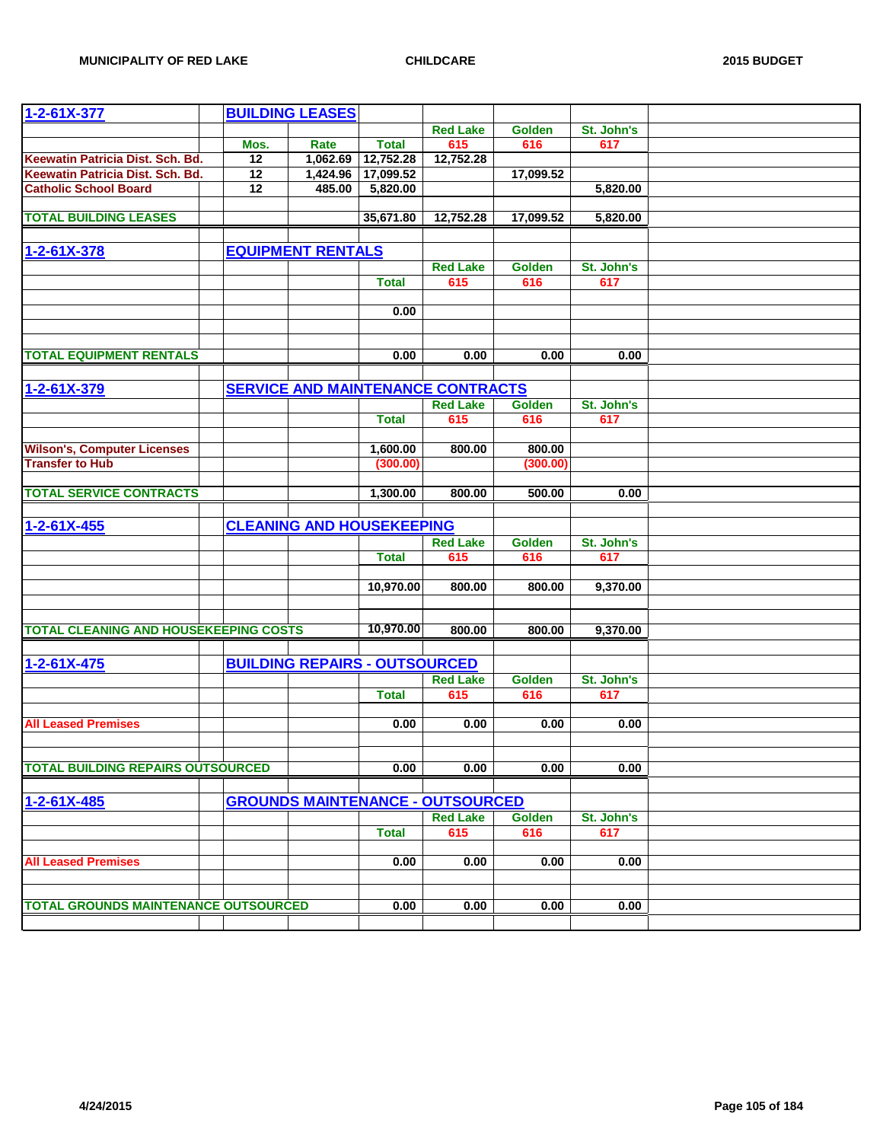| $1 - 2 - 61X - 377$                          |      | <b>BUILDING LEASES</b>               |              |                                          |                      |                   |  |
|----------------------------------------------|------|--------------------------------------|--------------|------------------------------------------|----------------------|-------------------|--|
|                                              |      |                                      |              | <b>Red Lake</b>                          | <b>Golden</b>        | St. John's        |  |
|                                              | Mos. | Rate                                 | <b>Total</b> | 615                                      | 616                  | 617               |  |
| Keewatin Patricia Dist. Sch. Bd.             | 12   | 1,062.69                             | 12,752.28    | 12,752.28                                |                      |                   |  |
| Keewatin Patricia Dist. Sch. Bd.             | 12   | 1,424.96                             | 17,099.52    |                                          | 17,099.52            |                   |  |
| <b>Catholic School Board</b>                 | 12   | 485.00                               | 5,820.00     |                                          |                      | 5,820.00          |  |
|                                              |      |                                      |              |                                          |                      |                   |  |
| <b>TOTAL BUILDING LEASES</b>                 |      |                                      | 35,671.80    | 12,752.28                                | 17,099.52            | 5,820.00          |  |
|                                              |      |                                      |              |                                          |                      |                   |  |
| 1-2-61X-378                                  |      | <b>EQUIPMENT RENTALS</b>             |              |                                          |                      |                   |  |
|                                              |      |                                      |              | <b>Red Lake</b>                          | <b>Golden</b>        | St. John's        |  |
|                                              |      |                                      | <b>Total</b> | 615                                      | 616                  | 617               |  |
|                                              |      |                                      | 0.00         |                                          |                      |                   |  |
|                                              |      |                                      |              |                                          |                      |                   |  |
|                                              |      |                                      |              |                                          |                      |                   |  |
| <b>TOTAL EQUIPMENT RENTALS</b>               |      |                                      | 0.00         | 0.00                                     | 0.00                 | 0.00              |  |
|                                              |      |                                      |              |                                          |                      |                   |  |
| $1 - 2 - 61X - 379$                          |      |                                      |              | <b>SERVICE AND MAINTENANCE CONTRACTS</b> |                      |                   |  |
|                                              |      |                                      |              | <b>Red Lake</b>                          | <b>Golden</b>        | St. John's        |  |
|                                              |      |                                      | <b>Total</b> | 615                                      | 616                  | 617               |  |
|                                              |      |                                      |              |                                          |                      |                   |  |
| <b>Wilson's, Computer Licenses</b>           |      |                                      | 1,600.00     | 800.00                                   | 800.00               |                   |  |
| <b>Transfer to Hub</b>                       |      |                                      | (300.00)     |                                          | (300.00)             |                   |  |
|                                              |      |                                      |              | 800.00                                   |                      |                   |  |
| <b>TOTAL SERVICE CONTRACTS</b>               |      |                                      | 1,300.00     |                                          | 500.00               | 0.00              |  |
|                                              |      |                                      |              |                                          |                      |                   |  |
| $1 - 2 - 61X - 455$                          |      | <b>CLEANING AND HOUSEKEEPING</b>     |              |                                          |                      |                   |  |
|                                              |      |                                      | <b>Total</b> | <b>Red Lake</b><br>615                   | <b>Golden</b><br>616 | St. John's<br>617 |  |
|                                              |      |                                      |              |                                          |                      |                   |  |
|                                              |      |                                      | 10,970.00    | 800.00                                   | 800.00               | 9,370.00          |  |
|                                              |      |                                      |              |                                          |                      |                   |  |
|                                              |      |                                      |              |                                          |                      |                   |  |
| <b>TOTAL CLEANING AND HOUSEKEEPING COSTS</b> |      |                                      | 10,970.00    | 800.00                                   | 800.00               | 9,370.00          |  |
|                                              |      |                                      |              |                                          |                      |                   |  |
| $1 - 2 - 61X - 475$                          |      | <b>BUILDING REPAIRS - OUTSOURCED</b> |              |                                          |                      |                   |  |
|                                              |      |                                      |              | <b>Red Lake</b>                          | Golden               | St. John's        |  |
|                                              |      |                                      | <b>Total</b> | 615                                      | 616                  | 617               |  |
|                                              |      |                                      |              |                                          |                      |                   |  |
| <b>All Leased Premises</b>                   |      |                                      | 0.00         | 0.00                                     | 0.00                 | 0.00              |  |
|                                              |      |                                      |              |                                          |                      |                   |  |
| <b>TOTAL BUILDING REPAIRS OUTSOURCED</b>     |      |                                      | 0.00         | 0.00                                     | 0.00                 | 0.00              |  |
|                                              |      |                                      |              |                                          |                      |                   |  |
| $1 - 2 - 61X - 485$                          |      |                                      |              | <b>GROUNDS MAINTENANCE - OUTSOURCED</b>  |                      |                   |  |
|                                              |      |                                      |              | <b>Red Lake</b>                          | <b>Golden</b>        | St. John's        |  |
|                                              |      |                                      | <b>Total</b> | 615                                      | 616                  | 617               |  |
|                                              |      |                                      |              |                                          |                      |                   |  |
| <b>All Leased Premises</b>                   |      |                                      | 0.00         | 0.00                                     | 0.00                 | 0.00              |  |
|                                              |      |                                      |              |                                          |                      |                   |  |
|                                              |      |                                      |              |                                          |                      |                   |  |
| <b>TOTAL GROUNDS MAINTENANCE OUTSOURCED</b>  |      |                                      | 0.00         | 0.00                                     | 0.00                 | 0.00              |  |
|                                              |      |                                      |              |                                          |                      |                   |  |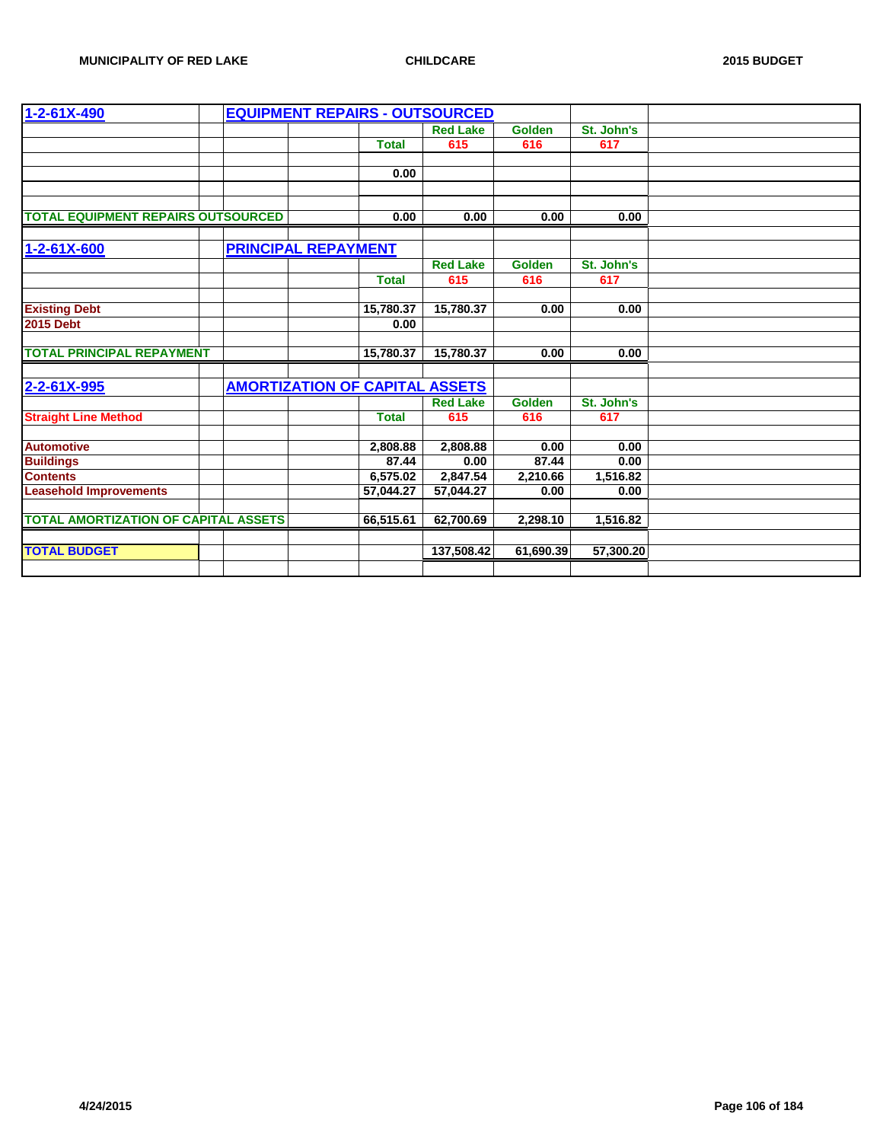| 1-2-61X-490                                 |  | <b>EQUIPMENT REPAIRS - OUTSOURCED</b> |              |                 |               |            |  |
|---------------------------------------------|--|---------------------------------------|--------------|-----------------|---------------|------------|--|
|                                             |  |                                       |              | <b>Red Lake</b> | <b>Golden</b> | St. John's |  |
|                                             |  |                                       | <b>Total</b> | 615             | 616           | 617        |  |
|                                             |  |                                       |              |                 |               |            |  |
|                                             |  |                                       | 0.00         |                 |               |            |  |
|                                             |  |                                       |              |                 |               |            |  |
|                                             |  |                                       |              |                 |               |            |  |
| <b>TOTAL EQUIPMENT REPAIRS OUTSOURCED</b>   |  |                                       | 0.00         | 0.00            | 0.00          | 0.00       |  |
|                                             |  |                                       |              |                 |               |            |  |
| $1 - 2 - 61X - 600$                         |  | <b>PRINCIPAL REPAYMENT</b>            |              |                 |               |            |  |
|                                             |  |                                       |              | <b>Red Lake</b> | <b>Golden</b> | St. John's |  |
|                                             |  |                                       | <b>Total</b> | 615             | 616           | 617        |  |
|                                             |  |                                       |              |                 |               |            |  |
| <b>Existing Debt</b>                        |  |                                       | 15,780.37    | 15,780.37       | 0.00          | 0.00       |  |
| <b>2015 Debt</b>                            |  |                                       | 0.00         |                 |               |            |  |
|                                             |  |                                       |              |                 |               |            |  |
| <b>TOTAL PRINCIPAL REPAYMENT</b>            |  |                                       | 15,780.37    | 15,780.37       | 0.00          | 0.00       |  |
|                                             |  |                                       |              |                 |               |            |  |
| 2-2-61X-995                                 |  | <b>AMORTIZATION OF CAPITAL ASSETS</b> |              |                 |               |            |  |
|                                             |  |                                       |              | <b>Red Lake</b> | <b>Golden</b> | St. John's |  |
| <b>Straight Line Method</b>                 |  |                                       | <b>Total</b> | 615             | 616           | 617        |  |
|                                             |  |                                       |              |                 |               |            |  |
| <b>Automotive</b>                           |  |                                       | 2,808.88     | 2,808.88        | 0.00          | 0.00       |  |
| <b>Buildings</b>                            |  |                                       | 87.44        | 0.00            | 87.44         | 0.00       |  |
| <b>Contents</b>                             |  |                                       | 6,575.02     | 2,847.54        | 2,210.66      | 1,516.82   |  |
| <b>Leasehold Improvements</b>               |  |                                       | 57,044.27    | 57,044.27       | 0.00          | 0.00       |  |
|                                             |  |                                       |              |                 |               |            |  |
| <b>TOTAL AMORTIZATION OF CAPITAL ASSETS</b> |  |                                       | 66,515.61    | 62,700.69       | 2,298.10      | 1,516.82   |  |
|                                             |  |                                       |              |                 |               |            |  |
| <b>TOTAL BUDGET</b>                         |  |                                       |              | 137,508.42      | 61,690.39     | 57,300.20  |  |
|                                             |  |                                       |              |                 |               |            |  |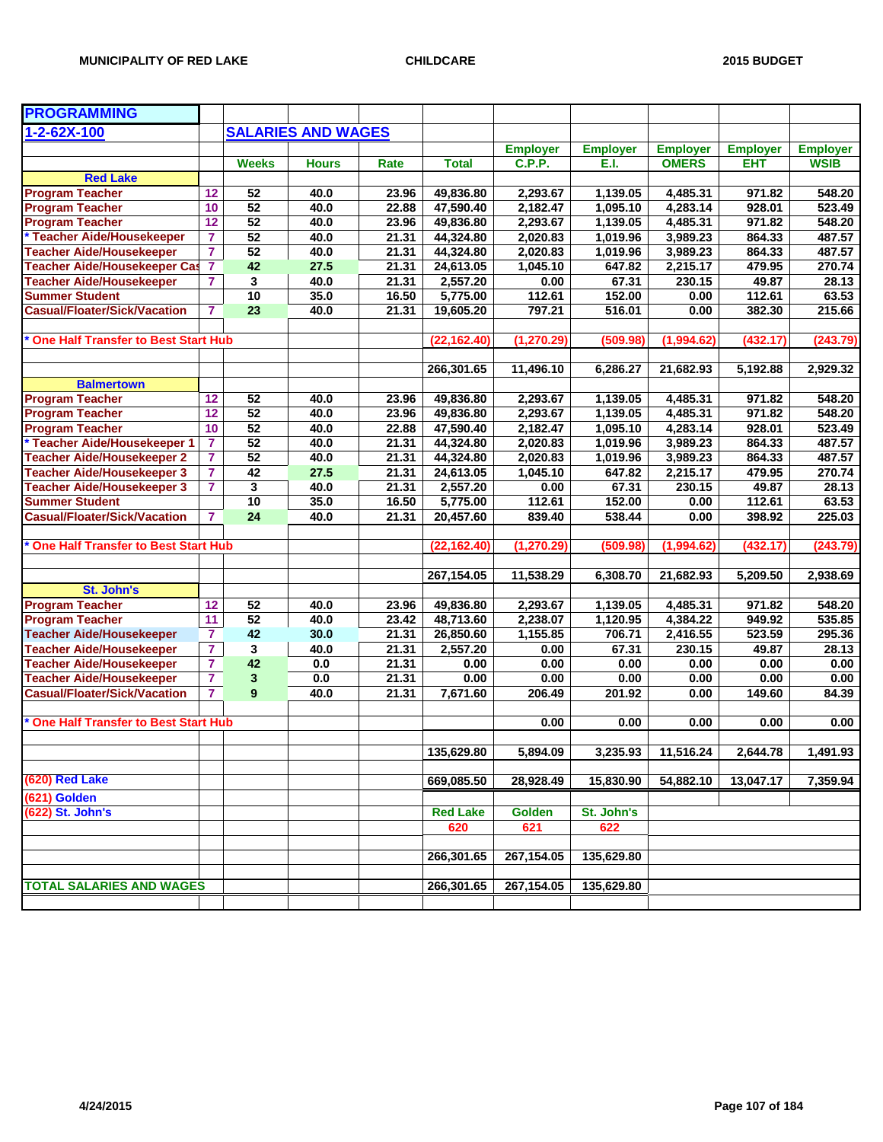| <b>PROGRAMMING</b>                         |                         |                 |                           |       |                 |                 |                 |                 |                 |                 |
|--------------------------------------------|-------------------------|-----------------|---------------------------|-------|-----------------|-----------------|-----------------|-----------------|-----------------|-----------------|
| 1-2-62X-100                                |                         |                 | <b>SALARIES AND WAGES</b> |       |                 |                 |                 |                 |                 |                 |
|                                            |                         |                 |                           |       |                 | <b>Employer</b> | <b>Employer</b> | <b>Employer</b> | <b>Employer</b> | <b>Employer</b> |
|                                            |                         | <b>Weeks</b>    | <b>Hours</b>              | Rate  | <b>Total</b>    | <b>C.P.P.</b>   | E.I.            | <b>OMERS</b>    | <b>EHT</b>      | <b>WSIB</b>     |
| <b>Red Lake</b>                            |                         |                 |                           |       |                 |                 |                 |                 |                 |                 |
| <b>Program Teacher</b>                     | 12                      | 52              | 40.0                      | 23.96 | 49,836.80       | 2,293.67        | 1,139.05        | 4,485.31        | 971.82          | 548.20          |
| <b>Program Teacher</b>                     | 10                      | 52              | 40.0                      | 22.88 | 47,590.40       | 2,182.47        | 1,095.10        | 4,283.14        | 928.01          | 523.49          |
| <b>Program Teacher</b>                     | 12                      | $\overline{52}$ | 40.0                      | 23.96 | 49,836.80       | 2,293.67        | 1,139.05        | 4,485.31        | 971.82          | 548.20          |
| * Teacher Aide/Housekeeper                 | $\overline{7}$          | 52              | 40.0                      | 21.31 | 44,324.80       | 2,020.83        | 1,019.96        | 3,989.23        | 864.33          | 487.57          |
| <b>Teacher Aide/Housekeeper</b>            | $\overline{7}$          | $\overline{52}$ | 40.0                      | 21.31 | 44,324.80       | 2,020.83        | 1,019.96        | 3,989.23        | 864.33          | 487.57          |
| <b>Teacher Aide/Housekeeper Cas</b>        | $\overline{\mathbf{7}}$ | 42              | 27.5                      | 21.31 | 24,613.05       | 1,045.10        | 647.82          | 2,215.17        | 479.95          | 270.74          |
| <b>Teacher Aide/Housekeeper</b>            | $\overline{7}$          | 3               | 40.0                      | 21.31 | 2,557.20        | 0.00            | 67.31           | 230.15          | 49.87           | 28.13           |
| <b>Summer Student</b>                      |                         | $\overline{10}$ | 35.0                      | 16.50 | 5,775.00        | 112.61          | 152.00          | 0.00            | 112.61          | 63.53           |
| <b>Casual/Floater/Sick/Vacation</b>        | $\overline{7}$          | 23              | 40.0                      | 21.31 | 19,605.20       | 797.21          | 516.01          | 0.00            | 382.30          | 215.66          |
|                                            |                         |                 |                           |       |                 |                 |                 |                 |                 |                 |
| <b>One Half Transfer to Best Start Hub</b> |                         |                 |                           |       | (22, 162.40)    | (1, 270.29)     | (509.98)        | (1,994.62)      | (432.17)        | (243.79)        |
|                                            |                         |                 |                           |       |                 |                 |                 |                 |                 |                 |
|                                            |                         |                 |                           |       | 266,301.65      | 11,496.10       | 6,286.27        | 21,682.93       | 5,192.88        | 2,929.32        |
| <b>Balmertown</b>                          |                         |                 |                           |       |                 |                 |                 |                 |                 |                 |
| <b>Program Teacher</b>                     | 12                      | 52              | 40.0                      | 23.96 | 49,836.80       | 2,293.67        | 1,139.05        | 4,485.31        | 971.82          | 548.20          |
| <b>Program Teacher</b>                     | 12                      | $\overline{52}$ | 40.0                      | 23.96 | 49,836.80       | 2,293.67        | 1,139.05        | 4,485.31        | 971.82          | 548.20          |
| <b>Program Teacher</b>                     | 10                      | 52              | 40.0                      | 22.88 | 47,590.40       | 2,182.47        | 1,095.10        | 4,283.14        | 928.01          | 523.49          |
| * Teacher Aide/Housekeeper 1               | 7                       | $\overline{52}$ | 40.0                      | 21.31 | 44,324.80       | 2,020.83        | 1,019.96        | 3,989.23        | 864.33          | 487.57          |
| <b>Teacher Aide/Housekeeper 2</b>          | $\overline{7}$          | $\overline{52}$ | 40.0                      | 21.31 | 44,324.80       | 2,020.83        | 1,019.96        | 3,989.23        | 864.33          | 487.57          |
| <b>Teacher Aide/Housekeeper 3</b>          | $\overline{7}$          | 42              | 27.5                      | 21.31 | 24,613.05       | 1,045.10        | 647.82          | 2,215.17        | 479.95          | 270.74          |
| <b>Teacher Aide/Housekeeper 3</b>          | $\overline{7}$          | 3               | 40.0                      | 21.31 | 2,557.20        | 0.00            | 67.31           | 230.15          | 49.87           | 28.13           |
| <b>Summer Student</b>                      |                         | 10              | 35.0                      | 16.50 | 5,775.00        | 112.61          | 152.00          | 0.00            | 112.61          | 63.53           |
| <b>Casual/Floater/Sick/Vacation</b>        | $\overline{7}$          | 24              | 40.0                      | 21.31 | 20,457.60       | 839.40          | 538.44          | 0.00            | 398.92          | 225.03          |
|                                            |                         |                 |                           |       |                 |                 |                 |                 |                 |                 |
| <b>One Half Transfer to Best Start Hub</b> |                         |                 |                           |       | (22, 162.40)    | (1, 270.29)     | (509.98)        | (1,994.62)      | (432.17)        | (243.79)        |
|                                            |                         |                 |                           |       |                 |                 |                 |                 |                 |                 |
|                                            |                         |                 |                           |       | 267,154.05      | 11,538.29       | 6,308.70        | 21,682.93       | 5,209.50        | 2,938.69        |
| St. John's                                 |                         |                 |                           |       |                 |                 |                 |                 |                 |                 |
| <b>Program Teacher</b>                     | 12                      | 52              | 40.0                      | 23.96 | 49,836.80       | 2,293.67        | 1,139.05        | 4,485.31        | 971.82          | 548.20          |
| <b>Program Teacher</b>                     | 11                      | $\overline{52}$ | 40.0                      | 23.42 | 48,713.60       | 2,238.07        | 1,120.95        | 4,384.22        | 949.92          | 535.85          |
| <b>Teacher Aide/Housekeeper</b>            | $\mathbf{7}$            | 42              | 30.0                      | 21.31 | 26,850.60       | 1,155.85        | 706.71          | 2,416.55        | 523.59          | 295.36          |
| <b>Teacher Aide/Housekeeper</b>            | $\mathbf{7}$            | 3               | 40.0                      | 21.31 | 2,557.20        | 0.00            | 67.31           | 230.15          | 49.87           | 28.13           |
| <b>Teacher Aide/Housekeeper</b>            | $\mathbf{7}$            | 42              | 0.0                       | 21.31 | 0.00            | 0.00            | 0.00            | 0.00            | 0.00            | 0.00            |
| <b>Teacher Aide/Housekeeper</b>            | $\overline{7}$          | 3               | 0.0                       | 21.31 | 0.00            | 0.00            | 0.00            | 0.00            | 0.00            | 0.00            |
| <b>Casual/Floater/Sick/Vacation</b>        | $\overline{7}$          | 9 <sup>°</sup>  | 40.0                      | 21.31 | 7,671.60        | 206.49          | 201.92          | 0.00            | 149.60          | 84.39           |
|                                            |                         |                 |                           |       |                 |                 |                 |                 |                 |                 |
| <b>One Half Transfer to Best Start Hub</b> |                         |                 |                           |       |                 | 0.00            | 0.00            | 0.00            | 0.00            | 0.00            |
|                                            |                         |                 |                           |       |                 |                 |                 |                 |                 |                 |
|                                            |                         |                 |                           |       | 135,629.80      | 5,894.09        | 3,235.93        | 11,516.24       | 2,644.78        | 1,491.93        |
|                                            |                         |                 |                           |       |                 |                 |                 |                 |                 |                 |
| (620) Red Lake                             |                         |                 |                           |       | 669,085.50      | 28,928.49       | 15,830.90       | 54,882.10       | 13,047.17       | 7,359.94        |
| (621) Golden                               |                         |                 |                           |       |                 |                 |                 |                 |                 |                 |
| (622) St. John's                           |                         |                 |                           |       | <b>Red Lake</b> | Golden          | St. John's      |                 |                 |                 |
|                                            |                         |                 |                           |       | 620             | 621             | 622             |                 |                 |                 |
|                                            |                         |                 |                           |       |                 |                 |                 |                 |                 |                 |
|                                            |                         |                 |                           |       | 266,301.65      | 267,154.05      | 135,629.80      |                 |                 |                 |
|                                            |                         |                 |                           |       |                 |                 |                 |                 |                 |                 |
| <b>TOTAL SALARIES AND WAGES</b>            |                         |                 |                           |       | 266,301.65      | 267,154.05      | 135,629.80      |                 |                 |                 |
|                                            |                         |                 |                           |       |                 |                 |                 |                 |                 |                 |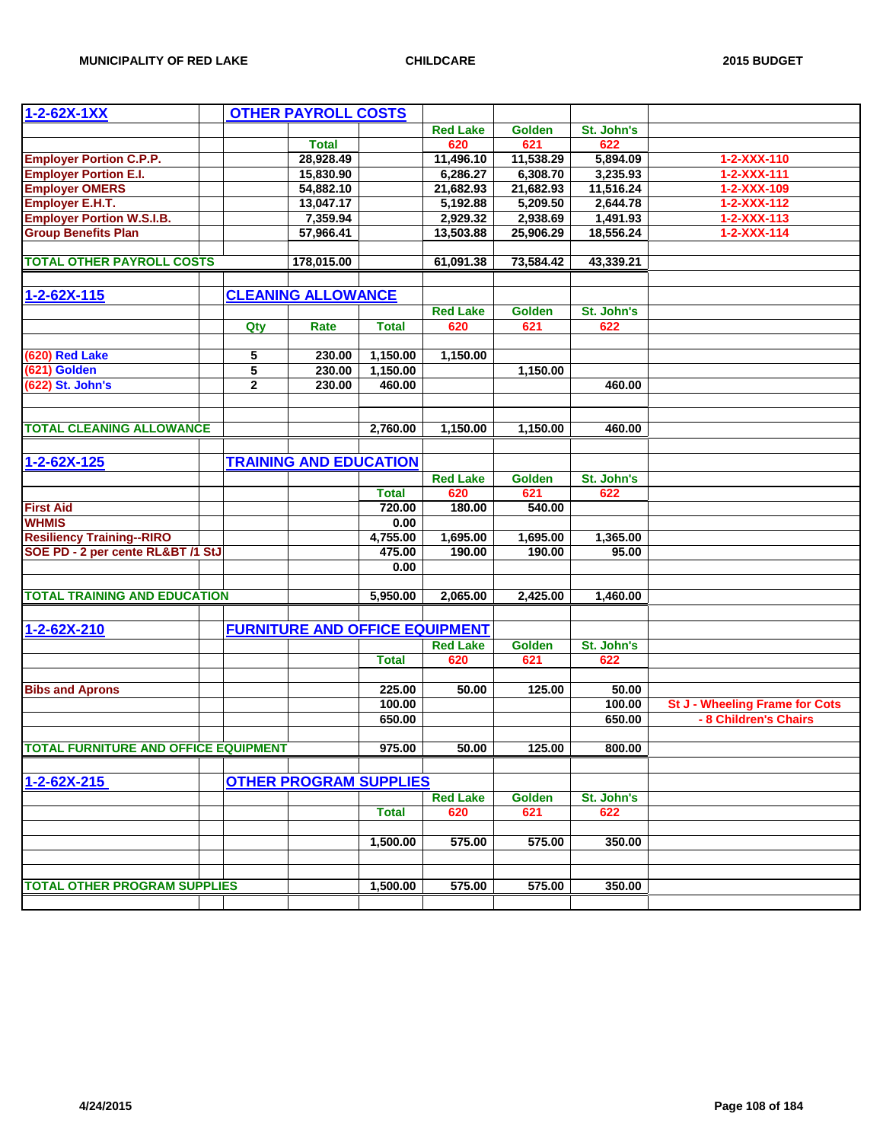| $1 - 2 - 62X - 1XX$                             |              | <b>OTHER PAYROLL COSTS</b>            |              |                 |               |            |                                |
|-------------------------------------------------|--------------|---------------------------------------|--------------|-----------------|---------------|------------|--------------------------------|
|                                                 |              |                                       |              | <b>Red Lake</b> | <b>Golden</b> | St. John's |                                |
|                                                 |              | <b>Total</b>                          |              | 620             | 621           | 622        |                                |
| <b>Employer Portion C.P.P.</b>                  |              | 28,928.49                             |              | 11,496.10       | 11,538.29     | 5,894.09   | 1-2-XXX-110                    |
| <b>Employer Portion E.I.</b>                    |              | 15,830.90                             |              | 6,286.27        | 6,308.70      | 3,235.93   | $1 - 2 - XXX - 111$            |
|                                                 |              | 54,882.10                             |              | 21,682.93       | 21,682.93     | 11,516.24  | 1-2-XXX-109                    |
| <b>Employer OMERS</b><br><b>Employer E.H.T.</b> |              | 13,047.17                             |              | 5,192.88        | 5,209.50      | 2,644.78   | $1 - 2 - XXX - 112$            |
| <b>Employer Portion W.S.I.B.</b>                |              | 7,359.94                              |              | 2,929.32        | 2,938.69      | 1,491.93   | $1 - 2 - XXX - 113$            |
| <b>Group Benefits Plan</b>                      |              | 57,966.41                             |              | 13,503.88       | 25,906.29     | 18,556.24  | $1 - 2 - XXX - 114$            |
|                                                 |              |                                       |              |                 |               |            |                                |
| <b>TOTAL OTHER PAYROLL COSTS</b>                |              | 178,015.00                            |              | 61,091.38       | 73,584.42     | 43,339.21  |                                |
|                                                 |              |                                       |              |                 |               |            |                                |
| $1 - 2 - 62X - 115$                             |              | <b>CLEANING ALLOWANCE</b>             |              |                 |               |            |                                |
|                                                 |              |                                       |              | <b>Red Lake</b> | <b>Golden</b> | St. John's |                                |
|                                                 | Qty          | Rate                                  | <b>Total</b> | 620             | 621           | 622        |                                |
|                                                 |              |                                       |              |                 |               |            |                                |
| (620) Red Lake                                  | 5            | 230.00                                | 1,150.00     | 1,150.00        |               |            |                                |
| (621) Golden                                    | 5            | 230.00                                | 1,150.00     |                 | 1,150.00      |            |                                |
| (622) St. John's                                | $\mathbf{2}$ | 230.00                                | 460.00       |                 |               | 460.00     |                                |
|                                                 |              |                                       |              |                 |               |            |                                |
|                                                 |              |                                       |              |                 |               |            |                                |
| <b>TOTAL CLEANING ALLOWANCE</b>                 |              |                                       | 2,760.00     | 1.150.00        | 1,150.00      | 460.00     |                                |
|                                                 |              |                                       |              |                 |               |            |                                |
| 1-2-62X-125                                     |              | <b>TRAINING AND EDUCATION</b>         |              |                 |               |            |                                |
|                                                 |              |                                       |              | <b>Red Lake</b> | Golden        | St. John's |                                |
|                                                 |              |                                       | <b>Total</b> | 620             | 621           | 622        |                                |
| <b>First Aid</b>                                |              |                                       | 720.00       | 180.00          | 540.00        |            |                                |
| <b>WHMIS</b>                                    |              |                                       | 0.00         |                 |               |            |                                |
| <b>Resiliency Training--RIRO</b>                |              |                                       | 4,755.00     | 1,695.00        | 1,695.00      | 1,365.00   |                                |
| SOE PD - 2 per cente RL&BT /1 StJ               |              |                                       | 475.00       | 190.00          | 190.00        | 95.00      |                                |
|                                                 |              |                                       | 0.00         |                 |               |            |                                |
|                                                 |              |                                       |              |                 |               |            |                                |
| <b>TOTAL TRAINING AND EDUCATION</b>             |              |                                       | 5,950.00     | 2,065.00        | 2,425.00      | 1,460.00   |                                |
|                                                 |              |                                       |              |                 |               |            |                                |
| 1-2-62X-210                                     |              | <b>FURNITURE AND OFFICE EQUIPMENT</b> |              |                 |               |            |                                |
|                                                 |              |                                       |              | <b>Red Lake</b> | Golden        | St. John's |                                |
|                                                 |              |                                       | <b>Total</b> | 620             | 621           | 622        |                                |
|                                                 |              |                                       |              |                 |               |            |                                |
| <b>Bibs and Aprons</b>                          |              |                                       | 225.00       | 50.00           | 125.00        | 50.00      |                                |
|                                                 |              |                                       | 100.00       |                 |               | 100.00     | St J - Wheeling Frame for Cots |
|                                                 |              |                                       | 650.00       |                 |               | 650.00     | - 8 Children's Chairs          |
|                                                 |              |                                       |              |                 |               |            |                                |
| TOTAL FURNITURE AND OFFICE EQUIPMENT            |              |                                       | 975.00       | 50.00           | 125.00        | 800.00     |                                |
|                                                 |              |                                       |              |                 |               |            |                                |
| 1-2-62X-215                                     |              | <b>OTHER PROGRAM SUPPLIES</b>         |              |                 |               |            |                                |
|                                                 |              |                                       |              | <b>Red Lake</b> | <b>Golden</b> | St. John's |                                |
|                                                 |              |                                       | <b>Total</b> | 620             | 621           | 622        |                                |
|                                                 |              |                                       |              |                 |               |            |                                |
|                                                 |              |                                       | 1,500.00     | 575.00          | 575.00        | 350.00     |                                |
|                                                 |              |                                       |              |                 |               |            |                                |
|                                                 |              |                                       |              | 575.00          |               | 350.00     |                                |
| <b>TOTAL OTHER PROGRAM SUPPLIES</b>             |              |                                       | 1,500.00     |                 | 575.00        |            |                                |
|                                                 |              |                                       |              |                 |               |            |                                |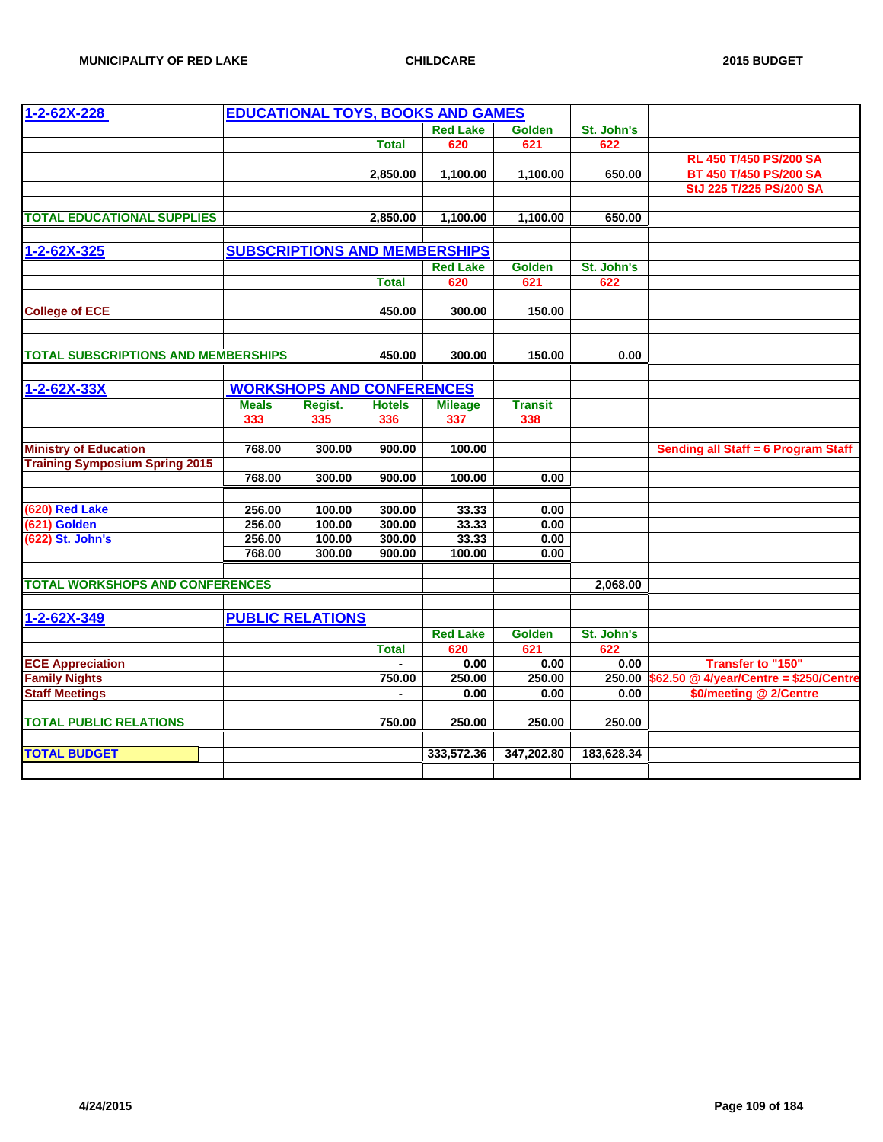| 1-2-62X-228                                |              | <b>EDUCATIONAL TOYS, BOOKS AND GAMES</b> |                |                 |                |            |                                               |
|--------------------------------------------|--------------|------------------------------------------|----------------|-----------------|----------------|------------|-----------------------------------------------|
|                                            |              |                                          |                | <b>Red Lake</b> | <b>Golden</b>  | St. John's |                                               |
|                                            |              |                                          | <b>Total</b>   | 620             | 621            | 622        |                                               |
|                                            |              |                                          |                |                 |                |            | RL 450 T/450 PS/200 SA                        |
|                                            |              |                                          | 2,850.00       | 1,100.00        | 1,100.00       | 650.00     | BT 450 T/450 PS/200 SA                        |
|                                            |              |                                          |                |                 |                |            | StJ 225 T/225 PS/200 SA                       |
|                                            |              |                                          |                |                 |                |            |                                               |
| <b>TOTAL EDUCATIONAL SUPPLIES</b>          |              |                                          | 2,850.00       | 1,100.00        | 1,100.00       | 650.00     |                                               |
|                                            |              |                                          |                |                 |                |            |                                               |
| 1-2-62X-325                                |              | <b>SUBSCRIPTIONS AND MEMBERSHIPS</b>     |                |                 |                |            |                                               |
|                                            |              |                                          |                | <b>Red Lake</b> | <b>Golden</b>  | St. John's |                                               |
|                                            |              |                                          | <b>Total</b>   | 620             | 621            | 622        |                                               |
|                                            |              |                                          |                |                 |                |            |                                               |
| <b>College of ECE</b>                      |              |                                          | 450.00         | 300.00          | 150.00         |            |                                               |
|                                            |              |                                          |                |                 |                |            |                                               |
|                                            |              |                                          |                |                 |                |            |                                               |
| <b>TOTAL SUBSCRIPTIONS AND MEMBERSHIPS</b> |              |                                          | 450.00         | 300.00          | 150.00         | 0.00       |                                               |
|                                            |              |                                          |                |                 |                |            |                                               |
| $1 - 2 - 62X - 33X$                        |              | <b>WORKSHOPS AND CONFERENCES</b>         |                |                 |                |            |                                               |
|                                            | <b>Meals</b> | Regist.                                  | <b>Hotels</b>  | <b>Mileage</b>  | <b>Transit</b> |            |                                               |
|                                            | 333          | 335                                      | 336            | 337             | 338            |            |                                               |
|                                            |              |                                          |                |                 |                |            |                                               |
| <b>Ministry of Education</b>               | 768.00       | 300.00                                   | 900.00         | 100.00          |                |            | Sending all Staff = 6 Program Staff           |
| <b>Training Symposium Spring 2015</b>      |              |                                          |                |                 |                |            |                                               |
|                                            | 768.00       | 300.00                                   | 900.00         | 100.00          | 0.00           |            |                                               |
|                                            |              |                                          |                |                 |                |            |                                               |
| (620) Red Lake                             | 256.00       | 100.00                                   | 300.00         | 33.33           | 0.00           |            |                                               |
| (621) Golden                               | 256.00       | 100.00                                   | 300.00         | 33.33           | 0.00           |            |                                               |
| (622) St. John's                           | 256.00       | 100.00                                   | 300.00         | 33.33           | 0.00           |            |                                               |
|                                            | 768.00       | 300.00                                   | 900.00         | 100.00          | 0.00           |            |                                               |
|                                            |              |                                          |                |                 |                |            |                                               |
| <b>TOTAL WORKSHOPS AND CONFERENCES</b>     |              |                                          |                |                 |                | 2,068.00   |                                               |
|                                            |              |                                          |                |                 |                |            |                                               |
| 1-2-62X-349                                |              | <b>PUBLIC RELATIONS</b>                  |                |                 |                |            |                                               |
|                                            |              |                                          |                | <b>Red Lake</b> | <b>Golden</b>  | St. John's |                                               |
|                                            |              |                                          | <b>Total</b>   | 620             | 621            | 622        |                                               |
| <b>ECE Appreciation</b>                    |              |                                          | $\blacksquare$ | 0.00            | 0.00           | 0.00       | <b>Transfer to "150"</b>                      |
| <b>Family Nights</b>                       |              |                                          | 750.00         | 250.00          | 250.00         |            | 250.00 \$62.50 @ 4/year/Centre = \$250/Centre |
| <b>Staff Meetings</b>                      |              |                                          | $\blacksquare$ | 0.00            | 0.00           | 0.00       | \$0/meeting @ 2/Centre                        |
|                                            |              |                                          |                |                 |                |            |                                               |
| <b>TOTAL PUBLIC RELATIONS</b>              |              |                                          | 750.00         | 250.00          | 250.00         | 250.00     |                                               |
|                                            |              |                                          |                |                 |                |            |                                               |
| <b>TOTAL BUDGET</b>                        |              |                                          |                | 333,572.36      | 347,202.80     | 183,628.34 |                                               |
|                                            |              |                                          |                |                 |                |            |                                               |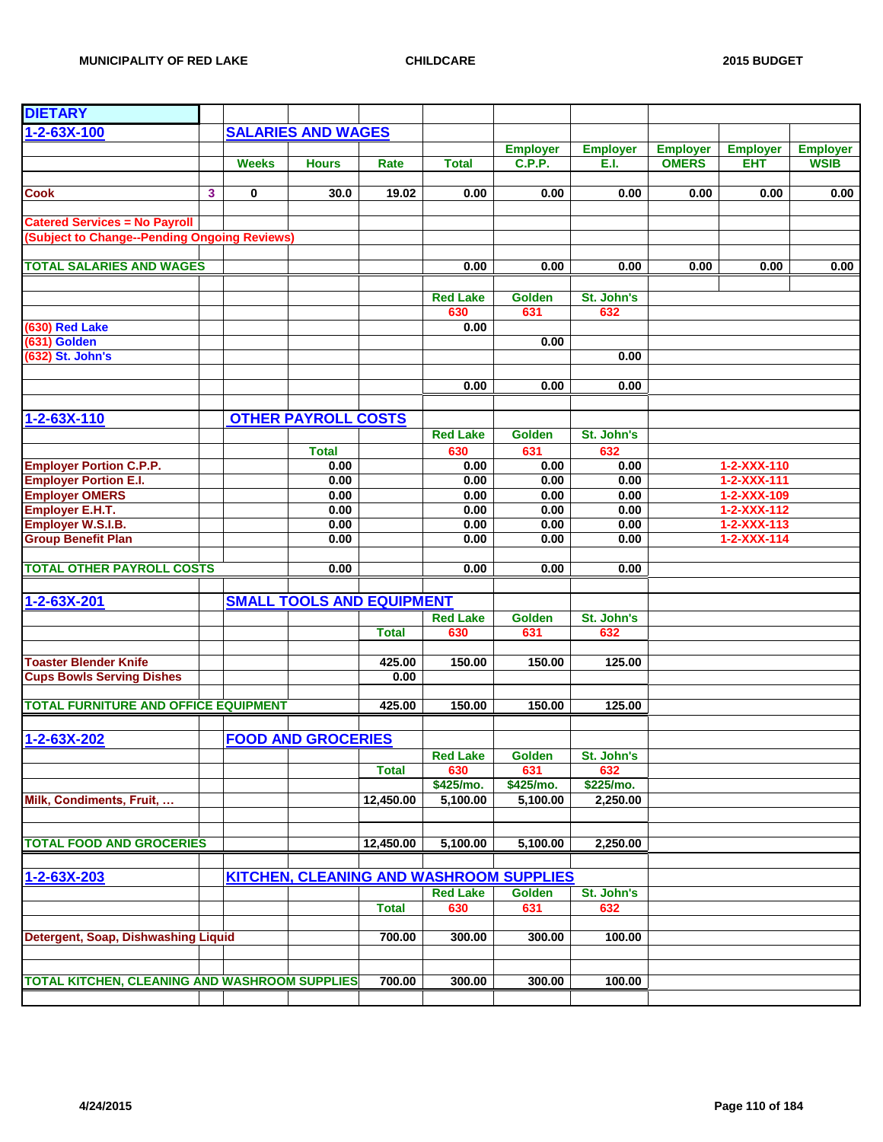| <b>DIETARY</b>                                       |   |              |                                  |              |                 |                                         |                 |                 |                     |                 |
|------------------------------------------------------|---|--------------|----------------------------------|--------------|-----------------|-----------------------------------------|-----------------|-----------------|---------------------|-----------------|
|                                                      |   |              |                                  |              |                 |                                         |                 |                 |                     |                 |
| 1-2-63X-100                                          |   |              | <b>SALARIES AND WAGES</b>        |              |                 |                                         |                 |                 |                     |                 |
|                                                      |   |              |                                  |              |                 | <b>Employer</b>                         | <b>Employer</b> | <b>Employer</b> | <b>Employer</b>     | <b>Employer</b> |
|                                                      |   | <b>Weeks</b> | <b>Hours</b>                     | Rate         | <b>Total</b>    | <b>C.P.P.</b>                           | E.I.            | <b>OMERS</b>    | <b>EHT</b>          | <b>WSIB</b>     |
| <b>Cook</b>                                          | 3 | $\mathbf 0$  | 30.0                             | 19.02        | 0.00            | 0.00                                    | 0.00            | 0.00            | 0.00                | 0.00            |
|                                                      |   |              |                                  |              |                 |                                         |                 |                 |                     |                 |
| <b>Catered Services = No Payroll</b>                 |   |              |                                  |              |                 |                                         |                 |                 |                     |                 |
| (Subject to Change--Pending Ongoing Reviews)         |   |              |                                  |              |                 |                                         |                 |                 |                     |                 |
| <b>TOTAL SALARIES AND WAGES</b>                      |   |              |                                  |              | 0.00            | 0.00                                    | 0.00            | 0.00            | 0.00                | 0.00            |
|                                                      |   |              |                                  |              |                 |                                         |                 |                 |                     |                 |
|                                                      |   |              |                                  |              | <b>Red Lake</b> | <b>Golden</b>                           | St. John's      |                 |                     |                 |
|                                                      |   |              |                                  |              | 630             | 631                                     | 632             |                 |                     |                 |
| (630) Red Lake                                       |   |              |                                  |              | 0.00            |                                         |                 |                 |                     |                 |
| (631) Golden                                         |   |              |                                  |              |                 | 0.00                                    |                 |                 |                     |                 |
| (632) St. John's                                     |   |              |                                  |              |                 |                                         | 0.00            |                 |                     |                 |
|                                                      |   |              |                                  |              |                 |                                         |                 |                 |                     |                 |
|                                                      |   |              |                                  |              | 0.00            | 0.00                                    | 0.00            |                 |                     |                 |
|                                                      |   |              |                                  |              |                 |                                         |                 |                 |                     |                 |
| 1-2-63X-110                                          |   |              | <b>OTHER PAYROLL COSTS</b>       |              | <b>Red Lake</b> | <b>Golden</b>                           | St. John's      |                 |                     |                 |
|                                                      |   |              |                                  |              |                 | 631                                     |                 |                 |                     |                 |
| <b>Employer Portion C.P.P.</b>                       |   |              | <b>Total</b><br>0.00             |              | 630<br>0.00     | 0.00                                    | 632<br>0.00     |                 | 1-2-XXX-110         |                 |
| <b>Employer Portion E.I.</b>                         |   |              | 0.00                             |              | 0.00            | 0.00                                    | 0.00            |                 | 1-2-XXX-111         |                 |
| <b>Employer OMERS</b>                                |   |              | 0.00                             |              | 0.00            | 0.00                                    | 0.00            |                 | 1-2-XXX-109         |                 |
| <b>Employer E.H.T.</b>                               |   |              | 0.00                             |              | 0.00            | 0.00                                    | 0.00            |                 | 1-2-XXX-112         |                 |
| Employer W.S.I.B.                                    |   |              | 0.00                             |              | 0.00            | 0.00                                    | 0.00            |                 | $1 - 2 - XXX - 113$ |                 |
| <b>Group Benefit Plan</b>                            |   |              | 0.00                             |              | 0.00            | 0.00                                    | 0.00            |                 | $1 - 2 - XXX - 114$ |                 |
|                                                      |   |              |                                  |              |                 |                                         |                 |                 |                     |                 |
| <b>TOTAL OTHER PAYROLL COSTS</b>                     |   |              | 0.00                             |              | 0.00            | 0.00                                    | 0.00            |                 |                     |                 |
|                                                      |   |              |                                  |              |                 |                                         |                 |                 |                     |                 |
| 1-2-63X-201                                          |   |              | <b>SMALL TOOLS AND EQUIPMENT</b> |              |                 |                                         |                 |                 |                     |                 |
|                                                      |   |              |                                  |              | <b>Red Lake</b> | <b>Golden</b>                           | St. John's      |                 |                     |                 |
|                                                      |   |              |                                  | <b>Total</b> | 630             | 631                                     | 632             |                 |                     |                 |
|                                                      |   |              |                                  |              |                 |                                         |                 |                 |                     |                 |
| <b>Toaster Blender Knife</b>                         |   |              |                                  | 425.00       | 150.00          | 150.00                                  | 125.00          |                 |                     |                 |
| <b>Cups Bowls Serving Dishes</b>                     |   |              |                                  | 0.00         |                 |                                         |                 |                 |                     |                 |
|                                                      |   |              |                                  |              |                 |                                         |                 |                 |                     |                 |
| <b>TOTAL FURNITURE AND OFFICE EQUIPMENT</b>          |   |              |                                  | 425.00       | 150.00          | 150.00                                  | 125.00          |                 |                     |                 |
|                                                      |   |              |                                  |              |                 |                                         |                 |                 |                     |                 |
| 1-2-63X-202                                          |   |              | <b>FOOD AND GROCERIES</b>        |              |                 |                                         |                 |                 |                     |                 |
|                                                      |   |              |                                  |              | <b>Red Lake</b> | <b>Golden</b>                           | St. John's      |                 |                     |                 |
|                                                      |   |              |                                  | <b>Total</b> | 630             | 631                                     | 632             |                 |                     |                 |
|                                                      |   |              |                                  |              | \$425/mo.       | \$425/mo.                               | \$225/mo.       |                 |                     |                 |
| Milk, Condiments, Fruit,                             |   |              |                                  | 12,450.00    | 5,100.00        | 5,100.00                                | 2,250.00        |                 |                     |                 |
|                                                      |   |              |                                  |              |                 |                                         |                 |                 |                     |                 |
| <b>TOTAL FOOD AND GROCERIES</b>                      |   |              |                                  | 12,450.00    | 5,100.00        | 5,100.00                                | 2,250.00        |                 |                     |                 |
|                                                      |   |              |                                  |              |                 |                                         |                 |                 |                     |                 |
| 1-2-63X-203                                          |   |              |                                  |              |                 | KITCHEN, CLEANING AND WASHROOM SUPPLIES |                 |                 |                     |                 |
|                                                      |   |              |                                  |              | <b>Red Lake</b> | <b>Golden</b>                           | St. John's      |                 |                     |                 |
|                                                      |   |              |                                  | <b>Total</b> | 630             | 631                                     | 632             |                 |                     |                 |
|                                                      |   |              |                                  |              |                 |                                         |                 |                 |                     |                 |
| Detergent, Soap, Dishwashing Liquid                  |   |              |                                  | 700.00       | 300.00          | 300.00                                  | 100.00          |                 |                     |                 |
|                                                      |   |              |                                  |              |                 |                                         |                 |                 |                     |                 |
|                                                      |   |              |                                  |              |                 |                                         |                 |                 |                     |                 |
| <b>TOTAL KITCHEN, CLEANING AND WASHROOM SUPPLIES</b> |   |              |                                  | 700.00       | 300.00          | 300.00                                  | 100.00          |                 |                     |                 |
|                                                      |   |              |                                  |              |                 |                                         |                 |                 |                     |                 |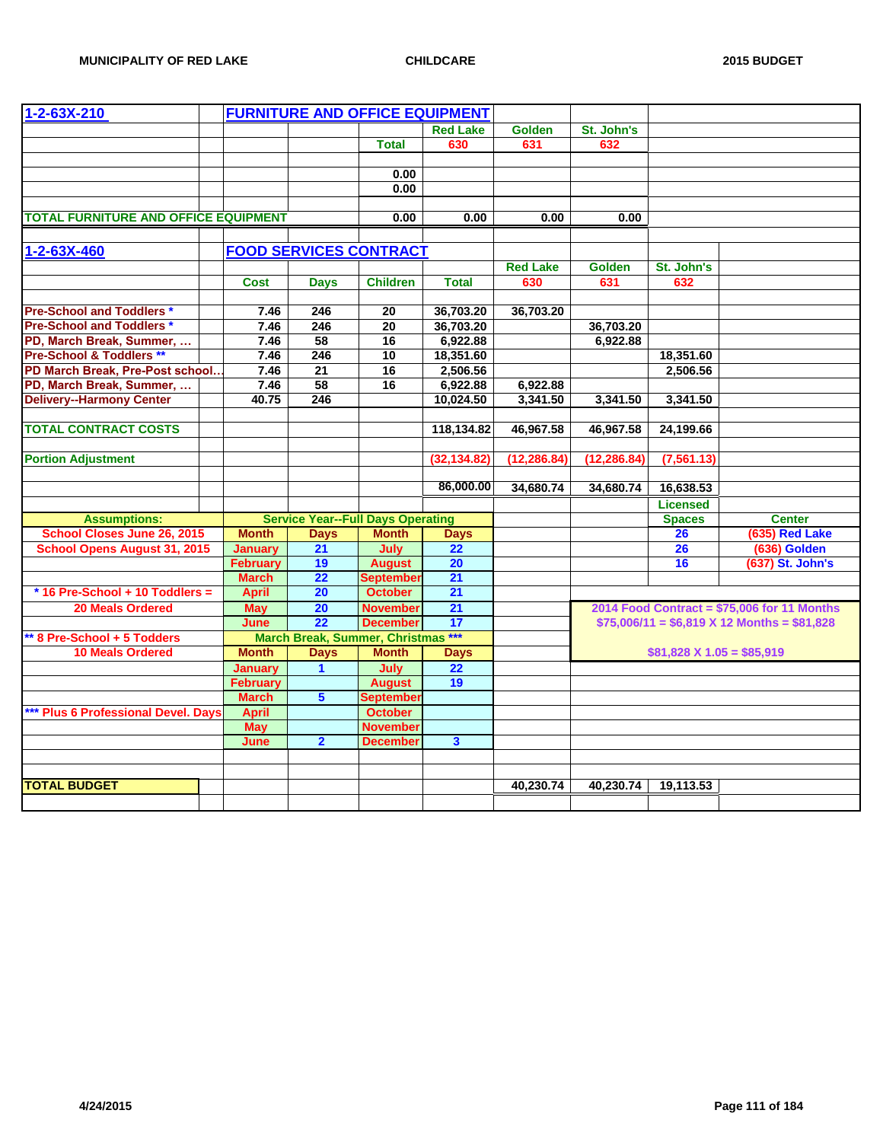| 1-2-63X-210                                 |                 | <b>FURNITURE AND OFFICE EQUIPMENT</b>    |                  |                         |                 |               |                                 |                                                   |
|---------------------------------------------|-----------------|------------------------------------------|------------------|-------------------------|-----------------|---------------|---------------------------------|---------------------------------------------------|
|                                             |                 |                                          |                  | <b>Red Lake</b>         | <b>Golden</b>   | St. John's    |                                 |                                                   |
|                                             |                 |                                          | <b>Total</b>     | 630                     | 631             | 632           |                                 |                                                   |
|                                             |                 |                                          |                  |                         |                 |               |                                 |                                                   |
|                                             |                 |                                          | 0.00             |                         |                 |               |                                 |                                                   |
|                                             |                 |                                          | 0.00             |                         |                 |               |                                 |                                                   |
|                                             |                 |                                          |                  |                         |                 |               |                                 |                                                   |
| <b>TOTAL FURNITURE AND OFFICE EQUIPMENT</b> |                 |                                          | 0.00             | 0.00                    | 0.00            | 0.00          |                                 |                                                   |
|                                             |                 |                                          |                  |                         |                 |               |                                 |                                                   |
| 1-2-63X-460                                 |                 | <b>FOOD SERVICES CONTRACT</b>            |                  |                         |                 |               |                                 |                                                   |
|                                             |                 |                                          |                  |                         | <b>Red Lake</b> | <b>Golden</b> | St. John's                      |                                                   |
|                                             | <b>Cost</b>     | <b>Days</b>                              | <b>Children</b>  | <b>Total</b>            | 630             | 631           | 632                             |                                                   |
|                                             |                 |                                          |                  |                         |                 |               |                                 |                                                   |
| <b>Pre-School and Toddlers *</b>            | 7.46            | 246                                      | 20               | 36,703.20               | 36,703.20       |               |                                 |                                                   |
| <b>Pre-School and Toddlers *</b>            | 7.46            | 246                                      | $\overline{20}$  | 36,703.20               |                 | 36,703.20     |                                 |                                                   |
| PD, March Break, Summer,                    | 7.46            | 58                                       | 16               | 6,922.88                |                 | 6,922.88      |                                 |                                                   |
| Pre-School & Toddlers **                    | 7.46            | 246                                      | 10               | 18,351.60               |                 |               | 18,351.60                       |                                                   |
| PD March Break, Pre-Post school             | 7.46            | 21                                       | 16               | 2,506.56                |                 |               | 2,506.56                        |                                                   |
| PD, March Break, Summer,                    | 7.46            | 58                                       | 16               | 6,922.88                | 6,922.88        |               |                                 |                                                   |
| <b>Delivery--Harmony Center</b>             | 40.75           | 246                                      |                  | 10,024.50               | 3,341.50        | 3,341.50      | 3,341.50                        |                                                   |
|                                             |                 |                                          |                  |                         |                 |               |                                 |                                                   |
| <b>TOTAL CONTRACT COSTS</b>                 |                 |                                          |                  | 118,134.82              | 46,967.58       | 46,967.58     | 24,199.66                       |                                                   |
|                                             |                 |                                          |                  |                         |                 |               |                                 |                                                   |
| <b>Portion Adjustment</b>                   |                 |                                          |                  | (32, 134.82)            | (12, 286.84)    | (12, 286.84)  | (7, 561.13)                     |                                                   |
|                                             |                 |                                          |                  |                         |                 |               |                                 |                                                   |
|                                             |                 |                                          |                  | 86,000.00               | 34,680.74       | 34,680.74     | 16,638.53                       |                                                   |
|                                             |                 |                                          |                  |                         |                 |               | <b>Licensed</b>                 |                                                   |
| <b>Assumptions:</b>                         |                 | <b>Service Year--Full Days Operating</b> |                  |                         |                 |               | <b>Spaces</b>                   | <b>Center</b>                                     |
| <b>School Closes June 26, 2015</b>          | <b>Month</b>    | <b>Days</b>                              | <b>Month</b>     | <b>Days</b>             |                 |               | 26                              | (635) Red Lake                                    |
| <b>School Opens August 31, 2015</b>         | <b>January</b>  | 21                                       | July             | $\overline{22}$         |                 |               | 26                              | (636) Golden                                      |
|                                             | February        | 19                                       | <b>August</b>    | 20                      |                 |               | 16                              | (637) St. John's                                  |
|                                             | <b>March</b>    | 22                                       | <b>September</b> | 21                      |                 |               |                                 |                                                   |
| * 16 Pre-School + 10 Toddlers =             | <b>April</b>    | 20                                       | <b>October</b>   | 21                      |                 |               |                                 |                                                   |
| <b>20 Meals Ordered</b>                     | <b>May</b>      | 20                                       | November         | 21                      |                 |               |                                 | 2014 Food Contract = \$75,006 for 11 Months       |
|                                             | June            | 22                                       | <b>December</b>  | 17                      |                 |               |                                 | $$75,006/11 = $6,819 \times 12$ Months = \$81,828 |
| ** 8 Pre-School + 5 Todders                 |                 | March Break, Summer, Christmas ***       |                  |                         |                 |               |                                 |                                                   |
| <b>10 Meals Ordered</b>                     | <b>Month</b>    | <b>Days</b>                              | <b>Month</b>     | <b>Days</b>             |                 |               | $$81,828 \times 1.05 = $85,919$ |                                                   |
|                                             | <b>January</b>  | $\mathbf 1$                              | July             | 22                      |                 |               |                                 |                                                   |
|                                             | <b>February</b> |                                          | <b>August</b>    | 19                      |                 |               |                                 |                                                   |
|                                             | <b>March</b>    | $5\phantom{1}$                           | <b>Septembe</b>  |                         |                 |               |                                 |                                                   |
| *** Plus 6 Professional Devel. Days         | <b>April</b>    |                                          | <b>October</b>   |                         |                 |               |                                 |                                                   |
|                                             | <b>May</b>      |                                          | November         |                         |                 |               |                                 |                                                   |
|                                             | June            | $\overline{2}$                           | <b>December</b>  | $\overline{\mathbf{3}}$ |                 |               |                                 |                                                   |
|                                             |                 |                                          |                  |                         |                 |               |                                 |                                                   |
|                                             |                 |                                          |                  |                         |                 |               |                                 |                                                   |
| <b>TOTAL BUDGET</b>                         |                 |                                          |                  |                         | 40,230.74       | 40,230.74     | 19,113.53                       |                                                   |
|                                             |                 |                                          |                  |                         |                 |               |                                 |                                                   |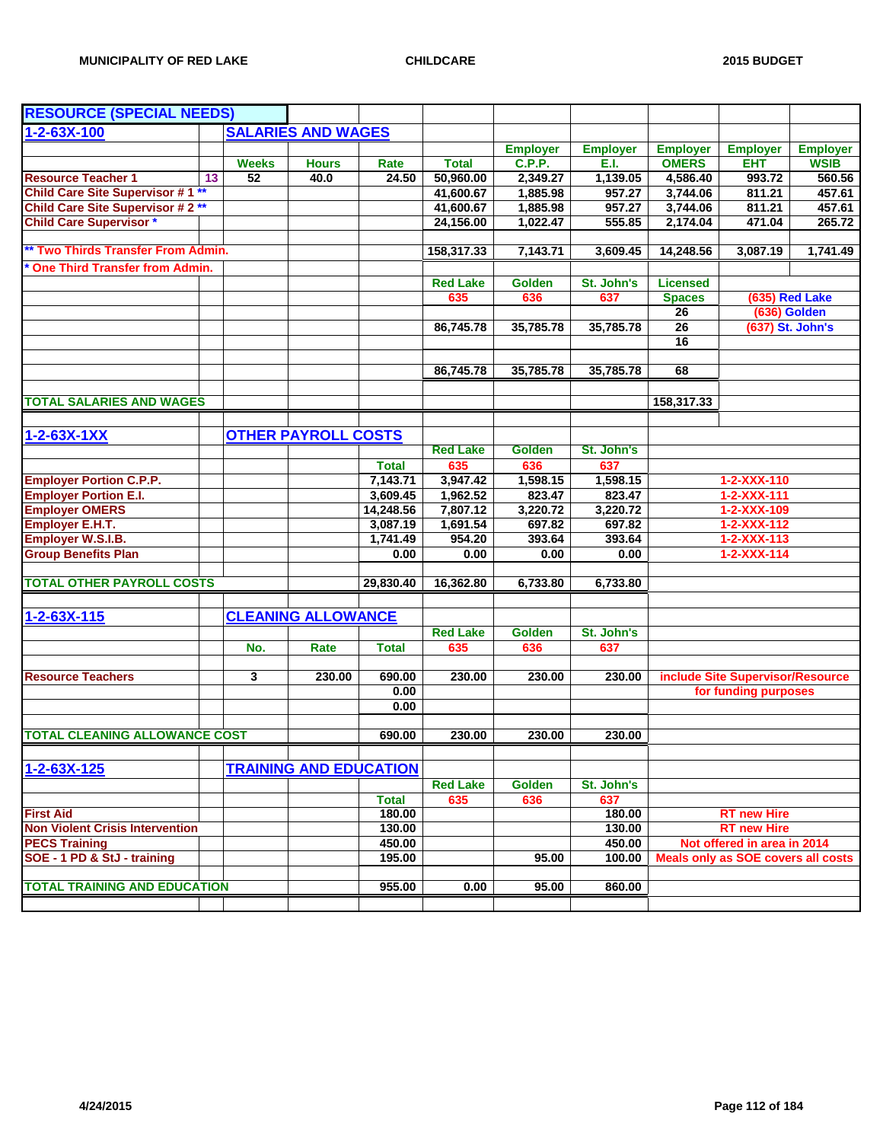| <b>RESOURCE (SPECIAL NEEDS)</b>         |              |                               |                      |                    |                  |                  |                 |                                            |                  |
|-----------------------------------------|--------------|-------------------------------|----------------------|--------------------|------------------|------------------|-----------------|--------------------------------------------|------------------|
| $1 - 2 - 63X - 100$                     |              | <b>SALARIES AND WAGES</b>     |                      |                    |                  |                  |                 |                                            |                  |
|                                         |              |                               |                      |                    | <b>Employer</b>  | <b>Employer</b>  | <b>Employer</b> | <b>Employer</b>                            | <b>Employer</b>  |
|                                         | <b>Weeks</b> | <b>Hours</b>                  | Rate                 | <b>Total</b>       | <b>C.P.P.</b>    | E.I.             | <b>OMERS</b>    | <b>EHT</b>                                 | <b>WSIB</b>      |
| <b>Resource Teacher 1</b><br>13         | 52           | 40.0                          | 24.50                | 50,960.00          | 2,349.27         | 1,139.05         | 4,586.40        | 993.72                                     | 560.56           |
| <b>Child Care Site Supervisor #1 **</b> |              |                               |                      | 41,600.67          | 1,885.98         | 957.27           | 3,744.06        | 811.21                                     | 457.61           |
| <b>Child Care Site Supervisor #2**</b>  |              |                               |                      | 41,600.67          | 1,885.98         | 957.27           | 3,744.06        | 811.21                                     | 457.61           |
| <b>Child Care Supervisor *</b>          |              |                               |                      | 24,156.00          | 1,022.47         | 555.85           | 2,174.04        | 471.04                                     | 265.72           |
| ** Two Thirds Transfer From Admin.      |              |                               |                      | 158,317.33         | 7,143.71         | 3,609.45         | 14,248.56       | 3,087.19                                   | 1,741.49         |
| <b>One Third Transfer from Admin.</b>   |              |                               |                      |                    |                  |                  |                 |                                            |                  |
|                                         |              |                               |                      | <b>Red Lake</b>    | <b>Golden</b>    | St. John's       | <b>Licensed</b> |                                            |                  |
|                                         |              |                               |                      | 635                | 636              | 637              | <b>Spaces</b>   |                                            | (635) Red Lake   |
|                                         |              |                               |                      |                    |                  |                  | 26              |                                            | (636) Golden     |
|                                         |              |                               |                      | 86,745.78          | 35,785.78        | 35,785.78        | 26              |                                            | (637) St. John's |
|                                         |              |                               |                      |                    |                  |                  | $\overline{16}$ |                                            |                  |
|                                         |              |                               |                      |                    |                  |                  |                 |                                            |                  |
|                                         |              |                               |                      | 86,745.78          | 35,785.78        | 35,785.78        | 68              |                                            |                  |
|                                         |              |                               |                      |                    |                  |                  |                 |                                            |                  |
| <b>TOTAL SALARIES AND WAGES</b>         |              |                               |                      |                    |                  |                  | 158,317.33      |                                            |                  |
|                                         |              |                               |                      |                    |                  |                  |                 |                                            |                  |
| $1 - 2 - 63X - 1XX$                     |              | <b>OTHER PAYROLL COSTS</b>    |                      |                    |                  |                  |                 |                                            |                  |
|                                         |              |                               |                      | <b>Red Lake</b>    | <b>Golden</b>    | St. John's       |                 |                                            |                  |
|                                         |              |                               | <b>Total</b>         | 635                | 636              | 637              |                 |                                            |                  |
| <b>Employer Portion C.P.P.</b>          |              |                               | 7,143.71             | 3,947.42           | 1,598.15         | 1,598.15         |                 | 1-2-XXX-110                                |                  |
| <b>Employer Portion E.I.</b>            |              |                               | 3,609.45             | 1,962.52           | 823.47           | 823.47           |                 | $1 - 2 - XXX - 111$                        |                  |
| <b>Employer OMERS</b>                   |              |                               | 14,248.56            | 7,807.12           | 3,220.72         | 3,220.72         |                 | 1-2-XXX-109                                |                  |
| Employer E.H.T.<br>Employer W.S.I.B.    |              |                               | 3,087.19<br>1,741.49 | 1,691.54<br>954.20 | 697.82<br>393.64 | 697.82<br>393.64 |                 | $1 - 2 - XXX - 112$<br>$1 - 2 - XXX - 113$ |                  |
| <b>Group Benefits Plan</b>              |              |                               | 0.00                 | 0.00               | 0.00             | 0.00             |                 | $1 - 2 - XXX - 114$                        |                  |
|                                         |              |                               |                      |                    |                  |                  |                 |                                            |                  |
| <b>TOTAL OTHER PAYROLL COSTS</b>        |              |                               | 29,830.40            | 16,362.80          | 6,733.80         | 6,733.80         |                 |                                            |                  |
|                                         |              |                               |                      |                    |                  |                  |                 |                                            |                  |
| $1 - 2 - 63X - 115$                     |              | <b>CLEANING ALLOWANCE</b>     |                      |                    |                  |                  |                 |                                            |                  |
|                                         |              |                               |                      | <b>Red Lake</b>    | <b>Golden</b>    | St. John's       |                 |                                            |                  |
|                                         | No.          | Rate                          | <b>Total</b>         | 635                | 636              | 637              |                 |                                            |                  |
|                                         |              |                               |                      |                    |                  |                  |                 |                                            |                  |
| <b>Resource Teachers</b>                | 3            | 230.00                        | 690.00               | 230.00             | 230.00           | 230.00           |                 | include Site Supervisor/Resource           |                  |
|                                         |              |                               | 0.00<br>0.00         |                    |                  |                  |                 | for funding purposes                       |                  |
|                                         |              |                               |                      |                    |                  |                  |                 |                                            |                  |
| <b>TOTAL CLEANING ALLOWANCE COST</b>    |              |                               | 690.00               | 230.00             | 230.00           | 230.00           |                 |                                            |                  |
| $1 - 2 - 63X - 125$                     |              | <b>TRAINING AND EDUCATION</b> |                      |                    |                  |                  |                 |                                            |                  |
|                                         |              |                               |                      | <b>Red Lake</b>    | Golden           | St. John's       |                 |                                            |                  |
|                                         |              |                               | <b>Total</b>         | 635                | 636              | 637              |                 |                                            |                  |
| <b>First Aid</b>                        |              |                               | 180.00               |                    |                  | 180.00           |                 | <b>RT new Hire</b>                         |                  |
| <b>Non Violent Crisis Intervention</b>  |              |                               | 130.00               |                    |                  | 130.00           |                 | <b>RT new Hire</b>                         |                  |
| <b>PECS Training</b>                    |              |                               | 450.00               |                    |                  | 450.00           |                 | Not offered in area in 2014                |                  |
| SOE - 1 PD & StJ - training             |              |                               | 195.00               |                    | 95.00            | 100.00           |                 | Meals only as SOE covers all costs         |                  |
|                                         |              |                               |                      |                    |                  |                  |                 |                                            |                  |
| <b>TOTAL TRAINING AND EDUCATION</b>     |              |                               | 955.00               | 0.00               | 95.00            | 860.00           |                 |                                            |                  |
|                                         |              |                               |                      |                    |                  |                  |                 |                                            |                  |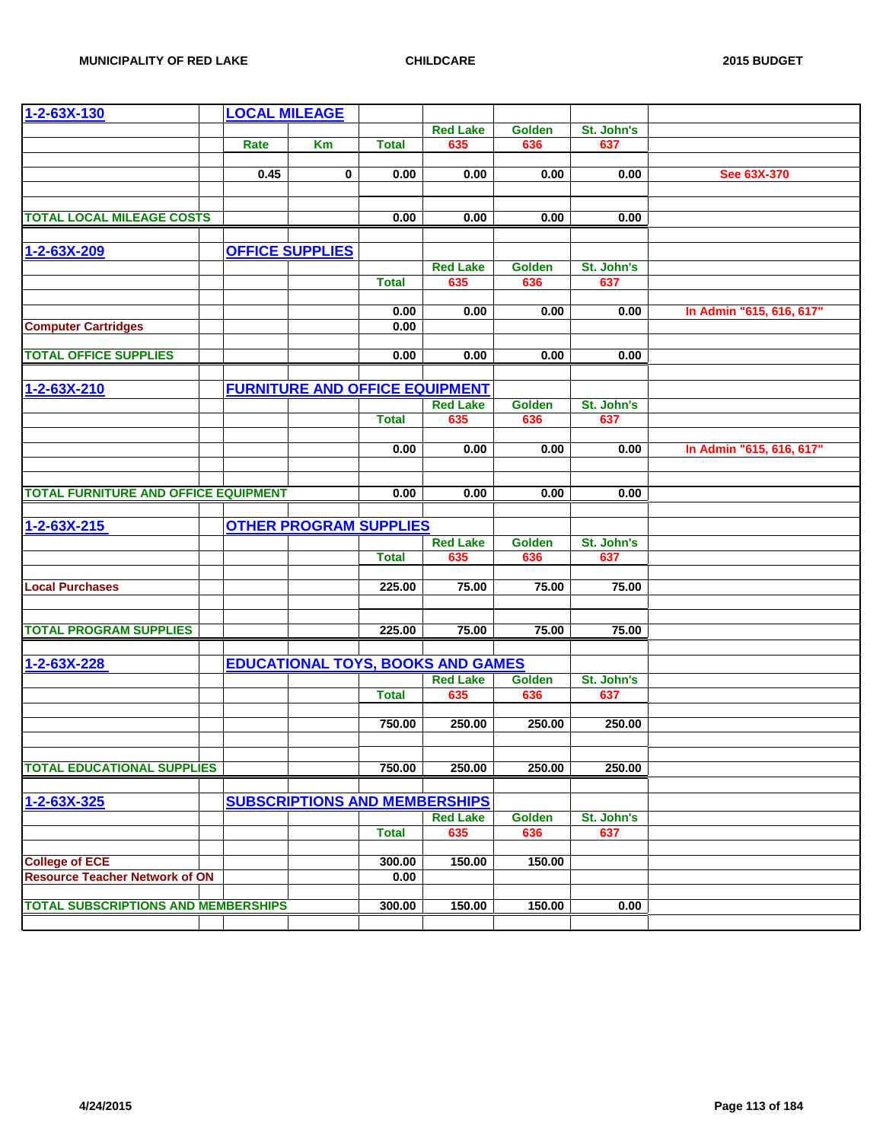| 1-2-63X-130                                                    | <b>LOCAL MILEAGE</b> |                                       |              |                                          |               |            |                          |
|----------------------------------------------------------------|----------------------|---------------------------------------|--------------|------------------------------------------|---------------|------------|--------------------------|
|                                                                |                      |                                       |              | <b>Red Lake</b>                          | Golden        | St. John's |                          |
|                                                                | Rate                 | Km                                    | <b>Total</b> | 635                                      | 636           | 637        |                          |
|                                                                |                      |                                       |              |                                          |               |            |                          |
|                                                                | 0.45                 | 0                                     | 0.00         | 0.00                                     | 0.00          | 0.00       | See 63X-370              |
|                                                                |                      |                                       |              |                                          |               |            |                          |
| <b>TOTAL LOCAL MILEAGE COSTS</b>                               |                      |                                       | 0.00         | 0.00                                     | 0.00          | 0.00       |                          |
|                                                                |                      |                                       |              |                                          |               |            |                          |
| 1-2-63X-209                                                    |                      | <b>OFFICE SUPPLIES</b>                |              |                                          |               |            |                          |
|                                                                |                      |                                       |              | <b>Red Lake</b>                          | <b>Golden</b> | St. John's |                          |
|                                                                |                      |                                       | <b>Total</b> | 635                                      | 636           | 637        |                          |
|                                                                |                      |                                       |              |                                          |               |            |                          |
|                                                                |                      |                                       | 0.00         | 0.00                                     | 0.00          | 0.00       | In Admin "615, 616, 617" |
| <b>Computer Cartridges</b>                                     |                      |                                       | 0.00         |                                          |               |            |                          |
| <b>TOTAL OFFICE SUPPLIES</b>                                   |                      |                                       | 0.00         | 0.00                                     | 0.00          | 0.00       |                          |
|                                                                |                      |                                       |              |                                          |               |            |                          |
| 1-2-63X-210                                                    |                      | <b>FURNITURE AND OFFICE EQUIPMENT</b> |              |                                          |               |            |                          |
|                                                                |                      |                                       |              | <b>Red Lake</b>                          | <b>Golden</b> | St. John's |                          |
|                                                                |                      |                                       | <b>Total</b> | 635                                      | 636           | 637        |                          |
|                                                                |                      |                                       |              |                                          |               |            |                          |
|                                                                |                      |                                       | 0.00         | 0.00                                     | 0.00          | 0.00       | In Admin "615, 616, 617" |
|                                                                |                      |                                       |              |                                          |               |            |                          |
| <b>TOTAL FURNITURE AND OFFICE EQUIPMENT</b>                    |                      |                                       | 0.00         | 0.00                                     | 0.00          | 0.00       |                          |
|                                                                |                      |                                       |              |                                          |               |            |                          |
| $1 - 2 - 63X - 215$                                            |                      | <b>OTHER PROGRAM SUPPLIES</b>         |              |                                          |               |            |                          |
|                                                                |                      |                                       |              | <b>Red Lake</b>                          | <b>Golden</b> | St. John's |                          |
|                                                                |                      |                                       | <b>Total</b> | 635                                      | 636           | 637        |                          |
|                                                                |                      |                                       |              |                                          |               |            |                          |
| <b>Local Purchases</b>                                         |                      |                                       | 225.00       | 75.00                                    | 75.00         | 75.00      |                          |
|                                                                |                      |                                       |              |                                          |               |            |                          |
| <b>TOTAL PROGRAM SUPPLIES</b>                                  |                      |                                       | 225.00       | 75.00                                    | 75.00         | 75.00      |                          |
|                                                                |                      |                                       |              |                                          |               |            |                          |
| 1-2-63X-228                                                    |                      |                                       |              | <b>EDUCATIONAL TOYS, BOOKS AND GAMES</b> |               |            |                          |
|                                                                |                      |                                       |              | <b>Red Lake</b>                          | Golden        | St. John's |                          |
|                                                                |                      |                                       | <b>Total</b> | 635                                      | 636           | 637        |                          |
|                                                                |                      |                                       |              |                                          |               |            |                          |
|                                                                |                      |                                       | 750.00       | 250.00                                   | 250.00        | 250.00     |                          |
|                                                                |                      |                                       |              |                                          |               |            |                          |
| <b>TOTAL EDUCATIONAL SUPPLIES</b>                              |                      |                                       | 750.00       | 250.00                                   | 250.00        | 250.00     |                          |
|                                                                |                      |                                       |              |                                          |               |            |                          |
| $1 - 2 - 63X - 325$                                            |                      | <b>SUBSCRIPTIONS AND MEMBERSHIPS</b>  |              |                                          |               |            |                          |
|                                                                |                      |                                       |              | <b>Red Lake</b>                          | <b>Golden</b> | St. John's |                          |
|                                                                |                      |                                       | <b>Total</b> | 635                                      | 636           | 637        |                          |
|                                                                |                      |                                       |              |                                          |               |            |                          |
| <b>College of ECE</b><br><b>Resource Teacher Network of ON</b> |                      |                                       | 300.00       | 150.00                                   | 150.00        |            |                          |
|                                                                |                      |                                       | 0.00         |                                          |               |            |                          |
| <b>TOTAL SUBSCRIPTIONS AND MEMBERSHIPS</b>                     |                      |                                       | 300.00       | 150.00                                   | 150.00        | 0.00       |                          |
|                                                                |                      |                                       |              |                                          |               |            |                          |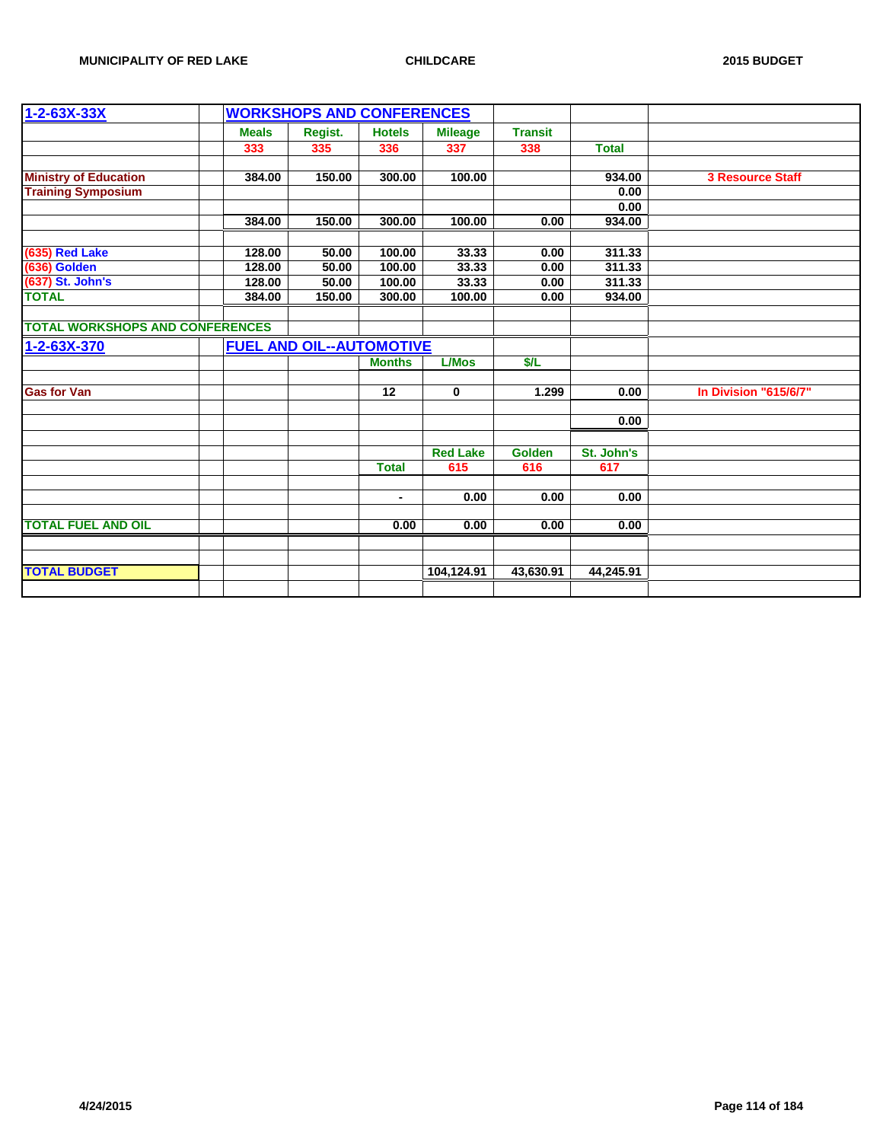| <b>Meals</b><br>Regist.<br><b>Hotels</b><br><b>Transit</b><br><b>Mileage</b><br>338<br>333<br>335<br>336<br>337<br><b>Total</b><br><b>Ministry of Education</b><br>150.00<br>300.00<br>100.00<br>934.00<br><b>3 Resource Staff</b><br>384.00<br><b>Training Symposium</b><br>0.00<br>0.00<br>384.00<br>150.00<br>300.00<br>100.00<br>934.00<br>0.00<br>(635) Red Lake<br>311.33<br>128.00<br>50.00<br>100.00<br>33.33<br>0.00<br>(636) Golden<br>(637) St. John's<br>33.33<br>311.33<br>50.00<br>100.00<br>0.00<br>128.00<br>50.00<br>100.00<br>33.33<br>0.00<br>311.33<br>128.00<br><b>TOTAL</b><br>100.00<br>0.00<br>384.00<br>150.00<br>300.00<br>934.00<br><b>TOTAL WORKSHOPS AND CONFERENCES</b><br><b>FUEL AND OIL--AUTOMOTIVE</b><br><b>L/Mos</b><br>\$/L<br><b>Months</b><br><b>Gas for Van</b><br>In Division "615/6/7"<br>12<br>$\mathbf 0$<br>1.299<br>0.00<br>0.00<br><b>Red Lake</b><br>Golden<br>St. John's<br>615<br>616<br><b>Total</b><br>617<br>0.00<br>0.00<br>0.00<br>$\blacksquare$<br><b>TOTAL FUEL AND OIL</b><br>0.00<br>0.00<br>0.00<br>0.00<br><b>TOTAL BUDGET</b><br>104,124.91<br>43,630.91<br>44,245.91 | $1 - 2 - 63X - 33X$ |  | <b>WORKSHOPS AND CONFERENCES</b> |  |  |  |
|--------------------------------------------------------------------------------------------------------------------------------------------------------------------------------------------------------------------------------------------------------------------------------------------------------------------------------------------------------------------------------------------------------------------------------------------------------------------------------------------------------------------------------------------------------------------------------------------------------------------------------------------------------------------------------------------------------------------------------------------------------------------------------------------------------------------------------------------------------------------------------------------------------------------------------------------------------------------------------------------------------------------------------------------------------------------------------------------------------------------------------------|---------------------|--|----------------------------------|--|--|--|
|                                                                                                                                                                                                                                                                                                                                                                                                                                                                                                                                                                                                                                                                                                                                                                                                                                                                                                                                                                                                                                                                                                                                      |                     |  |                                  |  |  |  |
|                                                                                                                                                                                                                                                                                                                                                                                                                                                                                                                                                                                                                                                                                                                                                                                                                                                                                                                                                                                                                                                                                                                                      |                     |  |                                  |  |  |  |
|                                                                                                                                                                                                                                                                                                                                                                                                                                                                                                                                                                                                                                                                                                                                                                                                                                                                                                                                                                                                                                                                                                                                      |                     |  |                                  |  |  |  |
|                                                                                                                                                                                                                                                                                                                                                                                                                                                                                                                                                                                                                                                                                                                                                                                                                                                                                                                                                                                                                                                                                                                                      |                     |  |                                  |  |  |  |
|                                                                                                                                                                                                                                                                                                                                                                                                                                                                                                                                                                                                                                                                                                                                                                                                                                                                                                                                                                                                                                                                                                                                      |                     |  |                                  |  |  |  |
|                                                                                                                                                                                                                                                                                                                                                                                                                                                                                                                                                                                                                                                                                                                                                                                                                                                                                                                                                                                                                                                                                                                                      |                     |  |                                  |  |  |  |
|                                                                                                                                                                                                                                                                                                                                                                                                                                                                                                                                                                                                                                                                                                                                                                                                                                                                                                                                                                                                                                                                                                                                      |                     |  |                                  |  |  |  |
|                                                                                                                                                                                                                                                                                                                                                                                                                                                                                                                                                                                                                                                                                                                                                                                                                                                                                                                                                                                                                                                                                                                                      |                     |  |                                  |  |  |  |
|                                                                                                                                                                                                                                                                                                                                                                                                                                                                                                                                                                                                                                                                                                                                                                                                                                                                                                                                                                                                                                                                                                                                      |                     |  |                                  |  |  |  |
|                                                                                                                                                                                                                                                                                                                                                                                                                                                                                                                                                                                                                                                                                                                                                                                                                                                                                                                                                                                                                                                                                                                                      |                     |  |                                  |  |  |  |
|                                                                                                                                                                                                                                                                                                                                                                                                                                                                                                                                                                                                                                                                                                                                                                                                                                                                                                                                                                                                                                                                                                                                      |                     |  |                                  |  |  |  |
|                                                                                                                                                                                                                                                                                                                                                                                                                                                                                                                                                                                                                                                                                                                                                                                                                                                                                                                                                                                                                                                                                                                                      |                     |  |                                  |  |  |  |
|                                                                                                                                                                                                                                                                                                                                                                                                                                                                                                                                                                                                                                                                                                                                                                                                                                                                                                                                                                                                                                                                                                                                      |                     |  |                                  |  |  |  |
|                                                                                                                                                                                                                                                                                                                                                                                                                                                                                                                                                                                                                                                                                                                                                                                                                                                                                                                                                                                                                                                                                                                                      | 1-2-63X-370         |  |                                  |  |  |  |
|                                                                                                                                                                                                                                                                                                                                                                                                                                                                                                                                                                                                                                                                                                                                                                                                                                                                                                                                                                                                                                                                                                                                      |                     |  |                                  |  |  |  |
|                                                                                                                                                                                                                                                                                                                                                                                                                                                                                                                                                                                                                                                                                                                                                                                                                                                                                                                                                                                                                                                                                                                                      |                     |  |                                  |  |  |  |
|                                                                                                                                                                                                                                                                                                                                                                                                                                                                                                                                                                                                                                                                                                                                                                                                                                                                                                                                                                                                                                                                                                                                      |                     |  |                                  |  |  |  |
|                                                                                                                                                                                                                                                                                                                                                                                                                                                                                                                                                                                                                                                                                                                                                                                                                                                                                                                                                                                                                                                                                                                                      |                     |  |                                  |  |  |  |
|                                                                                                                                                                                                                                                                                                                                                                                                                                                                                                                                                                                                                                                                                                                                                                                                                                                                                                                                                                                                                                                                                                                                      |                     |  |                                  |  |  |  |
|                                                                                                                                                                                                                                                                                                                                                                                                                                                                                                                                                                                                                                                                                                                                                                                                                                                                                                                                                                                                                                                                                                                                      |                     |  |                                  |  |  |  |
|                                                                                                                                                                                                                                                                                                                                                                                                                                                                                                                                                                                                                                                                                                                                                                                                                                                                                                                                                                                                                                                                                                                                      |                     |  |                                  |  |  |  |
|                                                                                                                                                                                                                                                                                                                                                                                                                                                                                                                                                                                                                                                                                                                                                                                                                                                                                                                                                                                                                                                                                                                                      |                     |  |                                  |  |  |  |
|                                                                                                                                                                                                                                                                                                                                                                                                                                                                                                                                                                                                                                                                                                                                                                                                                                                                                                                                                                                                                                                                                                                                      |                     |  |                                  |  |  |  |
|                                                                                                                                                                                                                                                                                                                                                                                                                                                                                                                                                                                                                                                                                                                                                                                                                                                                                                                                                                                                                                                                                                                                      |                     |  |                                  |  |  |  |
|                                                                                                                                                                                                                                                                                                                                                                                                                                                                                                                                                                                                                                                                                                                                                                                                                                                                                                                                                                                                                                                                                                                                      |                     |  |                                  |  |  |  |
|                                                                                                                                                                                                                                                                                                                                                                                                                                                                                                                                                                                                                                                                                                                                                                                                                                                                                                                                                                                                                                                                                                                                      |                     |  |                                  |  |  |  |
|                                                                                                                                                                                                                                                                                                                                                                                                                                                                                                                                                                                                                                                                                                                                                                                                                                                                                                                                                                                                                                                                                                                                      |                     |  |                                  |  |  |  |
|                                                                                                                                                                                                                                                                                                                                                                                                                                                                                                                                                                                                                                                                                                                                                                                                                                                                                                                                                                                                                                                                                                                                      |                     |  |                                  |  |  |  |
|                                                                                                                                                                                                                                                                                                                                                                                                                                                                                                                                                                                                                                                                                                                                                                                                                                                                                                                                                                                                                                                                                                                                      |                     |  |                                  |  |  |  |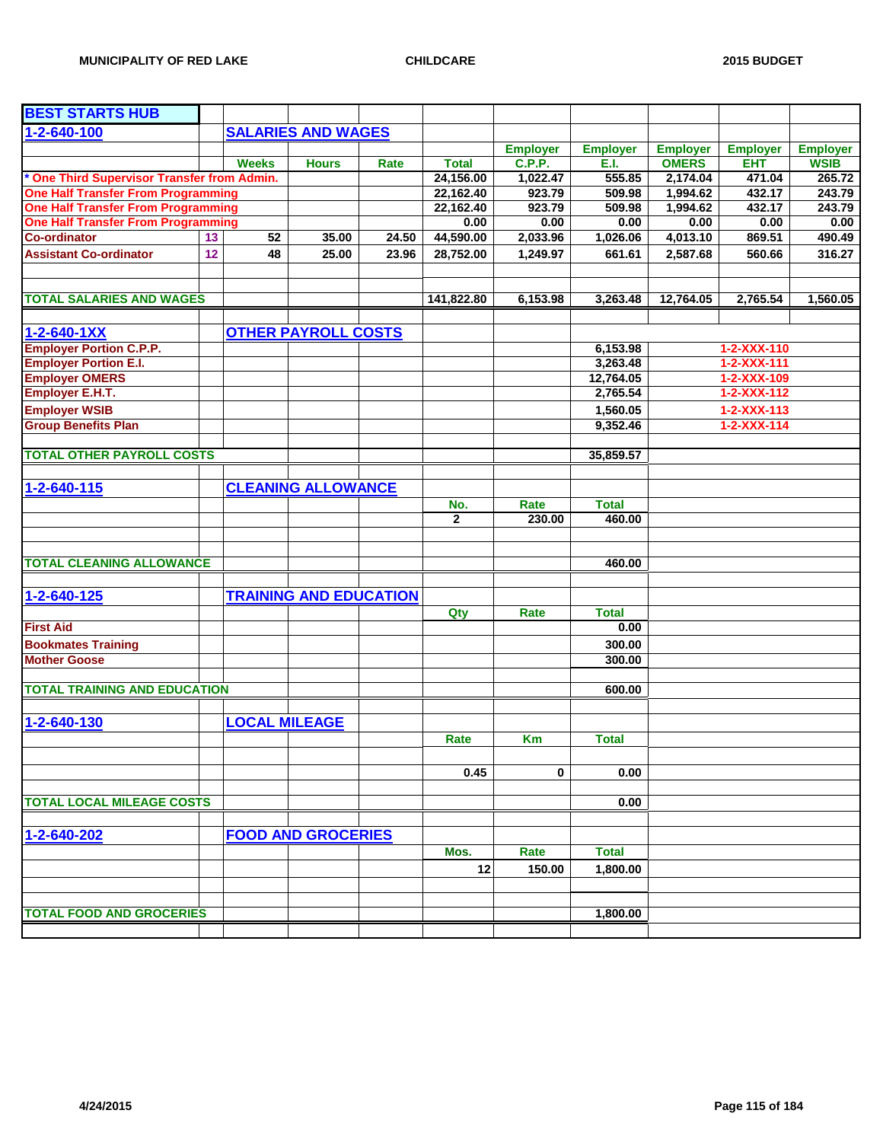| <b>BEST STARTS HUB</b>                      |    |              |                               |       |              |                 |                 |                 |                     |                 |
|---------------------------------------------|----|--------------|-------------------------------|-------|--------------|-----------------|-----------------|-----------------|---------------------|-----------------|
| 1-2-640-100                                 |    |              | <b>SALARIES AND WAGES</b>     |       |              |                 |                 |                 |                     |                 |
|                                             |    |              |                               |       |              | <b>Employer</b> | <b>Employer</b> | <b>Employer</b> | <b>Employer</b>     | <b>Employer</b> |
|                                             |    | <b>Weeks</b> | <b>Hours</b>                  | Rate  | <b>Total</b> | C.P.P.          | E.I.            | <b>OMERS</b>    | <b>EHT</b>          | <b>WSIB</b>     |
| * One Third Supervisor Transfer from Admin. |    |              |                               |       | 24,156.00    | 1,022.47        | 555.85          | 2,174.04        | 471.04              | 265.72          |
| <b>One Half Transfer From Programming</b>   |    |              |                               |       | 22,162.40    | 923.79          | 509.98          | 1,994.62        | 432.17              | 243.79          |
| <b>One Half Transfer From Programming</b>   |    |              |                               |       | 22,162.40    | 923.79          | 509.98          | 1,994.62        | 432.17              | 243.79          |
| <b>One Half Transfer From Programming</b>   |    |              |                               |       | 0.00         | 0.00            | 0.00            | 0.00            | 0.00                | 0.00            |
| <b>Co-ordinator</b>                         | 13 | 52           | 35.00                         | 24.50 | 44,590.00    | 2,033.96        | 1,026.06        | 4,013.10        | 869.51              | 490.49          |
| <b>Assistant Co-ordinator</b>               | 12 | 48           | 25.00                         | 23.96 | 28,752.00    | 1,249.97        | 661.61          | 2,587.68        | 560.66              | 316.27          |
|                                             |    |              |                               |       |              |                 |                 |                 |                     |                 |
| <b>TOTAL SALARIES AND WAGES</b>             |    |              |                               |       | 141,822.80   | 6,153.98        | 3,263.48        | 12,764.05       | 2,765.54            | 1,560.05        |
|                                             |    |              |                               |       |              |                 |                 |                 |                     |                 |
| $1 - 2 - 640 - 1XX$                         |    |              | <b>OTHER PAYROLL COSTS</b>    |       |              |                 |                 |                 |                     |                 |
| <b>Employer Portion C.P.P.</b>              |    |              |                               |       |              |                 | 6,153.98        |                 | 1-2-XXX-110         |                 |
| <b>Employer Portion E.I.</b>                |    |              |                               |       |              |                 | 3,263.48        |                 | $1 - 2 - XXX - 111$ |                 |
| <b>Employer OMERS</b>                       |    |              |                               |       |              |                 | 12,764.05       |                 | 1-2-XXX-109         |                 |
| Employer E.H.T.                             |    |              |                               |       |              |                 | 2,765.54        |                 | 1-2-XXX-112         |                 |
| <b>Employer WSIB</b>                        |    |              |                               |       |              |                 | 1,560.05        |                 | $1 - 2 - XXX - 113$ |                 |
| <b>Group Benefits Plan</b>                  |    |              |                               |       |              |                 | 9,352.46        |                 | $1 - 2 - XXX - 114$ |                 |
|                                             |    |              |                               |       |              |                 |                 |                 |                     |                 |
| <b>TOTAL OTHER PAYROLL COSTS</b>            |    |              |                               |       |              |                 | 35,859.57       |                 |                     |                 |
| 1-2-640-115                                 |    |              | <b>CLEANING ALLOWANCE</b>     |       |              |                 |                 |                 |                     |                 |
|                                             |    |              |                               |       | No.          | Rate            | <b>Total</b>    |                 |                     |                 |
|                                             |    |              |                               |       | $\mathbf{2}$ | 230.00          | 460.00          |                 |                     |                 |
|                                             |    |              |                               |       |              |                 |                 |                 |                     |                 |
|                                             |    |              |                               |       |              |                 |                 |                 |                     |                 |
| <b>TOTAL CLEANING ALLOWANCE</b>             |    |              |                               |       |              |                 | 460.00          |                 |                     |                 |
|                                             |    |              |                               |       |              |                 |                 |                 |                     |                 |
| 1-2-640-125                                 |    |              | <b>TRAINING AND EDUCATION</b> |       |              |                 |                 |                 |                     |                 |
|                                             |    |              |                               |       | Qty          | Rate            | <b>Total</b>    |                 |                     |                 |
| <b>First Aid</b>                            |    |              |                               |       |              |                 | 0.00            |                 |                     |                 |
| <b>Bookmates Training</b>                   |    |              |                               |       |              |                 | 300.00          |                 |                     |                 |
| <b>Mother Goose</b>                         |    |              |                               |       |              |                 | 300.00          |                 |                     |                 |
|                                             |    |              |                               |       |              |                 |                 |                 |                     |                 |
| <b>TOTAL TRAINING AND EDUCATION</b>         |    |              |                               |       |              |                 | 600.00          |                 |                     |                 |
|                                             |    |              |                               |       |              |                 |                 |                 |                     |                 |
| 1-2-640-130                                 |    |              | <b>LOCAL MILEAGE</b>          |       |              |                 |                 |                 |                     |                 |
|                                             |    |              |                               |       | Rate         | <b>Km</b>       | <b>Total</b>    |                 |                     |                 |
|                                             |    |              |                               |       |              |                 |                 |                 |                     |                 |
|                                             |    |              |                               |       | 0.45         | 0               | 0.00            |                 |                     |                 |
|                                             |    |              |                               |       |              |                 |                 |                 |                     |                 |
| <b>TOTAL LOCAL MILEAGE COSTS</b>            |    |              |                               |       |              |                 | 0.00            |                 |                     |                 |
|                                             |    |              |                               |       |              |                 |                 |                 |                     |                 |
| 1-2-640-202                                 |    |              | <b>FOOD AND GROCERIES</b>     |       |              |                 |                 |                 |                     |                 |
|                                             |    |              |                               |       | Mos.         | Rate            | <b>Total</b>    |                 |                     |                 |
|                                             |    |              |                               |       | 12           | 150.00          | 1,800.00        |                 |                     |                 |
|                                             |    |              |                               |       |              |                 |                 |                 |                     |                 |
|                                             |    |              |                               |       |              |                 |                 |                 |                     |                 |
| <b>TOTAL FOOD AND GROCERIES</b>             |    |              |                               |       |              |                 | 1,800.00        |                 |                     |                 |
|                                             |    |              |                               |       |              |                 |                 |                 |                     |                 |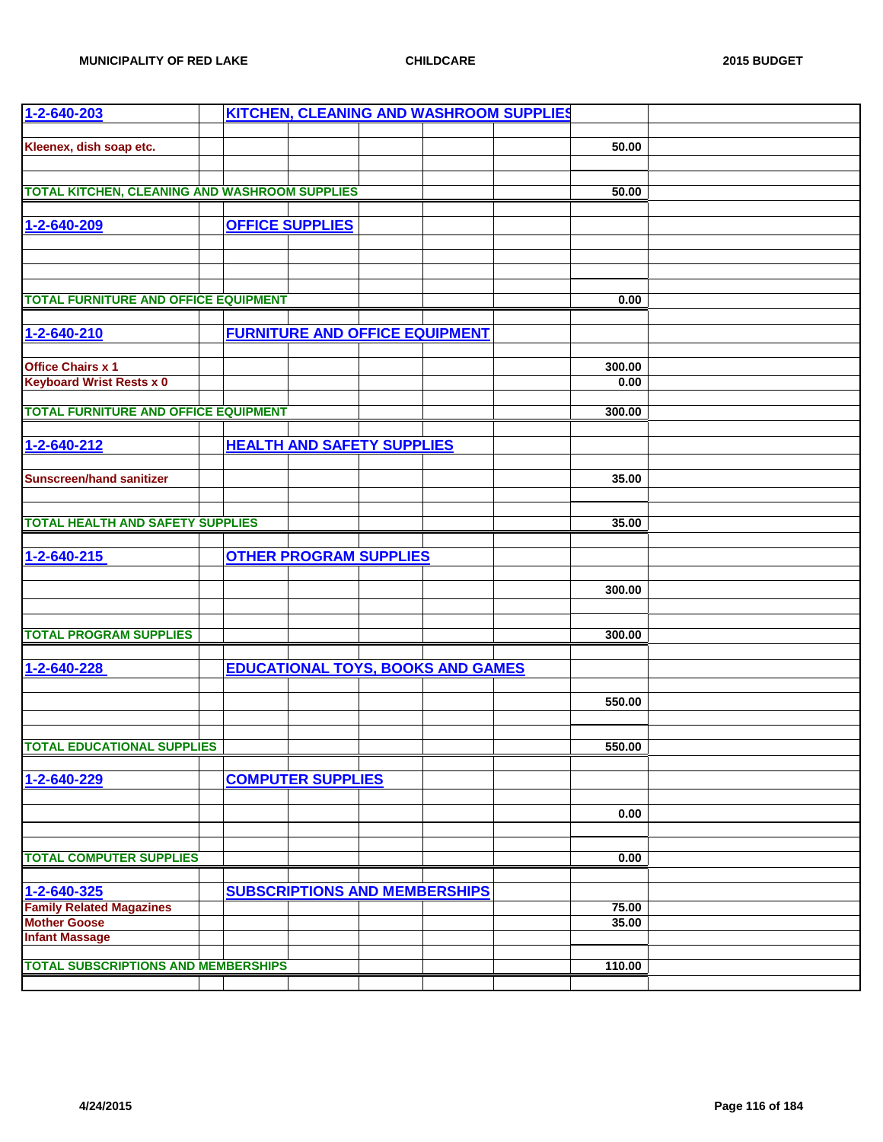| 1-2-640-203                                          |  |                                       |                                          | KITCHEN, CLEANING AND WASHROOM SUPPLIES |        |  |
|------------------------------------------------------|--|---------------------------------------|------------------------------------------|-----------------------------------------|--------|--|
|                                                      |  |                                       |                                          |                                         |        |  |
| Kleenex, dish soap etc.                              |  |                                       |                                          |                                         | 50.00  |  |
|                                                      |  |                                       |                                          |                                         |        |  |
|                                                      |  |                                       |                                          |                                         |        |  |
| <b>TOTAL KITCHEN, CLEANING AND WASHROOM SUPPLIES</b> |  |                                       |                                          |                                         | 50.00  |  |
|                                                      |  |                                       |                                          |                                         |        |  |
| 1-2-640-209                                          |  | <b>OFFICE SUPPLIES</b>                |                                          |                                         |        |  |
|                                                      |  |                                       |                                          |                                         |        |  |
|                                                      |  |                                       |                                          |                                         |        |  |
|                                                      |  |                                       |                                          |                                         |        |  |
| <b>TOTAL FURNITURE AND OFFICE EQUIPMENT</b>          |  |                                       |                                          |                                         | 0.00   |  |
|                                                      |  |                                       |                                          |                                         |        |  |
| 1-2-640-210                                          |  | <b>FURNITURE AND OFFICE EQUIPMENT</b> |                                          |                                         |        |  |
|                                                      |  |                                       |                                          |                                         |        |  |
| <b>Office Chairs x 1</b>                             |  |                                       |                                          |                                         | 300.00 |  |
| <b>Keyboard Wrist Rests x 0</b>                      |  |                                       |                                          |                                         | 0.00   |  |
|                                                      |  |                                       |                                          |                                         |        |  |
| <b>TOTAL FURNITURE AND OFFICE EQUIPMENT</b>          |  |                                       |                                          |                                         | 300.00 |  |
|                                                      |  |                                       |                                          |                                         |        |  |
| 1-2-640-212                                          |  | <b>HEALTH AND SAFETY SUPPLIES</b>     |                                          |                                         |        |  |
|                                                      |  |                                       |                                          |                                         |        |  |
| <b>Sunscreen/hand sanitizer</b>                      |  |                                       |                                          |                                         | 35.00  |  |
|                                                      |  |                                       |                                          |                                         |        |  |
|                                                      |  |                                       |                                          |                                         |        |  |
| <b>TOTAL HEALTH AND SAFETY SUPPLIES</b>              |  |                                       |                                          |                                         | 35.00  |  |
|                                                      |  |                                       |                                          |                                         |        |  |
| 1-2-640-215                                          |  | <b>OTHER PROGRAM SUPPLIES</b>         |                                          |                                         |        |  |
|                                                      |  |                                       |                                          |                                         |        |  |
|                                                      |  |                                       |                                          |                                         | 300.00 |  |
|                                                      |  |                                       |                                          |                                         |        |  |
|                                                      |  |                                       |                                          |                                         |        |  |
| <b>TOTAL PROGRAM SUPPLIES</b>                        |  |                                       |                                          |                                         | 300.00 |  |
|                                                      |  |                                       |                                          |                                         |        |  |
| 1-2-640-228                                          |  |                                       | <b>EDUCATIONAL TOYS, BOOKS AND GAMES</b> |                                         |        |  |
|                                                      |  |                                       |                                          |                                         |        |  |
|                                                      |  |                                       |                                          |                                         | 550.00 |  |
|                                                      |  |                                       |                                          |                                         |        |  |
|                                                      |  |                                       |                                          |                                         |        |  |
| <b>TOTAL EDUCATIONAL SUPPLIES</b>                    |  |                                       |                                          |                                         | 550.00 |  |
|                                                      |  |                                       |                                          |                                         |        |  |
| 1-2-640-229                                          |  | <b>COMPUTER SUPPLIES</b>              |                                          |                                         |        |  |
|                                                      |  |                                       |                                          |                                         |        |  |
|                                                      |  |                                       |                                          |                                         | 0.00   |  |
|                                                      |  |                                       |                                          |                                         |        |  |
|                                                      |  |                                       |                                          |                                         |        |  |
| <b>TOTAL COMPUTER SUPPLIES</b>                       |  |                                       |                                          |                                         | 0.00   |  |
|                                                      |  |                                       |                                          |                                         |        |  |
| 1-2-640-325                                          |  |                                       | <b>SUBSCRIPTIONS AND MEMBERSHIPS</b>     |                                         |        |  |
| <b>Family Related Magazines</b>                      |  |                                       |                                          |                                         | 75.00  |  |
| <b>Mother Goose</b>                                  |  |                                       |                                          |                                         | 35.00  |  |
| <b>Infant Massage</b>                                |  |                                       |                                          |                                         |        |  |
|                                                      |  |                                       |                                          |                                         |        |  |
| <b>TOTAL SUBSCRIPTIONS AND MEMBERSHIPS</b>           |  |                                       |                                          |                                         | 110.00 |  |
|                                                      |  |                                       |                                          |                                         |        |  |
|                                                      |  |                                       |                                          |                                         |        |  |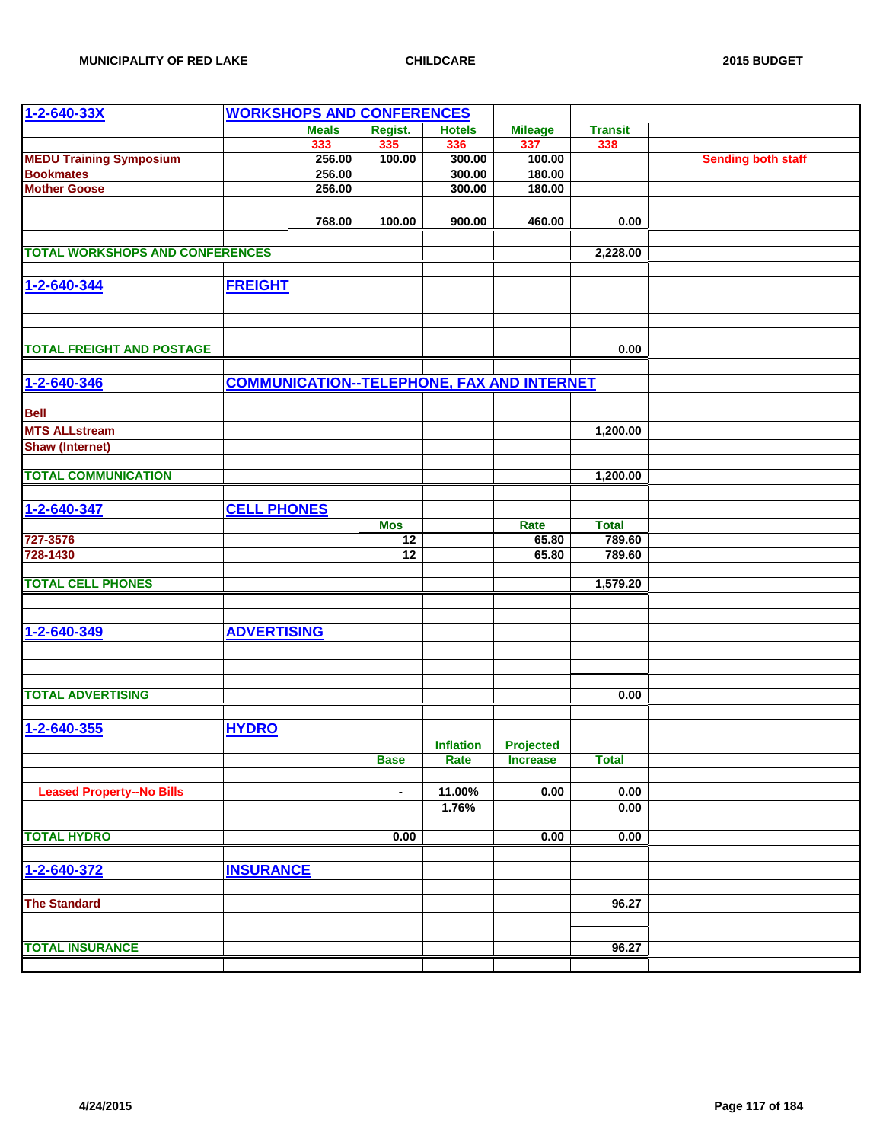| $1 - 2 - 640 - 33X$                    |                    | <b>WORKSHOPS AND CONFERENCES</b> |                |                  |                                                   |                |                           |
|----------------------------------------|--------------------|----------------------------------|----------------|------------------|---------------------------------------------------|----------------|---------------------------|
|                                        |                    | <b>Meals</b>                     | Regist.        | <b>Hotels</b>    | <b>Mileage</b>                                    | <b>Transit</b> |                           |
|                                        |                    | 333                              | 335            | 336              | 337                                               | 338            |                           |
| <b>MEDU Training Symposium</b>         |                    | 256.00                           | 100.00         | 300.00           | 100.00                                            |                | <b>Sending both staff</b> |
| <b>Bookmates</b>                       |                    | 256.00                           |                | 300.00           | 180.00                                            |                |                           |
| <b>Mother Goose</b>                    |                    | 256.00                           |                | 300.00           | 180.00                                            |                |                           |
|                                        |                    |                                  |                |                  |                                                   |                |                           |
|                                        |                    | 768.00                           | 100.00         | 900.00           | 460.00                                            | 0.00           |                           |
|                                        |                    |                                  |                |                  |                                                   |                |                           |
| <b>TOTAL WORKSHOPS AND CONFERENCES</b> |                    |                                  |                |                  |                                                   | 2,228.00       |                           |
|                                        |                    |                                  |                |                  |                                                   |                |                           |
| 1-2-640-344                            | <b>FREIGHT</b>     |                                  |                |                  |                                                   |                |                           |
|                                        |                    |                                  |                |                  |                                                   |                |                           |
|                                        |                    |                                  |                |                  |                                                   |                |                           |
|                                        |                    |                                  |                |                  |                                                   |                |                           |
| <b>TOTAL FREIGHT AND POSTAGE</b>       |                    |                                  |                |                  |                                                   | 0.00           |                           |
|                                        |                    |                                  |                |                  |                                                   |                |                           |
| 1-2-640-346                            |                    |                                  |                |                  | <b>COMMUNICATION--TELEPHONE, FAX AND INTERNET</b> |                |                           |
|                                        |                    |                                  |                |                  |                                                   |                |                           |
| <b>Bell</b>                            |                    |                                  |                |                  |                                                   |                |                           |
|                                        |                    |                                  |                |                  |                                                   |                |                           |
| <b>MTS ALLstream</b>                   |                    |                                  |                |                  |                                                   | 1,200.00       |                           |
| <b>Shaw (Internet)</b>                 |                    |                                  |                |                  |                                                   |                |                           |
|                                        |                    |                                  |                |                  |                                                   |                |                           |
| <b>TOTAL COMMUNICATION</b>             |                    |                                  |                |                  |                                                   | 1,200.00       |                           |
|                                        |                    |                                  |                |                  |                                                   |                |                           |
| 1-2-640-347                            | <b>CELL PHONES</b> |                                  |                |                  |                                                   |                |                           |
|                                        |                    |                                  | <b>Mos</b>     |                  | Rate                                              | <b>Total</b>   |                           |
| 727-3576                               |                    |                                  | 12             |                  | 65.80                                             | 789.60         |                           |
| 728-1430                               |                    |                                  | 12             |                  | 65.80                                             | 789.60         |                           |
| <b>TOTAL CELL PHONES</b>               |                    |                                  |                |                  |                                                   |                |                           |
|                                        |                    |                                  |                |                  |                                                   | 1,579.20       |                           |
|                                        |                    |                                  |                |                  |                                                   |                |                           |
|                                        |                    |                                  |                |                  |                                                   |                |                           |
| 1-2-640-349                            | <b>ADVERTISING</b> |                                  |                |                  |                                                   |                |                           |
|                                        |                    |                                  |                |                  |                                                   |                |                           |
|                                        |                    |                                  |                |                  |                                                   |                |                           |
|                                        |                    |                                  |                |                  |                                                   |                |                           |
| <b>TOTAL ADVERTISING</b>               |                    |                                  |                |                  |                                                   | 0.00           |                           |
|                                        |                    |                                  |                |                  |                                                   |                |                           |
| 1-2-640-355                            | <b>HYDRO</b>       |                                  |                |                  |                                                   |                |                           |
|                                        |                    |                                  |                | <b>Inflation</b> | Projected                                         |                |                           |
|                                        |                    |                                  | <b>Base</b>    | Rate             | <b>Increase</b>                                   | <b>Total</b>   |                           |
|                                        |                    |                                  |                |                  |                                                   |                |                           |
| <b>Leased Property--No Bills</b>       |                    |                                  | $\blacksquare$ | 11.00%           | 0.00                                              | 0.00           |                           |
|                                        |                    |                                  |                | 1.76%            |                                                   | 0.00           |                           |
|                                        |                    |                                  |                |                  |                                                   |                |                           |
| <b>TOTAL HYDRO</b>                     |                    |                                  | 0.00           |                  | 0.00                                              | 0.00           |                           |
|                                        |                    |                                  |                |                  |                                                   |                |                           |
| 1-2-640-372                            | <b>INSURANCE</b>   |                                  |                |                  |                                                   |                |                           |
|                                        |                    |                                  |                |                  |                                                   |                |                           |
| <b>The Standard</b>                    |                    |                                  |                |                  |                                                   | 96.27          |                           |
|                                        |                    |                                  |                |                  |                                                   |                |                           |
|                                        |                    |                                  |                |                  |                                                   |                |                           |
| <b>TOTAL INSURANCE</b>                 |                    |                                  |                |                  |                                                   | 96.27          |                           |
|                                        |                    |                                  |                |                  |                                                   |                |                           |
|                                        |                    |                                  |                |                  |                                                   |                |                           |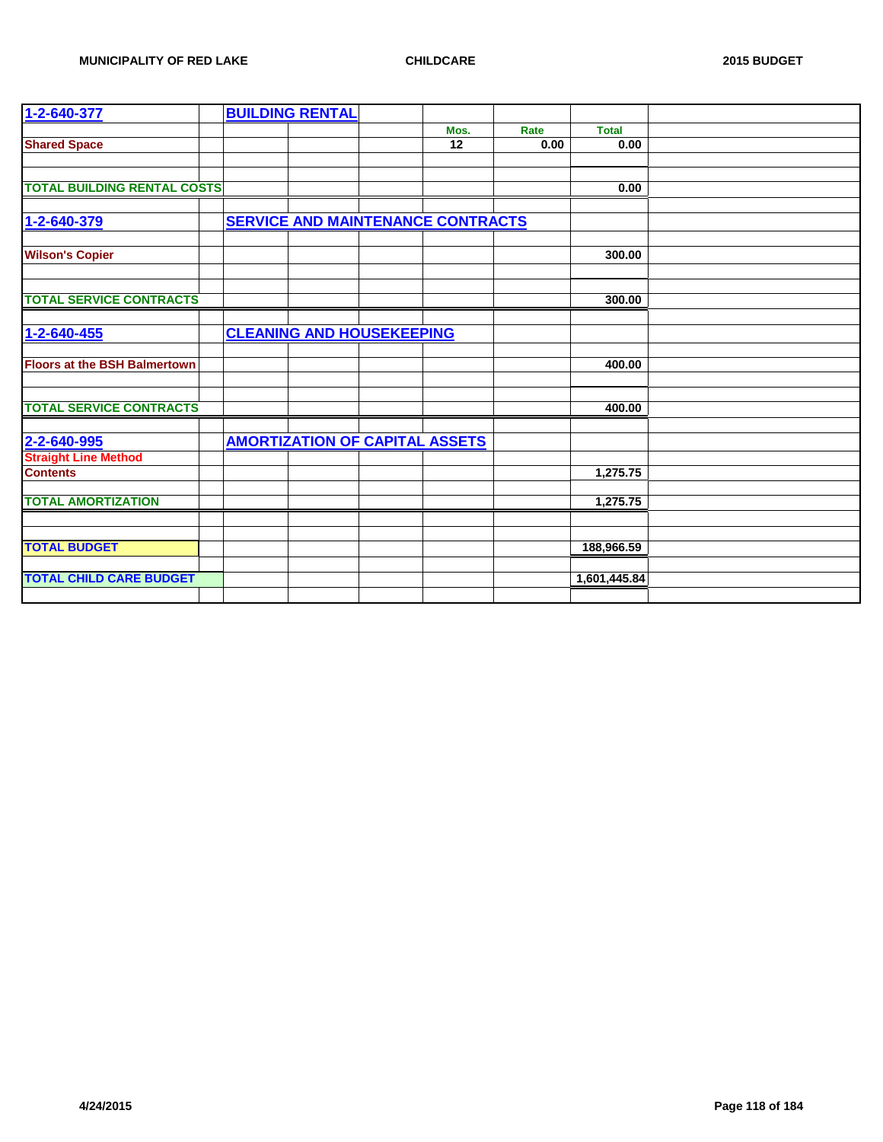| 1-2-640-377                         |  | <b>BUILDING RENTAL</b>                |                                          |      |              |  |
|-------------------------------------|--|---------------------------------------|------------------------------------------|------|--------------|--|
|                                     |  |                                       | Mos.                                     | Rate | <b>Total</b> |  |
| <b>Shared Space</b>                 |  |                                       | $\overline{12}$                          | 0.00 | 0.00         |  |
|                                     |  |                                       |                                          |      |              |  |
|                                     |  |                                       |                                          |      |              |  |
| <b>TOTAL BUILDING RENTAL COSTS</b>  |  |                                       |                                          |      | 0.00         |  |
|                                     |  |                                       |                                          |      |              |  |
| 1-2-640-379                         |  |                                       | <b>SERVICE AND MAINTENANCE CONTRACTS</b> |      |              |  |
|                                     |  |                                       |                                          |      |              |  |
| <b>Wilson's Copier</b>              |  |                                       |                                          |      | 300.00       |  |
|                                     |  |                                       |                                          |      |              |  |
|                                     |  |                                       |                                          |      |              |  |
| <b>TOTAL SERVICE CONTRACTS</b>      |  |                                       |                                          |      | 300.00       |  |
|                                     |  |                                       |                                          |      |              |  |
| 1-2-640-455                         |  | <b>CLEANING AND HOUSEKEEPING</b>      |                                          |      |              |  |
|                                     |  |                                       |                                          |      |              |  |
| <b>Floors at the BSH Balmertown</b> |  |                                       |                                          |      | 400.00       |  |
|                                     |  |                                       |                                          |      |              |  |
|                                     |  |                                       |                                          |      |              |  |
| <b>TOTAL SERVICE CONTRACTS</b>      |  |                                       |                                          |      | 400.00       |  |
|                                     |  |                                       |                                          |      |              |  |
| 2-2-640-995                         |  | <b>AMORTIZATION OF CAPITAL ASSETS</b> |                                          |      |              |  |
| <b>Straight Line Method</b>         |  |                                       |                                          |      |              |  |
| <b>Contents</b>                     |  |                                       |                                          |      | 1,275.75     |  |
|                                     |  |                                       |                                          |      |              |  |
| <b>TOTAL AMORTIZATION</b>           |  |                                       |                                          |      | 1,275.75     |  |
|                                     |  |                                       |                                          |      |              |  |
|                                     |  |                                       |                                          |      |              |  |
| <b>TOTAL BUDGET</b>                 |  |                                       |                                          |      | 188,966.59   |  |
|                                     |  |                                       |                                          |      |              |  |
| <b>TOTAL CHILD CARE BUDGET</b>      |  |                                       |                                          |      | 1,601,445.84 |  |
|                                     |  |                                       |                                          |      |              |  |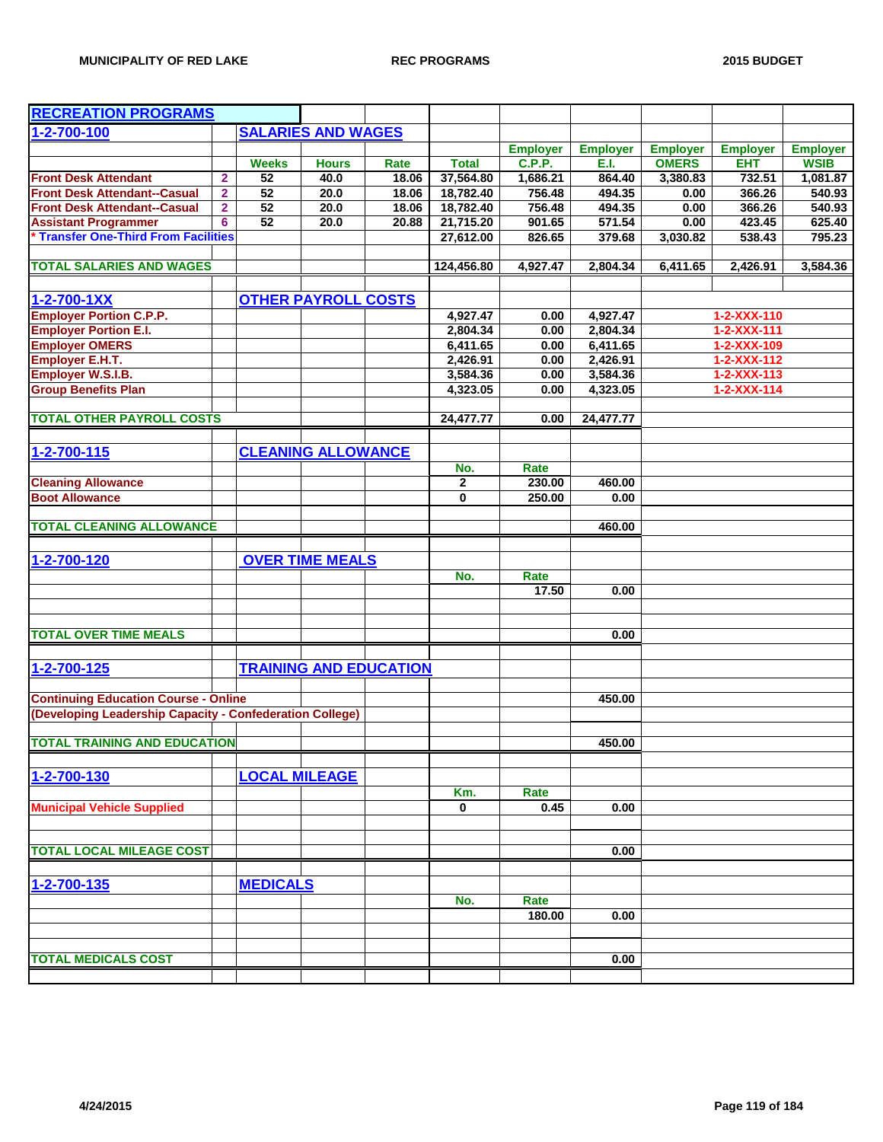| <b>RECREATION PROGRAMS</b>                               |                |                           |                            |                               |              |                 |                 |                 |                     |                 |
|----------------------------------------------------------|----------------|---------------------------|----------------------------|-------------------------------|--------------|-----------------|-----------------|-----------------|---------------------|-----------------|
| 1-2-700-100                                              |                | <b>SALARIES AND WAGES</b> |                            |                               |              |                 |                 |                 |                     |                 |
|                                                          |                |                           |                            |                               |              | <b>Employer</b> | <b>Employer</b> | <b>Employer</b> | <b>Employer</b>     | <b>Employer</b> |
|                                                          |                | <b>Weeks</b>              | <b>Hours</b>               | Rate                          | <b>Total</b> | <b>C.P.P.</b>   | E.I.            | <b>OMERS</b>    | <b>EHT</b>          | <b>WSIB</b>     |
| <b>Front Desk Attendant</b>                              | $\overline{2}$ | 52                        | 40.0                       | 18.06                         | 37,564.80    | 1,686.21        | 864.40          | 3,380.83        | 732.51              | 1,081.87        |
| <b>Front Desk Attendant--Casual</b>                      | $\overline{2}$ | 52                        | 20.0                       | 18.06                         | 18,782.40    | 756.48          | 494.35          | 0.00            | 366.26              | 540.93          |
| <b>Front Desk Attendant--Casual</b>                      | $\overline{2}$ | 52                        | 20.0                       | 18.06                         | 18,782.40    | 756.48          | 494.35          | 0.00            | 366.26              | 540.93          |
| <b>Assistant Programmer</b>                              | 6              | 52                        | 20.0                       | 20.88                         | 21,715.20    | 901.65          | 571.54          | 0.00            | 423.45              | 625.40          |
| Transfer One-Third From Facilities                       |                |                           |                            |                               | 27,612.00    | 826.65          | 379.68          | 3,030.82        | 538.43              | 795.23          |
|                                                          |                |                           |                            |                               |              |                 |                 |                 |                     |                 |
| <b>TOTAL SALARIES AND WAGES</b>                          |                |                           |                            |                               | 124,456.80   | 4,927.47        | 2,804.34        | 6,411.65        | 2,426.91            | 3,584.36        |
|                                                          |                |                           |                            |                               |              |                 |                 |                 |                     |                 |
| $1 - 2 - 700 - 1XX$                                      |                |                           | <b>OTHER PAYROLL COSTS</b> |                               |              |                 |                 |                 |                     |                 |
| <b>Employer Portion C.P.P.</b>                           |                |                           |                            |                               | 4,927.47     | 0.00            | 4,927.47        |                 | 1-2-XXX-110         |                 |
| <b>Employer Portion E.I.</b>                             |                |                           |                            |                               | 2,804.34     | 0.00            | 2,804.34        |                 | 1-2-XXX-111         |                 |
| <b>Employer OMERS</b>                                    |                |                           |                            |                               | 6,411.65     | 0.00            | 6,411.65        |                 | 1-2-XXX-109         |                 |
| Employer E.H.T.                                          |                |                           |                            |                               | 2,426.91     | 0.00            | 2,426.91        |                 | $1 - 2 - XXX - 112$ |                 |
| Employer W.S.I.B.                                        |                |                           |                            |                               | 3,584.36     | 0.00            | 3,584.36        |                 | $1 - 2 - XXX - 113$ |                 |
| <b>Group Benefits Plan</b>                               |                |                           |                            |                               | 4,323.05     | 0.00            | 4,323.05        |                 | $1 - 2 - XXX - 114$ |                 |
|                                                          |                |                           |                            |                               |              |                 |                 |                 |                     |                 |
| <b>TOTAL OTHER PAYROLL COSTS</b>                         |                |                           |                            |                               | 24,477.77    | 0.00            | 24,477.77       |                 |                     |                 |
|                                                          |                |                           |                            |                               |              |                 |                 |                 |                     |                 |
| 1-2-700-115                                              |                |                           | <b>CLEANING ALLOWANCE</b>  |                               |              |                 |                 |                 |                     |                 |
|                                                          |                |                           |                            |                               | No.          | Rate            |                 |                 |                     |                 |
| <b>Cleaning Allowance</b>                                |                |                           |                            |                               | $\mathbf{2}$ | 230.00          | 460.00          |                 |                     |                 |
| <b>Boot Allowance</b>                                    |                |                           |                            |                               | $\mathbf 0$  | 250.00          | 0.00            |                 |                     |                 |
|                                                          |                |                           |                            |                               |              |                 |                 |                 |                     |                 |
| <b>TOTAL CLEANING ALLOWANCE</b>                          |                |                           |                            |                               |              |                 | 460.00          |                 |                     |                 |
|                                                          |                |                           |                            |                               |              |                 |                 |                 |                     |                 |
| 1-2-700-120                                              |                |                           | <b>OVER TIME MEALS</b>     |                               |              |                 |                 |                 |                     |                 |
|                                                          |                |                           |                            |                               | No.          | Rate            |                 |                 |                     |                 |
|                                                          |                |                           |                            |                               |              | 17.50           | 0.00            |                 |                     |                 |
|                                                          |                |                           |                            |                               |              |                 |                 |                 |                     |                 |
|                                                          |                |                           |                            |                               |              |                 |                 |                 |                     |                 |
| <b>TOTAL OVER TIME MEALS</b>                             |                |                           |                            |                               |              |                 | 0.00            |                 |                     |                 |
|                                                          |                |                           |                            |                               |              |                 |                 |                 |                     |                 |
| 1-2-700-125                                              |                |                           |                            | <b>TRAINING AND EDUCATION</b> |              |                 |                 |                 |                     |                 |
|                                                          |                |                           |                            |                               |              |                 |                 |                 |                     |                 |
| <b>Continuing Education Course - Online</b>              |                |                           |                            |                               |              |                 | 450.00          |                 |                     |                 |
| (Developing Leadership Capacity - Confederation College) |                |                           |                            |                               |              |                 |                 |                 |                     |                 |
|                                                          |                |                           |                            |                               |              |                 |                 |                 |                     |                 |
| <b>TOTAL TRAINING AND EDUCATION</b>                      |                |                           |                            |                               |              |                 | 450.00          |                 |                     |                 |
|                                                          |                |                           |                            |                               |              |                 |                 |                 |                     |                 |
| 1-2-700-130                                              |                | <b>LOCAL MILEAGE</b>      |                            |                               |              |                 |                 |                 |                     |                 |
|                                                          |                |                           |                            |                               | Km.          | Rate            |                 |                 |                     |                 |
| <b>Municipal Vehicle Supplied</b>                        |                |                           |                            |                               | $\bf{0}$     | 0.45            | 0.00            |                 |                     |                 |
|                                                          |                |                           |                            |                               |              |                 |                 |                 |                     |                 |
|                                                          |                |                           |                            |                               |              |                 |                 |                 |                     |                 |
| <b>TOTAL LOCAL MILEAGE COST</b>                          |                |                           |                            |                               |              |                 | 0.00            |                 |                     |                 |
|                                                          |                |                           |                            |                               |              |                 |                 |                 |                     |                 |
| 1-2-700-135                                              |                | <b>MEDICALS</b>           |                            |                               |              |                 |                 |                 |                     |                 |
|                                                          |                |                           |                            |                               | No.          | Rate            |                 |                 |                     |                 |
|                                                          |                |                           |                            |                               |              | 180.00          | 0.00            |                 |                     |                 |
|                                                          |                |                           |                            |                               |              |                 |                 |                 |                     |                 |
|                                                          |                |                           |                            |                               |              |                 |                 |                 |                     |                 |
| <b>TOTAL MEDICALS COST</b>                               |                |                           |                            |                               |              |                 | 0.00            |                 |                     |                 |
|                                                          |                |                           |                            |                               |              |                 |                 |                 |                     |                 |
|                                                          |                |                           |                            |                               |              |                 |                 |                 |                     |                 |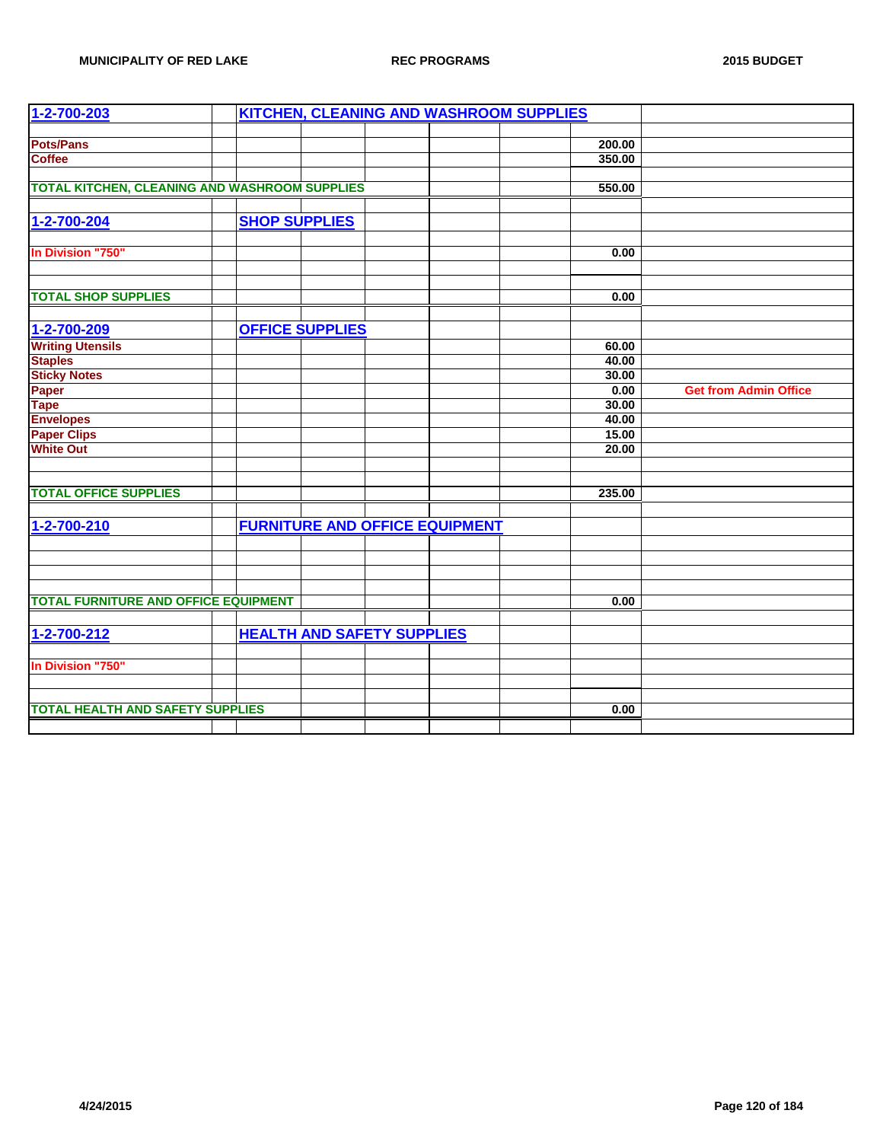| 1-2-700-203                                          |                        | <b>KITCHEN, CLEANING AND WASHROOM SUPPLIES</b> |        |                              |
|------------------------------------------------------|------------------------|------------------------------------------------|--------|------------------------------|
|                                                      |                        |                                                |        |                              |
| <b>Pots/Pans</b>                                     |                        |                                                | 200.00 |                              |
| <b>Coffee</b>                                        |                        |                                                | 350.00 |                              |
| <b>TOTAL KITCHEN, CLEANING AND WASHROOM SUPPLIES</b> |                        |                                                | 550.00 |                              |
|                                                      |                        |                                                |        |                              |
| 1-2-700-204                                          | <b>SHOP SUPPLIES</b>   |                                                |        |                              |
|                                                      |                        |                                                |        |                              |
| In Division "750"                                    |                        |                                                | 0.00   |                              |
|                                                      |                        |                                                |        |                              |
| <b>TOTAL SHOP SUPPLIES</b>                           |                        |                                                | 0.00   |                              |
|                                                      |                        |                                                |        |                              |
| 1-2-700-209                                          | <b>OFFICE SUPPLIES</b> |                                                |        |                              |
| <b>Writing Utensils</b>                              |                        |                                                | 60.00  |                              |
| <b>Staples</b>                                       |                        |                                                | 40.00  |                              |
| <b>Sticky Notes</b>                                  |                        |                                                | 30.00  |                              |
| Paper                                                |                        |                                                | 0.00   | <b>Get from Admin Office</b> |
| <b>Tape</b>                                          |                        |                                                | 30.00  |                              |
| <b>Envelopes</b>                                     |                        |                                                | 40.00  |                              |
| <b>Paper Clips</b>                                   |                        |                                                | 15.00  |                              |
| <b>White Out</b>                                     |                        |                                                | 20.00  |                              |
|                                                      |                        |                                                |        |                              |
|                                                      |                        |                                                |        |                              |
| <b>TOTAL OFFICE SUPPLIES</b>                         |                        |                                                | 235.00 |                              |
|                                                      |                        |                                                |        |                              |
| 1-2-700-210                                          |                        | <b>FURNITURE AND OFFICE EQUIPMENT</b>          |        |                              |
|                                                      |                        |                                                |        |                              |
|                                                      |                        |                                                |        |                              |
|                                                      |                        |                                                |        |                              |
|                                                      |                        |                                                |        |                              |
| <b>TOTAL FURNITURE AND OFFICE EQUIPMENT</b>          |                        |                                                | 0.00   |                              |
|                                                      |                        |                                                |        |                              |
| 1-2-700-212                                          |                        | <b>HEALTH AND SAFETY SUPPLIES</b>              |        |                              |
|                                                      |                        |                                                |        |                              |
| In Division "750"                                    |                        |                                                |        |                              |
|                                                      |                        |                                                |        |                              |
|                                                      |                        |                                                |        |                              |
| <b>TOTAL HEALTH AND SAFETY SUPPLIES</b>              |                        |                                                | 0.00   |                              |
|                                                      |                        |                                                |        |                              |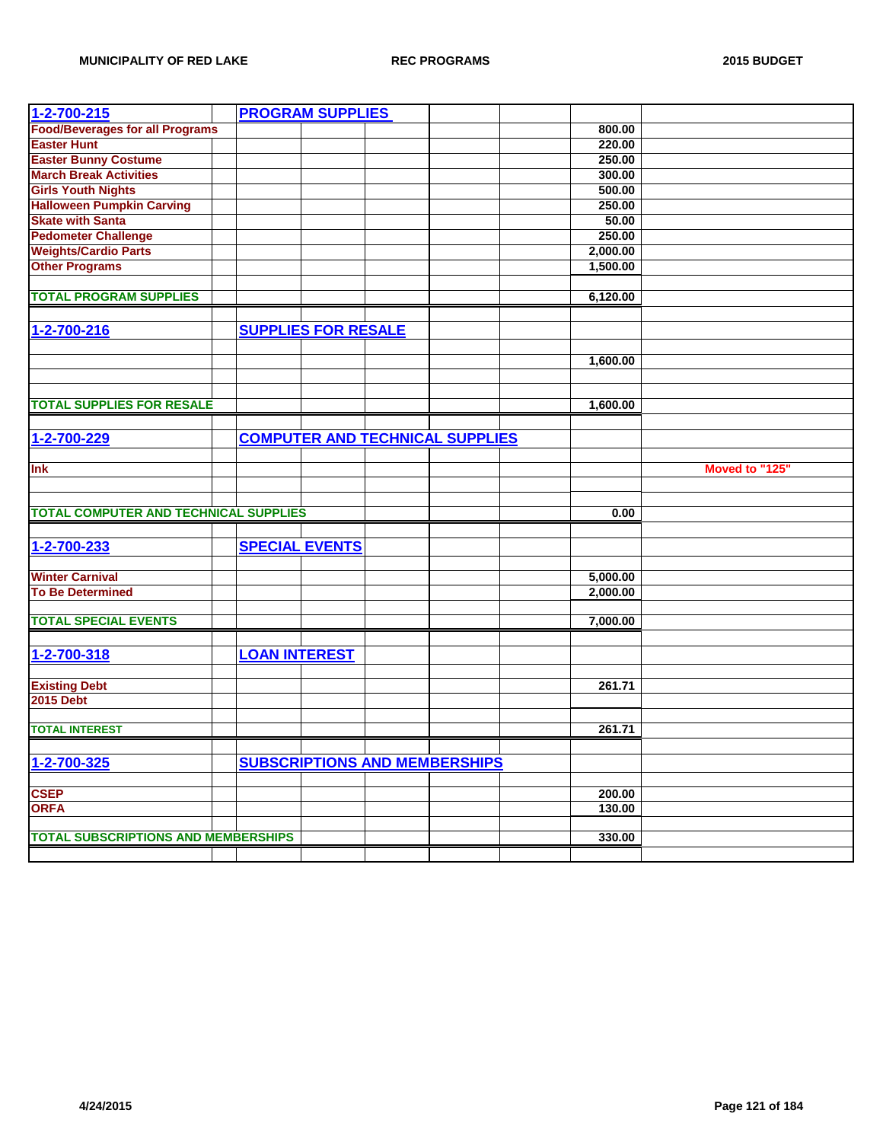| $1 - 2 - 700 - 215$                          |                      | <b>PROGRAM SUPPLIES</b>    |                                        |          |                |
|----------------------------------------------|----------------------|----------------------------|----------------------------------------|----------|----------------|
| <b>Food/Beverages for all Programs</b>       |                      |                            |                                        | 800.00   |                |
| <b>Easter Hunt</b>                           |                      |                            |                                        | 220.00   |                |
| <b>Easter Bunny Costume</b>                  |                      |                            |                                        | 250.00   |                |
| <b>March Break Activities</b>                |                      |                            |                                        | 300.00   |                |
| <b>Girls Youth Nights</b>                    |                      |                            |                                        | 500.00   |                |
| <b>Halloween Pumpkin Carving</b>             |                      |                            |                                        | 250.00   |                |
| <b>Skate with Santa</b>                      |                      |                            |                                        | 50.00    |                |
| <b>Pedometer Challenge</b>                   |                      |                            |                                        | 250.00   |                |
| <b>Weights/Cardio Parts</b>                  |                      |                            |                                        | 2,000.00 |                |
| <b>Other Programs</b>                        |                      |                            |                                        | 1,500.00 |                |
|                                              |                      |                            |                                        |          |                |
| <b>TOTAL PROGRAM SUPPLIES</b>                |                      |                            |                                        | 6,120.00 |                |
|                                              |                      |                            |                                        |          |                |
| 1-2-700-216                                  |                      | <b>SUPPLIES FOR RESALE</b> |                                        |          |                |
|                                              |                      |                            |                                        |          |                |
|                                              |                      |                            |                                        | 1,600.00 |                |
|                                              |                      |                            |                                        |          |                |
|                                              |                      |                            |                                        |          |                |
| <b>TOTAL SUPPLIES FOR RESALE</b>             |                      |                            |                                        | 1,600.00 |                |
|                                              |                      |                            |                                        |          |                |
|                                              |                      |                            | <b>COMPUTER AND TECHNICAL SUPPLIES</b> |          |                |
| 1-2-700-229                                  |                      |                            |                                        |          |                |
| Ink                                          |                      |                            |                                        |          |                |
|                                              |                      |                            |                                        |          | Moved to "125" |
|                                              |                      |                            |                                        |          |                |
|                                              |                      |                            |                                        |          |                |
|                                              |                      |                            |                                        |          |                |
| <b>TOTAL COMPUTER AND TECHNICAL SUPPLIES</b> |                      |                            |                                        | 0.00     |                |
|                                              |                      |                            |                                        |          |                |
| 1-2-700-233                                  |                      | <b>SPECIAL EVENTS</b>      |                                        |          |                |
|                                              |                      |                            |                                        |          |                |
| <b>Winter Carnival</b>                       |                      |                            |                                        | 5,000.00 |                |
| <b>To Be Determined</b>                      |                      |                            |                                        | 2,000.00 |                |
|                                              |                      |                            |                                        |          |                |
| <b>TOTAL SPECIAL EVENTS</b>                  |                      |                            |                                        | 7,000.00 |                |
|                                              |                      |                            |                                        |          |                |
| 1-2-700-318                                  | <b>LOAN INTEREST</b> |                            |                                        |          |                |
|                                              |                      |                            |                                        |          |                |
| <b>Existing Debt</b>                         |                      |                            |                                        | 261.71   |                |
| <b>2015 Debt</b>                             |                      |                            |                                        |          |                |
|                                              |                      |                            |                                        |          |                |
| <b>TOTAL INTEREST</b>                        |                      |                            |                                        | 261.71   |                |
|                                              |                      |                            |                                        |          |                |
| 1-2-700-325                                  |                      |                            | <b>SUBSCRIPTIONS AND MEMBERSHIPS</b>   |          |                |
|                                              |                      |                            |                                        |          |                |
| <b>CSEP</b>                                  |                      |                            |                                        | 200.00   |                |
| <b>ORFA</b>                                  |                      |                            |                                        | 130.00   |                |
|                                              |                      |                            |                                        |          |                |
| <b>TOTAL SUBSCRIPTIONS AND MEMBERSHIPS</b>   |                      |                            |                                        | 330.00   |                |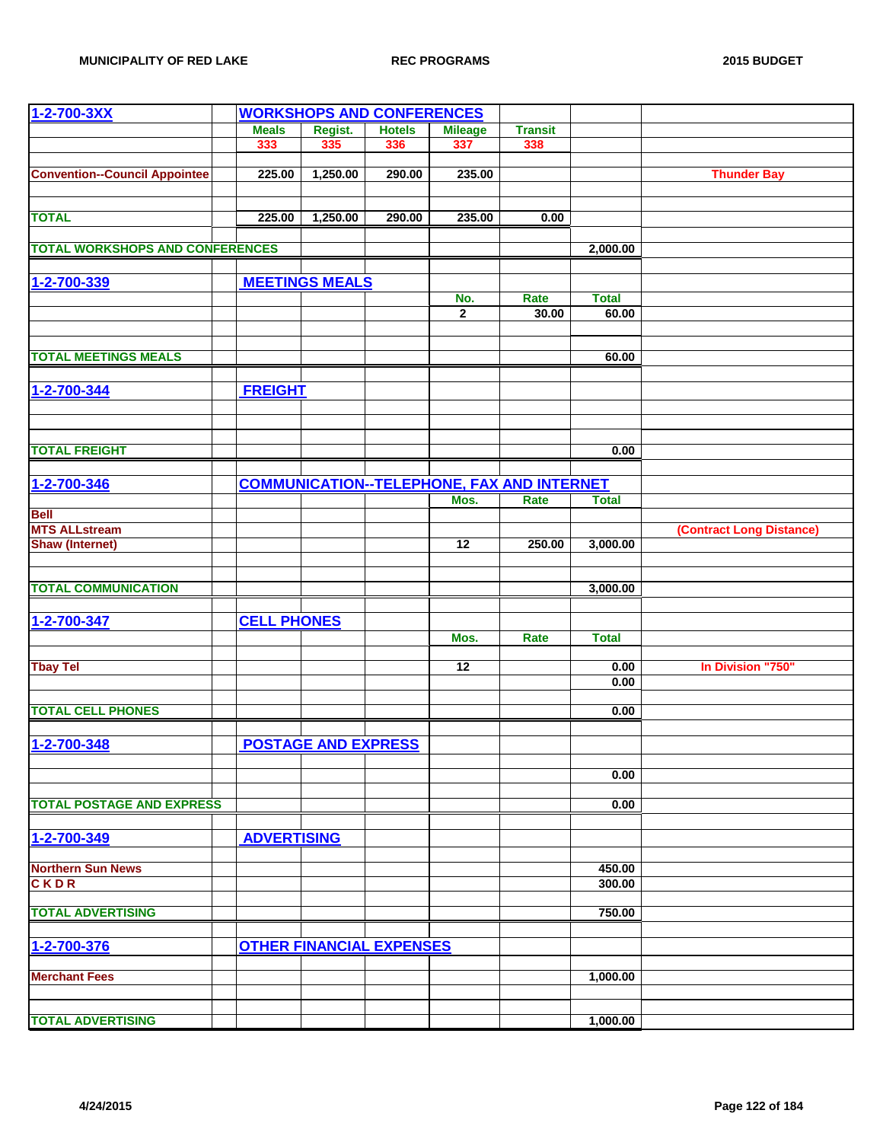| 1-2-700-3XX                            | <b>WORKSHOPS AND CONFERENCES</b> |                                 |               |                                                   |                |                       |                          |
|----------------------------------------|----------------------------------|---------------------------------|---------------|---------------------------------------------------|----------------|-----------------------|--------------------------|
|                                        | <b>Meals</b>                     | Regist.                         | <b>Hotels</b> | <b>Mileage</b>                                    | <b>Transit</b> |                       |                          |
|                                        | 333                              | 335                             | 336           | 337                                               | 338            |                       |                          |
|                                        |                                  |                                 |               |                                                   |                |                       |                          |
| <b>Convention--Council Appointee</b>   | 225.00                           | 1,250.00                        | 290.00        | 235.00                                            |                |                       | <b>Thunder Bay</b>       |
|                                        |                                  |                                 |               |                                                   |                |                       |                          |
| <b>TOTAL</b>                           | 225.00                           | 1,250.00                        | 290.00        | 235.00                                            | 0.00           |                       |                          |
|                                        |                                  |                                 |               |                                                   |                |                       |                          |
| <b>TOTAL WORKSHOPS AND CONFERENCES</b> |                                  |                                 |               |                                                   |                | 2,000.00              |                          |
|                                        |                                  |                                 |               |                                                   |                |                       |                          |
| 1-2-700-339                            |                                  | <b>MEETINGS MEALS</b>           |               |                                                   |                |                       |                          |
|                                        |                                  |                                 |               | No.<br>$\overline{2}$                             | Rate<br>30.00  | <b>Total</b><br>60.00 |                          |
|                                        |                                  |                                 |               |                                                   |                |                       |                          |
|                                        |                                  |                                 |               |                                                   |                |                       |                          |
| <b>TOTAL MEETINGS MEALS</b>            |                                  |                                 |               |                                                   |                | 60.00                 |                          |
|                                        |                                  |                                 |               |                                                   |                |                       |                          |
| 1-2-700-344                            | <b>FREIGHT</b>                   |                                 |               |                                                   |                |                       |                          |
|                                        |                                  |                                 |               |                                                   |                |                       |                          |
|                                        |                                  |                                 |               |                                                   |                |                       |                          |
| <b>TOTAL FREIGHT</b>                   |                                  |                                 |               |                                                   |                | 0.00                  |                          |
|                                        |                                  |                                 |               |                                                   |                |                       |                          |
| 1-2-700-346                            |                                  |                                 |               | <b>COMMUNICATION--TELEPHONE, FAX AND INTERNET</b> |                |                       |                          |
|                                        |                                  |                                 |               | Mos.                                              | Rate           | <b>Total</b>          |                          |
| <b>Bell</b>                            |                                  |                                 |               |                                                   |                |                       |                          |
| <b>MTS ALLstream</b>                   |                                  |                                 |               |                                                   |                |                       | (Contract Long Distance) |
| <b>Shaw (Internet)</b>                 |                                  |                                 |               | 12                                                | 250.00         | 3,000.00              |                          |
|                                        |                                  |                                 |               |                                                   |                |                       |                          |
| <b>TOTAL COMMUNICATION</b>             |                                  |                                 |               |                                                   |                | 3,000.00              |                          |
|                                        |                                  |                                 |               |                                                   |                |                       |                          |
| 1-2-700-347                            | <b>CELL PHONES</b>               |                                 |               |                                                   |                |                       |                          |
|                                        |                                  |                                 |               | Mos.                                              | Rate           | <b>Total</b>          |                          |
| <b>Tbay Tel</b>                        |                                  |                                 |               | 12                                                |                | 0.00                  | In Division "750"        |
|                                        |                                  |                                 |               |                                                   |                | 0.00                  |                          |
|                                        |                                  |                                 |               |                                                   |                |                       |                          |
| <b>TOTAL CELL PHONES</b>               |                                  |                                 |               |                                                   |                | 0.00                  |                          |
|                                        |                                  |                                 |               |                                                   |                |                       |                          |
| 1-2-700-348                            |                                  | <b>POSTAGE AND EXPRESS</b>      |               |                                                   |                |                       |                          |
|                                        |                                  |                                 |               |                                                   |                | 0.00                  |                          |
|                                        |                                  |                                 |               |                                                   |                |                       |                          |
| <b>TOTAL POSTAGE AND EXPRESS</b>       |                                  |                                 |               |                                                   |                | 0.00                  |                          |
|                                        |                                  |                                 |               |                                                   |                |                       |                          |
| 1-2-700-349                            | <b>ADVERTISING</b>               |                                 |               |                                                   |                |                       |                          |
|                                        |                                  |                                 |               |                                                   |                |                       |                          |
| <b>Northern Sun News</b>               |                                  |                                 |               |                                                   |                | 450.00                |                          |
| <b>CKDR</b>                            |                                  |                                 |               |                                                   |                | 300.00                |                          |
| <b>TOTAL ADVERTISING</b>               |                                  |                                 |               |                                                   |                | 750.00                |                          |
|                                        |                                  |                                 |               |                                                   |                |                       |                          |
| 1-2-700-376                            |                                  | <b>OTHER FINANCIAL EXPENSES</b> |               |                                                   |                |                       |                          |
|                                        |                                  |                                 |               |                                                   |                |                       |                          |
| <b>Merchant Fees</b>                   |                                  |                                 |               |                                                   |                | 1,000.00              |                          |
|                                        |                                  |                                 |               |                                                   |                |                       |                          |
| <b>TOTAL ADVERTISING</b>               |                                  |                                 |               |                                                   |                | 1,000.00              |                          |
|                                        |                                  |                                 |               |                                                   |                |                       |                          |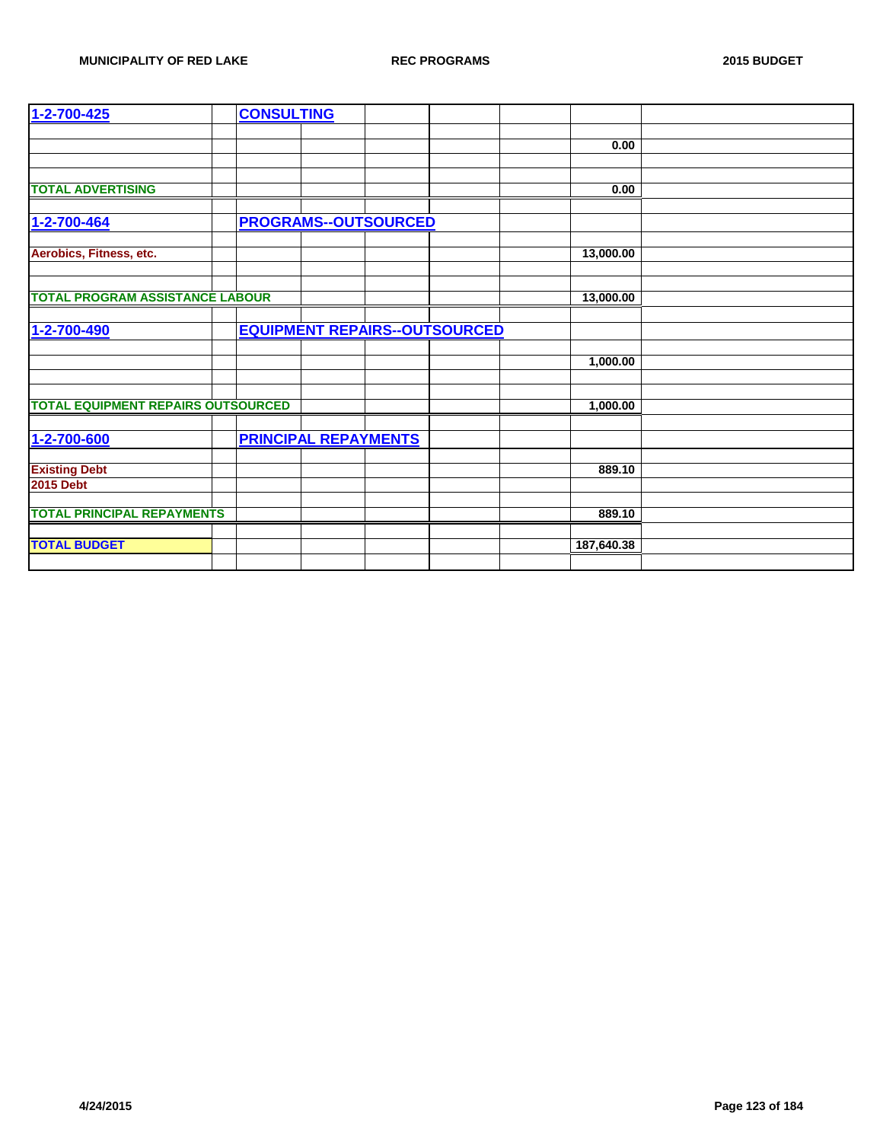| 1-2-700-425                               | <b>CONSULTING</b>                    |            |
|-------------------------------------------|--------------------------------------|------------|
|                                           |                                      | 0.00       |
|                                           |                                      |            |
|                                           |                                      |            |
| <b>TOTAL ADVERTISING</b>                  |                                      | 0.00       |
| 1-2-700-464                               | <b>PROGRAMS--OUTSOURCED</b>          |            |
|                                           |                                      |            |
| Aerobics, Fitness, etc.                   |                                      | 13,000.00  |
|                                           |                                      |            |
| <b>TOTAL PROGRAM ASSISTANCE LABOUR</b>    |                                      | 13,000.00  |
|                                           |                                      |            |
| 1-2-700-490                               | <b>EQUIPMENT REPAIRS--OUTSOURCED</b> |            |
|                                           |                                      |            |
|                                           |                                      | 1,000.00   |
|                                           |                                      |            |
| <b>TOTAL EQUIPMENT REPAIRS OUTSOURCED</b> |                                      | 1,000.00   |
|                                           |                                      |            |
| 1-2-700-600                               | <b>PRINCIPAL REPAYMENTS</b>          |            |
|                                           |                                      |            |
| <b>Existing Debt</b>                      |                                      | 889.10     |
| <b>2015 Debt</b>                          |                                      |            |
| <b>TOTAL PRINCIPAL REPAYMENTS</b>         |                                      | 889.10     |
|                                           |                                      |            |
| <b>TOTAL BUDGET</b>                       |                                      | 187,640.38 |
|                                           |                                      |            |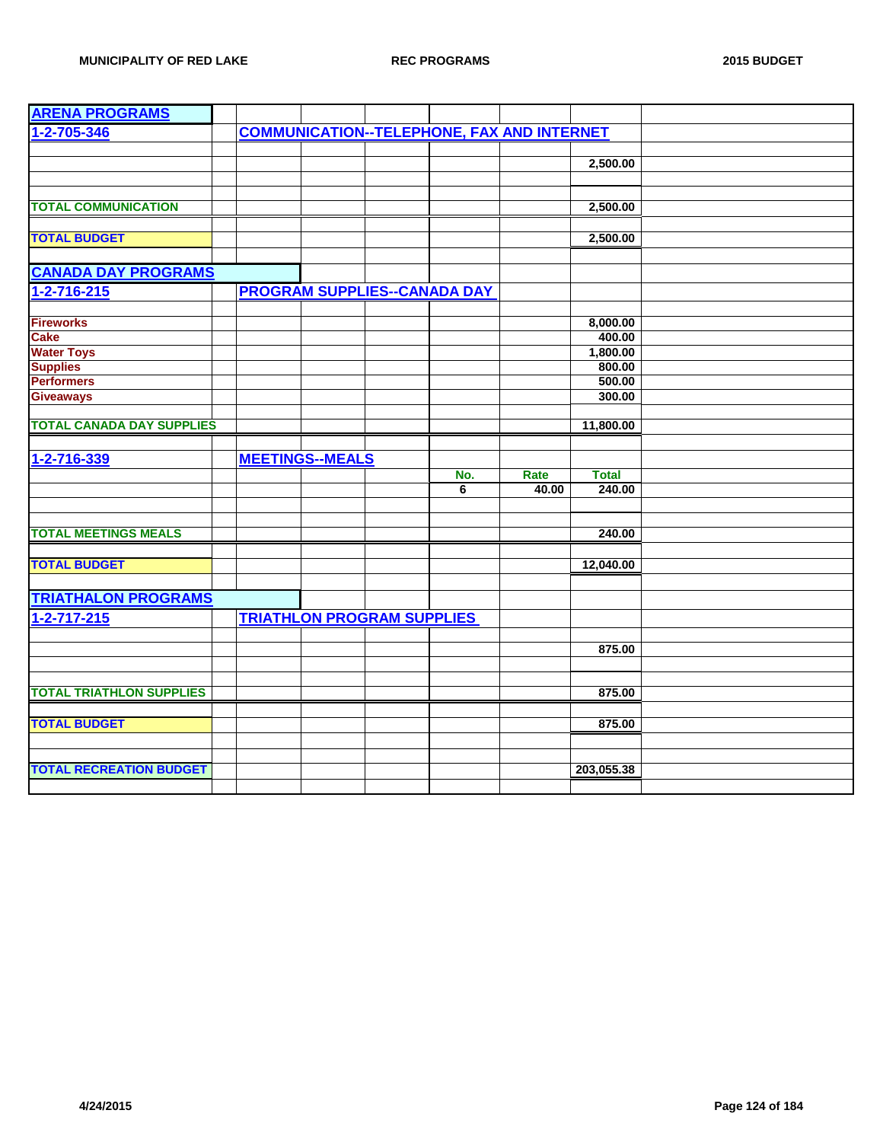| <b>ARENA PROGRAMS</b>            |                                   |                                     |                                                   |                        |  |
|----------------------------------|-----------------------------------|-------------------------------------|---------------------------------------------------|------------------------|--|
| 1-2-705-346                      |                                   |                                     | <b>COMMUNICATION--TELEPHONE, FAX AND INTERNET</b> |                        |  |
|                                  |                                   |                                     |                                                   |                        |  |
|                                  |                                   |                                     |                                                   | 2,500.00               |  |
|                                  |                                   |                                     |                                                   |                        |  |
|                                  |                                   |                                     |                                                   |                        |  |
| <b>TOTAL COMMUNICATION</b>       |                                   |                                     |                                                   | 2,500.00               |  |
|                                  |                                   |                                     |                                                   |                        |  |
| <b>TOTAL BUDGET</b>              |                                   |                                     |                                                   | 2,500.00               |  |
|                                  |                                   |                                     |                                                   |                        |  |
| <b>CANADA DAY PROGRAMS</b>       |                                   |                                     |                                                   |                        |  |
| $1 - 2 - 716 - 215$              |                                   | <b>PROGRAM SUPPLIES--CANADA DAY</b> |                                                   |                        |  |
|                                  |                                   |                                     |                                                   |                        |  |
| <b>Fireworks</b>                 |                                   |                                     |                                                   | 8,000.00               |  |
| <b>Cake</b>                      |                                   |                                     |                                                   | 400.00                 |  |
| <b>Water Toys</b>                |                                   |                                     |                                                   | 1,800.00               |  |
| <b>Supplies</b>                  |                                   |                                     |                                                   | 800.00                 |  |
| <b>Performers</b>                |                                   |                                     |                                                   | 500.00                 |  |
| <b>Giveaways</b>                 |                                   |                                     |                                                   | 300.00                 |  |
|                                  |                                   |                                     |                                                   |                        |  |
| <b>TOTAL CANADA DAY SUPPLIES</b> |                                   |                                     |                                                   | 11,800.00              |  |
|                                  |                                   |                                     |                                                   |                        |  |
| 1-2-716-339                      | <b>MEETINGS--MEALS</b>            |                                     |                                                   |                        |  |
|                                  |                                   | No.<br>6                            | Rate<br>40.00                                     | <b>Total</b><br>240.00 |  |
|                                  |                                   |                                     |                                                   |                        |  |
|                                  |                                   |                                     |                                                   |                        |  |
| <b>TOTAL MEETINGS MEALS</b>      |                                   |                                     |                                                   | 240.00                 |  |
|                                  |                                   |                                     |                                                   |                        |  |
| <b>TOTAL BUDGET</b>              |                                   |                                     |                                                   | 12,040.00              |  |
|                                  |                                   |                                     |                                                   |                        |  |
| <b>TRIATHALON PROGRAMS</b>       |                                   |                                     |                                                   |                        |  |
| $1 - 2 - 717 - 215$              | <b>TRIATHLON PROGRAM SUPPLIES</b> |                                     |                                                   |                        |  |
|                                  |                                   |                                     |                                                   |                        |  |
|                                  |                                   |                                     |                                                   | 875.00                 |  |
|                                  |                                   |                                     |                                                   |                        |  |
|                                  |                                   |                                     |                                                   |                        |  |
| <b>TOTAL TRIATHLON SUPPLIES</b>  |                                   |                                     |                                                   | 875.00                 |  |
|                                  |                                   |                                     |                                                   |                        |  |
| <b>TOTAL BUDGET</b>              |                                   |                                     |                                                   | 875.00                 |  |
|                                  |                                   |                                     |                                                   |                        |  |
|                                  |                                   |                                     |                                                   |                        |  |
| <b>TOTAL RECREATION BUDGET</b>   |                                   |                                     |                                                   | 203,055.38             |  |
|                                  |                                   |                                     |                                                   |                        |  |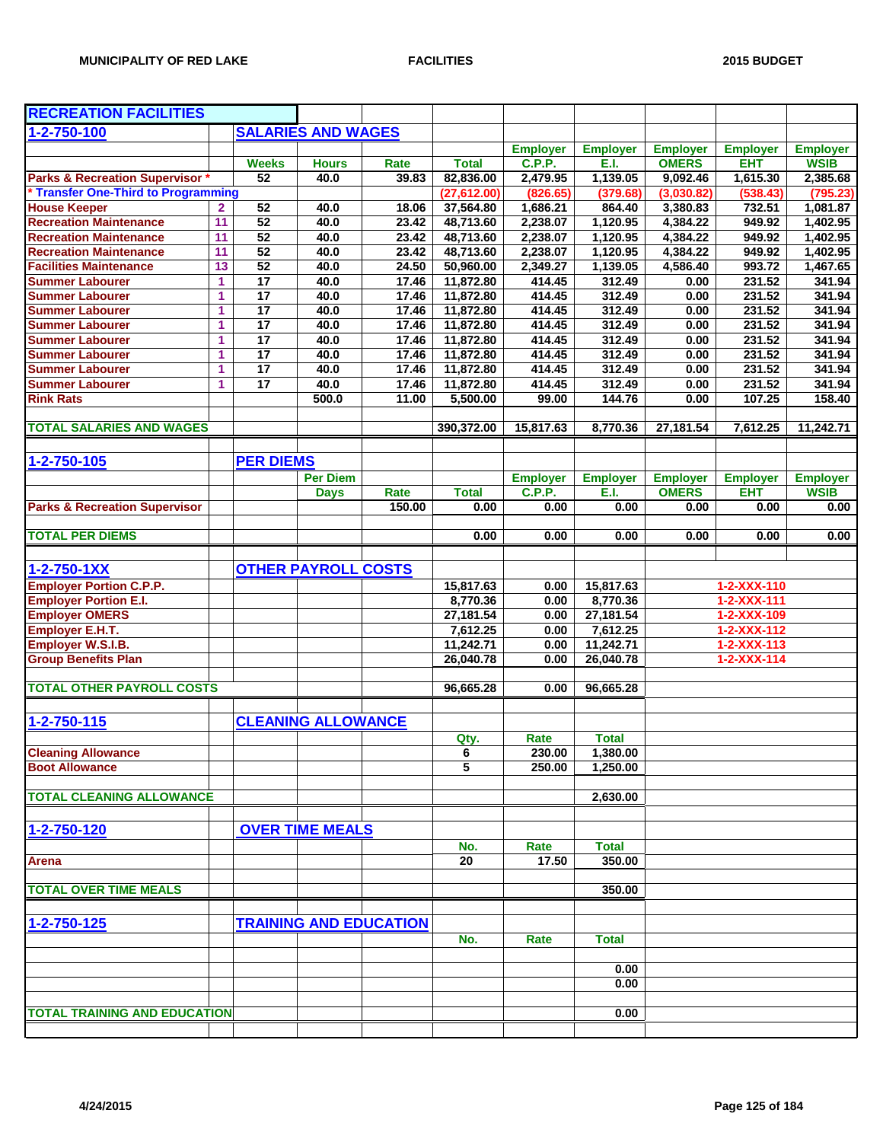| <b>RECREATION FACILITIES</b>               |                      |                       |                            |                               |                 |                 |                  |                 |                     |                  |
|--------------------------------------------|----------------------|-----------------------|----------------------------|-------------------------------|-----------------|-----------------|------------------|-----------------|---------------------|------------------|
| 1-2-750-100                                |                      |                       | <b>SALARIES AND WAGES</b>  |                               |                 |                 |                  |                 |                     |                  |
|                                            |                      |                       |                            |                               |                 | <b>Employer</b> | <b>Employer</b>  | <b>Employer</b> | <b>Employer</b>     | <b>Employer</b>  |
|                                            |                      | <b>Weeks</b>          | <b>Hours</b>               | Rate                          | <b>Total</b>    | <b>C.P.P.</b>   | E.I.             | <b>OMERS</b>    | <b>EHT</b>          | <b>WSIB</b>      |
| <b>Parks &amp; Recreation Supervisor *</b> |                      | $\overline{52}$       | 40.0                       | 39.83                         | 82,836.00       | 2,479.95        | 1,139.05         | 9,092.46        | 1,615.30            | 2,385.68         |
| * Transfer One-Third to Programming        |                      |                       |                            |                               | (27, 612.00)    | (826.65)        | (379.68)         | (3,030.82)      | (538.43)            | (795.23)         |
| <b>House Keeper</b>                        | $\mathbf{2}$         | 52                    | 40.0                       | 18.06                         | 37,564.80       | 1,686.21        | 864.40           | 3,380.83        | 732.51              | 1,081.87         |
| <b>Recreation Maintenance</b>              | 11                   | 52                    | 40.0                       | 23.42                         | 48,713.60       | 2,238.07        | 1,120.95         | 4,384.22        | 949.92              | 1,402.95         |
| <b>Recreation Maintenance</b>              | 11                   | 52                    | 40.0                       | 23.42                         | 48,713.60       | 2,238.07        | 1,120.95         | 4,384.22        | 949.92              | 1,402.95         |
| <b>Recreation Maintenance</b>              | 11                   | 52                    | 40.0                       | 23.42                         | 48,713.60       | 2,238.07        | 1,120.95         | 4,384.22        | 949.92              | 1,402.95         |
| <b>Facilities Maintenance</b>              | 13                   | 52                    | 40.0                       | 24.50                         | 50,960.00       | 2,349.27        | 1,139.05         | 4,586.40        | 993.72              | 1,467.65         |
| <b>Summer Labourer</b>                     | $\blacktriangleleft$ | $\overline{17}$       | 40.0                       | 17.46                         | 11,872.80       | 414.45          | 312.49           | 0.00            | 231.52              | 341.94           |
| <b>Summer Labourer</b>                     | 1                    | $\overline{17}$       | 40.0                       | 17.46                         | 11,872.80       | 414.45          | 312.49           | 0.00            | 231.52              | 341.94           |
| <b>Summer Labourer</b>                     | 1                    | 17                    | 40.0                       | 17.46                         | 11,872.80       | 414.45          | 312.49           | 0.00            | 231.52              | 341.94           |
| <b>Summer Labourer</b>                     | 1                    | $\overline{17}$       | 40.0                       | 17.46                         | 11,872.80       | 414.45          | 312.49           | 0.00            | 231.52              | 341.94           |
| <b>Summer Labourer</b>                     | 1                    | 17                    | 40.0                       | 17.46                         | 11,872.80       | 414.45          | 312.49           | 0.00            | 231.52              | 341.94           |
| <b>Summer Labourer</b>                     | 1                    | 17<br>$\overline{17}$ | 40.0                       | 17.46                         | 11,872.80       | 414.45          | 312.49           | 0.00            | 231.52              | 341.94           |
| <b>Summer Labourer</b>                     | 1<br>1               | 17                    | 40.0<br>40.0               | 17.46                         | 11,872.80       | 414.45          | 312.49<br>312.49 | 0.00            | 231.52<br>231.52    | 341.94<br>341.94 |
| <b>Summer Labourer</b>                     |                      |                       |                            | 17.46                         | 11,872.80       | 414.45          |                  | 0.00            |                     |                  |
| <b>Rink Rats</b>                           |                      |                       | 500.0                      | 11.00                         | 5,500.00        | 99.00           | 144.76           | 0.00            | 107.25              | 158.40           |
| <b>TOTAL SALARIES AND WAGES</b>            |                      |                       |                            |                               | 390,372.00      | 15.817.63       | 8,770.36         | 27,181.54       | 7,612.25            | 11,242.71        |
|                                            |                      |                       |                            |                               |                 |                 |                  |                 |                     |                  |
| 1-2-750-105                                |                      | <b>PER DIEMS</b>      |                            |                               |                 |                 |                  |                 |                     |                  |
|                                            |                      |                       | <b>Per Diem</b>            |                               |                 | <b>Employer</b> | <b>Employer</b>  | <b>Employer</b> | <b>Employer</b>     | <b>Employer</b>  |
|                                            |                      |                       | <b>Days</b>                | Rate                          | <b>Total</b>    | <b>C.P.P.</b>   | E.I.             | <b>OMERS</b>    | <b>EHT</b>          | <b>WSIB</b>      |
| <b>Parks &amp; Recreation Supervisor</b>   |                      |                       |                            | 150.00                        | 0.00            | 0.00            | 0.00             | 0.00            | 0.00                | 0.00             |
|                                            |                      |                       |                            |                               |                 |                 |                  |                 |                     |                  |
| <b>TOTAL PER DIEMS</b>                     |                      |                       |                            |                               | 0.00            | 0.00            | 0.00             | 0.00            | 0.00                | 0.00             |
|                                            |                      |                       |                            |                               |                 |                 |                  |                 |                     |                  |
| 1-2-750-1XX                                |                      |                       | <b>OTHER PAYROLL COSTS</b> |                               |                 |                 |                  |                 |                     |                  |
| <b>Employer Portion C.P.P.</b>             |                      |                       |                            |                               | 15,817.63       | 0.00            | 15,817.63        |                 | 1-2-XXX-110         |                  |
| <b>Employer Portion E.I.</b>               |                      |                       |                            |                               | 8,770.36        | 0.00            | 8,770.36         |                 | $1 - 2 - XXX - 111$ |                  |
| <b>Employer OMERS</b>                      |                      |                       |                            |                               | 27,181.54       | 0.00            | 27,181.54        |                 | 1-2-XXX-109         |                  |
| Employer E.H.T.                            |                      |                       |                            |                               | 7,612.25        | 0.00            | 7,612.25         |                 | 1-2-XXX-112         |                  |
| <b>Employer W.S.I.B.</b>                   |                      |                       |                            |                               | 11,242.71       | 0.00            | 11,242.71        |                 | $1 - 2 - XXX - 113$ |                  |
| <b>Group Benefits Plan</b>                 |                      |                       |                            |                               | 26,040.78       | 0.00            | 26,040.78        |                 | $1 - 2 - XXX - 114$ |                  |
|                                            |                      |                       |                            |                               |                 |                 |                  |                 |                     |                  |
| <b>TOTAL OTHER PAYROLL COSTS</b>           |                      |                       |                            |                               | 96,665.28       | 0.00            | 96,665.28        |                 |                     |                  |
|                                            |                      |                       |                            |                               |                 |                 |                  |                 |                     |                  |
| 1-2-750-115                                |                      |                       | <b>CLEANING ALLOWANCE</b>  |                               |                 |                 |                  |                 |                     |                  |
|                                            |                      |                       |                            |                               | Qty.            | Rate            | <b>Total</b>     |                 |                     |                  |
| <b>Cleaning Allowance</b>                  |                      |                       |                            |                               | 6               | 230.00          | 1,380.00         |                 |                     |                  |
| <b>Boot Allowance</b>                      |                      |                       |                            |                               | 5               | 250.00          | 1,250.00         |                 |                     |                  |
| <b>TOTAL CLEANING ALLOWANCE</b>            |                      |                       |                            |                               |                 |                 | 2,630.00         |                 |                     |                  |
|                                            |                      |                       |                            |                               |                 |                 |                  |                 |                     |                  |
| 1-2-750-120                                |                      |                       | <b>OVER TIME MEALS</b>     |                               |                 |                 |                  |                 |                     |                  |
|                                            |                      |                       |                            |                               | No.             | Rate            | <b>Total</b>     |                 |                     |                  |
| <b>Arena</b>                               |                      |                       |                            |                               | $\overline{20}$ | 17.50           | 350.00           |                 |                     |                  |
|                                            |                      |                       |                            |                               |                 |                 |                  |                 |                     |                  |
| <b>TOTAL OVER TIME MEALS</b>               |                      |                       |                            |                               |                 |                 | 350.00           |                 |                     |                  |
|                                            |                      |                       |                            |                               |                 |                 |                  |                 |                     |                  |
| 1-2-750-125                                |                      |                       |                            | <b>TRAINING AND EDUCATION</b> |                 |                 |                  |                 |                     |                  |
|                                            |                      |                       |                            |                               | No.             | Rate            | <b>Total</b>     |                 |                     |                  |
|                                            |                      |                       |                            |                               |                 |                 |                  |                 |                     |                  |
|                                            |                      |                       |                            |                               |                 |                 | 0.00             |                 |                     |                  |
|                                            |                      |                       |                            |                               |                 |                 | 0.00             |                 |                     |                  |
| <b>TOTAL TRAINING AND EDUCATION</b>        |                      |                       |                            |                               |                 |                 | 0.00             |                 |                     |                  |
|                                            |                      |                       |                            |                               |                 |                 |                  |                 |                     |                  |
|                                            |                      |                       |                            |                               |                 |                 |                  |                 |                     |                  |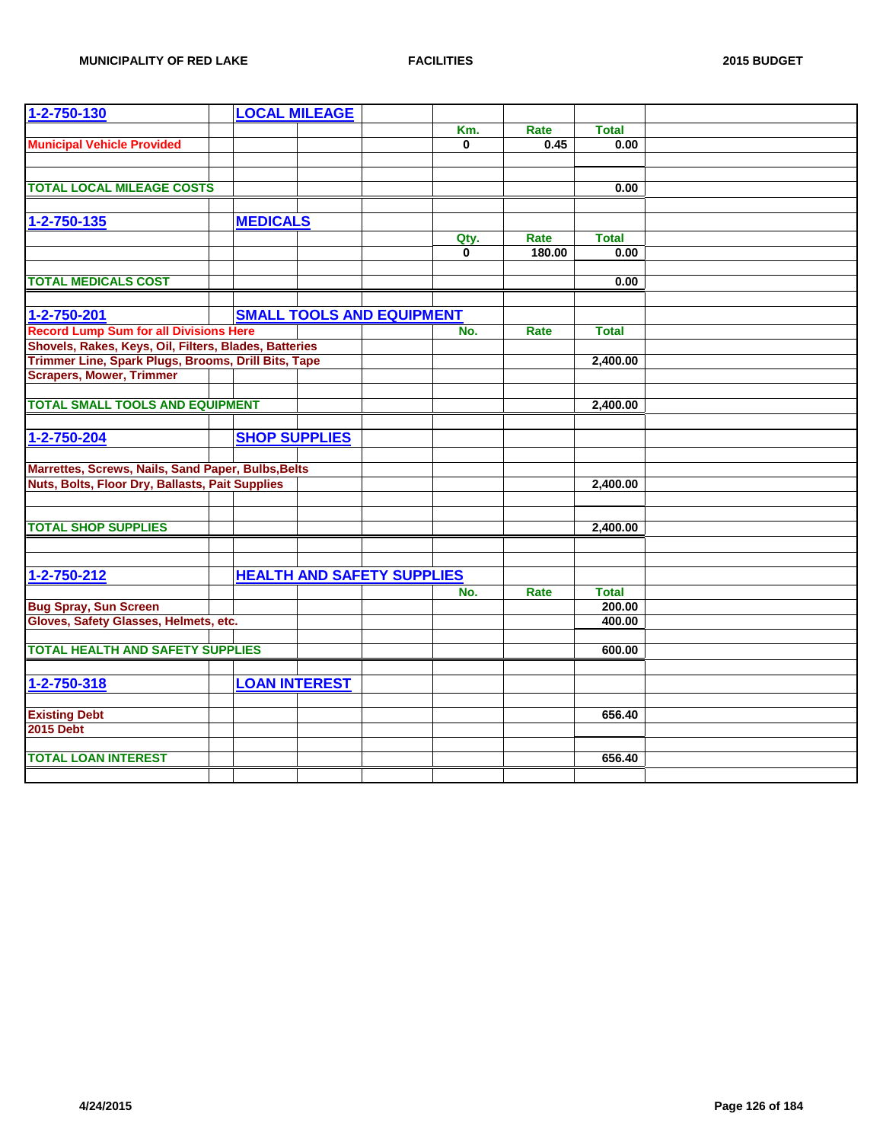| 1-2-750-130                                           |                 | <b>LOCAL MILEAGE</b>              |          |        |              |  |
|-------------------------------------------------------|-----------------|-----------------------------------|----------|--------|--------------|--|
|                                                       |                 |                                   | Km.      | Rate   | <b>Total</b> |  |
| <b>Municipal Vehicle Provided</b>                     |                 |                                   | $\bf{0}$ | 0.45   | 0.00         |  |
|                                                       |                 |                                   |          |        |              |  |
|                                                       |                 |                                   |          |        |              |  |
| <b>TOTAL LOCAL MILEAGE COSTS</b>                      |                 |                                   |          |        | 0.00         |  |
|                                                       |                 |                                   |          |        |              |  |
| 1-2-750-135                                           | <b>MEDICALS</b> |                                   |          |        |              |  |
|                                                       |                 |                                   | Qty.     | Rate   | <b>Total</b> |  |
|                                                       |                 |                                   | $\bf{0}$ | 180.00 | 0.00         |  |
|                                                       |                 |                                   |          |        |              |  |
| <b>TOTAL MEDICALS COST</b>                            |                 |                                   |          |        | 0.00         |  |
|                                                       |                 |                                   |          |        |              |  |
| 1-2-750-201                                           |                 | <b>SMALL TOOLS AND EQUIPMENT</b>  |          |        |              |  |
| <b>Record Lump Sum for all Divisions Here</b>         |                 |                                   | No.      | Rate   | <b>Total</b> |  |
| Shovels, Rakes, Keys, Oil, Filters, Blades, Batteries |                 |                                   |          |        |              |  |
| Trimmer Line, Spark Plugs, Brooms, Drill Bits, Tape   |                 |                                   |          |        | 2,400.00     |  |
| <b>Scrapers, Mower, Trimmer</b>                       |                 |                                   |          |        |              |  |
|                                                       |                 |                                   |          |        |              |  |
| <b>TOTAL SMALL TOOLS AND EQUIPMENT</b>                |                 |                                   |          |        | 2,400.00     |  |
|                                                       |                 |                                   |          |        |              |  |
| 1-2-750-204                                           |                 | <b>SHOP SUPPLIES</b>              |          |        |              |  |
|                                                       |                 |                                   |          |        |              |  |
| Marrettes, Screws, Nails, Sand Paper, Bulbs, Belts    |                 |                                   |          |        |              |  |
| Nuts, Bolts, Floor Dry, Ballasts, Pait Supplies       |                 |                                   |          |        | 2,400.00     |  |
|                                                       |                 |                                   |          |        |              |  |
|                                                       |                 |                                   |          |        |              |  |
| <b>TOTAL SHOP SUPPLIES</b>                            |                 |                                   |          |        | 2.400.00     |  |
|                                                       |                 |                                   |          |        |              |  |
|                                                       |                 |                                   |          |        |              |  |
| 1-2-750-212                                           |                 | <b>HEALTH AND SAFETY SUPPLIES</b> |          |        |              |  |
|                                                       |                 |                                   | No.      | Rate   | <b>Total</b> |  |
| <b>Bug Spray, Sun Screen</b>                          |                 |                                   |          |        | 200.00       |  |
| Gloves, Safety Glasses, Helmets, etc.                 |                 |                                   |          |        | 400.00       |  |
|                                                       |                 |                                   |          |        |              |  |
| <b>TOTAL HEALTH AND SAFETY SUPPLIES</b>               |                 |                                   |          |        | 600.00       |  |
|                                                       |                 |                                   |          |        |              |  |
| 1-2-750-318                                           |                 | <b>LOAN INTEREST</b>              |          |        |              |  |
|                                                       |                 |                                   |          |        |              |  |
| <b>Existing Debt</b>                                  |                 |                                   |          |        | 656.40       |  |
| <b>2015 Debt</b>                                      |                 |                                   |          |        |              |  |
|                                                       |                 |                                   |          |        |              |  |
| <b>TOTAL LOAN INTEREST</b>                            |                 |                                   |          |        | 656.40       |  |
|                                                       |                 |                                   |          |        |              |  |
|                                                       |                 |                                   |          |        |              |  |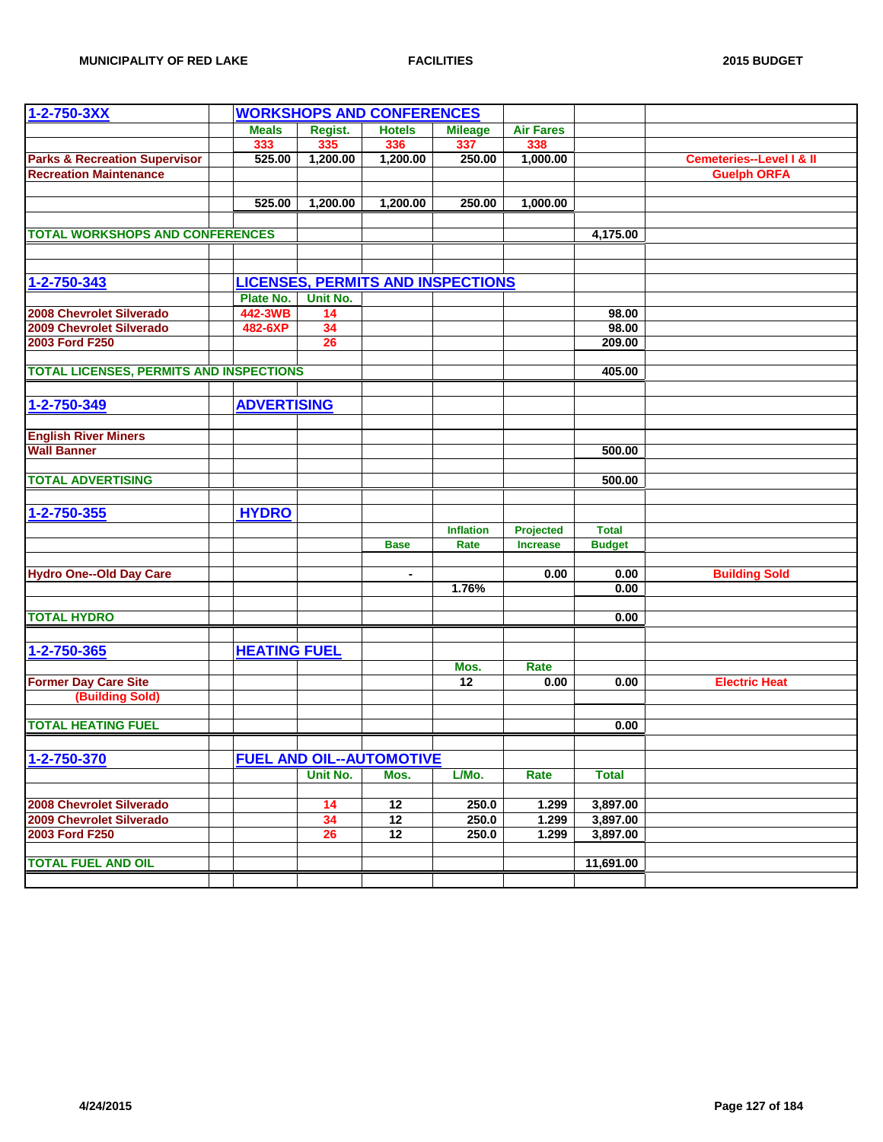| $1 - 2 - 750 - 3XX$                            |                     |          | <b>WORKSHOPS AND CONFERENCES</b>         |                  |                  |               |                                     |
|------------------------------------------------|---------------------|----------|------------------------------------------|------------------|------------------|---------------|-------------------------------------|
|                                                | <b>Meals</b>        | Regist.  | <b>Hotels</b>                            | <b>Mileage</b>   | <b>Air Fares</b> |               |                                     |
|                                                | 333                 | 335      | 336                                      | 337              | 338              |               |                                     |
| <b>Parks &amp; Recreation Supervisor</b>       | 525.00              | 1,200.00 | 1,200.00                                 | 250.00           | 1,000.00         |               | <b>Cemeteries--Level I &amp; II</b> |
| <b>Recreation Maintenance</b>                  |                     |          |                                          |                  |                  |               | <b>Guelph ORFA</b>                  |
|                                                |                     |          |                                          |                  |                  |               |                                     |
|                                                | 525.00              | 1,200.00 | 1,200.00                                 | 250.00           | 1,000.00         |               |                                     |
|                                                |                     |          |                                          |                  |                  |               |                                     |
| <b>TOTAL WORKSHOPS AND CONFERENCES</b>         |                     |          |                                          |                  |                  | 4,175.00      |                                     |
|                                                |                     |          |                                          |                  |                  |               |                                     |
|                                                |                     |          |                                          |                  |                  |               |                                     |
| 1-2-750-343                                    |                     |          | <b>LICENSES, PERMITS AND INSPECTIONS</b> |                  |                  |               |                                     |
|                                                | Plate No.           | Unit No. |                                          |                  |                  |               |                                     |
| <b>2008 Chevrolet Silverado</b>                | 442-3WB             | 14       |                                          |                  |                  | 98.00         |                                     |
| 2009 Chevrolet Silverado                       | 482-6XP             | 34       |                                          |                  |                  | 98.00         |                                     |
| 2003 Ford F250                                 |                     | 26       |                                          |                  |                  | 209.00        |                                     |
|                                                |                     |          |                                          |                  |                  |               |                                     |
| <b>TOTAL LICENSES, PERMITS AND INSPECTIONS</b> |                     |          |                                          |                  |                  | 405.00        |                                     |
|                                                |                     |          |                                          |                  |                  |               |                                     |
| 1-2-750-349                                    | <b>ADVERTISING</b>  |          |                                          |                  |                  |               |                                     |
|                                                |                     |          |                                          |                  |                  |               |                                     |
| <b>English River Miners</b>                    |                     |          |                                          |                  |                  |               |                                     |
| <b>Wall Banner</b>                             |                     |          |                                          |                  |                  | 500.00        |                                     |
|                                                |                     |          |                                          |                  |                  |               |                                     |
| <b>TOTAL ADVERTISING</b>                       |                     |          |                                          |                  |                  | 500.00        |                                     |
|                                                |                     |          |                                          |                  |                  |               |                                     |
| 1-2-750-355                                    | <b>HYDRO</b>        |          |                                          |                  |                  |               |                                     |
|                                                |                     |          |                                          | <b>Inflation</b> | Projected        | <b>Total</b>  |                                     |
|                                                |                     |          | <b>Base</b>                              | Rate             | <b>Increase</b>  | <b>Budget</b> |                                     |
|                                                |                     |          |                                          |                  |                  |               |                                     |
| <b>Hydro One--Old Day Care</b>                 |                     |          | ä,                                       |                  | 0.00             | 0.00          | <b>Building Sold</b>                |
|                                                |                     |          |                                          | 1.76%            |                  | 0.00          |                                     |
|                                                |                     |          |                                          |                  |                  |               |                                     |
| <b>TOTAL HYDRO</b>                             |                     |          |                                          |                  |                  | 0.00          |                                     |
|                                                |                     |          |                                          |                  |                  |               |                                     |
| 1-2-750-365                                    | <b>HEATING FUEL</b> |          |                                          |                  |                  |               |                                     |
|                                                |                     |          |                                          | Mos.             | Rate             |               |                                     |
| <b>Former Day Care Site</b>                    |                     |          |                                          | 12               | 0.00             | 0.00          | <b>Electric Heat</b>                |
| (Building Sold)                                |                     |          |                                          |                  |                  |               |                                     |
|                                                |                     |          |                                          |                  |                  |               |                                     |
| <b>TOTAL HEATING FUEL</b>                      |                     |          |                                          |                  |                  | 0.00          |                                     |
|                                                |                     |          |                                          |                  |                  |               |                                     |
| 1-2-750-370                                    |                     |          | <b>FUEL AND OIL--AUTOMOTIVE</b>          |                  |                  |               |                                     |
|                                                |                     | Unit No. | Mos.                                     | L/Mo.            | Rate             | <b>Total</b>  |                                     |
|                                                |                     |          |                                          |                  |                  |               |                                     |
| 2008 Chevrolet Silverado                       |                     | 14       | $\overline{12}$                          | 250.0            | 1.299            | 3,897.00      |                                     |
| 2009 Chevrolet Silverado                       |                     | 34       | 12                                       | 250.0            | 1.299            | 3,897.00      |                                     |
| 2003 Ford F250                                 |                     | 26       | 12                                       | 250.0            | 1.299            | 3,897.00      |                                     |
|                                                |                     |          |                                          |                  |                  |               |                                     |
| <b>TOTAL FUEL AND OIL</b>                      |                     |          |                                          |                  |                  | 11,691.00     |                                     |
|                                                |                     |          |                                          |                  |                  |               |                                     |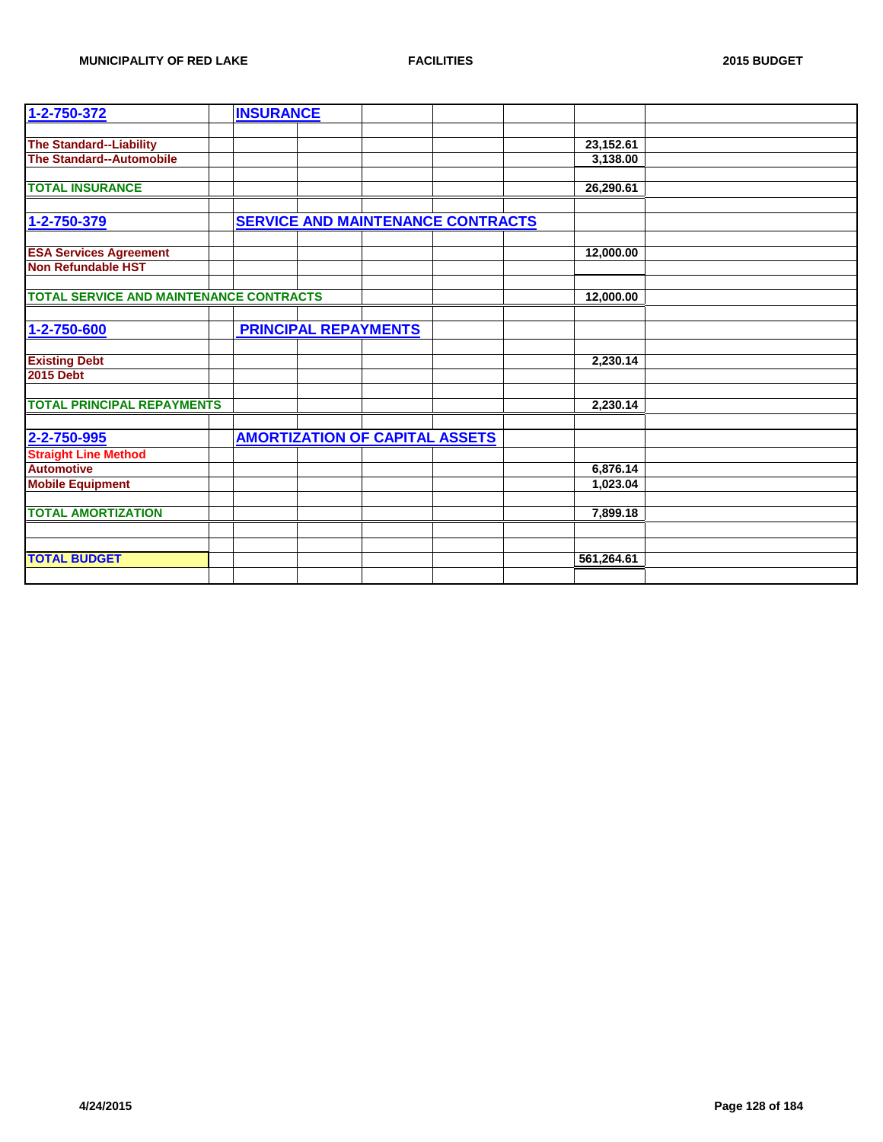| 1-2-750-372                                      | <b>INSURANCE</b> |                                          |  |            |  |
|--------------------------------------------------|------------------|------------------------------------------|--|------------|--|
|                                                  |                  |                                          |  |            |  |
| <b>The Standard--Liability</b>                   |                  |                                          |  | 23,152.61  |  |
| The Standard--Automobile                         |                  |                                          |  | 3,138.00   |  |
|                                                  |                  |                                          |  |            |  |
| <b>TOTAL INSURANCE</b>                           |                  |                                          |  | 26,290.61  |  |
|                                                  |                  |                                          |  |            |  |
| 1-2-750-379                                      |                  | <b>SERVICE AND MAINTENANCE CONTRACTS</b> |  |            |  |
|                                                  |                  |                                          |  |            |  |
| <b>ESA Services Agreement</b>                    |                  |                                          |  | 12,000.00  |  |
| Non Refundable HST                               |                  |                                          |  |            |  |
|                                                  |                  |                                          |  |            |  |
| <b>TOTAL SERVICE AND MAINTENANCE CONTRACTS</b>   |                  |                                          |  | 12,000.00  |  |
|                                                  |                  |                                          |  |            |  |
| 1-2-750-600                                      |                  | <b>PRINCIPAL REPAYMENTS</b>              |  |            |  |
|                                                  |                  |                                          |  |            |  |
| <b>Existing Debt</b>                             |                  |                                          |  | 2,230.14   |  |
| <b>2015 Debt</b>                                 |                  |                                          |  |            |  |
| <b>TOTAL PRINCIPAL REPAYMENTS</b>                |                  |                                          |  | 2,230.14   |  |
|                                                  |                  |                                          |  |            |  |
| 2-2-750-995                                      |                  | <b>AMORTIZATION OF CAPITAL ASSETS</b>    |  |            |  |
|                                                  |                  |                                          |  |            |  |
| <b>Straight Line Method</b><br><b>Automotive</b> |                  |                                          |  |            |  |
|                                                  |                  |                                          |  | 6,876.14   |  |
| <b>Mobile Equipment</b>                          |                  |                                          |  | 1,023.04   |  |
| <b>TOTAL AMORTIZATION</b>                        |                  |                                          |  | 7,899.18   |  |
|                                                  |                  |                                          |  |            |  |
|                                                  |                  |                                          |  |            |  |
| <b>TOTAL BUDGET</b>                              |                  |                                          |  | 561,264.61 |  |
|                                                  |                  |                                          |  |            |  |
|                                                  |                  |                                          |  |            |  |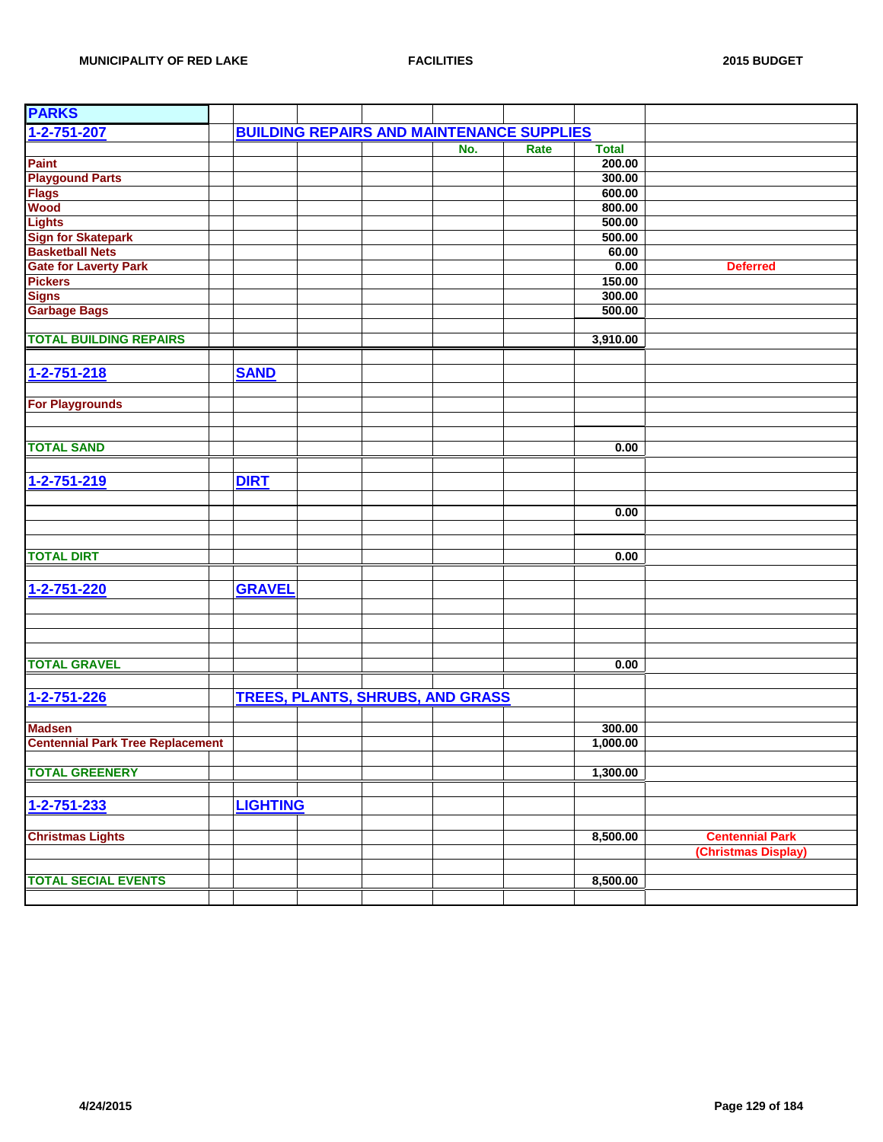| <b>PARKS</b>                            |                 |                                                  |     |      |              |                        |
|-----------------------------------------|-----------------|--------------------------------------------------|-----|------|--------------|------------------------|
| 1-2-751-207                             |                 | <b>BUILDING REPAIRS AND MAINTENANCE SUPPLIES</b> |     |      |              |                        |
|                                         |                 |                                                  | No. | Rate | <b>Total</b> |                        |
| <b>Paint</b>                            |                 |                                                  |     |      | 200.00       |                        |
| <b>Playgound Parts</b>                  |                 |                                                  |     |      | 300.00       |                        |
| <b>Flags</b>                            |                 |                                                  |     |      | 600.00       |                        |
| <b>Wood</b>                             |                 |                                                  |     |      | 800.00       |                        |
| Lights                                  |                 |                                                  |     |      | 500.00       |                        |
| <b>Sign for Skatepark</b>               |                 |                                                  |     |      | 500.00       |                        |
| <b>Basketball Nets</b>                  |                 |                                                  |     |      | 60.00        |                        |
| <b>Gate for Laverty Park</b>            |                 |                                                  |     |      | 0.00         | <b>Deferred</b>        |
| <b>Pickers</b>                          |                 |                                                  |     |      | 150.00       |                        |
| <b>Signs</b>                            |                 |                                                  |     |      | 300.00       |                        |
| <b>Garbage Bags</b>                     |                 |                                                  |     |      | 500.00       |                        |
|                                         |                 |                                                  |     |      |              |                        |
| <b>TOTAL BUILDING REPAIRS</b>           |                 |                                                  |     |      | 3,910.00     |                        |
|                                         |                 |                                                  |     |      |              |                        |
| 1-2-751-218                             | <b>SAND</b>     |                                                  |     |      |              |                        |
|                                         |                 |                                                  |     |      |              |                        |
| <b>For Playgrounds</b>                  |                 |                                                  |     |      |              |                        |
|                                         |                 |                                                  |     |      |              |                        |
|                                         |                 |                                                  |     |      |              |                        |
| <b>TOTAL SAND</b>                       |                 |                                                  |     |      | 0.00         |                        |
|                                         |                 |                                                  |     |      |              |                        |
| 1-2-751-219                             | <b>DIRT</b>     |                                                  |     |      |              |                        |
|                                         |                 |                                                  |     |      |              |                        |
|                                         |                 |                                                  |     |      | 0.00         |                        |
|                                         |                 |                                                  |     |      |              |                        |
|                                         |                 |                                                  |     |      |              |                        |
| <b>TOTAL DIRT</b>                       |                 |                                                  |     |      | 0.00         |                        |
|                                         |                 |                                                  |     |      |              |                        |
| 1-2-751-220                             | <b>GRAVEL</b>   |                                                  |     |      |              |                        |
|                                         |                 |                                                  |     |      |              |                        |
|                                         |                 |                                                  |     |      |              |                        |
|                                         |                 |                                                  |     |      |              |                        |
|                                         |                 |                                                  |     |      |              |                        |
| <b>TOTAL GRAVEL</b>                     |                 |                                                  |     |      | 0.00         |                        |
|                                         |                 |                                                  |     |      |              |                        |
| 1-2-751-226                             |                 | <b>TREES, PLANTS, SHRUBS, AND GRASS</b>          |     |      |              |                        |
|                                         |                 |                                                  |     |      |              |                        |
| <b>Madsen</b>                           |                 |                                                  |     |      | 300.00       |                        |
| <b>Centennial Park Tree Replacement</b> |                 |                                                  |     |      | 1,000.00     |                        |
|                                         |                 |                                                  |     |      |              |                        |
| <b>TOTAL GREENERY</b>                   |                 |                                                  |     |      | 1,300.00     |                        |
|                                         |                 |                                                  |     |      |              |                        |
| $1 - 2 - 751 - 233$                     | <b>LIGHTING</b> |                                                  |     |      |              |                        |
|                                         |                 |                                                  |     |      |              |                        |
| <b>Christmas Lights</b>                 |                 |                                                  |     |      | 8,500.00     | <b>Centennial Park</b> |
|                                         |                 |                                                  |     |      |              | (Christmas Display)    |
|                                         |                 |                                                  |     |      |              |                        |
| <b>TOTAL SECIAL EVENTS</b>              |                 |                                                  |     |      | 8,500.00     |                        |
|                                         |                 |                                                  |     |      |              |                        |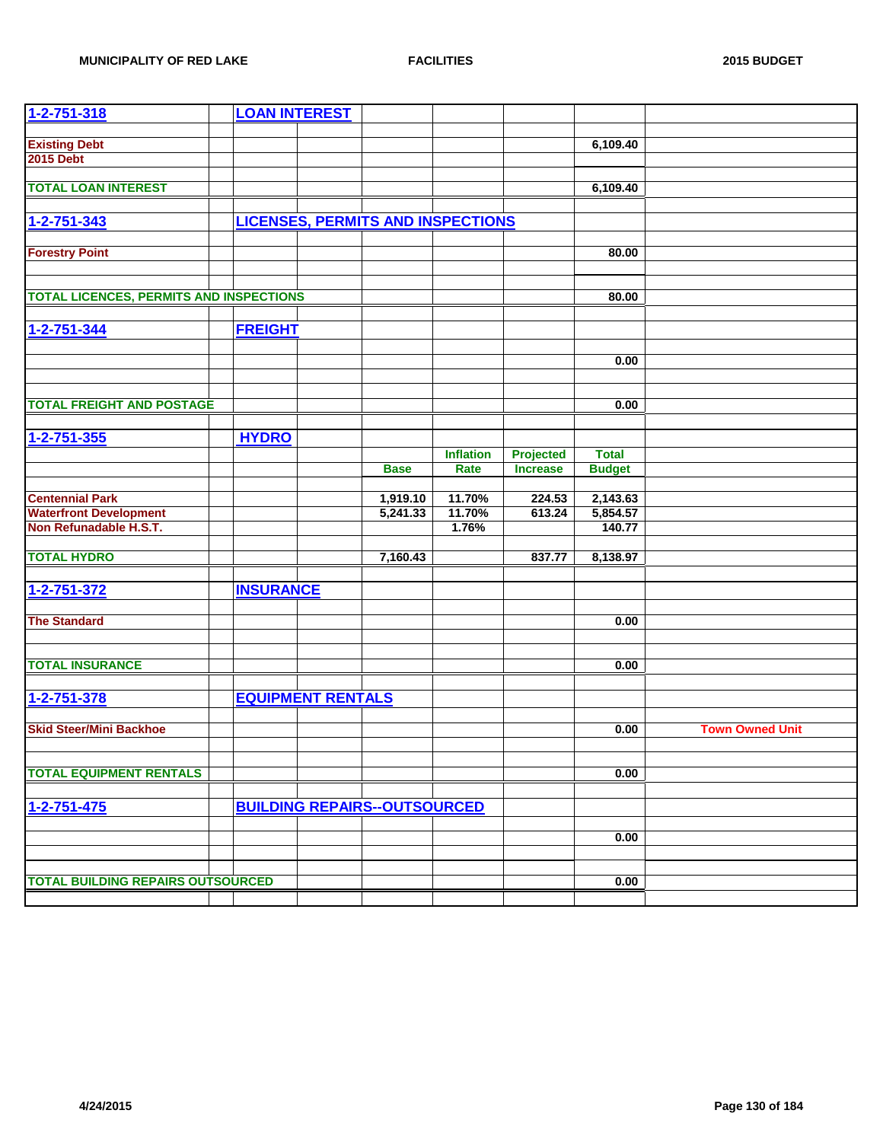| 1-2-751-318                                    | <b>LOAN INTEREST</b> |                          |                                          |                  |                  |               |                        |
|------------------------------------------------|----------------------|--------------------------|------------------------------------------|------------------|------------------|---------------|------------------------|
|                                                |                      |                          |                                          |                  |                  |               |                        |
| <b>Existing Debt</b>                           |                      |                          |                                          |                  |                  | 6,109.40      |                        |
| <b>2015 Debt</b>                               |                      |                          |                                          |                  |                  |               |                        |
| <b>TOTAL LOAN INTEREST</b>                     |                      |                          |                                          |                  |                  |               |                        |
|                                                |                      |                          |                                          |                  |                  | 6,109.40      |                        |
| 1-2-751-343                                    |                      |                          | <b>LICENSES, PERMITS AND INSPECTIONS</b> |                  |                  |               |                        |
|                                                |                      |                          |                                          |                  |                  |               |                        |
| <b>Forestry Point</b>                          |                      |                          |                                          |                  |                  | 80.00         |                        |
|                                                |                      |                          |                                          |                  |                  |               |                        |
|                                                |                      |                          |                                          |                  |                  |               |                        |
| <b>TOTAL LICENCES, PERMITS AND INSPECTIONS</b> |                      |                          |                                          |                  |                  | 80.00         |                        |
|                                                |                      |                          |                                          |                  |                  |               |                        |
| $1 - 2 - 751 - 344$                            | <b>FREIGHT</b>       |                          |                                          |                  |                  |               |                        |
|                                                |                      |                          |                                          |                  |                  |               |                        |
|                                                |                      |                          |                                          |                  |                  | 0.00          |                        |
|                                                |                      |                          |                                          |                  |                  |               |                        |
|                                                |                      |                          |                                          |                  |                  |               |                        |
| <b>TOTAL FREIGHT AND POSTAGE</b>               |                      |                          |                                          |                  |                  | 0.00          |                        |
|                                                |                      |                          |                                          |                  |                  |               |                        |
| $1 - 2 - 751 - 355$                            | <b>HYDRO</b>         |                          |                                          |                  |                  |               |                        |
|                                                |                      |                          |                                          | <b>Inflation</b> | <b>Projected</b> | <b>Total</b>  |                        |
|                                                |                      |                          | <b>Base</b>                              | Rate             | <b>Increase</b>  | <b>Budget</b> |                        |
| <b>Centennial Park</b>                         |                      |                          | 1,919.10                                 | 11.70%           | 224.53           | 2,143.63      |                        |
| <b>Waterfront Development</b>                  |                      |                          | 5,241.33                                 | 11.70%           | 613.24           | 5,854.57      |                        |
| Non Refunadable H.S.T.                         |                      |                          |                                          | 1.76%            |                  | 140.77        |                        |
|                                                |                      |                          |                                          |                  |                  |               |                        |
| <b>TOTAL HYDRO</b>                             |                      |                          | 7,160.43                                 |                  | 837.77           | 8,138.97      |                        |
|                                                |                      |                          |                                          |                  |                  |               |                        |
| 1-2-751-372                                    | <b>INSURANCE</b>     |                          |                                          |                  |                  |               |                        |
|                                                |                      |                          |                                          |                  |                  |               |                        |
| <b>The Standard</b>                            |                      |                          |                                          |                  |                  | 0.00          |                        |
|                                                |                      |                          |                                          |                  |                  |               |                        |
|                                                |                      |                          |                                          |                  |                  |               |                        |
| <b>TOTAL INSURANCE</b>                         |                      |                          |                                          |                  |                  | 0.00          |                        |
|                                                |                      |                          |                                          |                  |                  |               |                        |
| 1-2-751-378                                    |                      | <b>EQUIPMENT RENTALS</b> |                                          |                  |                  |               |                        |
|                                                |                      |                          |                                          |                  |                  |               |                        |
| <b>Skid Steer/Mini Backhoe</b>                 |                      |                          |                                          |                  |                  | 0.00          | <b>Town Owned Unit</b> |
|                                                |                      |                          |                                          |                  |                  |               |                        |
| <b>TOTAL EQUIPMENT RENTALS</b>                 |                      |                          |                                          |                  |                  | 0.00          |                        |
|                                                |                      |                          |                                          |                  |                  |               |                        |
| $1 - 2 - 751 - 475$                            |                      |                          | <b>BUILDING REPAIRS--OUTSOURCED</b>      |                  |                  |               |                        |
|                                                |                      |                          |                                          |                  |                  |               |                        |
|                                                |                      |                          |                                          |                  |                  | 0.00          |                        |
|                                                |                      |                          |                                          |                  |                  |               |                        |
|                                                |                      |                          |                                          |                  |                  |               |                        |
| <b>TOTAL BUILDING REPAIRS OUTSOURCED</b>       |                      |                          |                                          |                  |                  | 0.00          |                        |
|                                                |                      |                          |                                          |                  |                  |               |                        |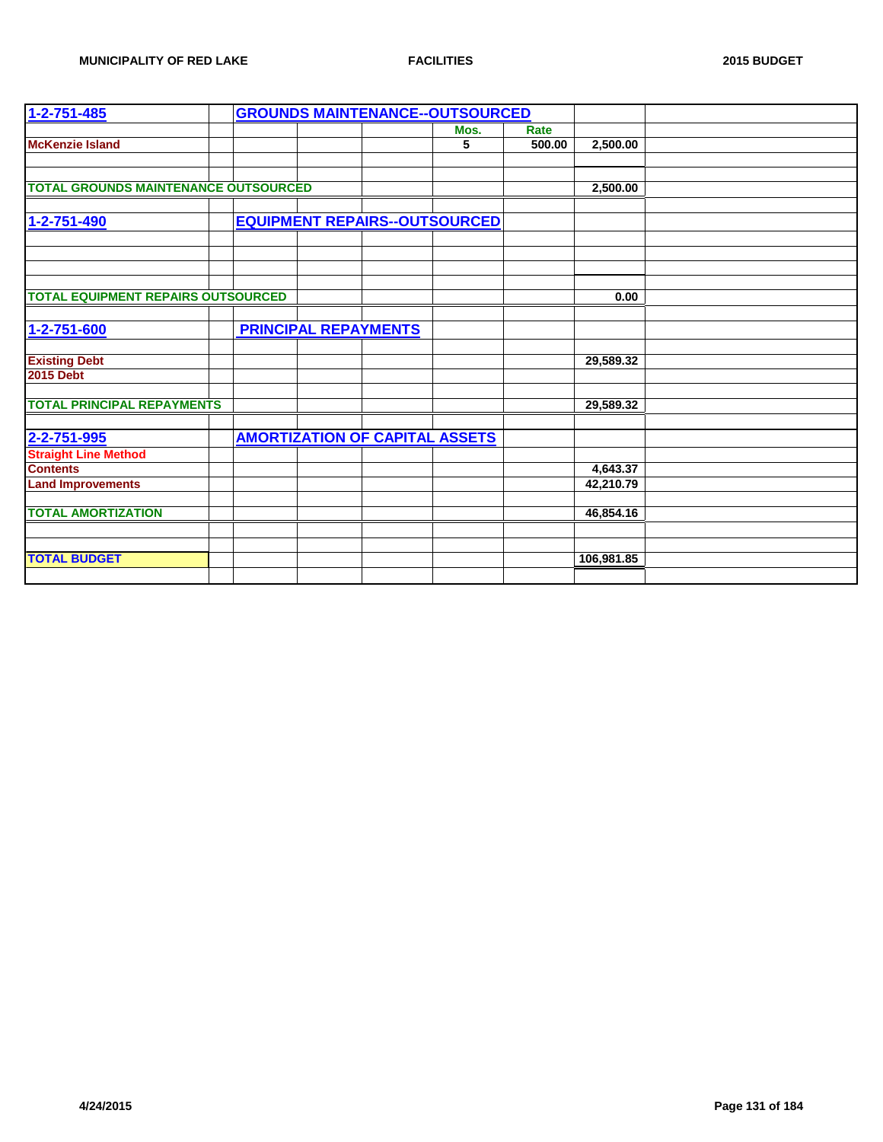| $1 - 2 - 751 - 485$                         |                             | <b>GROUNDS MAINTENANCE--OUTSOURCED</b> |        |            |  |
|---------------------------------------------|-----------------------------|----------------------------------------|--------|------------|--|
|                                             |                             | Mos.                                   | Rate   |            |  |
| <b>McKenzie Island</b>                      |                             | 5                                      | 500.00 | 2,500.00   |  |
|                                             |                             |                                        |        |            |  |
| <b>TOTAL GROUNDS MAINTENANCE OUTSOURCED</b> |                             |                                        |        | 2,500.00   |  |
|                                             |                             |                                        |        |            |  |
| 1-2-751-490                                 |                             | <b>EQUIPMENT REPAIRS--OUTSOURCED</b>   |        |            |  |
|                                             |                             |                                        |        |            |  |
|                                             |                             |                                        |        |            |  |
|                                             |                             |                                        |        |            |  |
|                                             |                             |                                        |        |            |  |
| <b>TOTAL EQUIPMENT REPAIRS OUTSOURCED</b>   |                             |                                        |        | 0.00       |  |
|                                             |                             |                                        |        |            |  |
| 1-2-751-600                                 | <b>PRINCIPAL REPAYMENTS</b> |                                        |        |            |  |
| <b>Existing Debt</b>                        |                             |                                        |        | 29,589.32  |  |
| <b>2015 Debt</b>                            |                             |                                        |        |            |  |
|                                             |                             |                                        |        |            |  |
| <b>TOTAL PRINCIPAL REPAYMENTS</b>           |                             |                                        |        | 29,589.32  |  |
|                                             |                             |                                        |        |            |  |
| 2-2-751-995                                 |                             | <b>AMORTIZATION OF CAPITAL ASSETS</b>  |        |            |  |
| <b>Straight Line Method</b>                 |                             |                                        |        |            |  |
| <b>Contents</b>                             |                             |                                        |        | 4,643.37   |  |
| <b>Land Improvements</b>                    |                             |                                        |        | 42,210.79  |  |
|                                             |                             |                                        |        |            |  |
| <b>TOTAL AMORTIZATION</b>                   |                             |                                        |        | 46,854.16  |  |
|                                             |                             |                                        |        |            |  |
| <b>TOTAL BUDGET</b>                         |                             |                                        |        | 106,981.85 |  |
|                                             |                             |                                        |        |            |  |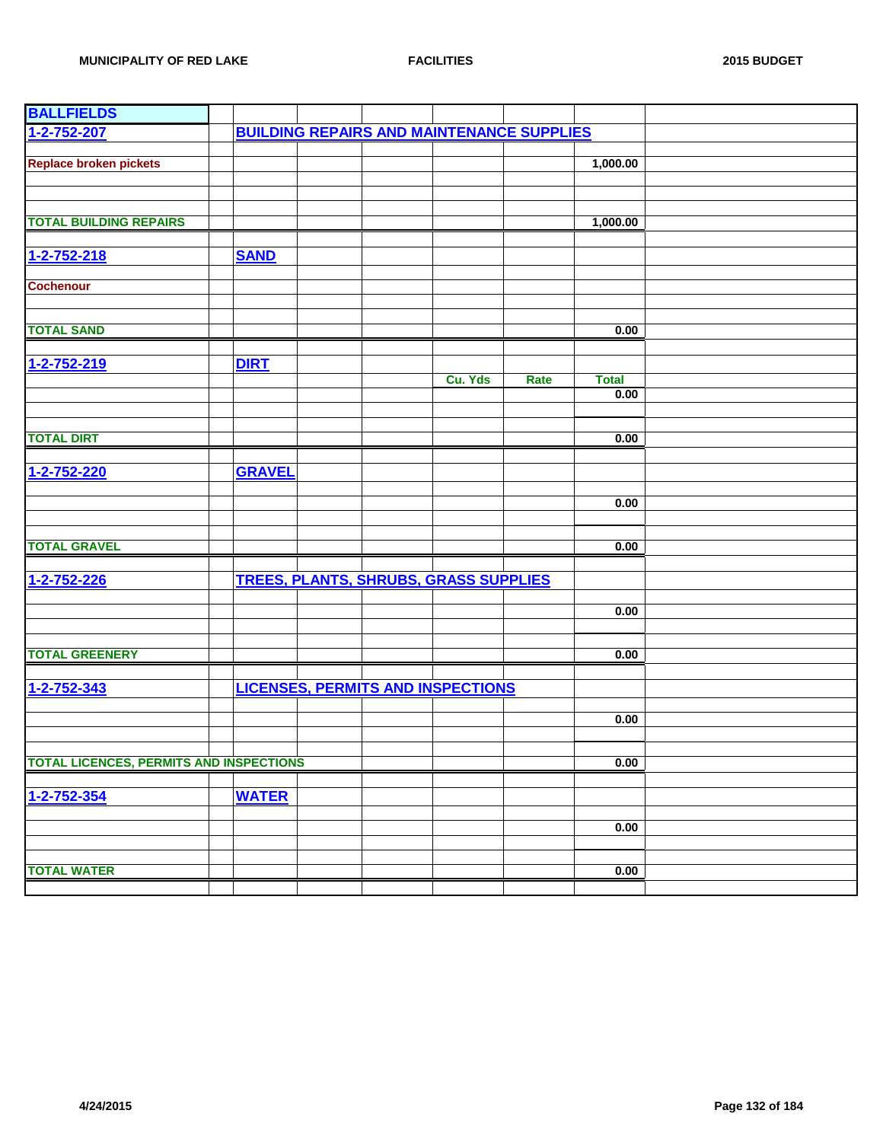| <b>BALLFIELDS</b>                              |               |                                                  |         |      |              |  |
|------------------------------------------------|---------------|--------------------------------------------------|---------|------|--------------|--|
| 1-2-752-207                                    |               | <b>BUILDING REPAIRS AND MAINTENANCE SUPPLIES</b> |         |      |              |  |
|                                                |               |                                                  |         |      |              |  |
| <b>Replace broken pickets</b>                  |               |                                                  |         |      | 1,000.00     |  |
|                                                |               |                                                  |         |      |              |  |
|                                                |               |                                                  |         |      |              |  |
|                                                |               |                                                  |         |      |              |  |
| <b>TOTAL BUILDING REPAIRS</b>                  |               |                                                  |         |      | 1,000.00     |  |
|                                                |               |                                                  |         |      |              |  |
| 1-2-752-218                                    | <b>SAND</b>   |                                                  |         |      |              |  |
|                                                |               |                                                  |         |      |              |  |
| <b>Cochenour</b>                               |               |                                                  |         |      |              |  |
|                                                |               |                                                  |         |      |              |  |
| <b>TOTAL SAND</b>                              |               |                                                  |         |      | 0.00         |  |
|                                                |               |                                                  |         |      |              |  |
| 1-2-752-219                                    | <b>DIRT</b>   |                                                  |         |      |              |  |
|                                                |               |                                                  | Cu. Yds | Rate | <b>Total</b> |  |
|                                                |               |                                                  |         |      | 0.00         |  |
|                                                |               |                                                  |         |      |              |  |
|                                                |               |                                                  |         |      |              |  |
| <b>TOTAL DIRT</b>                              |               |                                                  |         |      | 0.00         |  |
|                                                |               |                                                  |         |      |              |  |
| 1-2-752-220                                    | <b>GRAVEL</b> |                                                  |         |      |              |  |
|                                                |               |                                                  |         |      |              |  |
|                                                |               |                                                  |         |      | 0.00         |  |
|                                                |               |                                                  |         |      |              |  |
|                                                |               |                                                  |         |      |              |  |
| <b>TOTAL GRAVEL</b>                            |               |                                                  |         |      | 0.00         |  |
|                                                |               |                                                  |         |      |              |  |
| 1-2-752-226                                    |               | <b>TREES, PLANTS, SHRUBS, GRASS SUPPLIES</b>     |         |      |              |  |
|                                                |               |                                                  |         |      | 0.00         |  |
|                                                |               |                                                  |         |      |              |  |
|                                                |               |                                                  |         |      |              |  |
| <b>TOTAL GREENERY</b>                          |               |                                                  |         |      | 0.00         |  |
|                                                |               |                                                  |         |      |              |  |
| 1-2-752-343                                    |               | <b>LICENSES, PERMITS AND INSPECTIONS</b>         |         |      |              |  |
|                                                |               |                                                  |         |      |              |  |
|                                                |               |                                                  |         |      | 0.00         |  |
|                                                |               |                                                  |         |      |              |  |
|                                                |               |                                                  |         |      |              |  |
| <b>TOTAL LICENCES, PERMITS AND INSPECTIONS</b> |               |                                                  |         |      | 0.00         |  |
|                                                |               |                                                  |         |      |              |  |
| 1-2-752-354                                    | <b>WATER</b>  |                                                  |         |      |              |  |
|                                                |               |                                                  |         |      |              |  |
|                                                |               |                                                  |         |      | 0.00         |  |
|                                                |               |                                                  |         |      |              |  |
| <b>TOTAL WATER</b>                             |               |                                                  |         |      | 0.00         |  |
|                                                |               |                                                  |         |      |              |  |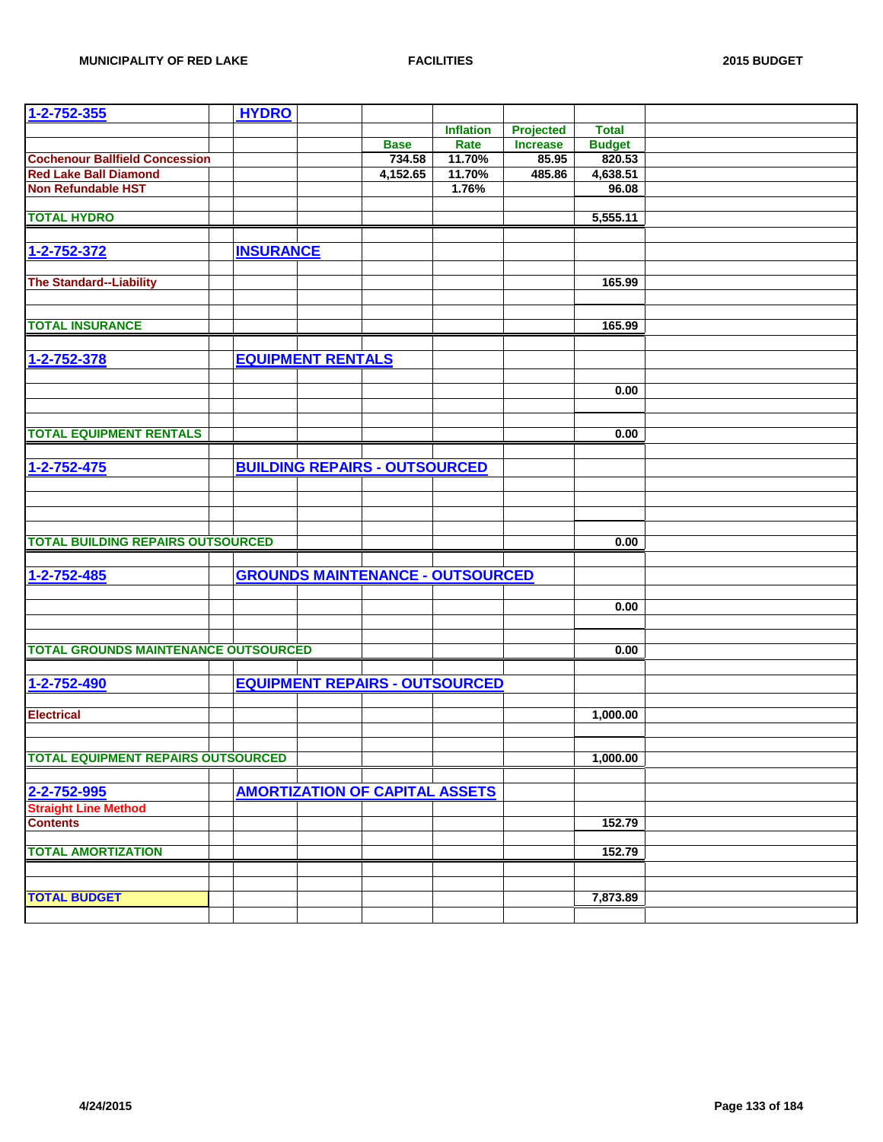| $1 - 2 - 752 - 355$                         | <b>HYDRO</b>             |                                         |                  |                 |               |  |
|---------------------------------------------|--------------------------|-----------------------------------------|------------------|-----------------|---------------|--|
|                                             |                          |                                         | <b>Inflation</b> | Projected       | <b>Total</b>  |  |
|                                             |                          | <b>Base</b>                             | Rate             | <b>Increase</b> | <b>Budget</b> |  |
| <b>Cochenour Ballfield Concession</b>       |                          | 734.58                                  | 11.70%           | 85.95           | 820.53        |  |
| <b>Red Lake Ball Diamond</b>                |                          | 4,152.65                                | 11.70%           | 485.86          | 4,638.51      |  |
| <b>Non Refundable HST</b>                   |                          |                                         | 1.76%            |                 | 96.08         |  |
|                                             |                          |                                         |                  |                 |               |  |
| <b>TOTAL HYDRO</b>                          |                          |                                         |                  |                 | 5,555.11      |  |
|                                             |                          |                                         |                  |                 |               |  |
|                                             |                          |                                         |                  |                 |               |  |
| 1-2-752-372                                 | <b>INSURANCE</b>         |                                         |                  |                 |               |  |
|                                             |                          |                                         |                  |                 |               |  |
| <b>The Standard--Liability</b>              |                          |                                         |                  |                 | 165.99        |  |
|                                             |                          |                                         |                  |                 |               |  |
|                                             |                          |                                         |                  |                 |               |  |
| <b>TOTAL INSURANCE</b>                      |                          |                                         |                  |                 | 165.99        |  |
|                                             |                          |                                         |                  |                 |               |  |
| 1-2-752-378                                 | <b>EQUIPMENT RENTALS</b> |                                         |                  |                 |               |  |
|                                             |                          |                                         |                  |                 |               |  |
|                                             |                          |                                         |                  |                 | 0.00          |  |
|                                             |                          |                                         |                  |                 |               |  |
|                                             |                          |                                         |                  |                 |               |  |
| <b>TOTAL EQUIPMENT RENTALS</b>              |                          |                                         |                  |                 | 0.00          |  |
|                                             |                          |                                         |                  |                 |               |  |
| $1 - 2 - 752 - 475$                         |                          | <b>BUILDING REPAIRS - OUTSOURCED</b>    |                  |                 |               |  |
|                                             |                          |                                         |                  |                 |               |  |
|                                             |                          |                                         |                  |                 |               |  |
|                                             |                          |                                         |                  |                 |               |  |
|                                             |                          |                                         |                  |                 |               |  |
| <b>TOTAL BUILDING REPAIRS OUTSOURCED</b>    |                          |                                         |                  |                 |               |  |
|                                             |                          |                                         |                  |                 | 0.00          |  |
|                                             |                          |                                         |                  |                 |               |  |
| 1-2-752-485                                 |                          | <b>GROUNDS MAINTENANCE - OUTSOURCED</b> |                  |                 |               |  |
|                                             |                          |                                         |                  |                 |               |  |
|                                             |                          |                                         |                  |                 | 0.00          |  |
|                                             |                          |                                         |                  |                 |               |  |
|                                             |                          |                                         |                  |                 |               |  |
| <b>TOTAL GROUNDS MAINTENANCE OUTSOURCED</b> |                          |                                         |                  |                 | 0.00          |  |
|                                             |                          |                                         |                  |                 |               |  |
| 1-2-752-490                                 |                          | <b>EQUIPMENT REPAIRS - OUTSOURCED</b>   |                  |                 |               |  |
|                                             |                          |                                         |                  |                 |               |  |
| <b>Electrical</b>                           |                          |                                         |                  |                 | 1,000.00      |  |
|                                             |                          |                                         |                  |                 |               |  |
|                                             |                          |                                         |                  |                 |               |  |
| <b>TOTAL EQUIPMENT REPAIRS OUTSOURCED</b>   |                          |                                         |                  |                 | 1,000.00      |  |
|                                             |                          |                                         |                  |                 |               |  |
| 2-2-752-995                                 |                          | <b>AMORTIZATION OF CAPITAL ASSETS</b>   |                  |                 |               |  |
|                                             |                          |                                         |                  |                 |               |  |
| <b>Straight Line Method</b>                 |                          |                                         |                  |                 |               |  |
| <b>Contents</b>                             |                          |                                         |                  |                 | 152.79        |  |
|                                             |                          |                                         |                  |                 |               |  |
| <b>TOTAL AMORTIZATION</b>                   |                          |                                         |                  |                 | 152.79        |  |
|                                             |                          |                                         |                  |                 |               |  |
|                                             |                          |                                         |                  |                 |               |  |
| <b>TOTAL BUDGET</b>                         |                          |                                         |                  |                 | 7,873.89      |  |
|                                             |                          |                                         |                  |                 |               |  |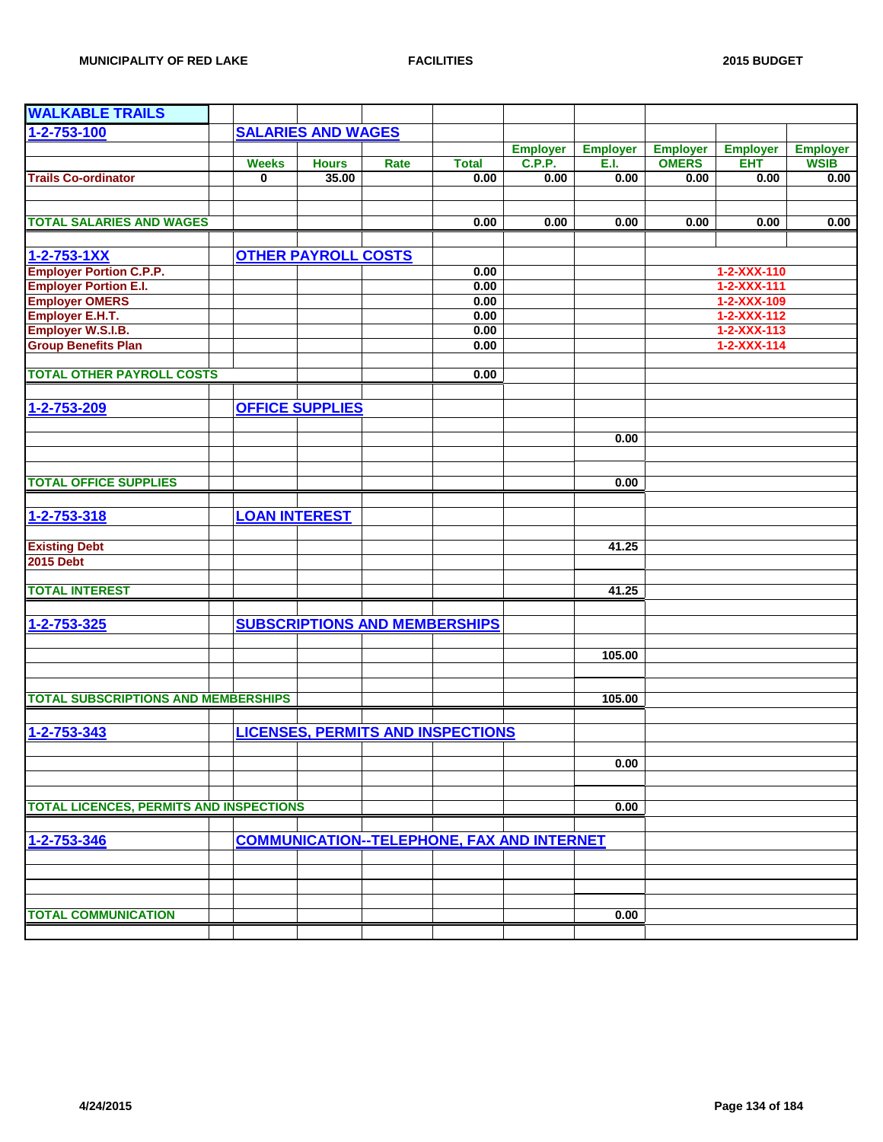| <b>WALKABLE TRAILS</b>                         |                      |                            |                                                   |              |                 |                 |                 |                     |                 |
|------------------------------------------------|----------------------|----------------------------|---------------------------------------------------|--------------|-----------------|-----------------|-----------------|---------------------|-----------------|
| 1-2-753-100                                    |                      | <b>SALARIES AND WAGES</b>  |                                                   |              |                 |                 |                 |                     |                 |
|                                                |                      |                            |                                                   |              | <b>Employer</b> | <b>Employer</b> | <b>Employer</b> | <b>Employer</b>     | <b>Employer</b> |
|                                                | <b>Weeks</b>         | <b>Hours</b>               | Rate                                              | <b>Total</b> | <b>C.P.P.</b>   | E.I.            | <b>OMERS</b>    | <b>EHT</b>          | <b>WSIB</b>     |
| <b>Trails Co-ordinator</b>                     | 0                    | 35.00                      |                                                   | 0.00         | 0.00            | 0.00            | 0.00            | 0.00                | 0.00            |
|                                                |                      |                            |                                                   |              |                 |                 |                 |                     |                 |
|                                                |                      |                            |                                                   |              |                 |                 |                 |                     |                 |
| <b>TOTAL SALARIES AND WAGES</b>                |                      |                            |                                                   | 0.00         | 0.00            | 0.00            | 0.00            | 0.00                | 0.00            |
|                                                |                      |                            |                                                   |              |                 |                 |                 |                     |                 |
| $1 - 2 - 753 - 1XX$                            |                      | <b>OTHER PAYROLL COSTS</b> |                                                   |              |                 |                 |                 |                     |                 |
| <b>Employer Portion C.P.P.</b>                 |                      |                            |                                                   | 0.00         |                 |                 |                 | 1-2-XXX-110         |                 |
| <b>Employer Portion E.I.</b>                   |                      |                            |                                                   | 0.00         |                 |                 |                 | $1 - 2 - XXX - 111$ |                 |
| <b>Employer OMERS</b>                          |                      |                            |                                                   | 0.00         |                 |                 |                 | 1-2-XXX-109         |                 |
| <b>Employer E.H.T.</b>                         |                      |                            |                                                   | 0.00         |                 |                 |                 | $1 - 2 - XXX - 112$ |                 |
| <b>Employer W.S.I.B.</b>                       |                      |                            |                                                   | 0.00         |                 |                 |                 | $1 - 2 - XXX - 113$ |                 |
| <b>Group Benefits Plan</b>                     |                      |                            |                                                   | 0.00         |                 |                 |                 | $1 - 2 - XXX - 114$ |                 |
|                                                |                      |                            |                                                   |              |                 |                 |                 |                     |                 |
| <b>TOTAL OTHER PAYROLL COSTS</b>               |                      |                            |                                                   | 0.00         |                 |                 |                 |                     |                 |
|                                                |                      |                            |                                                   |              |                 |                 |                 |                     |                 |
| 1-2-753-209                                    |                      | <b>OFFICE SUPPLIES</b>     |                                                   |              |                 |                 |                 |                     |                 |
|                                                |                      |                            |                                                   |              |                 |                 |                 |                     |                 |
|                                                |                      |                            |                                                   |              |                 | 0.00            |                 |                     |                 |
|                                                |                      |                            |                                                   |              |                 |                 |                 |                     |                 |
| <b>TOTAL OFFICE SUPPLIES</b>                   |                      |                            |                                                   |              |                 | 0.00            |                 |                     |                 |
|                                                |                      |                            |                                                   |              |                 |                 |                 |                     |                 |
| 1-2-753-318                                    | <b>LOAN INTEREST</b> |                            |                                                   |              |                 |                 |                 |                     |                 |
|                                                |                      |                            |                                                   |              |                 |                 |                 |                     |                 |
| <b>Existing Debt</b>                           |                      |                            |                                                   |              |                 | 41.25           |                 |                     |                 |
| <b>2015 Debt</b>                               |                      |                            |                                                   |              |                 |                 |                 |                     |                 |
|                                                |                      |                            |                                                   |              |                 |                 |                 |                     |                 |
| <b>TOTAL INTEREST</b>                          |                      |                            |                                                   |              |                 | 41.25           |                 |                     |                 |
|                                                |                      |                            |                                                   |              |                 |                 |                 |                     |                 |
| 1-2-753-325                                    |                      |                            | <b>SUBSCRIPTIONS AND MEMBERSHIPS</b>              |              |                 |                 |                 |                     |                 |
|                                                |                      |                            |                                                   |              |                 |                 |                 |                     |                 |
|                                                |                      |                            |                                                   |              |                 | 105.00          |                 |                     |                 |
|                                                |                      |                            |                                                   |              |                 |                 |                 |                     |                 |
| <b>TOTAL SUBSCRIPTIONS AND MEMBERSHIPS</b>     |                      |                            |                                                   |              |                 | 105.00          |                 |                     |                 |
|                                                |                      |                            |                                                   |              |                 |                 |                 |                     |                 |
| 1-2-753-343                                    |                      |                            | <b>LICENSES, PERMITS AND INSPECTIONS</b>          |              |                 |                 |                 |                     |                 |
|                                                |                      |                            |                                                   |              |                 |                 |                 |                     |                 |
|                                                |                      |                            |                                                   |              |                 | 0.00            |                 |                     |                 |
|                                                |                      |                            |                                                   |              |                 |                 |                 |                     |                 |
|                                                |                      |                            |                                                   |              |                 |                 |                 |                     |                 |
| <b>TOTAL LICENCES, PERMITS AND INSPECTIONS</b> |                      |                            |                                                   |              |                 | 0.00            |                 |                     |                 |
|                                                |                      |                            |                                                   |              |                 |                 |                 |                     |                 |
| 1-2-753-346                                    |                      |                            | <b>COMMUNICATION--TELEPHONE, FAX AND INTERNET</b> |              |                 |                 |                 |                     |                 |
|                                                |                      |                            |                                                   |              |                 |                 |                 |                     |                 |
|                                                |                      |                            |                                                   |              |                 |                 |                 |                     |                 |
|                                                |                      |                            |                                                   |              |                 |                 |                 |                     |                 |
| <b>TOTAL COMMUNICATION</b>                     |                      |                            |                                                   |              |                 | 0.00            |                 |                     |                 |
|                                                |                      |                            |                                                   |              |                 |                 |                 |                     |                 |
|                                                |                      |                            |                                                   |              |                 |                 |                 |                     |                 |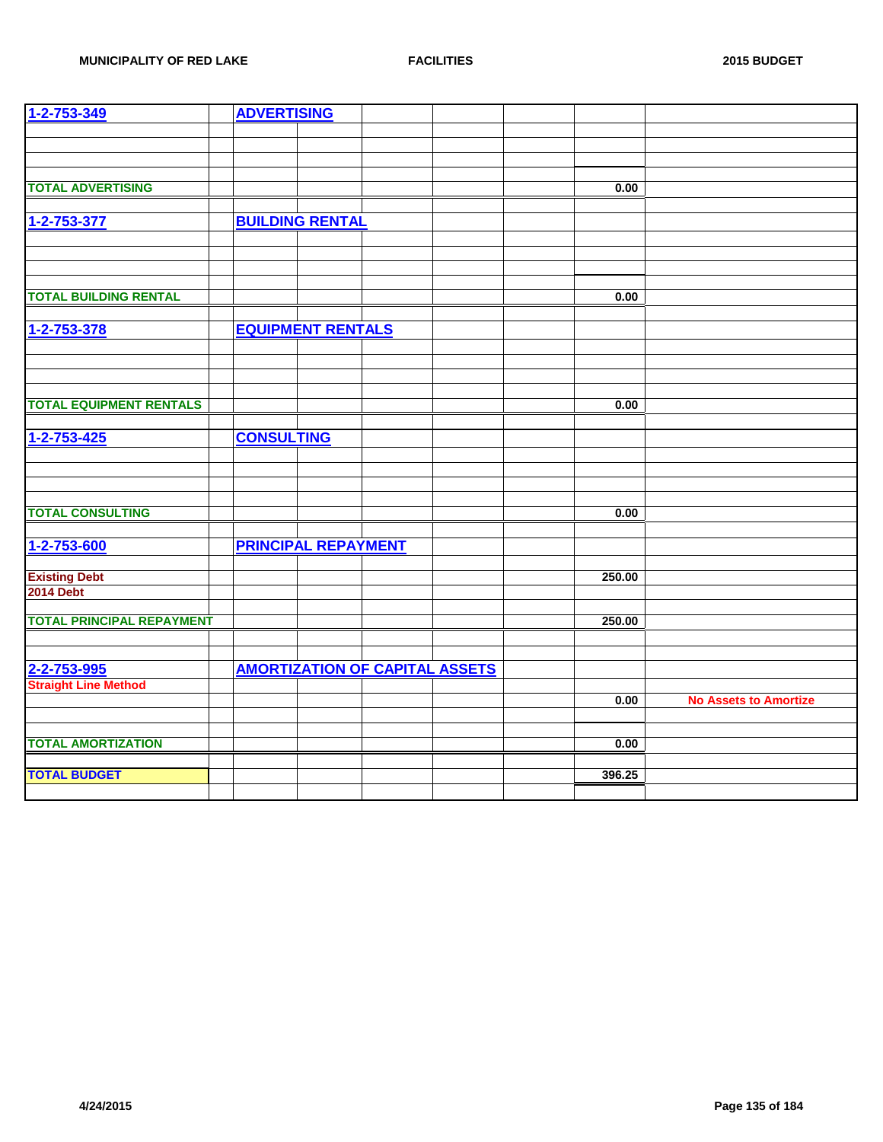| 1-2-753-349                      | <b>ADVERTISING</b> |                            |                                       |        |                              |
|----------------------------------|--------------------|----------------------------|---------------------------------------|--------|------------------------------|
|                                  |                    |                            |                                       |        |                              |
|                                  |                    |                            |                                       |        |                              |
|                                  |                    |                            |                                       |        |                              |
| <b>TOTAL ADVERTISING</b>         |                    |                            |                                       | 0.00   |                              |
|                                  |                    |                            |                                       |        |                              |
|                                  |                    |                            |                                       |        |                              |
| 1-2-753-377                      |                    | <b>BUILDING RENTAL</b>     |                                       |        |                              |
|                                  |                    |                            |                                       |        |                              |
|                                  |                    |                            |                                       |        |                              |
|                                  |                    |                            |                                       |        |                              |
| <b>TOTAL BUILDING RENTAL</b>     |                    |                            |                                       | 0.00   |                              |
|                                  |                    |                            |                                       |        |                              |
|                                  |                    |                            |                                       |        |                              |
| 1-2-753-378                      |                    | <b>EQUIPMENT RENTALS</b>   |                                       |        |                              |
|                                  |                    |                            |                                       |        |                              |
|                                  |                    |                            |                                       |        |                              |
|                                  |                    |                            |                                       |        |                              |
| <b>TOTAL EQUIPMENT RENTALS</b>   |                    |                            |                                       | 0.00   |                              |
|                                  |                    |                            |                                       |        |                              |
| $1 - 2 - 753 - 425$              | <b>CONSULTING</b>  |                            |                                       |        |                              |
|                                  |                    |                            |                                       |        |                              |
|                                  |                    |                            |                                       |        |                              |
|                                  |                    |                            |                                       |        |                              |
|                                  |                    |                            |                                       |        |                              |
| <b>TOTAL CONSULTING</b>          |                    |                            |                                       | 0.00   |                              |
|                                  |                    |                            |                                       |        |                              |
| 1-2-753-600                      |                    | <b>PRINCIPAL REPAYMENT</b> |                                       |        |                              |
|                                  |                    |                            |                                       |        |                              |
| <b>Existing Debt</b>             |                    |                            |                                       | 250.00 |                              |
| <b>2014 Debt</b>                 |                    |                            |                                       |        |                              |
|                                  |                    |                            |                                       |        |                              |
| <b>TOTAL PRINCIPAL REPAYMENT</b> |                    |                            |                                       | 250.00 |                              |
|                                  |                    |                            |                                       |        |                              |
|                                  |                    |                            |                                       |        |                              |
| 2-2-753-995                      |                    |                            | <b>AMORTIZATION OF CAPITAL ASSETS</b> |        |                              |
| <b>Straight Line Method</b>      |                    |                            |                                       |        |                              |
|                                  |                    |                            |                                       | 0.00   | <b>No Assets to Amortize</b> |
|                                  |                    |                            |                                       |        |                              |
|                                  |                    |                            |                                       |        |                              |
| <b>TOTAL AMORTIZATION</b>        |                    |                            |                                       | 0.00   |                              |
|                                  |                    |                            |                                       |        |                              |
| <b>TOTAL BUDGET</b>              |                    |                            |                                       | 396.25 |                              |
|                                  |                    |                            |                                       |        |                              |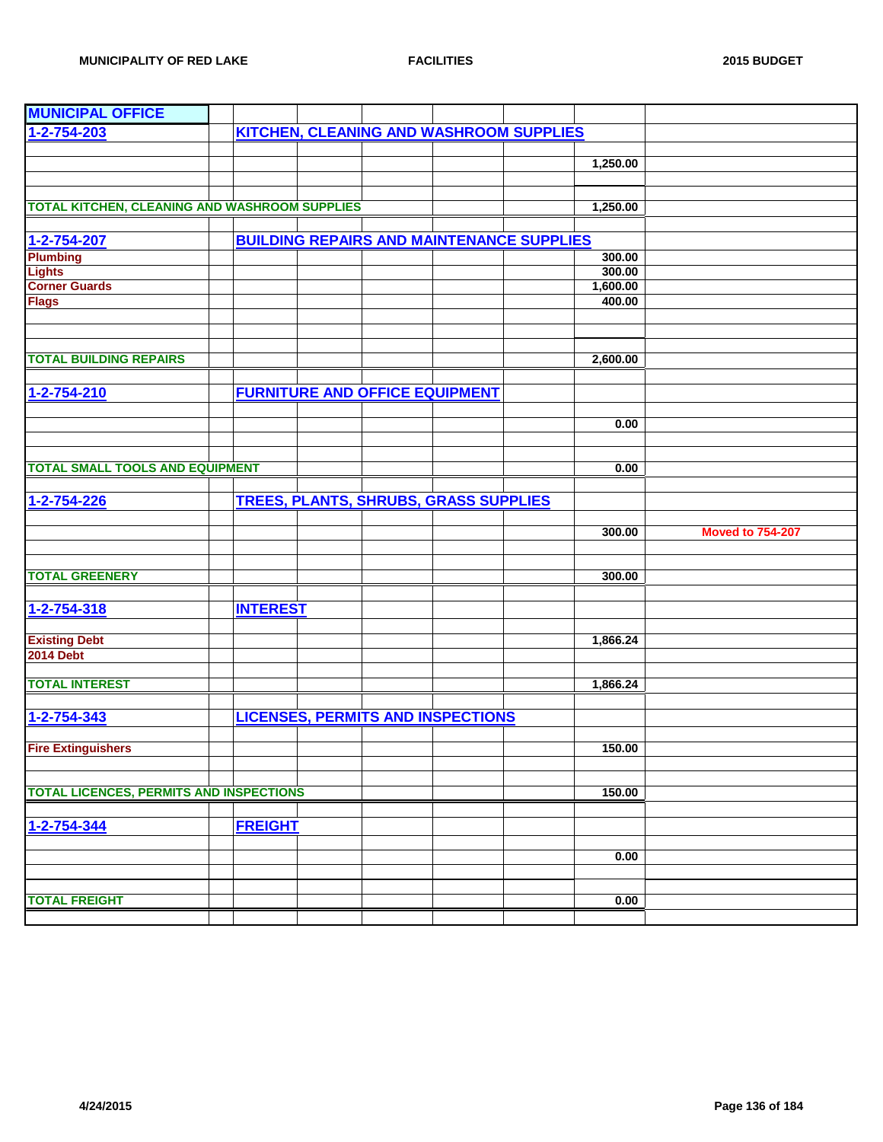| 1-2-754-203<br><b>KITCHEN, CLEANING AND WASHROOM SUPPLIES</b><br>1,250.00<br>TOTAL KITCHEN, CLEANING AND WASHROOM SUPPLIES<br>1,250.00<br><b>BUILDING REPAIRS AND MAINTENANCE SUPPLIES</b><br>1-2-754-207<br>Plumbing<br>300.00<br><b>Lights</b><br>300.00<br><b>Corner Guards</b><br>1,600.00<br>400.00<br><b>Flags</b><br>2,600.00<br><b>FURNITURE AND OFFICE EQUIPMENT</b><br>1-2-754-210<br>0.00<br><b>TOTAL SMALL TOOLS AND EQUIPMENT</b><br>0.00<br><b>TREES, PLANTS, SHRUBS, GRASS SUPPLIES</b><br>1-2-754-226<br>300.00<br><b>Moved to 754-207</b><br><b>TOTAL GREENERY</b><br>300.00<br>1-2-754-318<br><b>INTEREST</b><br><b>Existing Debt</b><br>1,866.24<br><b>2014 Debt</b><br>1,866.24<br><b>LICENSES, PERMITS AND INSPECTIONS</b><br>1-2-754-343<br><b>Fire Extinguishers</b><br>150.00<br><b>TOTAL LICENCES, PERMITS AND INSPECTIONS</b><br>150.00<br><b>FREIGHT</b><br>0.00<br><b>TOTAL FREIGHT</b><br>0.00 | <b>MUNICIPAL OFFICE</b>       |  |  |  |  |
|-----------------------------------------------------------------------------------------------------------------------------------------------------------------------------------------------------------------------------------------------------------------------------------------------------------------------------------------------------------------------------------------------------------------------------------------------------------------------------------------------------------------------------------------------------------------------------------------------------------------------------------------------------------------------------------------------------------------------------------------------------------------------------------------------------------------------------------------------------------------------------------------------------------------------------|-------------------------------|--|--|--|--|
|                                                                                                                                                                                                                                                                                                                                                                                                                                                                                                                                                                                                                                                                                                                                                                                                                                                                                                                             |                               |  |  |  |  |
|                                                                                                                                                                                                                                                                                                                                                                                                                                                                                                                                                                                                                                                                                                                                                                                                                                                                                                                             |                               |  |  |  |  |
|                                                                                                                                                                                                                                                                                                                                                                                                                                                                                                                                                                                                                                                                                                                                                                                                                                                                                                                             |                               |  |  |  |  |
|                                                                                                                                                                                                                                                                                                                                                                                                                                                                                                                                                                                                                                                                                                                                                                                                                                                                                                                             |                               |  |  |  |  |
|                                                                                                                                                                                                                                                                                                                                                                                                                                                                                                                                                                                                                                                                                                                                                                                                                                                                                                                             |                               |  |  |  |  |
|                                                                                                                                                                                                                                                                                                                                                                                                                                                                                                                                                                                                                                                                                                                                                                                                                                                                                                                             |                               |  |  |  |  |
|                                                                                                                                                                                                                                                                                                                                                                                                                                                                                                                                                                                                                                                                                                                                                                                                                                                                                                                             |                               |  |  |  |  |
|                                                                                                                                                                                                                                                                                                                                                                                                                                                                                                                                                                                                                                                                                                                                                                                                                                                                                                                             |                               |  |  |  |  |
|                                                                                                                                                                                                                                                                                                                                                                                                                                                                                                                                                                                                                                                                                                                                                                                                                                                                                                                             |                               |  |  |  |  |
|                                                                                                                                                                                                                                                                                                                                                                                                                                                                                                                                                                                                                                                                                                                                                                                                                                                                                                                             |                               |  |  |  |  |
|                                                                                                                                                                                                                                                                                                                                                                                                                                                                                                                                                                                                                                                                                                                                                                                                                                                                                                                             |                               |  |  |  |  |
|                                                                                                                                                                                                                                                                                                                                                                                                                                                                                                                                                                                                                                                                                                                                                                                                                                                                                                                             |                               |  |  |  |  |
|                                                                                                                                                                                                                                                                                                                                                                                                                                                                                                                                                                                                                                                                                                                                                                                                                                                                                                                             |                               |  |  |  |  |
|                                                                                                                                                                                                                                                                                                                                                                                                                                                                                                                                                                                                                                                                                                                                                                                                                                                                                                                             |                               |  |  |  |  |
|                                                                                                                                                                                                                                                                                                                                                                                                                                                                                                                                                                                                                                                                                                                                                                                                                                                                                                                             | <b>TOTAL BUILDING REPAIRS</b> |  |  |  |  |
|                                                                                                                                                                                                                                                                                                                                                                                                                                                                                                                                                                                                                                                                                                                                                                                                                                                                                                                             |                               |  |  |  |  |
|                                                                                                                                                                                                                                                                                                                                                                                                                                                                                                                                                                                                                                                                                                                                                                                                                                                                                                                             |                               |  |  |  |  |
|                                                                                                                                                                                                                                                                                                                                                                                                                                                                                                                                                                                                                                                                                                                                                                                                                                                                                                                             |                               |  |  |  |  |
|                                                                                                                                                                                                                                                                                                                                                                                                                                                                                                                                                                                                                                                                                                                                                                                                                                                                                                                             |                               |  |  |  |  |
|                                                                                                                                                                                                                                                                                                                                                                                                                                                                                                                                                                                                                                                                                                                                                                                                                                                                                                                             |                               |  |  |  |  |
|                                                                                                                                                                                                                                                                                                                                                                                                                                                                                                                                                                                                                                                                                                                                                                                                                                                                                                                             |                               |  |  |  |  |
|                                                                                                                                                                                                                                                                                                                                                                                                                                                                                                                                                                                                                                                                                                                                                                                                                                                                                                                             |                               |  |  |  |  |
|                                                                                                                                                                                                                                                                                                                                                                                                                                                                                                                                                                                                                                                                                                                                                                                                                                                                                                                             |                               |  |  |  |  |
|                                                                                                                                                                                                                                                                                                                                                                                                                                                                                                                                                                                                                                                                                                                                                                                                                                                                                                                             |                               |  |  |  |  |
|                                                                                                                                                                                                                                                                                                                                                                                                                                                                                                                                                                                                                                                                                                                                                                                                                                                                                                                             |                               |  |  |  |  |
|                                                                                                                                                                                                                                                                                                                                                                                                                                                                                                                                                                                                                                                                                                                                                                                                                                                                                                                             |                               |  |  |  |  |
|                                                                                                                                                                                                                                                                                                                                                                                                                                                                                                                                                                                                                                                                                                                                                                                                                                                                                                                             |                               |  |  |  |  |
|                                                                                                                                                                                                                                                                                                                                                                                                                                                                                                                                                                                                                                                                                                                                                                                                                                                                                                                             |                               |  |  |  |  |
|                                                                                                                                                                                                                                                                                                                                                                                                                                                                                                                                                                                                                                                                                                                                                                                                                                                                                                                             |                               |  |  |  |  |
|                                                                                                                                                                                                                                                                                                                                                                                                                                                                                                                                                                                                                                                                                                                                                                                                                                                                                                                             |                               |  |  |  |  |
|                                                                                                                                                                                                                                                                                                                                                                                                                                                                                                                                                                                                                                                                                                                                                                                                                                                                                                                             |                               |  |  |  |  |
|                                                                                                                                                                                                                                                                                                                                                                                                                                                                                                                                                                                                                                                                                                                                                                                                                                                                                                                             |                               |  |  |  |  |
|                                                                                                                                                                                                                                                                                                                                                                                                                                                                                                                                                                                                                                                                                                                                                                                                                                                                                                                             |                               |  |  |  |  |
|                                                                                                                                                                                                                                                                                                                                                                                                                                                                                                                                                                                                                                                                                                                                                                                                                                                                                                                             |                               |  |  |  |  |
|                                                                                                                                                                                                                                                                                                                                                                                                                                                                                                                                                                                                                                                                                                                                                                                                                                                                                                                             | <b>TOTAL INTEREST</b>         |  |  |  |  |
|                                                                                                                                                                                                                                                                                                                                                                                                                                                                                                                                                                                                                                                                                                                                                                                                                                                                                                                             |                               |  |  |  |  |
|                                                                                                                                                                                                                                                                                                                                                                                                                                                                                                                                                                                                                                                                                                                                                                                                                                                                                                                             |                               |  |  |  |  |
|                                                                                                                                                                                                                                                                                                                                                                                                                                                                                                                                                                                                                                                                                                                                                                                                                                                                                                                             |                               |  |  |  |  |
|                                                                                                                                                                                                                                                                                                                                                                                                                                                                                                                                                                                                                                                                                                                                                                                                                                                                                                                             |                               |  |  |  |  |
|                                                                                                                                                                                                                                                                                                                                                                                                                                                                                                                                                                                                                                                                                                                                                                                                                                                                                                                             |                               |  |  |  |  |
|                                                                                                                                                                                                                                                                                                                                                                                                                                                                                                                                                                                                                                                                                                                                                                                                                                                                                                                             |                               |  |  |  |  |
|                                                                                                                                                                                                                                                                                                                                                                                                                                                                                                                                                                                                                                                                                                                                                                                                                                                                                                                             |                               |  |  |  |  |
|                                                                                                                                                                                                                                                                                                                                                                                                                                                                                                                                                                                                                                                                                                                                                                                                                                                                                                                             |                               |  |  |  |  |
|                                                                                                                                                                                                                                                                                                                                                                                                                                                                                                                                                                                                                                                                                                                                                                                                                                                                                                                             |                               |  |  |  |  |
|                                                                                                                                                                                                                                                                                                                                                                                                                                                                                                                                                                                                                                                                                                                                                                                                                                                                                                                             | 1-2-754-344                   |  |  |  |  |
|                                                                                                                                                                                                                                                                                                                                                                                                                                                                                                                                                                                                                                                                                                                                                                                                                                                                                                                             |                               |  |  |  |  |
|                                                                                                                                                                                                                                                                                                                                                                                                                                                                                                                                                                                                                                                                                                                                                                                                                                                                                                                             |                               |  |  |  |  |
|                                                                                                                                                                                                                                                                                                                                                                                                                                                                                                                                                                                                                                                                                                                                                                                                                                                                                                                             |                               |  |  |  |  |
|                                                                                                                                                                                                                                                                                                                                                                                                                                                                                                                                                                                                                                                                                                                                                                                                                                                                                                                             |                               |  |  |  |  |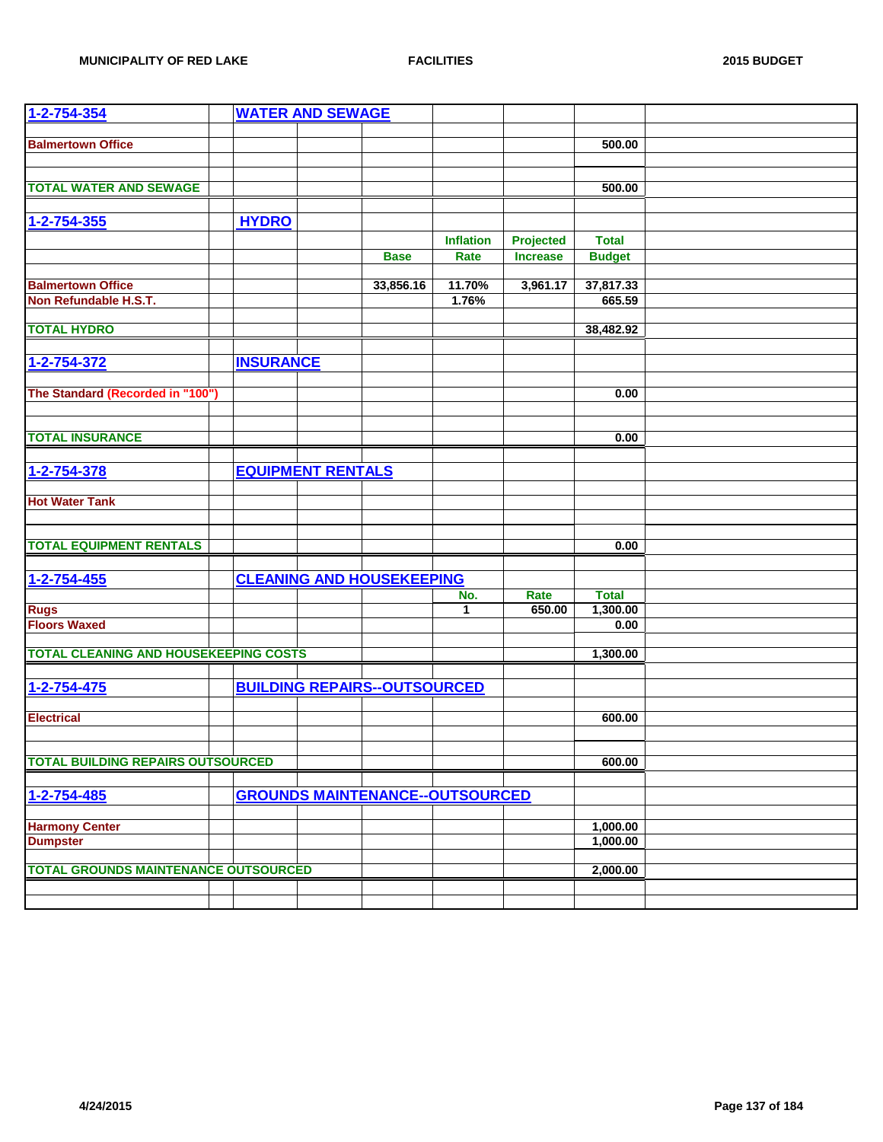| 1-2-754-354                                  |                  | <b>WATER AND SEWAGE</b>  |                                        |                  |                 |               |  |
|----------------------------------------------|------------------|--------------------------|----------------------------------------|------------------|-----------------|---------------|--|
| <b>Balmertown Office</b>                     |                  |                          |                                        |                  |                 | 500.00        |  |
|                                              |                  |                          |                                        |                  |                 |               |  |
|                                              |                  |                          |                                        |                  |                 |               |  |
| <b>TOTAL WATER AND SEWAGE</b>                |                  |                          |                                        |                  |                 | 500.00        |  |
|                                              |                  |                          |                                        |                  |                 |               |  |
| $1 - 2 - 754 - 355$                          | <b>HYDRO</b>     |                          |                                        |                  |                 |               |  |
|                                              |                  |                          |                                        | <b>Inflation</b> | Projected       | <b>Total</b>  |  |
|                                              |                  |                          | <b>Base</b>                            | Rate             | <b>Increase</b> | <b>Budget</b> |  |
| <b>Balmertown Office</b>                     |                  |                          | 33,856.16                              | 11.70%           | 3,961.17        | 37,817.33     |  |
| Non Refundable H.S.T.                        |                  |                          |                                        | 1.76%            |                 | 665.59        |  |
|                                              |                  |                          |                                        |                  |                 |               |  |
| <b>TOTAL HYDRO</b>                           |                  |                          |                                        |                  |                 | 38,482.92     |  |
|                                              |                  |                          |                                        |                  |                 |               |  |
| 1-2-754-372                                  | <b>INSURANCE</b> |                          |                                        |                  |                 |               |  |
| The Standard (Recorded in "100")             |                  |                          |                                        |                  |                 | 0.00          |  |
|                                              |                  |                          |                                        |                  |                 |               |  |
|                                              |                  |                          |                                        |                  |                 |               |  |
| <b>TOTAL INSURANCE</b>                       |                  |                          |                                        |                  |                 | 0.00          |  |
|                                              |                  |                          |                                        |                  |                 |               |  |
| 1-2-754-378                                  |                  | <b>EQUIPMENT RENTALS</b> |                                        |                  |                 |               |  |
|                                              |                  |                          |                                        |                  |                 |               |  |
| <b>Hot Water Tank</b>                        |                  |                          |                                        |                  |                 |               |  |
|                                              |                  |                          |                                        |                  |                 |               |  |
| <b>TOTAL EQUIPMENT RENTALS</b>               |                  |                          |                                        |                  |                 | 0.00          |  |
|                                              |                  |                          |                                        |                  |                 |               |  |
| 1-2-754-455                                  |                  |                          | <b>CLEANING AND HOUSEKEEPING</b>       |                  |                 |               |  |
|                                              |                  |                          |                                        | No.              | Rate            | <b>Total</b>  |  |
| <b>Rugs</b>                                  |                  |                          |                                        | 1                | 650.00          | 1,300.00      |  |
| <b>Floors Waxed</b>                          |                  |                          |                                        |                  |                 | 0.00          |  |
| <b>TOTAL CLEANING AND HOUSEKEEPING COSTS</b> |                  |                          |                                        |                  |                 | 1,300.00      |  |
|                                              |                  |                          |                                        |                  |                 |               |  |
| 1-2-754-475                                  |                  |                          | <b>BUILDING REPAIRS--OUTSOURCED</b>    |                  |                 |               |  |
|                                              |                  |                          |                                        |                  |                 |               |  |
| <b>Electrical</b>                            |                  |                          |                                        |                  |                 | 600.00        |  |
|                                              |                  |                          |                                        |                  |                 |               |  |
| <b>TOTAL BUILDING REPAIRS OUTSOURCED</b>     |                  |                          |                                        |                  |                 | 600.00        |  |
|                                              |                  |                          |                                        |                  |                 |               |  |
| 1-2-754-485                                  |                  |                          | <b>GROUNDS MAINTENANCE--OUTSOURCED</b> |                  |                 |               |  |
|                                              |                  |                          |                                        |                  |                 |               |  |
| <b>Harmony Center</b>                        |                  |                          |                                        |                  |                 | 1,000.00      |  |
| <b>Dumpster</b>                              |                  |                          |                                        |                  |                 | 1,000.00      |  |
|                                              |                  |                          |                                        |                  |                 |               |  |
| <b>TOTAL GROUNDS MAINTENANCE OUTSOURCED</b>  |                  |                          |                                        |                  |                 | 2,000.00      |  |
|                                              |                  |                          |                                        |                  |                 |               |  |
|                                              |                  |                          |                                        |                  |                 |               |  |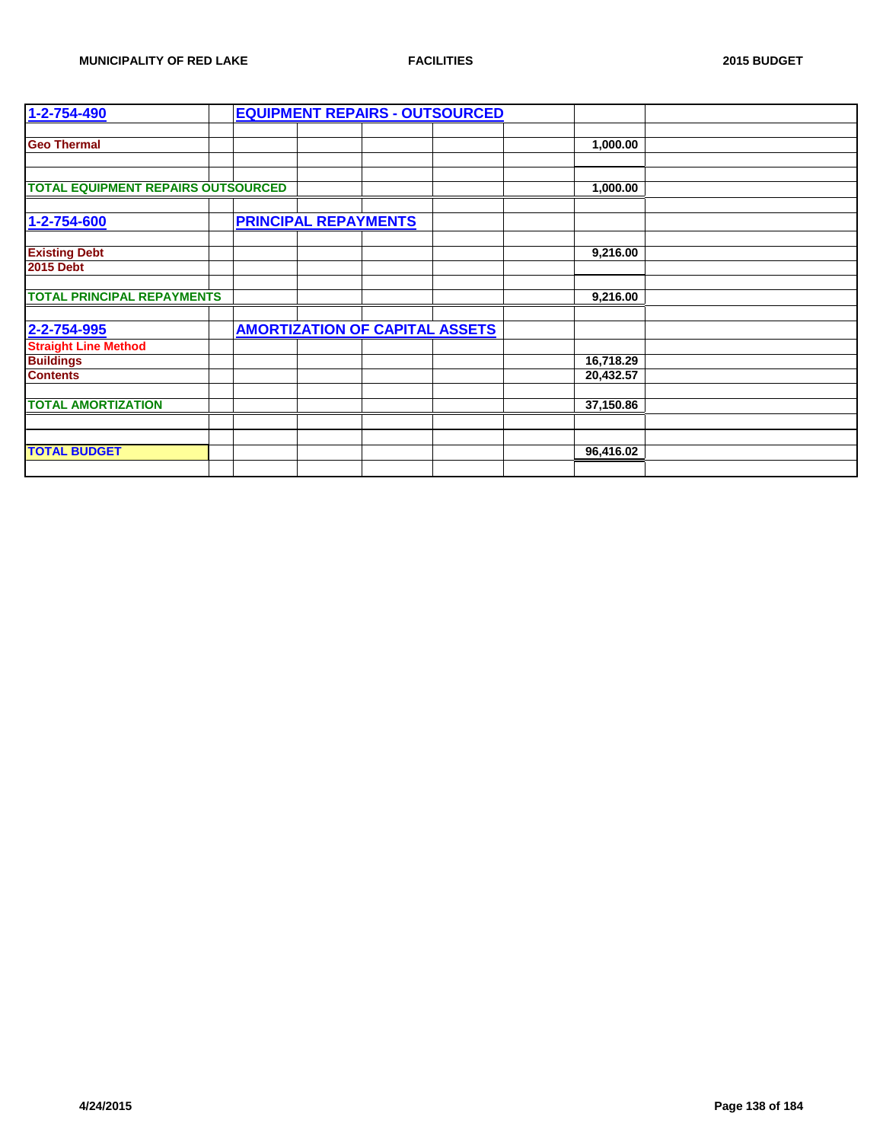| 1-2-754-490                               |                             |                                       | <b>EQUIPMENT REPAIRS - OUTSOURCED</b> |           |  |
|-------------------------------------------|-----------------------------|---------------------------------------|---------------------------------------|-----------|--|
|                                           |                             |                                       |                                       |           |  |
| <b>Geo Thermal</b>                        |                             |                                       |                                       | 1,000.00  |  |
|                                           |                             |                                       |                                       |           |  |
|                                           |                             |                                       |                                       |           |  |
| <b>TOTAL EQUIPMENT REPAIRS OUTSOURCED</b> |                             |                                       |                                       | 1,000.00  |  |
|                                           |                             |                                       |                                       |           |  |
| 1-2-754-600                               | <b>PRINCIPAL REPAYMENTS</b> |                                       |                                       |           |  |
|                                           |                             |                                       |                                       |           |  |
| <b>Existing Debt</b>                      |                             |                                       |                                       | 9,216.00  |  |
| <b>2015 Debt</b>                          |                             |                                       |                                       |           |  |
|                                           |                             |                                       |                                       |           |  |
| <b>TOTAL PRINCIPAL REPAYMENTS</b>         |                             |                                       |                                       | 9,216.00  |  |
|                                           |                             |                                       |                                       |           |  |
| 2-2-754-995                               |                             | <b>AMORTIZATION OF CAPITAL ASSETS</b> |                                       |           |  |
| <b>Straight Line Method</b>               |                             |                                       |                                       |           |  |
| <b>Buildings</b>                          |                             |                                       |                                       | 16,718.29 |  |
| <b>Contents</b>                           |                             |                                       |                                       | 20,432.57 |  |
|                                           |                             |                                       |                                       |           |  |
| <b>TOTAL AMORTIZATION</b>                 |                             |                                       |                                       | 37,150.86 |  |
|                                           |                             |                                       |                                       |           |  |
|                                           |                             |                                       |                                       |           |  |
| <b>TOTAL BUDGET</b>                       |                             |                                       |                                       | 96,416.02 |  |
|                                           |                             |                                       |                                       |           |  |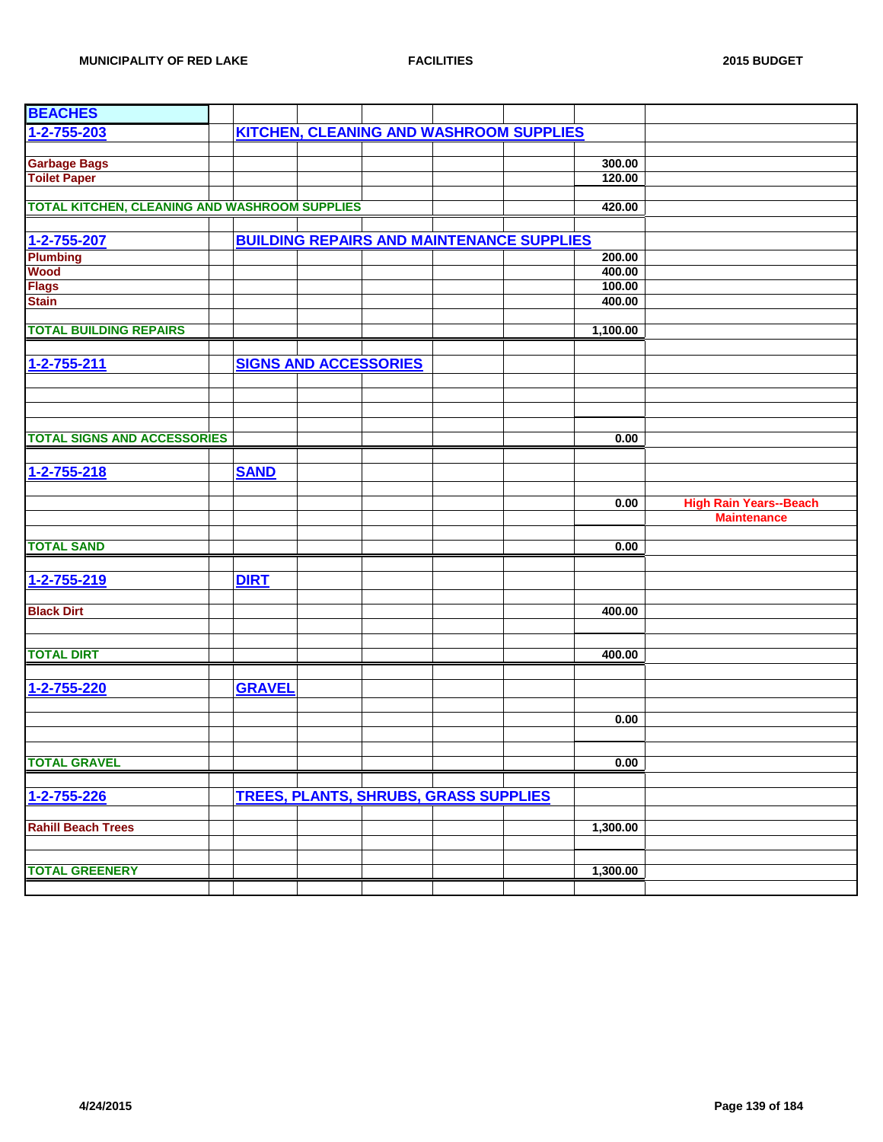| <b>BEACHES</b>                                |               |                                                  |                  |                               |
|-----------------------------------------------|---------------|--------------------------------------------------|------------------|-------------------------------|
| $1 - 2 - 755 - 203$                           |               | <b>KITCHEN, CLEANING AND WASHROOM SUPPLIES</b>   |                  |                               |
|                                               |               |                                                  |                  |                               |
| <b>Garbage Bags</b>                           |               |                                                  | 300.00           |                               |
| <b>Toilet Paper</b>                           |               |                                                  | 120.00           |                               |
|                                               |               |                                                  |                  |                               |
| TOTAL KITCHEN, CLEANING AND WASHROOM SUPPLIES |               |                                                  | 420.00           |                               |
|                                               |               |                                                  |                  |                               |
| 1-2-755-207                                   |               | <b>BUILDING REPAIRS AND MAINTENANCE SUPPLIES</b> |                  |                               |
| <b>Plumbing</b><br><b>Wood</b>                |               |                                                  | 200.00<br>400.00 |                               |
| <b>Flags</b>                                  |               |                                                  | 100.00           |                               |
| <b>Stain</b>                                  |               |                                                  | 400.00           |                               |
|                                               |               |                                                  |                  |                               |
| <b>TOTAL BUILDING REPAIRS</b>                 |               |                                                  | 1,100.00         |                               |
|                                               |               |                                                  |                  |                               |
| $1 - 2 - 755 - 211$                           |               | <b>SIGNS AND ACCESSORIES</b>                     |                  |                               |
|                                               |               |                                                  |                  |                               |
|                                               |               |                                                  |                  |                               |
|                                               |               |                                                  |                  |                               |
|                                               |               |                                                  |                  |                               |
| <b>TOTAL SIGNS AND ACCESSORIES</b>            |               |                                                  | 0.00             |                               |
|                                               |               |                                                  |                  |                               |
| 1-2-755-218                                   | <b>SAND</b>   |                                                  |                  |                               |
|                                               |               |                                                  |                  |                               |
|                                               |               |                                                  | 0.00             | <b>High Rain Years--Beach</b> |
|                                               |               |                                                  |                  | <b>Maintenance</b>            |
| <b>TOTAL SAND</b>                             |               |                                                  | 0.00             |                               |
|                                               |               |                                                  |                  |                               |
| 1-2-755-219                                   | <b>DIRT</b>   |                                                  |                  |                               |
|                                               |               |                                                  |                  |                               |
| <b>Black Dirt</b>                             |               |                                                  | 400.00           |                               |
|                                               |               |                                                  |                  |                               |
|                                               |               |                                                  |                  |                               |
| <b>TOTAL DIRT</b>                             |               |                                                  | 400.00           |                               |
|                                               |               |                                                  |                  |                               |
| 1-2-755-220                                   | <b>GRAVEL</b> |                                                  |                  |                               |
|                                               |               |                                                  |                  |                               |
|                                               |               |                                                  | 0.00             |                               |
|                                               |               |                                                  |                  |                               |
| <b>TOTAL GRAVEL</b>                           |               |                                                  | 0.00             |                               |
|                                               |               |                                                  |                  |                               |
| 1-2-755-226                                   |               | <b>TREES, PLANTS, SHRUBS, GRASS SUPPLIES</b>     |                  |                               |
|                                               |               |                                                  |                  |                               |
| <b>Rahill Beach Trees</b>                     |               |                                                  | 1,300.00         |                               |
|                                               |               |                                                  |                  |                               |
|                                               |               |                                                  |                  |                               |
| <b>TOTAL GREENERY</b>                         |               |                                                  | 1,300.00         |                               |
|                                               |               |                                                  |                  |                               |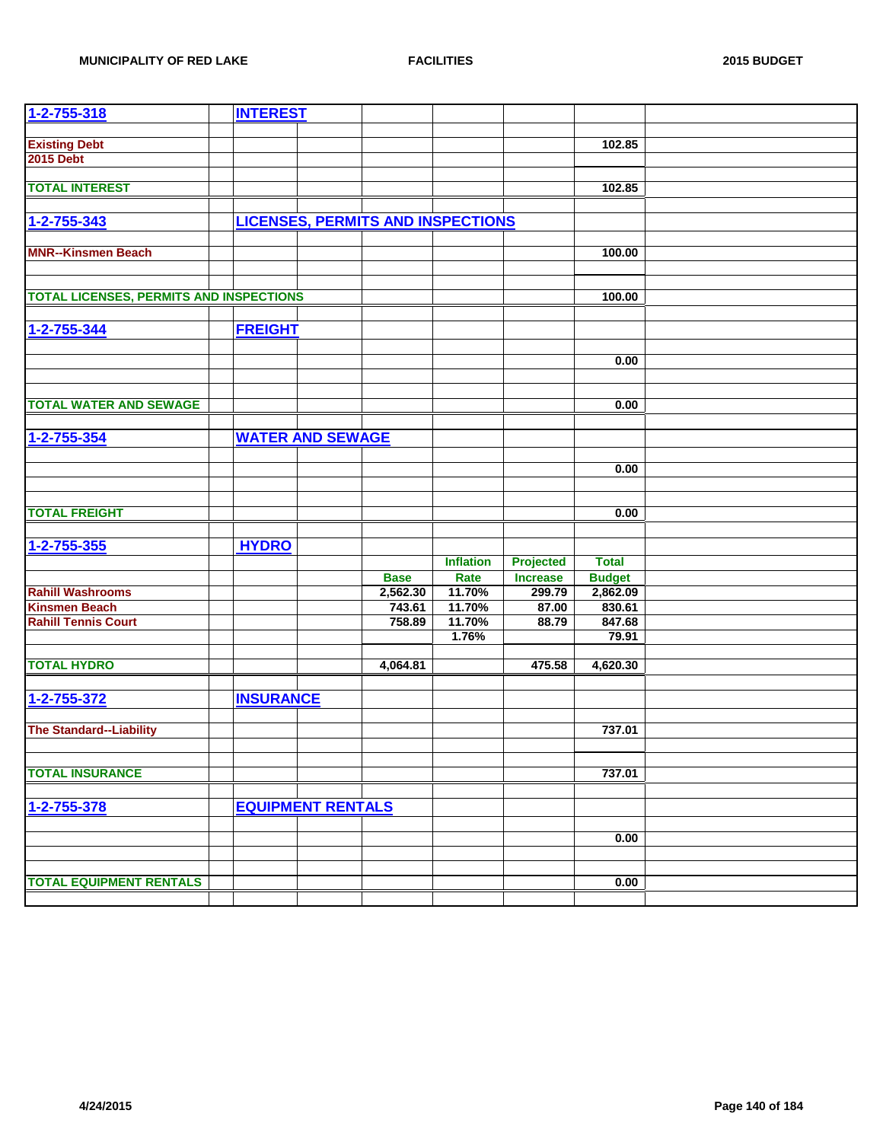| <b>Existing Debt</b><br>102.85<br><b>2015 Debt</b><br><b>TOTAL INTEREST</b><br>102.85<br><b>LICENSES, PERMITS AND INSPECTIONS</b><br>1-2-755-343<br><b>MNR--Kinsmen Beach</b><br>100.00<br><b>TOTAL LICENSES, PERMITS AND INSPECTIONS</b><br>100.00<br>1-2-755-344<br><b>FREIGHT</b><br>0.00<br><b>TOTAL WATER AND SEWAGE</b><br>0.00<br><b>WATER AND SEWAGE</b><br>$1 - 2 - 755 - 354$<br>0.00<br><b>TOTAL FREIGHT</b><br>0.00<br>$1 - 2 - 755 - 355$<br><b>HYDRO</b><br><b>Inflation</b><br><b>Projected</b><br><b>Total</b><br><b>Base</b><br>Rate<br><b>Increase</b><br><b>Budget</b><br>11.70%<br><b>Rahill Washrooms</b><br>2,562.30<br>299.79<br>2,862.09<br>743.61<br>11.70%<br>87.00<br>830.61<br><b>Kinsmen Beach</b><br>11.70%<br>758.89<br><b>Rahill Tennis Court</b><br>847.68<br>88.79<br>1.76%<br>79.91<br><b>TOTAL HYDRO</b><br>4,064.81<br>475.58<br>4,620.30<br><b>INSURANCE</b><br>1-2-755-372<br>737.01<br><b>TOTAL INSURANCE</b><br>737.01<br><b>EQUIPMENT RENTALS</b><br>1-2-755-378<br>0.00<br><b>TOTAL EQUIPMENT RENTALS</b><br>0.00 | 1-2-755-318                    | <b>INTEREST</b> |  |  |  |
|--------------------------------------------------------------------------------------------------------------------------------------------------------------------------------------------------------------------------------------------------------------------------------------------------------------------------------------------------------------------------------------------------------------------------------------------------------------------------------------------------------------------------------------------------------------------------------------------------------------------------------------------------------------------------------------------------------------------------------------------------------------------------------------------------------------------------------------------------------------------------------------------------------------------------------------------------------------------------------------------------------------------------------------------------------------|--------------------------------|-----------------|--|--|--|
|                                                                                                                                                                                                                                                                                                                                                                                                                                                                                                                                                                                                                                                                                                                                                                                                                                                                                                                                                                                                                                                              |                                |                 |  |  |  |
|                                                                                                                                                                                                                                                                                                                                                                                                                                                                                                                                                                                                                                                                                                                                                                                                                                                                                                                                                                                                                                                              |                                |                 |  |  |  |
|                                                                                                                                                                                                                                                                                                                                                                                                                                                                                                                                                                                                                                                                                                                                                                                                                                                                                                                                                                                                                                                              |                                |                 |  |  |  |
|                                                                                                                                                                                                                                                                                                                                                                                                                                                                                                                                                                                                                                                                                                                                                                                                                                                                                                                                                                                                                                                              |                                |                 |  |  |  |
|                                                                                                                                                                                                                                                                                                                                                                                                                                                                                                                                                                                                                                                                                                                                                                                                                                                                                                                                                                                                                                                              |                                |                 |  |  |  |
|                                                                                                                                                                                                                                                                                                                                                                                                                                                                                                                                                                                                                                                                                                                                                                                                                                                                                                                                                                                                                                                              |                                |                 |  |  |  |
|                                                                                                                                                                                                                                                                                                                                                                                                                                                                                                                                                                                                                                                                                                                                                                                                                                                                                                                                                                                                                                                              |                                |                 |  |  |  |
|                                                                                                                                                                                                                                                                                                                                                                                                                                                                                                                                                                                                                                                                                                                                                                                                                                                                                                                                                                                                                                                              |                                |                 |  |  |  |
|                                                                                                                                                                                                                                                                                                                                                                                                                                                                                                                                                                                                                                                                                                                                                                                                                                                                                                                                                                                                                                                              |                                |                 |  |  |  |
|                                                                                                                                                                                                                                                                                                                                                                                                                                                                                                                                                                                                                                                                                                                                                                                                                                                                                                                                                                                                                                                              |                                |                 |  |  |  |
|                                                                                                                                                                                                                                                                                                                                                                                                                                                                                                                                                                                                                                                                                                                                                                                                                                                                                                                                                                                                                                                              |                                |                 |  |  |  |
|                                                                                                                                                                                                                                                                                                                                                                                                                                                                                                                                                                                                                                                                                                                                                                                                                                                                                                                                                                                                                                                              |                                |                 |  |  |  |
|                                                                                                                                                                                                                                                                                                                                                                                                                                                                                                                                                                                                                                                                                                                                                                                                                                                                                                                                                                                                                                                              |                                |                 |  |  |  |
|                                                                                                                                                                                                                                                                                                                                                                                                                                                                                                                                                                                                                                                                                                                                                                                                                                                                                                                                                                                                                                                              |                                |                 |  |  |  |
|                                                                                                                                                                                                                                                                                                                                                                                                                                                                                                                                                                                                                                                                                                                                                                                                                                                                                                                                                                                                                                                              |                                |                 |  |  |  |
|                                                                                                                                                                                                                                                                                                                                                                                                                                                                                                                                                                                                                                                                                                                                                                                                                                                                                                                                                                                                                                                              |                                |                 |  |  |  |
|                                                                                                                                                                                                                                                                                                                                                                                                                                                                                                                                                                                                                                                                                                                                                                                                                                                                                                                                                                                                                                                              |                                |                 |  |  |  |
|                                                                                                                                                                                                                                                                                                                                                                                                                                                                                                                                                                                                                                                                                                                                                                                                                                                                                                                                                                                                                                                              |                                |                 |  |  |  |
|                                                                                                                                                                                                                                                                                                                                                                                                                                                                                                                                                                                                                                                                                                                                                                                                                                                                                                                                                                                                                                                              |                                |                 |  |  |  |
|                                                                                                                                                                                                                                                                                                                                                                                                                                                                                                                                                                                                                                                                                                                                                                                                                                                                                                                                                                                                                                                              |                                |                 |  |  |  |
|                                                                                                                                                                                                                                                                                                                                                                                                                                                                                                                                                                                                                                                                                                                                                                                                                                                                                                                                                                                                                                                              |                                |                 |  |  |  |
|                                                                                                                                                                                                                                                                                                                                                                                                                                                                                                                                                                                                                                                                                                                                                                                                                                                                                                                                                                                                                                                              |                                |                 |  |  |  |
|                                                                                                                                                                                                                                                                                                                                                                                                                                                                                                                                                                                                                                                                                                                                                                                                                                                                                                                                                                                                                                                              |                                |                 |  |  |  |
|                                                                                                                                                                                                                                                                                                                                                                                                                                                                                                                                                                                                                                                                                                                                                                                                                                                                                                                                                                                                                                                              |                                |                 |  |  |  |
|                                                                                                                                                                                                                                                                                                                                                                                                                                                                                                                                                                                                                                                                                                                                                                                                                                                                                                                                                                                                                                                              |                                |                 |  |  |  |
|                                                                                                                                                                                                                                                                                                                                                                                                                                                                                                                                                                                                                                                                                                                                                                                                                                                                                                                                                                                                                                                              |                                |                 |  |  |  |
|                                                                                                                                                                                                                                                                                                                                                                                                                                                                                                                                                                                                                                                                                                                                                                                                                                                                                                                                                                                                                                                              |                                |                 |  |  |  |
|                                                                                                                                                                                                                                                                                                                                                                                                                                                                                                                                                                                                                                                                                                                                                                                                                                                                                                                                                                                                                                                              |                                |                 |  |  |  |
|                                                                                                                                                                                                                                                                                                                                                                                                                                                                                                                                                                                                                                                                                                                                                                                                                                                                                                                                                                                                                                                              |                                |                 |  |  |  |
|                                                                                                                                                                                                                                                                                                                                                                                                                                                                                                                                                                                                                                                                                                                                                                                                                                                                                                                                                                                                                                                              |                                |                 |  |  |  |
|                                                                                                                                                                                                                                                                                                                                                                                                                                                                                                                                                                                                                                                                                                                                                                                                                                                                                                                                                                                                                                                              |                                |                 |  |  |  |
|                                                                                                                                                                                                                                                                                                                                                                                                                                                                                                                                                                                                                                                                                                                                                                                                                                                                                                                                                                                                                                                              |                                |                 |  |  |  |
|                                                                                                                                                                                                                                                                                                                                                                                                                                                                                                                                                                                                                                                                                                                                                                                                                                                                                                                                                                                                                                                              |                                |                 |  |  |  |
|                                                                                                                                                                                                                                                                                                                                                                                                                                                                                                                                                                                                                                                                                                                                                                                                                                                                                                                                                                                                                                                              |                                |                 |  |  |  |
|                                                                                                                                                                                                                                                                                                                                                                                                                                                                                                                                                                                                                                                                                                                                                                                                                                                                                                                                                                                                                                                              |                                |                 |  |  |  |
|                                                                                                                                                                                                                                                                                                                                                                                                                                                                                                                                                                                                                                                                                                                                                                                                                                                                                                                                                                                                                                                              |                                |                 |  |  |  |
|                                                                                                                                                                                                                                                                                                                                                                                                                                                                                                                                                                                                                                                                                                                                                                                                                                                                                                                                                                                                                                                              | <b>The Standard--Liability</b> |                 |  |  |  |
|                                                                                                                                                                                                                                                                                                                                                                                                                                                                                                                                                                                                                                                                                                                                                                                                                                                                                                                                                                                                                                                              |                                |                 |  |  |  |
|                                                                                                                                                                                                                                                                                                                                                                                                                                                                                                                                                                                                                                                                                                                                                                                                                                                                                                                                                                                                                                                              |                                |                 |  |  |  |
|                                                                                                                                                                                                                                                                                                                                                                                                                                                                                                                                                                                                                                                                                                                                                                                                                                                                                                                                                                                                                                                              |                                |                 |  |  |  |
|                                                                                                                                                                                                                                                                                                                                                                                                                                                                                                                                                                                                                                                                                                                                                                                                                                                                                                                                                                                                                                                              |                                |                 |  |  |  |
|                                                                                                                                                                                                                                                                                                                                                                                                                                                                                                                                                                                                                                                                                                                                                                                                                                                                                                                                                                                                                                                              |                                |                 |  |  |  |
|                                                                                                                                                                                                                                                                                                                                                                                                                                                                                                                                                                                                                                                                                                                                                                                                                                                                                                                                                                                                                                                              |                                |                 |  |  |  |
|                                                                                                                                                                                                                                                                                                                                                                                                                                                                                                                                                                                                                                                                                                                                                                                                                                                                                                                                                                                                                                                              |                                |                 |  |  |  |
|                                                                                                                                                                                                                                                                                                                                                                                                                                                                                                                                                                                                                                                                                                                                                                                                                                                                                                                                                                                                                                                              |                                |                 |  |  |  |
|                                                                                                                                                                                                                                                                                                                                                                                                                                                                                                                                                                                                                                                                                                                                                                                                                                                                                                                                                                                                                                                              |                                |                 |  |  |  |
|                                                                                                                                                                                                                                                                                                                                                                                                                                                                                                                                                                                                                                                                                                                                                                                                                                                                                                                                                                                                                                                              |                                |                 |  |  |  |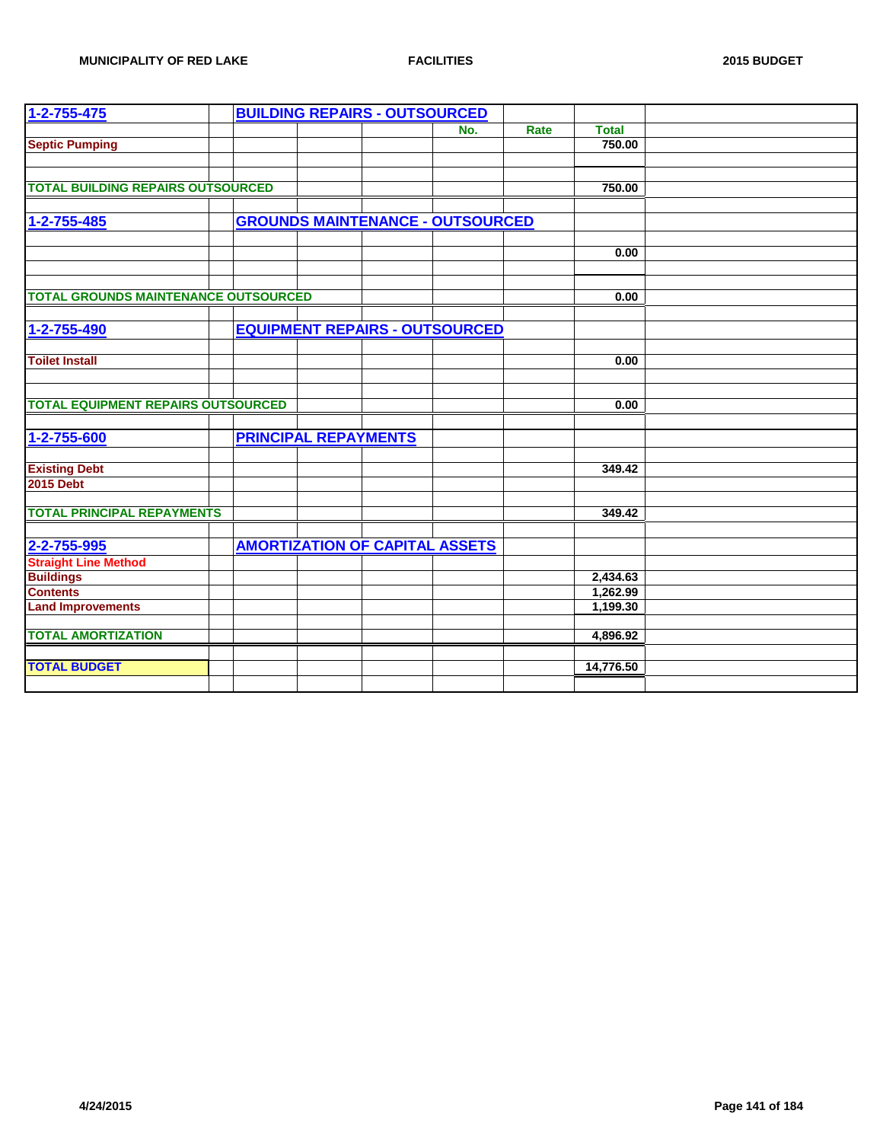| 1-2-755-475                                 |  | <b>BUILDING REPAIRS - OUTSOURCED</b>  |                                         |      |              |  |
|---------------------------------------------|--|---------------------------------------|-----------------------------------------|------|--------------|--|
|                                             |  |                                       | No.                                     | Rate | <b>Total</b> |  |
| <b>Septic Pumping</b>                       |  |                                       |                                         |      | 750.00       |  |
|                                             |  |                                       |                                         |      |              |  |
|                                             |  |                                       |                                         |      |              |  |
| <b>TOTAL BUILDING REPAIRS OUTSOURCED</b>    |  |                                       |                                         |      | 750.00       |  |
|                                             |  |                                       |                                         |      |              |  |
| 1-2-755-485                                 |  |                                       | <b>GROUNDS MAINTENANCE - OUTSOURCED</b> |      |              |  |
|                                             |  |                                       |                                         |      |              |  |
|                                             |  |                                       |                                         |      | 0.00         |  |
|                                             |  |                                       |                                         |      |              |  |
|                                             |  |                                       |                                         |      |              |  |
| <b>TOTAL GROUNDS MAINTENANCE OUTSOURCED</b> |  |                                       |                                         |      | 0.00         |  |
|                                             |  |                                       |                                         |      |              |  |
| 1-2-755-490                                 |  |                                       | <b>EQUIPMENT REPAIRS - OUTSOURCED</b>   |      |              |  |
|                                             |  |                                       |                                         |      |              |  |
| <b>Toilet Install</b>                       |  |                                       |                                         |      | 0.00         |  |
|                                             |  |                                       |                                         |      |              |  |
| <b>TOTAL EQUIPMENT REPAIRS OUTSOURCED</b>   |  |                                       |                                         |      | 0.00         |  |
|                                             |  |                                       |                                         |      |              |  |
|                                             |  |                                       |                                         |      |              |  |
| 1-2-755-600                                 |  | <b>PRINCIPAL REPAYMENTS</b>           |                                         |      |              |  |
|                                             |  |                                       |                                         |      |              |  |
| <b>Existing Debt</b>                        |  |                                       |                                         |      | 349.42       |  |
| <b>2015 Debt</b>                            |  |                                       |                                         |      |              |  |
| <b>TOTAL PRINCIPAL REPAYMENTS</b>           |  |                                       |                                         |      | 349.42       |  |
|                                             |  |                                       |                                         |      |              |  |
| 2-2-755-995                                 |  | <b>AMORTIZATION OF CAPITAL ASSETS</b> |                                         |      |              |  |
| <b>Straight Line Method</b>                 |  |                                       |                                         |      |              |  |
| <b>Buildings</b>                            |  |                                       |                                         |      | 2,434.63     |  |
| <b>Contents</b>                             |  |                                       |                                         |      | 1,262.99     |  |
| <b>Land Improvements</b>                    |  |                                       |                                         |      | 1,199.30     |  |
|                                             |  |                                       |                                         |      |              |  |
| <b>TOTAL AMORTIZATION</b>                   |  |                                       |                                         |      | 4,896.92     |  |
|                                             |  |                                       |                                         |      |              |  |
| <b>TOTAL BUDGET</b>                         |  |                                       |                                         |      | 14,776.50    |  |
|                                             |  |                                       |                                         |      |              |  |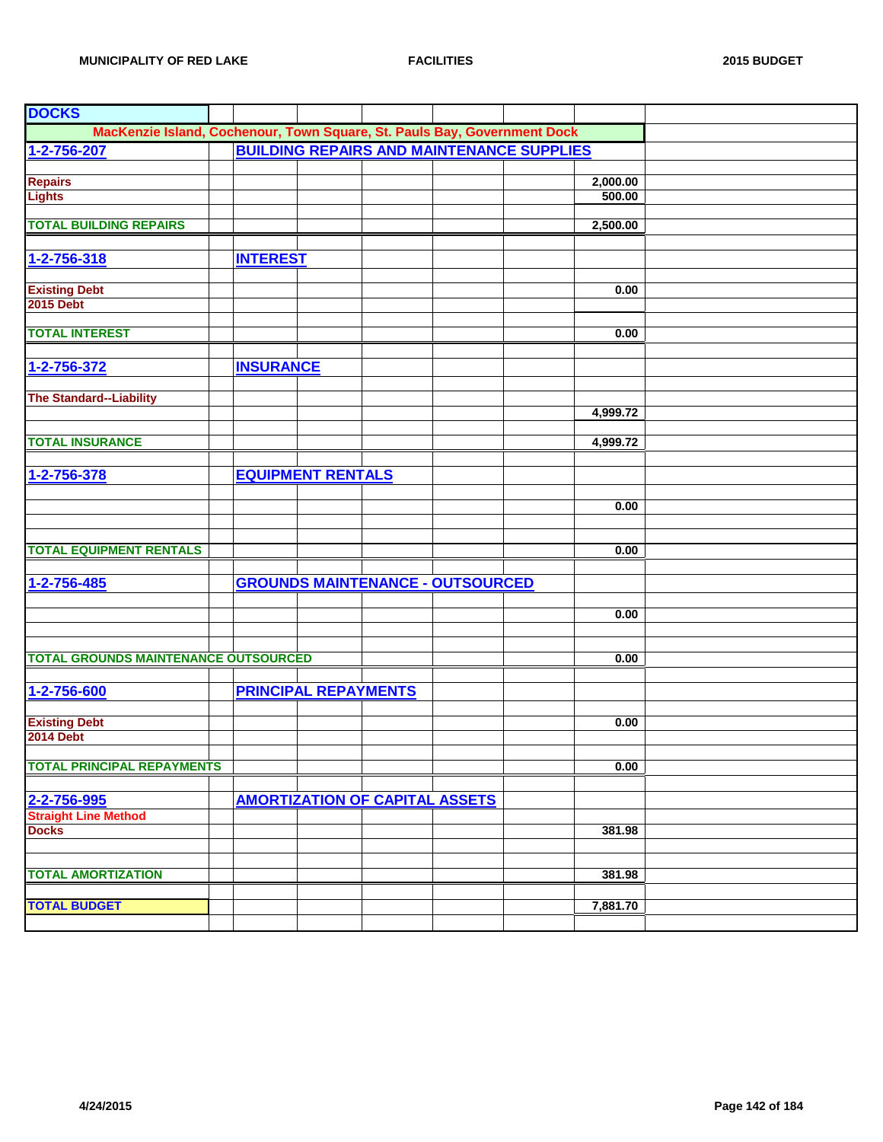| <b>DOCKS</b>                                                             |                  |                             |                                                  |          |  |
|--------------------------------------------------------------------------|------------------|-----------------------------|--------------------------------------------------|----------|--|
| MacKenzie Island, Cochenour, Town Square, St. Pauls Bay, Government Dock |                  |                             |                                                  |          |  |
| 1-2-756-207                                                              |                  |                             | <b>BUILDING REPAIRS AND MAINTENANCE SUPPLIES</b> |          |  |
|                                                                          |                  |                             |                                                  |          |  |
| <b>Repairs</b>                                                           |                  |                             |                                                  | 2,000.00 |  |
| <b>Lights</b>                                                            |                  |                             |                                                  | 500.00   |  |
|                                                                          |                  |                             |                                                  |          |  |
| <b>TOTAL BUILDING REPAIRS</b>                                            |                  |                             |                                                  | 2,500.00 |  |
|                                                                          |                  |                             |                                                  |          |  |
| 1-2-756-318                                                              | <b>INTEREST</b>  |                             |                                                  |          |  |
|                                                                          |                  |                             |                                                  |          |  |
| <b>Existing Debt</b>                                                     |                  |                             |                                                  | 0.00     |  |
| <b>2015 Debt</b>                                                         |                  |                             |                                                  |          |  |
| <b>TOTAL INTEREST</b>                                                    |                  |                             |                                                  | 0.00     |  |
|                                                                          |                  |                             |                                                  |          |  |
|                                                                          |                  |                             |                                                  |          |  |
| 1-2-756-372                                                              | <b>INSURANCE</b> |                             |                                                  |          |  |
| <b>The Standard--Liability</b>                                           |                  |                             |                                                  |          |  |
|                                                                          |                  |                             |                                                  | 4,999.72 |  |
|                                                                          |                  |                             |                                                  |          |  |
| <b>TOTAL INSURANCE</b>                                                   |                  |                             |                                                  | 4,999.72 |  |
|                                                                          |                  |                             |                                                  |          |  |
| 1-2-756-378                                                              |                  | <b>EQUIPMENT RENTALS</b>    |                                                  |          |  |
|                                                                          |                  |                             |                                                  |          |  |
|                                                                          |                  |                             |                                                  | 0.00     |  |
|                                                                          |                  |                             |                                                  |          |  |
|                                                                          |                  |                             |                                                  |          |  |
| <b>TOTAL EQUIPMENT RENTALS</b>                                           |                  |                             |                                                  | 0.00     |  |
|                                                                          |                  |                             |                                                  |          |  |
| 1-2-756-485                                                              |                  |                             | <b>GROUNDS MAINTENANCE - OUTSOURCED</b>          |          |  |
|                                                                          |                  |                             |                                                  |          |  |
|                                                                          |                  |                             |                                                  | 0.00     |  |
|                                                                          |                  |                             |                                                  |          |  |
|                                                                          |                  |                             |                                                  |          |  |
| <b>TOTAL GROUNDS MAINTENANCE OUTSOURCED</b>                              |                  |                             |                                                  | 0.00     |  |
|                                                                          |                  |                             |                                                  |          |  |
| 1-2-756-600                                                              |                  | <b>PRINCIPAL REPAYMENTS</b> |                                                  |          |  |
|                                                                          |                  |                             |                                                  | 0.00     |  |
| <b>Existing Debt</b><br><b>2014 Debt</b>                                 |                  |                             |                                                  |          |  |
|                                                                          |                  |                             |                                                  |          |  |
| <b>TOTAL PRINCIPAL REPAYMENTS</b>                                        |                  |                             |                                                  | 0.00     |  |
|                                                                          |                  |                             |                                                  |          |  |
| 2-2-756-995                                                              |                  |                             | <b>AMORTIZATION OF CAPITAL ASSETS</b>            |          |  |
| <b>Straight Line Method</b>                                              |                  |                             |                                                  |          |  |
| <b>Docks</b>                                                             |                  |                             |                                                  | 381.98   |  |
|                                                                          |                  |                             |                                                  |          |  |
|                                                                          |                  |                             |                                                  |          |  |
| <b>TOTAL AMORTIZATION</b>                                                |                  |                             |                                                  | 381.98   |  |
|                                                                          |                  |                             |                                                  |          |  |
| <b>TOTAL BUDGET</b>                                                      |                  |                             |                                                  | 7,881.70 |  |
|                                                                          |                  |                             |                                                  |          |  |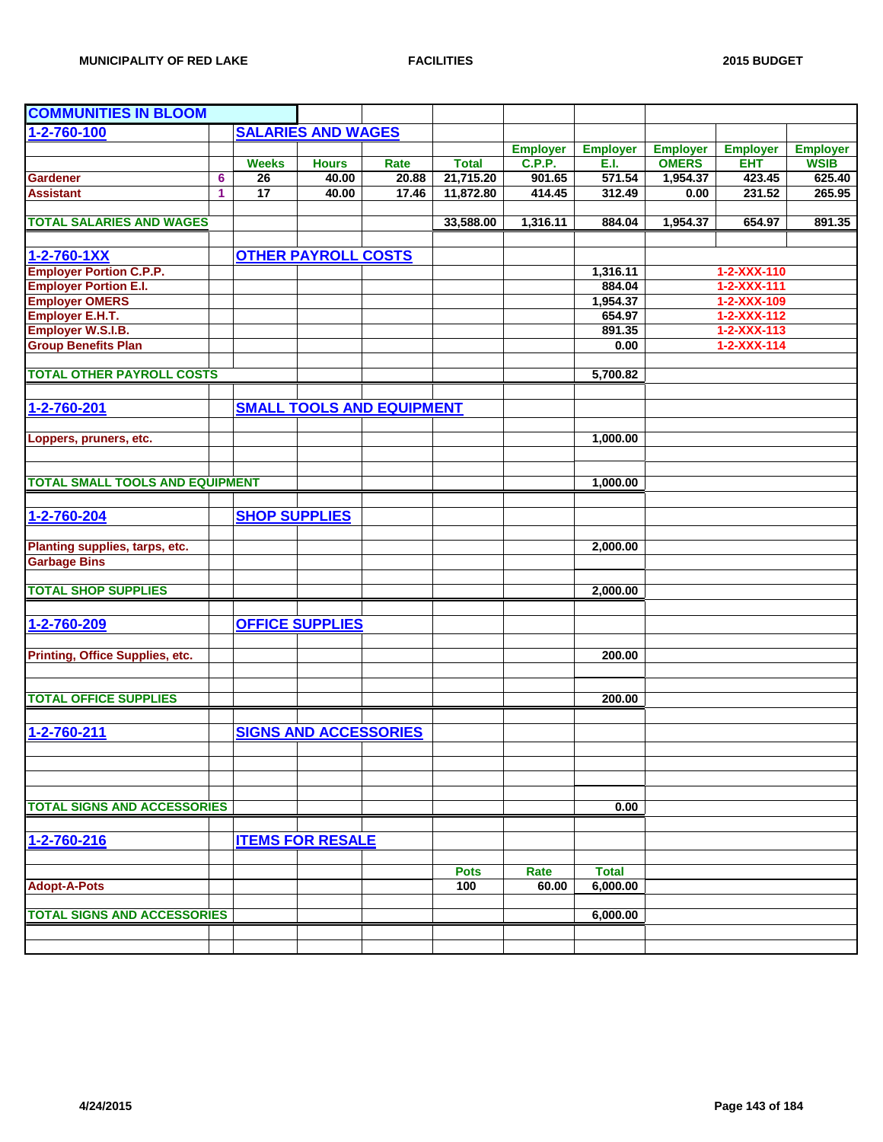| <b>COMMUNITIES IN BLOOM</b>            |   |                      |                              |                                  |              |                 |                 |                 |                     |                 |
|----------------------------------------|---|----------------------|------------------------------|----------------------------------|--------------|-----------------|-----------------|-----------------|---------------------|-----------------|
| 1-2-760-100                            |   |                      | <b>SALARIES AND WAGES</b>    |                                  |              |                 |                 |                 |                     |                 |
|                                        |   |                      |                              |                                  |              | <b>Employer</b> | <b>Employer</b> | <b>Employer</b> | <b>Employer</b>     | <b>Employer</b> |
|                                        |   | <b>Weeks</b>         | <b>Hours</b>                 | Rate                             | <b>Total</b> | <b>C.P.P.</b>   | E.I.            | <b>OMERS</b>    | <b>EHT</b>          | <b>WSIB</b>     |
| <b>Gardener</b>                        | 6 | $\overline{26}$      | 40.00                        | 20.88                            | 21,715.20    | 901.65          | 571.54          | 1,954.37        | 423.45              | 625.40          |
| <b>Assistant</b>                       | 1 | 17                   | 40.00                        | 17.46                            | 11,872.80    | 414.45          | 312.49          | 0.00            | 231.52              | 265.95          |
|                                        |   |                      |                              |                                  |              |                 |                 |                 |                     |                 |
| <b>TOTAL SALARIES AND WAGES</b>        |   |                      |                              |                                  | 33,588.00    | 1,316.11        | 884.04          | 1,954.37        | 654.97              | 891.35          |
|                                        |   |                      |                              |                                  |              |                 |                 |                 |                     |                 |
| 1-2-760-1XX                            |   |                      | <b>OTHER PAYROLL COSTS</b>   |                                  |              |                 |                 |                 |                     |                 |
| <b>Employer Portion C.P.P.</b>         |   |                      |                              |                                  |              |                 | 1,316.11        |                 | 1-2-XXX-110         |                 |
| <b>Employer Portion E.I.</b>           |   |                      |                              |                                  |              |                 | 884.04          |                 | $1 - 2 - XXX - 111$ |                 |
| <b>Employer OMERS</b>                  |   |                      |                              |                                  |              |                 | 1,954.37        |                 | 1-2-XXX-109         |                 |
| Employer E.H.T.                        |   |                      |                              |                                  |              |                 | 654.97          |                 | $1 - 2 - XXX - 112$ |                 |
| <b>Employer W.S.I.B.</b>               |   |                      |                              |                                  |              |                 | 891.35          |                 | $1 - 2 - XXX - 113$ |                 |
| <b>Group Benefits Plan</b>             |   |                      |                              |                                  |              |                 | 0.00            |                 | $1 - 2 - XXX - 114$ |                 |
|                                        |   |                      |                              |                                  |              |                 |                 |                 |                     |                 |
| <b>TOTAL OTHER PAYROLL COSTS</b>       |   |                      |                              |                                  |              |                 | 5,700.82        |                 |                     |                 |
| 1-2-760-201                            |   |                      |                              | <b>SMALL TOOLS AND EQUIPMENT</b> |              |                 |                 |                 |                     |                 |
|                                        |   |                      |                              |                                  |              |                 |                 |                 |                     |                 |
| Loppers, pruners, etc.                 |   |                      |                              |                                  |              |                 | 1,000.00        |                 |                     |                 |
|                                        |   |                      |                              |                                  |              |                 |                 |                 |                     |                 |
|                                        |   |                      |                              |                                  |              |                 |                 |                 |                     |                 |
| <b>TOTAL SMALL TOOLS AND EQUIPMENT</b> |   |                      |                              |                                  |              |                 | 1,000.00        |                 |                     |                 |
|                                        |   |                      |                              |                                  |              |                 |                 |                 |                     |                 |
| 1-2-760-204                            |   | <b>SHOP SUPPLIES</b> |                              |                                  |              |                 |                 |                 |                     |                 |
|                                        |   |                      |                              |                                  |              |                 |                 |                 |                     |                 |
| Planting supplies, tarps, etc.         |   |                      |                              |                                  |              |                 | 2,000.00        |                 |                     |                 |
| <b>Garbage Bins</b>                    |   |                      |                              |                                  |              |                 |                 |                 |                     |                 |
|                                        |   |                      |                              |                                  |              |                 |                 |                 |                     |                 |
| <b>TOTAL SHOP SUPPLIES</b>             |   |                      |                              |                                  |              |                 | 2,000.00        |                 |                     |                 |
|                                        |   |                      |                              |                                  |              |                 |                 |                 |                     |                 |
| 1-2-760-209                            |   |                      | <b>OFFICE SUPPLIES</b>       |                                  |              |                 |                 |                 |                     |                 |
|                                        |   |                      |                              |                                  |              |                 |                 |                 |                     |                 |
| Printing, Office Supplies, etc.        |   |                      |                              |                                  |              |                 | 200.00          |                 |                     |                 |
|                                        |   |                      |                              |                                  |              |                 |                 |                 |                     |                 |
|                                        |   |                      |                              |                                  |              |                 |                 |                 |                     |                 |
| <b>TOTAL OFFICE SUPPLIES</b>           |   |                      |                              |                                  |              |                 | 200.00          |                 |                     |                 |
|                                        |   |                      |                              |                                  |              |                 |                 |                 |                     |                 |
| 1-2-760-211                            |   |                      | <b>SIGNS AND ACCESSORIES</b> |                                  |              |                 |                 |                 |                     |                 |
|                                        |   |                      |                              |                                  |              |                 |                 |                 |                     |                 |
|                                        |   |                      |                              |                                  |              |                 |                 |                 |                     |                 |
|                                        |   |                      |                              |                                  |              |                 |                 |                 |                     |                 |
|                                        |   |                      |                              |                                  |              |                 |                 |                 |                     |                 |
| <b>TOTAL SIGNS AND ACCESSORIES</b>     |   |                      |                              |                                  |              |                 | 0.00            |                 |                     |                 |
|                                        |   |                      |                              |                                  |              |                 |                 |                 |                     |                 |
| 1-2-760-216                            |   |                      | <b>ITEMS FOR RESALE</b>      |                                  |              |                 |                 |                 |                     |                 |
|                                        |   |                      |                              |                                  |              |                 |                 |                 |                     |                 |
|                                        |   |                      |                              |                                  | <b>Pots</b>  | Rate            | <b>Total</b>    |                 |                     |                 |
| <b>Adopt-A-Pots</b>                    |   |                      |                              |                                  | 100          | 60.00           | 6,000.00        |                 |                     |                 |
|                                        |   |                      |                              |                                  |              |                 |                 |                 |                     |                 |
| <b>TOTAL SIGNS AND ACCESSORIES</b>     |   |                      |                              |                                  |              |                 | 6,000.00        |                 |                     |                 |
|                                        |   |                      |                              |                                  |              |                 |                 |                 |                     |                 |
|                                        |   |                      |                              |                                  |              |                 |                 |                 |                     |                 |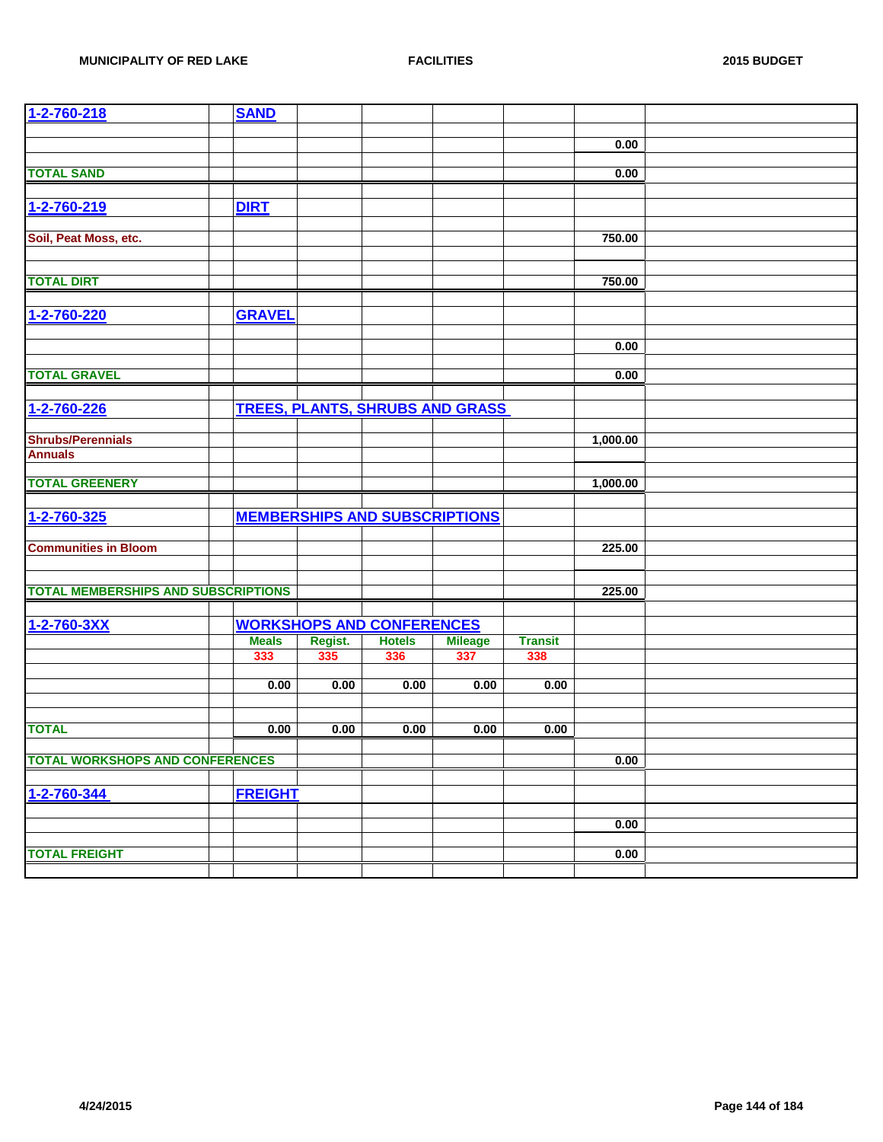| 1-2-760-218                                | <b>SAND</b>    |         |                                        |                |                |          |  |
|--------------------------------------------|----------------|---------|----------------------------------------|----------------|----------------|----------|--|
|                                            |                |         |                                        |                |                |          |  |
|                                            |                |         |                                        |                |                | 0.00     |  |
| <b>TOTAL SAND</b>                          |                |         |                                        |                |                |          |  |
|                                            |                |         |                                        |                |                | 0.00     |  |
|                                            |                |         |                                        |                |                |          |  |
| 1-2-760-219                                | <b>DIRT</b>    |         |                                        |                |                |          |  |
| Soil, Peat Moss, etc.                      |                |         |                                        |                |                | 750.00   |  |
|                                            |                |         |                                        |                |                |          |  |
|                                            |                |         |                                        |                |                |          |  |
| <b>TOTAL DIRT</b>                          |                |         |                                        |                |                | 750.00   |  |
|                                            |                |         |                                        |                |                |          |  |
| 1-2-760-220                                | <b>GRAVEL</b>  |         |                                        |                |                |          |  |
|                                            |                |         |                                        |                |                | 0.00     |  |
|                                            |                |         |                                        |                |                |          |  |
| <b>TOTAL GRAVEL</b>                        |                |         |                                        |                |                | 0.00     |  |
|                                            |                |         |                                        |                |                |          |  |
| 1-2-760-226                                |                |         | <b>TREES, PLANTS, SHRUBS AND GRASS</b> |                |                |          |  |
|                                            |                |         |                                        |                |                |          |  |
| <b>Shrubs/Perennials</b>                   |                |         |                                        |                |                | 1,000.00 |  |
| <b>Annuals</b>                             |                |         |                                        |                |                |          |  |
|                                            |                |         |                                        |                |                |          |  |
| <b>TOTAL GREENERY</b>                      |                |         |                                        |                |                | 1,000.00 |  |
| 1-2-760-325                                |                |         | <b>MEMBERSHIPS AND SUBSCRIPTIONS</b>   |                |                |          |  |
|                                            |                |         |                                        |                |                |          |  |
| <b>Communities in Bloom</b>                |                |         |                                        |                |                | 225.00   |  |
|                                            |                |         |                                        |                |                |          |  |
|                                            |                |         |                                        |                |                |          |  |
| <b>TOTAL MEMBERSHIPS AND SUBSCRIPTIONS</b> |                |         |                                        |                |                | 225.00   |  |
|                                            |                |         |                                        |                |                |          |  |
| 1-2-760-3XX                                |                |         | <b>WORKSHOPS AND CONFERENCES</b>       |                |                |          |  |
|                                            | <b>Meals</b>   | Regist. | <b>Hotels</b>                          | <b>Mileage</b> | <b>Transit</b> |          |  |
|                                            | 333            | 335     | 336                                    | 337            | 338            |          |  |
|                                            | 0.00           | 0.00    | 0.00                                   | 0.00           | 0.00           |          |  |
|                                            |                |         |                                        |                |                |          |  |
|                                            |                |         |                                        |                |                |          |  |
| <b>TOTAL</b>                               | 0.00           | 0.00    | 0.00                                   | 0.00           | 0.00           |          |  |
|                                            |                |         |                                        |                |                |          |  |
| <b>TOTAL WORKSHOPS AND CONFERENCES</b>     |                |         |                                        |                |                | 0.00     |  |
| 1-2-760-344                                | <b>FREIGHT</b> |         |                                        |                |                |          |  |
|                                            |                |         |                                        |                |                |          |  |
|                                            |                |         |                                        |                |                | 0.00     |  |
|                                            |                |         |                                        |                |                |          |  |
| <b>TOTAL FREIGHT</b>                       |                |         |                                        |                |                | 0.00     |  |
|                                            |                |         |                                        |                |                |          |  |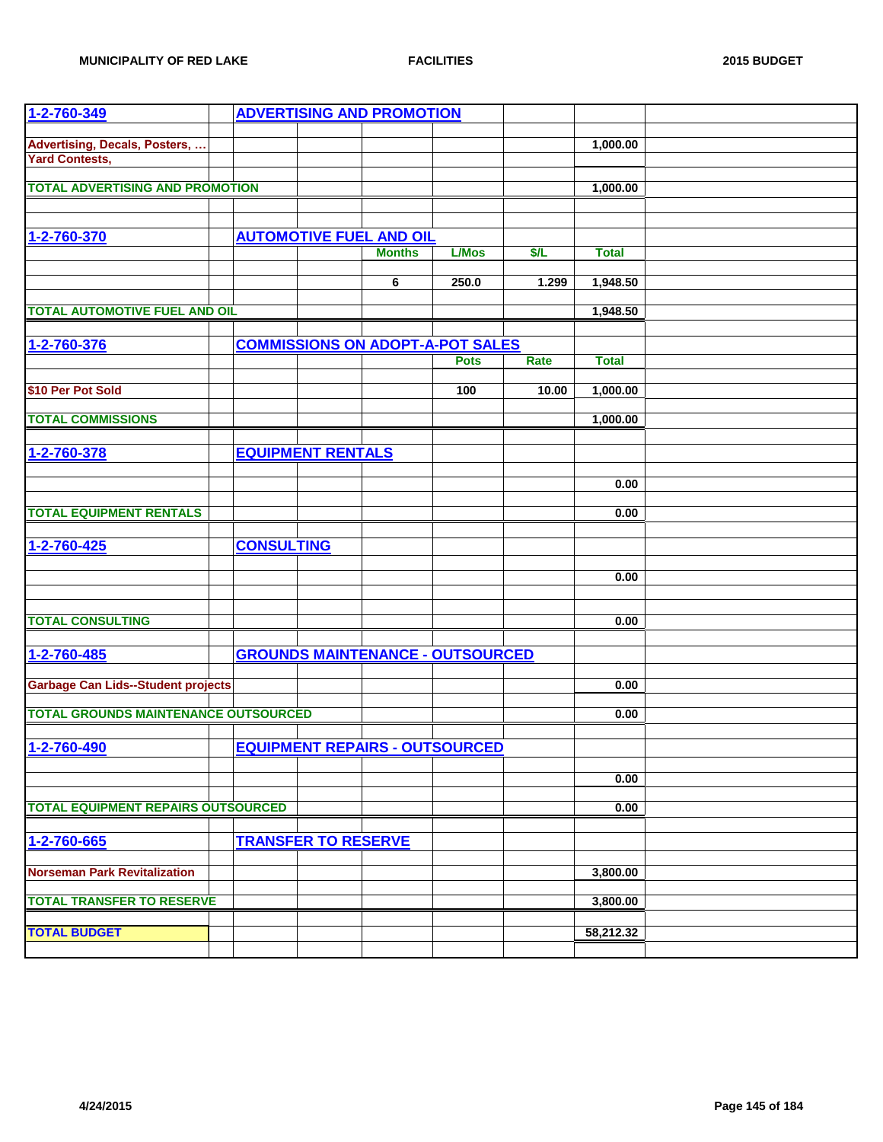| 1-2-760-349                                                    |                   |                            | <b>ADVERTISING AND PROMOTION</b>                |              |       |              |  |
|----------------------------------------------------------------|-------------------|----------------------------|-------------------------------------------------|--------------|-------|--------------|--|
| <b>Advertising, Decals, Posters, </b><br><b>Yard Contests,</b> |                   |                            |                                                 |              |       | 1,000.00     |  |
| <b>TOTAL ADVERTISING AND PROMOTION</b>                         |                   |                            |                                                 |              |       | 1,000.00     |  |
|                                                                |                   |                            |                                                 |              |       |              |  |
|                                                                |                   |                            |                                                 |              |       |              |  |
| 1-2-760-370                                                    |                   |                            | <b>AUTOMOTIVE FUEL AND OIL</b><br><b>Months</b> |              | \$/L  |              |  |
|                                                                |                   |                            |                                                 | <b>L/Mos</b> |       | <b>Total</b> |  |
|                                                                |                   |                            | 6                                               | 250.0        | 1.299 | 1,948.50     |  |
|                                                                |                   |                            |                                                 |              |       |              |  |
| <b>TOTAL AUTOMOTIVE FUEL AND OIL</b>                           |                   |                            |                                                 |              |       | 1,948.50     |  |
| 1-2-760-376                                                    |                   |                            | <b>COMMISSIONS ON ADOPT-A-POT SALES</b>         |              |       |              |  |
|                                                                |                   |                            |                                                 | <b>Pots</b>  | Rate  | <b>Total</b> |  |
|                                                                |                   |                            |                                                 |              |       |              |  |
| \$10 Per Pot Sold                                              |                   |                            |                                                 | 100          | 10.00 | 1,000.00     |  |
| <b>TOTAL COMMISSIONS</b>                                       |                   |                            |                                                 |              |       | 1,000.00     |  |
|                                                                |                   |                            |                                                 |              |       |              |  |
| 1-2-760-378                                                    |                   | <b>EQUIPMENT RENTALS</b>   |                                                 |              |       |              |  |
|                                                                |                   |                            |                                                 |              |       |              |  |
|                                                                |                   |                            |                                                 |              |       | 0.00         |  |
| <b>TOTAL EQUIPMENT RENTALS</b>                                 |                   |                            |                                                 |              |       | 0.00         |  |
|                                                                |                   |                            |                                                 |              |       |              |  |
| 1-2-760-425                                                    | <b>CONSULTING</b> |                            |                                                 |              |       |              |  |
|                                                                |                   |                            |                                                 |              |       |              |  |
|                                                                |                   |                            |                                                 |              |       | 0.00         |  |
|                                                                |                   |                            |                                                 |              |       |              |  |
| <b>TOTAL CONSULTING</b>                                        |                   |                            |                                                 |              |       | 0.00         |  |
|                                                                |                   |                            |                                                 |              |       |              |  |
| 1-2-760-485                                                    |                   |                            | <b>GROUNDS MAINTENANCE - OUTSOURCED</b>         |              |       |              |  |
| <b>Garbage Can Lids--Student projects</b>                      |                   |                            |                                                 |              |       | 0.00         |  |
|                                                                |                   |                            |                                                 |              |       |              |  |
| <b>TOTAL GROUNDS MAINTENANCE OUTSOURCED</b>                    |                   |                            |                                                 |              |       | 0.00         |  |
|                                                                |                   |                            |                                                 |              |       |              |  |
| 1-2-760-490                                                    |                   |                            | <b>EQUIPMENT REPAIRS - OUTSOURCED</b>           |              |       |              |  |
|                                                                |                   |                            |                                                 |              |       | 0.00         |  |
|                                                                |                   |                            |                                                 |              |       |              |  |
| <b>TOTAL EQUIPMENT REPAIRS OUTSOURCED</b>                      |                   |                            |                                                 |              |       | 0.00         |  |
|                                                                |                   |                            |                                                 |              |       |              |  |
| 1-2-760-665                                                    |                   | <b>TRANSFER TO RESERVE</b> |                                                 |              |       |              |  |
| <b>Norseman Park Revitalization</b>                            |                   |                            |                                                 |              |       | 3,800.00     |  |
|                                                                |                   |                            |                                                 |              |       |              |  |
| <b>TOTAL TRANSFER TO RESERVE</b>                               |                   |                            |                                                 |              |       | 3,800.00     |  |
|                                                                |                   |                            |                                                 |              |       |              |  |
| <b>TOTAL BUDGET</b>                                            |                   |                            |                                                 |              |       | 58,212.32    |  |
|                                                                |                   |                            |                                                 |              |       |              |  |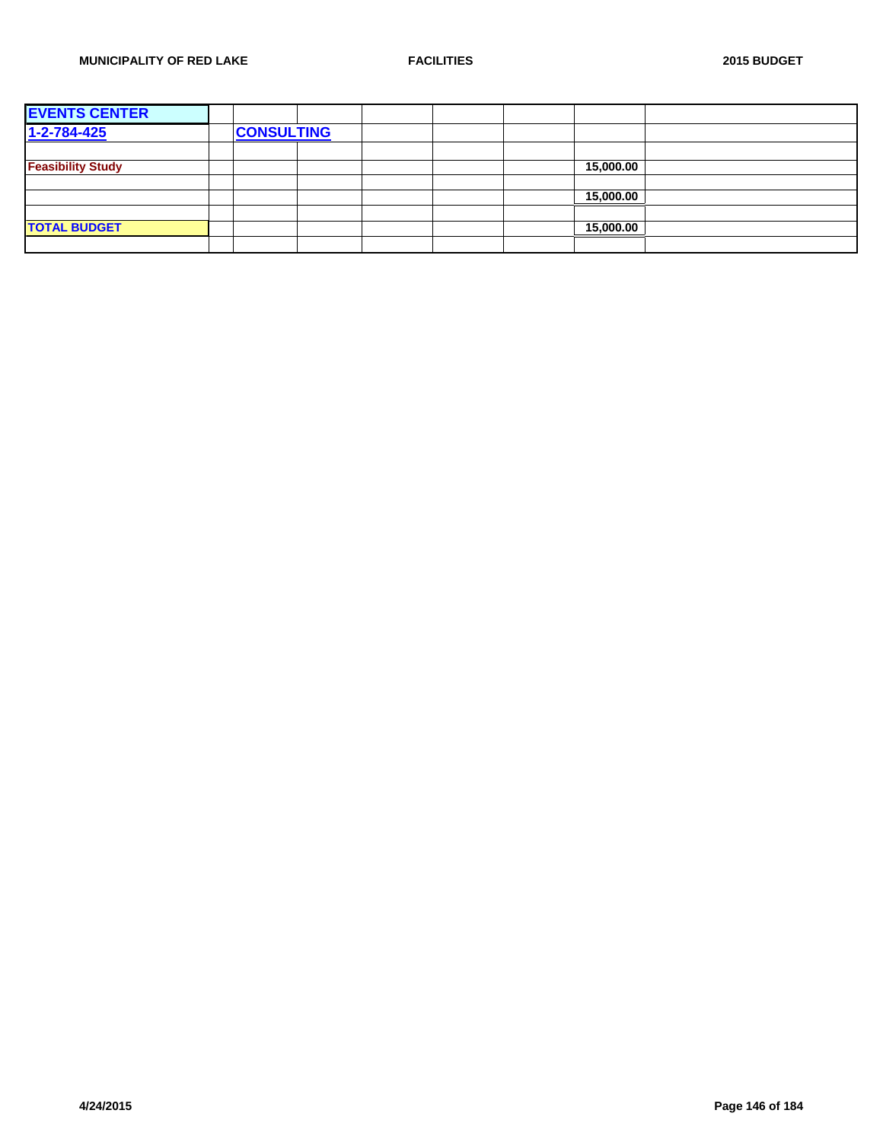| <b>EVENTS CENTER</b>     |                   |  |  |           |  |
|--------------------------|-------------------|--|--|-----------|--|
| $1 - 2 - 784 - 425$      | <b>CONSULTING</b> |  |  |           |  |
|                          |                   |  |  |           |  |
| <b>Feasibility Study</b> |                   |  |  | 15,000.00 |  |
|                          |                   |  |  |           |  |
|                          |                   |  |  | 15,000.00 |  |
|                          |                   |  |  |           |  |
| <b>TOTAL BUDGET</b>      |                   |  |  | 15,000.00 |  |
|                          |                   |  |  |           |  |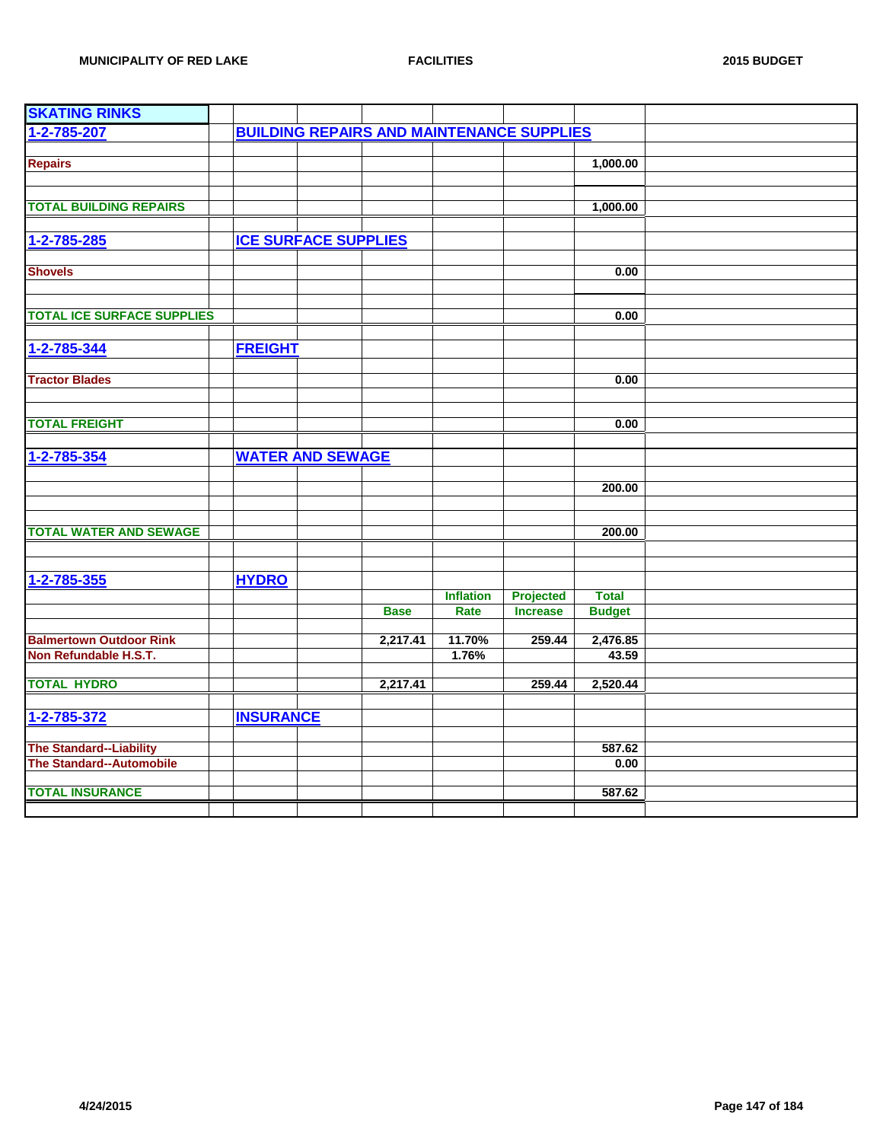| <b>SKATING RINKS</b>                                       |                  |                             |                                                  |                  |                 |                |  |
|------------------------------------------------------------|------------------|-----------------------------|--------------------------------------------------|------------------|-----------------|----------------|--|
| 1-2-785-207                                                |                  |                             | <b>BUILDING REPAIRS AND MAINTENANCE SUPPLIES</b> |                  |                 |                |  |
|                                                            |                  |                             |                                                  |                  |                 |                |  |
| <b>Repairs</b>                                             |                  |                             |                                                  |                  |                 | 1,000.00       |  |
|                                                            |                  |                             |                                                  |                  |                 |                |  |
|                                                            |                  |                             |                                                  |                  |                 |                |  |
| <b>TOTAL BUILDING REPAIRS</b>                              |                  |                             |                                                  |                  |                 | 1,000.00       |  |
|                                                            |                  |                             |                                                  |                  |                 |                |  |
| 1-2-785-285                                                |                  | <b>ICE SURFACE SUPPLIES</b> |                                                  |                  |                 |                |  |
| <b>Shovels</b>                                             |                  |                             |                                                  |                  |                 | 0.00           |  |
|                                                            |                  |                             |                                                  |                  |                 |                |  |
|                                                            |                  |                             |                                                  |                  |                 |                |  |
| <b>TOTAL ICE SURFACE SUPPLIES</b>                          |                  |                             |                                                  |                  |                 | 0.00           |  |
|                                                            |                  |                             |                                                  |                  |                 |                |  |
| 1-2-785-344                                                | <b>FREIGHT</b>   |                             |                                                  |                  |                 |                |  |
|                                                            |                  |                             |                                                  |                  |                 |                |  |
| <b>Tractor Blades</b>                                      |                  |                             |                                                  |                  |                 | 0.00           |  |
|                                                            |                  |                             |                                                  |                  |                 |                |  |
|                                                            |                  |                             |                                                  |                  |                 |                |  |
| <b>TOTAL FREIGHT</b>                                       |                  |                             |                                                  |                  |                 | 0.00           |  |
|                                                            |                  |                             |                                                  |                  |                 |                |  |
| 1-2-785-354                                                |                  | <b>WATER AND SEWAGE</b>     |                                                  |                  |                 |                |  |
|                                                            |                  |                             |                                                  |                  |                 |                |  |
|                                                            |                  |                             |                                                  |                  |                 | 200.00         |  |
|                                                            |                  |                             |                                                  |                  |                 |                |  |
| <b>TOTAL WATER AND SEWAGE</b>                              |                  |                             |                                                  |                  |                 | 200.00         |  |
|                                                            |                  |                             |                                                  |                  |                 |                |  |
|                                                            |                  |                             |                                                  |                  |                 |                |  |
| $1 - 2 - 785 - 355$                                        | <b>HYDRO</b>     |                             |                                                  |                  |                 |                |  |
|                                                            |                  |                             |                                                  | <b>Inflation</b> | Projected       | <b>Total</b>   |  |
|                                                            |                  |                             | <b>Base</b>                                      | Rate             | <b>Increase</b> | <b>Budget</b>  |  |
|                                                            |                  |                             |                                                  |                  |                 |                |  |
| <b>Balmertown Outdoor Rink</b>                             |                  |                             | 2,217.41                                         | 11.70%           | 259.44          | 2,476.85       |  |
| Non Refundable H.S.T.                                      |                  |                             |                                                  | 1.76%            |                 | 43.59          |  |
|                                                            |                  |                             |                                                  |                  |                 |                |  |
| <b>TOTAL HYDRO</b>                                         |                  |                             | 2,217.41                                         |                  | 259.44          | 2,520.44       |  |
|                                                            |                  |                             |                                                  |                  |                 |                |  |
| 1-2-785-372                                                | <b>INSURANCE</b> |                             |                                                  |                  |                 |                |  |
|                                                            |                  |                             |                                                  |                  |                 |                |  |
| <b>The Standard--Liability</b><br>The Standard--Automobile |                  |                             |                                                  |                  |                 | 587.62<br>0.00 |  |
|                                                            |                  |                             |                                                  |                  |                 |                |  |
| <b>TOTAL INSURANCE</b>                                     |                  |                             |                                                  |                  |                 | 587.62         |  |
|                                                            |                  |                             |                                                  |                  |                 |                |  |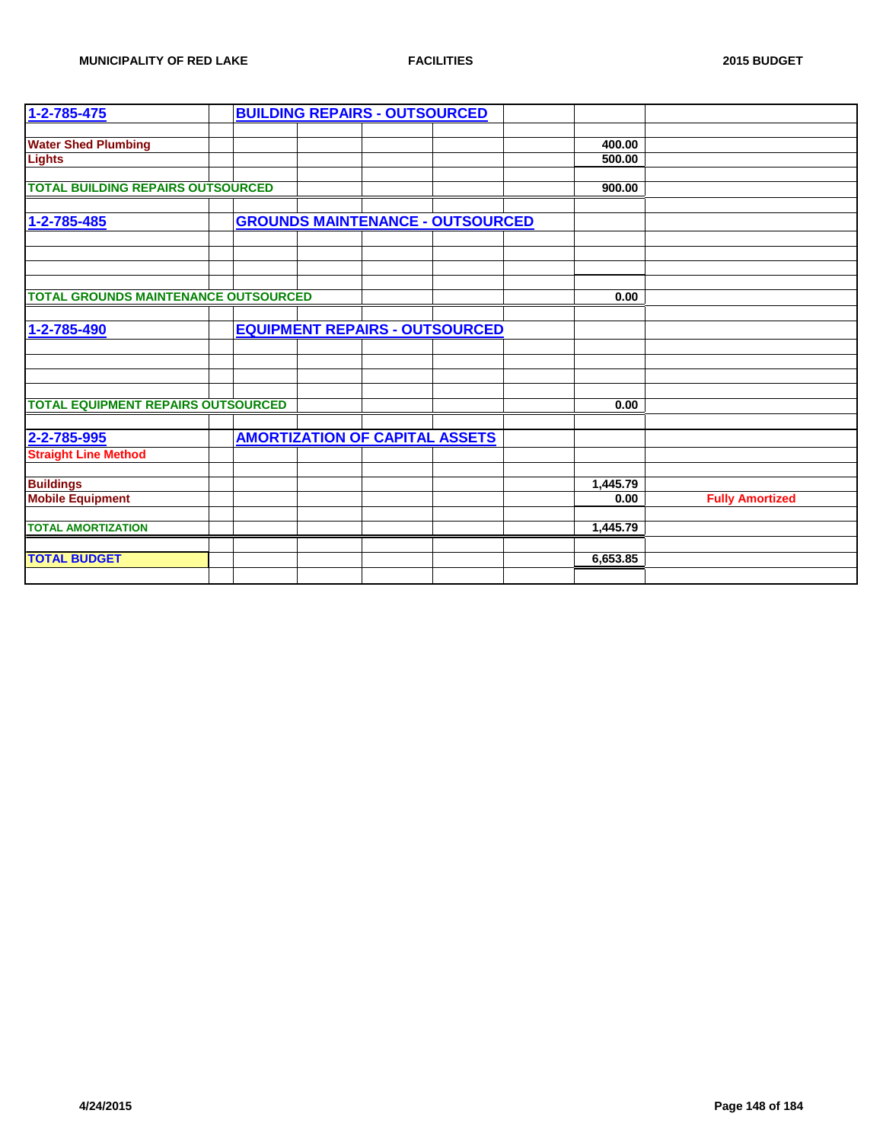| 1-2-785-475                                 |  | <b>BUILDING REPAIRS - OUTSOURCED</b>    |  |          |                        |
|---------------------------------------------|--|-----------------------------------------|--|----------|------------------------|
|                                             |  |                                         |  |          |                        |
| <b>Water Shed Plumbing</b>                  |  |                                         |  | 400.00   |                        |
| <b>Lights</b>                               |  |                                         |  | 500.00   |                        |
|                                             |  |                                         |  |          |                        |
| <b>TOTAL BUILDING REPAIRS OUTSOURCED</b>    |  |                                         |  | 900.00   |                        |
|                                             |  |                                         |  |          |                        |
| 1-2-785-485                                 |  | <b>GROUNDS MAINTENANCE - OUTSOURCED</b> |  |          |                        |
|                                             |  |                                         |  |          |                        |
|                                             |  |                                         |  |          |                        |
|                                             |  |                                         |  |          |                        |
|                                             |  |                                         |  |          |                        |
| <b>TOTAL GROUNDS MAINTENANCE OUTSOURCED</b> |  |                                         |  | 0.00     |                        |
|                                             |  |                                         |  |          |                        |
| 1-2-785-490                                 |  | <b>EQUIPMENT REPAIRS - OUTSOURCED</b>   |  |          |                        |
|                                             |  |                                         |  |          |                        |
|                                             |  |                                         |  |          |                        |
|                                             |  |                                         |  |          |                        |
|                                             |  |                                         |  |          |                        |
| <b>TOTAL EQUIPMENT REPAIRS OUTSOURCED</b>   |  |                                         |  | 0.00     |                        |
|                                             |  |                                         |  |          |                        |
| 2-2-785-995                                 |  | <b>AMORTIZATION OF CAPITAL ASSETS</b>   |  |          |                        |
| <b>Straight Line Method</b>                 |  |                                         |  |          |                        |
|                                             |  |                                         |  |          |                        |
| <b>Buildings</b>                            |  |                                         |  | 1,445.79 |                        |
| <b>Mobile Equipment</b>                     |  |                                         |  | 0.00     | <b>Fully Amortized</b> |
|                                             |  |                                         |  |          |                        |
| <b>TOTAL AMORTIZATION</b>                   |  |                                         |  | 1,445.79 |                        |
|                                             |  |                                         |  |          |                        |
| <b>TOTAL BUDGET</b>                         |  |                                         |  | 6,653.85 |                        |
|                                             |  |                                         |  |          |                        |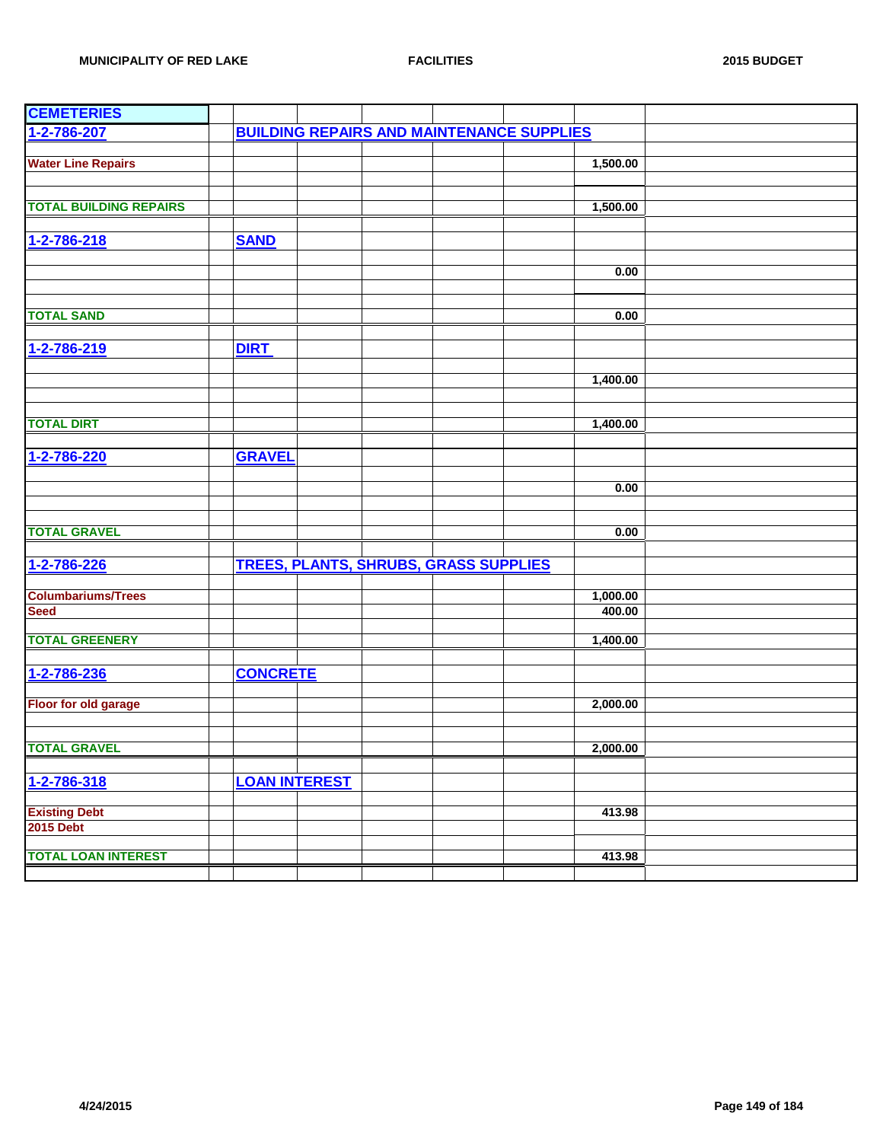| <b>CEMETERIES</b>             |                      |  |                                                  |          |  |
|-------------------------------|----------------------|--|--------------------------------------------------|----------|--|
| 1-2-786-207                   |                      |  | <b>BUILDING REPAIRS AND MAINTENANCE SUPPLIES</b> |          |  |
|                               |                      |  |                                                  |          |  |
| <b>Water Line Repairs</b>     |                      |  |                                                  | 1,500.00 |  |
|                               |                      |  |                                                  |          |  |
|                               |                      |  |                                                  |          |  |
| <b>TOTAL BUILDING REPAIRS</b> |                      |  |                                                  | 1,500.00 |  |
|                               |                      |  |                                                  |          |  |
| 1-2-786-218                   | <b>SAND</b>          |  |                                                  |          |  |
|                               |                      |  |                                                  |          |  |
|                               |                      |  |                                                  | 0.00     |  |
|                               |                      |  |                                                  |          |  |
| <b>TOTAL SAND</b>             |                      |  |                                                  |          |  |
|                               |                      |  |                                                  | 0.00     |  |
|                               |                      |  |                                                  |          |  |
| 1-2-786-219                   | <b>DIRT</b>          |  |                                                  |          |  |
|                               |                      |  |                                                  |          |  |
|                               |                      |  |                                                  | 1,400.00 |  |
|                               |                      |  |                                                  |          |  |
| <b>TOTAL DIRT</b>             |                      |  |                                                  | 1,400.00 |  |
|                               |                      |  |                                                  |          |  |
|                               |                      |  |                                                  |          |  |
| 1-2-786-220                   | <b>GRAVEL</b>        |  |                                                  |          |  |
|                               |                      |  |                                                  |          |  |
|                               |                      |  |                                                  | 0.00     |  |
|                               |                      |  |                                                  |          |  |
| <b>TOTAL GRAVEL</b>           |                      |  |                                                  | 0.00     |  |
|                               |                      |  |                                                  |          |  |
| 1-2-786-226                   |                      |  | <b>TREES, PLANTS, SHRUBS, GRASS SUPPLIES</b>     |          |  |
|                               |                      |  |                                                  |          |  |
| <b>Columbariums/Trees</b>     |                      |  |                                                  | 1,000.00 |  |
| <b>Seed</b>                   |                      |  |                                                  | 400.00   |  |
|                               |                      |  |                                                  |          |  |
| <b>TOTAL GREENERY</b>         |                      |  |                                                  | 1,400.00 |  |
|                               |                      |  |                                                  |          |  |
| 1-2-786-236                   | <b>CONCRETE</b>      |  |                                                  |          |  |
|                               |                      |  |                                                  |          |  |
| <b>Floor for old garage</b>   |                      |  |                                                  | 2,000.00 |  |
|                               |                      |  |                                                  |          |  |
|                               |                      |  |                                                  |          |  |
| <b>TOTAL GRAVEL</b>           |                      |  |                                                  | 2.000.00 |  |
|                               |                      |  |                                                  |          |  |
| 1-2-786-318                   | <b>LOAN INTEREST</b> |  |                                                  |          |  |
|                               |                      |  |                                                  |          |  |
| <b>Existing Debt</b>          |                      |  |                                                  | 413.98   |  |
| <b>2015 Debt</b>              |                      |  |                                                  |          |  |
|                               |                      |  |                                                  |          |  |
| <b>TOTAL LOAN INTEREST</b>    |                      |  |                                                  | 413.98   |  |
|                               |                      |  |                                                  |          |  |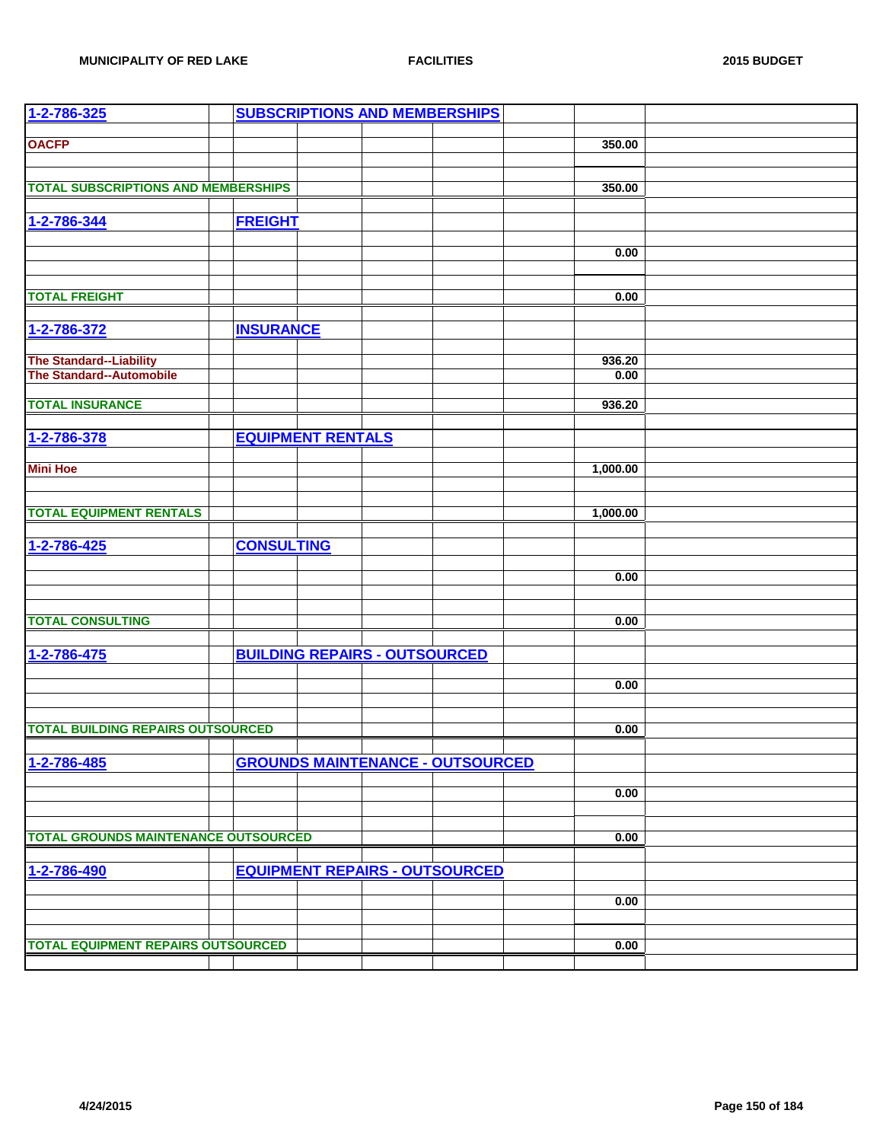| 1-2-786-325                                         |                          |                                      | <b>SUBSCRIPTIONS AND MEMBERSHIPS</b>    |          |  |
|-----------------------------------------------------|--------------------------|--------------------------------------|-----------------------------------------|----------|--|
|                                                     |                          |                                      |                                         |          |  |
| <b>OACFP</b>                                        |                          |                                      |                                         | 350.00   |  |
|                                                     |                          |                                      |                                         |          |  |
|                                                     |                          |                                      |                                         |          |  |
| <b>TOTAL SUBSCRIPTIONS AND MEMBERSHIPS</b>          |                          |                                      |                                         | 350.00   |  |
| 1-2-786-344                                         | <b>FREIGHT</b>           |                                      |                                         |          |  |
|                                                     |                          |                                      |                                         |          |  |
|                                                     |                          |                                      |                                         | 0.00     |  |
|                                                     |                          |                                      |                                         |          |  |
| <b>TOTAL FREIGHT</b>                                |                          |                                      |                                         | 0.00     |  |
|                                                     |                          |                                      |                                         |          |  |
| 1-2-786-372                                         | <b>INSURANCE</b>         |                                      |                                         |          |  |
|                                                     |                          |                                      |                                         | 936.20   |  |
| The Standard--Liability<br>The Standard--Automobile |                          |                                      |                                         | 0.00     |  |
|                                                     |                          |                                      |                                         |          |  |
| <b>TOTAL INSURANCE</b>                              |                          |                                      |                                         | 936.20   |  |
|                                                     |                          |                                      |                                         |          |  |
| 1-2-786-378                                         | <b>EQUIPMENT RENTALS</b> |                                      |                                         |          |  |
|                                                     |                          |                                      |                                         |          |  |
| <b>Mini Hoe</b>                                     |                          |                                      |                                         | 1,000.00 |  |
|                                                     |                          |                                      |                                         |          |  |
|                                                     |                          |                                      |                                         |          |  |
| <b>TOTAL EQUIPMENT RENTALS</b>                      |                          |                                      |                                         | 1,000.00 |  |
|                                                     |                          |                                      |                                         |          |  |
| 1-2-786-425                                         | <b>CONSULTING</b>        |                                      |                                         |          |  |
|                                                     |                          |                                      |                                         |          |  |
|                                                     |                          |                                      |                                         | 0.00     |  |
|                                                     |                          |                                      |                                         |          |  |
| <b>TOTAL CONSULTING</b>                             |                          |                                      |                                         | 0.00     |  |
|                                                     |                          |                                      |                                         |          |  |
| 1-2-786-475                                         |                          | <b>BUILDING REPAIRS - OUTSOURCED</b> |                                         |          |  |
|                                                     |                          |                                      |                                         |          |  |
|                                                     |                          |                                      |                                         | 0.00     |  |
|                                                     |                          |                                      |                                         |          |  |
| <b>TOTAL BUILDING REPAIRS OUTSOURCED</b>            |                          |                                      |                                         | 0.00     |  |
|                                                     |                          |                                      |                                         |          |  |
| 1-2-786-485                                         |                          |                                      | <b>GROUNDS MAINTENANCE - OUTSOURCED</b> |          |  |
|                                                     |                          |                                      |                                         |          |  |
|                                                     |                          |                                      |                                         | 0.00     |  |
|                                                     |                          |                                      |                                         |          |  |
|                                                     |                          |                                      |                                         |          |  |
| <b>TOTAL GROUNDS MAINTENANCE OUTSOURCED</b>         |                          |                                      |                                         | 0.00     |  |
|                                                     |                          |                                      |                                         |          |  |
| 1-2-786-490                                         |                          |                                      | <b>EQUIPMENT REPAIRS - OUTSOURCED</b>   |          |  |
|                                                     |                          |                                      |                                         | 0.00     |  |
|                                                     |                          |                                      |                                         |          |  |
|                                                     |                          |                                      |                                         |          |  |
| <b>TOTAL EQUIPMENT REPAIRS OUTSOURCED</b>           |                          |                                      |                                         | 0.00     |  |
|                                                     |                          |                                      |                                         |          |  |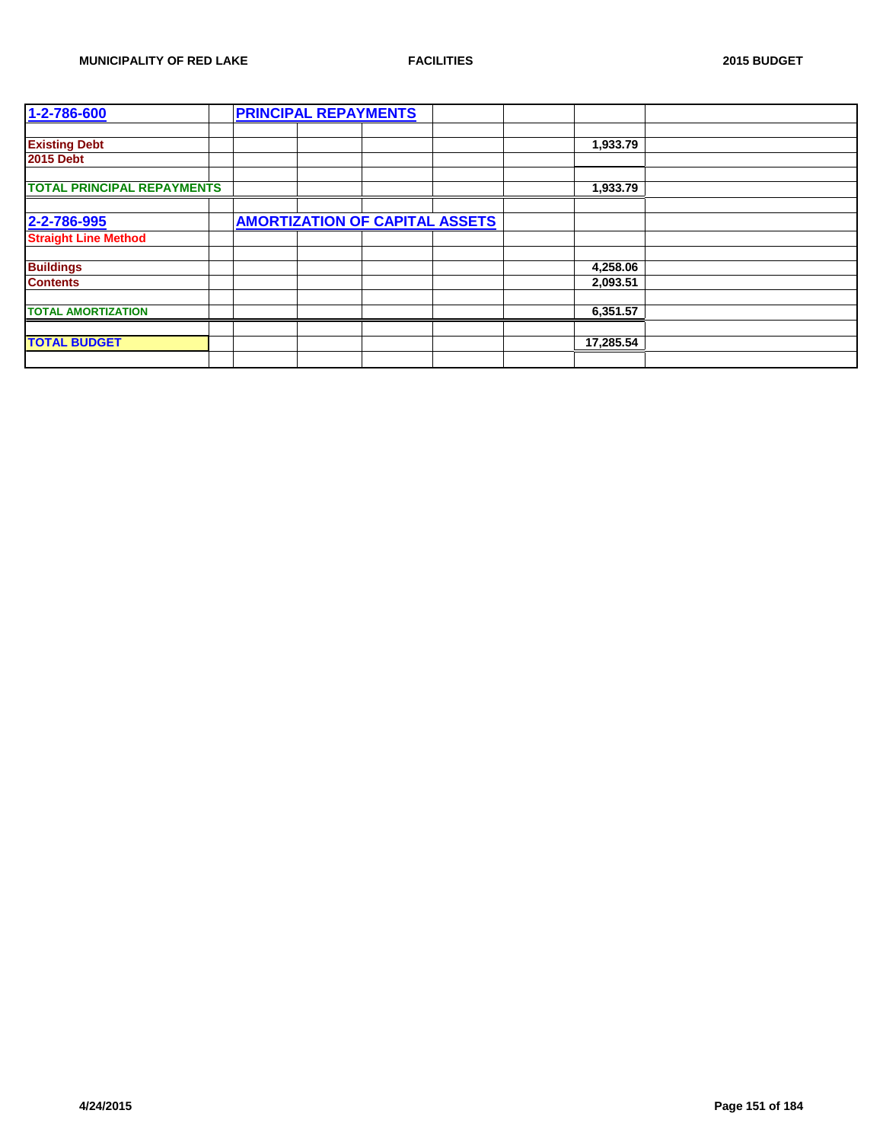| 1-2-786-600                       |  | <b>PRINCIPAL REPAYMENTS</b> |                                       |  |           |  |
|-----------------------------------|--|-----------------------------|---------------------------------------|--|-----------|--|
|                                   |  |                             |                                       |  |           |  |
| <b>Existing Debt</b>              |  |                             |                                       |  | 1,933.79  |  |
| <b>2015 Debt</b>                  |  |                             |                                       |  |           |  |
|                                   |  |                             |                                       |  |           |  |
| <b>TOTAL PRINCIPAL REPAYMENTS</b> |  |                             |                                       |  | 1,933.79  |  |
|                                   |  |                             |                                       |  |           |  |
| 2-2-786-995                       |  |                             | <b>AMORTIZATION OF CAPITAL ASSETS</b> |  |           |  |
| <b>Straight Line Method</b>       |  |                             |                                       |  |           |  |
|                                   |  |                             |                                       |  |           |  |
| <b>Buildings</b>                  |  |                             |                                       |  | 4,258.06  |  |
| <b>Contents</b>                   |  |                             |                                       |  | 2,093.51  |  |
|                                   |  |                             |                                       |  |           |  |
| <b>TOTAL AMORTIZATION</b>         |  |                             |                                       |  | 6,351.57  |  |
|                                   |  |                             |                                       |  |           |  |
| <b>TOTAL BUDGET</b>               |  |                             |                                       |  | 17,285.54 |  |
|                                   |  |                             |                                       |  |           |  |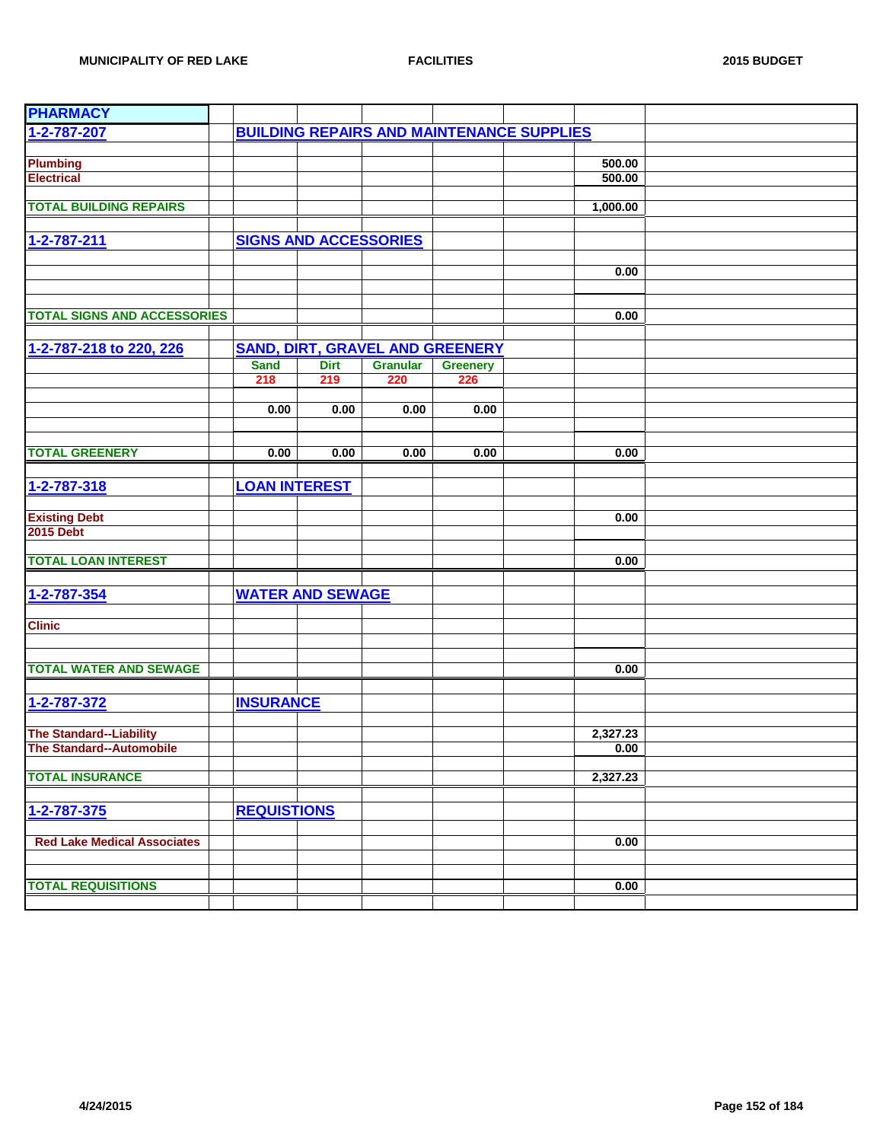| <b>PHARMACY</b>                    |                              |             |                                        |                 |                                                  |          |  |
|------------------------------------|------------------------------|-------------|----------------------------------------|-----------------|--------------------------------------------------|----------|--|
| 1-2-787-207                        |                              |             |                                        |                 | <b>BUILDING REPAIRS AND MAINTENANCE SUPPLIES</b> |          |  |
|                                    |                              |             |                                        |                 |                                                  |          |  |
| <b>Plumbing</b>                    |                              |             |                                        |                 |                                                  | 500.00   |  |
| <b>Electrical</b>                  |                              |             |                                        |                 |                                                  | 500.00   |  |
|                                    |                              |             |                                        |                 |                                                  |          |  |
| <b>TOTAL BUILDING REPAIRS</b>      |                              |             |                                        |                 |                                                  | 1,000.00 |  |
|                                    |                              |             |                                        |                 |                                                  |          |  |
| 1-2-787-211                        | <b>SIGNS AND ACCESSORIES</b> |             |                                        |                 |                                                  |          |  |
|                                    |                              |             |                                        |                 |                                                  |          |  |
|                                    |                              |             |                                        |                 |                                                  | 0.00     |  |
|                                    |                              |             |                                        |                 |                                                  |          |  |
|                                    |                              |             |                                        |                 |                                                  |          |  |
| <b>TOTAL SIGNS AND ACCESSORIES</b> |                              |             |                                        |                 |                                                  | 0.00     |  |
|                                    |                              |             |                                        |                 |                                                  |          |  |
| 1-2-787-218 to 220, 226            |                              |             | <b>SAND, DIRT, GRAVEL AND GREENERY</b> |                 |                                                  |          |  |
|                                    | <b>Sand</b>                  | <b>Dirt</b> | <b>Granular</b>                        | <b>Greenery</b> |                                                  |          |  |
|                                    | 218                          | 219         | 220                                    | 226             |                                                  |          |  |
|                                    |                              |             |                                        |                 |                                                  |          |  |
|                                    | 0.00                         | 0.00        | 0.00                                   | 0.00            |                                                  |          |  |
|                                    |                              |             |                                        |                 |                                                  |          |  |
|                                    |                              |             |                                        |                 |                                                  |          |  |
| <b>TOTAL GREENERY</b>              | 0.00                         | 0.00        | 0.00                                   | 0.00            |                                                  | 0.00     |  |
|                                    |                              |             |                                        |                 |                                                  |          |  |
| 1-2-787-318                        | <b>LOAN INTEREST</b>         |             |                                        |                 |                                                  |          |  |
|                                    |                              |             |                                        |                 |                                                  |          |  |
| <b>Existing Debt</b>               |                              |             |                                        |                 |                                                  | 0.00     |  |
| <b>2015 Debt</b>                   |                              |             |                                        |                 |                                                  |          |  |
|                                    |                              |             |                                        |                 |                                                  |          |  |
| <b>TOTAL LOAN INTEREST</b>         |                              |             |                                        |                 |                                                  | 0.00     |  |
|                                    |                              |             |                                        |                 |                                                  |          |  |
| 1-2-787-354                        | <b>WATER AND SEWAGE</b>      |             |                                        |                 |                                                  |          |  |
|                                    |                              |             |                                        |                 |                                                  |          |  |
| <b>Clinic</b>                      |                              |             |                                        |                 |                                                  |          |  |
|                                    |                              |             |                                        |                 |                                                  |          |  |
|                                    |                              |             |                                        |                 |                                                  |          |  |
| <b>TOTAL WATER AND SEWAGE</b>      |                              |             |                                        |                 |                                                  | 0.00     |  |
|                                    |                              |             |                                        |                 |                                                  |          |  |
|                                    |                              |             |                                        |                 |                                                  |          |  |
| 1-2-787-372                        | <b>INSURANCE</b>             |             |                                        |                 |                                                  |          |  |
|                                    |                              |             |                                        |                 |                                                  |          |  |
| <b>The Standard--Liability</b>     |                              |             |                                        |                 |                                                  | 2,327.23 |  |
| <b>The Standard--Automobile</b>    |                              |             |                                        |                 |                                                  | 0.00     |  |
| <b>TOTAL INSURANCE</b>             |                              |             |                                        |                 |                                                  |          |  |
|                                    |                              |             |                                        |                 |                                                  | 2,327.23 |  |
|                                    |                              |             |                                        |                 |                                                  |          |  |
| 1-2-787-375                        | <b>REQUISTIONS</b>           |             |                                        |                 |                                                  |          |  |
|                                    |                              |             |                                        |                 |                                                  |          |  |
| <b>Red Lake Medical Associates</b> |                              |             |                                        |                 |                                                  | 0.00     |  |
|                                    |                              |             |                                        |                 |                                                  |          |  |
|                                    |                              |             |                                        |                 |                                                  |          |  |
| <b>TOTAL REQUISITIONS</b>          |                              |             |                                        |                 |                                                  | 0.00     |  |
|                                    |                              |             |                                        |                 |                                                  |          |  |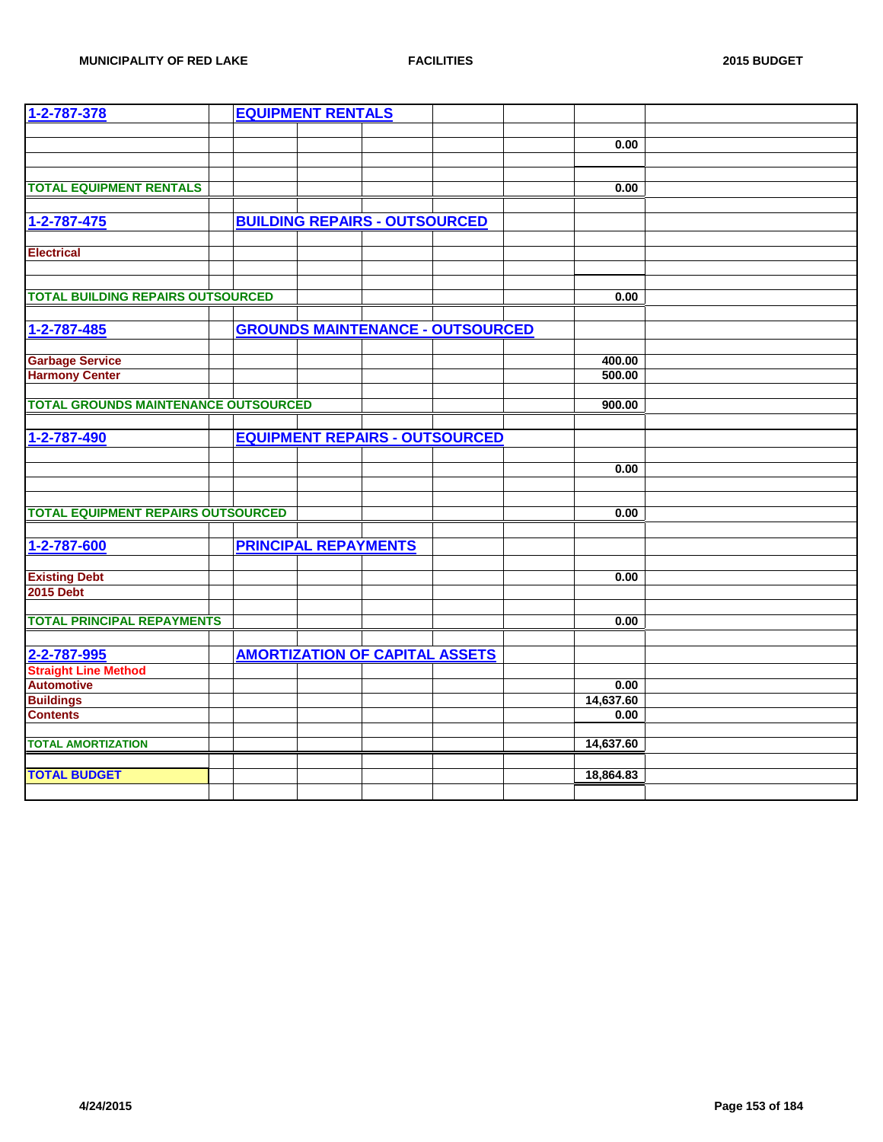| 1-2-787-378                                 | <b>EQUIPMENT RENTALS</b>                |           |  |
|---------------------------------------------|-----------------------------------------|-----------|--|
|                                             |                                         |           |  |
|                                             |                                         | 0.00      |  |
|                                             |                                         |           |  |
|                                             |                                         |           |  |
| <b>TOTAL EQUIPMENT RENTALS</b>              |                                         | 0.00      |  |
|                                             |                                         |           |  |
| 1-2-787-475                                 | <b>BUILDING REPAIRS - OUTSOURCED</b>    |           |  |
|                                             |                                         |           |  |
| <b>Electrical</b>                           |                                         |           |  |
|                                             |                                         |           |  |
|                                             |                                         |           |  |
| <b>TOTAL BUILDING REPAIRS OUTSOURCED</b>    |                                         | 0.00      |  |
|                                             |                                         |           |  |
| 1-2-787-485                                 | <b>GROUNDS MAINTENANCE - OUTSOURCED</b> |           |  |
|                                             |                                         |           |  |
| <b>Garbage Service</b>                      |                                         | 400.00    |  |
| <b>Harmony Center</b>                       |                                         | 500.00    |  |
|                                             |                                         |           |  |
| <b>TOTAL GROUNDS MAINTENANCE OUTSOURCED</b> |                                         | 900.00    |  |
|                                             |                                         |           |  |
| 1-2-787-490                                 | <b>EQUIPMENT REPAIRS - OUTSOURCED</b>   |           |  |
|                                             |                                         |           |  |
|                                             |                                         | 0.00      |  |
|                                             |                                         |           |  |
|                                             |                                         |           |  |
| <b>TOTAL EQUIPMENT REPAIRS OUTSOURCED</b>   |                                         | 0.00      |  |
|                                             |                                         |           |  |
| 1-2-787-600                                 | <b>PRINCIPAL REPAYMENTS</b>             |           |  |
|                                             |                                         |           |  |
| <b>Existing Debt</b>                        |                                         | 0.00      |  |
| <b>2015 Debt</b>                            |                                         |           |  |
|                                             |                                         |           |  |
| <b>TOTAL PRINCIPAL REPAYMENTS</b>           |                                         | 0.00      |  |
|                                             |                                         |           |  |
|                                             | <b>AMORTIZATION OF CAPITAL ASSETS</b>   |           |  |
| 2-2-787-995<br>Straight Line Method         |                                         |           |  |
| <b>Automotive</b>                           |                                         | 0.00      |  |
| <b>Buildings</b>                            |                                         | 14,637.60 |  |
| <b>Contents</b>                             |                                         | 0.00      |  |
|                                             |                                         |           |  |
| <b>TOTAL AMORTIZATION</b>                   |                                         | 14,637.60 |  |
|                                             |                                         |           |  |
| <b>TOTAL BUDGET</b>                         |                                         | 18,864.83 |  |
|                                             |                                         |           |  |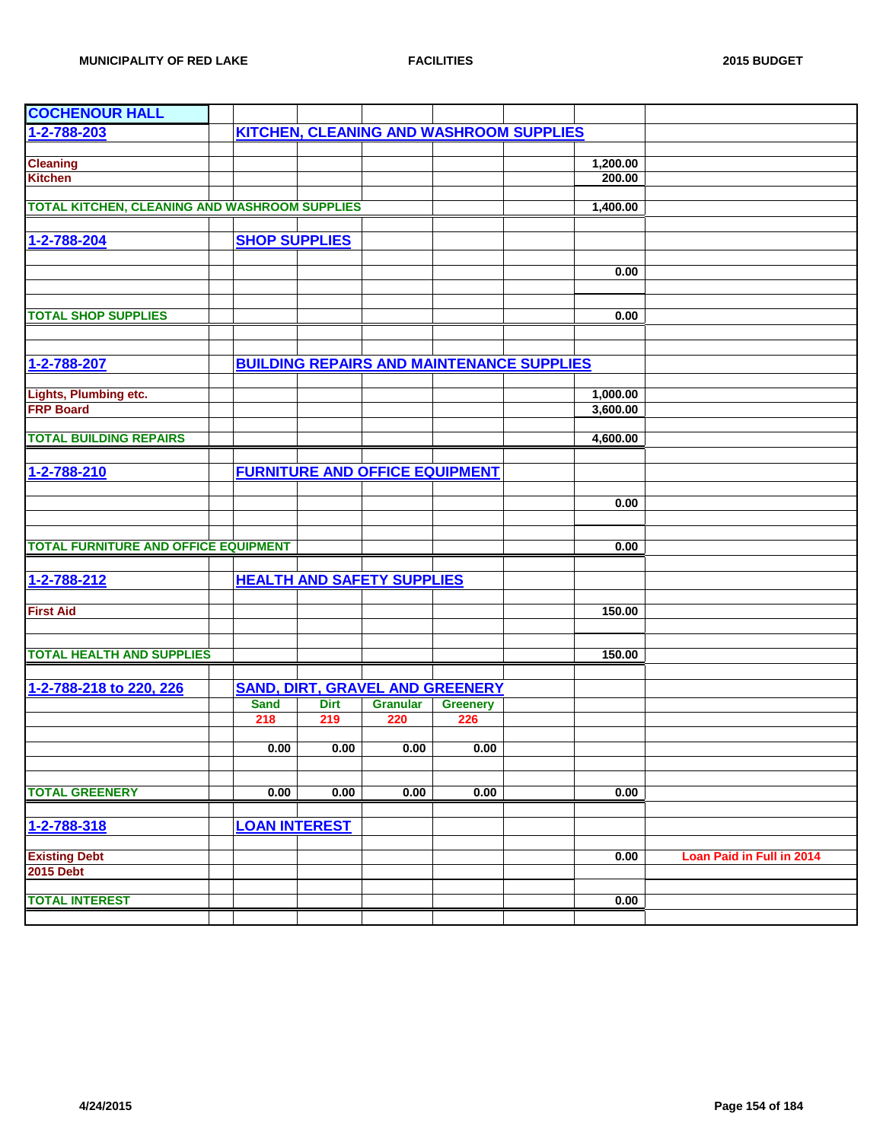| <b>COCHENOUR HALL</b>                                |                      |             |                                        |                 |                                                  |          |                                  |
|------------------------------------------------------|----------------------|-------------|----------------------------------------|-----------------|--------------------------------------------------|----------|----------------------------------|
| 1-2-788-203                                          |                      |             |                                        |                 | <b>KITCHEN, CLEANING AND WASHROOM SUPPLIES</b>   |          |                                  |
|                                                      |                      |             |                                        |                 |                                                  |          |                                  |
| <b>Cleaning</b>                                      |                      |             |                                        |                 |                                                  | 1,200.00 |                                  |
| <b>Kitchen</b>                                       |                      |             |                                        |                 |                                                  | 200.00   |                                  |
|                                                      |                      |             |                                        |                 |                                                  |          |                                  |
| <b>TOTAL KITCHEN, CLEANING AND WASHROOM SUPPLIES</b> |                      |             |                                        |                 |                                                  | 1,400.00 |                                  |
|                                                      |                      |             |                                        |                 |                                                  |          |                                  |
| 1-2-788-204                                          | <b>SHOP SUPPLIES</b> |             |                                        |                 |                                                  |          |                                  |
|                                                      |                      |             |                                        |                 |                                                  |          |                                  |
|                                                      |                      |             |                                        |                 |                                                  | 0.00     |                                  |
|                                                      |                      |             |                                        |                 |                                                  |          |                                  |
|                                                      |                      |             |                                        |                 |                                                  |          |                                  |
| <b>TOTAL SHOP SUPPLIES</b>                           |                      |             |                                        |                 |                                                  | 0.00     |                                  |
|                                                      |                      |             |                                        |                 |                                                  |          |                                  |
|                                                      |                      |             |                                        |                 |                                                  |          |                                  |
| 1-2-788-207                                          |                      |             |                                        |                 | <b>BUILDING REPAIRS AND MAINTENANCE SUPPLIES</b> |          |                                  |
|                                                      |                      |             |                                        |                 |                                                  |          |                                  |
| Lights, Plumbing etc.                                |                      |             |                                        |                 |                                                  | 1,000.00 |                                  |
| <b>FRP Board</b>                                     |                      |             |                                        |                 |                                                  | 3,600.00 |                                  |
|                                                      |                      |             |                                        |                 |                                                  |          |                                  |
| <b>TOTAL BUILDING REPAIRS</b>                        |                      |             |                                        |                 |                                                  | 4,600.00 |                                  |
|                                                      |                      |             |                                        |                 |                                                  |          |                                  |
| 1-2-788-210                                          |                      |             | <b>FURNITURE AND OFFICE EQUIPMENT</b>  |                 |                                                  |          |                                  |
|                                                      |                      |             |                                        |                 |                                                  |          |                                  |
|                                                      |                      |             |                                        |                 |                                                  | 0.00     |                                  |
|                                                      |                      |             |                                        |                 |                                                  |          |                                  |
|                                                      |                      |             |                                        |                 |                                                  |          |                                  |
| <b>TOTAL FURNITURE AND OFFICE EQUIPMENT</b>          |                      |             |                                        |                 |                                                  | 0.00     |                                  |
|                                                      |                      |             |                                        |                 |                                                  |          |                                  |
| 1-2-788-212                                          |                      |             | <b>HEALTH AND SAFETY SUPPLIES</b>      |                 |                                                  |          |                                  |
|                                                      |                      |             |                                        |                 |                                                  |          |                                  |
| <b>First Aid</b>                                     |                      |             |                                        |                 |                                                  | 150.00   |                                  |
|                                                      |                      |             |                                        |                 |                                                  |          |                                  |
|                                                      |                      |             |                                        |                 |                                                  |          |                                  |
| <b>TOTAL HEALTH AND SUPPLIES</b>                     |                      |             |                                        |                 |                                                  | 150.00   |                                  |
|                                                      |                      |             |                                        |                 |                                                  |          |                                  |
| 1-2-788-218 to 220, 226                              |                      |             | <b>SAND, DIRT, GRAVEL AND GREENERY</b> |                 |                                                  |          |                                  |
|                                                      | <b>Sand</b>          | <b>Dirt</b> | <b>Granular</b>                        | <b>Greenery</b> |                                                  |          |                                  |
|                                                      | 218                  | 219         | 220                                    | 226             |                                                  |          |                                  |
|                                                      |                      |             |                                        |                 |                                                  |          |                                  |
|                                                      | 0.00                 | 0.00        | 0.00                                   | 0.00            |                                                  |          |                                  |
|                                                      |                      |             |                                        |                 |                                                  |          |                                  |
|                                                      |                      |             |                                        |                 |                                                  |          |                                  |
| <b>TOTAL GREENERY</b>                                | 0.00                 | 0.00        | 0.00                                   | 0.00            |                                                  | 0.00     |                                  |
|                                                      |                      |             |                                        |                 |                                                  |          |                                  |
| 1-2-788-318                                          | <b>LOAN INTEREST</b> |             |                                        |                 |                                                  |          |                                  |
|                                                      |                      |             |                                        |                 |                                                  |          |                                  |
| <b>Existing Debt</b>                                 |                      |             |                                        |                 |                                                  | 0.00     | <b>Loan Paid in Full in 2014</b> |
| <b>2015 Debt</b>                                     |                      |             |                                        |                 |                                                  |          |                                  |
|                                                      |                      |             |                                        |                 |                                                  |          |                                  |
| <b>TOTAL INTEREST</b>                                |                      |             |                                        |                 |                                                  | 0.00     |                                  |
|                                                      |                      |             |                                        |                 |                                                  |          |                                  |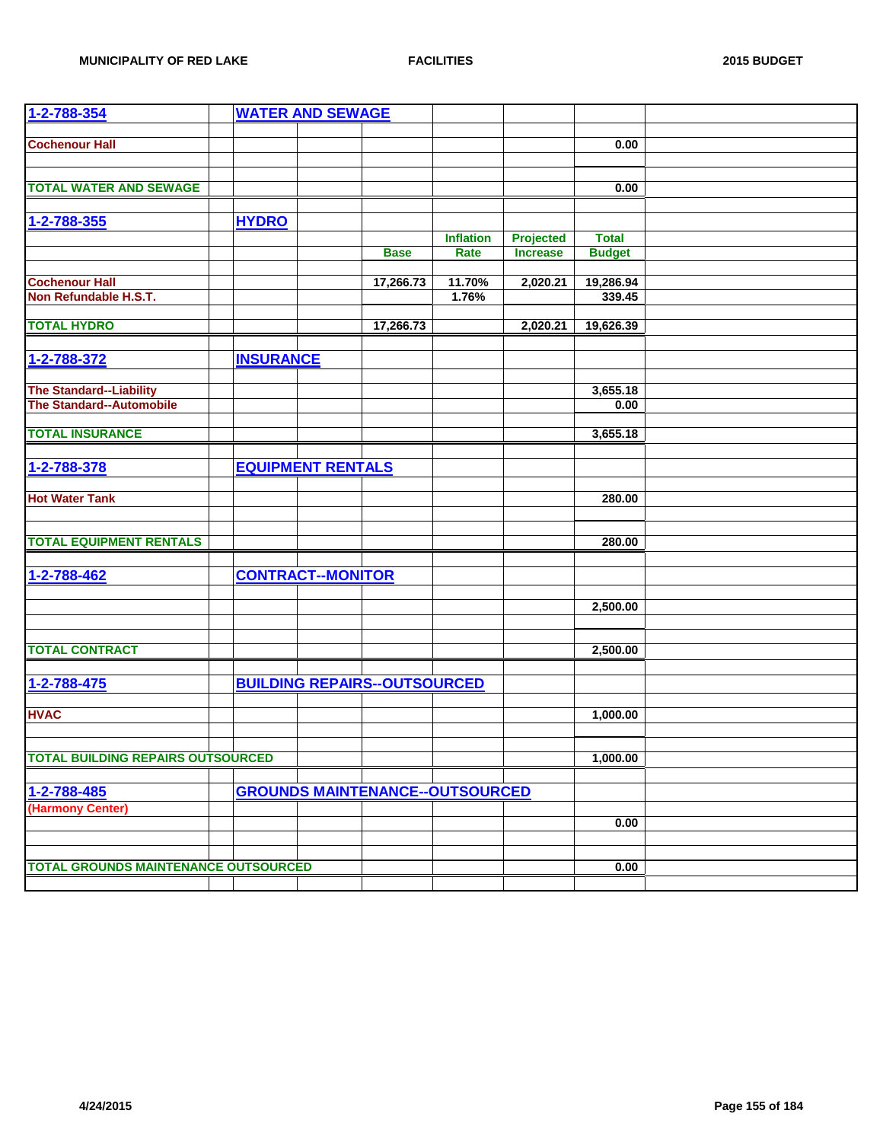| 1-2-788-354                                 |                  | <b>WATER AND SEWAGE</b>  |                                        |                  |                  |               |  |
|---------------------------------------------|------------------|--------------------------|----------------------------------------|------------------|------------------|---------------|--|
|                                             |                  |                          |                                        |                  |                  |               |  |
| <b>Cochenour Hall</b>                       |                  |                          |                                        |                  |                  | 0.00          |  |
|                                             |                  |                          |                                        |                  |                  |               |  |
| <b>TOTAL WATER AND SEWAGE</b>               |                  |                          |                                        |                  |                  | 0.00          |  |
|                                             |                  |                          |                                        |                  |                  |               |  |
|                                             |                  |                          |                                        |                  |                  |               |  |
| 1-2-788-355                                 | <b>HYDRO</b>     |                          |                                        |                  |                  |               |  |
|                                             |                  |                          | <b>Base</b>                            | <b>Inflation</b> | <b>Projected</b> | <b>Total</b>  |  |
|                                             |                  |                          |                                        | Rate             | <b>Increase</b>  | <b>Budget</b> |  |
| <b>Cochenour Hall</b>                       |                  |                          | 17,266.73                              | 11.70%           | 2,020.21         | 19,286.94     |  |
| Non Refundable H.S.T.                       |                  |                          |                                        | 1.76%            |                  | 339.45        |  |
|                                             |                  |                          |                                        |                  |                  |               |  |
| <b>TOTAL HYDRO</b>                          |                  |                          | 17,266.73                              |                  | 2,020.21         | 19,626.39     |  |
|                                             |                  |                          |                                        |                  |                  |               |  |
| 1-2-788-372                                 | <b>INSURANCE</b> |                          |                                        |                  |                  |               |  |
|                                             |                  |                          |                                        |                  |                  |               |  |
| <b>The Standard--Liability</b>              |                  |                          |                                        |                  |                  | 3,655.18      |  |
| <b>The Standard--Automobile</b>             |                  |                          |                                        |                  |                  | 0.00          |  |
|                                             |                  |                          |                                        |                  |                  |               |  |
| <b>TOTAL INSURANCE</b>                      |                  |                          |                                        |                  |                  | 3,655.18      |  |
|                                             |                  |                          |                                        |                  |                  |               |  |
| 1-2-788-378                                 |                  | <b>EQUIPMENT RENTALS</b> |                                        |                  |                  |               |  |
|                                             |                  |                          |                                        |                  |                  |               |  |
| <b>Hot Water Tank</b>                       |                  |                          |                                        |                  |                  | 280.00        |  |
|                                             |                  |                          |                                        |                  |                  |               |  |
| <b>TOTAL EQUIPMENT RENTALS</b>              |                  |                          |                                        |                  |                  | 280.00        |  |
|                                             |                  |                          |                                        |                  |                  |               |  |
| 1-2-788-462                                 |                  | <b>CONTRACT--MONITOR</b> |                                        |                  |                  |               |  |
|                                             |                  |                          |                                        |                  |                  |               |  |
|                                             |                  |                          |                                        |                  |                  | 2,500.00      |  |
|                                             |                  |                          |                                        |                  |                  |               |  |
|                                             |                  |                          |                                        |                  |                  |               |  |
| <b>TOTAL CONTRACT</b>                       |                  |                          |                                        |                  |                  | 2,500.00      |  |
|                                             |                  |                          |                                        |                  |                  |               |  |
| 1-2-788-475                                 |                  |                          | <b>BUILDING REPAIRS--OUTSOURCED</b>    |                  |                  |               |  |
|                                             |                  |                          |                                        |                  |                  |               |  |
| <b>HVAC</b>                                 |                  |                          |                                        |                  |                  | 1,000.00      |  |
|                                             |                  |                          |                                        |                  |                  |               |  |
|                                             |                  |                          |                                        |                  |                  |               |  |
| <b>TOTAL BUILDING REPAIRS OUTSOURCED</b>    |                  |                          |                                        |                  |                  | 1,000.00      |  |
|                                             |                  |                          |                                        |                  |                  |               |  |
| 1-2-788-485                                 |                  |                          | <b>GROUNDS MAINTENANCE--OUTSOURCED</b> |                  |                  |               |  |
| (Harmony Center)                            |                  |                          |                                        |                  |                  |               |  |
|                                             |                  |                          |                                        |                  |                  | 0.00          |  |
|                                             |                  |                          |                                        |                  |                  |               |  |
| <b>TOTAL GROUNDS MAINTENANCE OUTSOURCED</b> |                  |                          |                                        |                  |                  |               |  |
|                                             |                  |                          |                                        |                  |                  | 0.00          |  |
|                                             |                  |                          |                                        |                  |                  |               |  |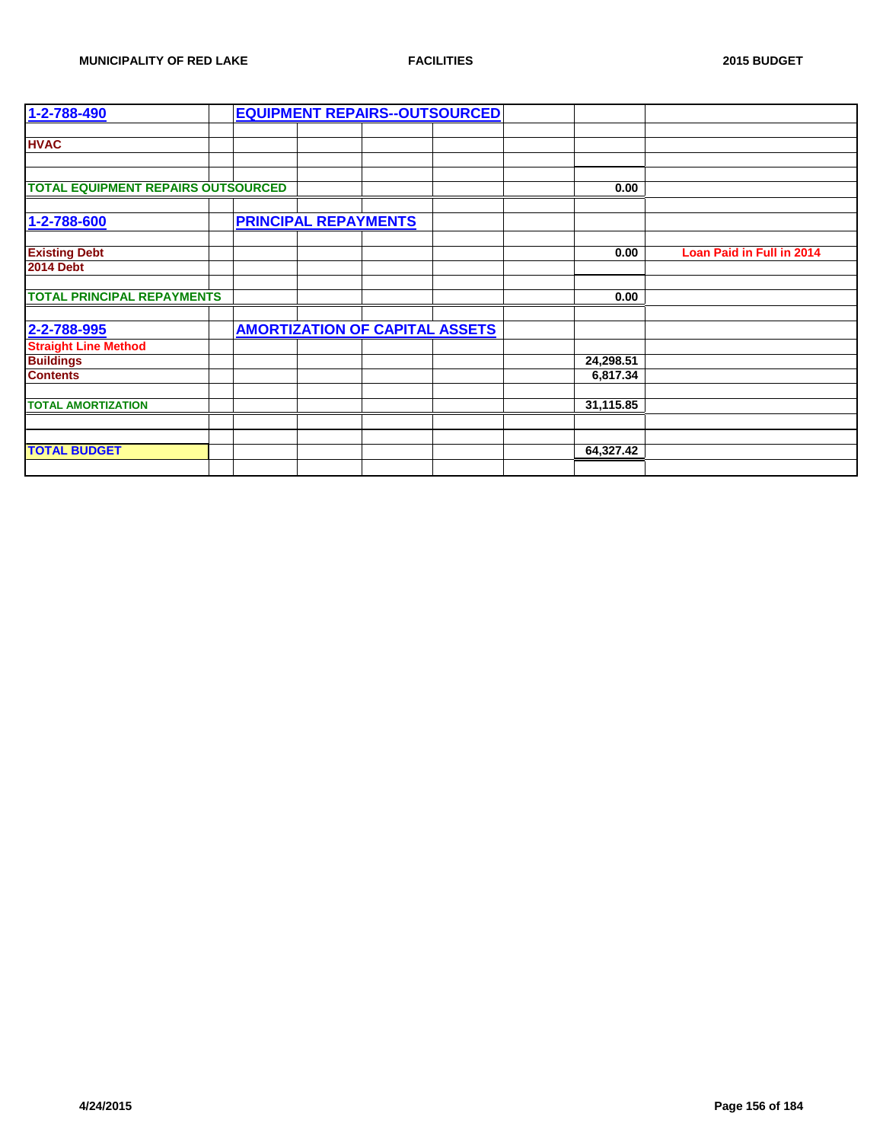| $1 - 2 - 788 - 490$                       |                             |                                       | <b>EQUIPMENT REPAIRS--OUTSOURCED</b> |           |                           |
|-------------------------------------------|-----------------------------|---------------------------------------|--------------------------------------|-----------|---------------------------|
|                                           |                             |                                       |                                      |           |                           |
| <b>HVAC</b>                               |                             |                                       |                                      |           |                           |
|                                           |                             |                                       |                                      |           |                           |
|                                           |                             |                                       |                                      |           |                           |
| <b>TOTAL EQUIPMENT REPAIRS OUTSOURCED</b> |                             |                                       |                                      | 0.00      |                           |
|                                           |                             |                                       |                                      |           |                           |
| 1-2-788-600                               | <b>PRINCIPAL REPAYMENTS</b> |                                       |                                      |           |                           |
|                                           |                             |                                       |                                      |           |                           |
| <b>Existing Debt</b>                      |                             |                                       |                                      | 0.00      | Loan Paid in Full in 2014 |
| <b>2014 Debt</b>                          |                             |                                       |                                      |           |                           |
|                                           |                             |                                       |                                      |           |                           |
| <b>TOTAL PRINCIPAL REPAYMENTS</b>         |                             |                                       |                                      | 0.00      |                           |
|                                           |                             |                                       |                                      |           |                           |
| 2-2-788-995                               |                             | <b>AMORTIZATION OF CAPITAL ASSETS</b> |                                      |           |                           |
| <b>Straight Line Method</b>               |                             |                                       |                                      |           |                           |
| <b>Buildings</b>                          |                             |                                       |                                      | 24,298.51 |                           |
| <b>Contents</b>                           |                             |                                       |                                      | 6,817.34  |                           |
|                                           |                             |                                       |                                      |           |                           |
| <b>TOTAL AMORTIZATION</b>                 |                             |                                       |                                      | 31,115.85 |                           |
|                                           |                             |                                       |                                      |           |                           |
|                                           |                             |                                       |                                      |           |                           |
| <b>TOTAL BUDGET</b>                       |                             |                                       |                                      | 64,327.42 |                           |
|                                           |                             |                                       |                                      |           |                           |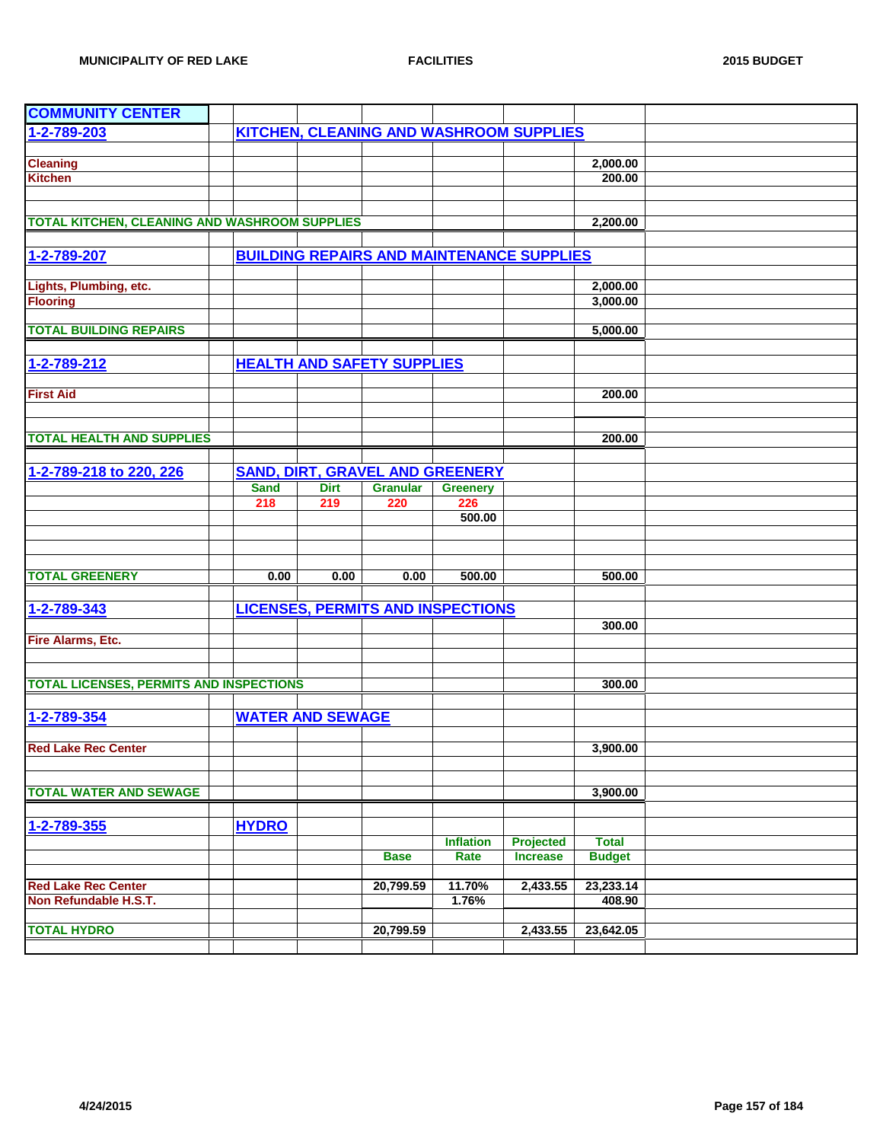| <b>COMMUNITY CENTER</b>                        |                         |             |                                                  |                  |                 |               |  |
|------------------------------------------------|-------------------------|-------------|--------------------------------------------------|------------------|-----------------|---------------|--|
| $1 - 2 - 789 - 203$                            |                         |             | KITCHEN, CLEANING AND WASHROOM SUPPLIES          |                  |                 |               |  |
|                                                |                         |             |                                                  |                  |                 |               |  |
| <b>Cleaning</b>                                |                         |             |                                                  |                  |                 | 2,000.00      |  |
| <b>Kitchen</b>                                 |                         |             |                                                  |                  |                 | 200.00        |  |
|                                                |                         |             |                                                  |                  |                 |               |  |
|                                                |                         |             |                                                  |                  |                 |               |  |
| TOTAL KITCHEN, CLEANING AND WASHROOM SUPPLIES  |                         |             |                                                  |                  |                 | 2,200.00      |  |
|                                                |                         |             |                                                  |                  |                 |               |  |
| 1-2-789-207                                    |                         |             | <b>BUILDING REPAIRS AND MAINTENANCE SUPPLIES</b> |                  |                 |               |  |
|                                                |                         |             |                                                  |                  |                 |               |  |
| Lights, Plumbing, etc.                         |                         |             |                                                  |                  |                 | 2,000.00      |  |
| <b>Flooring</b>                                |                         |             |                                                  |                  |                 | 3,000.00      |  |
|                                                |                         |             |                                                  |                  |                 |               |  |
| <b>TOTAL BUILDING REPAIRS</b>                  |                         |             |                                                  |                  |                 | 5,000.00      |  |
|                                                |                         |             |                                                  |                  |                 |               |  |
| 1-2-789-212                                    |                         |             | <b>HEALTH AND SAFETY SUPPLIES</b>                |                  |                 |               |  |
|                                                |                         |             |                                                  |                  |                 |               |  |
| <b>First Aid</b>                               |                         |             |                                                  |                  |                 | 200.00        |  |
|                                                |                         |             |                                                  |                  |                 |               |  |
|                                                |                         |             |                                                  |                  |                 |               |  |
| <b>TOTAL HEALTH AND SUPPLIES</b>               |                         |             |                                                  |                  |                 | 200.00        |  |
|                                                |                         |             |                                                  |                  |                 |               |  |
| 1-2-789-218 to 220, 226                        |                         |             | <b>SAND, DIRT, GRAVEL AND GREENERY</b>           |                  |                 |               |  |
|                                                | <b>Sand</b>             | <b>Dirt</b> | <b>Granular</b>                                  | <b>Greenery</b>  |                 |               |  |
|                                                | 218                     | 219         | 220                                              | 226              |                 |               |  |
|                                                |                         |             |                                                  | 500.00           |                 |               |  |
|                                                |                         |             |                                                  |                  |                 |               |  |
|                                                |                         |             |                                                  |                  |                 |               |  |
|                                                |                         |             |                                                  |                  |                 |               |  |
| <b>TOTAL GREENERY</b>                          | 0.00                    | 0.00        | 0.00                                             | 500.00           |                 | 500.00        |  |
|                                                |                         |             |                                                  |                  |                 |               |  |
| 1-2-789-343                                    |                         |             | <b>LICENSES, PERMITS AND INSPECTIONS</b>         |                  |                 |               |  |
|                                                |                         |             |                                                  |                  |                 | 300.00        |  |
| Fire Alarms, Etc.                              |                         |             |                                                  |                  |                 |               |  |
|                                                |                         |             |                                                  |                  |                 |               |  |
|                                                |                         |             |                                                  |                  |                 |               |  |
| <b>TOTAL LICENSES, PERMITS AND INSPECTIONS</b> |                         |             |                                                  |                  |                 | 300.00        |  |
|                                                |                         |             |                                                  |                  |                 |               |  |
| 1-2-789-354                                    | <b>WATER AND SEWAGE</b> |             |                                                  |                  |                 |               |  |
|                                                |                         |             |                                                  |                  |                 |               |  |
| <b>Red Lake Rec Center</b>                     |                         |             |                                                  |                  |                 | 3,900.00      |  |
|                                                |                         |             |                                                  |                  |                 |               |  |
|                                                |                         |             |                                                  |                  |                 |               |  |
| <b>TOTAL WATER AND SEWAGE</b>                  |                         |             |                                                  |                  |                 | 3,900.00      |  |
|                                                |                         |             |                                                  |                  |                 |               |  |
| 1-2-789-355                                    | <b>HYDRO</b>            |             |                                                  |                  |                 |               |  |
|                                                |                         |             |                                                  | <b>Inflation</b> | Projected       | <b>Total</b>  |  |
|                                                |                         |             | <b>Base</b>                                      | Rate             | <b>Increase</b> | <b>Budget</b> |  |
|                                                |                         |             |                                                  |                  |                 |               |  |
| <b>Red Lake Rec Center</b>                     |                         |             | 20,799.59                                        | 11.70%           | 2,433.55        | 23,233.14     |  |
| Non Refundable H.S.T.                          |                         |             |                                                  | 1.76%            |                 | 408.90        |  |
|                                                |                         |             |                                                  |                  |                 |               |  |
| <b>TOTAL HYDRO</b>                             |                         |             | 20,799.59                                        |                  | 2,433.55        | 23,642.05     |  |
|                                                |                         |             |                                                  |                  |                 |               |  |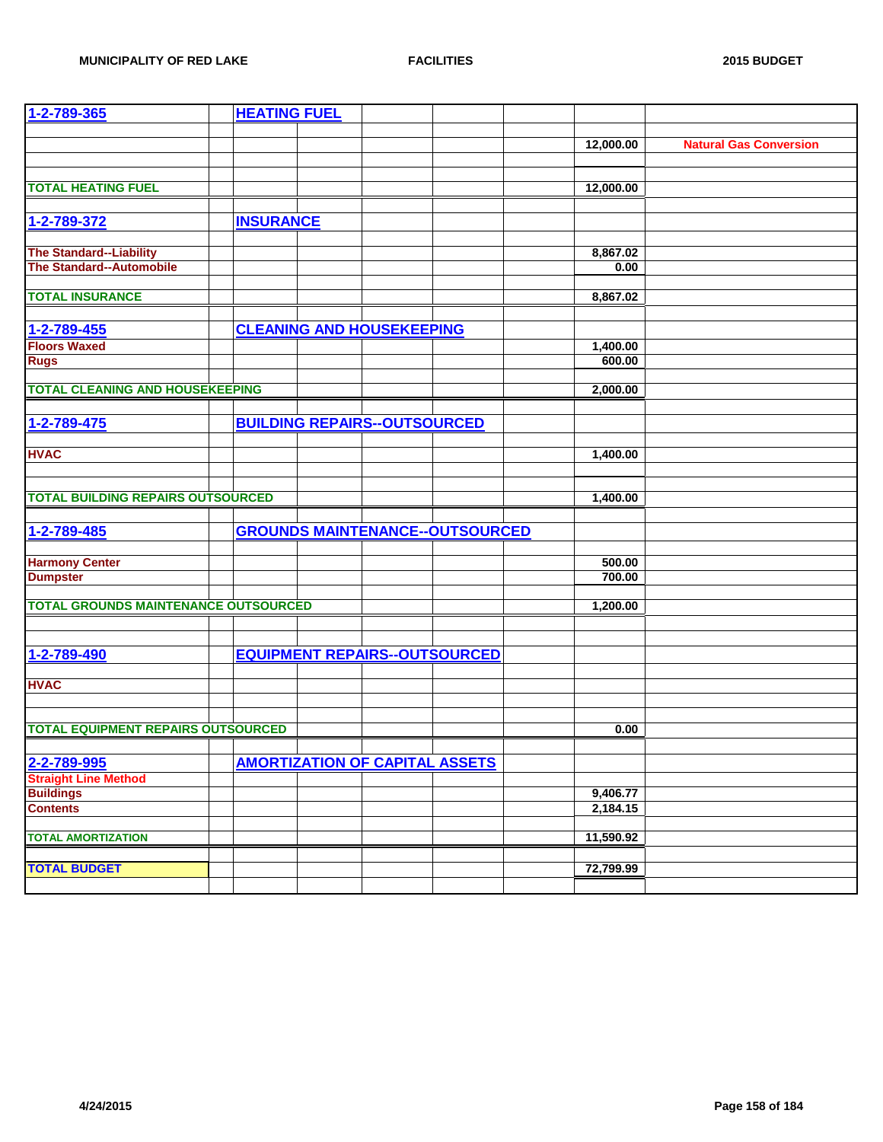| 1-2-789-365                                 | <b>HEATING FUEL</b> |                                       |                                        |           |      |                               |
|---------------------------------------------|---------------------|---------------------------------------|----------------------------------------|-----------|------|-------------------------------|
|                                             |                     |                                       |                                        |           |      |                               |
|                                             |                     |                                       |                                        | 12,000.00 |      | <b>Natural Gas Conversion</b> |
|                                             |                     |                                       |                                        |           |      |                               |
|                                             |                     |                                       |                                        |           |      |                               |
| <b>TOTAL HEATING FUEL</b>                   |                     |                                       |                                        | 12,000.00 |      |                               |
|                                             |                     |                                       |                                        |           |      |                               |
| 1-2-789-372                                 | <b>INSURANCE</b>    |                                       |                                        |           |      |                               |
|                                             |                     |                                       |                                        |           |      |                               |
| <b>The Standard--Liability</b>              |                     |                                       |                                        | 8,867.02  |      |                               |
| <b>The Standard--Automobile</b>             |                     |                                       |                                        |           | 0.00 |                               |
|                                             |                     |                                       |                                        |           |      |                               |
| <b>TOTAL INSURANCE</b>                      |                     |                                       |                                        | 8,867.02  |      |                               |
|                                             |                     |                                       |                                        |           |      |                               |
| 1-2-789-455                                 |                     | <b>CLEANING AND HOUSEKEEPING</b>      |                                        |           |      |                               |
| <b>Floors Waxed</b>                         |                     |                                       |                                        | 1,400.00  |      |                               |
| <b>Rugs</b>                                 |                     |                                       |                                        | 600.00    |      |                               |
|                                             |                     |                                       |                                        |           |      |                               |
| <b>TOTAL CLEANING AND HOUSEKEEPING</b>      |                     |                                       |                                        | 2,000.00  |      |                               |
|                                             |                     |                                       |                                        |           |      |                               |
| 1-2-789-475                                 |                     | <b>BUILDING REPAIRS--OUTSOURCED</b>   |                                        |           |      |                               |
|                                             |                     |                                       |                                        |           |      |                               |
| <b>HVAC</b>                                 |                     |                                       |                                        |           |      |                               |
|                                             |                     |                                       |                                        | 1,400.00  |      |                               |
|                                             |                     |                                       |                                        |           |      |                               |
| <b>TOTAL BUILDING REPAIRS OUTSOURCED</b>    |                     |                                       |                                        | 1,400.00  |      |                               |
|                                             |                     |                                       |                                        |           |      |                               |
|                                             |                     |                                       |                                        |           |      |                               |
| 1-2-789-485                                 |                     |                                       | <b>GROUNDS MAINTENANCE--OUTSOURCED</b> |           |      |                               |
|                                             |                     |                                       |                                        |           |      |                               |
| <b>Harmony Center</b>                       |                     |                                       |                                        | 500.00    |      |                               |
| <b>Dumpster</b>                             |                     |                                       |                                        | 700.00    |      |                               |
| <b>TOTAL GROUNDS MAINTENANCE OUTSOURCED</b> |                     |                                       |                                        |           |      |                               |
|                                             |                     |                                       |                                        | 1,200.00  |      |                               |
|                                             |                     |                                       |                                        |           |      |                               |
|                                             |                     |                                       |                                        |           |      |                               |
| 1-2-789-490                                 |                     |                                       | <b>EQUIPMENT REPAIRS--OUTSOURCED</b>   |           |      |                               |
|                                             |                     |                                       |                                        |           |      |                               |
| <b>HVAC</b>                                 |                     |                                       |                                        |           |      |                               |
|                                             |                     |                                       |                                        |           |      |                               |
|                                             |                     |                                       |                                        |           |      |                               |
| <b>TOTAL EQUIPMENT REPAIRS OUTSOURCED</b>   |                     |                                       |                                        |           | 0.00 |                               |
|                                             |                     |                                       |                                        |           |      |                               |
| 2-2-789-995                                 |                     | <b>AMORTIZATION OF CAPITAL ASSETS</b> |                                        |           |      |                               |
| <b>Straight Line Method</b>                 |                     |                                       |                                        |           |      |                               |
| <b>Buildings</b>                            |                     |                                       |                                        | 9,406.77  |      |                               |
| <b>Contents</b>                             |                     |                                       |                                        | 2,184.15  |      |                               |
|                                             |                     |                                       |                                        |           |      |                               |
| <b>TOTAL AMORTIZATION</b>                   |                     |                                       |                                        | 11,590.92 |      |                               |
|                                             |                     |                                       |                                        |           |      |                               |
| <b>TOTAL BUDGET</b>                         |                     |                                       |                                        | 72,799.99 |      |                               |
|                                             |                     |                                       |                                        |           |      |                               |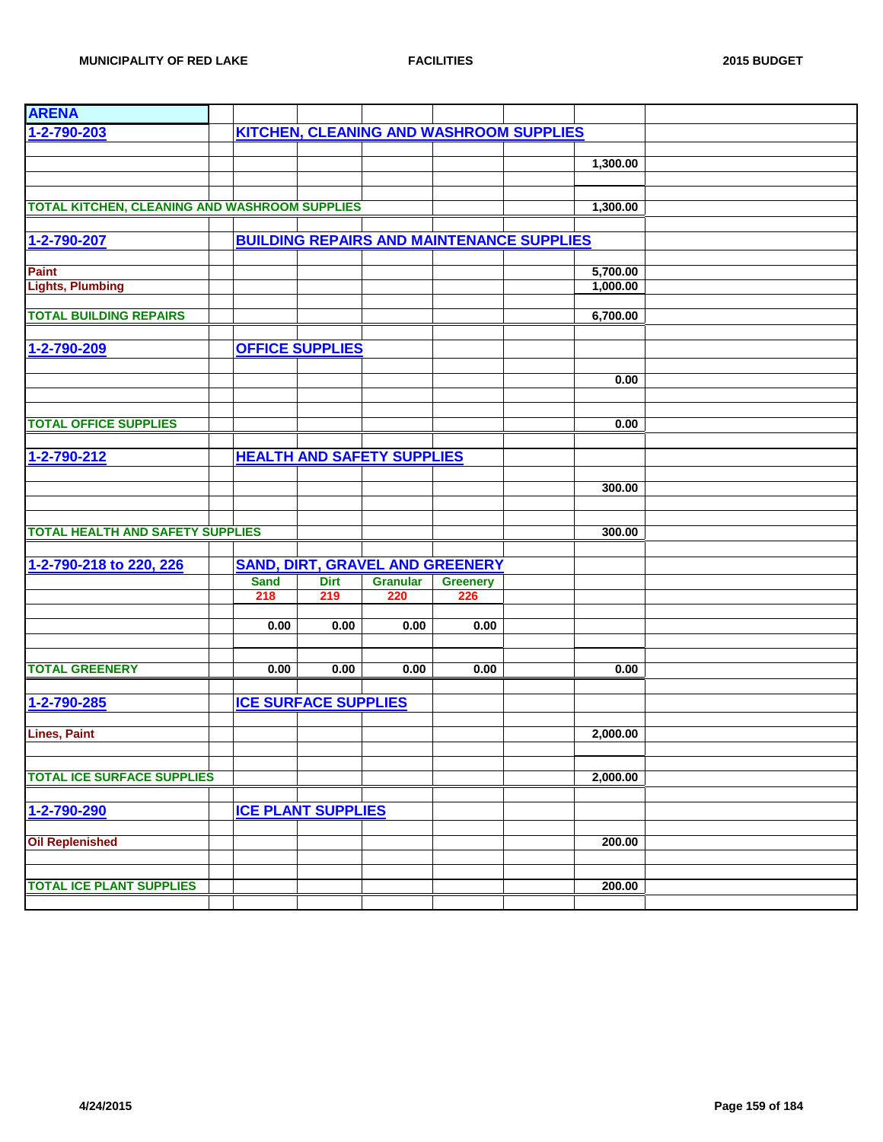| <b>ARENA</b>                                         |                             |             |                                        |                 |                                                  |          |  |
|------------------------------------------------------|-----------------------------|-------------|----------------------------------------|-----------------|--------------------------------------------------|----------|--|
| 1-2-790-203                                          |                             |             |                                        |                 | <b>KITCHEN, CLEANING AND WASHROOM SUPPLIES</b>   |          |  |
|                                                      |                             |             |                                        |                 |                                                  |          |  |
|                                                      |                             |             |                                        |                 |                                                  | 1,300.00 |  |
|                                                      |                             |             |                                        |                 |                                                  |          |  |
|                                                      |                             |             |                                        |                 |                                                  |          |  |
| <b>TOTAL KITCHEN, CLEANING AND WASHROOM SUPPLIES</b> |                             |             |                                        |                 |                                                  | 1,300.00 |  |
|                                                      |                             |             |                                        |                 |                                                  |          |  |
| 1-2-790-207                                          |                             |             |                                        |                 | <b>BUILDING REPAIRS AND MAINTENANCE SUPPLIES</b> |          |  |
|                                                      |                             |             |                                        |                 |                                                  |          |  |
| <b>Paint</b>                                         |                             |             |                                        |                 |                                                  | 5,700.00 |  |
| <b>Lights, Plumbing</b>                              |                             |             |                                        |                 |                                                  | 1,000.00 |  |
|                                                      |                             |             |                                        |                 |                                                  |          |  |
| <b>TOTAL BUILDING REPAIRS</b>                        |                             |             |                                        |                 |                                                  | 6,700.00 |  |
|                                                      |                             |             |                                        |                 |                                                  |          |  |
| 1-2-790-209                                          | <b>OFFICE SUPPLIES</b>      |             |                                        |                 |                                                  |          |  |
|                                                      |                             |             |                                        |                 |                                                  |          |  |
|                                                      |                             |             |                                        |                 |                                                  | 0.00     |  |
|                                                      |                             |             |                                        |                 |                                                  |          |  |
|                                                      |                             |             |                                        |                 |                                                  |          |  |
| <b>TOTAL OFFICE SUPPLIES</b>                         |                             |             |                                        |                 |                                                  | 0.00     |  |
|                                                      |                             |             |                                        |                 |                                                  |          |  |
| 1-2-790-212                                          |                             |             | <b>HEALTH AND SAFETY SUPPLIES</b>      |                 |                                                  |          |  |
|                                                      |                             |             |                                        |                 |                                                  |          |  |
|                                                      |                             |             |                                        |                 |                                                  | 300.00   |  |
|                                                      |                             |             |                                        |                 |                                                  |          |  |
|                                                      |                             |             |                                        |                 |                                                  |          |  |
| <b>TOTAL HEALTH AND SAFETY SUPPLIES</b>              |                             |             |                                        |                 |                                                  | 300.00   |  |
|                                                      |                             |             |                                        |                 |                                                  |          |  |
| 1-2-790-218 to 220, 226                              |                             |             | <b>SAND, DIRT, GRAVEL AND GREENERY</b> |                 |                                                  |          |  |
|                                                      | <b>Sand</b>                 | <b>Dirt</b> | <b>Granular</b>                        | <b>Greenery</b> |                                                  |          |  |
|                                                      | 218                         | 219         | 220                                    | 226             |                                                  |          |  |
|                                                      |                             |             |                                        |                 |                                                  |          |  |
|                                                      | 0.00                        | 0.00        | 0.00                                   | 0.00            |                                                  |          |  |
|                                                      |                             |             |                                        |                 |                                                  |          |  |
|                                                      |                             |             |                                        |                 |                                                  |          |  |
| <b>TOTAL GREENERY</b>                                | 0.00                        | 0.00        | 0.00                                   | 0.00            |                                                  | 0.00     |  |
|                                                      |                             |             |                                        |                 |                                                  |          |  |
| 1-2-790-285                                          | <b>ICE SURFACE SUPPLIES</b> |             |                                        |                 |                                                  |          |  |
|                                                      |                             |             |                                        |                 |                                                  |          |  |
| <b>Lines, Paint</b>                                  |                             |             |                                        |                 |                                                  | 2,000.00 |  |
|                                                      |                             |             |                                        |                 |                                                  |          |  |
| <b>TOTAL ICE SURFACE SUPPLIES</b>                    |                             |             |                                        |                 |                                                  | 2,000.00 |  |
|                                                      |                             |             |                                        |                 |                                                  |          |  |
|                                                      |                             |             |                                        |                 |                                                  |          |  |
| 1-2-790-290                                          | <b>ICE PLANT SUPPLIES</b>   |             |                                        |                 |                                                  |          |  |
|                                                      |                             |             |                                        |                 |                                                  |          |  |
| <b>Oil Replenished</b>                               |                             |             |                                        |                 |                                                  | 200.00   |  |
|                                                      |                             |             |                                        |                 |                                                  |          |  |
| <b>TOTAL ICE PLANT SUPPLIES</b>                      |                             |             |                                        |                 |                                                  | 200.00   |  |
|                                                      |                             |             |                                        |                 |                                                  |          |  |
|                                                      |                             |             |                                        |                 |                                                  |          |  |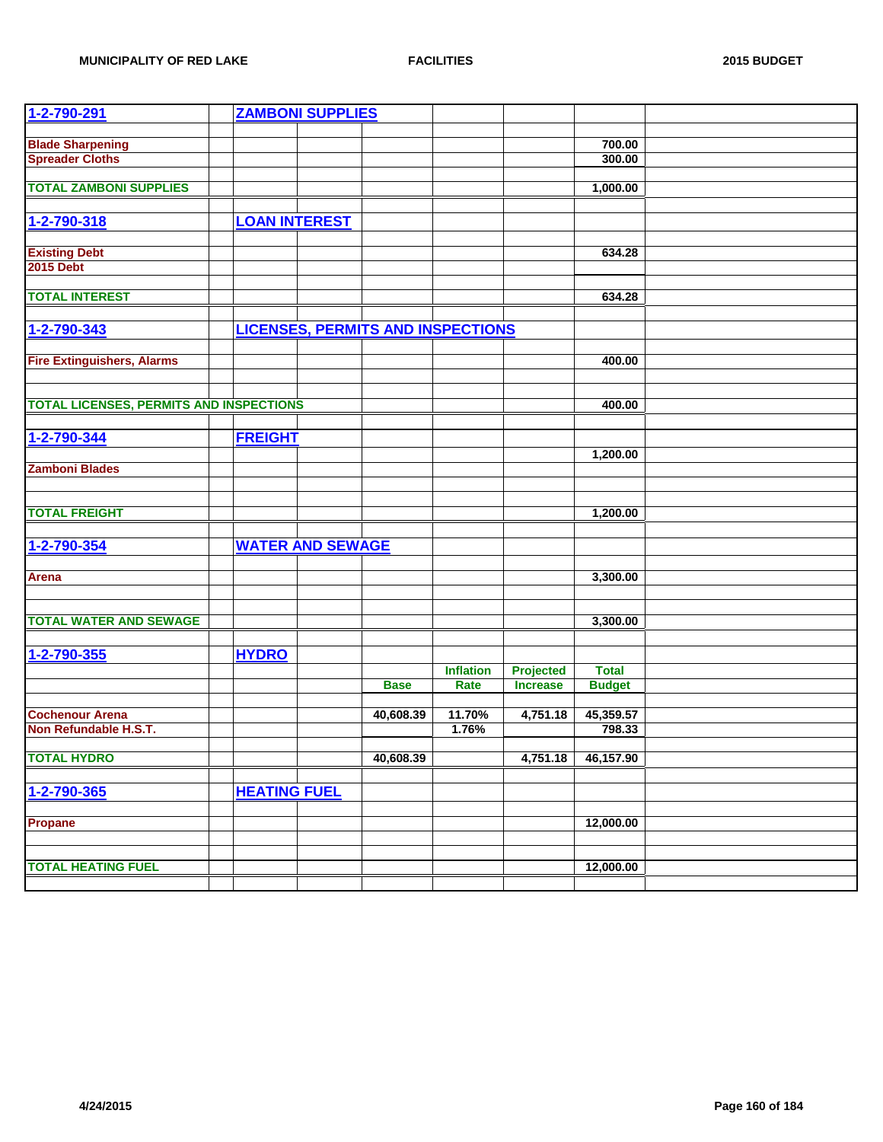| 1-2-790-291                                    | <b>ZAMBONI SUPPLIES</b> |                                          |                  |                  |               |  |
|------------------------------------------------|-------------------------|------------------------------------------|------------------|------------------|---------------|--|
|                                                |                         |                                          |                  |                  |               |  |
| <b>Blade Sharpening</b>                        |                         |                                          |                  |                  | 700.00        |  |
| <b>Spreader Cloths</b>                         |                         |                                          |                  |                  | 300.00        |  |
|                                                |                         |                                          |                  |                  |               |  |
| <b>TOTAL ZAMBONI SUPPLIES</b>                  |                         |                                          |                  |                  | 1,000.00      |  |
|                                                |                         |                                          |                  |                  |               |  |
| 1-2-790-318                                    | <b>LOAN INTEREST</b>    |                                          |                  |                  |               |  |
|                                                |                         |                                          |                  |                  |               |  |
| <b>Existing Debt</b>                           |                         |                                          |                  |                  | 634.28        |  |
| <b>2015 Debt</b>                               |                         |                                          |                  |                  |               |  |
|                                                |                         |                                          |                  |                  |               |  |
| <b>TOTAL INTEREST</b>                          |                         |                                          |                  |                  | 634.28        |  |
|                                                |                         |                                          |                  |                  |               |  |
| 1-2-790-343                                    |                         | <b>LICENSES, PERMITS AND INSPECTIONS</b> |                  |                  |               |  |
|                                                |                         |                                          |                  |                  |               |  |
|                                                |                         |                                          |                  |                  |               |  |
| <b>Fire Extinguishers, Alarms</b>              |                         |                                          |                  |                  | 400.00        |  |
|                                                |                         |                                          |                  |                  |               |  |
|                                                |                         |                                          |                  |                  |               |  |
| <b>TOTAL LICENSES, PERMITS AND INSPECTIONS</b> |                         |                                          |                  |                  | 400.00        |  |
|                                                |                         |                                          |                  |                  |               |  |
| 1-2-790-344                                    | <b>FREIGHT</b>          |                                          |                  |                  |               |  |
|                                                |                         |                                          |                  |                  | 1,200.00      |  |
| <b>Zamboni Blades</b>                          |                         |                                          |                  |                  |               |  |
|                                                |                         |                                          |                  |                  |               |  |
|                                                |                         |                                          |                  |                  |               |  |
| <b>TOTAL FREIGHT</b>                           |                         |                                          |                  |                  | 1,200.00      |  |
|                                                |                         |                                          |                  |                  |               |  |
| 1-2-790-354                                    | <b>WATER AND SEWAGE</b> |                                          |                  |                  |               |  |
|                                                |                         |                                          |                  |                  |               |  |
| <b>Arena</b>                                   |                         |                                          |                  |                  | 3,300.00      |  |
|                                                |                         |                                          |                  |                  |               |  |
|                                                |                         |                                          |                  |                  |               |  |
| <b>TOTAL WATER AND SEWAGE</b>                  |                         |                                          |                  |                  | 3,300.00      |  |
|                                                |                         |                                          |                  |                  |               |  |
|                                                |                         |                                          |                  |                  |               |  |
| 1-2-790-355                                    | <b>HYDRO</b>            |                                          |                  |                  |               |  |
|                                                |                         |                                          | <b>Inflation</b> | <b>Projected</b> | <b>Total</b>  |  |
|                                                |                         | <b>Base</b>                              | Rate             | <b>Increase</b>  | <b>Budget</b> |  |
|                                                |                         |                                          |                  |                  |               |  |
| <b>Cochenour Arena</b>                         |                         | 40,608.39                                | 11.70%           | 4,751.18         | 45,359.57     |  |
| Non Refundable H.S.T.                          |                         |                                          | 1.76%            |                  | 798.33        |  |
|                                                |                         |                                          |                  |                  |               |  |
| <b>TOTAL HYDRO</b>                             |                         | 40,608.39                                |                  | 4,751.18         | 46,157.90     |  |
|                                                |                         |                                          |                  |                  |               |  |
| 1-2-790-365                                    | <b>HEATING FUEL</b>     |                                          |                  |                  |               |  |
|                                                |                         |                                          |                  |                  |               |  |
| Propane                                        |                         |                                          |                  |                  | 12,000.00     |  |
|                                                |                         |                                          |                  |                  |               |  |
|                                                |                         |                                          |                  |                  |               |  |
| <b>TOTAL HEATING FUEL</b>                      |                         |                                          |                  |                  | 12,000.00     |  |
|                                                |                         |                                          |                  |                  |               |  |
|                                                |                         |                                          |                  |                  |               |  |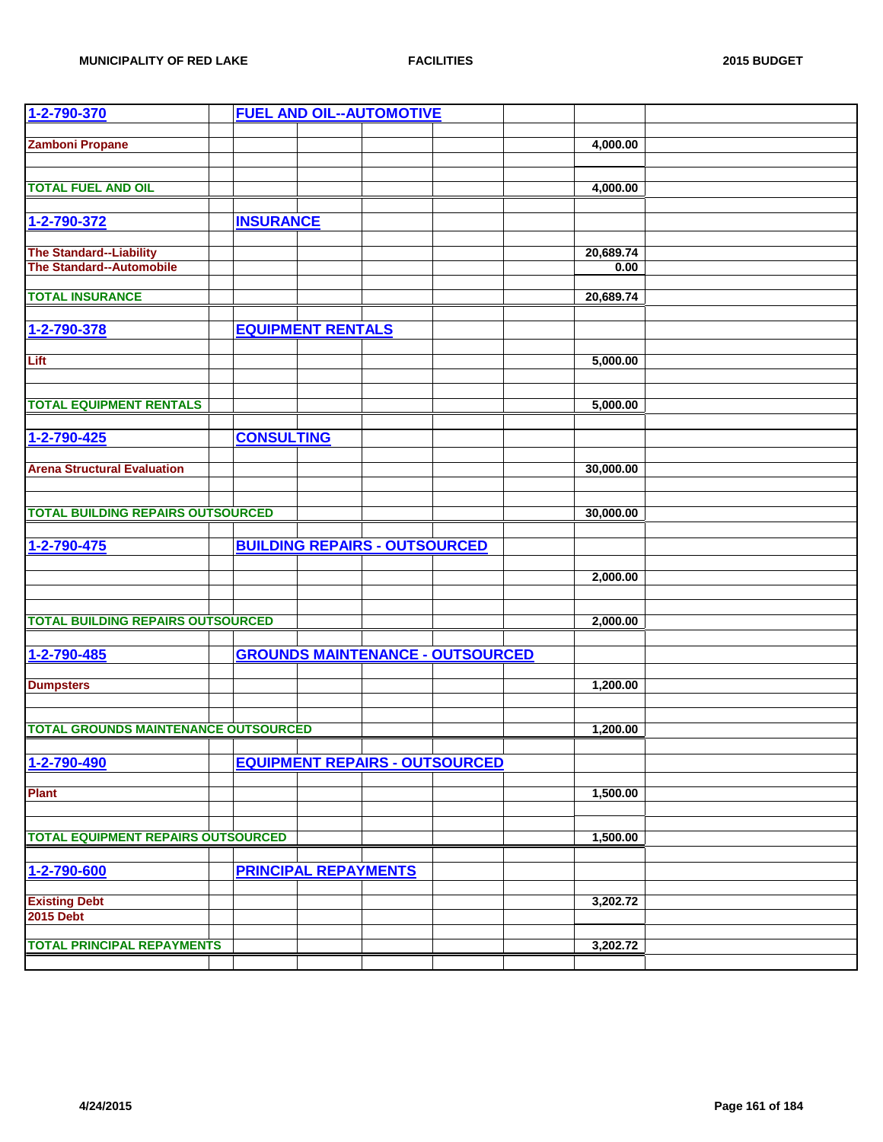| 1-2-790-370                                 |                   |                             | <b>FUEL AND OIL--AUTOMOTIVE</b>         |  |           |  |
|---------------------------------------------|-------------------|-----------------------------|-----------------------------------------|--|-----------|--|
| <b>Zamboni Propane</b>                      |                   |                             |                                         |  | 4,000.00  |  |
|                                             |                   |                             |                                         |  |           |  |
|                                             |                   |                             |                                         |  |           |  |
| <b>TOTAL FUEL AND OIL</b>                   |                   |                             |                                         |  | 4,000.00  |  |
|                                             |                   |                             |                                         |  |           |  |
| 1-2-790-372                                 | <b>INSURANCE</b>  |                             |                                         |  |           |  |
| <b>The Standard--Liability</b>              |                   |                             |                                         |  | 20,689.74 |  |
| <b>The Standard--Automobile</b>             |                   |                             |                                         |  | 0.00      |  |
|                                             |                   |                             |                                         |  |           |  |
| <b>TOTAL INSURANCE</b>                      |                   |                             |                                         |  | 20,689.74 |  |
| 1-2-790-378                                 |                   | <b>EQUIPMENT RENTALS</b>    |                                         |  |           |  |
|                                             |                   |                             |                                         |  |           |  |
| Lift                                        |                   |                             |                                         |  | 5,000.00  |  |
|                                             |                   |                             |                                         |  |           |  |
|                                             |                   |                             |                                         |  |           |  |
| <b>TOTAL EQUIPMENT RENTALS</b>              |                   |                             |                                         |  | 5,000.00  |  |
| 1-2-790-425                                 | <b>CONSULTING</b> |                             |                                         |  |           |  |
|                                             |                   |                             |                                         |  |           |  |
| <b>Arena Structural Evaluation</b>          |                   |                             |                                         |  | 30,000.00 |  |
|                                             |                   |                             |                                         |  |           |  |
|                                             |                   |                             |                                         |  |           |  |
| <b>TOTAL BUILDING REPAIRS OUTSOURCED</b>    |                   |                             |                                         |  | 30,000.00 |  |
| 1-2-790-475                                 |                   |                             | <b>BUILDING REPAIRS - OUTSOURCED</b>    |  |           |  |
|                                             |                   |                             |                                         |  |           |  |
|                                             |                   |                             |                                         |  | 2,000.00  |  |
|                                             |                   |                             |                                         |  |           |  |
|                                             |                   |                             |                                         |  |           |  |
| <b>TOTAL BUILDING REPAIRS OUTSOURCED</b>    |                   |                             |                                         |  | 2,000.00  |  |
| 1-2-790-485                                 |                   |                             | <b>GROUNDS MAINTENANCE - OUTSOURCED</b> |  |           |  |
|                                             |                   |                             |                                         |  |           |  |
| <b>Dumpsters</b>                            |                   |                             |                                         |  | 1,200.00  |  |
|                                             |                   |                             |                                         |  |           |  |
|                                             |                   |                             |                                         |  |           |  |
| <b>TOTAL GROUNDS MAINTENANCE OUTSOURCED</b> |                   |                             |                                         |  | 1,200.00  |  |
| 1-2-790-490                                 |                   |                             | <b>EQUIPMENT REPAIRS - OUTSOURCED</b>   |  |           |  |
|                                             |                   |                             |                                         |  |           |  |
| <b>Plant</b>                                |                   |                             |                                         |  | 1,500.00  |  |
|                                             |                   |                             |                                         |  |           |  |
|                                             |                   |                             |                                         |  |           |  |
| <b>TOTAL EQUIPMENT REPAIRS OUTSOURCED</b>   |                   |                             |                                         |  | 1,500.00  |  |
| 1-2-790-600                                 |                   | <b>PRINCIPAL REPAYMENTS</b> |                                         |  |           |  |
|                                             |                   |                             |                                         |  |           |  |
| <b>Existing Debt</b>                        |                   |                             |                                         |  | 3,202.72  |  |
| <b>2015 Debt</b>                            |                   |                             |                                         |  |           |  |
|                                             |                   |                             |                                         |  |           |  |
| <b>TOTAL PRINCIPAL REPAYMENTS</b>           |                   |                             |                                         |  | 3,202.72  |  |
|                                             |                   |                             |                                         |  |           |  |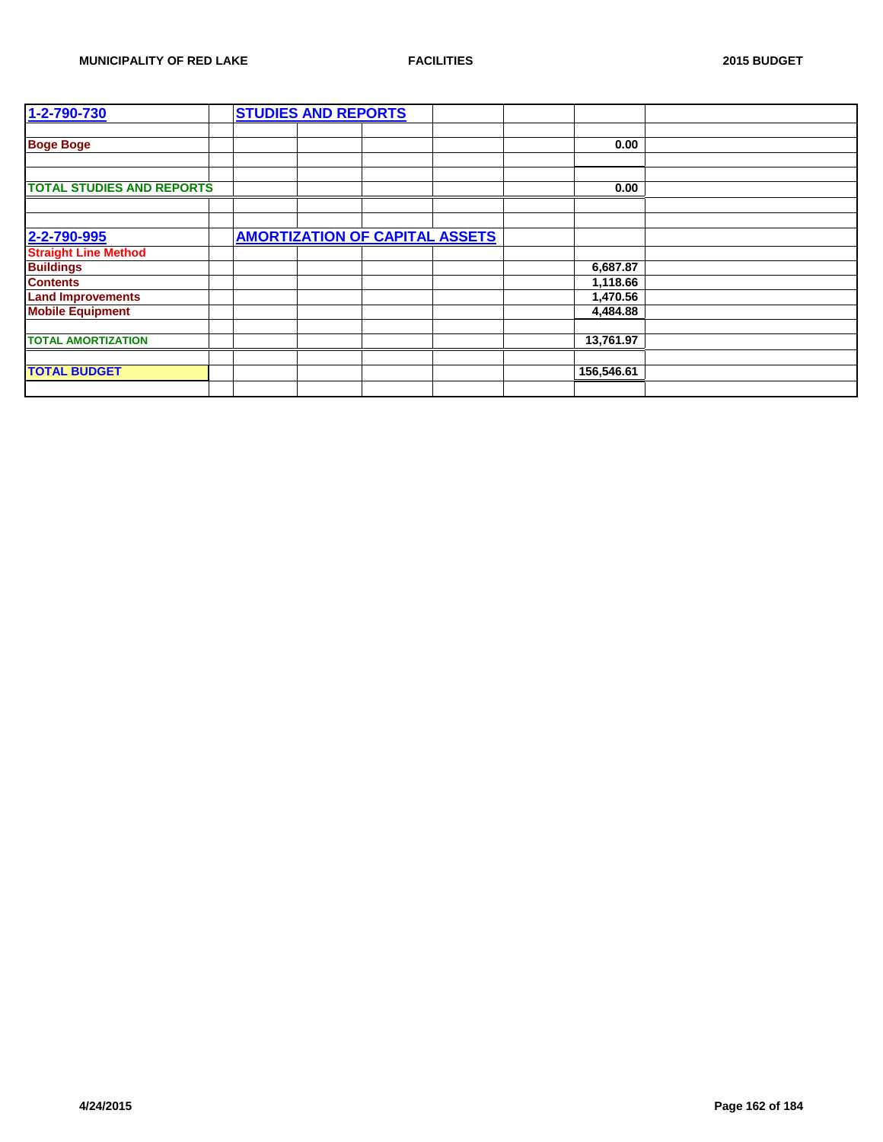| 1-2-790-730                      | <b>STUDIES AND REPORTS</b> |                                       |            |  |
|----------------------------------|----------------------------|---------------------------------------|------------|--|
|                                  |                            |                                       |            |  |
| <b>Boge Boge</b>                 |                            |                                       | 0.00       |  |
|                                  |                            |                                       |            |  |
|                                  |                            |                                       |            |  |
| <b>TOTAL STUDIES AND REPORTS</b> |                            |                                       | 0.00       |  |
|                                  |                            |                                       |            |  |
|                                  |                            |                                       |            |  |
| 2-2-790-995                      |                            | <b>AMORTIZATION OF CAPITAL ASSETS</b> |            |  |
| <b>Straight Line Method</b>      |                            |                                       |            |  |
| <b>Buildings</b>                 |                            |                                       | 6,687.87   |  |
| <b>Contents</b>                  |                            |                                       | 1,118.66   |  |
| <b>Land Improvements</b>         |                            |                                       | 1,470.56   |  |
| <b>Mobile Equipment</b>          |                            |                                       | 4,484.88   |  |
|                                  |                            |                                       |            |  |
| <b>TOTAL AMORTIZATION</b>        |                            |                                       | 13,761.97  |  |
|                                  |                            |                                       |            |  |
| <b>TOTAL BUDGET</b>              |                            |                                       | 156,546.61 |  |
|                                  |                            |                                       |            |  |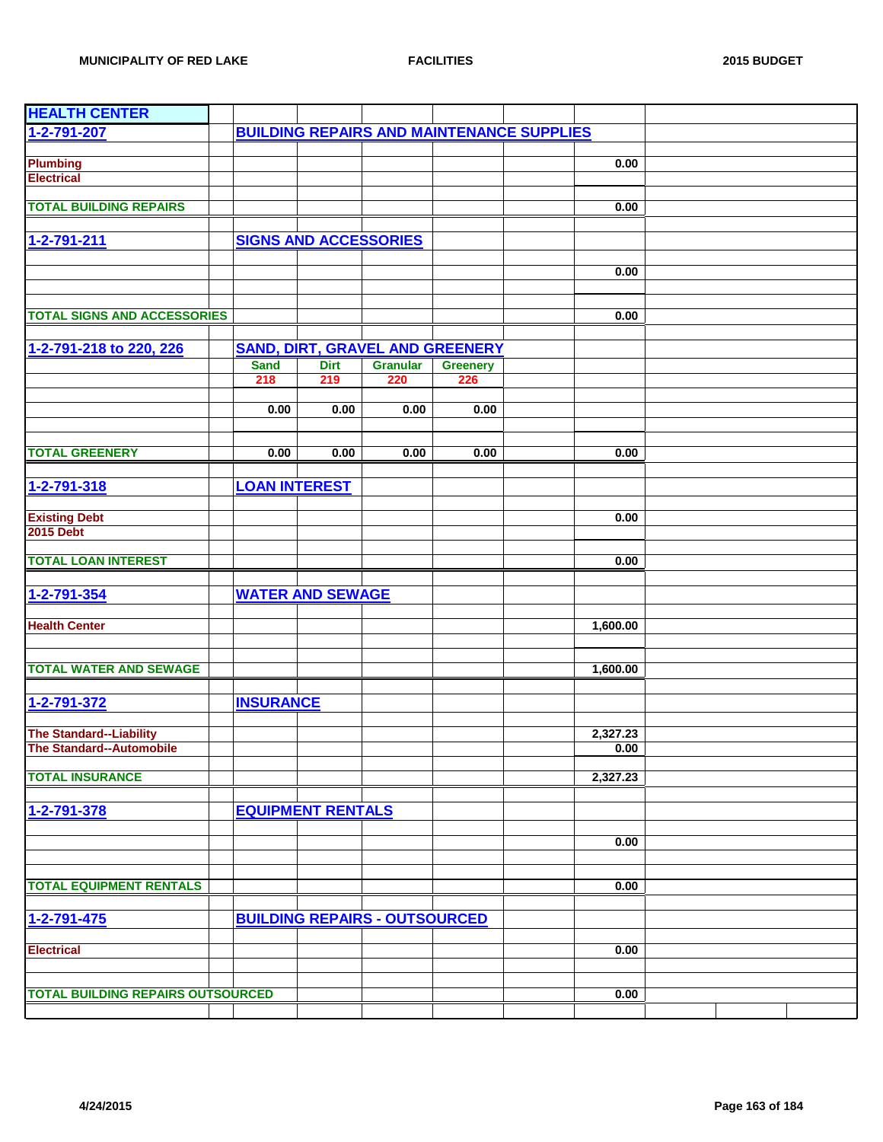| <b>HEALTH CENTER</b>                     |                      |                              |                                                  |                 |          |  |
|------------------------------------------|----------------------|------------------------------|--------------------------------------------------|-----------------|----------|--|
| 1-2-791-207                              |                      |                              | <b>BUILDING REPAIRS AND MAINTENANCE SUPPLIES</b> |                 |          |  |
|                                          |                      |                              |                                                  |                 |          |  |
| <b>Plumbing</b>                          |                      |                              |                                                  |                 | 0.00     |  |
| <b>Electrical</b>                        |                      |                              |                                                  |                 |          |  |
| <b>TOTAL BUILDING REPAIRS</b>            |                      |                              |                                                  |                 | 0.00     |  |
|                                          |                      |                              |                                                  |                 |          |  |
| 1-2-791-211                              |                      | <b>SIGNS AND ACCESSORIES</b> |                                                  |                 |          |  |
|                                          |                      |                              |                                                  |                 |          |  |
|                                          |                      |                              |                                                  |                 | 0.00     |  |
|                                          |                      |                              |                                                  |                 |          |  |
|                                          |                      |                              |                                                  |                 |          |  |
| <b>TOTAL SIGNS AND ACCESSORIES</b>       |                      |                              |                                                  |                 | 0.00     |  |
|                                          |                      |                              |                                                  |                 |          |  |
| 1-2-791-218 to 220, 226                  |                      |                              | <b>SAND, DIRT, GRAVEL AND GREENERY</b>           |                 |          |  |
|                                          | <b>Sand</b>          | <b>Dirt</b>                  | <b>Granular</b>                                  | <b>Greenery</b> |          |  |
|                                          | 218                  | 219                          | 220                                              | 226             |          |  |
|                                          | 0.00                 |                              |                                                  |                 |          |  |
|                                          |                      | 0.00                         | 0.00                                             | 0.00            |          |  |
|                                          |                      |                              |                                                  |                 |          |  |
| <b>TOTAL GREENERY</b>                    | 0.00                 | 0.00                         | 0.00                                             | 0.00            | 0.00     |  |
|                                          |                      |                              |                                                  |                 |          |  |
| 1-2-791-318                              | <b>LOAN INTEREST</b> |                              |                                                  |                 |          |  |
|                                          |                      |                              |                                                  |                 |          |  |
| <b>Existing Debt</b>                     |                      |                              |                                                  |                 | 0.00     |  |
| <b>2015 Debt</b>                         |                      |                              |                                                  |                 |          |  |
|                                          |                      |                              |                                                  |                 |          |  |
| <b>TOTAL LOAN INTEREST</b>               |                      |                              |                                                  |                 | 0.00     |  |
|                                          |                      |                              |                                                  |                 |          |  |
| 1-2-791-354                              |                      | <b>WATER AND SEWAGE</b>      |                                                  |                 |          |  |
|                                          |                      |                              |                                                  |                 |          |  |
| <b>Health Center</b>                     |                      |                              |                                                  |                 | 1,600.00 |  |
|                                          |                      |                              |                                                  |                 |          |  |
| <b>TOTAL WATER AND SEWAGE</b>            |                      |                              |                                                  |                 | 1,600.00 |  |
|                                          |                      |                              |                                                  |                 |          |  |
| 1-2-791-372                              | <b>INSURANCE</b>     |                              |                                                  |                 |          |  |
|                                          |                      |                              |                                                  |                 |          |  |
| <b>The Standard--Liability</b>           |                      |                              |                                                  |                 | 2,327.23 |  |
| <b>The Standard--Automobile</b>          |                      |                              |                                                  |                 | 0.00     |  |
|                                          |                      |                              |                                                  |                 |          |  |
| <b>TOTAL INSURANCE</b>                   |                      |                              |                                                  |                 | 2,327.23 |  |
|                                          |                      |                              |                                                  |                 |          |  |
| 1-2-791-378                              |                      | <b>EQUIPMENT RENTALS</b>     |                                                  |                 |          |  |
|                                          |                      |                              |                                                  |                 |          |  |
|                                          |                      |                              |                                                  |                 | 0.00     |  |
|                                          |                      |                              |                                                  |                 |          |  |
| <b>TOTAL EQUIPMENT RENTALS</b>           |                      |                              |                                                  |                 | 0.00     |  |
|                                          |                      |                              |                                                  |                 |          |  |
|                                          |                      |                              |                                                  |                 |          |  |
| 1-2-791-475                              |                      |                              | <b>BUILDING REPAIRS - OUTSOURCED</b>             |                 |          |  |
| <b>Electrical</b>                        |                      |                              |                                                  |                 | 0.00     |  |
|                                          |                      |                              |                                                  |                 |          |  |
|                                          |                      |                              |                                                  |                 |          |  |
| <b>TOTAL BUILDING REPAIRS OUTSOURCED</b> |                      |                              |                                                  |                 | 0.00     |  |
|                                          |                      |                              |                                                  |                 |          |  |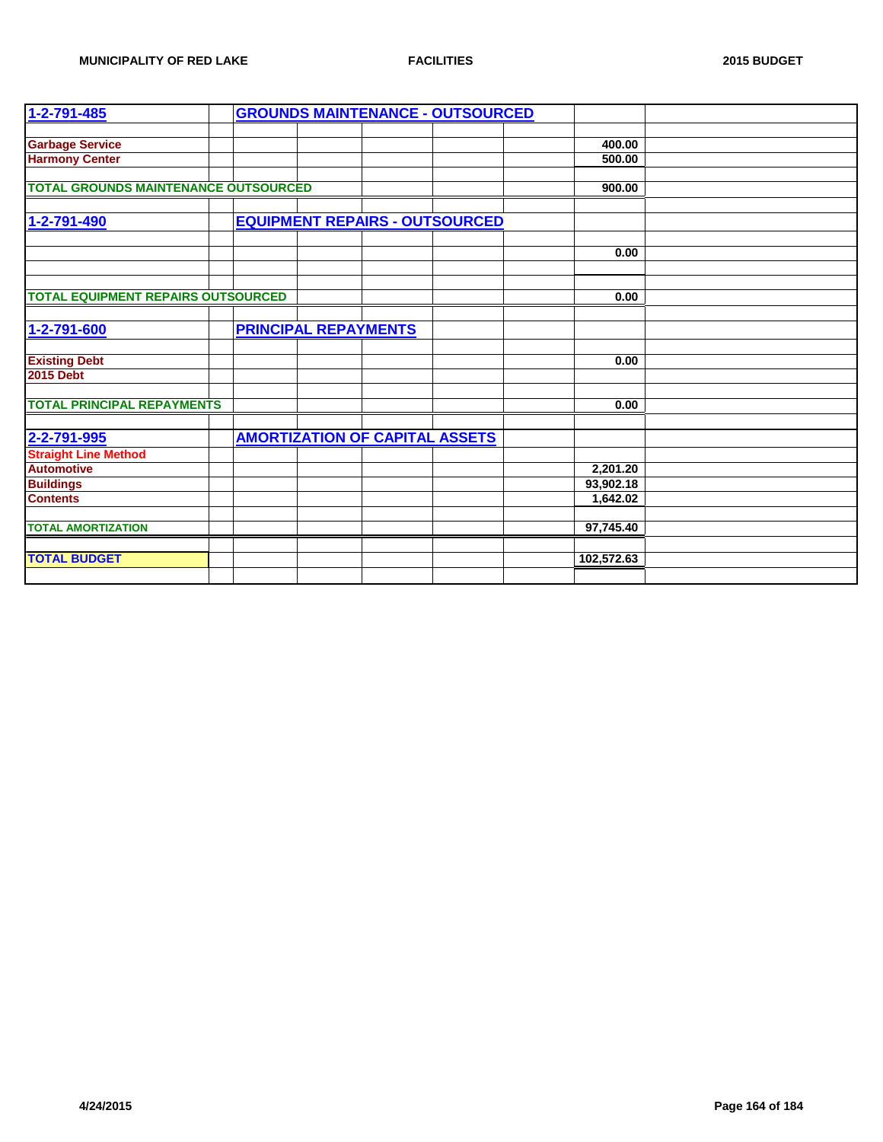| 1-2-791-485                                 |                                       | <b>GROUNDS MAINTENANCE - OUTSOURCED</b> |            |  |
|---------------------------------------------|---------------------------------------|-----------------------------------------|------------|--|
|                                             |                                       |                                         |            |  |
| <b>Garbage Service</b>                      |                                       |                                         | 400.00     |  |
| <b>Harmony Center</b>                       |                                       |                                         | 500.00     |  |
|                                             |                                       |                                         |            |  |
| <b>TOTAL GROUNDS MAINTENANCE OUTSOURCED</b> |                                       |                                         | 900.00     |  |
|                                             |                                       |                                         |            |  |
| 1-2-791-490                                 | <b>EQUIPMENT REPAIRS - OUTSOURCED</b> |                                         |            |  |
|                                             |                                       |                                         |            |  |
|                                             |                                       |                                         | 0.00       |  |
|                                             |                                       |                                         |            |  |
|                                             |                                       |                                         |            |  |
| <b>TOTAL EQUIPMENT REPAIRS OUTSOURCED</b>   |                                       |                                         | 0.00       |  |
|                                             |                                       |                                         |            |  |
| 1-2-791-600                                 | <b>PRINCIPAL REPAYMENTS</b>           |                                         |            |  |
|                                             |                                       |                                         |            |  |
| <b>Existing Debt</b>                        |                                       |                                         | 0.00       |  |
| <b>2015 Debt</b>                            |                                       |                                         |            |  |
|                                             |                                       |                                         |            |  |
| <b>TOTAL PRINCIPAL REPAYMENTS</b>           |                                       |                                         | 0.00       |  |
|                                             |                                       |                                         |            |  |
| 2-2-791-995                                 | <b>AMORTIZATION OF CAPITAL ASSETS</b> |                                         |            |  |
| <b>Straight Line Method</b>                 |                                       |                                         |            |  |
| <b>Automotive</b>                           |                                       |                                         | 2,201.20   |  |
| <b>Buildings</b>                            |                                       |                                         | 93,902.18  |  |
| <b>Contents</b>                             |                                       |                                         | 1,642.02   |  |
|                                             |                                       |                                         |            |  |
| <b>TOTAL AMORTIZATION</b>                   |                                       |                                         | 97,745.40  |  |
|                                             |                                       |                                         |            |  |
| <b>TOTAL BUDGET</b>                         |                                       |                                         | 102,572.63 |  |
|                                             |                                       |                                         |            |  |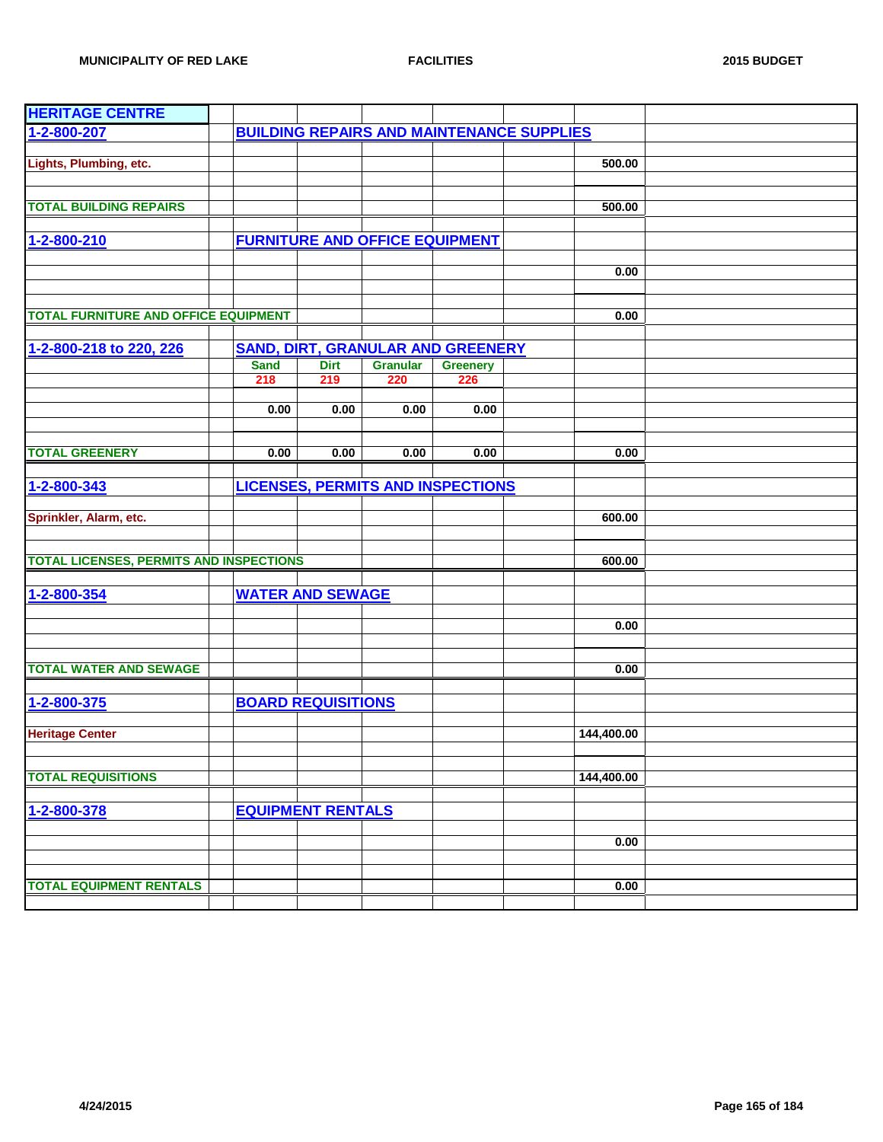| <b>HERITAGE CENTRE</b>                         |                           |             |                                          |                 |                                                  |            |  |
|------------------------------------------------|---------------------------|-------------|------------------------------------------|-----------------|--------------------------------------------------|------------|--|
| 1-2-800-207                                    |                           |             |                                          |                 | <b>BUILDING REPAIRS AND MAINTENANCE SUPPLIES</b> |            |  |
|                                                |                           |             |                                          |                 |                                                  |            |  |
| Lights, Plumbing, etc.                         |                           |             |                                          |                 |                                                  | 500.00     |  |
|                                                |                           |             |                                          |                 |                                                  |            |  |
|                                                |                           |             |                                          |                 |                                                  |            |  |
| <b>TOTAL BUILDING REPAIRS</b>                  |                           |             |                                          |                 |                                                  | 500.00     |  |
|                                                |                           |             |                                          |                 |                                                  |            |  |
| 1-2-800-210                                    |                           |             | <b>FURNITURE AND OFFICE EQUIPMENT</b>    |                 |                                                  |            |  |
|                                                |                           |             |                                          |                 |                                                  |            |  |
|                                                |                           |             |                                          |                 |                                                  | 0.00       |  |
|                                                |                           |             |                                          |                 |                                                  |            |  |
|                                                |                           |             |                                          |                 |                                                  |            |  |
| <b>TOTAL FURNITURE AND OFFICE EQUIPMENT</b>    |                           |             |                                          |                 |                                                  | 0.00       |  |
|                                                |                           |             |                                          |                 |                                                  |            |  |
| 1-2-800-218 to 220, 226                        |                           |             | <b>SAND, DIRT, GRANULAR AND GREENERY</b> |                 |                                                  |            |  |
|                                                | <b>Sand</b>               | <b>Dirt</b> | <b>Granular</b>                          | <b>Greenery</b> |                                                  |            |  |
|                                                | 218                       | 219         | 220                                      | 226             |                                                  |            |  |
|                                                |                           |             |                                          |                 |                                                  |            |  |
|                                                | 0.00                      | 0.00        | 0.00                                     | 0.00            |                                                  |            |  |
|                                                |                           |             |                                          |                 |                                                  |            |  |
|                                                |                           |             |                                          |                 |                                                  |            |  |
| <b>TOTAL GREENERY</b>                          | 0.00                      | 0.00        | 0.00                                     | 0.00            |                                                  | 0.00       |  |
|                                                |                           |             |                                          |                 |                                                  |            |  |
| 1-2-800-343                                    |                           |             | <b>LICENSES, PERMITS AND INSPECTIONS</b> |                 |                                                  |            |  |
|                                                |                           |             |                                          |                 |                                                  |            |  |
| Sprinkler, Alarm, etc.                         |                           |             |                                          |                 |                                                  | 600.00     |  |
|                                                |                           |             |                                          |                 |                                                  |            |  |
| <b>TOTAL LICENSES, PERMITS AND INSPECTIONS</b> |                           |             |                                          |                 |                                                  | 600.00     |  |
|                                                |                           |             |                                          |                 |                                                  |            |  |
|                                                |                           |             |                                          |                 |                                                  |            |  |
| 1-2-800-354                                    | <b>WATER AND SEWAGE</b>   |             |                                          |                 |                                                  |            |  |
|                                                |                           |             |                                          |                 |                                                  |            |  |
|                                                |                           |             |                                          |                 |                                                  | 0.00       |  |
|                                                |                           |             |                                          |                 |                                                  |            |  |
| <b>TOTAL WATER AND SEWAGE</b>                  |                           |             |                                          |                 |                                                  | 0.00       |  |
|                                                |                           |             |                                          |                 |                                                  |            |  |
| 1-2-800-375                                    | <b>BOARD REQUISITIONS</b> |             |                                          |                 |                                                  |            |  |
|                                                |                           |             |                                          |                 |                                                  |            |  |
| <b>Heritage Center</b>                         |                           |             |                                          |                 |                                                  | 144,400.00 |  |
|                                                |                           |             |                                          |                 |                                                  |            |  |
|                                                |                           |             |                                          |                 |                                                  |            |  |
| <b>TOTAL REQUISITIONS</b>                      |                           |             |                                          |                 |                                                  | 144,400.00 |  |
|                                                |                           |             |                                          |                 |                                                  |            |  |
| 1-2-800-378                                    | <b>EQUIPMENT RENTALS</b>  |             |                                          |                 |                                                  |            |  |
|                                                |                           |             |                                          |                 |                                                  |            |  |
|                                                |                           |             |                                          |                 |                                                  | 0.00       |  |
|                                                |                           |             |                                          |                 |                                                  |            |  |
|                                                |                           |             |                                          |                 |                                                  |            |  |
| <b>TOTAL EQUIPMENT RENTALS</b>                 |                           |             |                                          |                 |                                                  | 0.00       |  |
|                                                |                           |             |                                          |                 |                                                  |            |  |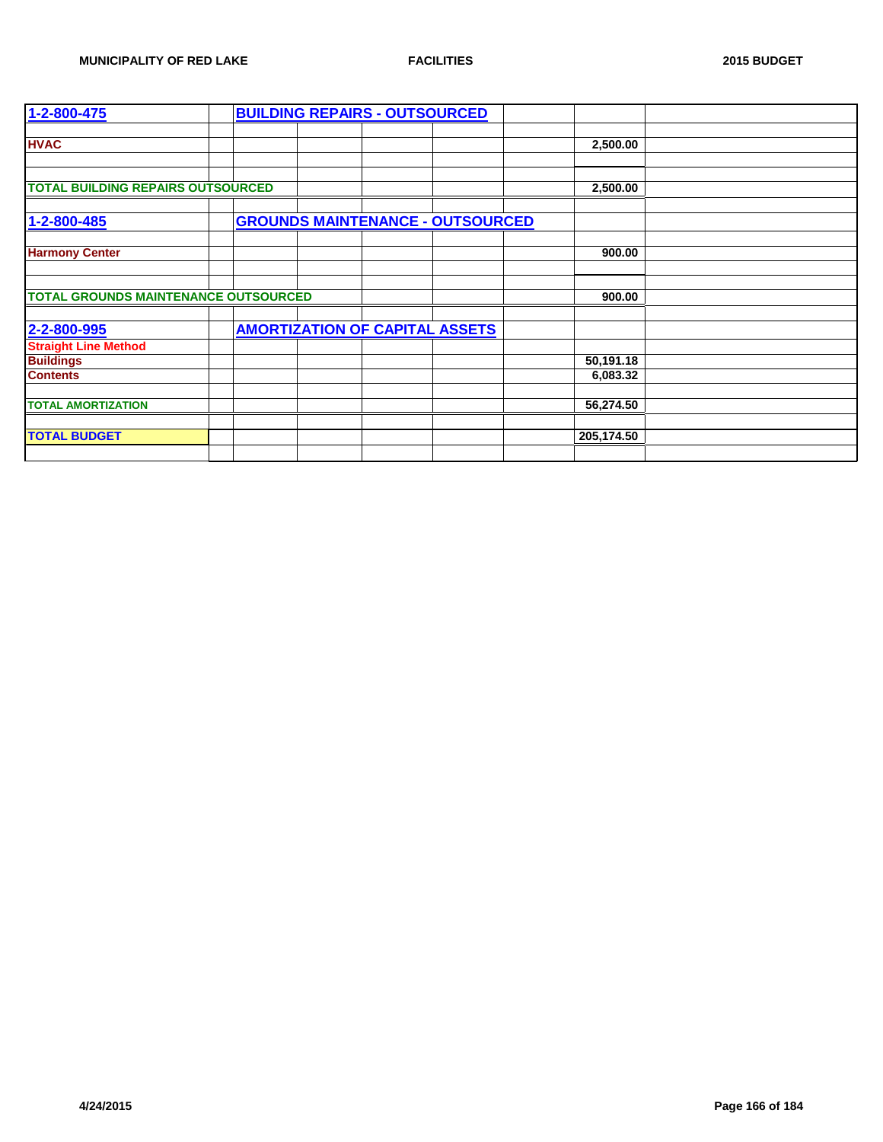| 1-2-800-475                                 |  | <b>BUILDING REPAIRS - OUTSOURCED</b>    |  |            |  |
|---------------------------------------------|--|-----------------------------------------|--|------------|--|
|                                             |  |                                         |  |            |  |
| <b>HVAC</b>                                 |  |                                         |  | 2,500.00   |  |
|                                             |  |                                         |  |            |  |
|                                             |  |                                         |  |            |  |
| <b>TOTAL BUILDING REPAIRS OUTSOURCED</b>    |  |                                         |  | 2,500.00   |  |
|                                             |  |                                         |  |            |  |
| 1-2-800-485                                 |  | <b>GROUNDS MAINTENANCE - OUTSOURCED</b> |  |            |  |
|                                             |  |                                         |  |            |  |
| <b>Harmony Center</b>                       |  |                                         |  | 900.00     |  |
|                                             |  |                                         |  |            |  |
|                                             |  |                                         |  |            |  |
| <b>TOTAL GROUNDS MAINTENANCE OUTSOURCED</b> |  |                                         |  | 900.00     |  |
|                                             |  |                                         |  |            |  |
| 2-2-800-995                                 |  | <b>AMORTIZATION OF CAPITAL ASSETS</b>   |  |            |  |
| <b>Straight Line Method</b>                 |  |                                         |  |            |  |
| <b>Buildings</b>                            |  |                                         |  | 50,191.18  |  |
| <b>Contents</b>                             |  |                                         |  | 6,083.32   |  |
|                                             |  |                                         |  |            |  |
| <b>TOTAL AMORTIZATION</b>                   |  |                                         |  | 56,274.50  |  |
|                                             |  |                                         |  |            |  |
| <b>TOTAL BUDGET</b>                         |  |                                         |  | 205,174.50 |  |
|                                             |  |                                         |  |            |  |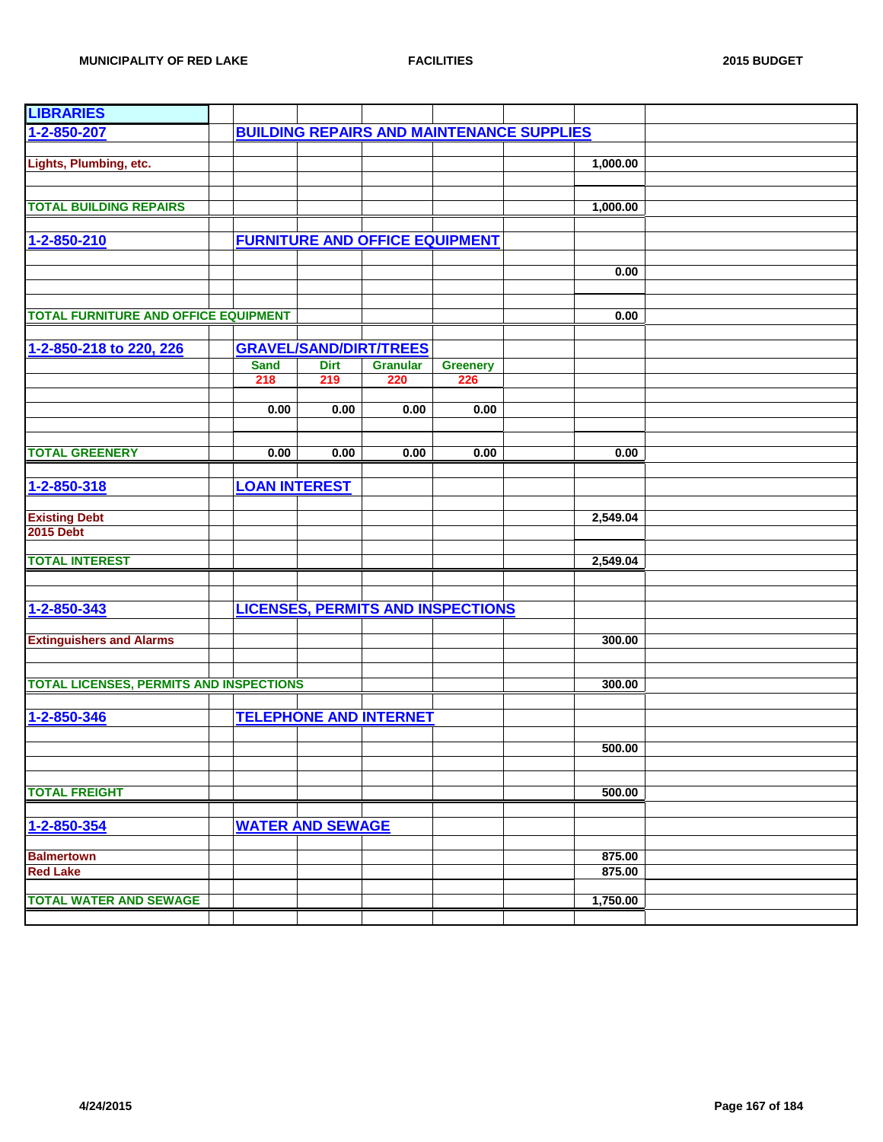| <b>LIBRARIES</b>                               |                         |             |                                       |                                          |                                                  |          |  |
|------------------------------------------------|-------------------------|-------------|---------------------------------------|------------------------------------------|--------------------------------------------------|----------|--|
| 1-2-850-207                                    |                         |             |                                       |                                          | <b>BUILDING REPAIRS AND MAINTENANCE SUPPLIES</b> |          |  |
|                                                |                         |             |                                       |                                          |                                                  |          |  |
| Lights, Plumbing, etc.                         |                         |             |                                       |                                          |                                                  | 1,000.00 |  |
|                                                |                         |             |                                       |                                          |                                                  |          |  |
|                                                |                         |             |                                       |                                          |                                                  |          |  |
| <b>TOTAL BUILDING REPAIRS</b>                  |                         |             |                                       |                                          |                                                  | 1,000.00 |  |
|                                                |                         |             |                                       |                                          |                                                  |          |  |
| 1-2-850-210                                    |                         |             | <b>FURNITURE AND OFFICE EQUIPMENT</b> |                                          |                                                  |          |  |
|                                                |                         |             |                                       |                                          |                                                  |          |  |
|                                                |                         |             |                                       |                                          |                                                  | 0.00     |  |
|                                                |                         |             |                                       |                                          |                                                  |          |  |
|                                                |                         |             |                                       |                                          |                                                  |          |  |
| <b>TOTAL FURNITURE AND OFFICE EQUIPMENT</b>    |                         |             |                                       |                                          |                                                  | 0.00     |  |
|                                                |                         |             |                                       |                                          |                                                  |          |  |
| 1-2-850-218 to 220, 226                        |                         |             | <b>GRAVEL/SAND/DIRT/TREES</b>         |                                          |                                                  |          |  |
|                                                | <b>Sand</b>             | <b>Dirt</b> | <b>Granular</b>                       | <b>Greenery</b>                          |                                                  |          |  |
|                                                | 218                     | 219         | 220                                   | 226                                      |                                                  |          |  |
|                                                |                         |             |                                       |                                          |                                                  |          |  |
|                                                | 0.00                    | 0.00        | 0.00                                  | 0.00                                     |                                                  |          |  |
|                                                |                         |             |                                       |                                          |                                                  |          |  |
|                                                |                         |             |                                       |                                          |                                                  |          |  |
| <b>TOTAL GREENERY</b>                          | 0.00                    | 0.00        | 0.00                                  | 0.00                                     |                                                  | 0.00     |  |
|                                                |                         |             |                                       |                                          |                                                  |          |  |
| 1-2-850-318                                    | <b>LOAN INTEREST</b>    |             |                                       |                                          |                                                  |          |  |
|                                                |                         |             |                                       |                                          |                                                  |          |  |
| <b>Existing Debt</b>                           |                         |             |                                       |                                          |                                                  | 2,549.04 |  |
| <b>2015 Debt</b>                               |                         |             |                                       |                                          |                                                  |          |  |
|                                                |                         |             |                                       |                                          |                                                  |          |  |
| <b>TOTAL INTEREST</b>                          |                         |             |                                       |                                          |                                                  | 2,549.04 |  |
|                                                |                         |             |                                       |                                          |                                                  |          |  |
|                                                |                         |             |                                       |                                          |                                                  |          |  |
| 1-2-850-343                                    |                         |             |                                       | <b>LICENSES, PERMITS AND INSPECTIONS</b> |                                                  |          |  |
|                                                |                         |             |                                       |                                          |                                                  |          |  |
| <b>Extinguishers and Alarms</b>                |                         |             |                                       |                                          |                                                  | 300.00   |  |
|                                                |                         |             |                                       |                                          |                                                  |          |  |
|                                                |                         |             |                                       |                                          |                                                  |          |  |
| <b>TOTAL LICENSES, PERMITS AND INSPECTIONS</b> |                         |             |                                       |                                          |                                                  | 300.00   |  |
|                                                |                         |             |                                       |                                          |                                                  |          |  |
| 1-2-850-346                                    |                         |             | <b>TELEPHONE AND INTERNET</b>         |                                          |                                                  |          |  |
|                                                |                         |             |                                       |                                          |                                                  |          |  |
|                                                |                         |             |                                       |                                          |                                                  | 500.00   |  |
|                                                |                         |             |                                       |                                          |                                                  |          |  |
|                                                |                         |             |                                       |                                          |                                                  |          |  |
| <b>TOTAL FREIGHT</b>                           |                         |             |                                       |                                          |                                                  | 500.00   |  |
|                                                |                         |             |                                       |                                          |                                                  |          |  |
| 1-2-850-354                                    | <b>WATER AND SEWAGE</b> |             |                                       |                                          |                                                  |          |  |
|                                                |                         |             |                                       |                                          |                                                  |          |  |
| <b>Balmertown</b>                              |                         |             |                                       |                                          |                                                  | 875.00   |  |
| <b>Red Lake</b>                                |                         |             |                                       |                                          |                                                  | 875.00   |  |
|                                                |                         |             |                                       |                                          |                                                  |          |  |
| <b>TOTAL WATER AND SEWAGE</b>                  |                         |             |                                       |                                          |                                                  | 1,750.00 |  |
|                                                |                         |             |                                       |                                          |                                                  |          |  |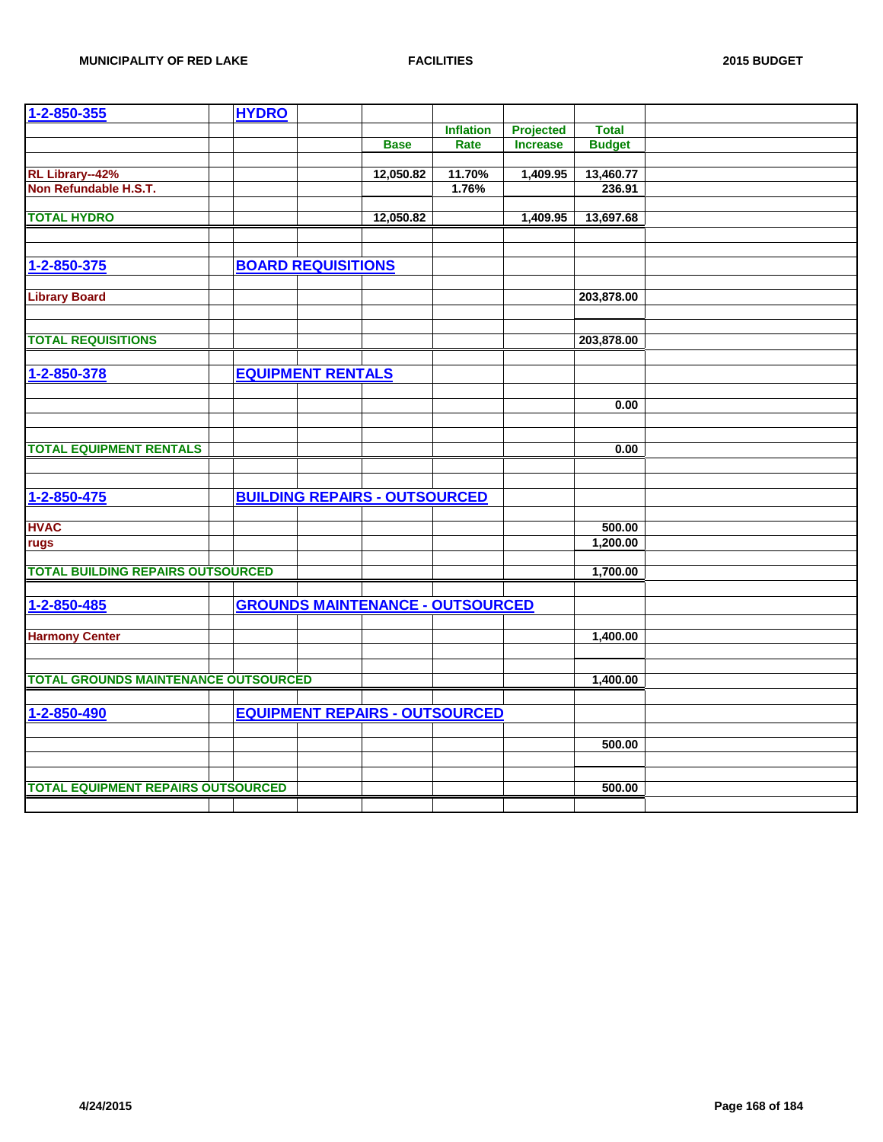| 1-2-850-355                                 | <b>HYDRO</b> |                           |                                         |                  |                 |               |  |
|---------------------------------------------|--------------|---------------------------|-----------------------------------------|------------------|-----------------|---------------|--|
|                                             |              |                           |                                         | <b>Inflation</b> | Projected       | <b>Total</b>  |  |
|                                             |              |                           | <b>Base</b>                             | Rate             | <b>Increase</b> | <b>Budget</b> |  |
|                                             |              |                           |                                         |                  |                 |               |  |
| RL Library--42%                             |              |                           | 12,050.82                               | 11.70%           | 1,409.95        | 13,460.77     |  |
| Non Refundable H.S.T.                       |              |                           |                                         | 1.76%            |                 | 236.91        |  |
|                                             |              |                           |                                         |                  |                 |               |  |
| <b>TOTAL HYDRO</b>                          |              |                           | 12,050.82                               |                  | 1,409.95        | 13,697.68     |  |
|                                             |              |                           |                                         |                  |                 |               |  |
|                                             |              |                           |                                         |                  |                 |               |  |
| 1-2-850-375                                 |              | <b>BOARD REQUISITIONS</b> |                                         |                  |                 |               |  |
|                                             |              |                           |                                         |                  |                 |               |  |
| <b>Library Board</b>                        |              |                           |                                         |                  |                 | 203,878.00    |  |
|                                             |              |                           |                                         |                  |                 |               |  |
|                                             |              |                           |                                         |                  |                 |               |  |
| <b>TOTAL REQUISITIONS</b>                   |              |                           |                                         |                  |                 | 203,878.00    |  |
|                                             |              |                           |                                         |                  |                 |               |  |
| 1-2-850-378                                 |              | <b>EQUIPMENT RENTALS</b>  |                                         |                  |                 |               |  |
|                                             |              |                           |                                         |                  |                 |               |  |
|                                             |              |                           |                                         |                  |                 |               |  |
|                                             |              |                           |                                         |                  |                 | 0.00          |  |
|                                             |              |                           |                                         |                  |                 |               |  |
| <b>TOTAL EQUIPMENT RENTALS</b>              |              |                           |                                         |                  |                 | 0.00          |  |
|                                             |              |                           |                                         |                  |                 |               |  |
|                                             |              |                           |                                         |                  |                 |               |  |
| 1-2-850-475                                 |              |                           | <b>BUILDING REPAIRS - OUTSOURCED</b>    |                  |                 |               |  |
|                                             |              |                           |                                         |                  |                 |               |  |
| <b>HVAC</b>                                 |              |                           |                                         |                  |                 | 500.00        |  |
| rugs                                        |              |                           |                                         |                  |                 | 1,200.00      |  |
|                                             |              |                           |                                         |                  |                 |               |  |
| <b>TOTAL BUILDING REPAIRS OUTSOURCED</b>    |              |                           |                                         |                  |                 | 1,700.00      |  |
|                                             |              |                           |                                         |                  |                 |               |  |
| 1-2-850-485                                 |              |                           | <b>GROUNDS MAINTENANCE - OUTSOURCED</b> |                  |                 |               |  |
|                                             |              |                           |                                         |                  |                 |               |  |
| <b>Harmony Center</b>                       |              |                           |                                         |                  |                 | 1,400.00      |  |
|                                             |              |                           |                                         |                  |                 |               |  |
|                                             |              |                           |                                         |                  |                 |               |  |
| <b>TOTAL GROUNDS MAINTENANCE OUTSOURCED</b> |              |                           |                                         |                  |                 | 1,400.00      |  |
|                                             |              |                           |                                         |                  |                 |               |  |
|                                             |              |                           |                                         |                  |                 |               |  |
| 1-2-850-490                                 |              |                           | <b>EQUIPMENT REPAIRS - OUTSOURCED</b>   |                  |                 |               |  |
|                                             |              |                           |                                         |                  |                 |               |  |
|                                             |              |                           |                                         |                  |                 | 500.00        |  |
|                                             |              |                           |                                         |                  |                 |               |  |
|                                             |              |                           |                                         |                  |                 |               |  |
| <b>TOTAL EQUIPMENT REPAIRS OUTSOURCED</b>   |              |                           |                                         |                  |                 | 500.00        |  |
|                                             |              |                           |                                         |                  |                 |               |  |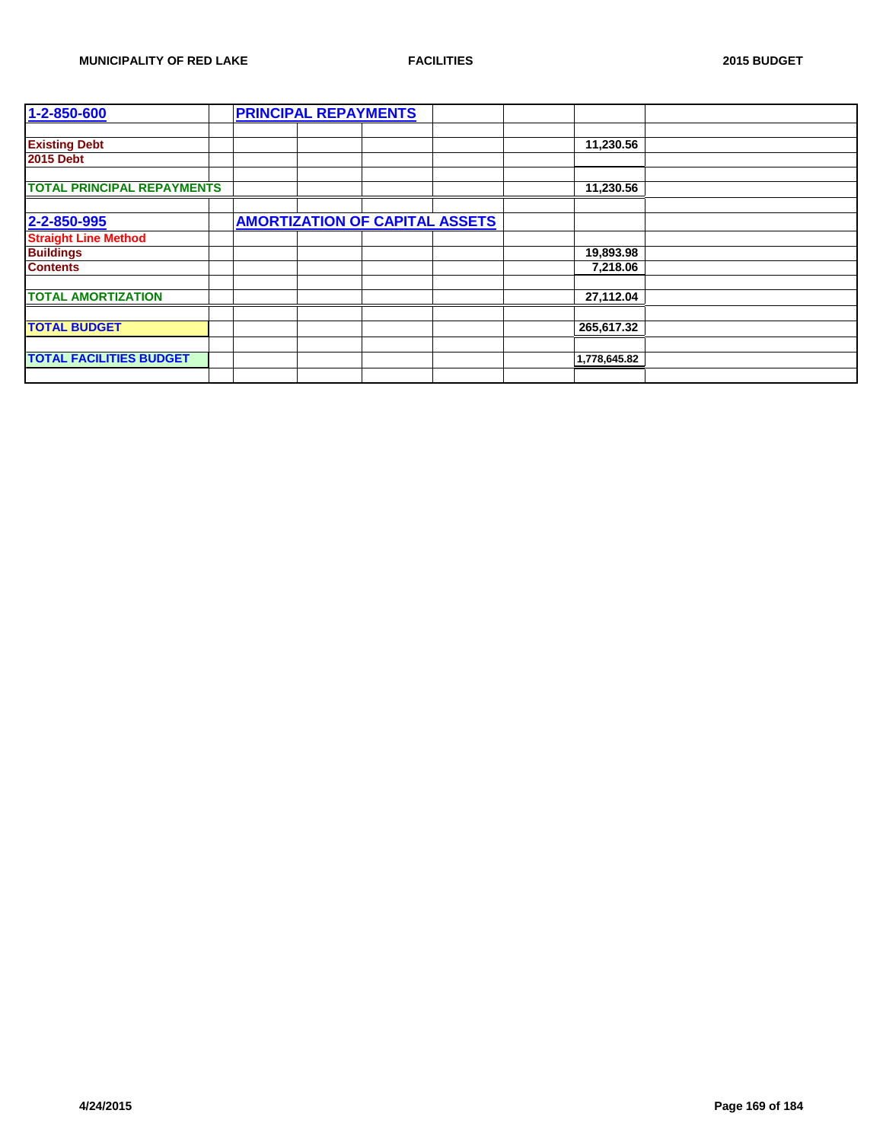| 1-2-850-600                       | <b>PRINCIPAL REPAYMENTS</b>           |              |  |
|-----------------------------------|---------------------------------------|--------------|--|
|                                   |                                       |              |  |
| <b>Existing Debt</b>              |                                       | 11,230.56    |  |
| <b>2015 Debt</b>                  |                                       |              |  |
|                                   |                                       |              |  |
| <b>TOTAL PRINCIPAL REPAYMENTS</b> |                                       | 11,230.56    |  |
|                                   |                                       |              |  |
| 2-2-850-995                       | <b>AMORTIZATION OF CAPITAL ASSETS</b> |              |  |
| <b>Straight Line Method</b>       |                                       |              |  |
| <b>Buildings</b>                  |                                       | 19,893.98    |  |
| <b>Contents</b>                   |                                       | 7,218.06     |  |
|                                   |                                       |              |  |
| <b>TOTAL AMORTIZATION</b>         |                                       | 27,112.04    |  |
|                                   |                                       |              |  |
| <b>TOTAL BUDGET</b>               |                                       | 265,617.32   |  |
|                                   |                                       |              |  |
| <b>TOTAL FACILITIES BUDGET</b>    |                                       | 1,778,645.82 |  |
|                                   |                                       |              |  |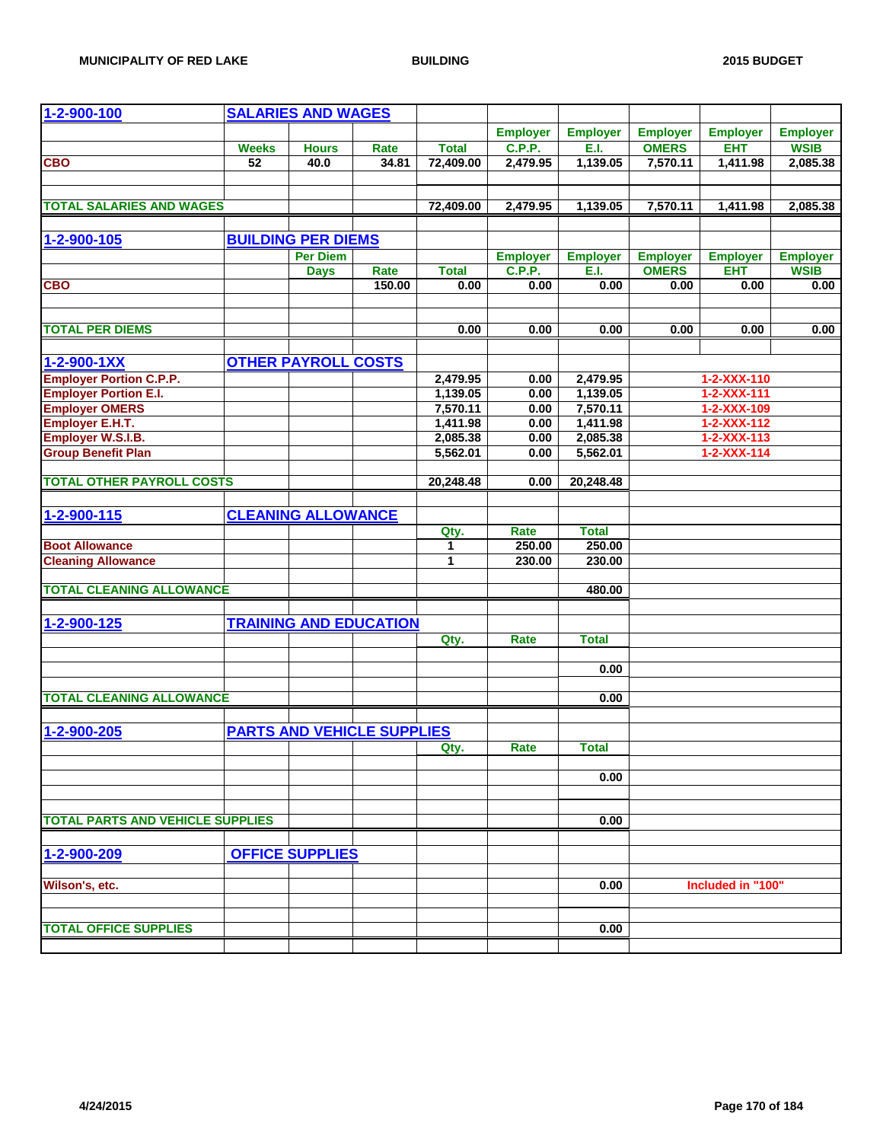| 1-2-900-100                             |              | <b>SALARIES AND WAGES</b>         |        |              |                 |                 |                                 |                               |                                |
|-----------------------------------------|--------------|-----------------------------------|--------|--------------|-----------------|-----------------|---------------------------------|-------------------------------|--------------------------------|
|                                         |              |                                   |        |              | <b>Employer</b> | <b>Employer</b> |                                 |                               |                                |
|                                         | <b>Weeks</b> | <b>Hours</b>                      | Rate   | <b>Total</b> | <b>C.P.P.</b>   | E.I.            | <b>Employer</b><br><b>OMERS</b> | <b>Employer</b><br><b>EHT</b> | <b>Employer</b><br><b>WSIB</b> |
| <b>CBO</b>                              | 52           | 40.0                              | 34.81  | 72,409.00    | 2,479.95        | 1,139.05        | 7,570.11                        | 1,411.98                      | 2,085.38                       |
|                                         |              |                                   |        |              |                 |                 |                                 |                               |                                |
|                                         |              |                                   |        |              |                 |                 |                                 |                               |                                |
| <b>TOTAL SALARIES AND WAGES</b>         |              |                                   |        | 72,409.00    | 2,479.95        | 1,139.05        | 7,570.11                        | 1,411.98                      | 2,085.38                       |
|                                         |              |                                   |        |              |                 |                 |                                 |                               |                                |
| 1-2-900-105                             |              | <b>BUILDING PER DIEMS</b>         |        |              |                 |                 |                                 |                               |                                |
|                                         |              | <b>Per Diem</b>                   |        |              | <b>Employer</b> | <b>Employer</b> | <b>Employer</b>                 | <b>Employer</b>               | <b>Employer</b>                |
|                                         |              | <b>Days</b>                       | Rate   | <b>Total</b> | <b>C.P.P.</b>   | E.I.            | <b>OMERS</b>                    | <b>EHT</b>                    | <b>WSIB</b>                    |
| <b>CBO</b>                              |              |                                   | 150.00 | 0.00         | 0.00            | 0.00            | 0.00                            | 0.00                          | 0.00                           |
|                                         |              |                                   |        |              |                 |                 |                                 |                               |                                |
|                                         |              |                                   |        |              |                 |                 |                                 |                               |                                |
| <b>TOTAL PER DIEMS</b>                  |              |                                   |        | 0.00         | 0.00            | 0.00            | 0.00                            | 0.00                          | 0.00                           |
|                                         |              |                                   |        |              |                 |                 |                                 |                               |                                |
| $1 - 2 - 900 - 1XX$                     |              | <b>OTHER PAYROLL COSTS</b>        |        |              |                 |                 |                                 |                               |                                |
| <b>Employer Portion C.P.P.</b>          |              |                                   |        | 2,479.95     | 0.00            | 2,479.95        |                                 | 1-2-XXX-110                   |                                |
| <b>Employer Portion E.I.</b>            |              |                                   |        | 1,139.05     | 0.00            | 1,139.05        |                                 | $1 - 2 - XXX - 111$           |                                |
| <b>Employer OMERS</b>                   |              |                                   |        | 7,570.11     | 0.00            | 7,570.11        |                                 | 1-2-XXX-109                   |                                |
| <b>Employer E.H.T.</b>                  |              |                                   |        | 1,411.98     | 0.00            | 1,411.98        |                                 | 1-2-XXX-112                   |                                |
| <b>Employer W.S.I.B.</b>                |              |                                   |        | 2,085.38     | 0.00            | 2,085.38        |                                 | $1 - 2 - XXX - 113$           |                                |
| <b>Group Benefit Plan</b>               |              |                                   |        | 5,562.01     | 0.00            | 5,562.01        |                                 | $1 - 2 - XXX - 114$           |                                |
|                                         |              |                                   |        |              |                 |                 |                                 |                               |                                |
| <b>TOTAL OTHER PAYROLL COSTS</b>        |              |                                   |        | 20,248.48    | 0.00            | 20,248.48       |                                 |                               |                                |
|                                         |              |                                   |        |              |                 |                 |                                 |                               |                                |
| 1-2-900-115                             |              | <b>CLEANING ALLOWANCE</b>         |        |              |                 |                 |                                 |                               |                                |
|                                         |              |                                   |        | Qty.         | Rate            | <b>Total</b>    |                                 |                               |                                |
| <b>Boot Allowance</b>                   |              |                                   |        | 1            | 250.00          | 250.00          |                                 |                               |                                |
| <b>Cleaning Allowance</b>               |              |                                   |        | 1            | 230.00          | 230.00          |                                 |                               |                                |
| <b>TOTAL CLEANING ALLOWANCE</b>         |              |                                   |        |              |                 | 480.00          |                                 |                               |                                |
|                                         |              |                                   |        |              |                 |                 |                                 |                               |                                |
|                                         |              |                                   |        |              |                 |                 |                                 |                               |                                |
| 1-2-900-125                             |              | <b>TRAINING AND EDUCATION</b>     |        |              |                 |                 |                                 |                               |                                |
|                                         |              |                                   |        | Qty.         | Rate            | <b>Total</b>    |                                 |                               |                                |
|                                         |              |                                   |        |              |                 | 0.00            |                                 |                               |                                |
|                                         |              |                                   |        |              |                 |                 |                                 |                               |                                |
| <b>TOTAL CLEANING ALLOWANCE</b>         |              |                                   |        |              |                 | 0.00            |                                 |                               |                                |
|                                         |              |                                   |        |              |                 |                 |                                 |                               |                                |
| 1-2-900-205                             |              | <b>PARTS AND VEHICLE SUPPLIES</b> |        |              |                 |                 |                                 |                               |                                |
|                                         |              |                                   |        | Qty.         | Rate            | <b>Total</b>    |                                 |                               |                                |
|                                         |              |                                   |        |              |                 |                 |                                 |                               |                                |
|                                         |              |                                   |        |              |                 | 0.00            |                                 |                               |                                |
|                                         |              |                                   |        |              |                 |                 |                                 |                               |                                |
|                                         |              |                                   |        |              |                 |                 |                                 |                               |                                |
| <b>TOTAL PARTS AND VEHICLE SUPPLIES</b> |              |                                   |        |              |                 | 0.00            |                                 |                               |                                |
|                                         |              |                                   |        |              |                 |                 |                                 |                               |                                |
| 1-2-900-209                             |              | <b>OFFICE SUPPLIES</b>            |        |              |                 |                 |                                 |                               |                                |
|                                         |              |                                   |        |              |                 |                 |                                 |                               |                                |
| Wilson's, etc.                          |              |                                   |        |              |                 | 0.00            |                                 | Included in "100"             |                                |
|                                         |              |                                   |        |              |                 |                 |                                 |                               |                                |
|                                         |              |                                   |        |              |                 |                 |                                 |                               |                                |
| <b>TOTAL OFFICE SUPPLIES</b>            |              |                                   |        |              |                 | 0.00            |                                 |                               |                                |
|                                         |              |                                   |        |              |                 |                 |                                 |                               |                                |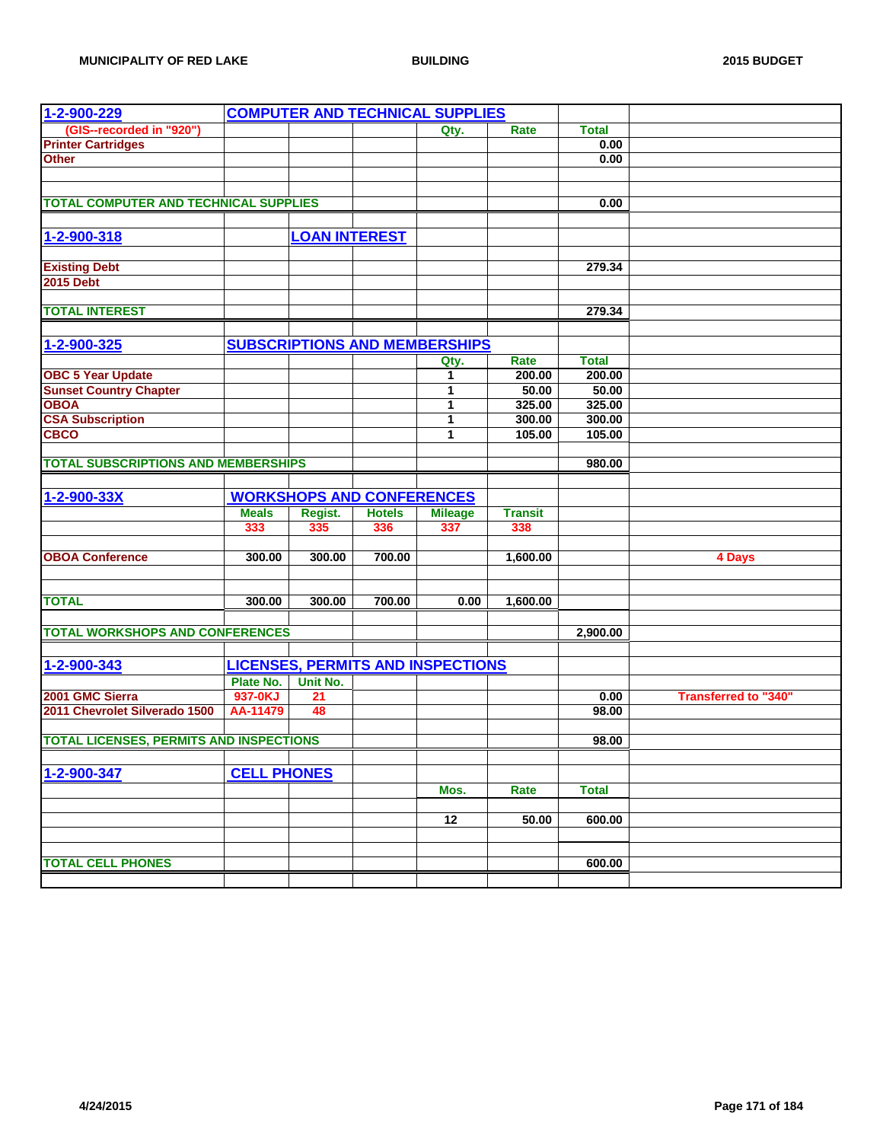| 1-2-900-229                                    |                    |                      |                                  | <b>COMPUTER AND TECHNICAL SUPPLIES</b>   |                |              |                             |
|------------------------------------------------|--------------------|----------------------|----------------------------------|------------------------------------------|----------------|--------------|-----------------------------|
| (GIS--recorded in "920")                       |                    |                      |                                  | Qty.                                     | Rate           | <b>Total</b> |                             |
| <b>Printer Cartridges</b>                      |                    |                      |                                  |                                          |                | 0.00         |                             |
| <b>Other</b>                                   |                    |                      |                                  |                                          |                | 0.00         |                             |
|                                                |                    |                      |                                  |                                          |                |              |                             |
|                                                |                    |                      |                                  |                                          |                |              |                             |
| <b>TOTAL COMPUTER AND TECHNICAL SUPPLIES</b>   |                    |                      |                                  |                                          |                | 0.00         |                             |
|                                                |                    |                      |                                  |                                          |                |              |                             |
|                                                |                    |                      |                                  |                                          |                |              |                             |
| 1-2-900-318                                    |                    | <b>LOAN INTEREST</b> |                                  |                                          |                |              |                             |
|                                                |                    |                      |                                  |                                          |                |              |                             |
| <b>Existing Debt</b>                           |                    |                      |                                  |                                          |                | 279.34       |                             |
| <b>2015 Debt</b>                               |                    |                      |                                  |                                          |                |              |                             |
|                                                |                    |                      |                                  |                                          |                |              |                             |
| <b>TOTAL INTEREST</b>                          |                    |                      |                                  |                                          |                | 279.34       |                             |
|                                                |                    |                      |                                  |                                          |                |              |                             |
| 1-2-900-325                                    |                    |                      |                                  | <b>SUBSCRIPTIONS AND MEMBERSHIPS</b>     |                |              |                             |
|                                                |                    |                      |                                  | Qty.                                     | Rate           | <b>Total</b> |                             |
| <b>OBC 5 Year Update</b>                       |                    |                      |                                  | 1                                        | 200.00         | 200.00       |                             |
| <b>Sunset Country Chapter</b>                  |                    |                      |                                  | 1                                        | 50.00          | 50.00        |                             |
| <b>OBOA</b>                                    |                    |                      |                                  | 1                                        | 325.00         | 325.00       |                             |
| <b>CSA Subscription</b>                        |                    |                      |                                  | 1                                        | 300.00         | 300.00       |                             |
| <b>CBCO</b>                                    |                    |                      |                                  | 1                                        | 105.00         | 105.00       |                             |
|                                                |                    |                      |                                  |                                          |                |              |                             |
| <b>TOTAL SUBSCRIPTIONS AND MEMBERSHIPS</b>     |                    |                      |                                  |                                          |                | 980.00       |                             |
|                                                |                    |                      |                                  |                                          |                |              |                             |
| 1-2-900-33X                                    |                    |                      | <b>WORKSHOPS AND CONFERENCES</b> |                                          |                |              |                             |
|                                                | <b>Meals</b>       | Regist.              | <b>Hotels</b>                    | <b>Mileage</b>                           | <b>Transit</b> |              |                             |
|                                                | 333                | 335                  | 336                              | 337                                      | 338            |              |                             |
|                                                |                    |                      |                                  |                                          |                |              |                             |
| <b>OBOA Conference</b>                         | 300.00             | 300.00               | 700.00                           |                                          | 1,600.00       |              | 4 Days                      |
|                                                |                    |                      |                                  |                                          |                |              |                             |
|                                                |                    |                      |                                  |                                          |                |              |                             |
| <b>TOTAL</b>                                   | 300.00             | 300.00               | 700.00                           | 0.00                                     | 1,600.00       |              |                             |
|                                                |                    |                      |                                  |                                          |                |              |                             |
| <b>TOTAL WORKSHOPS AND CONFERENCES</b>         |                    |                      |                                  |                                          |                | 2,900.00     |                             |
|                                                |                    |                      |                                  |                                          |                |              |                             |
| 1-2-900-343                                    |                    |                      |                                  | <b>LICENSES, PERMITS AND INSPECTIONS</b> |                |              |                             |
|                                                | Plate No.          | Unit No.             |                                  |                                          |                |              |                             |
| 2001 GMC Sierra                                | 937-0KJ            | 21                   |                                  |                                          |                | 0.00         | <b>Transferred to "340"</b> |
| 2011 Chevrolet Silverado 1500                  | AA-11479           | 48                   |                                  |                                          |                | 98.00        |                             |
|                                                |                    |                      |                                  |                                          |                |              |                             |
| <b>TOTAL LICENSES, PERMITS AND INSPECTIONS</b> |                    |                      |                                  |                                          |                | 98.00        |                             |
|                                                |                    |                      |                                  |                                          |                |              |                             |
|                                                |                    |                      |                                  |                                          |                |              |                             |
| 1-2-900-347                                    | <b>CELL PHONES</b> |                      |                                  |                                          |                |              |                             |
|                                                |                    |                      |                                  | Mos.                                     | Rate           | <b>Total</b> |                             |
|                                                |                    |                      |                                  |                                          |                |              |                             |
|                                                |                    |                      |                                  | $\overline{12}$                          | 50.00          | 600.00       |                             |
|                                                |                    |                      |                                  |                                          |                |              |                             |
|                                                |                    |                      |                                  |                                          |                |              |                             |
| <b>TOTAL CELL PHONES</b>                       |                    |                      |                                  |                                          |                | 600.00       |                             |
|                                                |                    |                      |                                  |                                          |                |              |                             |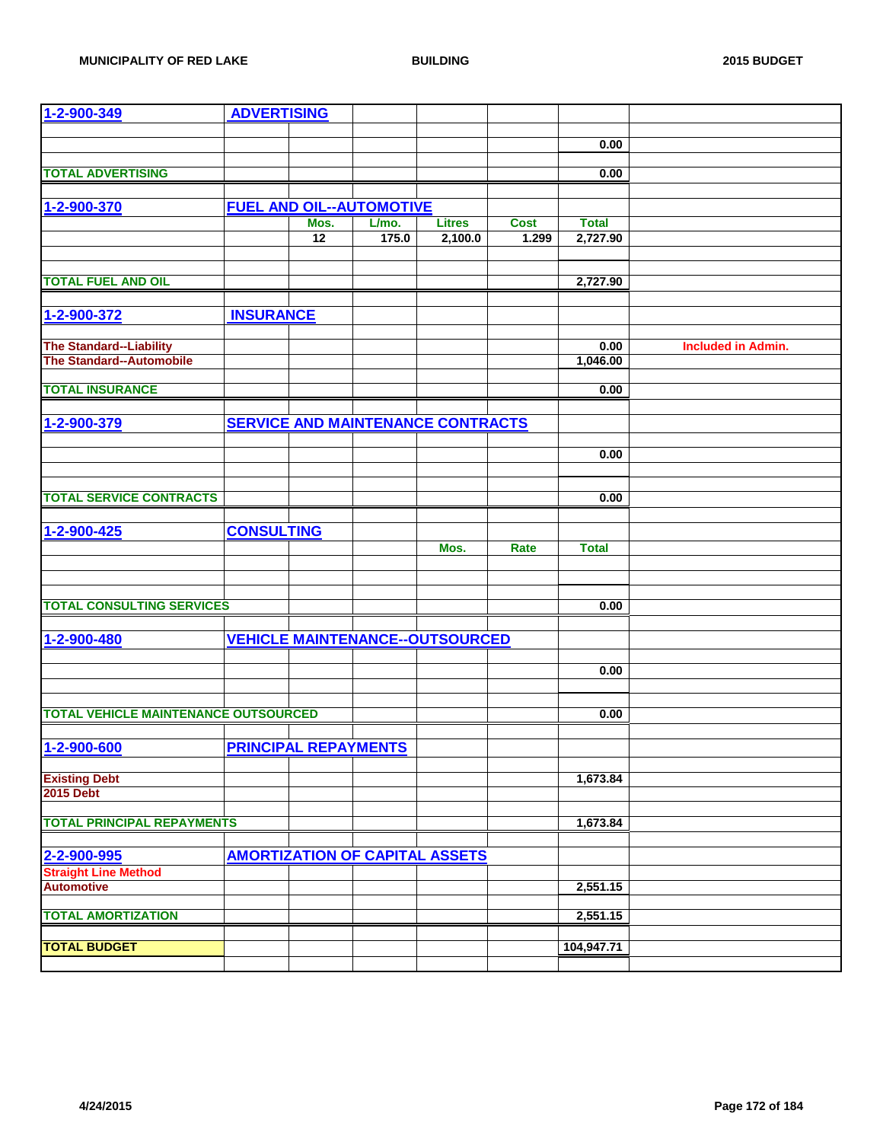| 1-2-900-349                                 | <b>ADVERTISING</b>          |                 |                                 |                                          |             |              |                           |
|---------------------------------------------|-----------------------------|-----------------|---------------------------------|------------------------------------------|-------------|--------------|---------------------------|
|                                             |                             |                 |                                 |                                          |             |              |                           |
|                                             |                             |                 |                                 |                                          |             | 0.00         |                           |
|                                             |                             |                 |                                 |                                          |             |              |                           |
| <b>TOTAL ADVERTISING</b>                    |                             |                 |                                 |                                          |             | 0.00         |                           |
|                                             |                             |                 |                                 |                                          |             |              |                           |
| 1-2-900-370                                 |                             |                 | <b>FUEL AND OIL--AUTOMOTIVE</b> |                                          |             |              |                           |
|                                             |                             | Mos.            | L/mo.                           | <b>Litres</b>                            | <b>Cost</b> | <b>Total</b> |                           |
|                                             |                             | $\overline{12}$ | 175.0                           | 2,100.0                                  | 1.299       | 2,727.90     |                           |
|                                             |                             |                 |                                 |                                          |             |              |                           |
|                                             |                             |                 |                                 |                                          |             |              |                           |
| <b>TOTAL FUEL AND OIL</b>                   |                             |                 |                                 |                                          |             | 2,727.90     |                           |
|                                             |                             |                 |                                 |                                          |             |              |                           |
| 1-2-900-372                                 | <b>INSURANCE</b>            |                 |                                 |                                          |             |              |                           |
|                                             |                             |                 |                                 |                                          |             |              |                           |
| <b>The Standard--Liability</b>              |                             |                 |                                 |                                          |             | 0.00         | <b>Included in Admin.</b> |
| <b>The Standard--Automobile</b>             |                             |                 |                                 |                                          |             | 1,046.00     |                           |
|                                             |                             |                 |                                 |                                          |             |              |                           |
| <b>TOTAL INSURANCE</b>                      |                             |                 |                                 |                                          |             | 0.00         |                           |
|                                             |                             |                 |                                 |                                          |             |              |                           |
|                                             |                             |                 |                                 |                                          |             |              |                           |
| 1-2-900-379                                 |                             |                 |                                 | <b>SERVICE AND MAINTENANCE CONTRACTS</b> |             |              |                           |
|                                             |                             |                 |                                 |                                          |             |              |                           |
|                                             |                             |                 |                                 |                                          |             | 0.00         |                           |
|                                             |                             |                 |                                 |                                          |             |              |                           |
|                                             |                             |                 |                                 |                                          |             |              |                           |
| <b>TOTAL SERVICE CONTRACTS</b>              |                             |                 |                                 |                                          |             | 0.00         |                           |
|                                             |                             |                 |                                 |                                          |             |              |                           |
| 1-2-900-425                                 | <b>CONSULTING</b>           |                 |                                 |                                          |             |              |                           |
|                                             |                             |                 |                                 | Mos.                                     | Rate        | <b>Total</b> |                           |
|                                             |                             |                 |                                 |                                          |             |              |                           |
|                                             |                             |                 |                                 |                                          |             |              |                           |
|                                             |                             |                 |                                 |                                          |             |              |                           |
| <b>TOTAL CONSULTING SERVICES</b>            |                             |                 |                                 |                                          |             | 0.00         |                           |
|                                             |                             |                 |                                 |                                          |             |              |                           |
| 1-2-900-480                                 |                             |                 |                                 | <b>VEHICLE MAINTENANCE--OUTSOURCED</b>   |             |              |                           |
|                                             |                             |                 |                                 |                                          |             |              |                           |
|                                             |                             |                 |                                 |                                          |             | 0.00         |                           |
|                                             |                             |                 |                                 |                                          |             |              |                           |
|                                             |                             |                 |                                 |                                          |             |              |                           |
| <b>TOTAL VEHICLE MAINTENANCE OUTSOURCED</b> |                             |                 |                                 |                                          |             | 0.00         |                           |
|                                             |                             |                 |                                 |                                          |             |              |                           |
| 1-2-900-600                                 | <b>PRINCIPAL REPAYMENTS</b> |                 |                                 |                                          |             |              |                           |
|                                             |                             |                 |                                 |                                          |             |              |                           |
| <b>Existing Debt</b>                        |                             |                 |                                 |                                          |             | 1,673.84     |                           |
| <b>2015 Debt</b>                            |                             |                 |                                 |                                          |             |              |                           |
|                                             |                             |                 |                                 |                                          |             |              |                           |
| <b>TOTAL PRINCIPAL REPAYMENTS</b>           |                             |                 |                                 |                                          |             | 1,673.84     |                           |
|                                             |                             |                 |                                 |                                          |             |              |                           |
| 2-2-900-995                                 |                             |                 |                                 | <b>AMORTIZATION OF CAPITAL ASSETS</b>    |             |              |                           |
| <b>Straight Line Method</b>                 |                             |                 |                                 |                                          |             |              |                           |
| <b>Automotive</b>                           |                             |                 |                                 |                                          |             | 2,551.15     |                           |
|                                             |                             |                 |                                 |                                          |             |              |                           |
| <b>TOTAL AMORTIZATION</b>                   |                             |                 |                                 |                                          |             | 2,551.15     |                           |
|                                             |                             |                 |                                 |                                          |             |              |                           |
| <b>TOTAL BUDGET</b>                         |                             |                 |                                 |                                          |             | 104,947.71   |                           |
|                                             |                             |                 |                                 |                                          |             |              |                           |
|                                             |                             |                 |                                 |                                          |             |              |                           |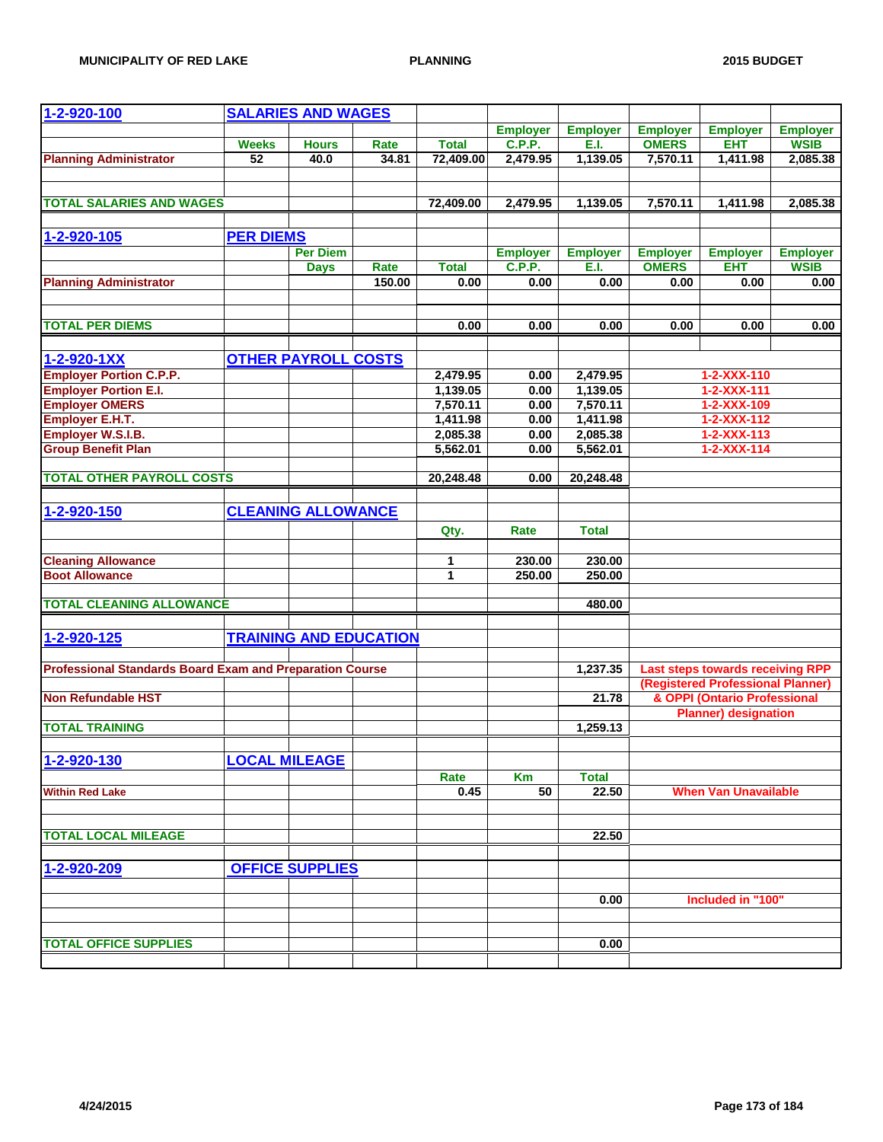| 1-2-920-100                                                     |                  | <b>SALARIES AND WAGES</b>     |        |              |                 |                 |                 |                                         |                 |
|-----------------------------------------------------------------|------------------|-------------------------------|--------|--------------|-----------------|-----------------|-----------------|-----------------------------------------|-----------------|
|                                                                 |                  |                               |        |              | <b>Employer</b> | <b>Employer</b> | <b>Employer</b> | <b>Employer</b>                         | <b>Employer</b> |
|                                                                 | <b>Weeks</b>     | <b>Hours</b>                  | Rate   | <b>Total</b> | <b>C.P.P.</b>   | E.I.            | <b>OMERS</b>    | <b>EHT</b>                              | <b>WSIB</b>     |
| <b>Planning Administrator</b>                                   | $\overline{52}$  | 40.0                          | 34.81  | 72,409.00    | 2,479.95        | 1,139.05        | 7,570.11        | 1,411.98                                | 2,085.38        |
|                                                                 |                  |                               |        |              |                 |                 |                 |                                         |                 |
| <b>TOTAL SALARIES AND WAGES</b>                                 |                  |                               |        | 72,409.00    | 2,479.95        | 1,139.05        | 7,570.11        | 1,411.98                                | 2,085.38        |
|                                                                 |                  |                               |        |              |                 |                 |                 |                                         |                 |
| 1-2-920-105                                                     | <b>PER DIEMS</b> |                               |        |              |                 |                 |                 |                                         |                 |
|                                                                 |                  | <b>Per Diem</b>               |        |              | <b>Employer</b> | <b>Employer</b> | <b>Employer</b> | <b>Employer</b>                         | <b>Employer</b> |
|                                                                 |                  | <b>Days</b>                   | Rate   | <b>Total</b> | <b>C.P.P.</b>   | E.I.            | <b>OMERS</b>    | <b>EHT</b>                              | <b>WSIB</b>     |
| <b>Planning Administrator</b>                                   |                  |                               | 150.00 | 0.00         | 0.00            | 0.00            | 0.00            | 0.00                                    | 0.00            |
|                                                                 |                  |                               |        |              |                 |                 |                 |                                         |                 |
| <b>TOTAL PER DIEMS</b>                                          |                  |                               |        | 0.00         | 0.00            | 0.00            | 0.00            | 0.00                                    | 0.00            |
|                                                                 |                  |                               |        |              |                 |                 |                 |                                         |                 |
| 1-2-920-1XX                                                     |                  | <b>OTHER PAYROLL COSTS</b>    |        |              |                 |                 |                 |                                         |                 |
| <b>Employer Portion C.P.P.</b>                                  |                  |                               |        | 2,479.95     | 0.00            | 2,479.95        |                 | 1-2-XXX-110                             |                 |
| <b>Employer Portion E.I.</b>                                    |                  |                               |        | 1,139.05     | 0.00            | 1,139.05        |                 | $1 - 2 - XXX - 111$                     |                 |
| <b>Employer OMERS</b>                                           |                  |                               |        | 7,570.11     | 0.00            | 7,570.11        |                 | 1-2-XXX-109                             |                 |
| <b>Employer E.H.T.</b>                                          |                  |                               |        | 1,411.98     | 0.00            | 1,411.98        |                 | 1-2-XXX-112                             |                 |
| Employer W.S.I.B.                                               |                  |                               |        | 2,085.38     | 0.00            | 2,085.38        |                 | $1 - 2 - XXX - 113$                     |                 |
| <b>Group Benefit Plan</b>                                       |                  |                               |        | 5,562.01     | 0.00            | 5,562.01        |                 | $1 - 2 - XXX - 114$                     |                 |
| <b>TOTAL OTHER PAYROLL COSTS</b>                                |                  |                               |        | 20,248.48    | 0.00            | 20,248.48       |                 |                                         |                 |
|                                                                 |                  |                               |        |              |                 |                 |                 |                                         |                 |
| 1-2-920-150                                                     |                  | <b>CLEANING ALLOWANCE</b>     |        |              |                 |                 |                 |                                         |                 |
|                                                                 |                  |                               |        | Qty.         | Rate            | <b>Total</b>    |                 |                                         |                 |
|                                                                 |                  |                               |        |              |                 |                 |                 |                                         |                 |
| <b>Cleaning Allowance</b>                                       |                  |                               |        | 1            | 230.00          | 230.00          |                 |                                         |                 |
| <b>Boot Allowance</b>                                           |                  |                               |        | $\mathbf{1}$ | 250.00          | 250.00          |                 |                                         |                 |
| <b>TOTAL CLEANING ALLOWANCE</b>                                 |                  |                               |        |              |                 | 480.00          |                 |                                         |                 |
|                                                                 |                  |                               |        |              |                 |                 |                 |                                         |                 |
| 1-2-920-125                                                     |                  | <b>TRAINING AND EDUCATION</b> |        |              |                 |                 |                 |                                         |                 |
|                                                                 |                  |                               |        |              |                 |                 |                 |                                         |                 |
| <b>Professional Standards Board Exam and Preparation Course</b> |                  |                               |        |              |                 | 1,237.35        |                 | <b>Last steps towards receiving RPP</b> |                 |
|                                                                 |                  |                               |        |              |                 |                 |                 | (Registered Professional Planner)       |                 |
| <b>Non Refundable HST</b>                                       |                  |                               |        |              |                 | 21.78           |                 | & OPPI (Ontario Professional            |                 |
| <b>TOTAL TRAINING</b>                                           |                  |                               |        |              |                 | 1,259.13        |                 | <b>Planner)</b> designation             |                 |
|                                                                 |                  |                               |        |              |                 |                 |                 |                                         |                 |
| 1-2-920-130                                                     |                  | <b>LOCAL MILEAGE</b>          |        |              |                 |                 |                 |                                         |                 |
|                                                                 |                  |                               |        | Rate         | Km              | <b>Total</b>    |                 |                                         |                 |
| <b>Within Red Lake</b>                                          |                  |                               |        | 0.45         | 50              | 22.50           |                 | <b>When Van Unavailable</b>             |                 |
|                                                                 |                  |                               |        |              |                 |                 |                 |                                         |                 |
|                                                                 |                  |                               |        |              |                 |                 |                 |                                         |                 |
| <b>TOTAL LOCAL MILEAGE</b>                                      |                  |                               |        |              |                 | 22.50           |                 |                                         |                 |
|                                                                 |                  | <b>OFFICE SUPPLIES</b>        |        |              |                 |                 |                 |                                         |                 |
| 1-2-920-209                                                     |                  |                               |        |              |                 |                 |                 |                                         |                 |
|                                                                 |                  |                               |        |              |                 | 0.00            |                 | Included in "100"                       |                 |
|                                                                 |                  |                               |        |              |                 |                 |                 |                                         |                 |
|                                                                 |                  |                               |        |              |                 |                 |                 |                                         |                 |
| <b>TOTAL OFFICE SUPPLIES</b>                                    |                  |                               |        |              |                 | 0.00            |                 |                                         |                 |
|                                                                 |                  |                               |        |              |                 |                 |                 |                                         |                 |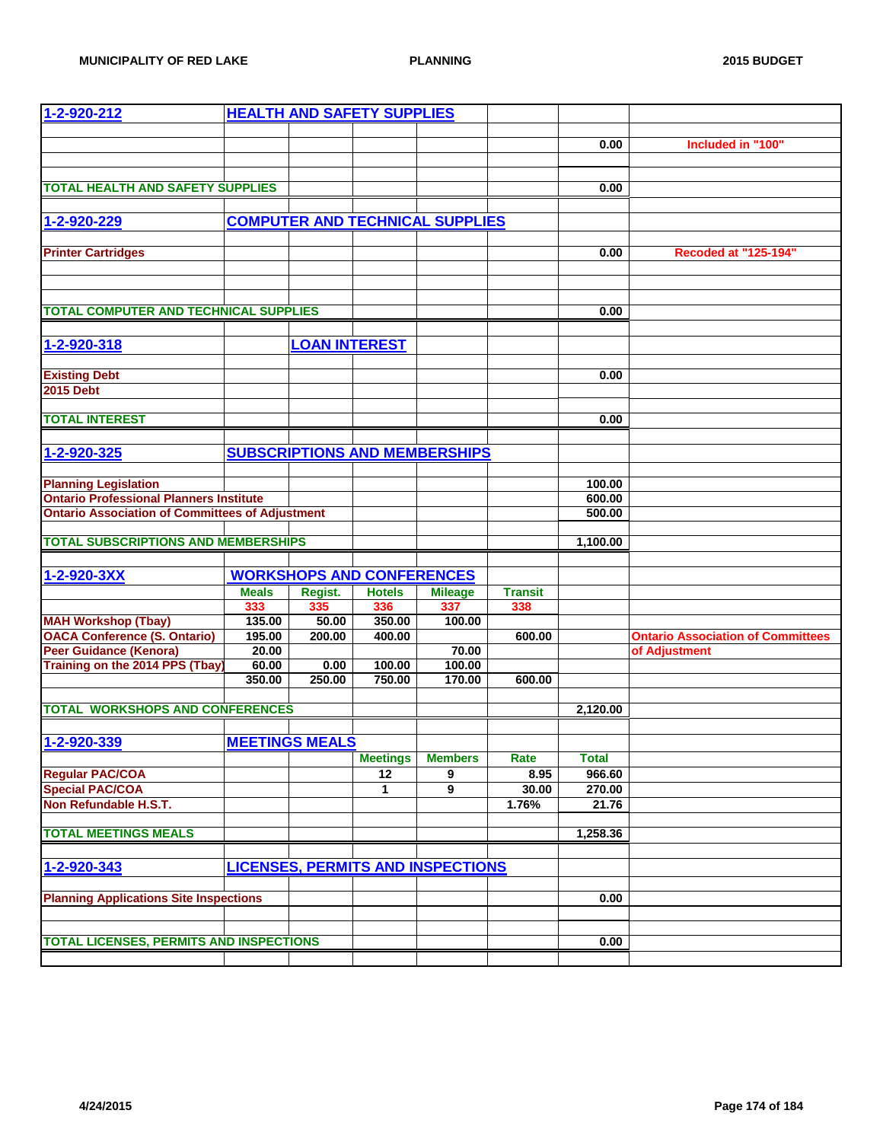| 1-2-920-212                                                       |                  |                       | <b>HEALTH AND SAFETY SUPPLIES</b> |                                          |                |              |                                          |
|-------------------------------------------------------------------|------------------|-----------------------|-----------------------------------|------------------------------------------|----------------|--------------|------------------------------------------|
|                                                                   |                  |                       |                                   |                                          |                |              |                                          |
|                                                                   |                  |                       |                                   |                                          |                | 0.00         | Included in "100"                        |
|                                                                   |                  |                       |                                   |                                          |                |              |                                          |
| <b>TOTAL HEALTH AND SAFETY SUPPLIES</b>                           |                  |                       |                                   |                                          |                | 0.00         |                                          |
|                                                                   |                  |                       |                                   |                                          |                |              |                                          |
| 1-2-920-229                                                       |                  |                       |                                   | <b>COMPUTER AND TECHNICAL SUPPLIES</b>   |                |              |                                          |
|                                                                   |                  |                       |                                   |                                          |                |              |                                          |
| <b>Printer Cartridges</b>                                         |                  |                       |                                   |                                          |                | 0.00         | <b>Recoded at "125-194"</b>              |
|                                                                   |                  |                       |                                   |                                          |                |              |                                          |
|                                                                   |                  |                       |                                   |                                          |                |              |                                          |
|                                                                   |                  |                       |                                   |                                          |                |              |                                          |
| <b>TOTAL COMPUTER AND TECHNICAL SUPPLIES</b>                      |                  |                       |                                   |                                          |                | 0.00         |                                          |
|                                                                   |                  |                       |                                   |                                          |                |              |                                          |
| 1-2-920-318                                                       |                  | <b>LOAN INTEREST</b>  |                                   |                                          |                |              |                                          |
|                                                                   |                  |                       |                                   |                                          |                |              |                                          |
| <b>Existing Debt</b>                                              |                  |                       |                                   |                                          |                | 0.00         |                                          |
| <b>2015 Debt</b>                                                  |                  |                       |                                   |                                          |                |              |                                          |
| <b>TOTAL INTEREST</b>                                             |                  |                       |                                   |                                          |                | 0.00         |                                          |
|                                                                   |                  |                       |                                   |                                          |                |              |                                          |
| 1-2-920-325                                                       |                  |                       |                                   | <b>SUBSCRIPTIONS AND MEMBERSHIPS</b>     |                |              |                                          |
|                                                                   |                  |                       |                                   |                                          |                |              |                                          |
| <b>Planning Legislation</b>                                       |                  |                       |                                   |                                          |                | 100.00       |                                          |
| <b>Ontario Professional Planners Institute</b>                    |                  |                       |                                   |                                          |                | 600.00       |                                          |
| <b>Ontario Association of Committees of Adjustment</b>            |                  |                       |                                   |                                          |                | 500.00       |                                          |
|                                                                   |                  |                       |                                   |                                          |                |              |                                          |
| <b>TOTAL SUBSCRIPTIONS AND MEMBERSHIPS</b>                        |                  |                       |                                   |                                          |                | 1,100.00     |                                          |
|                                                                   |                  |                       |                                   |                                          |                |              |                                          |
| 1-2-920-3XX                                                       |                  |                       | <b>WORKSHOPS AND CONFERENCES</b>  |                                          |                |              |                                          |
|                                                                   | <b>Meals</b>     | Regist.               | <b>Hotels</b>                     | <b>Mileage</b>                           | <b>Transit</b> |              |                                          |
|                                                                   | 333              | 335                   | 336                               | 337                                      | 338            |              |                                          |
| <b>MAH Workshop (Tbay)</b><br><b>OACA Conference (S. Ontario)</b> | 135.00<br>195.00 | 50.00<br>200.00       | 350.00<br>400.00                  | 100.00                                   | 600.00         |              | <b>Ontario Association of Committees</b> |
| <b>Peer Guidance (Kenora)</b>                                     | 20.00            |                       |                                   | 70.00                                    |                |              | of Adjustment                            |
| Training on the 2014 PPS (Tbay)                                   | 60.00            | 0.00                  | 100.00                            | 100.00                                   |                |              |                                          |
|                                                                   | 350.00           | 250.00                | 750.00                            | 170.00                                   | 600.00         |              |                                          |
|                                                                   |                  |                       |                                   |                                          |                |              |                                          |
| <b>TOTAL WORKSHOPS AND CONFERENCES</b>                            |                  |                       |                                   |                                          |                | 2,120.00     |                                          |
|                                                                   |                  |                       |                                   |                                          |                |              |                                          |
| 1-2-920-339                                                       |                  | <b>MEETINGS MEALS</b> |                                   |                                          |                |              |                                          |
|                                                                   |                  |                       | <b>Meetings</b>                   | <b>Members</b>                           | Rate           | <b>Total</b> |                                          |
| <b>Regular PAC/COA</b>                                            |                  |                       | 12                                | 9                                        | 8.95           | 966.60       |                                          |
| <b>Special PAC/COA</b><br>Non Refundable H.S.T.                   |                  |                       | 1                                 | 9                                        | 30.00          | 270.00       |                                          |
|                                                                   |                  |                       |                                   |                                          | 1.76%          | 21.76        |                                          |
| <b>TOTAL MEETINGS MEALS</b>                                       |                  |                       |                                   |                                          |                | 1,258.36     |                                          |
|                                                                   |                  |                       |                                   |                                          |                |              |                                          |
| 1-2-920-343                                                       |                  |                       |                                   | <b>LICENSES, PERMITS AND INSPECTIONS</b> |                |              |                                          |
|                                                                   |                  |                       |                                   |                                          |                |              |                                          |
| <b>Planning Applications Site Inspections</b>                     |                  |                       |                                   |                                          |                | 0.00         |                                          |
|                                                                   |                  |                       |                                   |                                          |                |              |                                          |
|                                                                   |                  |                       |                                   |                                          |                |              |                                          |
| <b>TOTAL LICENSES, PERMITS AND INSPECTIONS</b>                    |                  |                       |                                   |                                          |                | 0.00         |                                          |
|                                                                   |                  |                       |                                   |                                          |                |              |                                          |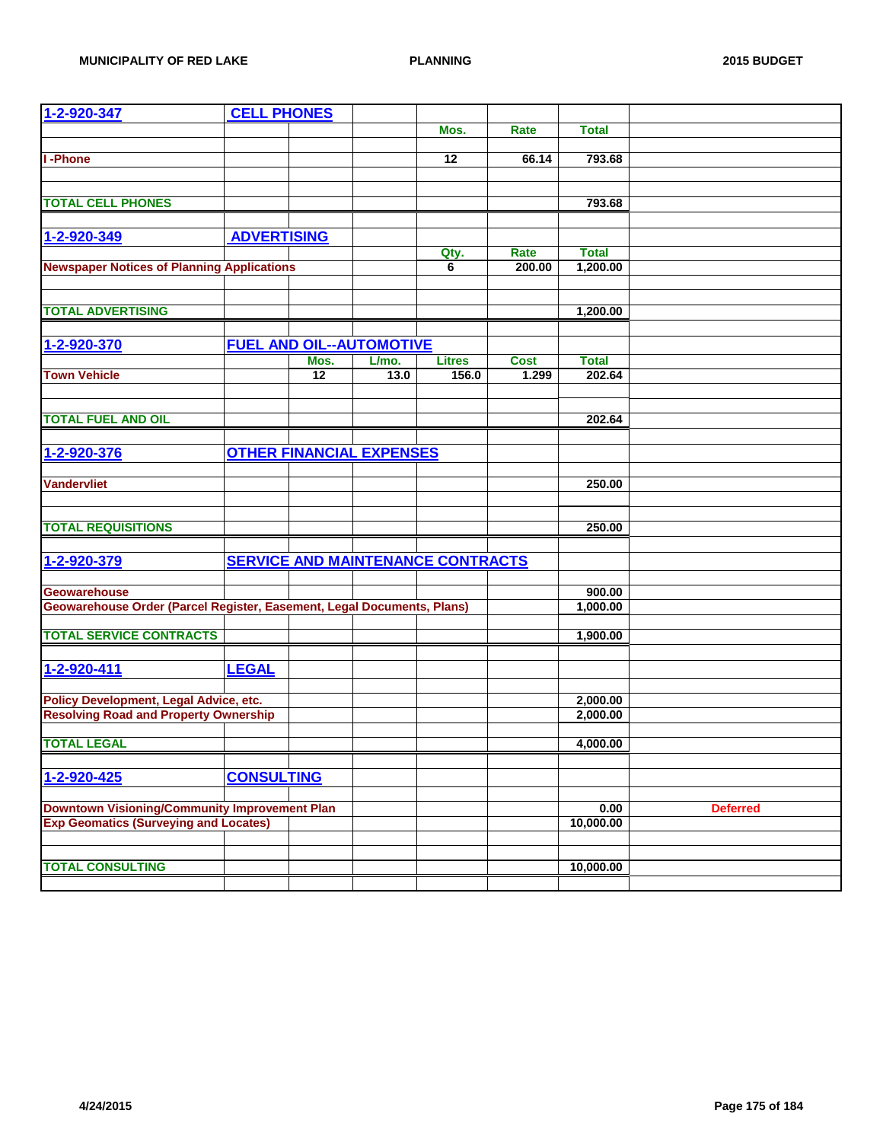| 1-2-920-347                                                            | <b>CELL PHONES</b> |      |                                 |                                          |             |              |                 |
|------------------------------------------------------------------------|--------------------|------|---------------------------------|------------------------------------------|-------------|--------------|-----------------|
|                                                                        |                    |      |                                 | Mos.                                     | <b>Rate</b> | <b>Total</b> |                 |
|                                                                        |                    |      |                                 |                                          |             |              |                 |
| I-Phone                                                                |                    |      |                                 | 12                                       | 66.14       | 793.68       |                 |
|                                                                        |                    |      |                                 |                                          |             |              |                 |
|                                                                        |                    |      |                                 |                                          |             |              |                 |
| <b>TOTAL CELL PHONES</b>                                               |                    |      |                                 |                                          |             | 793.68       |                 |
|                                                                        |                    |      |                                 |                                          |             |              |                 |
| 1-2-920-349                                                            | <b>ADVERTISING</b> |      |                                 |                                          |             |              |                 |
|                                                                        |                    |      |                                 | Qty.                                     | Rate        | <b>Total</b> |                 |
| <b>Newspaper Notices of Planning Applications</b>                      |                    |      |                                 | 6                                        | 200.00      | 1,200.00     |                 |
|                                                                        |                    |      |                                 |                                          |             |              |                 |
| <b>TOTAL ADVERTISING</b>                                               |                    |      |                                 |                                          |             | 1,200.00     |                 |
|                                                                        |                    |      |                                 |                                          |             |              |                 |
|                                                                        |                    |      |                                 |                                          |             |              |                 |
| 1-2-920-370                                                            |                    |      | <b>FUEL AND OIL--AUTOMOTIVE</b> |                                          |             |              |                 |
|                                                                        |                    | Mos. | L/mo.                           | <b>Litres</b>                            | <b>Cost</b> | <b>Total</b> |                 |
| <b>Town Vehicle</b>                                                    |                    | 12   | 13.0                            | 156.0                                    | 1.299       | 202.64       |                 |
|                                                                        |                    |      |                                 |                                          |             |              |                 |
| <b>TOTAL FUEL AND OIL</b>                                              |                    |      |                                 |                                          |             | 202.64       |                 |
|                                                                        |                    |      |                                 |                                          |             |              |                 |
| 1-2-920-376                                                            |                    |      | <b>OTHER FINANCIAL EXPENSES</b> |                                          |             |              |                 |
|                                                                        |                    |      |                                 |                                          |             |              |                 |
| <b>Vandervliet</b>                                                     |                    |      |                                 |                                          |             | 250.00       |                 |
|                                                                        |                    |      |                                 |                                          |             |              |                 |
|                                                                        |                    |      |                                 |                                          |             |              |                 |
| <b>TOTAL REQUISITIONS</b>                                              |                    |      |                                 |                                          |             | 250.00       |                 |
|                                                                        |                    |      |                                 |                                          |             |              |                 |
| 1-2-920-379                                                            |                    |      |                                 | <b>SERVICE AND MAINTENANCE CONTRACTS</b> |             |              |                 |
|                                                                        |                    |      |                                 |                                          |             |              |                 |
| <b>Geowarehouse</b>                                                    |                    |      |                                 |                                          |             | 900.00       |                 |
| Geowarehouse Order (Parcel Register, Easement, Legal Documents, Plans) |                    |      |                                 |                                          |             | 1,000.00     |                 |
|                                                                        |                    |      |                                 |                                          |             |              |                 |
| <b>TOTAL SERVICE CONTRACTS</b>                                         |                    |      |                                 |                                          |             | 1,900.00     |                 |
|                                                                        |                    |      |                                 |                                          |             |              |                 |
| 1-2-920-411                                                            | <b>LEGAL</b>       |      |                                 |                                          |             |              |                 |
|                                                                        |                    |      |                                 |                                          |             |              |                 |
| Policy Development, Legal Advice, etc.                                 |                    |      |                                 |                                          |             | 2,000.00     |                 |
| <b>Resolving Road and Property Ownership</b>                           |                    |      |                                 |                                          |             | 2,000.00     |                 |
|                                                                        |                    |      |                                 |                                          |             |              |                 |
| <b>TOTAL LEGAL</b>                                                     |                    |      |                                 |                                          |             | 4,000.00     |                 |
|                                                                        |                    |      |                                 |                                          |             |              |                 |
| 1-2-920-425                                                            | <b>CONSULTING</b>  |      |                                 |                                          |             |              |                 |
|                                                                        |                    |      |                                 |                                          |             |              |                 |
| <b>Downtown Visioning/Community Improvement Plan</b>                   |                    |      |                                 |                                          |             | 0.00         | <b>Deferred</b> |
| <b>Exp Geomatics (Surveying and Locates)</b>                           |                    |      |                                 |                                          |             | 10,000.00    |                 |
|                                                                        |                    |      |                                 |                                          |             |              |                 |
|                                                                        |                    |      |                                 |                                          |             |              |                 |
| <b>TOTAL CONSULTING</b>                                                |                    |      |                                 |                                          |             | 10,000.00    |                 |
|                                                                        |                    |      |                                 |                                          |             |              |                 |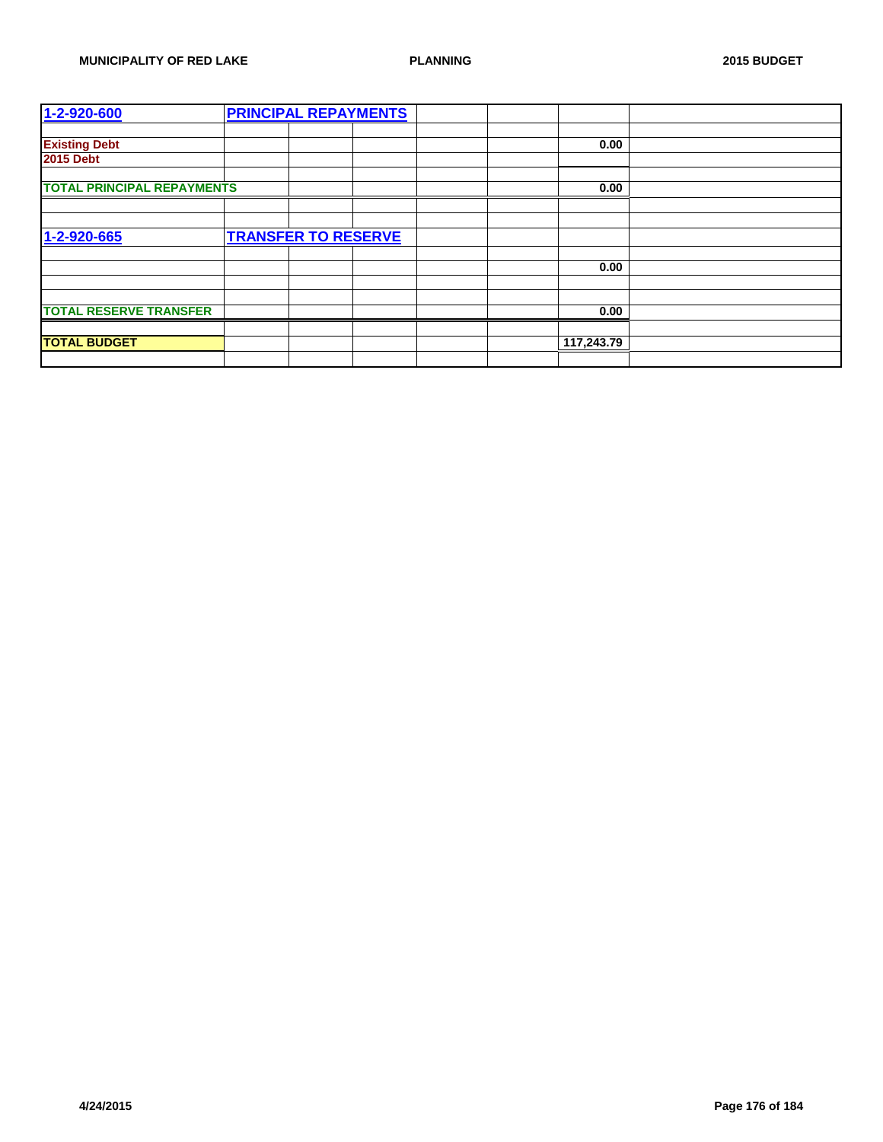| 1-2-920-600                       | <b>PRINCIPAL REPAYMENTS</b> |  |            |      |  |
|-----------------------------------|-----------------------------|--|------------|------|--|
|                                   |                             |  |            |      |  |
| <b>Existing Debt</b>              |                             |  |            | 0.00 |  |
| <b>2015 Debt</b>                  |                             |  |            |      |  |
|                                   |                             |  |            |      |  |
| <b>TOTAL PRINCIPAL REPAYMENTS</b> |                             |  |            | 0.00 |  |
|                                   |                             |  |            |      |  |
|                                   |                             |  |            |      |  |
| 1-2-920-665                       | <b>TRANSFER TO RESERVE</b>  |  |            |      |  |
|                                   |                             |  |            |      |  |
|                                   |                             |  |            | 0.00 |  |
|                                   |                             |  |            |      |  |
|                                   |                             |  |            |      |  |
| <b>TOTAL RESERVE TRANSFER</b>     |                             |  |            | 0.00 |  |
|                                   |                             |  |            |      |  |
| <b>TOTAL BUDGET</b>               |                             |  | 117,243.79 |      |  |
|                                   |                             |  |            |      |  |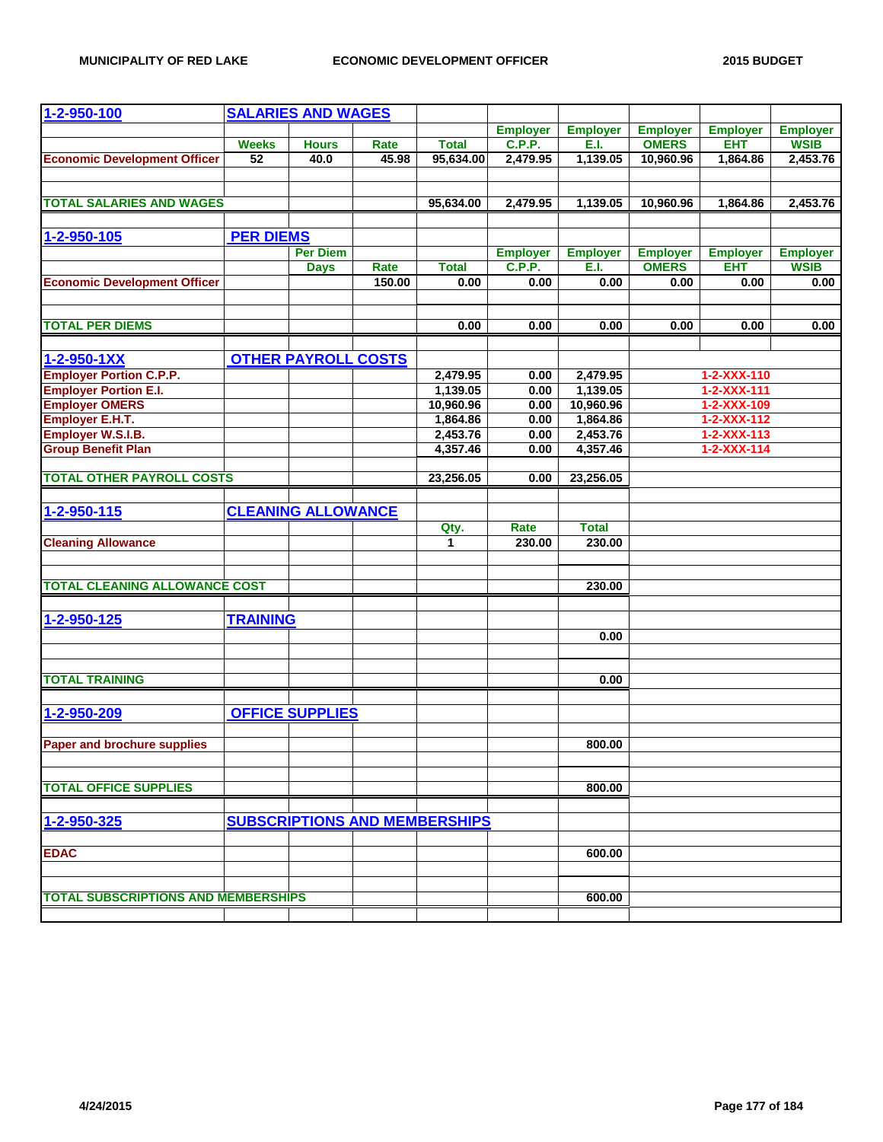| 1-2-950-100                                |                  | <b>SALARIES AND WAGES</b>  |        |                                      |                                  |                 |                                 |                               |                                |
|--------------------------------------------|------------------|----------------------------|--------|--------------------------------------|----------------------------------|-----------------|---------------------------------|-------------------------------|--------------------------------|
|                                            |                  |                            |        |                                      | <b>Employer</b>                  | <b>Employer</b> | <b>Employer</b>                 | <b>Employer</b>               | <b>Employer</b>                |
|                                            | <b>Weeks</b>     | <b>Hours</b>               | Rate   | <b>Total</b>                         | <b>C.P.P.</b>                    | E.I.            | <b>OMERS</b>                    | <b>EHT</b>                    | <b>WSIB</b>                    |
| <b>Economic Development Officer</b>        | $\overline{52}$  | 40.0                       | 45.98  | 95,634.00                            | 2,479.95                         | 1,139.05        | 10,960.96                       | 1,864.86                      | 2,453.76                       |
|                                            |                  |                            |        |                                      |                                  |                 |                                 |                               |                                |
|                                            |                  |                            |        |                                      |                                  |                 |                                 |                               |                                |
| <b>TOTAL SALARIES AND WAGES</b>            |                  |                            |        | 95,634.00                            | 2,479.95                         | 1,139.05        | 10,960.96                       | 1,864.86                      | 2,453.76                       |
|                                            |                  |                            |        |                                      |                                  |                 |                                 |                               |                                |
| 1-2-950-105                                | <b>PER DIEMS</b> |                            |        |                                      |                                  |                 |                                 |                               |                                |
|                                            |                  | <b>Per Diem</b>            |        |                                      |                                  | <b>Employer</b> |                                 |                               |                                |
|                                            |                  |                            | Rate   | <b>Total</b>                         | <b>Employer</b><br><b>C.P.P.</b> | E.I.            | <b>Employer</b><br><b>OMERS</b> | <b>Employer</b><br><b>EHT</b> | <b>Employer</b><br><b>WSIB</b> |
| <b>Economic Development Officer</b>        |                  | <b>Days</b>                | 150.00 | 0.00                                 | 0.00                             | 0.00            | 0.00                            | 0.00                          | 0.00                           |
|                                            |                  |                            |        |                                      |                                  |                 |                                 |                               |                                |
|                                            |                  |                            |        |                                      |                                  |                 |                                 |                               |                                |
| <b>TOTAL PER DIEMS</b>                     |                  |                            |        | 0.00                                 | 0.00                             | 0.00            | 0.00                            | 0.00                          | 0.00                           |
|                                            |                  |                            |        |                                      |                                  |                 |                                 |                               |                                |
|                                            |                  |                            |        |                                      |                                  |                 |                                 |                               |                                |
| 1-2-950-1XX                                |                  | <b>OTHER PAYROLL COSTS</b> |        |                                      |                                  |                 |                                 |                               |                                |
| <b>Employer Portion C.P.P.</b>             |                  |                            |        | 2,479.95                             | 0.00                             | 2,479.95        |                                 | 1-2-XXX-110                   |                                |
| <b>Employer Portion E.I.</b>               |                  |                            |        | 1,139.05                             | 0.00                             | 1,139.05        |                                 | $1 - 2 - XXX - 111$           |                                |
| <b>Employer OMERS</b>                      |                  |                            |        | 10,960.96                            | 0.00                             | 10,960.96       |                                 | 1-2-XXX-109                   |                                |
| <b>Employer E.H.T.</b>                     |                  |                            |        | 1,864.86                             | 0.00                             | 1,864.86        |                                 | 1-2-XXX-112                   |                                |
| Employer W.S.I.B.                          |                  |                            |        | 2,453.76                             | 0.00                             | 2,453.76        |                                 | $1 - 2 - XXX - 113$           |                                |
| <b>Group Benefit Plan</b>                  |                  |                            |        | 4,357.46                             | 0.00                             | 4,357.46        |                                 | $1 - 2 - XXX - 114$           |                                |
|                                            |                  |                            |        |                                      |                                  |                 |                                 |                               |                                |
| <b>TOTAL OTHER PAYROLL COSTS</b>           |                  |                            |        | 23,256.05                            | 0.00                             | 23,256.05       |                                 |                               |                                |
|                                            |                  |                            |        |                                      |                                  |                 |                                 |                               |                                |
| 1-2-950-115                                |                  | <b>CLEANING ALLOWANCE</b>  |        |                                      |                                  |                 |                                 |                               |                                |
|                                            |                  |                            |        | Qty.                                 | Rate                             | <b>Total</b>    |                                 |                               |                                |
| <b>Cleaning Allowance</b>                  |                  |                            |        | 1                                    | 230.00                           | 230.00          |                                 |                               |                                |
|                                            |                  |                            |        |                                      |                                  |                 |                                 |                               |                                |
|                                            |                  |                            |        |                                      |                                  |                 |                                 |                               |                                |
| <b>TOTAL CLEANING ALLOWANCE COST</b>       |                  |                            |        |                                      |                                  | 230.00          |                                 |                               |                                |
|                                            |                  |                            |        |                                      |                                  |                 |                                 |                               |                                |
| 1-2-950-125                                | <b>TRAINING</b>  |                            |        |                                      |                                  |                 |                                 |                               |                                |
|                                            |                  |                            |        |                                      |                                  | 0.00            |                                 |                               |                                |
|                                            |                  |                            |        |                                      |                                  |                 |                                 |                               |                                |
|                                            |                  |                            |        |                                      |                                  |                 |                                 |                               |                                |
| <b>TOTAL TRAINING</b>                      |                  |                            |        |                                      |                                  | 0.00            |                                 |                               |                                |
|                                            |                  |                            |        |                                      |                                  |                 |                                 |                               |                                |
| 1-2-950-209                                |                  | <b>OFFICE SUPPLIES</b>     |        |                                      |                                  |                 |                                 |                               |                                |
|                                            |                  |                            |        |                                      |                                  |                 |                                 |                               |                                |
| Paper and brochure supplies                |                  |                            |        |                                      |                                  | 800.00          |                                 |                               |                                |
|                                            |                  |                            |        |                                      |                                  |                 |                                 |                               |                                |
|                                            |                  |                            |        |                                      |                                  |                 |                                 |                               |                                |
| <b>TOTAL OFFICE SUPPLIES</b>               |                  |                            |        |                                      |                                  | 800.00          |                                 |                               |                                |
|                                            |                  |                            |        |                                      |                                  |                 |                                 |                               |                                |
| 1-2-950-325                                |                  |                            |        | <b>SUBSCRIPTIONS AND MEMBERSHIPS</b> |                                  |                 |                                 |                               |                                |
|                                            |                  |                            |        |                                      |                                  |                 |                                 |                               |                                |
|                                            |                  |                            |        |                                      |                                  |                 |                                 |                               |                                |
| <b>EDAC</b>                                |                  |                            |        |                                      |                                  | 600.00          |                                 |                               |                                |
|                                            |                  |                            |        |                                      |                                  |                 |                                 |                               |                                |
|                                            |                  |                            |        |                                      |                                  |                 |                                 |                               |                                |
| <b>TOTAL SUBSCRIPTIONS AND MEMBERSHIPS</b> |                  |                            |        |                                      |                                  | 600.00          |                                 |                               |                                |
|                                            |                  |                            |        |                                      |                                  |                 |                                 |                               |                                |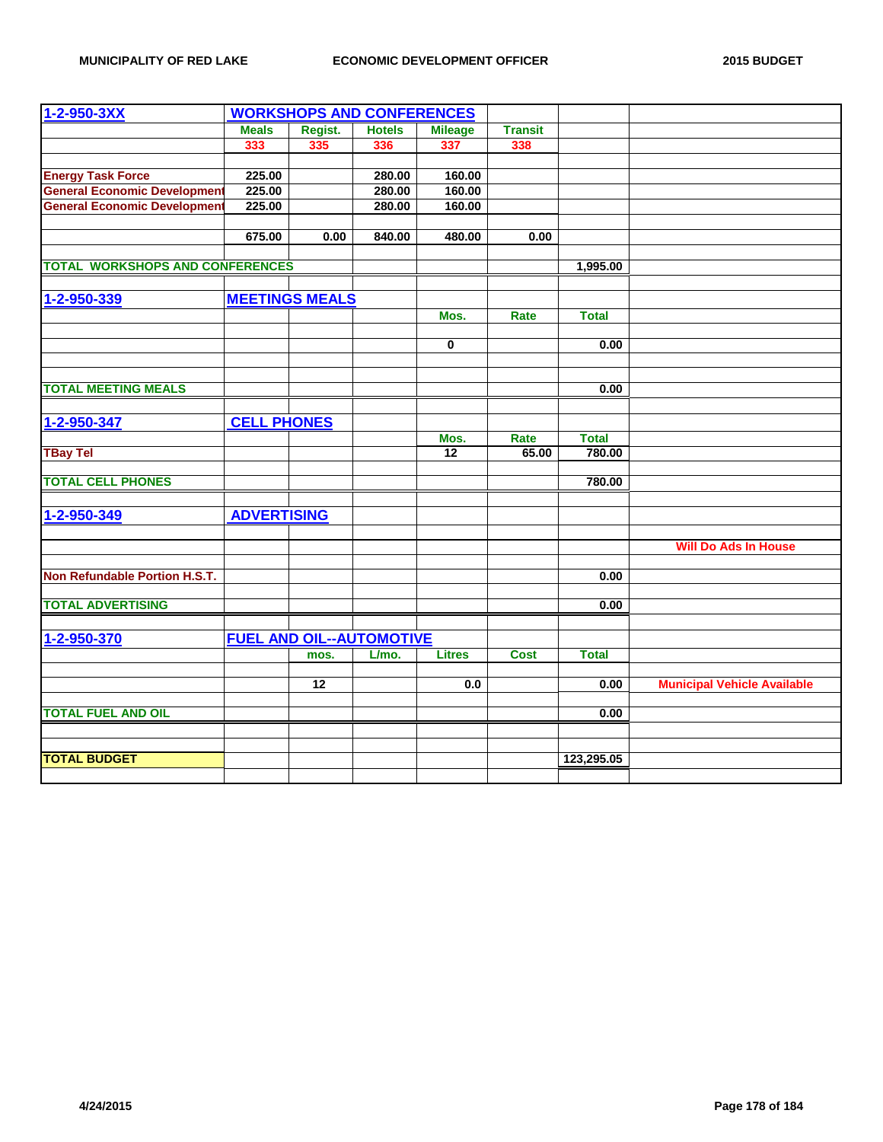| $1 - 2 - 950 - 3XX$                    |                    | <b>WORKSHOPS AND CONFERENCES</b> |               |                         |                |              |                                    |
|----------------------------------------|--------------------|----------------------------------|---------------|-------------------------|----------------|--------------|------------------------------------|
|                                        | <b>Meals</b>       | Regist.                          | <b>Hotels</b> | <b>Mileage</b>          | <b>Transit</b> |              |                                    |
|                                        | 333                | 335                              | 336           | 337                     | 338            |              |                                    |
|                                        |                    |                                  |               |                         |                |              |                                    |
| <b>Energy Task Force</b>               | 225.00             |                                  | 280.00        | 160.00                  |                |              |                                    |
| <b>General Economic Development</b>    | 225.00             |                                  | 280.00        | 160.00                  |                |              |                                    |
| <b>General Economic Development</b>    | 225.00             |                                  | 280.00        | 160.00                  |                |              |                                    |
|                                        | 675.00             | 0.00                             | 840.00        | 480.00                  | 0.00           |              |                                    |
|                                        |                    |                                  |               |                         |                |              |                                    |
| <b>TOTAL WORKSHOPS AND CONFERENCES</b> |                    |                                  |               |                         |                | 1,995.00     |                                    |
|                                        |                    |                                  |               |                         |                |              |                                    |
| 1-2-950-339                            |                    | <b>MEETINGS MEALS</b>            |               |                         |                |              |                                    |
|                                        |                    |                                  |               | Mos.                    | Rate           | <b>Total</b> |                                    |
|                                        |                    |                                  |               |                         |                |              |                                    |
|                                        |                    |                                  |               | $\overline{\mathbf{0}}$ |                | 0.00         |                                    |
|                                        |                    |                                  |               |                         |                |              |                                    |
| <b>TOTAL MEETING MEALS</b>             |                    |                                  |               |                         |                | 0.00         |                                    |
|                                        |                    |                                  |               |                         |                |              |                                    |
| 1-2-950-347                            | <b>CELL PHONES</b> |                                  |               |                         |                |              |                                    |
|                                        |                    |                                  |               | Mos.                    | Rate           | <b>Total</b> |                                    |
| <b>TBay Tel</b>                        |                    |                                  |               | 12                      | 65.00          | 780.00       |                                    |
| <b>TOTAL CELL PHONES</b>               |                    |                                  |               |                         |                | 780.00       |                                    |
|                                        |                    |                                  |               |                         |                |              |                                    |
| 1-2-950-349                            | <b>ADVERTISING</b> |                                  |               |                         |                |              |                                    |
|                                        |                    |                                  |               |                         |                |              |                                    |
|                                        |                    |                                  |               |                         |                |              | <b>Will Do Ads In House</b>        |
|                                        |                    |                                  |               |                         |                |              |                                    |
| Non Refundable Portion H.S.T.          |                    |                                  |               |                         |                | 0.00         |                                    |
| <b>TOTAL ADVERTISING</b>               |                    |                                  |               |                         |                | 0.00         |                                    |
|                                        |                    |                                  |               |                         |                |              |                                    |
| 1-2-950-370                            |                    | <b>FUEL AND OIL--AUTOMOTIVE</b>  |               |                         |                |              |                                    |
|                                        |                    | mos.                             | L/mo.         | <b>Litres</b>           | <b>Cost</b>    | <b>Total</b> |                                    |
|                                        |                    |                                  |               |                         |                |              |                                    |
|                                        |                    | $\overline{12}$                  |               | 0.0                     |                | 0.00         | <b>Municipal Vehicle Available</b> |
| <b>TOTAL FUEL AND OIL</b>              |                    |                                  |               |                         |                | 0.00         |                                    |
|                                        |                    |                                  |               |                         |                |              |                                    |
|                                        |                    |                                  |               |                         |                |              |                                    |
| <b>TOTAL BUDGET</b>                    |                    |                                  |               |                         |                | 123,295.05   |                                    |
|                                        |                    |                                  |               |                         |                |              |                                    |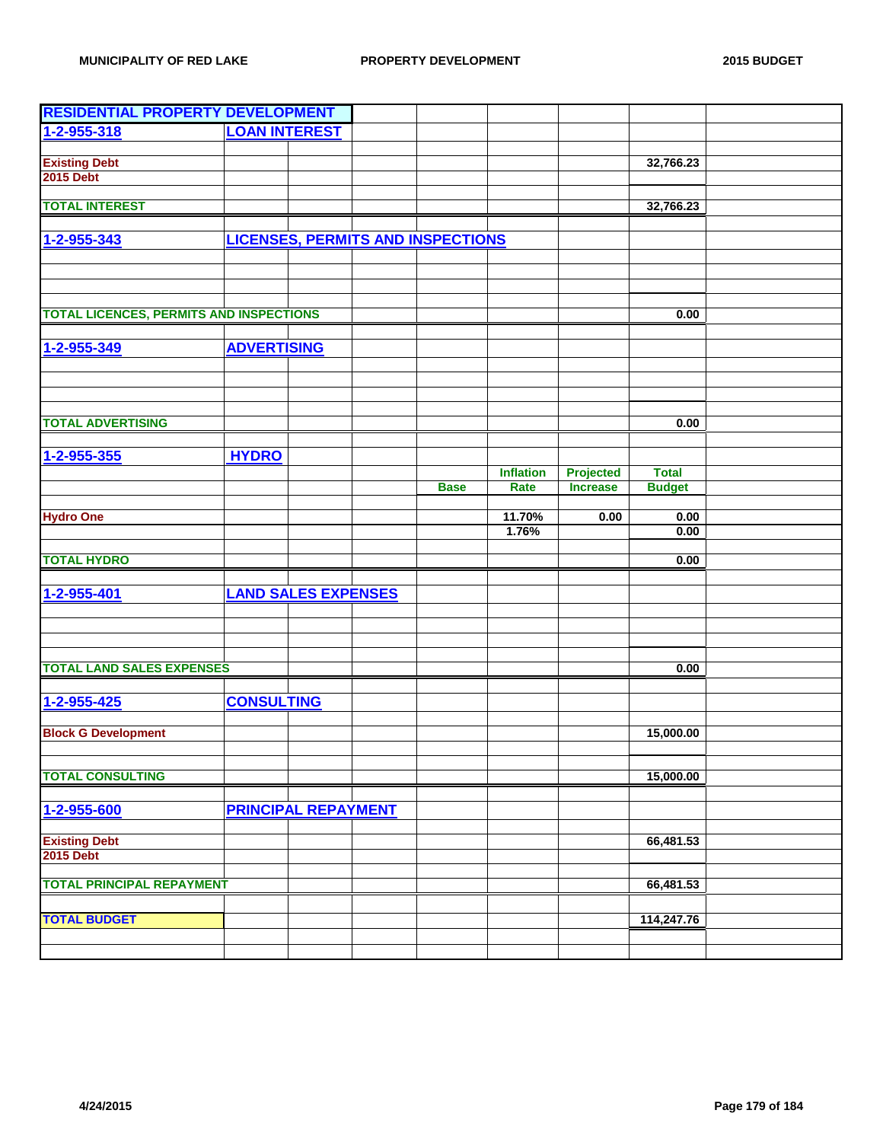| <b>RESIDENTIAL PROPERTY DEVELOPMENT</b>        |                                          |             |                          |                              |               |  |
|------------------------------------------------|------------------------------------------|-------------|--------------------------|------------------------------|---------------|--|
| 1-2-955-318                                    | <b>LOAN INTEREST</b>                     |             |                          |                              |               |  |
|                                                |                                          |             |                          |                              |               |  |
| <b>Existing Debt</b>                           |                                          |             |                          |                              | 32,766.23     |  |
| <b>2015 Debt</b>                               |                                          |             |                          |                              |               |  |
| <b>TOTAL INTEREST</b>                          |                                          |             |                          |                              | 32,766.23     |  |
|                                                |                                          |             |                          |                              |               |  |
| 1-2-955-343                                    | <b>LICENSES, PERMITS AND INSPECTIONS</b> |             |                          |                              |               |  |
|                                                |                                          |             |                          |                              |               |  |
|                                                |                                          |             |                          |                              |               |  |
|                                                |                                          |             |                          |                              |               |  |
| <b>TOTAL LICENCES, PERMITS AND INSPECTIONS</b> |                                          |             |                          |                              | 0.00          |  |
|                                                |                                          |             |                          |                              |               |  |
| 1-2-955-349                                    | <b>ADVERTISING</b>                       |             |                          |                              |               |  |
|                                                |                                          |             |                          |                              |               |  |
|                                                |                                          |             |                          |                              |               |  |
|                                                |                                          |             |                          |                              |               |  |
|                                                |                                          |             |                          |                              |               |  |
| <b>TOTAL ADVERTISING</b>                       |                                          |             |                          |                              | 0.00          |  |
|                                                |                                          |             |                          |                              |               |  |
| 1-2-955-355                                    | <b>HYDRO</b>                             |             |                          |                              |               |  |
|                                                |                                          | <b>Base</b> | <b>Inflation</b><br>Rate | Projected<br><b>Increase</b> | <b>Total</b>  |  |
|                                                |                                          |             |                          |                              | <b>Budget</b> |  |
| <b>Hydro One</b>                               |                                          |             | 11.70%                   | 0.00                         | 0.00          |  |
|                                                |                                          |             | 1.76%                    |                              | 0.00          |  |
|                                                |                                          |             |                          |                              |               |  |
| <b>TOTAL HYDRO</b>                             |                                          |             |                          |                              | 0.00          |  |
|                                                |                                          |             |                          |                              |               |  |
| 1-2-955-401                                    | <b>LAND SALES EXPENSES</b>               |             |                          |                              |               |  |
|                                                |                                          |             |                          |                              |               |  |
|                                                |                                          |             |                          |                              |               |  |
|                                                |                                          |             |                          |                              |               |  |
| <b>TOTAL LAND SALES EXPENSES</b>               |                                          |             |                          |                              | 0.00          |  |
|                                                |                                          |             |                          |                              |               |  |
| 1-2-955-425                                    | <b>CONSULTING</b>                        |             |                          |                              |               |  |
|                                                |                                          |             |                          |                              |               |  |
| <b>Block G Development</b>                     |                                          |             |                          |                              | 15,000.00     |  |
|                                                |                                          |             |                          |                              |               |  |
| <b>TOTAL CONSULTING</b>                        |                                          |             |                          |                              | 15,000.00     |  |
|                                                |                                          |             |                          |                              |               |  |
| 1-2-955-600                                    | <b>PRINCIPAL REPAYMENT</b>               |             |                          |                              |               |  |
|                                                |                                          |             |                          |                              |               |  |
| <b>Existing Debt</b>                           |                                          |             |                          |                              | 66,481.53     |  |
| <b>2015 Debt</b>                               |                                          |             |                          |                              |               |  |
| <b>TOTAL PRINCIPAL REPAYMENT</b>               |                                          |             |                          |                              | 66,481.53     |  |
|                                                |                                          |             |                          |                              |               |  |
| <b>TOTAL BUDGET</b>                            |                                          |             |                          |                              | 114,247.76    |  |
|                                                |                                          |             |                          |                              |               |  |
|                                                |                                          |             |                          |                              |               |  |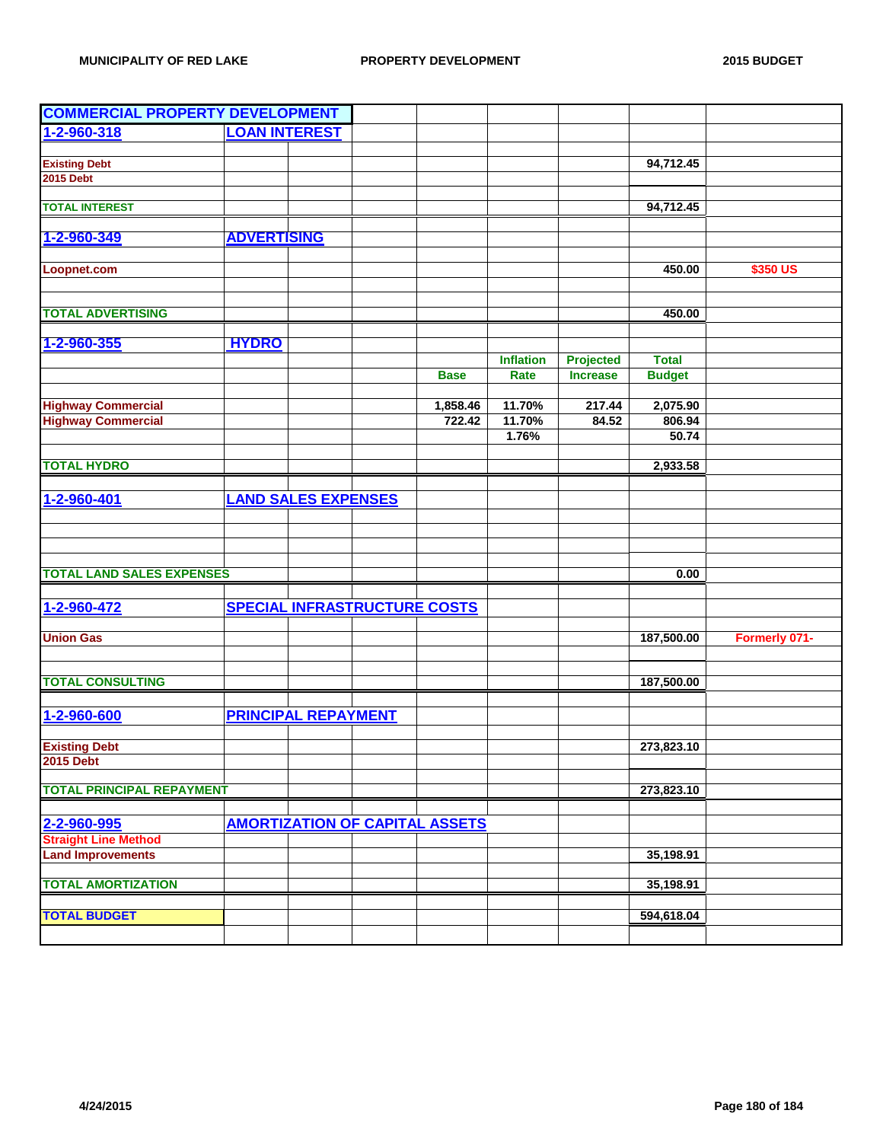| <b>COMMERCIAL PROPERTY DEVELOPMENT</b>   |                            |                                     |                                       |                  |                 |               |               |
|------------------------------------------|----------------------------|-------------------------------------|---------------------------------------|------------------|-----------------|---------------|---------------|
| 1-2-960-318                              | <b>LOAN INTEREST</b>       |                                     |                                       |                  |                 |               |               |
|                                          |                            |                                     |                                       |                  |                 |               |               |
| <b>Existing Debt</b>                     |                            |                                     |                                       |                  |                 | 94,712.45     |               |
| <b>2015 Debt</b>                         |                            |                                     |                                       |                  |                 |               |               |
| <b>TOTAL INTEREST</b>                    |                            |                                     |                                       |                  |                 | 94,712.45     |               |
|                                          |                            |                                     |                                       |                  |                 |               |               |
| 1-2-960-349                              | <b>ADVERTISING</b>         |                                     |                                       |                  |                 |               |               |
|                                          |                            |                                     |                                       |                  |                 |               |               |
| Loopnet.com                              |                            |                                     |                                       |                  |                 | 450.00        | \$350 US      |
|                                          |                            |                                     |                                       |                  |                 |               |               |
| <b>TOTAL ADVERTISING</b>                 |                            |                                     |                                       |                  |                 | 450.00        |               |
|                                          |                            |                                     |                                       |                  |                 |               |               |
| 1-2-960-355                              | <b>HYDRO</b>               |                                     |                                       |                  |                 |               |               |
|                                          |                            |                                     |                                       | <b>Inflation</b> | Projected       | <b>Total</b>  |               |
|                                          |                            |                                     | <b>Base</b>                           | Rate             | <b>Increase</b> | <b>Budget</b> |               |
| <b>Highway Commercial</b>                |                            |                                     | 1,858.46                              | 11.70%           | 217.44          | 2,075.90      |               |
| <b>Highway Commercial</b>                |                            |                                     | 722.42                                | 11.70%           | 84.52           | 806.94        |               |
|                                          |                            |                                     |                                       | 1.76%            |                 | 50.74         |               |
|                                          |                            |                                     |                                       |                  |                 |               |               |
| <b>TOTAL HYDRO</b>                       |                            |                                     |                                       |                  |                 | 2,933.58      |               |
|                                          |                            |                                     |                                       |                  |                 |               |               |
| 1-2-960-401                              | <b>LAND SALES EXPENSES</b> |                                     |                                       |                  |                 |               |               |
|                                          |                            |                                     |                                       |                  |                 |               |               |
|                                          |                            |                                     |                                       |                  |                 |               |               |
|                                          |                            |                                     |                                       |                  |                 |               |               |
| <b>TOTAL LAND SALES EXPENSES</b>         |                            |                                     |                                       |                  |                 | 0.00          |               |
|                                          |                            |                                     |                                       |                  |                 |               |               |
| 1-2-960-472                              |                            | <b>SPECIAL INFRASTRUCTURE COSTS</b> |                                       |                  |                 |               |               |
| <b>Union Gas</b>                         |                            |                                     |                                       |                  |                 | 187,500.00    | Formerly 071- |
|                                          |                            |                                     |                                       |                  |                 |               |               |
|                                          |                            |                                     |                                       |                  |                 |               |               |
| <b>TOTAL CONSULTING</b>                  |                            |                                     |                                       |                  |                 | 187,500.00    |               |
|                                          |                            |                                     |                                       |                  |                 |               |               |
| 1-2-960-600                              | <b>PRINCIPAL REPAYMENT</b> |                                     |                                       |                  |                 |               |               |
|                                          |                            |                                     |                                       |                  |                 |               |               |
| <b>Existing Debt</b><br><b>2015 Debt</b> |                            |                                     |                                       |                  |                 | 273,823.10    |               |
|                                          |                            |                                     |                                       |                  |                 |               |               |
| <b>TOTAL PRINCIPAL REPAYMENT</b>         |                            |                                     |                                       |                  |                 | 273,823.10    |               |
|                                          |                            |                                     |                                       |                  |                 |               |               |
| 2-2-960-995                              |                            |                                     | <b>AMORTIZATION OF CAPITAL ASSETS</b> |                  |                 |               |               |
| <b>Straight Line Method</b>              |                            |                                     |                                       |                  |                 |               |               |
| <b>Land Improvements</b>                 |                            |                                     |                                       |                  |                 | 35,198.91     |               |
| <b>TOTAL AMORTIZATION</b>                |                            |                                     |                                       |                  |                 | 35,198.91     |               |
|                                          |                            |                                     |                                       |                  |                 |               |               |
| <b>TOTAL BUDGET</b>                      |                            |                                     |                                       |                  |                 | 594,618.04    |               |
|                                          |                            |                                     |                                       |                  |                 |               |               |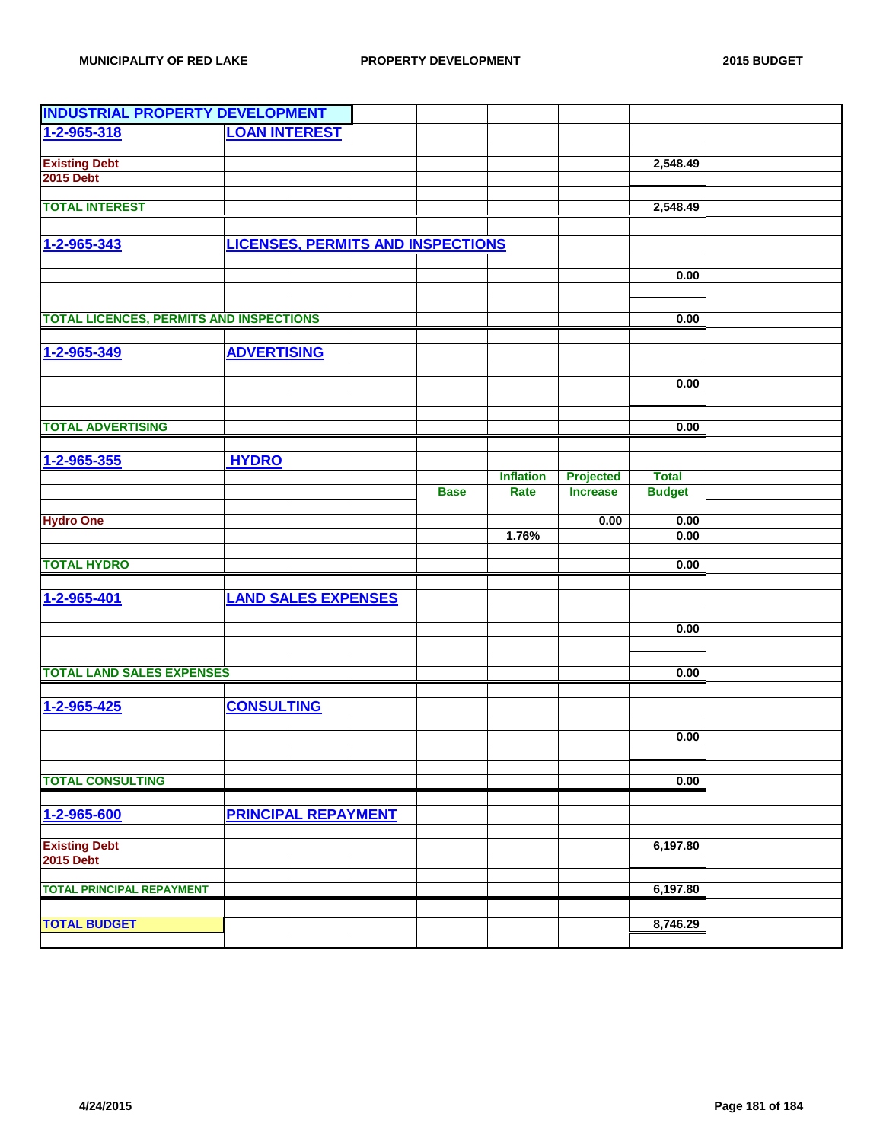| <b>INDUSTRIAL PROPERTY DEVELOPMENT</b>         |                                          |             |                  |                  |               |  |
|------------------------------------------------|------------------------------------------|-------------|------------------|------------------|---------------|--|
| 1-2-965-318                                    | <b>LOAN INTEREST</b>                     |             |                  |                  |               |  |
|                                                |                                          |             |                  |                  |               |  |
| <b>Existing Debt</b>                           |                                          |             |                  |                  | 2,548.49      |  |
| <b>2015 Debt</b>                               |                                          |             |                  |                  |               |  |
|                                                |                                          |             |                  |                  |               |  |
| <b>TOTAL INTEREST</b>                          |                                          |             |                  |                  | 2,548.49      |  |
|                                                |                                          |             |                  |                  |               |  |
| 1-2-965-343                                    | <b>LICENSES, PERMITS AND INSPECTIONS</b> |             |                  |                  |               |  |
|                                                |                                          |             |                  |                  |               |  |
|                                                |                                          |             |                  |                  | 0.00          |  |
|                                                |                                          |             |                  |                  |               |  |
| <b>TOTAL LICENCES, PERMITS AND INSPECTIONS</b> |                                          |             |                  |                  | 0.00          |  |
|                                                |                                          |             |                  |                  |               |  |
| 1-2-965-349                                    | <b>ADVERTISING</b>                       |             |                  |                  |               |  |
|                                                |                                          |             |                  |                  |               |  |
|                                                |                                          |             |                  |                  | 0.00          |  |
|                                                |                                          |             |                  |                  |               |  |
|                                                |                                          |             |                  |                  |               |  |
| <b>TOTAL ADVERTISING</b>                       |                                          |             |                  |                  | 0.00          |  |
|                                                |                                          |             |                  |                  |               |  |
| 1-2-965-355                                    | <b>HYDRO</b>                             |             |                  |                  |               |  |
|                                                |                                          |             | <b>Inflation</b> | <b>Projected</b> | <b>Total</b>  |  |
|                                                |                                          | <b>Base</b> | Rate             | <b>Increase</b>  | <b>Budget</b> |  |
| <b>Hydro One</b>                               |                                          |             |                  | 0.00             | 0.00          |  |
|                                                |                                          |             | 1.76%            |                  | 0.00          |  |
|                                                |                                          |             |                  |                  |               |  |
| <b>TOTAL HYDRO</b>                             |                                          |             |                  |                  | 0.00          |  |
|                                                |                                          |             |                  |                  |               |  |
| 1-2-965-401                                    | <b>LAND SALES EXPENSES</b>               |             |                  |                  |               |  |
|                                                |                                          |             |                  |                  |               |  |
|                                                |                                          |             |                  |                  | 0.00          |  |
|                                                |                                          |             |                  |                  |               |  |
| <b>TOTAL LAND SALES EXPENSES</b>               |                                          |             |                  |                  | 0.00          |  |
|                                                |                                          |             |                  |                  |               |  |
| 1-2-965-425                                    | <b>CONSULTING</b>                        |             |                  |                  |               |  |
|                                                |                                          |             |                  |                  |               |  |
|                                                |                                          |             |                  |                  | 0.00          |  |
|                                                |                                          |             |                  |                  |               |  |
|                                                |                                          |             |                  |                  |               |  |
| <b>TOTAL CONSULTING</b>                        |                                          |             |                  |                  | 0.00          |  |
|                                                |                                          |             |                  |                  |               |  |
| 1-2-965-600                                    | <b>PRINCIPAL REPAYMENT</b>               |             |                  |                  |               |  |
|                                                |                                          |             |                  |                  |               |  |
| <b>Existing Debt</b>                           |                                          |             |                  |                  | 6,197.80      |  |
| <b>2015 Debt</b>                               |                                          |             |                  |                  |               |  |
| <b>TOTAL PRINCIPAL REPAYMENT</b>               |                                          |             |                  |                  | 6,197.80      |  |
|                                                |                                          |             |                  |                  |               |  |
| <b>TOTAL BUDGET</b>                            |                                          |             |                  |                  | 8,746.29      |  |
|                                                |                                          |             |                  |                  |               |  |
|                                                |                                          |             |                  |                  |               |  |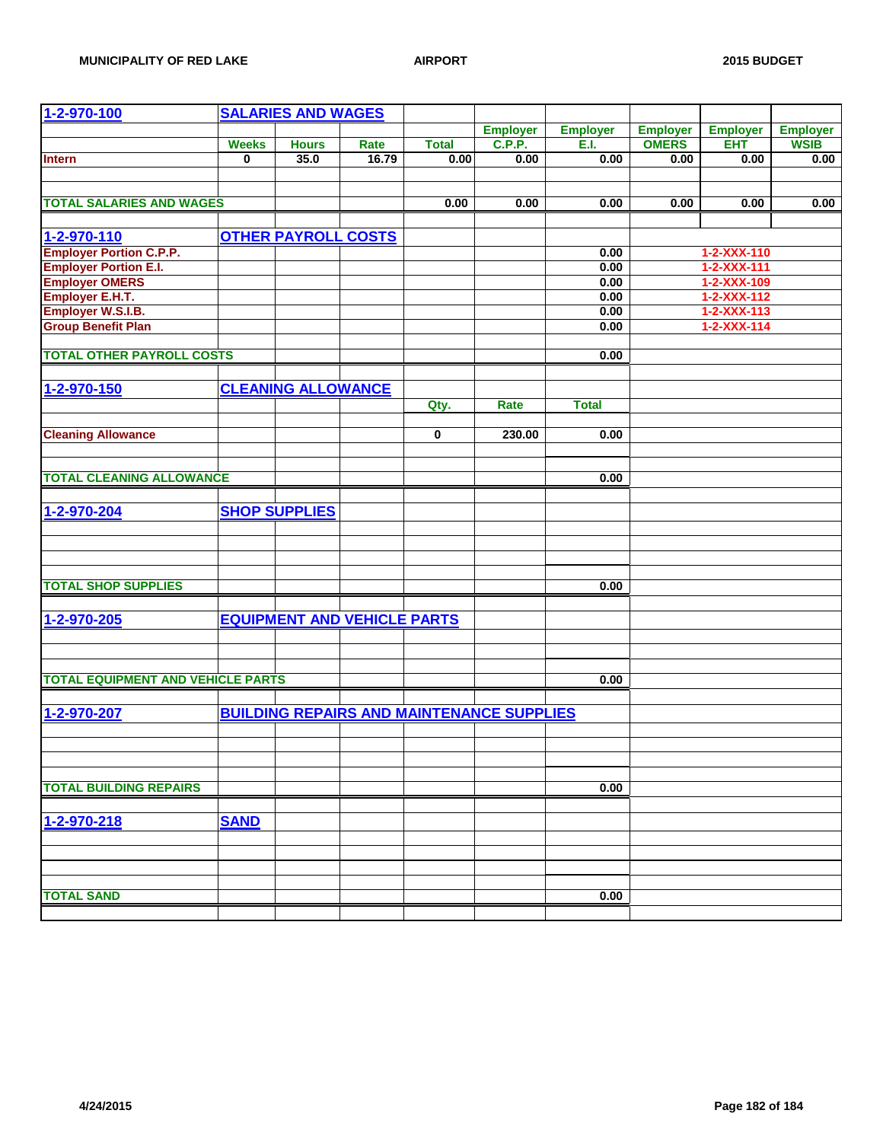| 1-2-970-100                              |              | <b>SALARIES AND WAGES</b>          |       |              |                                                  |                 |                 |                     |                 |
|------------------------------------------|--------------|------------------------------------|-------|--------------|--------------------------------------------------|-----------------|-----------------|---------------------|-----------------|
|                                          |              |                                    |       |              | <b>Employer</b>                                  | <b>Employer</b> | <b>Employer</b> | <b>Employer</b>     | <b>Employer</b> |
|                                          | <b>Weeks</b> | <b>Hours</b>                       | Rate  | <b>Total</b> | <b>C.P.P.</b>                                    | E.I.            | <b>OMERS</b>    | <b>EHT</b>          | <b>WSIB</b>     |
| <b>Intern</b>                            | $\mathbf{0}$ | 35.0                               | 16.79 | 0.00         | 0.00                                             | 0.00            | 0.00            | 0.00                | 0.00            |
|                                          |              |                                    |       |              |                                                  |                 |                 |                     |                 |
|                                          |              |                                    |       |              |                                                  |                 |                 |                     |                 |
| <b>TOTAL SALARIES AND WAGES</b>          |              |                                    |       | 0.00         | 0.00                                             | 0.00            | 0.00            | 0.00                | 0.00            |
|                                          |              |                                    |       |              |                                                  |                 |                 |                     |                 |
|                                          |              |                                    |       |              |                                                  |                 |                 |                     |                 |
| 1-2-970-110                              |              | <b>OTHER PAYROLL COSTS</b>         |       |              |                                                  |                 |                 |                     |                 |
| <b>Employer Portion C.P.P.</b>           |              |                                    |       |              |                                                  | 0.00            |                 | 1-2-XXX-110         |                 |
| <b>Employer Portion E.I.</b>             |              |                                    |       |              |                                                  | 0.00            |                 | 1-2-XXX-111         |                 |
| <b>Employer OMERS</b>                    |              |                                    |       |              |                                                  | 0.00            |                 | 1-2-XXX-109         |                 |
| <b>Employer E.H.T.</b>                   |              |                                    |       |              |                                                  | 0.00            |                 | $1 - 2 - XXX - 112$ |                 |
| Employer W.S.I.B.                        |              |                                    |       |              |                                                  | 0.00            |                 | 1-2-XXX-113         |                 |
| <b>Group Benefit Plan</b>                |              |                                    |       |              |                                                  | 0.00            |                 | $1 - 2 - XXX - 114$ |                 |
|                                          |              |                                    |       |              |                                                  |                 |                 |                     |                 |
| <b>TOTAL OTHER PAYROLL COSTS</b>         |              |                                    |       |              |                                                  | 0.00            |                 |                     |                 |
|                                          |              |                                    |       |              |                                                  |                 |                 |                     |                 |
| 1-2-970-150                              |              | <b>CLEANING ALLOWANCE</b>          |       |              |                                                  |                 |                 |                     |                 |
|                                          |              |                                    |       |              |                                                  |                 |                 |                     |                 |
|                                          |              |                                    |       | Qty.         | Rate                                             | <b>Total</b>    |                 |                     |                 |
|                                          |              |                                    |       |              |                                                  |                 |                 |                     |                 |
| <b>Cleaning Allowance</b>                |              |                                    |       | 0            | 230.00                                           | 0.00            |                 |                     |                 |
|                                          |              |                                    |       |              |                                                  |                 |                 |                     |                 |
|                                          |              |                                    |       |              |                                                  |                 |                 |                     |                 |
| <b>TOTAL CLEANING ALLOWANCE</b>          |              |                                    |       |              |                                                  | 0.00            |                 |                     |                 |
|                                          |              |                                    |       |              |                                                  |                 |                 |                     |                 |
| 1-2-970-204                              |              | <b>SHOP SUPPLIES</b>               |       |              |                                                  |                 |                 |                     |                 |
|                                          |              |                                    |       |              |                                                  |                 |                 |                     |                 |
|                                          |              |                                    |       |              |                                                  |                 |                 |                     |                 |
|                                          |              |                                    |       |              |                                                  |                 |                 |                     |                 |
|                                          |              |                                    |       |              |                                                  |                 |                 |                     |                 |
| <b>TOTAL SHOP SUPPLIES</b>               |              |                                    |       |              |                                                  | 0.00            |                 |                     |                 |
|                                          |              |                                    |       |              |                                                  |                 |                 |                     |                 |
| 1-2-970-205                              |              | <b>EQUIPMENT AND VEHICLE PARTS</b> |       |              |                                                  |                 |                 |                     |                 |
|                                          |              |                                    |       |              |                                                  |                 |                 |                     |                 |
|                                          |              |                                    |       |              |                                                  |                 |                 |                     |                 |
|                                          |              |                                    |       |              |                                                  |                 |                 |                     |                 |
|                                          |              |                                    |       |              |                                                  |                 |                 |                     |                 |
| <b>TOTAL EQUIPMENT AND VEHICLE PARTS</b> |              |                                    |       |              |                                                  | 0.00            |                 |                     |                 |
|                                          |              |                                    |       |              |                                                  |                 |                 |                     |                 |
| 1-2-970-207                              |              |                                    |       |              | <b>BUILDING REPAIRS AND MAINTENANCE SUPPLIES</b> |                 |                 |                     |                 |
|                                          |              |                                    |       |              |                                                  |                 |                 |                     |                 |
|                                          |              |                                    |       |              |                                                  |                 |                 |                     |                 |
|                                          |              |                                    |       |              |                                                  |                 |                 |                     |                 |
|                                          |              |                                    |       |              |                                                  |                 |                 |                     |                 |
| <b>TOTAL BUILDING REPAIRS</b>            |              |                                    |       |              |                                                  | 0.00            |                 |                     |                 |
|                                          |              |                                    |       |              |                                                  |                 |                 |                     |                 |
|                                          |              |                                    |       |              |                                                  |                 |                 |                     |                 |
| 1-2-970-218                              | <b>SAND</b>  |                                    |       |              |                                                  |                 |                 |                     |                 |
|                                          |              |                                    |       |              |                                                  |                 |                 |                     |                 |
|                                          |              |                                    |       |              |                                                  |                 |                 |                     |                 |
|                                          |              |                                    |       |              |                                                  |                 |                 |                     |                 |
|                                          |              |                                    |       |              |                                                  |                 |                 |                     |                 |
| <b>TOTAL SAND</b>                        |              |                                    |       |              |                                                  | 0.00            |                 |                     |                 |
|                                          |              |                                    |       |              |                                                  |                 |                 |                     |                 |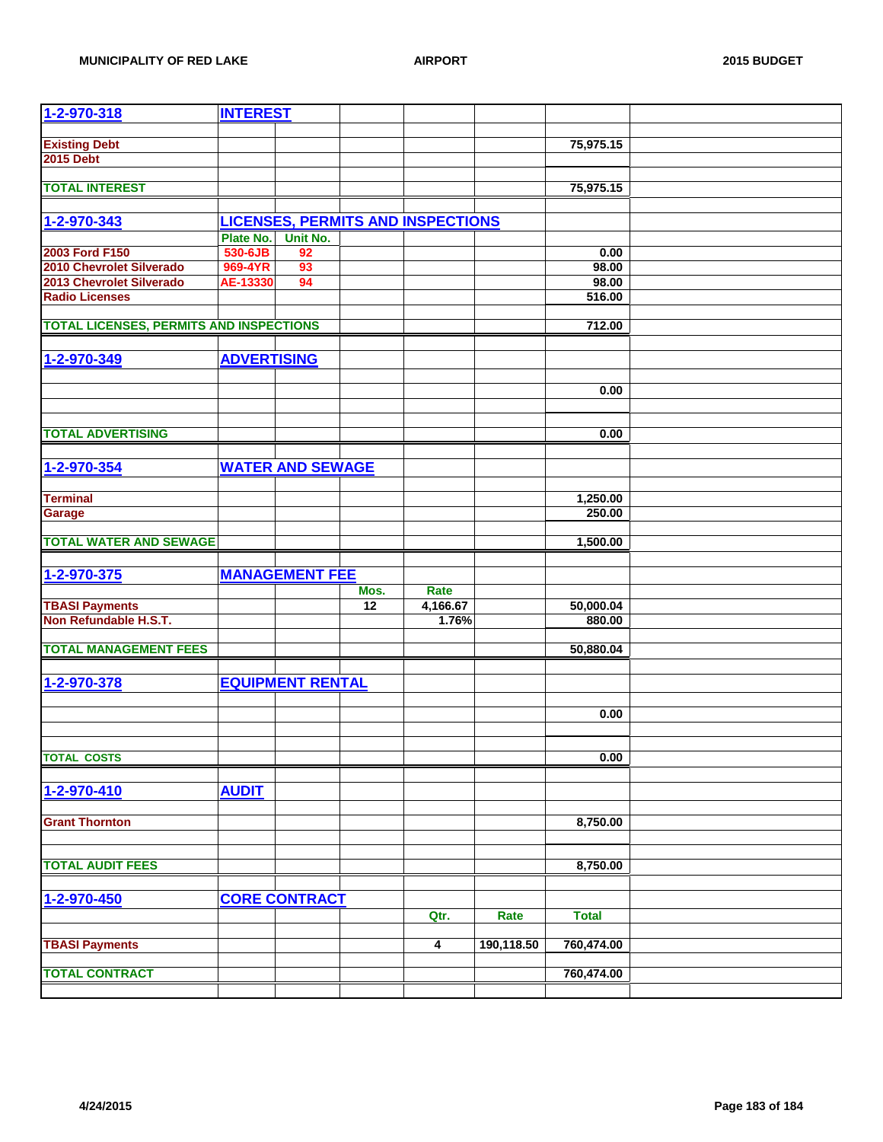| 1-2-970-318                                    | <b>INTEREST</b>    |                         |                 |                                          |            |              |  |
|------------------------------------------------|--------------------|-------------------------|-----------------|------------------------------------------|------------|--------------|--|
|                                                |                    |                         |                 |                                          |            |              |  |
| <b>Existing Debt</b>                           |                    |                         |                 |                                          |            | 75,975.15    |  |
| <b>2015 Debt</b>                               |                    |                         |                 |                                          |            |              |  |
|                                                |                    |                         |                 |                                          |            |              |  |
| <b>TOTAL INTEREST</b>                          |                    |                         |                 |                                          |            | 75,975.15    |  |
|                                                |                    |                         |                 |                                          |            |              |  |
| 1-2-970-343                                    |                    |                         |                 | <b>LICENSES, PERMITS AND INSPECTIONS</b> |            |              |  |
|                                                | Plate No.          | Unit No.                |                 |                                          |            |              |  |
| 2003 Ford F150                                 | 530-6JB            | 92                      |                 |                                          |            | 0.00         |  |
| 2010 Chevrolet Silverado                       | 969-4YR            | 93                      |                 |                                          |            | 98.00        |  |
| 2013 Chevrolet Silverado                       | AE-13330           | 94                      |                 |                                          |            | 98.00        |  |
| <b>Radio Licenses</b>                          |                    |                         |                 |                                          |            | 516.00       |  |
|                                                |                    |                         |                 |                                          |            |              |  |
| <b>TOTAL LICENSES, PERMITS AND INSPECTIONS</b> |                    |                         |                 |                                          |            | 712.00       |  |
|                                                |                    |                         |                 |                                          |            |              |  |
| 1-2-970-349                                    | <b>ADVERTISING</b> |                         |                 |                                          |            |              |  |
|                                                |                    |                         |                 |                                          |            |              |  |
|                                                |                    |                         |                 |                                          |            | 0.00         |  |
|                                                |                    |                         |                 |                                          |            |              |  |
|                                                |                    |                         |                 |                                          |            |              |  |
| <b>TOTAL ADVERTISING</b>                       |                    |                         |                 |                                          |            | 0.00         |  |
|                                                |                    |                         |                 |                                          |            |              |  |
| 1-2-970-354                                    |                    | <b>WATER AND SEWAGE</b> |                 |                                          |            |              |  |
|                                                |                    |                         |                 |                                          |            |              |  |
| <b>Terminal</b>                                |                    |                         |                 |                                          |            | 1,250.00     |  |
| Garage                                         |                    |                         |                 |                                          |            | 250.00       |  |
|                                                |                    |                         |                 |                                          |            |              |  |
| <b>TOTAL WATER AND SEWAGE</b>                  |                    |                         |                 |                                          |            | 1,500.00     |  |
|                                                |                    |                         |                 |                                          |            |              |  |
| 1-2-970-375                                    |                    | <b>MANAGEMENT FEE</b>   |                 |                                          |            |              |  |
|                                                |                    |                         | Mos.            | Rate                                     |            |              |  |
| <b>TBASI Payments</b>                          |                    |                         | $\overline{12}$ | 4,166.67                                 |            | 50,000.04    |  |
| Non Refundable H.S.T.                          |                    |                         |                 | 1.76%                                    |            | 880.00       |  |
|                                                |                    |                         |                 |                                          |            |              |  |
| <b>TOTAL MANAGEMENT FEES</b>                   |                    |                         |                 |                                          |            | 50,880.04    |  |
|                                                |                    |                         |                 |                                          |            |              |  |
| 1-2-970-378                                    |                    | <b>EQUIPMENT RENTAL</b> |                 |                                          |            |              |  |
|                                                |                    |                         |                 |                                          |            |              |  |
|                                                |                    |                         |                 |                                          |            | 0.00         |  |
|                                                |                    |                         |                 |                                          |            |              |  |
|                                                |                    |                         |                 |                                          |            |              |  |
| <b>TOTAL COSTS</b>                             |                    |                         |                 |                                          |            | 0.00         |  |
|                                                |                    |                         |                 |                                          |            |              |  |
| 1-2-970-410                                    | <b>AUDIT</b>       |                         |                 |                                          |            |              |  |
|                                                |                    |                         |                 |                                          |            |              |  |
| <b>Grant Thornton</b>                          |                    |                         |                 |                                          |            | 8,750.00     |  |
|                                                |                    |                         |                 |                                          |            |              |  |
|                                                |                    |                         |                 |                                          |            |              |  |
| <b>TOTAL AUDIT FEES</b>                        |                    |                         |                 |                                          |            | 8,750.00     |  |
|                                                |                    |                         |                 |                                          |            |              |  |
| 1-2-970-450                                    |                    | <b>CORE CONTRACT</b>    |                 |                                          |            |              |  |
|                                                |                    |                         |                 | Qtr.                                     | Rate       | <b>Total</b> |  |
|                                                |                    |                         |                 |                                          |            |              |  |
| <b>TBASI Payments</b>                          |                    |                         |                 | 4                                        | 190,118.50 | 760,474.00   |  |
|                                                |                    |                         |                 |                                          |            |              |  |
| <b>TOTAL CONTRACT</b>                          |                    |                         |                 |                                          |            | 760,474.00   |  |
|                                                |                    |                         |                 |                                          |            |              |  |